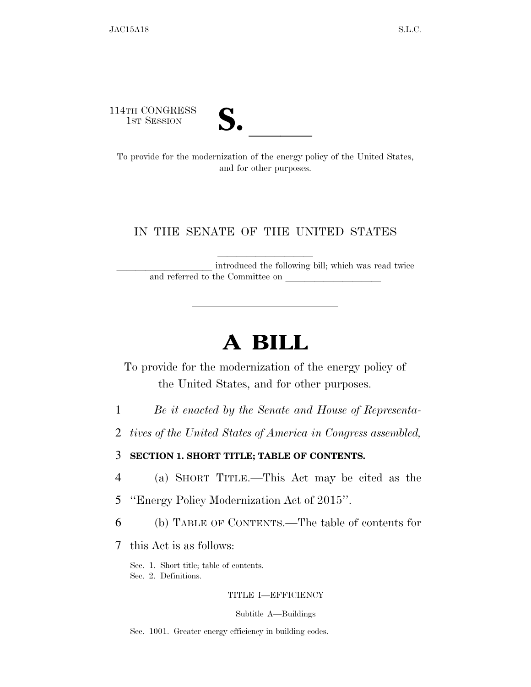114TH CONGRESS



14TH CONGRESS<br>
1ST SESSION<br>
To provide for the modernization of the energy policy of the United States, and for other purposes.

# IN THE SENATE OF THE UNITED STATES

introduced the following bill; which was read twice and referred to the Committee on

# **A BILL**

To provide for the modernization of the energy policy of the United States, and for other purposes.

- 1 *Be it enacted by the Senate and House of Representa-*
- 2 *tives of the United States of America in Congress assembled,*

3 **SECTION 1. SHORT TITLE; TABLE OF CONTENTS.** 

- 4 (a) SHORT TITLE.—This Act may be cited as the
- 5 ''Energy Policy Modernization Act of 2015''.
- 6 (b) TABLE OF CONTENTS.—The table of contents for
- 7 this Act is as follows:

Sec. 1. Short title; table of contents. Sec. 2. Definitions.

# TITLE I—EFFICIENCY

Subtitle A—Buildings

Sec. 1001. Greater energy efficiency in building codes.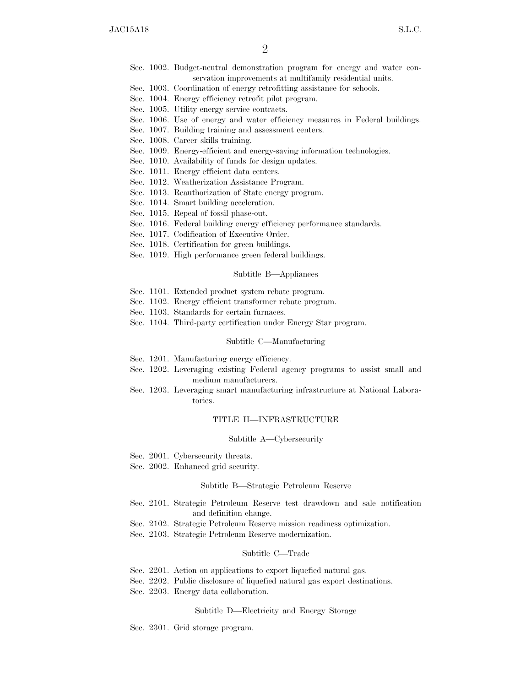- Sec. 1002. Budget-neutral demonstration program for energy and water conservation improvements at multifamily residential units.
- Sec. 1003. Coordination of energy retrofitting assistance for schools.
- Sec. 1004. Energy efficiency retrofit pilot program.
- Sec. 1005. Utility energy service contracts.
- Sec. 1006. Use of energy and water efficiency measures in Federal buildings.
- Sec. 1007. Building training and assessment centers.
- Sec. 1008. Career skills training.
- Sec. 1009. Energy-efficient and energy-saving information technologies.
- Sec. 1010. Availability of funds for design updates.
- Sec. 1011. Energy efficient data centers.
- Sec. 1012. Weatherization Assistance Program.
- Sec. 1013. Reauthorization of State energy program.
- Sec. 1014. Smart building acceleration.
- Sec. 1015. Repeal of fossil phase-out.
- Sec. 1016. Federal building energy efficiency performance standards.
- Sec. 1017. Codification of Executive Order.
- Sec. 1018. Certification for green buildings.
- Sec. 1019. High performance green federal buildings.

#### Subtitle B—Appliances

- Sec. 1101. Extended product system rebate program.
- Sec. 1102. Energy efficient transformer rebate program.
- Sec. 1103. Standards for certain furnaces.
- Sec. 1104. Third-party certification under Energy Star program.

# Subtitle C—Manufacturing

- Sec. 1201. Manufacturing energy efficiency.
- Sec. 1202. Leveraging existing Federal agency programs to assist small and medium manufacturers.
- Sec. 1203. Leveraging smart manufacturing infrastructure at National Laboratories.

# TITLE II—INFRASTRUCTURE

# Subtitle A—Cybersecurity

- Sec. 2001. Cybersecurity threats.
- Sec. 2002. Enhanced grid security.

# Subtitle B—Strategic Petroleum Reserve

- Sec. 2101. Strategic Petroleum Reserve test drawdown and sale notification and definition change.
- Sec. 2102. Strategic Petroleum Reserve mission readiness optimization.
- Sec. 2103. Strategic Petroleum Reserve modernization.

### Subtitle C—Trade

- Sec. 2201. Action on applications to export liquefied natural gas.
- Sec. 2202. Public disclosure of liquefied natural gas export destinations.
- Sec. 2203. Energy data collaboration.

### Subtitle D—Electricity and Energy Storage

Sec. 2301. Grid storage program.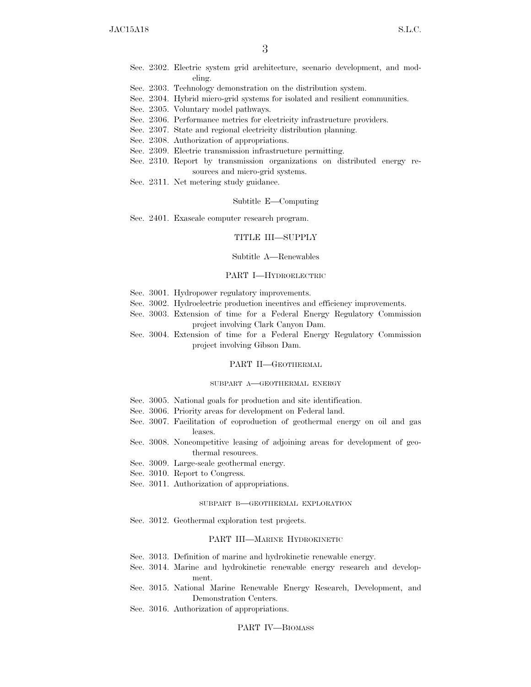- Sec. 2302. Electric system grid architecture, scenario development, and modeling.
- Sec. 2303. Technology demonstration on the distribution system.
- Sec. 2304. Hybrid micro-grid systems for isolated and resilient communities.
- Sec. 2305. Voluntary model pathways.
- Sec. 2306. Performance metrics for electricity infrastructure providers.
- Sec. 2307. State and regional electricity distribution planning.
- Sec. 2308. Authorization of appropriations.
- Sec. 2309. Electric transmission infrastructure permitting.
- Sec. 2310. Report by transmission organizations on distributed energy resources and micro-grid systems.
- Sec. 2311. Net metering study guidance.

#### Subtitle E—Computing

Sec. 2401. Exascale computer research program.

# TITLE III—SUPPLY

Subtitle A—Renewables

# PART I—HYDROELECTRIC

- Sec. 3001. Hydropower regulatory improvements.
- Sec. 3002. Hydroelectric production incentives and efficiency improvements.
- Sec. 3003. Extension of time for a Federal Energy Regulatory Commission project involving Clark Canyon Dam.
- Sec. 3004. Extension of time for a Federal Energy Regulatory Commission project involving Gibson Dam.

# PART II—GEOTHERMAL

# SUBPART A—GEOTHERMAL ENERGY

- Sec. 3005. National goals for production and site identification.
- Sec. 3006. Priority areas for development on Federal land.
- Sec. 3007. Facilitation of coproduction of geothermal energy on oil and gas leases.
- Sec. 3008. Noncompetitive leasing of adjoining areas for development of geothermal resources.
- Sec. 3009. Large-scale geothermal energy.
- Sec. 3010. Report to Congress.
- Sec. 3011. Authorization of appropriations.

#### SUBPART B—GEOTHERMAL EXPLORATION

Sec. 3012. Geothermal exploration test projects.

# PART III—MARINE HYDROKINETIC

- Sec. 3013. Definition of marine and hydrokinetic renewable energy.
- Sec. 3014. Marine and hydrokinetic renewable energy research and development.
- Sec. 3015. National Marine Renewable Energy Research, Development, and Demonstration Centers.
- Sec. 3016. Authorization of appropriations.

# PART IV—BIOMASS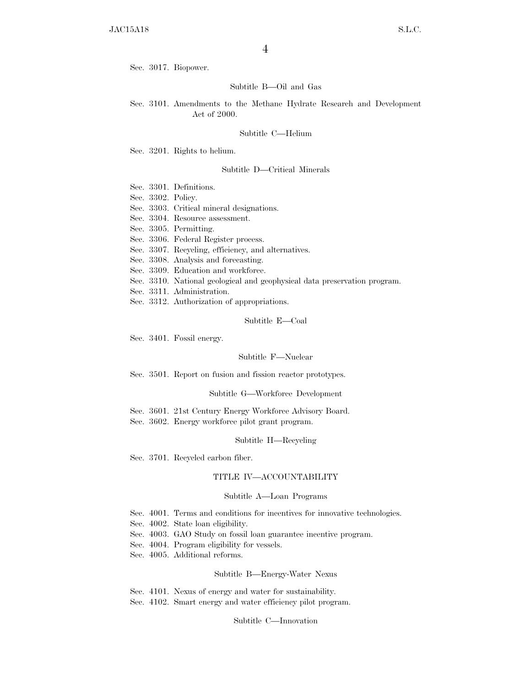Sec. 3017. Biopower.

# Subtitle B—Oil and Gas

Sec. 3101. Amendments to the Methane Hydrate Research and Development Act of 2000.

# Subtitle C—Helium

Sec. 3201. Rights to helium.

# Subtitle D—Critical Minerals

Sec. 3301. Definitions.

Sec. 3302. Policy.

Sec. 3303. Critical mineral designations.

Sec. 3304. Resource assessment.

Sec. 3305. Permitting.

- Sec. 3306. Federal Register process.
- Sec. 3307. Recycling, efficiency, and alternatives.
- Sec. 3308. Analysis and forecasting.
- Sec. 3309. Education and workforce.
- Sec. 3310. National geological and geophysical data preservation program.
- Sec. 3311. Administration.
- Sec. 3312. Authorization of appropriations.

# Subtitle E—Coal

Sec. 3401. Fossil energy.

#### Subtitle F—Nuclear

Sec. 3501. Report on fusion and fission reactor prototypes.

#### Subtitle G—Workforce Development

Sec. 3601. 21st Century Energy Workforce Advisory Board. Sec. 3602. Energy workforce pilot grant program.

# Subtitle H—Recycling

Sec. 3701. Recycled carbon fiber.

# TITLE IV—ACCOUNTABILITY

#### Subtitle A—Loan Programs

- Sec. 4001. Terms and conditions for incentives for innovative technologies.
- Sec. 4002. State loan eligibility.
- Sec. 4003. GAO Study on fossil loan guarantee incentive program.
- Sec. 4004. Program eligibility for vessels.
- Sec. 4005. Additional reforms.

# Subtitle B—Energy-Water Nexus

Sec. 4101. Nexus of energy and water for sustainability. Sec. 4102. Smart energy and water efficiency pilot program.

# Subtitle C—Innovation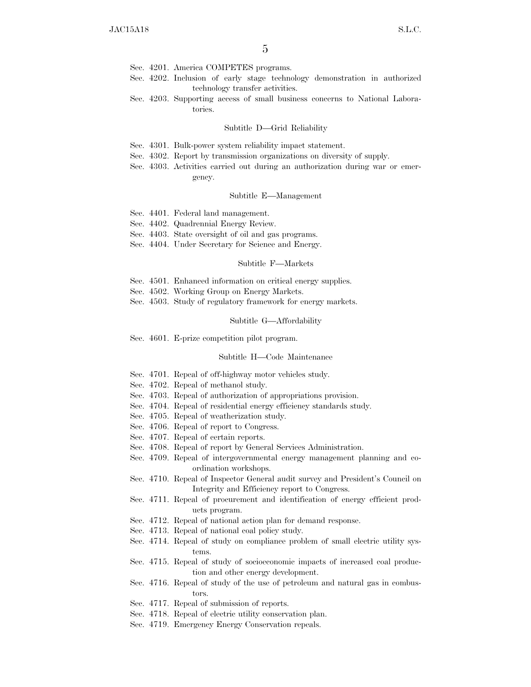- Sec. 4201. America COMPETES programs.
- Sec. 4202. Inclusion of early stage technology demonstration in authorized technology transfer activities.
- Sec. 4203. Supporting access of small business concerns to National Laboratories.

### Subtitle D—Grid Reliability

- Sec. 4301. Bulk-power system reliability impact statement.
- Sec. 4302. Report by transmission organizations on diversity of supply.
- Sec. 4303. Activities carried out during an authorization during war or emergency.

# Subtitle E—Management

- Sec. 4401. Federal land management.
- Sec. 4402. Quadrennial Energy Review.
- Sec. 4403. State oversight of oil and gas programs.
- Sec. 4404. Under Secretary for Science and Energy.

# Subtitle F—Markets

- Sec. 4501. Enhanced information on critical energy supplies.
- Sec. 4502. Working Group on Energy Markets.
- Sec. 4503. Study of regulatory framework for energy markets.

# Subtitle G—Affordability

Sec. 4601. E-prize competition pilot program.

# Subtitle H—Code Maintenance

- Sec. 4701. Repeal of off-highway motor vehicles study.
- Sec. 4702. Repeal of methanol study.
- Sec. 4703. Repeal of authorization of appropriations provision.
- Sec. 4704. Repeal of residential energy efficiency standards study.
- Sec. 4705. Repeal of weatherization study.
- Sec. 4706. Repeal of report to Congress.
- Sec. 4707. Repeal of certain reports.
- Sec. 4708. Repeal of report by General Services Administration.
- Sec. 4709. Repeal of intergovernmental energy management planning and coordination workshops.
- Sec. 4710. Repeal of Inspector General audit survey and President's Council on Integrity and Efficiency report to Congress.
- Sec. 4711. Repeal of procurement and identification of energy efficient products program.
- Sec. 4712. Repeal of national action plan for demand response.
- Sec. 4713. Repeal of national coal policy study.
- Sec. 4714. Repeal of study on compliance problem of small electric utility systems.
- Sec. 4715. Repeal of study of socioeconomic impacts of increased coal production and other energy development.
- Sec. 4716. Repeal of study of the use of petroleum and natural gas in combustors.
- Sec. 4717. Repeal of submission of reports.
- Sec. 4718. Repeal of electric utility conservation plan.
- Sec. 4719. Emergency Energy Conservation repeals.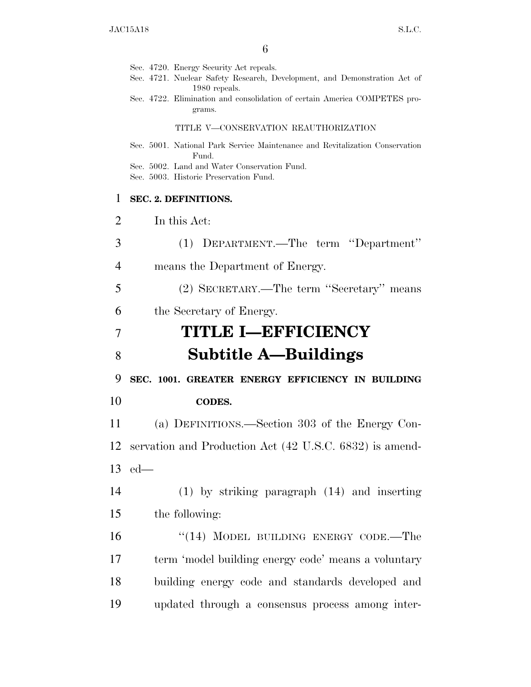|    | Sec. 4720. Energy Security Act repeals.<br>Sec. 4721. Nuclear Safety Research, Development, and Demonstration Act of<br>1980 repeals. |
|----|---------------------------------------------------------------------------------------------------------------------------------------|
|    | Sec. 4722. Elimination and consolidation of certain America COMPETES pro-<br>grams.                                                   |
|    | TITLE V-CONSERVATION REAUTHORIZATION                                                                                                  |
|    | Sec. 5001. National Park Service Maintenance and Revitalization Conservation<br>Fund.                                                 |
|    | Sec. 5002. Land and Water Conservation Fund.<br>Sec. 5003. Historic Preservation Fund.                                                |
| 1  | SEC. 2. DEFINITIONS.                                                                                                                  |
| 2  | In this Act:                                                                                                                          |
| 3  | (1) DEPARTMENT.—The term "Department"                                                                                                 |
| 4  | means the Department of Energy.                                                                                                       |
| 5  | (2) SECRETARY.—The term "Secretary" means                                                                                             |
| 6  | the Secretary of Energy.                                                                                                              |
| 7  | <b>TITLE I-EFFICIENCY</b>                                                                                                             |
|    |                                                                                                                                       |
| 8  | Subtitle A—Buildings                                                                                                                  |
| 9  | SEC. 1001. GREATER ENERGY EFFICIENCY IN BUILDING                                                                                      |
| 10 | CODES.                                                                                                                                |
| 11 | (a) DEFINITIONS.—Section 303 of the Energy Con-                                                                                       |
|    | 12 servation and Production Act (42 U.S.C. 6832) is amend-                                                                            |
|    | $13$ ed—                                                                                                                              |
| 14 | $(1)$ by striking paragraph $(14)$ and inserting                                                                                      |
| 15 | the following:                                                                                                                        |
| 16 | "(14) MODEL BUILDING ENERGY CODE.—The                                                                                                 |
| 17 | term 'model building energy code' means a voluntary                                                                                   |
| 18 | building energy code and standards developed and                                                                                      |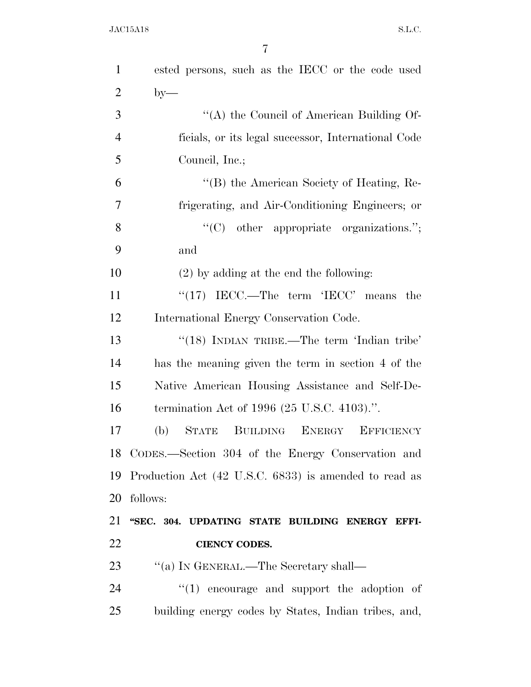| $\mathbf{1}$               | ested persons, such as the IECC or the code used      |
|----------------------------|-------------------------------------------------------|
| $\overline{2}$             | $by-$                                                 |
| 3                          | "(A) the Council of American Building Of-             |
| $\overline{4}$             | ficials, or its legal successor, International Code   |
| 5                          | Council, Inc.;                                        |
| 6                          | "(B) the American Society of Heating, Re-             |
| 7                          | frigerating, and Air-Conditioning Engineers; or       |
| 8                          | "(C) other appropriate organizations.";               |
| 9                          | and                                                   |
| 10                         | $(2)$ by adding at the end the following:             |
| 11                         | " $(17)$ IECC.—The term 'IECC' means the              |
| 12                         | International Energy Conservation Code.               |
| 13                         | "(18) INDIAN TRIBE.—The term 'Indian tribe'           |
|                            | has the meaning given the term in section 4 of the    |
| 14                         |                                                       |
| 15                         | Native American Housing Assistance and Self-De-       |
| 16                         | termination Act of 1996 (25 U.S.C. 4103).".           |
| 17                         | (b)<br>STATE<br>BUILDING ENERGY<br><b>EFFICIENCY</b>  |
|                            | 18 CODES.—Section 304 of the Energy Conservation and  |
|                            | Production Act (42 U.S.C. 6833) is amended to read as |
|                            | follows:                                              |
|                            | "SEC. 304. UPDATING STATE BUILDING ENERGY EFFI-       |
|                            | <b>CIENCY CODES.</b>                                  |
| 19<br>20<br>21<br>22<br>23 | "(a) IN GENERAL.—The Secretary shall—                 |
| 24                         | $\lq(1)$ encourage and support the adoption of        |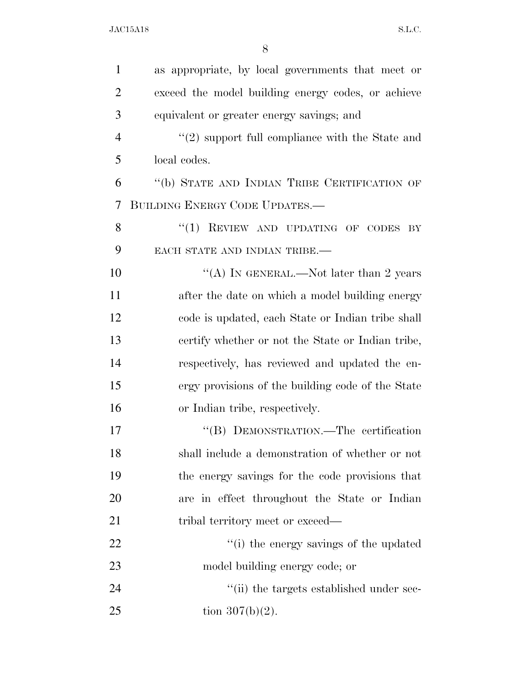| $\mathbf{1}$   | as appropriate, by local governments that meet or   |
|----------------|-----------------------------------------------------|
| $\overline{2}$ | exceed the model building energy codes, or achieve  |
| 3              | equivalent or greater energy savings; and           |
| $\overline{4}$ | $\lq(2)$ support full compliance with the State and |
| 5              | local codes.                                        |
| 6              | "(b) STATE AND INDIAN TRIBE CERTIFICATION OF        |
| 7              | BUILDING ENERGY CODE UPDATES.-                      |
| 8              | "(1) REVIEW AND UPDATING OF CODES BY                |
| 9              | EACH STATE AND INDIAN TRIBE.                        |
| 10             | "(A) IN GENERAL.—Not later than 2 years             |
| 11             | after the date on which a model building energy     |
| 12             | code is updated, each State or Indian tribe shall   |
| 13             | certify whether or not the State or Indian tribe,   |
| 14             | respectively, has reviewed and updated the en-      |
| 15             | ergy provisions of the building code of the State   |
| 16             | or Indian tribe, respectively.                      |
| 17             | "(B) DEMONSTRATION.—The certification               |
| 18             | shall include a demonstration of whether or not     |
| 19             | the energy savings for the code provisions that     |
| 20             | are in effect throughout the State or Indian        |
| 21             | tribal territory meet or exceed—                    |
| 22             | "(i) the energy savings of the updated              |
| 23             | model building energy code; or                      |
| 24             | "(ii) the targets established under sec-            |
| 25             | tion $307(b)(2)$ .                                  |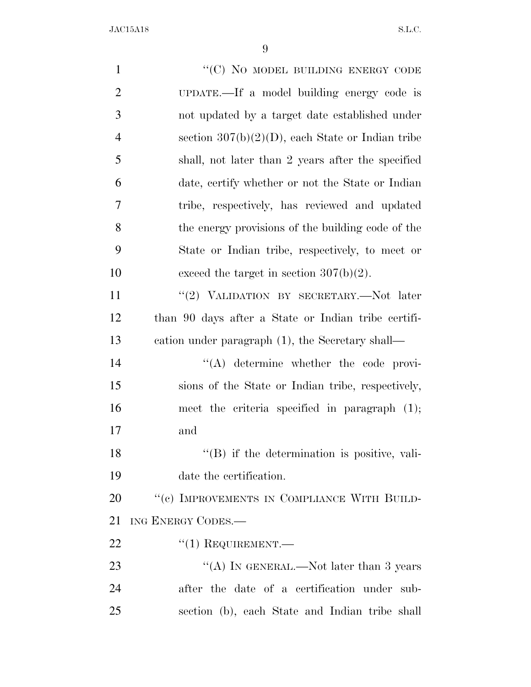| $\mathbf{1}$   | "(C) NO MODEL BUILDING ENERGY CODE                   |
|----------------|------------------------------------------------------|
| $\overline{2}$ | UPDATE.—If a model building energy code is           |
| 3              | not updated by a target date established under       |
| $\overline{4}$ | section $307(b)(2)(D)$ , each State or Indian tribe  |
| 5              | shall, not later than 2 years after the specified    |
| 6              | date, certify whether or not the State or Indian     |
| 7              | tribe, respectively, has reviewed and updated        |
| 8              | the energy provisions of the building code of the    |
| 9              | State or Indian tribe, respectively, to meet or      |
| 10             | exceed the target in section $307(b)(2)$ .           |
| 11             | "(2) VALIDATION BY SECRETARY.-Not later              |
| 12             | than 90 days after a State or Indian tribe certifi-  |
| 13             | cation under paragraph (1), the Secretary shall—     |
| 14             | $\lq\lq$ determine whether the code provi-           |
| 15             | sions of the State or Indian tribe, respectively,    |
| 16             | meet the criteria specified in paragraph (1);        |
| 17             | and                                                  |
| 18             | $\lq\lq (B)$ if the determination is positive, vali- |
| 19             | date the certification.                              |
| 20             | "(c) IMPROVEMENTS IN COMPLIANCE WITH BUILD-          |
| 21             | ING ENERGY CODES.-                                   |
| 22             | $``(1)$ REQUIREMENT.—                                |
| 23             | "(A) IN GENERAL.—Not later than 3 years              |
| 24             | after the date of a certification under sub-         |
| 25             | section (b), each State and Indian tribe shall       |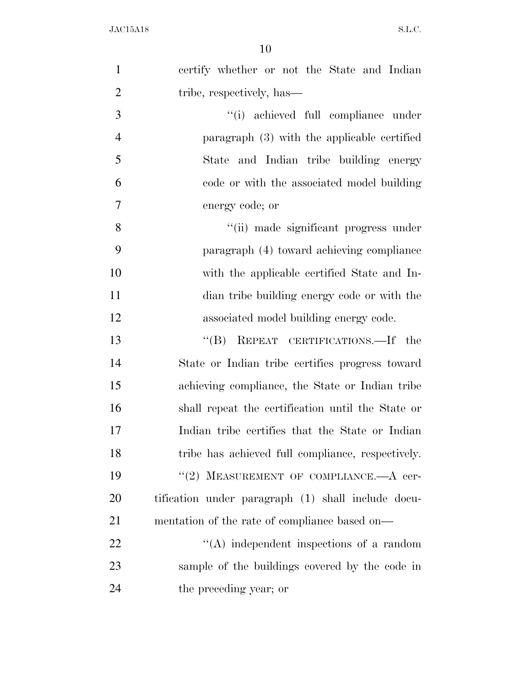| $\mathbf{1}$   | certify whether or not the State and Indian        |
|----------------|----------------------------------------------------|
| $\overline{2}$ | tribe, respectively, has—                          |
| 3              | "(i) achieved full compliance under                |
| $\overline{4}$ | paragraph $(3)$ with the applicable certified      |
| 5              | State and Indian tribe building energy             |
| 6              | code or with the associated model building         |
| 7              | energy code; or                                    |
| 8              | "(ii) made significant progress under              |
| 9              | paragraph (4) toward achieving compliance          |
| 10             | with the applicable certified State and In-        |
| 11             | dian tribe building energy code or with the        |
| 12             | associated model building energy code.             |
| 13             | ``(B)<br>REPEAT CERTIFICATIONS.—If the             |
| 14             | State or Indian tribe certifies progress toward    |
| 15             | achieving compliance, the State or Indian tribe    |
| 16             | shall repeat the certification until the State or  |
| 17             | Indian tribe certifies that the State or Indian    |
| 18             | tribe has achieved full compliance, respectively.  |
| 19             | "(2) MEASUREMENT OF COMPLIANCE.—A cer-             |
| 20             | tification under paragraph (1) shall include docu- |
| 21             | mentation of the rate of compliance based on—      |
| 22             | $\lq\lq$ independent inspections of a random       |
| 23             | sample of the buildings covered by the code in     |
| 24             | the preceding year; or                             |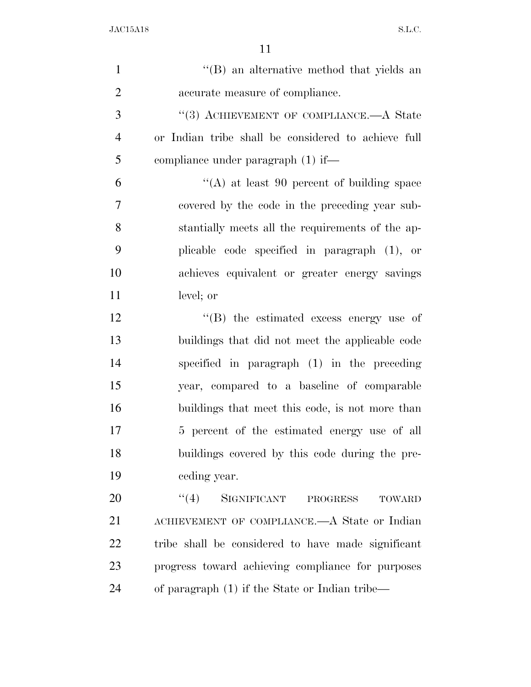| $\mathbf{1}$   | "(B) an alternative method that yields an              |
|----------------|--------------------------------------------------------|
| $\overline{2}$ | accurate measure of compliance.                        |
| 3              | "(3) ACHIEVEMENT OF COMPLIANCE.—A State                |
| $\overline{4}$ | or Indian tribe shall be considered to achieve full    |
| 5              | compliance under paragraph $(1)$ if—                   |
| 6              | $\lq\lq$ at least 90 percent of building space         |
| 7              | covered by the code in the preceding year sub-         |
| 8              | stantially meets all the requirements of the ap-       |
| 9              | plicable code specified in paragraph (1), or           |
| 10             | achieves equivalent or greater energy savings          |
| 11             | level; or                                              |
| 12             | $\lq\lq$ the estimated excess energy use of            |
| 13             | buildings that did not meet the applicable code        |
| 14             | specified in paragraph $(1)$ in the preceding          |
| 15             | year, compared to a baseline of comparable             |
| 16             | buildings that meet this code, is not more than        |
| 17             | 5 percent of the estimated energy use of all           |
| 18             | buildings covered by this code during the pre-         |
| 19             | ceding year.                                           |
| 20             | (4)<br>SIGNIFICANT<br><b>PROGRESS</b><br><b>TOWARD</b> |
| 21             | ACHIEVEMENT OF COMPLIANCE.—A State or Indian           |
| 22             | tribe shall be considered to have made significant     |
| 23             | progress toward achieving compliance for purposes      |
| 24             | of paragraph (1) if the State or Indian tribe—         |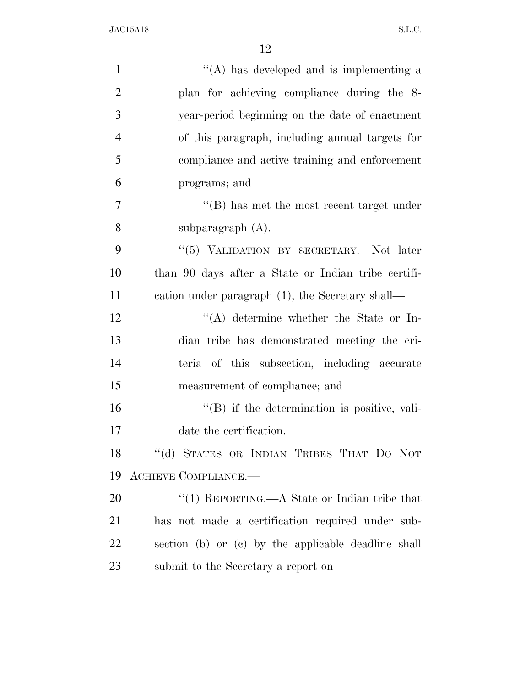| $\mathbf{1}$   | $\lq\lq$ has developed and is implementing a         |
|----------------|------------------------------------------------------|
| $\overline{2}$ | plan for achieving compliance during the 8-          |
| 3              | year-period beginning on the date of enactment       |
| $\overline{4}$ | of this paragraph, including annual targets for      |
| 5              | compliance and active training and enforcement       |
| 6              | programs; and                                        |
| 7              | $\lq\lq (B)$ has met the most recent target under    |
| 8              | subparagraph $(A)$ .                                 |
| 9              | "(5) VALIDATION BY SECRETARY.—Not later              |
| 10             | than 90 days after a State or Indian tribe certifi-  |
| 11             | cation under paragraph (1), the Secretary shall—     |
| 12             | $\lq\lq$ determine whether the State or In-          |
| 13             | dian tribe has demonstrated meeting the cri-         |
| 14             | teria of this subsection, including accurate         |
| 15             | measurement of compliance; and                       |
| 16             | $\lq\lq (B)$ if the determination is positive, vali- |
| 17             | date the certification.                              |
| 18             | "(d) STATES OR INDIAN TRIBES THAT DO NOT             |
| 19             | <b>ACHIEVE COMPLIANCE.—</b>                          |
| 20             | "(1) REPORTING.—A State or Indian tribe that         |
| 21             | has not made a certification required under sub-     |
| 22             | section (b) or (c) by the applicable deadline shall  |
| 23             | submit to the Secretary a report on—                 |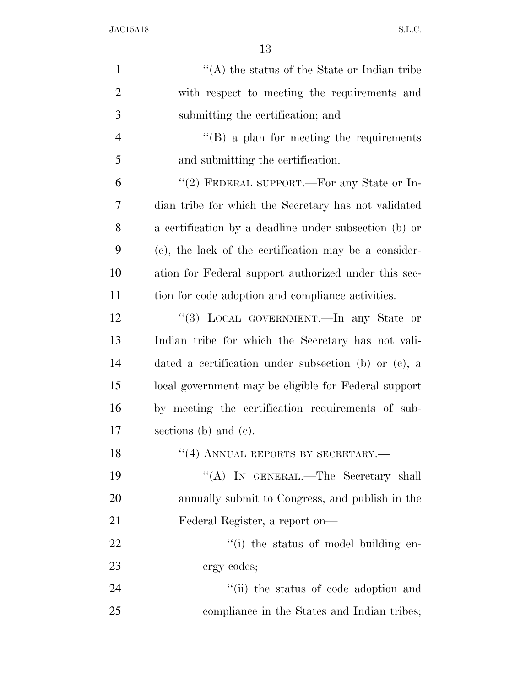| $\mathbf{1}$   | "(A) the status of the State or Indian tribe          |
|----------------|-------------------------------------------------------|
| $\overline{2}$ | with respect to meeting the requirements and          |
| 3              | submitting the certification; and                     |
| $\overline{4}$ | $\lq\lq (B)$ a plan for meeting the requirements      |
| 5              | and submitting the certification.                     |
| 6              | "(2) FEDERAL SUPPORT.—For any State or In-            |
| 7              | dian tribe for which the Secretary has not validated  |
| 8              | a certification by a deadline under subsection (b) or |
| 9              | (c), the lack of the certification may be a consider- |
| 10             | ation for Federal support authorized under this sec-  |
| 11             | tion for code adoption and compliance activities.     |
| 12             | "(3) LOCAL GOVERNMENT.—In any State or                |
| 13             | Indian tribe for which the Secretary has not vali-    |
| 14             | dated a certification under subsection (b) or (c), a  |
| 15             | local government may be eligible for Federal support  |
| 16             | by meeting the certification requirements of sub-     |
| 17             | sections (b) and (c).                                 |
| 18             | "(4) ANNUAL REPORTS BY SECRETARY.-                    |
| 19             | "(A) IN GENERAL.—The Secretary shall                  |
| 20             | annually submit to Congress, and publish in the       |
| 21             | Federal Register, a report on—                        |
| 22             | "(i) the status of model building en-                 |
| 23             | ergy codes;                                           |
| 24             | "(ii) the status of code adoption and                 |
| 25             | compliance in the States and Indian tribes;           |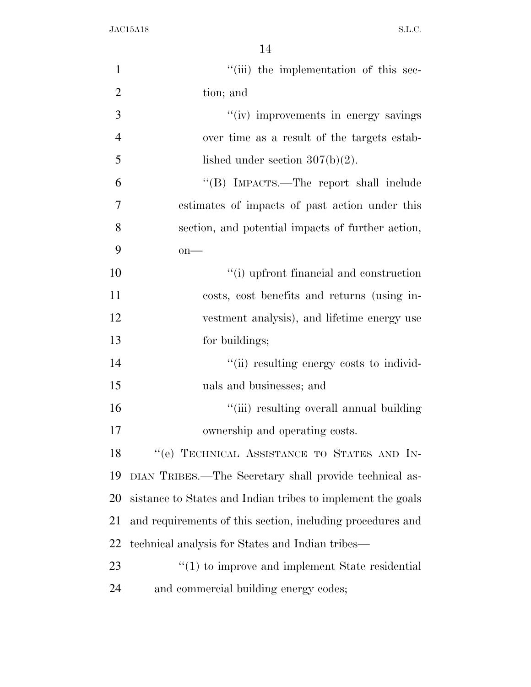| $\mathbf{1}$   | "(iii) the implementation of this sec-                          |
|----------------|-----------------------------------------------------------------|
| $\overline{2}$ | tion; and                                                       |
| 3              | "(iv) improvements in energy savings                            |
| $\overline{4}$ | over time as a result of the targets estab-                     |
| 5              | lished under section $307(b)(2)$ .                              |
| 6              | "(B) IMPACTS.—The report shall include                          |
| 7              | estimates of impacts of past action under this                  |
| 8              | section, and potential impacts of further action,               |
| 9              | $on$ —                                                          |
| 10             | "(i) upfront financial and construction                         |
| 11             | costs, cost benefits and returns (using in-                     |
| 12             | vestment analysis), and lifetime energy use                     |
| 13             | for buildings;                                                  |
| 14             | "(ii) resulting energy costs to individ-                        |
| 15             | uals and businesses; and                                        |
| 16             | "(iii) resulting overall annual building                        |
| 17             | ownership and operating costs.                                  |
| 18             | "(e) TECHNICAL ASSISTANCE TO STATES AND IN-                     |
| 19             | DIAN TRIBES.—The Secretary shall provide technical as-          |
| 20             | sistance to States and Indian tribes to implement the goals     |
| 21             | and requirements of this section, including procedures and      |
| 22             | technical analysis for States and Indian tribes—                |
| 23             | $\cdot\cdot\cdot(1)$ to improve and implement State residential |
| 24             | and commercial building energy codes;                           |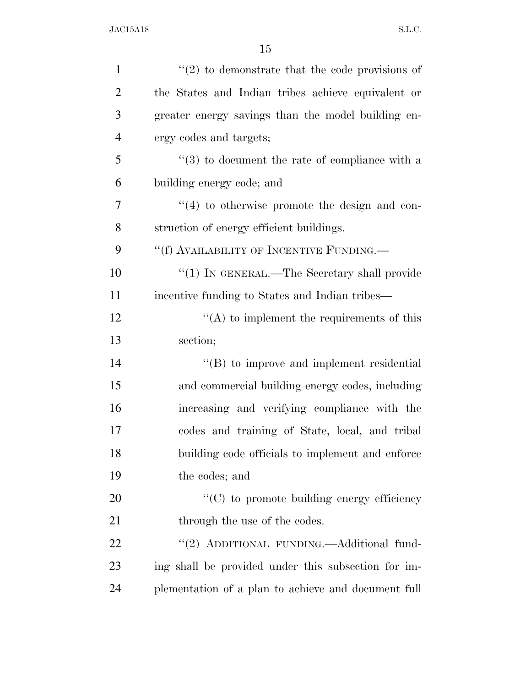| $\mathbf{1}$   | $f'(2)$ to demonstrate that the code provisions of             |
|----------------|----------------------------------------------------------------|
| $\overline{2}$ | the States and Indian tribes achieve equivalent or             |
| 3              | greater energy savings than the model building en-             |
| $\overline{4}$ | ergy codes and targets;                                        |
| 5              | $\cdot\cdot\cdot(3)$ to document the rate of compliance with a |
| 6              | building energy code; and                                      |
| $\overline{7}$ | $\lq(4)$ to otherwise promote the design and con-              |
| 8              | struction of energy efficient buildings.                       |
| 9              | "(f) AVAILABILITY OF INCENTIVE FUNDING.—                       |
| 10             | "(1) IN GENERAL.—The Secretary shall provide                   |
| 11             | incentive funding to States and Indian tribes—                 |
| 12             | $\lq\lq$ to implement the requirements of this                 |
| 13             | section;                                                       |
| 14             | $\lq\lq$ to improve and implement residential                  |
| 15             | and commercial building energy codes, including                |
| 16             | increasing and verifying compliance with the                   |
| 17             | codes and training of State, local, and tribal                 |
| 18             | building code officials to implement and enforce               |
| 19             | the codes; and                                                 |
| 20             | $\cdot\cdot$ (C) to promote building energy efficiency         |
| 21             | through the use of the codes.                                  |
| 22             | "(2) ADDITIONAL FUNDING.—Additional fund-                      |
| 23             | ing shall be provided under this subsection for im-            |
|                |                                                                |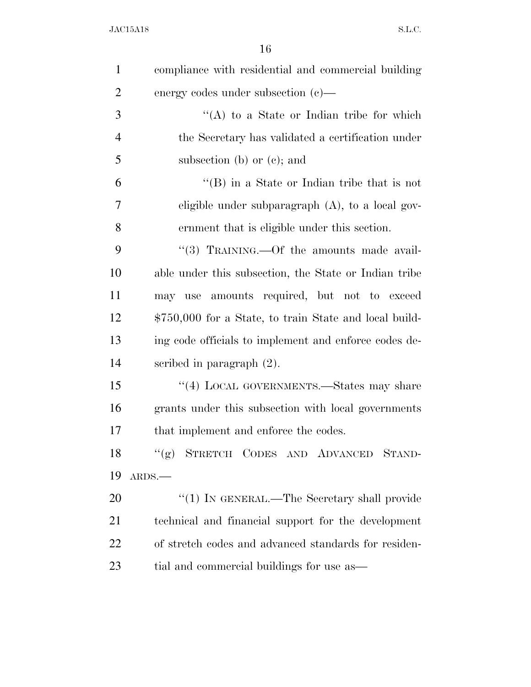| $\mathbf{1}$   | compliance with residential and commercial building     |
|----------------|---------------------------------------------------------|
| $\overline{2}$ | energy codes under subsection $(c)$ —                   |
| 3              | "(A) to a State or Indian tribe for which               |
| $\overline{4}$ | the Secretary has validated a certification under       |
| 5              | subsection (b) or $(c)$ ; and                           |
| 6              | $\lq\lq (B)$ in a State or Indian tribe that is not     |
| 7              | eligible under subparagraph $(A)$ , to a local gov-     |
| 8              | ernment that is eligible under this section.            |
| 9              | "(3) TRAINING.—Of the amounts made avail-               |
| 10             | able under this subsection, the State or Indian tribe   |
| 11             | may use amounts required, but not to exceed             |
| 12             | $$750,000$ for a State, to train State and local build- |
| 13             | ing code officials to implement and enforce codes de-   |
| 14             | scribed in paragraph $(2)$ .                            |
| 15             | $``(4)$ LOCAL GOVERNMENTS.—States may share             |
| 16             | grants under this subsection with local governments     |
| 17             | that implement and enforce the codes.                   |
| 18             | ``(g)<br>STRETCH CODES AND ADVANCED<br>STAND-           |
| 19             | ARDS.                                                   |
| 20             | "(1) IN GENERAL.—The Secretary shall provide            |
| 21             | technical and financial support for the development     |
| 22             | of stretch codes and advanced standards for residen-    |
| 23             | tial and commercial buildings for use as—               |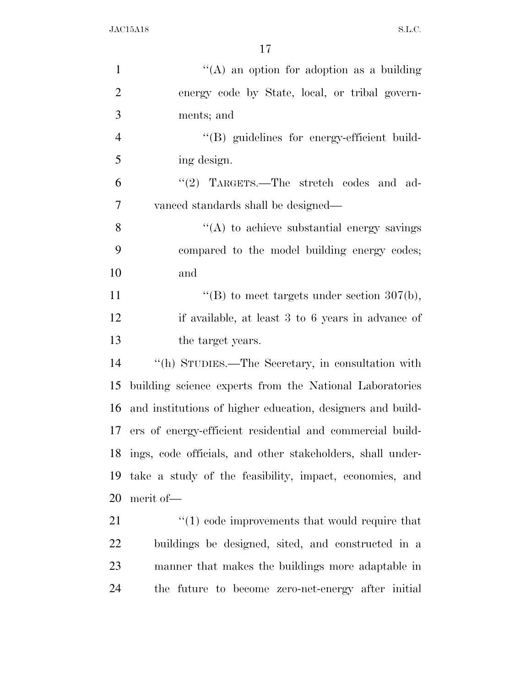| $\mathbf{1}$   | "(A) an option for adoption as a building                    |
|----------------|--------------------------------------------------------------|
| $\overline{2}$ | energy code by State, local, or tribal govern-               |
| 3              | ments; and                                                   |
| $\overline{4}$ | "(B) guidelines for energy-efficient build-                  |
| 5              | ing design.                                                  |
| 6              | "(2) TARGETS.—The stretch codes and ad-                      |
| $\overline{7}$ | vanced standards shall be designed—                          |
| 8              | $\lq\lq$ to achieve substantial energy savings               |
| 9              | compared to the model building energy codes;                 |
| 10             | and                                                          |
| 11             | "(B) to meet targets under section $307(b)$ ,                |
| 12             | if available, at least 3 to 6 years in advance of            |
| 13             | the target years.                                            |
| 14             | "(h) STUDIES.—The Secretary, in consultation with            |
| 15             | building science experts from the National Laboratories      |
| 16             | and institutions of higher education, designers and build-   |
|                | 17 ers of energy-efficient residential and commercial build- |
| 18             | ings, code officials, and other stakeholders, shall under-   |
| 19             | take a study of the feasibility, impact, economics, and      |
| 20             | merit of-                                                    |
| 21             | $\lq(1)$ code improvements that would require that           |
| <u>22</u>      | buildings be designed, sited, and constructed in a           |
| 23             | manner that makes the buildings more adaptable in            |
| 24             | the future to become zero-net-energy after initial           |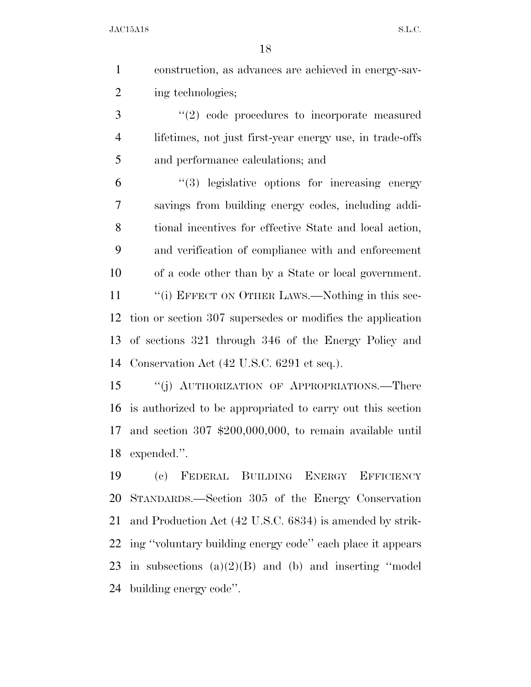|   | construction, as advances are achieved in energy-sav- |
|---|-------------------------------------------------------|
| 2 | ing technologies;                                     |

3 (2) code procedures to incorporate measured lifetimes, not just first-year energy use, in trade-offs and performance calculations; and

 ''(3) legislative options for increasing energy savings from building energy codes, including addi- tional incentives for effective State and local action, and verification of compliance with and enforcement of a code other than by a State or local government. 11 ""(i) EFFECT ON OTHER LAWS.—Nothing in this sec- tion or section 307 supersedes or modifies the application of sections 321 through 346 of the Energy Policy and Conservation Act (42 U.S.C. 6291 et seq.).

 ''(j) AUTHORIZATION OF APPROPRIATIONS.—There is authorized to be appropriated to carry out this section and section 307 \$200,000,000, to remain available until expended.''.

 (c) FEDERAL BUILDING ENERGY EFFICIENCY STANDARDS.—Section 305 of the Energy Conservation and Production Act (42 U.S.C. 6834) is amended by strik- ing ''voluntary building energy code'' each place it appears 23 in subsections  $(a)(2)(B)$  and (b) and inserting "model building energy code''.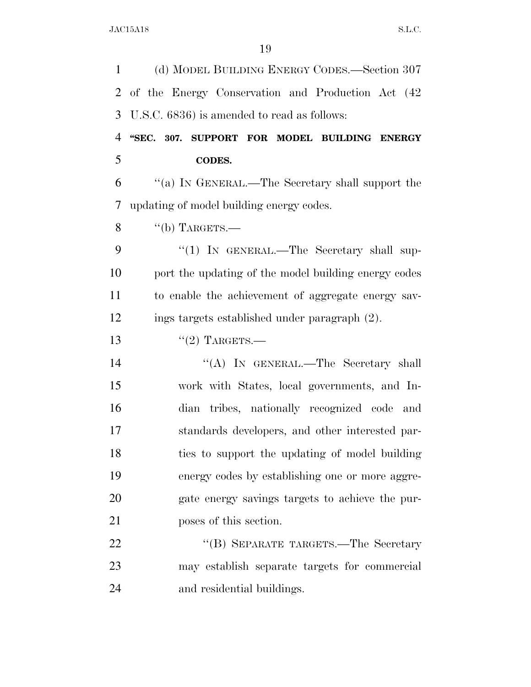(d) MODEL BUILDING ENERGY CODES.—Section 307 of the Energy Conservation and Production Act (42 U.S.C. 6836) is amended to read as follows: **''SEC. 307. SUPPORT FOR MODEL BUILDING ENERGY CODES.**  ''(a) IN GENERAL.—The Secretary shall support the updating of model building energy codes.  $\%$  ''(b) TARGETS.— 9 "(1) IN GENERAL.—The Secretary shall sup- port the updating of the model building energy codes to enable the achievement of aggregate energy sav- ings targets established under paragraph (2).  $((2)$  TARGETS. 14 "(A) In GENERAL.—The Secretary shall work with States, local governments, and In- dian tribes, nationally recognized code and standards developers, and other interested par-18 ties to support the updating of model building energy codes by establishing one or more aggre- gate energy savings targets to achieve the pur- poses of this section. 22 "(B) SEPARATE TARGETS.—The Secretary may establish separate targets for commercial and residential buildings.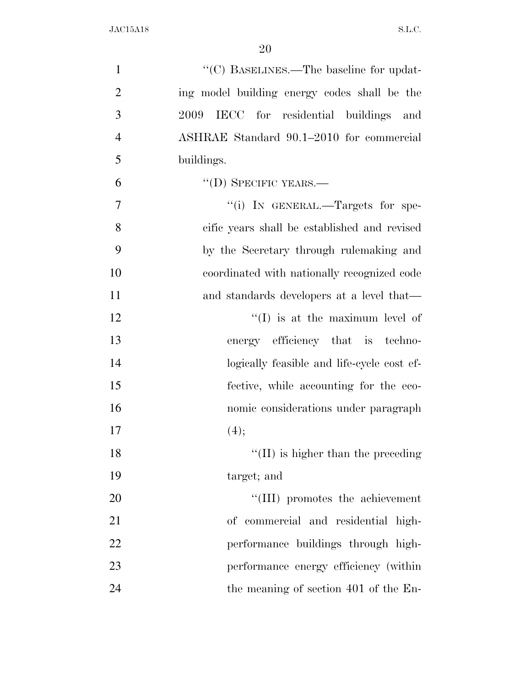| $\mathbf{1}$   | "(C) BASELINES.—The baseline for updat-      |
|----------------|----------------------------------------------|
| $\overline{2}$ | ing model building energy codes shall be the |
| 3              | IECC for residential buildings and<br>2009   |
| $\overline{4}$ | ASHRAE Standard 90.1–2010 for commercial     |
| 5              | buildings.                                   |
| 6              | $\lq\lq$ (D) SPECIFIC YEARS.—                |
| $\overline{7}$ | "(i) IN GENERAL.—Targets for spe-            |
| 8              | cific years shall be established and revised |
| 9              | by the Secretary through rulemaking and      |
| 10             | coordinated with nationally recognized code  |
| 11             | and standards developers at a level that—    |
| 12             | $\lq\lq$ (I) is at the maximum level of      |
| 13             | energy efficiency that is techno-            |
| 14             | logically feasible and life-cycle cost ef-   |
| 15             | fective, while accounting for the eco-       |
| 16             | nomic considerations under paragraph         |
| 17             | (4);                                         |
| 18             | $\lq\lq$ (II) is higher than the preceding   |
| 19             | target; and                                  |
| 20             | "(III) promotes the achievement              |
| 21             | of commercial and residential high-          |
| 22             | performance buildings through high-          |
| 23             | performance energy efficiency (within        |
| 24             | the meaning of section 401 of the En-        |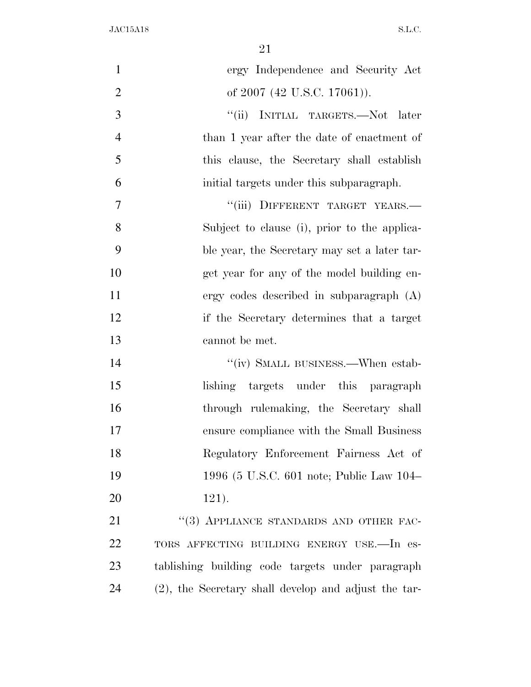| $\mathbf{1}$   | ergy Independence and Security Act                   |
|----------------|------------------------------------------------------|
| $\overline{2}$ | of 2007 (42 U.S.C. 17061)).                          |
| 3              | "(ii) INITIAL TARGETS.—Not later                     |
| $\overline{4}$ | than 1 year after the date of enactment of           |
| 5              | this clause, the Secretary shall establish           |
| 6              | initial targets under this subparagraph.             |
| 7              | "(iii) DIFFERENT TARGET YEARS.-                      |
| 8              | Subject to clause (i), prior to the applica-         |
| 9              | ble year, the Secretary may set a later tar-         |
| 10             | get year for any of the model building en-           |
| 11             | ergy codes described in subparagraph $(A)$           |
| 12             | if the Secretary determines that a target            |
| 13             | cannot be met.                                       |
| 14             | "(iv) SMALL BUSINESS.—When estab-                    |
| 15             | lishing targets under this paragraph                 |
| 16             | through rulemaking, the Secretary shall              |
| 17             | ensure compliance with the Small Business            |
| 18             | Regulatory Enforcement Fairness Act of               |
| 19             | 1996 (5 U.S.C. 601 note; Public Law 104–             |
| 20             | $121$ .                                              |
| 21             | "(3) APPLIANCE STANDARDS AND OTHER FAC-              |
| <u>22</u>      | TORS AFFECTING BUILDING ENERGY USE.-In es-           |
| 23             | tablishing building code targets under paragraph     |
| 24             | (2), the Secretary shall develop and adjust the tar- |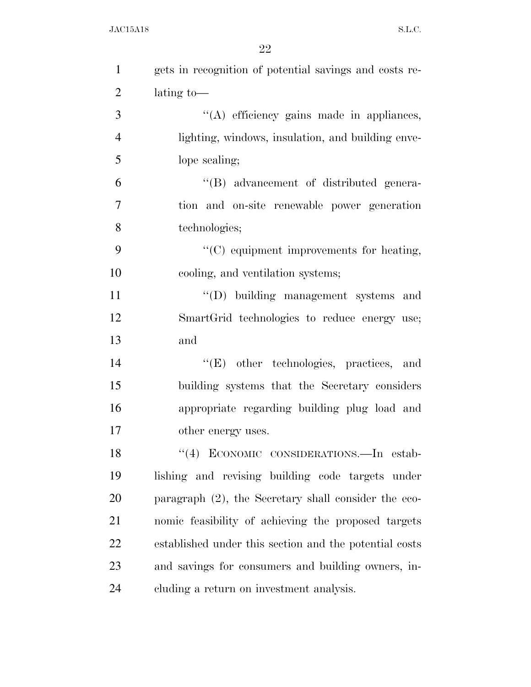| $\mathbf{1}$   | gets in recognition of potential savings and costs re- |
|----------------|--------------------------------------------------------|
| $\overline{2}$ | $lating$ to —                                          |
| 3              | "(A) efficiency gains made in appliances,              |
| $\overline{4}$ | lighting, windows, insulation, and building enve-      |
| 5              | lope sealing;                                          |
| 6              | "(B) advancement of distributed genera-                |
| 7              | tion and on-site renewable power generation            |
| 8              | technologies;                                          |
| 9              | "(C) equipment improvements for heating,               |
| 10             | cooling, and ventilation systems;                      |
| 11             | "(D) building management systems and                   |
| 12             | SmartGrid technologies to reduce energy use;           |
| 13             | and                                                    |
| 14             | $\lq\lq(E)$ other technologies, practices, and         |
| 15             | building systems that the Secretary considers          |
| 16             | appropriate regarding building plug load and           |
| 17             | other energy uses.                                     |
| 18             | "(4) ECONOMIC CONSIDERATIONS. - In estab-              |
| 19             | lishing and revising building code targets under       |
| 20             | paragraph (2), the Secretary shall consider the eco-   |
| 21             | nomic feasibility of achieving the proposed targets    |
| 22             | established under this section and the potential costs |
| 23             | and savings for consumers and building owners, in-     |
| 24             | cluding a return on investment analysis.               |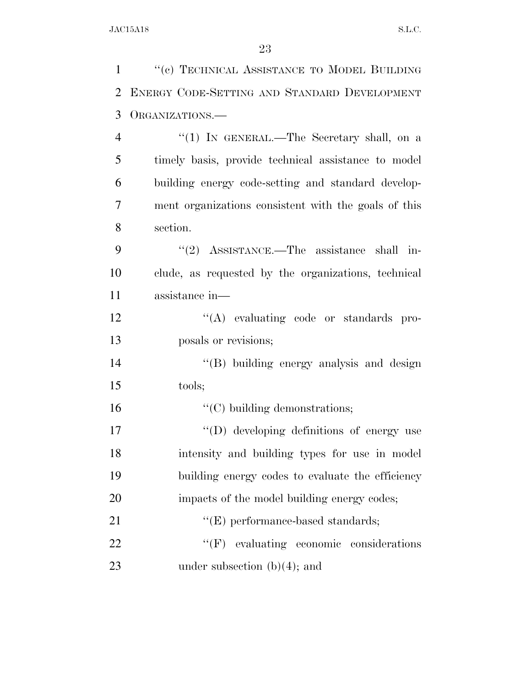1 "(c) TECHNICAL ASSISTANCE TO MODEL BUILDING ENERGY CODE-SETTING AND STANDARD DEVELOPMENT ORGANIZATIONS.— 4 "(1) IN GENERAL.—The Secretary shall, on a timely basis, provide technical assistance to model building energy code-setting and standard develop- ment organizations consistent with the goals of this section. 9 "(2) ASSISTANCE.—The assistance shall in- clude, as requested by the organizations, technical assistance in—  $\langle (A) \rangle$  evaluating code or standards pro- posals or revisions; ''(B) building energy analysis and design 15 tools;  $"({\rm C})$  building demonstrations;  $\text{``(D) developing definitions of energy use}$  intensity and building types for use in model building energy codes to evaluate the efficiency 20 impacts of the model building energy codes; 21 ''(E) performance-based standards;  $C(F)$  evaluating economic considerations 23 under subsection  $(b)(4)$ ; and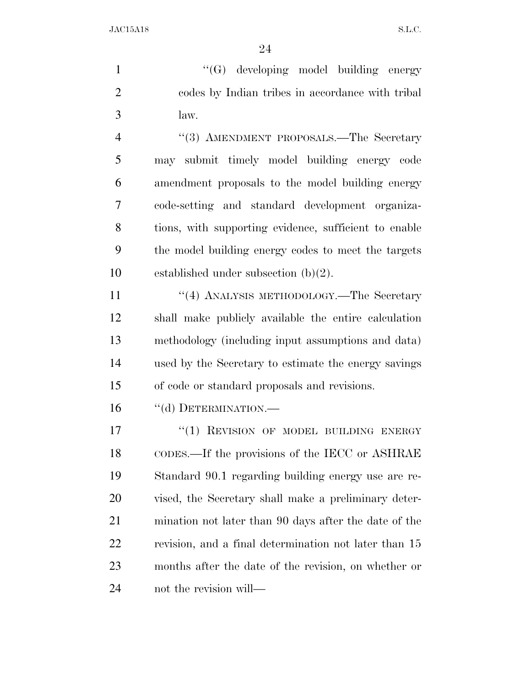1 ''(G) developing model building energy codes by Indian tribes in accordance with tribal law.

4 "(3) AMENDMENT PROPOSALS.—The Secretary may submit timely model building energy code amendment proposals to the model building energy code-setting and standard development organiza- tions, with supporting evidence, sufficient to enable the model building energy codes to meet the targets established under subsection (b)(2).

11 ''(4) ANALYSIS METHODOLOGY.—The Secretary shall make publicly available the entire calculation methodology (including input assumptions and data) used by the Secretary to estimate the energy savings of code or standard proposals and revisions.

16 "(d) DETERMINATION.—

17 <sup>''</sup>(1) REVISION OF MODEL BUILDING ENERGY CODES.—If the provisions of the IECC or ASHRAE Standard 90.1 regarding building energy use are re- vised, the Secretary shall make a preliminary deter- mination not later than 90 days after the date of the revision, and a final determination not later than 15 months after the date of the revision, on whether or not the revision will—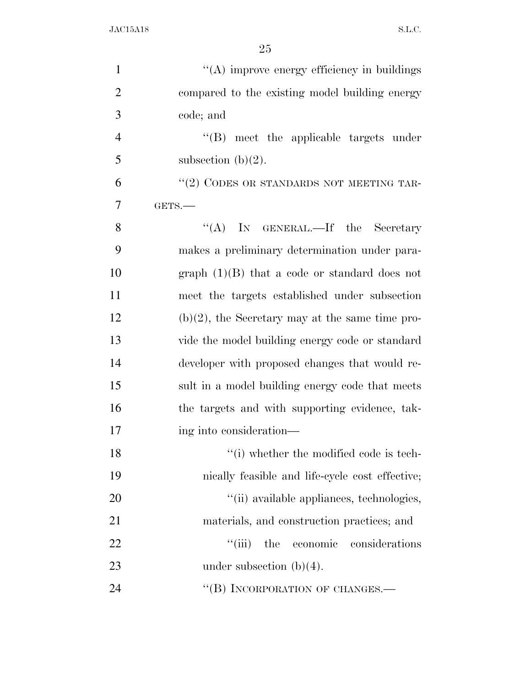| $\mathbf{1}$   | "(A) improve energy efficiency in buildings        |
|----------------|----------------------------------------------------|
| $\overline{2}$ | compared to the existing model building energy     |
| 3              | code; and                                          |
| $\overline{4}$ | $\lq\lq$ meet the applicable targets under         |
| 5              | subsection $(b)(2)$ .                              |
| 6              | "(2) CODES OR STANDARDS NOT MEETING TAR-           |
| 7              | GETS.-                                             |
| 8              | "(A) IN GENERAL.—If the Secretary                  |
| 9              | makes a preliminary determination under para-      |
| 10             | graph $(1)(B)$ that a code or standard does not    |
| 11             | meet the targets established under subsection      |
| 12             | $(b)(2)$ , the Secretary may at the same time pro- |
| 13             | vide the model building energy code or standard    |
| 14             | developer with proposed changes that would re-     |
| 15             | sult in a model building energy code that meets    |
| 16             | the targets and with supporting evidence, tak-     |
| 17             | ing into consideration—                            |
| 18             | "(i) whether the modified code is tech-            |
| 19             | nically feasible and life-cycle cost effective;    |
| 20             | "(ii) available appliances, technologies,          |
| 21             | materials, and construction practices; and         |
| 22             | ``(iii)<br>the<br>economic<br>considerations       |
| 23             | under subsection $(b)(4)$ .                        |
| 24             | "(B) INCORPORATION OF CHANGES.—                    |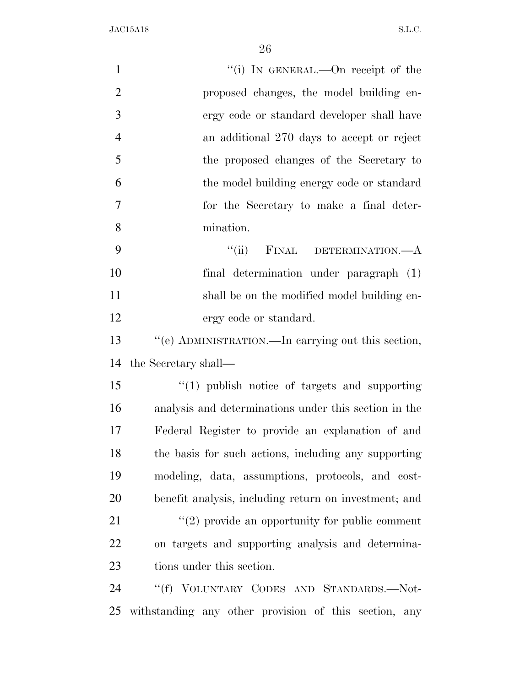| $\mathbf{1}$   | "(i) IN GENERAL.—On receipt of the                    |
|----------------|-------------------------------------------------------|
| $\overline{2}$ | proposed changes, the model building en-              |
| 3              | ergy code or standard developer shall have            |
| $\overline{4}$ | an additional 270 days to accept or reject            |
| 5              | the proposed changes of the Secretary to              |
| 6              | the model building energy code or standard            |
| $\overline{7}$ | for the Secretary to make a final deter-              |
| 8              | mination.                                             |
| 9              | $\lq(\mathbf{ii})$<br>FINAL DETERMINATION.—A          |
| 10             | final determination under paragraph (1)               |
| 11             | shall be on the modified model building en-           |
| 12             | ergy code or standard.                                |
| 13             | "(e) ADMINISTRATION.—In carrying out this section,    |
| 14             | the Secretary shall—                                  |
| 15             | $\lq(1)$ publish notice of targets and supporting     |
| 16             | analysis and determinations under this section in the |
| 17             | Federal Register to provide an explanation of and     |
| 18             | the basis for such actions, including any supporting  |
| 19             | modeling, data, assumptions, protocols, and cost-     |
| 20             | benefit analysis, including return on investment; and |
| 21             | $\lq(2)$ provide an opportunity for public comment    |
| 22             | on targets and supporting analysis and determina-     |
| 23             | tions under this section.                             |
| 24             | "(f) VOLUNTARY CODES AND STANDARDS.-Not-              |
| 25             | withstanding any other provision of this section, any |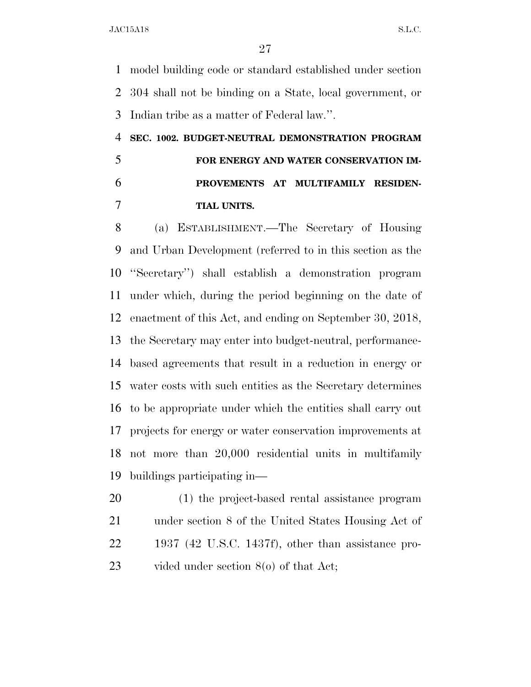model building code or standard established under section 304 shall not be binding on a State, local government, or Indian tribe as a matter of Federal law.''.

# **SEC. 1002. BUDGET-NEUTRAL DEMONSTRATION PROGRAM FOR ENERGY AND WATER CONSERVATION IM- PROVEMENTS AT MULTIFAMILY RESIDEN-TIAL UNITS.**

 (a) ESTABLISHMENT.—The Secretary of Housing and Urban Development (referred to in this section as the ''Secretary'') shall establish a demonstration program under which, during the period beginning on the date of enactment of this Act, and ending on September 30, 2018, the Secretary may enter into budget-neutral, performance- based agreements that result in a reduction in energy or water costs with such entities as the Secretary determines to be appropriate under which the entities shall carry out projects for energy or water conservation improvements at not more than 20,000 residential units in multifamily buildings participating in—

 (1) the project-based rental assistance program under section 8 of the United States Housing Act of 1937 (42 U.S.C. 1437f), other than assistance pro-23 vided under section 8(o) of that Act;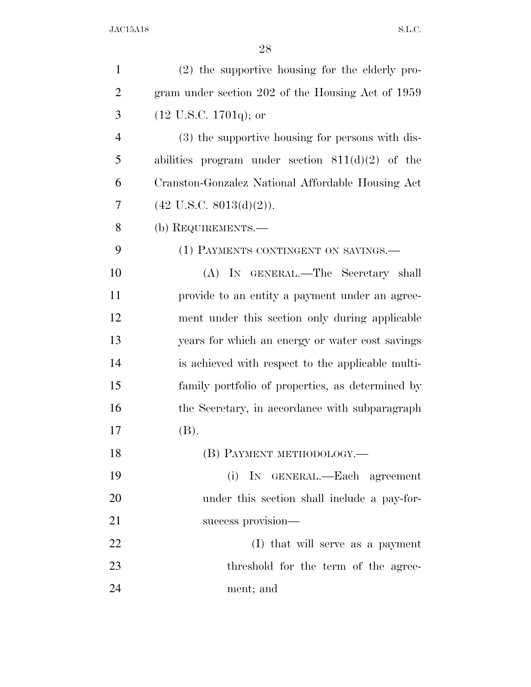| $\mathbf{1}$   | (2) the supportive housing for the elderly pro-    |
|----------------|----------------------------------------------------|
| $\overline{2}$ | gram under section 202 of the Housing Act of 1959  |
| 3              | $(12 \text{ U.S.C. } 1701q)$ ; or                  |
| $\overline{4}$ | (3) the supportive housing for persons with dis-   |
| 5              | abilities program under section $811(d)(2)$ of the |
| 6              | Cranston-Gonzalez National Affordable Housing Act  |
| 7              | $(42 \text{ U.S.C. } 8013(d)(2)).$                 |
| 8              | (b) REQUIREMENTS.-                                 |
| 9              | (1) PAYMENTS CONTINGENT ON SAVINGS.—               |
| 10             | (A) IN GENERAL.—The Secretary shall                |
| 11             | provide to an entity a payment under an agree-     |
| 12             | ment under this section only during applicable     |
| 13             | years for which an energy or water cost savings    |
| 14             | is achieved with respect to the applicable multi-  |
| 15             | family portfolio of properties, as determined by   |
| 16             | the Secretary, in accordance with subparagraph     |
| 17             | (B).                                               |
| 18             | (B) PAYMENT METHODOLOGY.-                          |
| 19             | (i) IN GENERAL.—Each agreement                     |
| 20             | under this section shall include a pay-for-        |
| 21             | success provision—                                 |
| 22             | (I) that will serve as a payment                   |
| 23             | threshold for the term of the agree-               |
| 24             | ment; and                                          |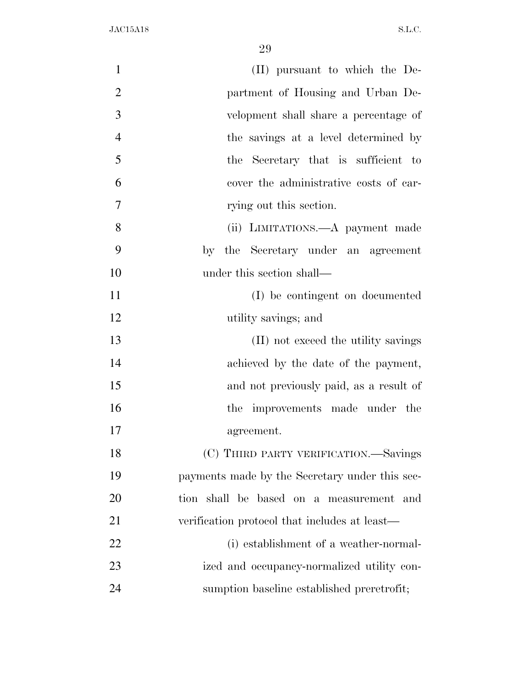| $\mathbf{1}$   | (II) pursuant to which the De-                 |
|----------------|------------------------------------------------|
| $\overline{2}$ | partment of Housing and Urban De-              |
| 3              | velopment shall share a percentage of          |
| $\overline{4}$ | the savings at a level determined by           |
| 5              | the Secretary that is sufficient to            |
| 6              | cover the administrative costs of car-         |
| 7              | rying out this section.                        |
| 8              | (ii) LIMITATIONS.—A payment made               |
| 9              | by the Secretary under an agreement            |
| 10             | under this section shall—                      |
| 11             | (I) be contingent on documented                |
| 12             | utility savings; and                           |
| 13             | (II) not exceed the utility savings            |
| 14             | achieved by the date of the payment,           |
| 15             | and not previously paid, as a result of        |
| 16             | the improvements made under the                |
| 17             | agreement.                                     |
| 18             | (C) THIRD PARTY VERIFICATION.—Savings          |
| 19             | payments made by the Secretary under this sec- |
| 20             | tion shall be based on a measurement and       |
| 21             | verification protocol that includes at least—  |
| 22             | (i) establishment of a weather-normal-         |
| 23             | ized and occupancy-normalized utility con-     |
| 24             | sumption baseline established preretrofit;     |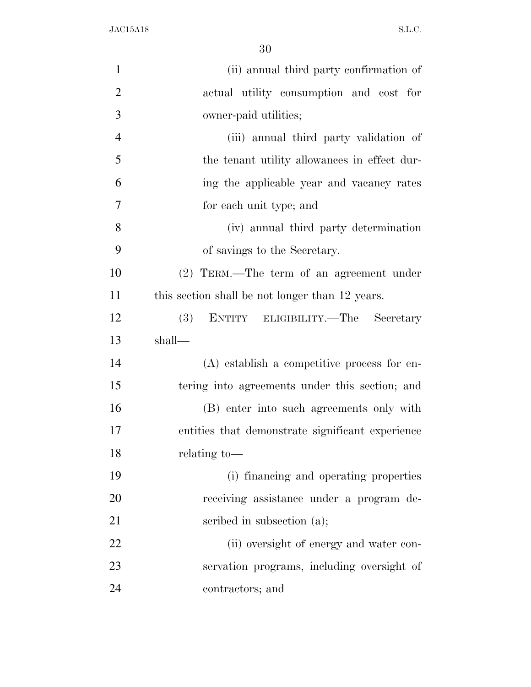| $\mathbf{1}$   | (ii) annual third party confirmation of          |
|----------------|--------------------------------------------------|
| $\overline{2}$ | actual utility consumption and cost for          |
| 3              | owner-paid utilities;                            |
| $\overline{4}$ | (iii) annual third party validation of           |
| 5              | the tenant utility allowances in effect dur-     |
| 6              | ing the applicable year and vacancy rates        |
| 7              | for each unit type; and                          |
| 8              | (iv) annual third party determination            |
| 9              | of savings to the Secretary.                     |
| 10             | $(2)$ TERM.—The term of an agreement under       |
| 11             | this section shall be not longer than 12 years.  |
| 12             | ENTITY ELIGIBILITY.—The<br>(3)<br>Secretary      |
| 13             | shall—                                           |
| 14             | $(A)$ establish a competitive process for en-    |
| 15             | tering into agreements under this section; and   |
| 16             | (B) enter into such agreements only with         |
| 17             | entities that demonstrate significant experience |
|                |                                                  |
| 18             | relating to-                                     |
| 19             | (i) financing and operating properties           |
| 20             | receiving assistance under a program de-         |
| 21             | scribed in subsection (a);                       |
| 22             | (ii) oversight of energy and water con-          |
| 23             | servation programs, including oversight of       |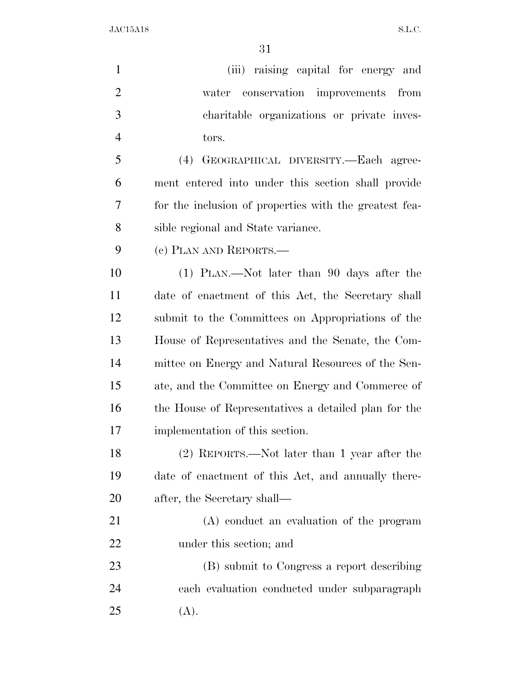| $\mathbf{1}$   | (iii) raising capital for energy and                   |
|----------------|--------------------------------------------------------|
| $\overline{2}$ | water conservation improvements from                   |
| 3              | charitable organizations or private inves-             |
| $\overline{4}$ | tors.                                                  |
| 5              | GEOGRAPHICAL DIVERSITY.-Each agree-<br>(4)             |
| 6              | ment entered into under this section shall provide     |
| 7              | for the inclusion of properties with the greatest fea- |
| 8              | sible regional and State variance.                     |
| 9              | (c) PLAN AND REPORTS.—                                 |
| 10             | (1) PLAN.—Not later than 90 days after the             |
| 11             | date of enactment of this Act, the Secretary shall     |
| 12             | submit to the Committees on Appropriations of the      |
| 13             | House of Representatives and the Senate, the Com-      |
| 14             | mittee on Energy and Natural Resources of the Sen-     |
| 15             | ate, and the Committee on Energy and Commerce of       |
| 16             | the House of Representatives a detailed plan for the   |
| 17             | implementation of this section.                        |
| 18             | (2) REPORTS.—Not later than 1 year after the           |
| 19             | date of enactment of this Act, and annually there-     |
| 20             | after, the Secretary shall—                            |
| 21             | (A) conduct an evaluation of the program               |
| 22             | under this section; and                                |
| 23             | (B) submit to Congress a report describing             |
| 24             | each evaluation conducted under subparagraph           |
| 25             | (A).                                                   |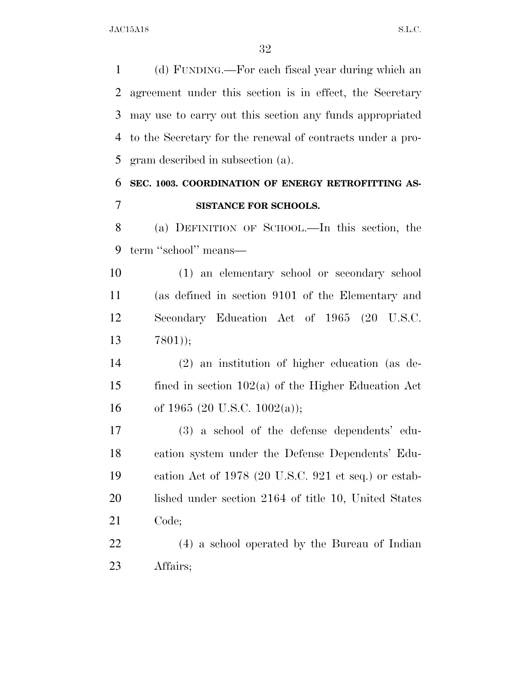(d) FUNDING.—For each fiscal year during which an agreement under this section is in effect, the Secretary may use to carry out this section any funds appropriated to the Secretary for the renewal of contracts under a pro-gram described in subsection (a).

# **SEC. 1003. COORDINATION OF ENERGY RETROFITTING AS-SISTANCE FOR SCHOOLS.**

 (a) DEFINITION OF SCHOOL.—In this section, the term ''school'' means—

 (1) an elementary school or secondary school (as defined in section 9101 of the Elementary and Secondary Education Act of 1965 (20 U.S.C. 7801));

 (2) an institution of higher education (as de- fined in section 102(a) of the Higher Education Act 16 of 1965 (20 U.S.C. 1002(a));

 (3) a school of the defense dependents' edu- cation system under the Defense Dependents' Edu- cation Act of 1978 (20 U.S.C. 921 et seq.) or estab- lished under section 2164 of title 10, United States Code;

 (4) a school operated by the Bureau of Indian Affairs;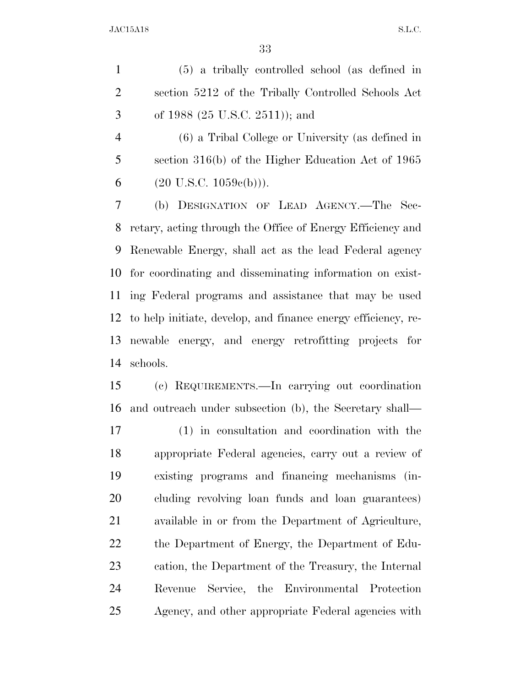(5) a tribally controlled school (as defined in section 5212 of the Tribally Controlled Schools Act of 1988 (25 U.S.C. 2511)); and

 (6) a Tribal College or University (as defined in section 316(b) of the Higher Education Act of 1965 6  $(20 \text{ U.S.C. } 1059e(b))).$ 

 (b) DESIGNATION OF LEAD AGENCY.—The Sec- retary, acting through the Office of Energy Efficiency and Renewable Energy, shall act as the lead Federal agency for coordinating and disseminating information on exist- ing Federal programs and assistance that may be used to help initiate, develop, and finance energy efficiency, re- newable energy, and energy retrofitting projects for schools.

 (c) REQUIREMENTS.—In carrying out coordination and outreach under subsection (b), the Secretary shall—

 (1) in consultation and coordination with the appropriate Federal agencies, carry out a review of existing programs and financing mechanisms (in- cluding revolving loan funds and loan guarantees) available in or from the Department of Agriculture, the Department of Energy, the Department of Edu- cation, the Department of the Treasury, the Internal Revenue Service, the Environmental Protection Agency, and other appropriate Federal agencies with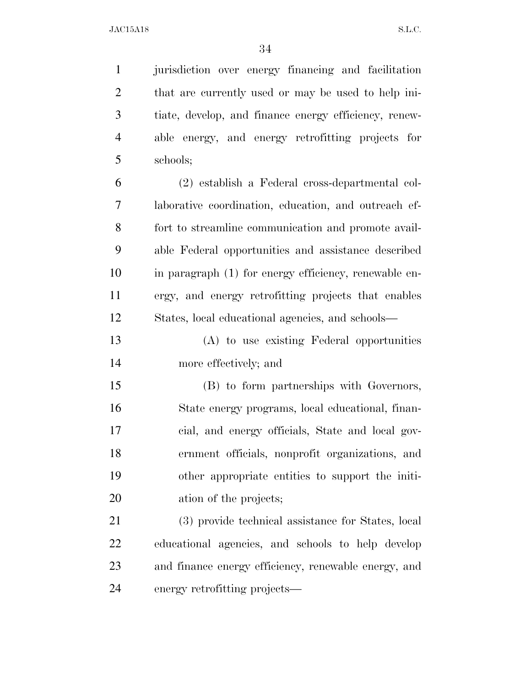jurisdiction over energy financing and facilitation that are currently used or may be used to help ini- tiate, develop, and finance energy efficiency, renew- able energy, and energy retrofitting projects for schools;

 (2) establish a Federal cross-departmental col- laborative coordination, education, and outreach ef- fort to streamline communication and promote avail- able Federal opportunities and assistance described in paragraph (1) for energy efficiency, renewable en- ergy, and energy retrofitting projects that enables States, local educational agencies, and schools—

 (A) to use existing Federal opportunities more effectively; and

 (B) to form partnerships with Governors, State energy programs, local educational, finan- cial, and energy officials, State and local gov- ernment officials, nonprofit organizations, and other appropriate entities to support the initi-20 ation of the projects;

 (3) provide technical assistance for States, local educational agencies, and schools to help develop and finance energy efficiency, renewable energy, and energy retrofitting projects—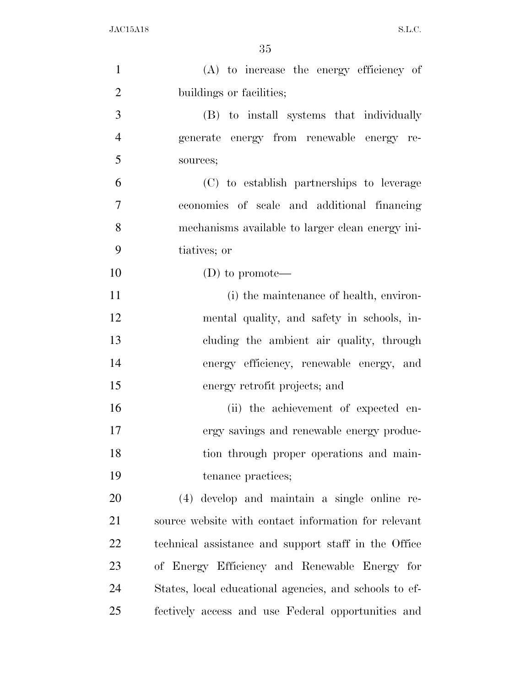| $\mathbf{1}$   | (A) to increase the energy efficiency of               |
|----------------|--------------------------------------------------------|
| $\overline{2}$ | buildings or facilities;                               |
| 3              | (B) to install systems that individually               |
| $\overline{4}$ | generate energy from renewable energy re-              |
| 5              | sources;                                               |
| 6              | (C) to establish partnerships to leverage              |
| $\overline{7}$ | economies of scale and additional financing            |
| 8              | mechanisms available to larger clean energy ini-       |
| 9              | tiatives; or                                           |
| 10             | $(D)$ to promote—                                      |
| 11             | (i) the maintenance of health, environ-                |
| 12             | mental quality, and safety in schools, in-             |
| 13             | cluding the ambient air quality, through               |
| 14             | energy efficiency, renewable energy, and               |
| 15             | energy retrofit projects; and                          |
| 16             | (ii) the achievement of expected en-                   |
| 17             | ergy savings and renewable energy produc-              |
| 18             | tion through proper operations and main-               |
| 19             | tenance practices;                                     |
| 20             | $(4)$ develop and maintain a single online re-         |
| 21             | source website with contact information for relevant   |
| 22             | technical assistance and support staff in the Office   |
| 23             | of Energy Efficiency and Renewable Energy for          |
| 24             | States, local educational agencies, and schools to ef- |
| 25             | fectively access and use Federal opportunities and     |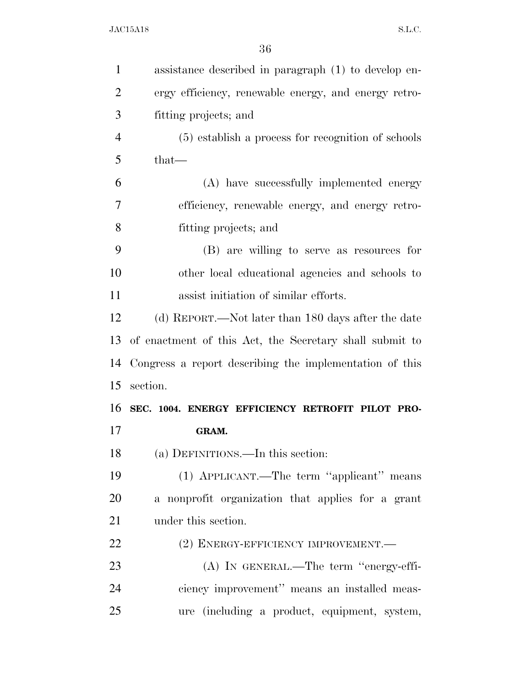| assistance described in paragraph (1) to develop en-    |
|---------------------------------------------------------|
| ergy efficiency, renewable energy, and energy retro-    |
| fitting projects; and                                   |
| (5) establish a process for recognition of schools      |
| $that-$                                                 |
| (A) have successfully implemented energy                |
| efficiency, renewable energy, and energy retro-         |
| fitting projects; and                                   |
| (B) are willing to serve as resources for               |
| other local educational agencies and schools to         |
| assist initiation of similar efforts.                   |
| (d) REPORT.—Not later than 180 days after the date      |
| of enactment of this Act, the Secretary shall submit to |
| Congress a report describing the implementation of this |
| section.                                                |
| SEC. 1004. ENERGY EFFICIENCY RETROFIT PILOT PRO-        |
| GRAM.                                                   |
| (a) DEFINITIONS.—In this section:                       |
| (1) APPLICANT.—The term "applicant" means               |
| a nonprofit organization that applies for a grant       |
| under this section.                                     |
| (2) ENERGY-EFFICIENCY IMPROVEMENT.                      |
| (A) IN GENERAL.—The term "energy-effi-                  |
|                                                         |
| ciency improvement" means an installed meas-            |
|                                                         |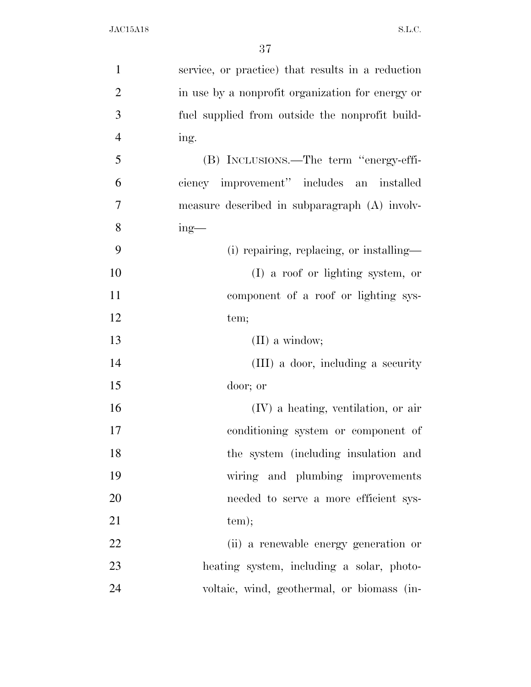| $\mathbf{1}$   | service, or practice) that results in a reduction |
|----------------|---------------------------------------------------|
| $\overline{2}$ | in use by a nonprofit organization for energy or  |
| 3              | fuel supplied from outside the nonprofit build-   |
| $\overline{4}$ | ing.                                              |
| 5              | (B) INCLUSIONS.—The term "energy-effi-            |
| 6              | ciency improvement" includes an installed         |
| 7              | measure described in subparagraph (A) involv-     |
| 8              | $ing$ —                                           |
| 9              | (i) repairing, replacing, or installing—          |
| 10             | (I) a roof or lighting system, or                 |
| 11             | component of a roof or lighting sys-              |
| 12             | tem;                                              |
| 13             | (II) a window;                                    |
| 14             | (III) a door, including a security                |
| 15             | door; or                                          |
| 16             | (IV) a heating, ventilation, or air               |
| 17             | conditioning system or component of               |
| 18             | the system (including insulation and              |
| 19             | wiring and plumbing improvements                  |
| 20             | needed to serve a more efficient sys-             |
| 21             | tem);                                             |
| 22             | (ii) a renewable energy generation or             |
| 23             | heating system, including a solar, photo-         |
| 24             | voltaic, wind, geothermal, or biomass (in-        |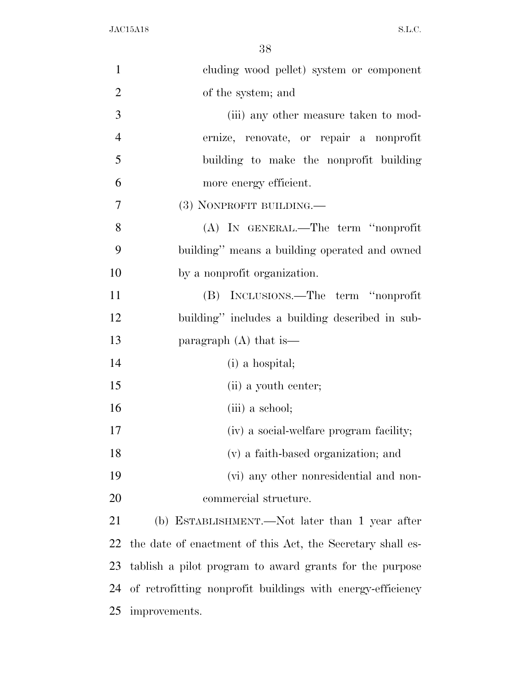| $\mathbf{1}$   | cluding wood pellet) system or component                   |
|----------------|------------------------------------------------------------|
| $\overline{2}$ | of the system; and                                         |
| 3              | (iii) any other measure taken to mod-                      |
| $\overline{4}$ | ernize, renovate, or repair a nonprofit                    |
| 5              | building to make the nonprofit building                    |
| 6              | more energy efficient.                                     |
| 7              | (3) NONPROFIT BUILDING.—                                   |
| 8              | (A) IN GENERAL.—The term "nonprofit                        |
| 9              | building" means a building operated and owned              |
| 10             | by a nonprofit organization.                               |
| 11             | (B) INCLUSIONS.—The term "nonprofit                        |
| 12             | building" includes a building described in sub-            |
| 13             | paragraph $(A)$ that is —                                  |
| 14             | (i) a hospital;                                            |
| 15             | (ii) a youth center;                                       |
| 16             | (iii) a school;                                            |
| 17             | (iv) a social-welfare program facility;                    |
| 18             | (v) a faith-based organization; and                        |
| 19             | (vi) any other nonresidential and non-                     |
| 20             | commercial structure.                                      |
| 21             | (b) ESTABLISHMENT.—Not later than 1 year after             |
| 22             | the date of enactment of this Act, the Secretary shall es- |
| 23             | tablish a pilot program to award grants for the purpose    |
| 24             | of retrofitting nonprofit buildings with energy-efficiency |
| 25             | improvements.                                              |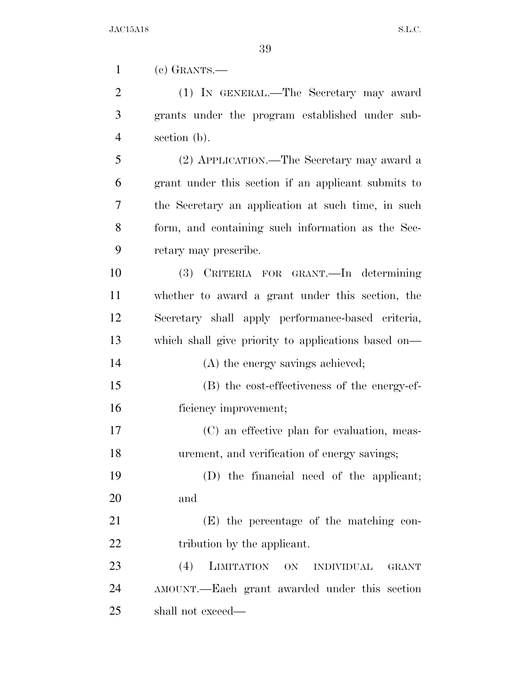(c) GRANTS.—

 (1) IN GENERAL.—The Secretary may award grants under the program established under sub-section (b).

 (2) APPLICATION.—The Secretary may award a grant under this section if an applicant submits to the Secretary an application at such time, in such form, and containing such information as the Sec-retary may prescribe.

 (3) CRITERIA FOR GRANT.—In determining whether to award a grant under this section, the Secretary shall apply performance-based criteria, which shall give priority to applications based on— 14 (A) the energy savings achieved; (B) the cost-effectiveness of the energy-ef- ficiency improvement; (C) an effective plan for evaluation, meas-

urement, and verification of energy savings;

 (D) the financial need of the applicant; and

 (E) the percentage of the matching con-22 tribution by the applicant.

 (4) LIMITATION ON INDIVIDUAL GRANT AMOUNT.—Each grant awarded under this section shall not exceed—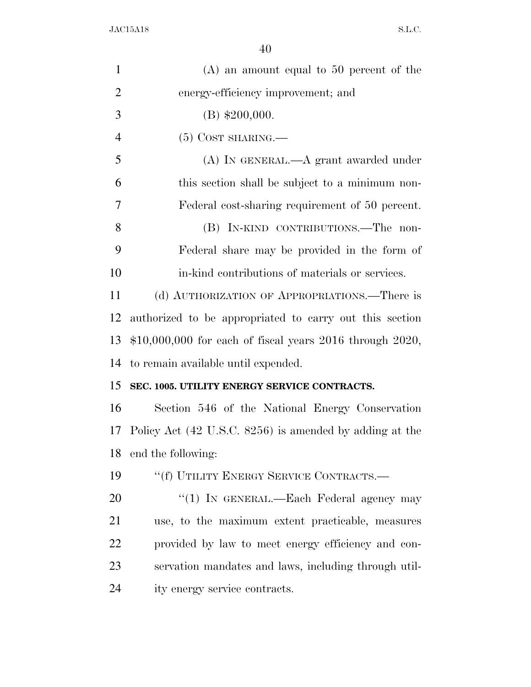| $\mathbf{1}$   | $(A)$ an amount equal to 50 percent of the                |
|----------------|-----------------------------------------------------------|
| $\overline{2}$ | energy-efficiency improvement; and                        |
| 3              | $(B)$ \$200,000.                                          |
| $\overline{4}$ | $(5)$ COST SHARING.—                                      |
| 5              | $(A)$ In GENERAL.— $A$ grant awarded under                |
| 6              | this section shall be subject to a minimum non-           |
| 7              | Federal cost-sharing requirement of 50 percent.           |
| 8              | (B) IN-KIND CONTRIBUTIONS.—The non-                       |
| 9              | Federal share may be provided in the form of              |
| 10             | in-kind contributions of materials or services.           |
| 11             | (d) AUTHORIZATION OF APPROPRIATIONS.—There is             |
| 12             | authorized to be appropriated to carry out this section   |
| 13             | $$10,000,000$ for each of fiscal years 2016 through 2020, |
| 14             | to remain available until expended.                       |
| 15             | SEC. 1005. UTILITY ENERGY SERVICE CONTRACTS.              |
| 16             | Section 546 of the National Energy Conservation           |
| 17             | Policy Act (42 U.S.C. 8256) is amended by adding at the   |
| 18             | end the following:                                        |
| 19             | "(f) UTILITY ENERGY SERVICE CONTRACTS.-                   |
| 20             | "(1) IN GENERAL.—Each Federal agency may                  |
| 21             | use, to the maximum extent practicable, measures          |
| 22             | provided by law to meet energy efficiency and con-        |
| 23             | servation mandates and laws, including through util-      |
| 24             | ity energy service contracts.                             |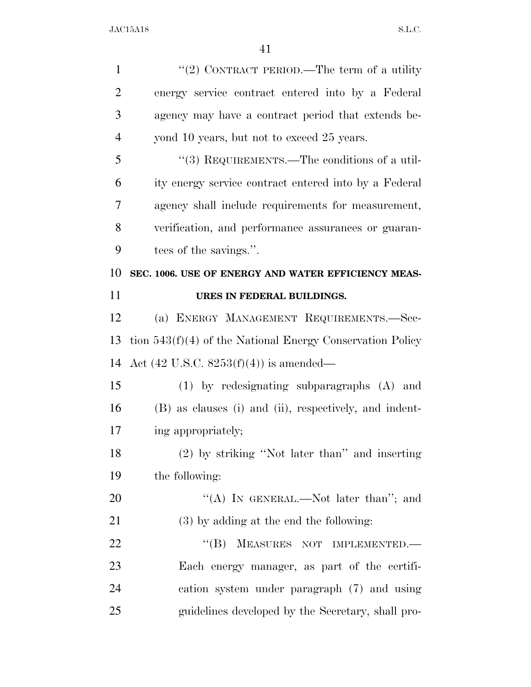| $\mathbf{1}$   | "(2) CONTRACT PERIOD.—The term of a utility                 |
|----------------|-------------------------------------------------------------|
| $\overline{2}$ | energy service contract entered into by a Federal           |
| 3              | agency may have a contract period that extends be-          |
| $\overline{4}$ | yond 10 years, but not to exceed 25 years.                  |
| 5              | "(3) REQUIREMENTS.—The conditions of a util-                |
| 6              | ity energy service contract entered into by a Federal       |
| 7              | agency shall include requirements for measurement,          |
| 8              | verification, and performance assurances or guaran-         |
| 9              | tees of the savings.".                                      |
| 10             | SEC. 1006. USE OF ENERGY AND WATER EFFICIENCY MEAS-         |
| 11             | URES IN FEDERAL BUILDINGS.                                  |
| 12             | (a) ENERGY MANAGEMENT REQUIREMENTS.-Sec-                    |
| 13             | tion $543(f)(4)$ of the National Energy Conservation Policy |
| 14             | Act $(42 \text{ U.S.C. } 8253(f)(4))$ is amended—           |
| 15             | (1) by redesignating subparagraphs (A) and                  |
| 16             | (B) as clauses (i) and (ii), respectively, and indent-      |
| 17             | ing appropriately;                                          |
| 18             | $(2)$ by striking "Not later than" and inserting            |
| 19             | the following:                                              |
| 20             | "(A) IN GENERAL.—Not later than"; and                       |
| 21             | $(3)$ by adding at the end the following:                   |
| 22             | MEASURES NOT IMPLEMENTED.<br>$\lq\lq (B)$                   |
| 23             | Each energy manager, as part of the certifi-                |
| 24             | cation system under paragraph (7) and using                 |
| 25             | guidelines developed by the Secretary, shall pro-           |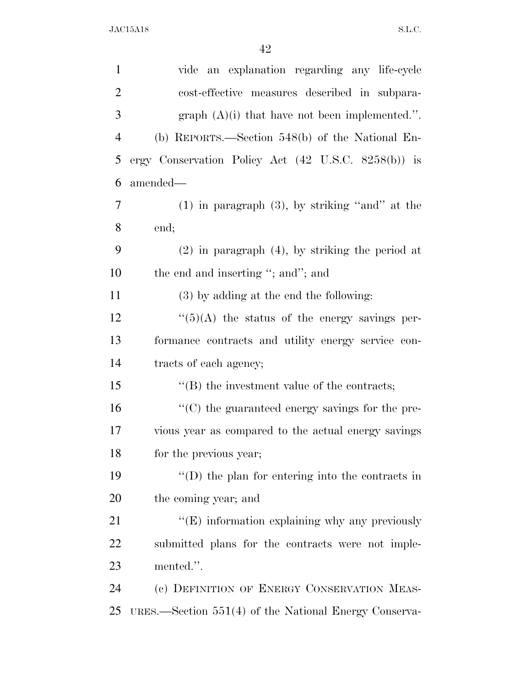| $\mathbf{1}$   | vide an explanation regarding any life-cycle                |
|----------------|-------------------------------------------------------------|
| $\overline{2}$ | cost-effective measures described in subpara-               |
| 3              | graph $(A)(i)$ that have not been implemented.".            |
| $\overline{4}$ | (b) REPORTS.—Section 548(b) of the National En-             |
| 5              | ergy Conservation Policy Act (42 U.S.C. 8258(b)) is         |
| 6              | amended—                                                    |
| 7              | $(1)$ in paragraph $(3)$ , by striking "and" at the         |
| 8              | end;                                                        |
| 9              | $(2)$ in paragraph $(4)$ , by striking the period at        |
| 10             | the end and inserting "; and"; and                          |
| 11             | (3) by adding at the end the following:                     |
| 12             | $\lq(5)(A)$ the status of the energy savings per-           |
| 13             | formance contracts and utility energy service con-          |
| 14             | tracts of each agency;                                      |
| 15             | $\lq\lq$ the investment value of the contracts;             |
| 16             | $\cdot\cdot$ (C) the guaranteed energy savings for the pre- |
| 17             | vious year as compared to the actual energy savings         |
| 18             | for the previous year;                                      |
| 19             | $\lq\lq$ (D) the plan for entering into the contracts in    |
| 20             | the coming year; and                                        |
| 21             | $\lq\lq$ (E) information explaining why any previously      |
| 22             | submitted plans for the contracts were not imple-           |
| 23             | mented.".                                                   |
| 24             | (c) DEFINITION OF ENERGY CONSERVATION MEAS-                 |
| 25             | URES.—Section $551(4)$ of the National Energy Conserva-     |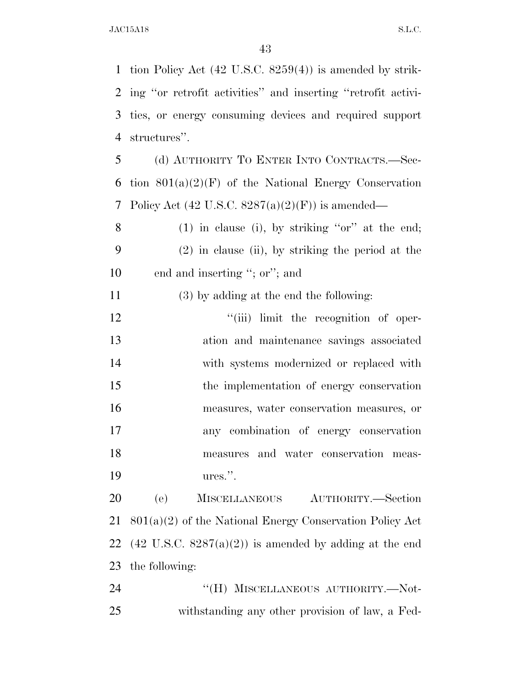tion Policy Act (42 U.S.C. 8259(4)) is amended by strik- ing ''or retrofit activities'' and inserting ''retrofit activi- ties, or energy consuming devices and required support structures''. (d) AUTHORITY TO ENTER INTO CONTRACTS.—Sec-6 tion  $801(a)(2)(F)$  of the National Energy Conservation 7 Policy Act  $(42 \text{ U.S.C. } 8287(a)(2)(F))$  is amended— (1) in clause (i), by striking ''or'' at the end; (2) in clause (ii), by striking the period at the end and inserting ''; or''; and (3) by adding at the end the following:  $\frac{1}{\text{(iii)}}$  limit the recognition of oper- ation and maintenance savings associated with systems modernized or replaced with the implementation of energy conservation measures, water conservation measures, or any combination of energy conservation measures and water conservation meas- ures.''. (e) MISCELLANEOUS AUTHORITY.—Section 801(a)(2) of the National Energy Conservation Policy Act 22 (42 U.S.C.  $8287(a)(2)$ ) is amended by adding at the end the following: 24 "(H) MISCELLANEOUS AUTHORITY.—Not-

withstanding any other provision of law, a Fed-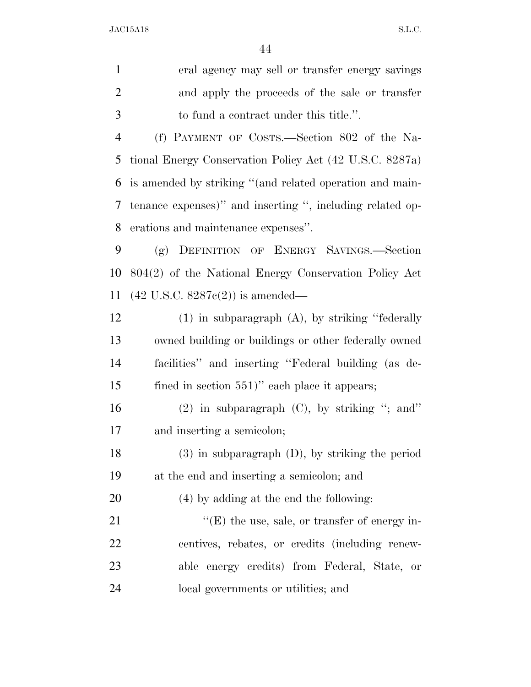| $\mathbf{1}$   | eral agency may sell or transfer energy savings           |
|----------------|-----------------------------------------------------------|
| $\overline{2}$ | and apply the proceeds of the sale or transfer            |
| 3              | to fund a contract under this title.".                    |
| $\overline{4}$ | (f) PAYMENT OF COSTS.—Section 802 of the Na-              |
| 5              | tional Energy Conservation Policy Act (42 U.S.C. 8287a)   |
| 6              | is amended by striking "(and related operation and main-  |
| 7              | tenance expenses)" and inserting ", including related op- |
| 8              | erations and maintenance expenses".                       |
| 9              | (g) DEFINITION OF ENERGY SAVINGS.—Section                 |
| 10             | 804(2) of the National Energy Conservation Policy Act     |
| 11             | $(42 \text{ U.S.C. } 8287c(2))$ is amended—               |
| 12             | $(1)$ in subparagraph $(A)$ , by striking "federally      |
| 13             | owned building or buildings or other federally owned      |
| 14             | facilities" and inserting "Federal building (as de-       |
| 15             | fined in section $551$ )" each place it appears;          |
| 16             | $(2)$ in subparagraph $(C)$ , by striking "; and"         |
| 17             | and inserting a semicolon;                                |
| 18             | $(3)$ in subparagraph $(D)$ , by striking the period      |
| 19             | at the end and inserting a semicolon; and                 |
| <b>20</b>      | (4) by adding at the end the following:                   |
| 21             | $\lq\lq$ (E) the use, sale, or transfer of energy in-     |
| 22             | centives, rebates, or credits (including renew-           |
| 23             | able energy credits) from Federal, State, or              |
| 24             | local governments or utilities; and                       |
|                |                                                           |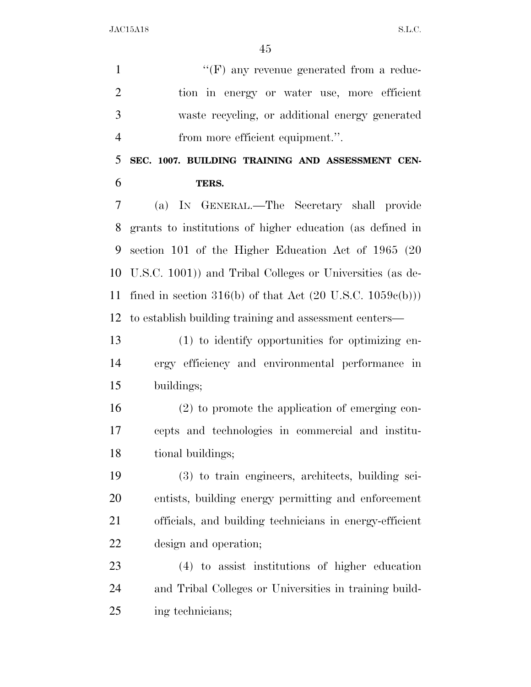$\langle \text{``(F)} \rangle$  any revenue generated from a reduc- tion in energy or water use, more efficient waste recycling, or additional energy generated from more efficient equipment.''.

 **SEC. 1007. BUILDING TRAINING AND ASSESSMENT CEN-TERS.** 

 (a) IN GENERAL.—The Secretary shall provide grants to institutions of higher education (as defined in section 101 of the Higher Education Act of 1965 (20 U.S.C. 1001)) and Tribal Colleges or Universities (as de-11 fined in section 316(b) of that Act  $(20 \text{ U.S.C. } 1059c(b)))$ to establish building training and assessment centers—

 (1) to identify opportunities for optimizing en- ergy efficiency and environmental performance in buildings;

 (2) to promote the application of emerging con- cepts and technologies in commercial and institu-tional buildings;

 (3) to train engineers, architects, building sci- entists, building energy permitting and enforcement officials, and building technicians in energy-efficient design and operation;

 (4) to assist institutions of higher education and Tribal Colleges or Universities in training build-ing technicians;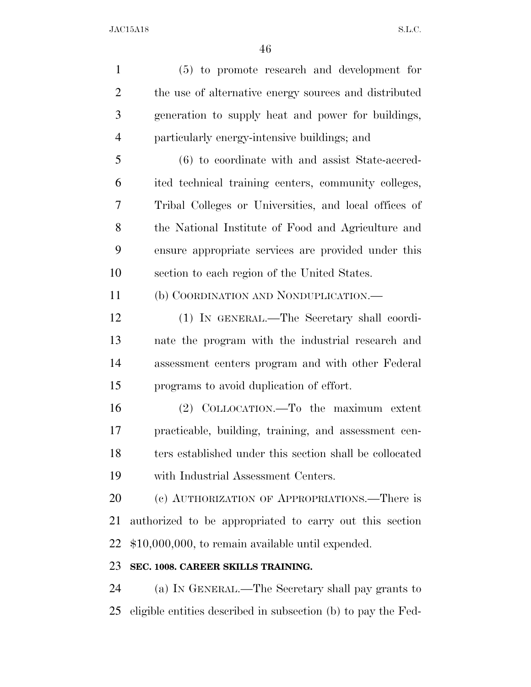(5) to promote research and development for 2 the use of alternative energy sources and distributed generation to supply heat and power for buildings, particularly energy-intensive buildings; and (6) to coordinate with and assist State-accred- ited technical training centers, community colleges, Tribal Colleges or Universities, and local offices of the National Institute of Food and Agriculture and ensure appropriate services are provided under this section to each region of the United States. (b) COORDINATION AND NONDUPLICATION.— (1) IN GENERAL.—The Secretary shall coordi- nate the program with the industrial research and assessment centers program and with other Federal programs to avoid duplication of effort. (2) COLLOCATION.—To the maximum extent practicable, building, training, and assessment cen- ters established under this section shall be collocated with Industrial Assessment Centers. 20 (c) AUTHORIZATION OF APPROPRIATIONS.—There is authorized to be appropriated to carry out this section \$10,000,000, to remain available until expended. **SEC. 1008. CAREER SKILLS TRAINING.**  (a) IN GENERAL.—The Secretary shall pay grants to

eligible entities described in subsection (b) to pay the Fed-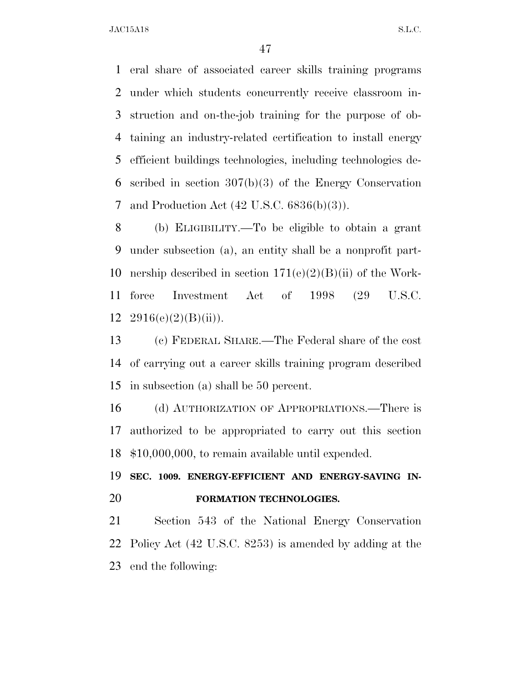eral share of associated career skills training programs under which students concurrently receive classroom in- struction and on-the-job training for the purpose of ob- taining an industry-related certification to install energy efficient buildings technologies, including technologies de- scribed in section 307(b)(3) of the Energy Conservation and Production Act (42 U.S.C. 6836(b)(3)).

 (b) ELIGIBILITY.—To be eligible to obtain a grant under subsection (a), an entity shall be a nonprofit part-10 nership described in section  $171(e)(2)(B)(ii)$  of the Work- force Investment Act of 1998 (29 U.S.C.  $2916(e)(2)(B)(ii)$ .

 (c) FEDERAL SHARE.—The Federal share of the cost of carrying out a career skills training program described in subsection (a) shall be 50 percent.

 (d) AUTHORIZATION OF APPROPRIATIONS.—There is authorized to be appropriated to carry out this section \$10,000,000, to remain available until expended.

## **SEC. 1009. ENERGY-EFFICIENT AND ENERGY-SAVING IN-FORMATION TECHNOLOGIES.**

 Section 543 of the National Energy Conservation Policy Act (42 U.S.C. 8253) is amended by adding at the end the following: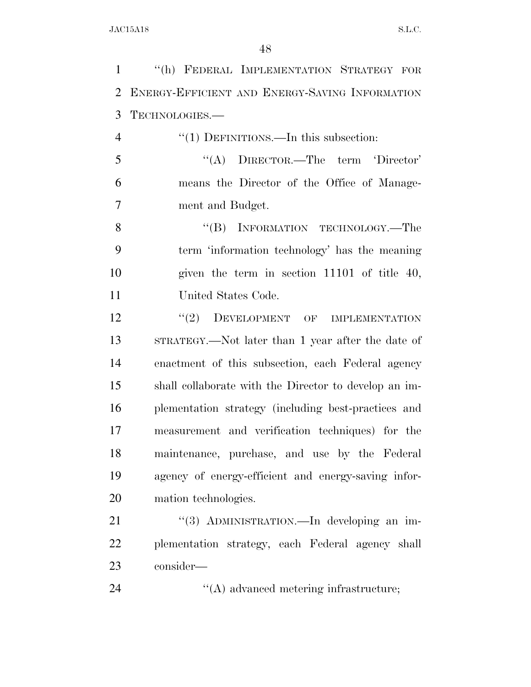| $\mathbf{1}$   | "(h) FEDERAL IMPLEMENTATION STRATEGY FOR              |
|----------------|-------------------------------------------------------|
| $\overline{2}$ | ENERGY-EFFICIENT AND ENERGY-SAVING INFORMATION        |
| 3              | TECHNOLOGIES.-                                        |
| $\overline{4}$ | " $(1)$ DEFINITIONS.—In this subsection:              |
| 5              | "(A) DIRECTOR.—The term 'Director'                    |
| 6              | means the Director of the Office of Manage-           |
| $\overline{7}$ | ment and Budget.                                      |
| 8              | "(B) INFORMATION TECHNOLOGY.—The                      |
| 9              | term 'information technology' has the meaning         |
| 10             | given the term in section 11101 of title 40,          |
| 11             | United States Code.                                   |
| 12             | DEVELOPMENT OF IMPLEMENTATION<br>(2)                  |
| 13             | STRATEGY.—Not later than 1 year after the date of     |
| 14             | enactment of this subsection, each Federal agency     |
| 15             | shall collaborate with the Director to develop an im- |
| 16             | plementation strategy (including best-practices and   |
| 17             | measurement and verification techniques) for the      |
| 18             | maintenance, purchase, and use by the Federal         |
| 19             | agency of energy-efficient and energy-saving infor-   |
| 20             | mation technologies.                                  |
| 21             | "(3) ADMINISTRATION.—In developing an im-             |
| 22             | plementation strategy, each Federal agency shall      |
| 23             | consider-                                             |
| 24             | $\lq\lq$ advanced metering infrastructure;            |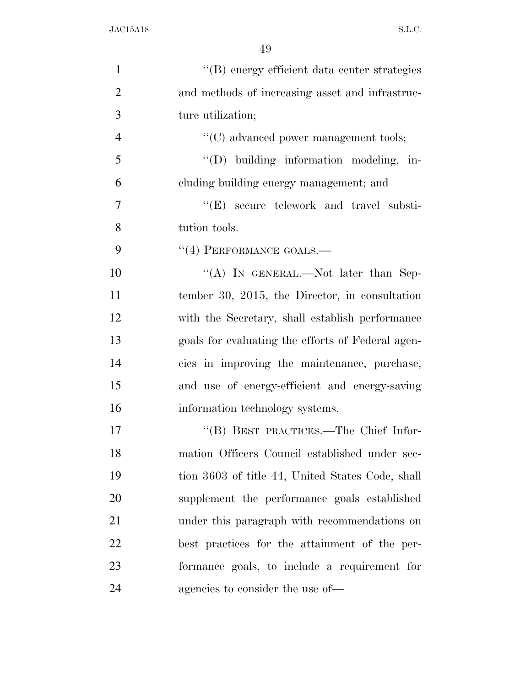| "(B) energy efficient data center strategies      |
|---------------------------------------------------|
| and methods of increasing asset and infrastruc-   |
| ture utilization;                                 |
| $\lq\lq$ advanced power management tools;         |
| "(D) building information modeling, in-           |
| cluding building energy management; and           |
| "(E) secure telework and travel substi-           |
| tution tools.                                     |
| $``(4)$ PERFORMANCE GOALS.—                       |
| "(A) IN GENERAL.—Not later than Sep-              |
| tember 30, 2015, the Director, in consultation    |
| with the Secretary, shall establish performance   |
| goals for evaluating the efforts of Federal agen- |
| cies in improving the maintenance, purchase,      |
| and use of energy-efficient and energy-saving     |
| information technology systems.                   |
| "(B) BEST PRACTICES.—The Chief Infor-             |
| mation Officers Council established under sec-    |
| tion 3603 of title 44, United States Code, shall  |
| supplement the performance goals established      |
| under this paragraph with recommendations on      |
| best practices for the attainment of the per-     |
| formance goals, to include a requirement for      |
| agencies to consider the use of—                  |
|                                                   |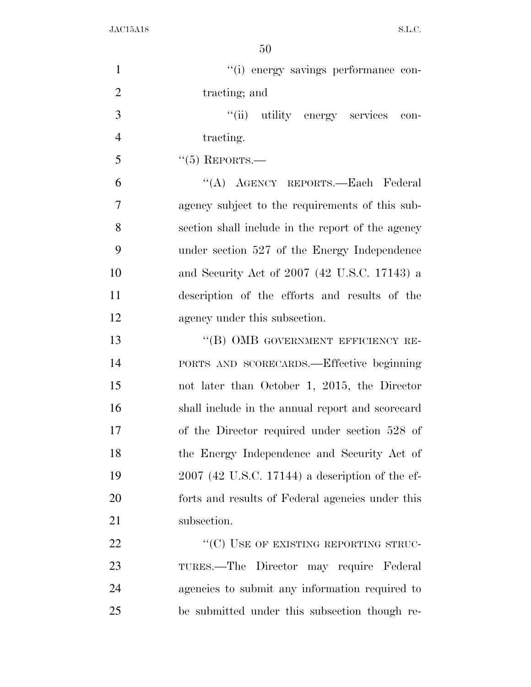| $\mathbf{1}$   | "(i) energy savings performance con-              |
|----------------|---------------------------------------------------|
| $\overline{2}$ | tracting; and                                     |
| 3              | "(ii) utility energy services<br>con-             |
| $\overline{4}$ | tracting.                                         |
| 5              | $``(5)$ REPORTS.—                                 |
| 6              | "(A) AGENCY REPORTS.—Each Federal                 |
| $\tau$         | agency subject to the requirements of this sub-   |
| 8              | section shall include in the report of the agency |
| 9              | under section 527 of the Energy Independence      |
| 10             | and Security Act of 2007 (42 U.S.C. 17143) a      |
| 11             | description of the efforts and results of the     |
| 12             | agency under this subsection.                     |
| 13             | "(B) OMB GOVERNMENT EFFICIENCY RE-                |
| 14             | PORTS AND SCORECARDS.—Effective beginning         |
| 15             | not later than October 1, 2015, the Director      |
| 16             | shall include in the annual report and scorecard  |
| 17             | of the Director required under section 528 of     |
| 18             | the Energy Independence and Security Act of       |
| 19             | $2007$ (42 U.S.C. 17144) a description of the ef- |
| 20             | forts and results of Federal agencies under this  |
| 21             | subsection.                                       |
| 22             | "(C) USE OF EXISTING REPORTING STRUC-             |
| 23             | TURES.—The Director may require Federal           |
| 24             | agencies to submit any information required to    |
| 25             | be submitted under this subsection though re-     |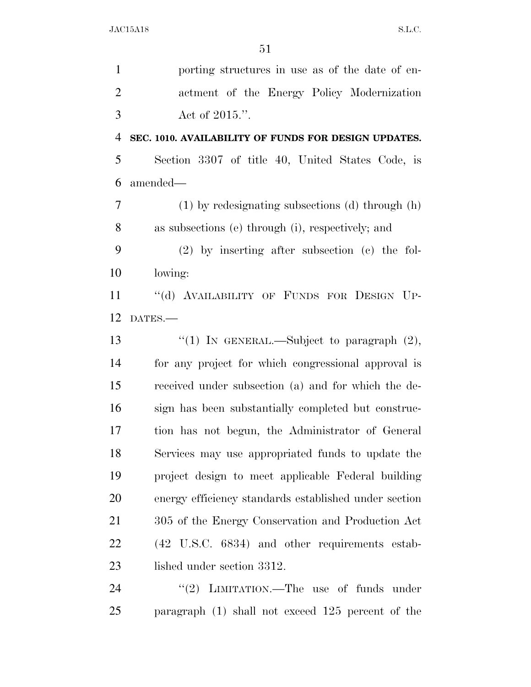| $\mathbf{1}$   | porting structures in use as of the date of en-           |
|----------------|-----------------------------------------------------------|
| $\overline{2}$ | actment of the Energy Policy Modernization                |
| 3              | Act of $2015$ .".                                         |
| $\overline{4}$ | SEC. 1010. AVAILABILITY OF FUNDS FOR DESIGN UPDATES.      |
| 5              | Section 3307 of title 40, United States Code, is          |
| 6              | amended—                                                  |
| $\overline{7}$ | $(1)$ by redesignating subsections (d) through (h)        |
| 8              | as subsections (e) through (i), respectively; and         |
| 9              | $(2)$ by inserting after subsection $(e)$ the fol-        |
| 10             | lowing:                                                   |
| 11             | "(d) AVAILABILITY OF FUNDS FOR DESIGN UP-                 |
| 12             | DATES.-                                                   |
| 13             | "(1) IN GENERAL.—Subject to paragraph $(2)$ ,             |
| 14             | for any project for which congressional approval is       |
| 15             | received under subsection (a) and for which the de-       |
| 16             | sign has been substantially completed but construc-       |
| 17             | tion has not begun, the Administrator of General          |
| 18             | Services may use appropriated funds to update the         |
| 19             | project design to meet applicable Federal building        |
| 20             | energy efficiency standards established under section     |
| 21             | 305 of the Energy Conservation and Production Act         |
| 22             | $(42 \text{ U.S.C. } 6834)$ and other requirements estab- |
| 23             | lished under section 3312.                                |
| 24             | "(2) LIMITATION.—The use of funds under                   |
| 25             | paragraph (1) shall not exceed 125 percent of the         |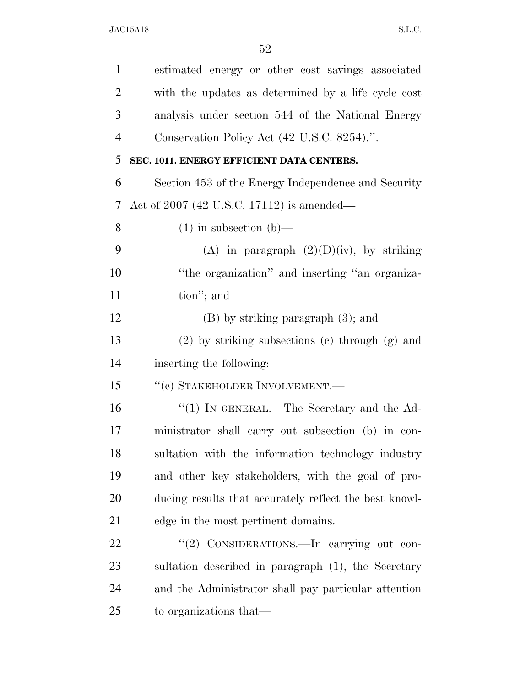| $\mathbf{1}$   | estimated energy or other cost savings associated      |
|----------------|--------------------------------------------------------|
| $\overline{2}$ | with the updates as determined by a life cycle cost    |
| 3              | analysis under section 544 of the National Energy      |
| $\overline{4}$ | Conservation Policy Act (42 U.S.C. 8254).".            |
| 5              | SEC. 1011. ENERGY EFFICIENT DATA CENTERS.              |
| 6              | Section 453 of the Energy Independence and Security    |
| 7              | Act of 2007 (42 U.S.C. 17112) is amended—              |
| 8              | $(1)$ in subsection $(b)$ —                            |
| 9              | (A) in paragraph $(2)(D)(iv)$ , by striking            |
| 10             | "the organization" and inserting "an organiza-         |
| 11             | tion"; and                                             |
| 12             | $(B)$ by striking paragraph $(3)$ ; and                |
| 13             | $(2)$ by striking subsections $(e)$ through $(g)$ and  |
| 14             | inserting the following:                               |
| 15             | "(c) STAKEHOLDER INVOLVEMENT.-                         |
| 16             | "(1) IN GENERAL.—The Secretary and the Ad-             |
| 17             | ministrator shall carry out subsection (b) in con-     |
| 18             | sultation with the information technology industry     |
| 19             | and other key stakeholders, with the goal of pro-      |
| 20             | ducing results that accurately reflect the best knowl- |
| 21             | edge in the most pertinent domains.                    |
| <u>22</u>      | "(2) CONSIDERATIONS.—In carrying out con-              |
| 23             | sultation described in paragraph (1), the Secretary    |
| 24             | and the Administrator shall pay particular attention   |
| 25             | to organizations that—                                 |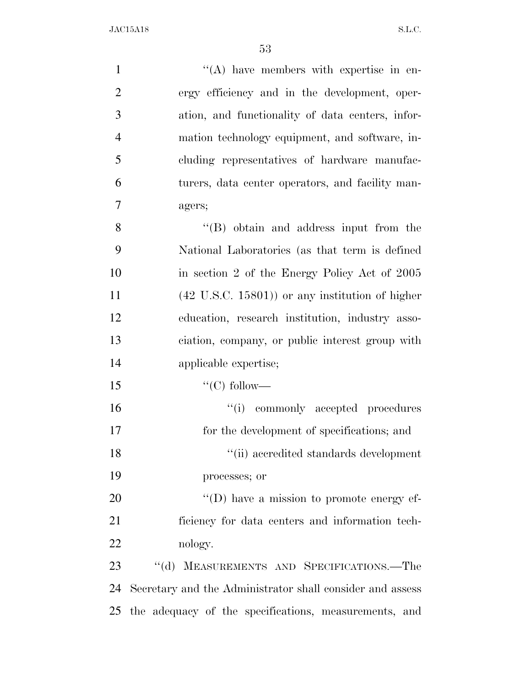| $\mathbf{1}$   | $\lq\lq$ have members with expertise in en-               |
|----------------|-----------------------------------------------------------|
| $\overline{2}$ | ergy efficiency and in the development, oper-             |
| 3              | ation, and functionality of data centers, infor-          |
| $\overline{4}$ | mation technology equipment, and software, in-            |
| 5              | cluding representatives of hardware manufac-              |
| 6              | turers, data center operators, and facility man-          |
| 7              | agers;                                                    |
| 8              | $\lq\lq$ (B) obtain and address input from the            |
| 9              | National Laboratories (as that term is defined            |
| 10             | in section 2 of the Energy Policy Act of 2005             |
| 11             | $(42 \text{ U.S.C. } 15801)$ or any institution of higher |
| 12             | education, research institution, industry asso-           |
| 13             | ciation, company, or public interest group with           |
| 14             | applicable expertise;                                     |
| 15             | "(C) follow—                                              |
| 16             | "(i) commonly accepted procedures                         |
| 17             | for the development of specifications; and                |
| 18             | $\lq\lq$ (ii) accredited standards development            |
| 19             | processes; or                                             |
| 20             | $\lq\lq$ (D) have a mission to promote energy ef-         |
| 21             | ficiency for data centers and information tech-           |
| 22             | nology.                                                   |
| 23             | "(d) MEASUREMENTS AND SPECIFICATIONS.—The                 |
| 24             | Secretary and the Administrator shall consider and assess |
| 25             | the adequacy of the specifications, measurements, and     |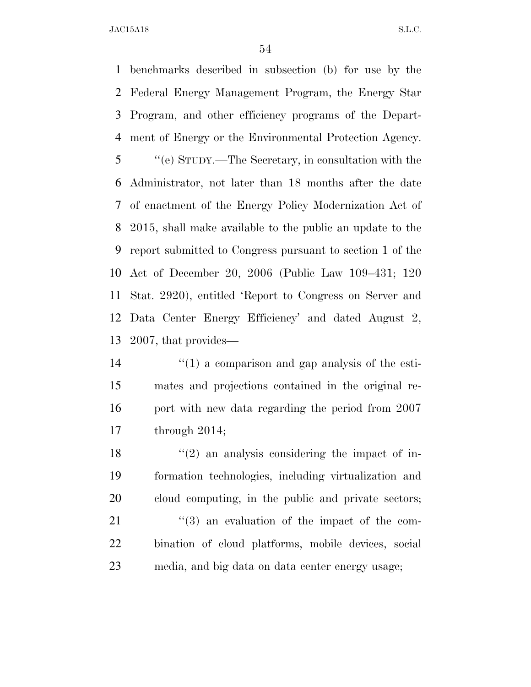benchmarks described in subsection (b) for use by the Federal Energy Management Program, the Energy Star Program, and other efficiency programs of the Depart- ment of Energy or the Environmental Protection Agency. ''(e) STUDY.—The Secretary, in consultation with the Administrator, not later than 18 months after the date of enactment of the Energy Policy Modernization Act of 2015, shall make available to the public an update to the report submitted to Congress pursuant to section 1 of the Act of December 20, 2006 (Public Law 109–431; 120 Stat. 2920), entitled 'Report to Congress on Server and Data Center Energy Efficiency' and dated August 2, 2007, that provides—

 ''(1) a comparison and gap analysis of the esti- mates and projections contained in the original re- port with new data regarding the period from 2007 through 2014;

 $\frac{1}{2}$  an analysis considering the impact of in- formation technologies, including virtualization and cloud computing, in the public and private sectors; ''(3) an evaluation of the impact of the com- bination of cloud platforms, mobile devices, social media, and big data on data center energy usage;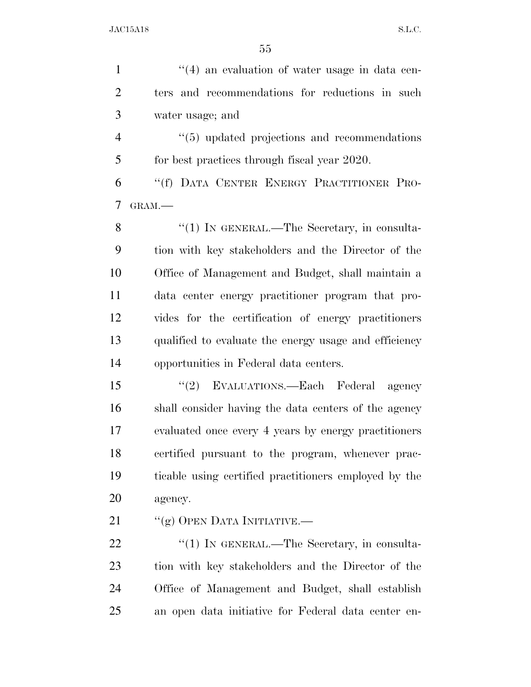| $\mathbf{1}$   | $\cdot$ (4) an evaluation of water usage in data cen- |
|----------------|-------------------------------------------------------|
| $\overline{2}$ | ters and recommendations for reductions in such       |
| 3              | water usage; and                                      |
| $\overline{4}$ | $\cdot$ (5) updated projections and recommendations   |
| 5              | for best practices through fiscal year 2020.          |
| 6              | "(f) DATA CENTER ENERGY PRACTITIONER PRO-             |
| 7              | GRAM.-                                                |
| 8              | "(1) IN GENERAL.—The Secretary, in consulta-          |
| 9              | tion with key stakeholders and the Director of the    |
| 10             | Office of Management and Budget, shall maintain a     |
| 11             | data center energy practitioner program that pro-     |
| 12             | vides for the certification of energy practitioners   |
| 13             | qualified to evaluate the energy usage and efficiency |
| 14             | opportunities in Federal data centers.                |
| 15             | "(2) EVALUATIONS.—Each Federal agency                 |
| 16             | shall consider having the data centers of the agency  |
| 17             | evaluated once every 4 years by energy practitioners  |
| 18             | certified pursuant to the program, whenever prac-     |
| 19             | ticable using certified practitioners employed by the |
| 20             | agency.                                               |
| 21             | "(g) OPEN DATA INITIATIVE.—                           |
| 22             | $\lq(1)$ In GENERAL.—The Secretary, in consulta-      |
| 23             | tion with key stakeholders and the Director of the    |
| 24             | Office of Management and Budget, shall establish      |
| 25             | an open data initiative for Federal data center en-   |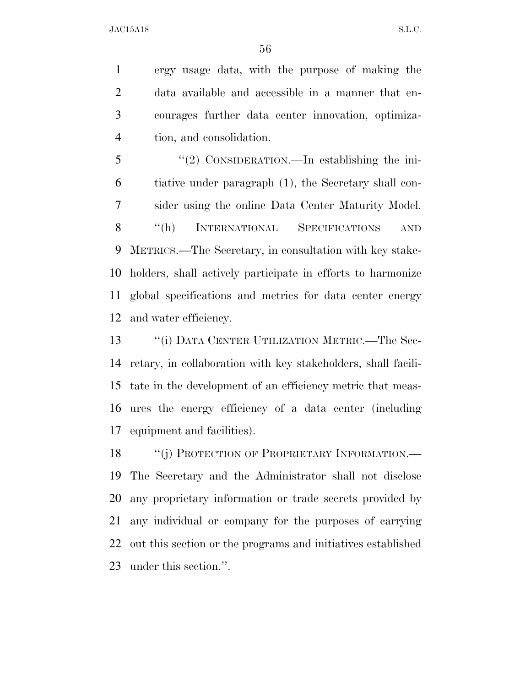ergy usage data, with the purpose of making the data available and accessible in a manner that en- courages further data center innovation, optimiza-tion, and consolidation.

 ''(2) CONSIDERATION.—In establishing the ini- tiative under paragraph (1), the Secretary shall con- sider using the online Data Center Maturity Model. ''(h) INTERNATIONAL SPECIFICATIONS AND METRICS.—The Secretary, in consultation with key stake- holders, shall actively participate in efforts to harmonize global specifications and metrics for data center energy and water efficiency.

13 "(i) DATA CENTER UTILIZATION METRIC.—The Sec- retary, in collaboration with key stakeholders, shall facili- tate in the development of an efficiency metric that meas- ures the energy efficiency of a data center (including equipment and facilities).

18 "(j) PROTECTION OF PROPRIETARY INFORMATION.— The Secretary and the Administrator shall not disclose any proprietary information or trade secrets provided by any individual or company for the purposes of carrying out this section or the programs and initiatives established under this section.''.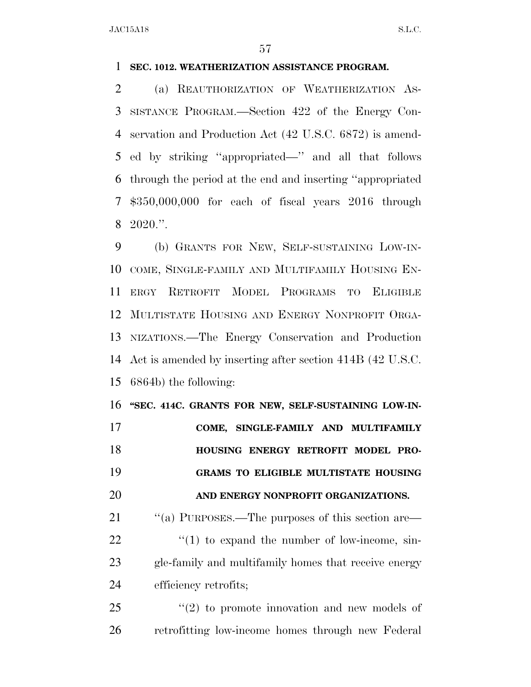## **SEC. 1012. WEATHERIZATION ASSISTANCE PROGRAM.**

 (a) REAUTHORIZATION OF WEATHERIZATION AS- SISTANCE PROGRAM.—Section 422 of the Energy Con- servation and Production Act (42 U.S.C. 6872) is amend- ed by striking ''appropriated—'' and all that follows through the period at the end and inserting ''appropriated \$350,000,000 for each of fiscal years 2016 through 2020.''.

 (b) GRANTS FOR NEW, SELF-SUSTAINING LOW-IN- COME, SINGLE-FAMILY AND MULTIFAMILY HOUSING EN- ERGY RETROFIT MODEL PROGRAMS TO ELIGIBLE MULTISTATE HOUSING AND ENERGY NONPROFIT ORGA- NIZATIONS.—The Energy Conservation and Production Act is amended by inserting after section 414B (42 U.S.C. 6864b) the following:

**''SEC. 414C. GRANTS FOR NEW, SELF-SUSTAINING LOW-IN-**

 **COME, SINGLE-FAMILY AND MULTIFAMILY HOUSING ENERGY RETROFIT MODEL PRO- GRAMS TO ELIGIBLE MULTISTATE HOUSING AND ENERGY NONPROFIT ORGANIZATIONS.** 

 $\cdot$  "(a) PURPOSES.—The purposes of this section are—  $\frac{1}{2}$   $\frac{1}{2}$  to expand the number of low-income, sin- gle-family and multifamily homes that receive energy efficiency retrofits;

 ''(2) to promote innovation and new models of retrofitting low-income homes through new Federal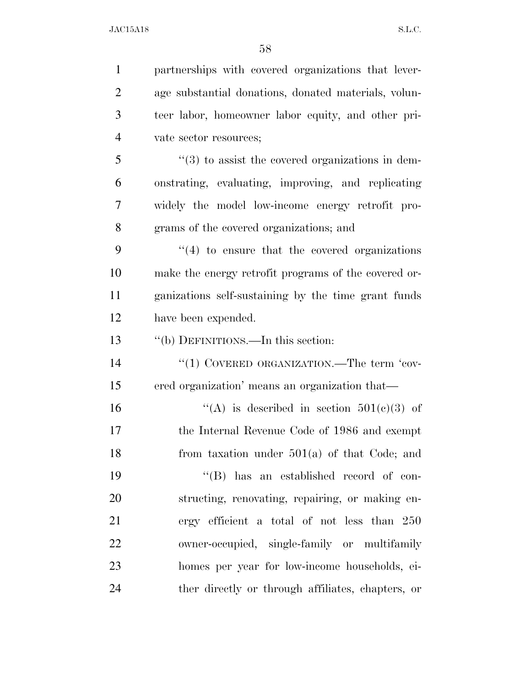| $\mathbf{1}$   | partnerships with covered organizations that lever-              |
|----------------|------------------------------------------------------------------|
| $\overline{2}$ | age substantial donations, donated materials, volun-             |
| 3              | teer labor, homeowner labor equity, and other pri-               |
| $\overline{4}$ | vate sector resources;                                           |
| 5              | $\cdot\cdot\cdot(3)$ to assist the covered organizations in dem- |
| 6              | onstrating, evaluating, improving, and replicating               |
| $\overline{7}$ | widely the model low-income energy retrofit pro-                 |
| 8              | grams of the covered organizations; and                          |
| 9              | $\cdot$ (4) to ensure that the covered organizations             |
| 10             | make the energy retrofit programs of the covered or-             |
| 11             | ganizations self-sustaining by the time grant funds              |
| 12             | have been expended.                                              |
| 13             | "(b) DEFINITIONS.—In this section:                               |
|                | "(1) COVERED ORGANIZATION.—The term 'cov-                        |
| 14             |                                                                  |
| 15             | ered organization' means an organization that—                   |
| 16             | "(A) is described in section $501(c)(3)$ of                      |
| 17             | the Internal Revenue Code of 1986 and exempt                     |
| 18             | from taxation under $501(a)$ of that Code; and                   |
| 19             | "(B) has an established record of con-                           |
| 20             | structing, renovating, repairing, or making en-                  |
| 21             | ergy efficient a total of not less than 250                      |
| 22             | owner-occupied, single-family or multifamily                     |
| 23             | homes per year for low-income households, ei-                    |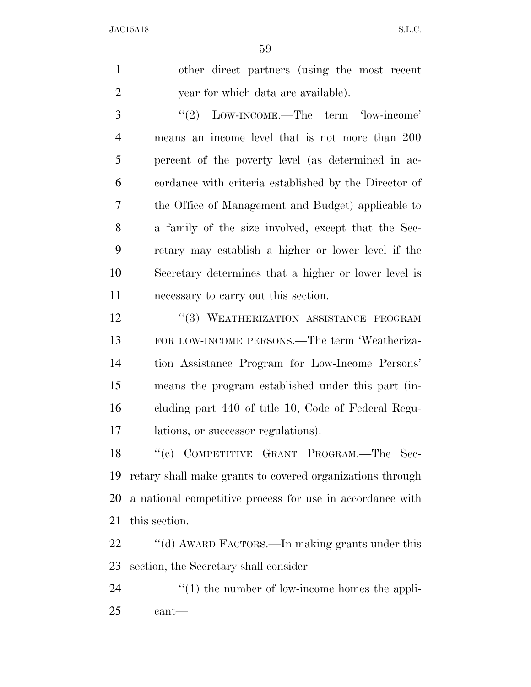| $\mathbf{1}$   | other direct partners (using the most recent                       |
|----------------|--------------------------------------------------------------------|
| $\overline{2}$ | year for which data are available).                                |
| 3              | $\cdot\cdot(2)$ LOW-INCOME.—The term $\cdot\cdot\cdot$ low-income' |
| $\overline{4}$ | means an income level that is not more than 200                    |
| 5              | percent of the poverty level (as determined in ac-                 |
| 6              | cordance with criteria established by the Director of              |
| 7              | the Office of Management and Budget) applicable to                 |
| 8              | a family of the size involved, except that the Sec-                |
| 9              | retary may establish a higher or lower level if the                |
| 10             | Secretary determines that a higher or lower level is               |
| 11             | necessary to carry out this section.                               |
| 12             | "(3) WEATHERIZATION ASSISTANCE PROGRAM                             |
| 13             | FOR LOW-INCOME PERSONS.—The term 'Weatheriza-                      |
| 14             | tion Assistance Program for Low-Income Persons'                    |
| 15             | means the program established under this part (in-                 |
| 16             | cluding part 440 of title 10, Code of Federal Regu-                |
| 17             | lations, or successor regulations).                                |
| 18             | "(c) COMPETITIVE GRANT PROGRAM.—The Sec-                           |
| 19             | retary shall make grants to covered organizations through          |
| 20             | a national competitive process for use in accordance with          |
| 21             | this section.                                                      |
| 22             | "(d) AWARD FACTORS.—In making grants under this                    |
| 23             | section, the Secretary shall consider—                             |
| 24             | $\lq(1)$ the number of low-income homes the appli-                 |
| 25             | $\text{cant}$ —                                                    |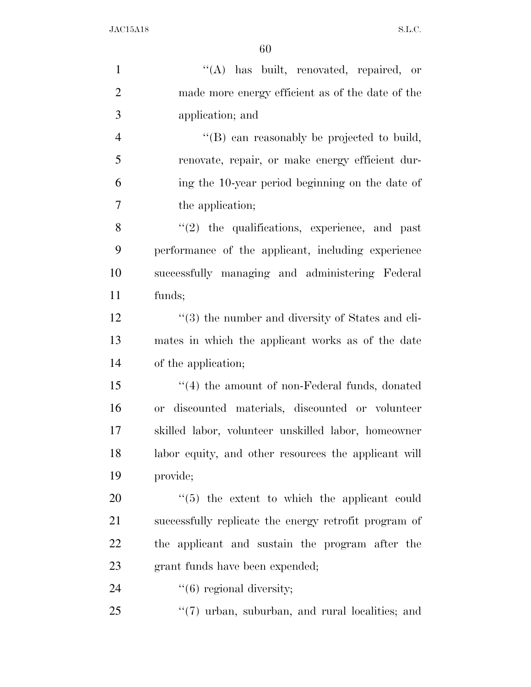| $\mathbf{1}$   | "(A) has built, renovated, repaired, or               |
|----------------|-------------------------------------------------------|
| $\overline{2}$ | made more energy efficient as of the date of the      |
| 3              | application; and                                      |
| $\overline{4}$ | "(B) can reasonably be projected to build,            |
| 5              | renovate, repair, or make energy efficient dur-       |
| 6              | ing the 10-year period beginning on the date of       |
| $\overline{7}$ | the application;                                      |
| 8              | $(2)$ the qualifications, experience, and past        |
| 9              | performance of the applicant, including experience    |
| 10             | successfully managing and administering Federal       |
| 11             | funds;                                                |
| 12             | "(3) the number and diversity of States and cli-      |
| 13             | mates in which the applicant works as of the date     |
| 14             | of the application;                                   |
| 15             | $\cdot$ (4) the amount of non-Federal funds, donated  |
| 16             | or discounted materials, discounted or volunteer      |
| 17             | skilled labor, volunteer unskilled labor, homeowner   |
| 18             | labor equity, and other resources the applicant will  |
| 19             | provide;                                              |
| 20             | $(5)$ the extent to which the applicant could         |
| 21             | successfully replicate the energy retrofit program of |
| 22             | the applicant and sustain the program after the       |
| 23             | grant funds have been expended;                       |
| 24             | $\cdot\cdot\cdot(6)$ regional diversity;              |
| 25             | "(7) urban, suburban, and rural localities; and       |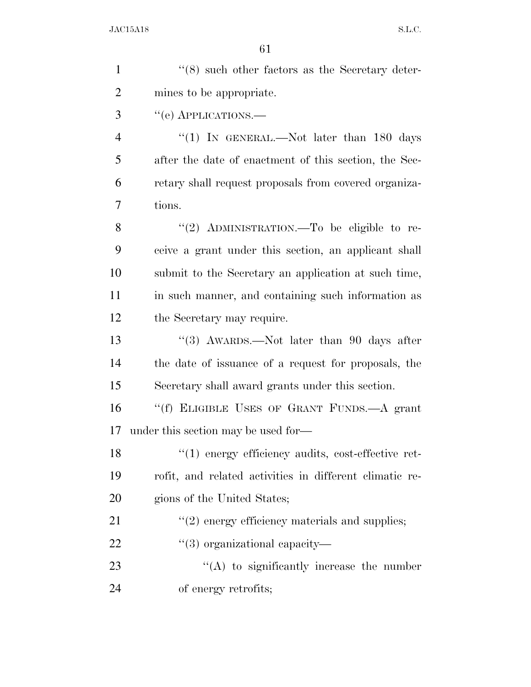| $\mathbf{1}$   | $\cdot$ (8) such other factors as the Secretary deter-  |
|----------------|---------------------------------------------------------|
| $\overline{2}$ | mines to be appropriate.                                |
| 3              | $``$ (e) APPLICATIONS.—                                 |
| $\overline{4}$ | "(1) IN GENERAL.—Not later than 180 days                |
| 5              | after the date of enactment of this section, the Sec-   |
| 6              | retary shall request proposals from covered organiza-   |
| 7              | tions.                                                  |
| 8              | "(2) ADMINISTRATION. To be eligible to re-              |
| 9              | ceive a grant under this section, an applicant shall    |
| 10             | submit to the Secretary an application at such time,    |
| 11             | in such manner, and containing such information as      |
| 12             | the Secretary may require.                              |
| 13             | "(3) AWARDS.—Not later than 90 days after               |
| 14             | the date of issuance of a request for proposals, the    |
| 15             | Secretary shall award grants under this section.        |
| 16             | "(f) ELIGIBLE USES OF GRANT FUNDS.—A grant              |
| 17             | under this section may be used for—                     |
| 18             | "(1) energy efficiency audits, cost-effective ret-      |
| 19             | rofit, and related activities in different climatic re- |
| 20             | gions of the United States;                             |
| 21             | $\lq(2)$ energy efficiency materials and supplies;      |
| 22             | $``(3)$ organizational capacity—                        |
| 23             | "(A) to significantly increase the number               |
| 24             | of energy retrofits;                                    |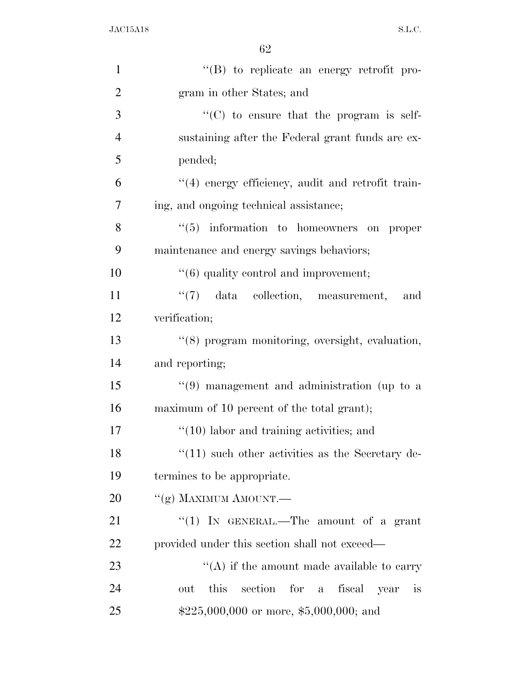| $\mathbf{1}$   | "(B) to replicate an energy retrofit pro-                   |
|----------------|-------------------------------------------------------------|
| $\overline{2}$ | gram in other States; and                                   |
| 3              | "(C) to ensure that the program is self-                    |
| $\overline{4}$ | sustaining after the Federal grant funds are ex-            |
| 5              | pended;                                                     |
| 6              | "(4) energy efficiency, audit and retrofit train-           |
| 7              | ing, and ongoing technical assistance;                      |
| 8              | $\lq(5)$ information to homeowners on<br>proper             |
| 9              | maintenance and energy savings behaviors;                   |
| 10             | $\cdot\cdot$ (6) quality control and improvement;           |
| 11             | $\lq(7)$ data collection, measurement,<br>and               |
| 12             | verification;                                               |
| 13             | "(8) program monitoring, oversight, evaluation,             |
| 14             | and reporting;                                              |
| 15             | $\cdot\cdot\cdot(9)$ management and administration (up to a |
| 16             | maximum of 10 percent of the total grant);                  |
| 17             | $"(10)$ labor and training activities; and                  |
| 18             | $\lq(11)$ such other activities as the Secretary de-        |
| 19             | termines to be appropriate.                                 |
| 20             | "(g) MAXIMUM AMOUNT.—                                       |
| 21             | "(1) IN GENERAL.—The amount of a grant                      |
| 22             | provided under this section shall not exceed—               |
| 23             | "(A) if the amount made available to carry                  |
| 24             | section for a fiscal year<br>this<br>out<br>is              |
| 25             | $$225,000,000$ or more, \$5,000,000; and                    |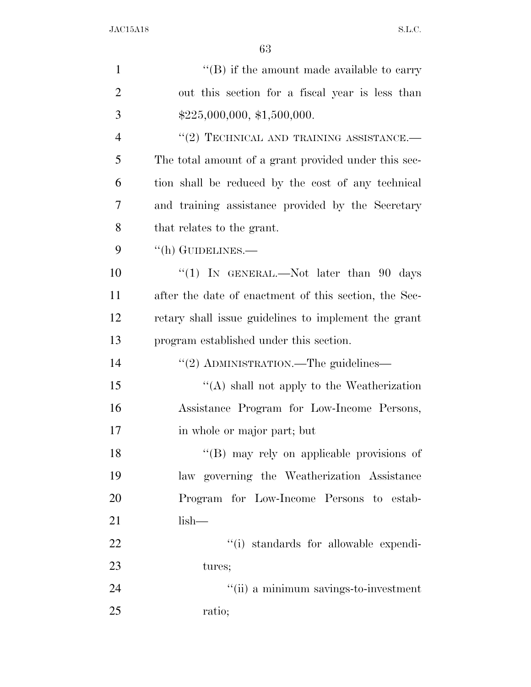| $\mathbf{1}$   | $\lq\lq$ ) if the amount made available to carry      |
|----------------|-------------------------------------------------------|
| $\overline{2}$ | out this section for a fiscal year is less than       |
| 3              | \$225,000,000, \$1,500,000.                           |
| 4              | $\lq (2)$ TECHNICAL AND TRAINING ASSISTANCE.—         |
| 5              | The total amount of a grant provided under this sec-  |
| 6              | tion shall be reduced by the cost of any technical    |
| 7              | and training assistance provided by the Secretary     |
| 8              | that relates to the grant.                            |
| 9              | $\lq\lq$ (h) GUIDELINES.—                             |
| 10             | "(1) IN GENERAL.—Not later than 90 days               |
| 11             | after the date of enactment of this section, the Sec- |
| 12             | retary shall issue guidelines to implement the grant  |
| 13             | program established under this section.               |
| 14             | "(2) ADMINISTRATION.—The guidelines—                  |
| 15             | "(A) shall not apply to the Weatherization            |
| 16             | Assistance Program for Low-Income Persons,            |
| 17             | in whole or major part; but                           |
| 18             | "(B) may rely on applicable provisions of             |
| 19             | law governing the Weatherization Assistance           |
| 20             | Program for Low-Income Persons to estab-              |
| 21             | $lish-$                                               |
| 22             | "(i) standards for allowable expendi-                 |
| 23             | tures;                                                |
| 24             | "(ii) a minimum savings-to-investment                 |
| 25             | ratio;                                                |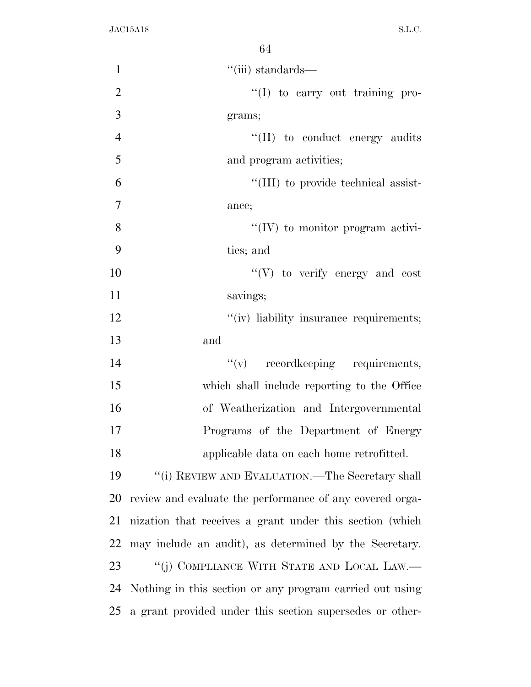| $\mathbf{1}$   | $``(iii)$ standards—                                     |
|----------------|----------------------------------------------------------|
| $\overline{2}$ | "(I) to carry out training pro-                          |
| 3              | grams;                                                   |
| $\overline{4}$ | "(II) to conduct energy audits                           |
| 5              | and program activities;                                  |
| 6              | "(III) to provide technical assist-                      |
| $\tau$         | ance;                                                    |
| 8              | $\lq\lq (IV)$ to monitor program activi-                 |
| 9              | ties; and                                                |
| 10             | "(V) to verify energy and cost                           |
| 11             | savings;                                                 |
| 12             | "(iv) liability insurance requirements;                  |
| 13             | and                                                      |
| 14             | $f'(v)$ record keeping requirements,                     |
| 15             | which shall include reporting to the Office              |
| 16             | of Weatherization and Intergovernmental                  |
| 17             | Programs of the Department of Energy                     |
| 18             | applicable data on each home retrofitted.                |
| 19             | "(i) REVIEW AND EVALUATION.—The Secretary shall          |
| 20             | review and evaluate the performance of any covered orga- |
| 21             | nization that receives a grant under this section (which |
| 22             | may include an audit), as determined by the Secretary.   |
| 23             | "(j) COMPLIANCE WITH STATE AND LOCAL LAW.—               |
| 24             | Nothing in this section or any program carried out using |
| 25             | a grant provided under this section supersedes or other- |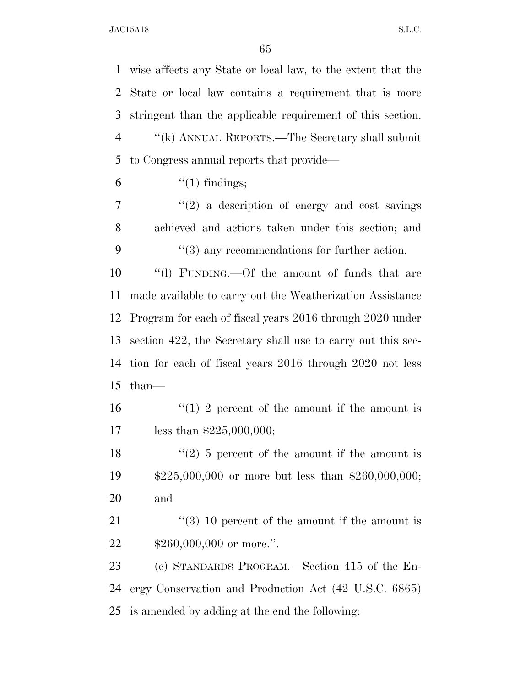wise affects any State or local law, to the extent that the State or local law contains a requirement that is more stringent than the applicable requirement of this section. ''(k) ANNUAL REPORTS.—The Secretary shall submit to Congress annual reports that provide—  $"(1)$  findings;  $\frac{1}{2}$  ''(2) a description of energy and cost savings achieved and actions taken under this section; and  $\mathcal{P}$  (3) any recommendations for further action. ''(l) FUNDING.—Of the amount of funds that are made available to carry out the Weatherization Assistance Program for each of fiscal years 2016 through 2020 under section 422, the Secretary shall use to carry out this sec- tion for each of fiscal years 2016 through 2020 not less than—  $\frac{1}{2}$  percent of the amount if the amount is less than \$225,000,000;  $\frac{1}{2}$  (2) 5 percent of the amount if the amount is \$225,000,000 or more but less than \$260,000,000; and  $\frac{1}{2}$  (3) 10 percent of the amount if the amount is 22 \$260,000,000 or more.". (c) STANDARDS PROGRAM.—Section 415 of the En- ergy Conservation and Production Act (42 U.S.C. 6865) is amended by adding at the end the following: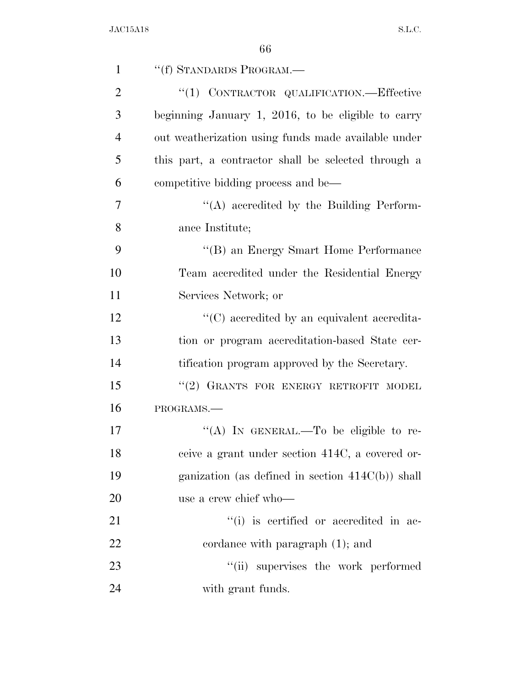| $\mathbf{1}$   | "(f) STANDARDS PROGRAM.—                            |
|----------------|-----------------------------------------------------|
| $\overline{2}$ | "(1) CONTRACTOR QUALIFICATION.—Effective            |
| 3              | beginning January 1, 2016, to be eligible to carry  |
| $\overline{4}$ | out weatherization using funds made available under |
| 5              | this part, a contractor shall be selected through a |
| 6              | competitive bidding process and be—                 |
| $\overline{7}$ | "(A) accredited by the Building Perform-            |
| 8              | ance Institute;                                     |
| 9              | "(B) an Energy Smart Home Performance               |
| 10             | Team accredited under the Residential Energy        |
| 11             | Services Network; or                                |
| 12             | "(C) accredited by an equivalent accredita-         |
| 13             | tion or program accreditation-based State cer-      |
| 14             | tification program approved by the Secretary.       |
| 15             | "(2) GRANTS FOR ENERGY RETROFIT MODEL               |
| 16             | PROGRAMS.                                           |
| 17             | "(A) IN GENERAL.—To be eligible to re-              |
| 18             | ceive a grant under section 414C, a covered or-     |
| 19             | ganization (as defined in section $414C(b)$ ) shall |
| 20             | use a crew chief who-                               |
| 21             | "(i) is certified or accredited in ac-              |
| 22             | cordance with paragraph $(1)$ ; and                 |
| 23             | "(ii) supervises the work performed                 |
| 24             | with grant funds.                                   |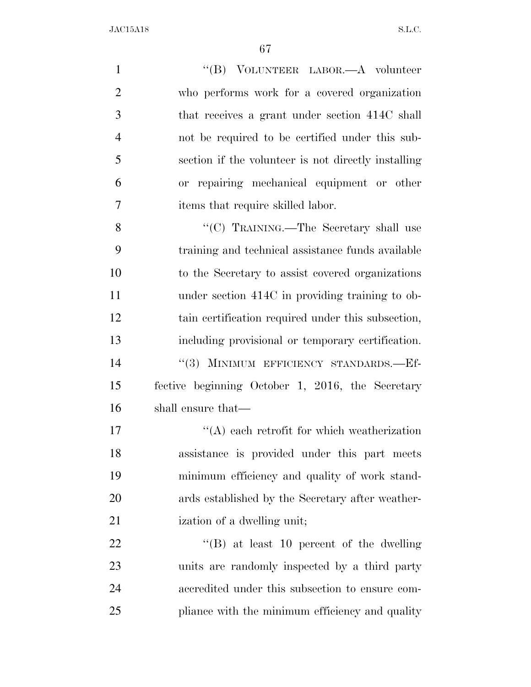1 "'(B) VOLUNTEER LABOR.—A volunteer who performs work for a covered organization that receives a grant under section 414C shall not be required to be certified under this sub- section if the volunteer is not directly installing or repairing mechanical equipment or other items that require skilled labor. 8 ''(C) TRAINING.—The Secretary shall use training and technical assistance funds available to the Secretary to assist covered organizations 11 under section 414C in providing training to ob- tain certification required under this subsection, including provisional or temporary certification. 14 "(3) MINIMUM EFFICIENCY STANDARDS.—Ef- fective beginning October 1, 2016, the Secretary shall ensure that  $i'(A)$  each retrofit for which weatherization assistance is provided under this part meets minimum efficiency and quality of work stand- ards established by the Secretary after weather-21 ization of a dwelling unit; 22 "'(B) at least 10 percent of the dwelling units are randomly inspected by a third party accredited under this subsection to ensure com-25 pliance with the minimum efficiency and quality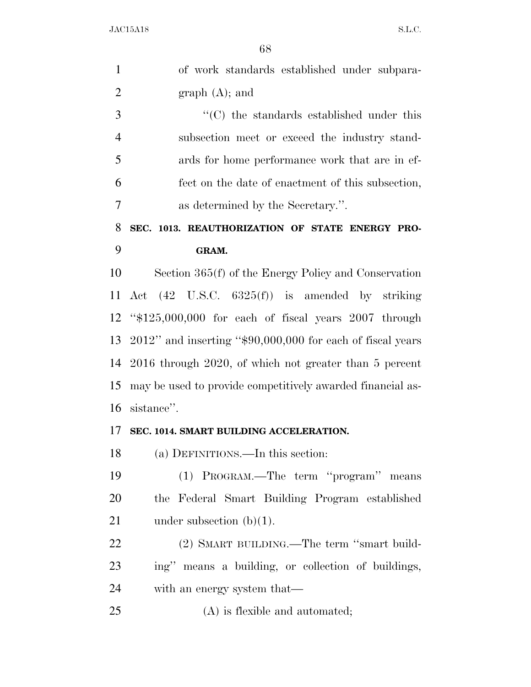|                | 68                                                             |
|----------------|----------------------------------------------------------------|
| $\mathbf{1}$   | of work standards established under subpara-                   |
| $\overline{2}$ | graph (A); and                                                 |
| 3              | $\lq\lq$ <sup>*</sup> (C) the standards established under this |
| $\overline{4}$ | subsection meet or exceed the industry stand-                  |
| 5              | ards for home performance work that are in ef-                 |
| 6              | fect on the date of enactment of this subsection,              |
| 7              | as determined by the Secretary.".                              |
| 8              | SEC. 1013. REAUTHORIZATION OF STATE ENERGY PRO-                |
| 9              | GRAM.                                                          |
| 10             | Section 365(f) of the Energy Policy and Conservation           |
| 11             | Act $(42 \text{ U.S.C. } 6325(f))$ is amended by striking      |
| 12             | " $$125,000,000$ for each of fiscal years $2007$ through       |
| 13             | $2012$ " and inserting "\$90,000,000 for each of fiscal years  |
| 14             | $2016$ through $2020$ , of which not greater than 5 percent    |
| 15             | may be used to provide competitively awarded financial as-     |
| 16             | sistance".                                                     |
| 17             | SEC. 1014. SMART BUILDING ACCELERATION.                        |
| 18             | (a) DEFINITIONS.—In this section:                              |
| 19             | (1) PROGRAM.—The term "program" means                          |
| 20             | the Federal Smart Building Program established                 |
| 21             | under subsection $(b)(1)$ .                                    |
| 22             | (2) SMART BUILDING.—The term "smart build-                     |
| 23             | ing" means a building, or collection of buildings,             |
| 24             | with an energy system that—                                    |
| 25             | (A) is flexible and automated;                                 |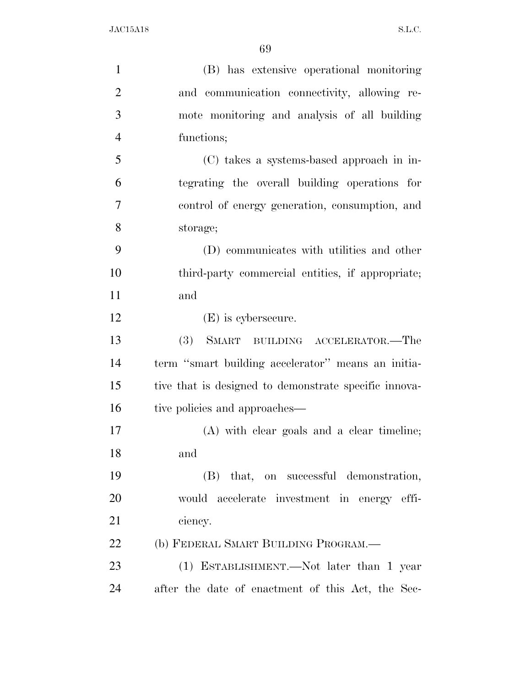| $\mathbf{1}$   | (B) has extensive operational monitoring              |
|----------------|-------------------------------------------------------|
| $\overline{2}$ | and communication connectivity, allowing re-          |
| 3              | mote monitoring and analysis of all building          |
| $\overline{4}$ | functions;                                            |
| 5              | (C) takes a systems-based approach in in-             |
| 6              | tegrating the overall building operations for         |
| $\tau$         | control of energy generation, consumption, and        |
| 8              | storage;                                              |
| 9              | (D) communicates with utilities and other             |
| 10             | third-party commercial entities, if appropriate;      |
| 11             | and                                                   |
| 12             | $(E)$ is cybersecure.                                 |
| 13             | (3)<br>SMART BUILDING ACCELERATOR.—The                |
| 14             | term "smart building accelerator" means an initia-    |
| 15             | tive that is designed to demonstrate specific innova- |
| 16             | tive policies and approaches—                         |
| 17             | (A) with clear goals and a clear timeline;            |
| 18             | and                                                   |
| 19             | (B) that, on successful demonstration,                |
| 20             | would accelerate investment in energy effi-           |
| 21             | ciency.                                               |
| 22             | (b) FEDERAL SMART BUILDING PROGRAM.—                  |
| 23             | (1) ESTABLISHMENT.—Not later than 1 year              |
| 24             | after the date of enactment of this Act, the Sec-     |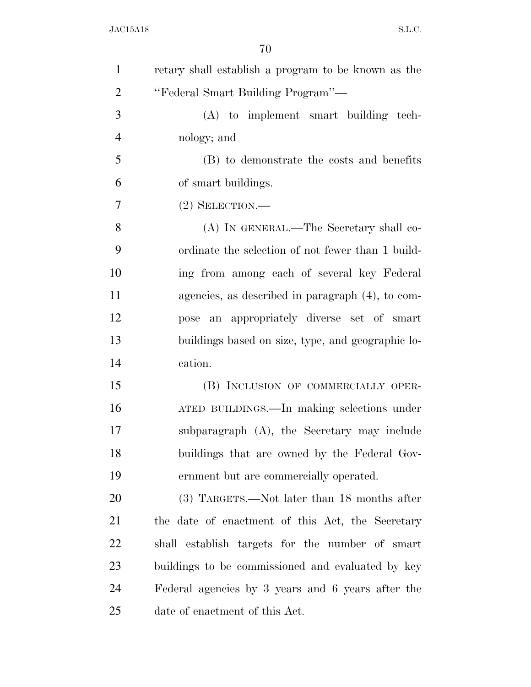| $\mathbf{1}$   | retary shall establish a program to be known as the |
|----------------|-----------------------------------------------------|
| $\overline{2}$ | "Federal Smart Building Program"—                   |
| 3              | $(A)$ to implement smart building tech-             |
| $\overline{4}$ | nology; and                                         |
| 5              | (B) to demonstrate the costs and benefits           |
| 6              | of smart buildings.                                 |
| 7              | $(2)$ SELECTION.—                                   |
| 8              | (A) IN GENERAL.—The Secretary shall co-             |
| 9              | ordinate the selection of not fewer than 1 build-   |
| 10             | ing from among each of several key Federal          |
| 11             | agencies, as described in paragraph (4), to com-    |
| 12             | pose an appropriately diverse set of smart          |
| 13             | buildings based on size, type, and geographic lo-   |
| 14             | cation.                                             |
| 15             | (B) INCLUSION OF COMMERCIALLY OPER-                 |
| 16             | ATED BUILDINGS.—In making selections under          |
| 17             | subparagraph (A), the Secretary may include         |
| 18             | buildings that are owned by the Federal Gov-        |
| 19             | ernment but are commercially operated.              |
| 20             | (3) TARGETS.—Not later than 18 months after         |
| 21             | the date of enactment of this Act, the Secretary    |
| 22             | shall establish targets for the number of smart     |
| 23             | buildings to be commissioned and evaluated by key   |
| 24             | Federal agencies by 3 years and 6 years after the   |
| 25             | date of enactment of this Act.                      |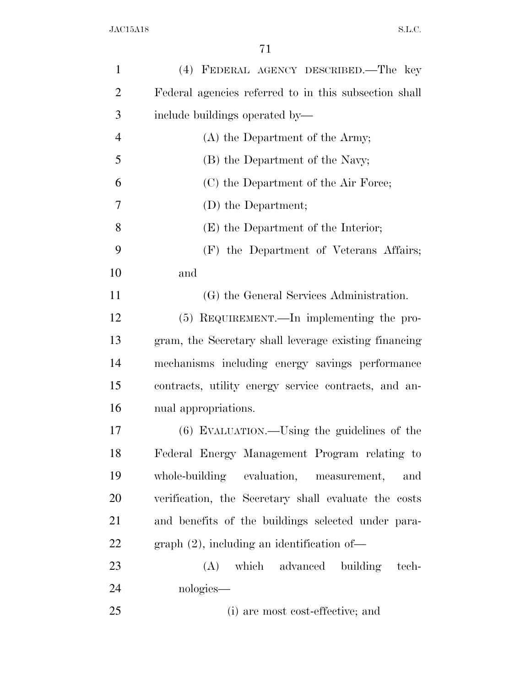| $\mathbf{1}$   | (4) FEDERAL AGENCY DESCRIBED.—The key                 |
|----------------|-------------------------------------------------------|
| $\overline{2}$ | Federal agencies referred to in this subsection shall |
| 3              | include buildings operated by—                        |
| $\overline{4}$ | (A) the Department of the Army;                       |
| 5              | (B) the Department of the Navy;                       |
| 6              | (C) the Department of the Air Force;                  |
| 7              | (D) the Department;                                   |
| 8              | (E) the Department of the Interior;                   |
| 9              | (F) the Department of Veterans Affairs;               |
| 10             | and                                                   |
| 11             | (G) the General Services Administration.              |
| 12             | (5) REQUIREMENT.—In implementing the pro-             |
| 13             | gram, the Secretary shall leverage existing financing |
| 14             | mechanisms including energy savings performance       |
| 15             | contracts, utility energy service contracts, and an-  |
| 16             | nual appropriations.                                  |
| 17             | (6) EVALUATION.—Using the guidelines of the           |
| 18             | Federal Energy Management Program relating to         |
| 19             | whole-building evaluation, measurement,<br>and        |
| 20             | verification, the Secretary shall evaluate the costs  |
| 21             | and benefits of the buildings selected under para-    |
| 22             | $graph(2)$ , including an identification of-          |
| 23             | (A) which advanced building<br>tech-                  |
| 24             | nologies—                                             |
| 25             | (i) are most cost-effective; and                      |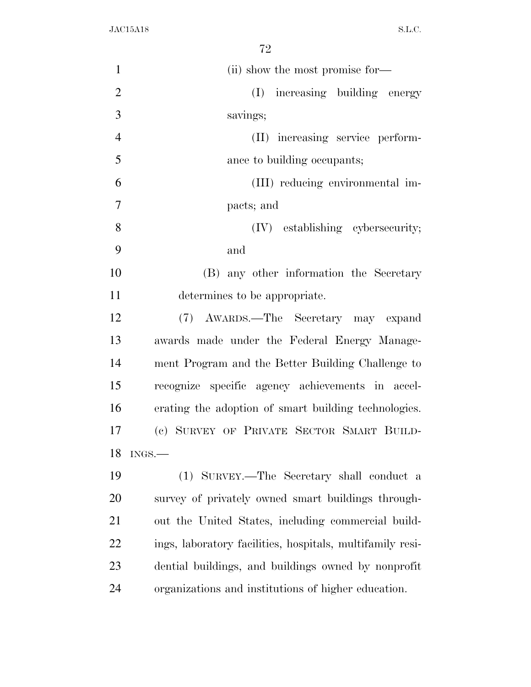| $\mathbf{1}$   | (ii) show the most promise for-                           |
|----------------|-----------------------------------------------------------|
| $\overline{2}$ | increasing building energy<br>(I)                         |
| 3              | savings;                                                  |
| $\overline{4}$ | (II) increasing service perform-                          |
| 5              | ance to building occupants;                               |
| 6              | (III) reducing environmental im-                          |
| 7              | pacts; and                                                |
| 8              | (IV) establishing cybersecurity;                          |
| 9              | and                                                       |
| 10             | (B) any other information the Secretary                   |
| 11             | determines to be appropriate.                             |
| 12             | (7) AWARDS.—The Secretary may expand                      |
| 13             | awards made under the Federal Energy Manage-              |
| 14             | ment Program and the Better Building Challenge to         |
| 15             | recognize specific agency achievements in accel-          |
| 16             | erating the adoption of smart building technologies.      |
| 17             | (c) SURVEY OF PRIVATE SECTOR SMART BUILD-                 |
| 18             | $INGS$ .                                                  |
| 19             | (1) SURVEY.—The Secretary shall conduct a                 |
| 20             | survey of privately owned smart buildings through-        |
| 21             | out the United States, including commercial build-        |
| 22             | ings, laboratory facilities, hospitals, multifamily resi- |
| 23             | dential buildings, and buildings owned by nonprofit       |
| 24             | organizations and institutions of higher education.       |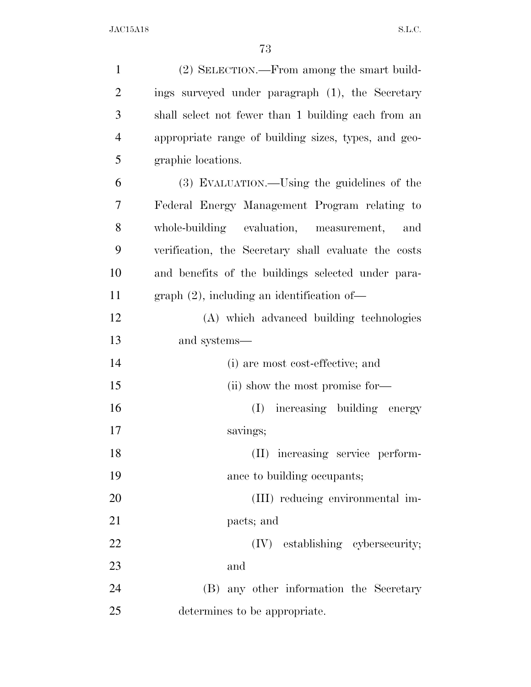| $\mathbf{1}$   | (2) SELECTION.—From among the smart build-           |
|----------------|------------------------------------------------------|
| $\overline{2}$ | ings surveyed under paragraph (1), the Secretary     |
| 3              | shall select not fewer than 1 building each from an  |
| $\overline{4}$ | appropriate range of building sizes, types, and geo- |
| 5              | graphic locations.                                   |
| 6              | (3) EVALUATION.—Using the guidelines of the          |
| 7              | Federal Energy Management Program relating to        |
| 8              | whole-building evaluation, measurement,<br>and       |
| 9              | verification, the Secretary shall evaluate the costs |
| 10             | and benefits of the buildings selected under para-   |
| 11             | $graph (2)$ , including an identification of-        |
| 12             | (A) which advanced building technologies             |
| 13             | and systems—                                         |
| 14             | (i) are most cost-effective; and                     |
| 15             | (ii) show the most promise for-                      |
| 16             | increasing building energy<br>(I)                    |
| 17             | savings;                                             |
| 18             | (II) increasing service perform-                     |
| 19             | ance to building occupants;                          |
| 20             | (III) reducing environmental im-                     |
| 21             | pacts; and                                           |
| 22             | (IV) establishing cybersecurity;                     |
| 23             | and                                                  |
| 24             | (B) any other information the Secretary              |
| 25             | determines to be appropriate.                        |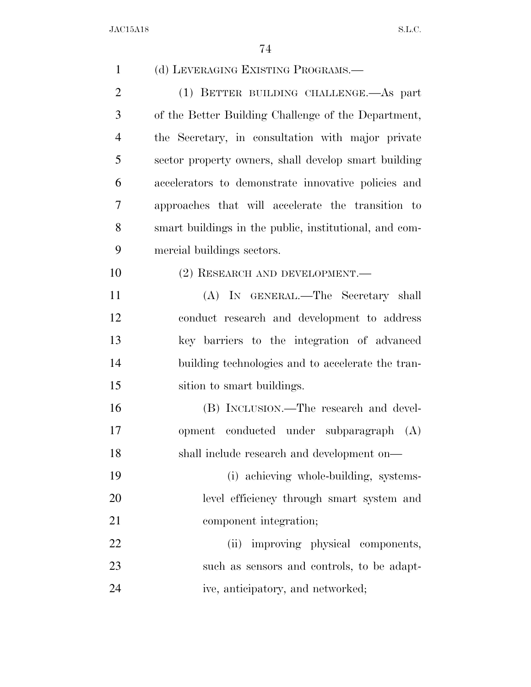| $\mathbf{1}$   | (d) LEVERAGING EXISTING PROGRAMS.-                     |
|----------------|--------------------------------------------------------|
| $\overline{2}$ | (1) BETTER BUILDING CHALLENGE. As part                 |
| 3              | of the Better Building Challenge of the Department,    |
| $\overline{4}$ | the Secretary, in consultation with major private      |
| 5              | sector property owners, shall develop smart building   |
| 6              | accelerators to demonstrate innovative policies and    |
| 7              | approaches that will accelerate the transition to      |
| 8              | smart buildings in the public, institutional, and com- |
| 9              | mercial buildings sectors.                             |
| 10             | (2) RESEARCH AND DEVELOPMENT.                          |
| 11             | (A) IN GENERAL.—The Secretary shall                    |
| 12             | conduct research and development to address            |
| 13             | key barriers to the integration of advanced            |
| 14             | building technologies and to accelerate the tran-      |
| 15             | sition to smart buildings.                             |
| 16             | (B) INCLUSION.—The research and devel-                 |
| 17             | opment conducted under subparagraph (A)                |
| 18             | shall include research and development on—             |
| 19             | (i) achieving whole-building, systems-                 |
| 20             | level efficiency through smart system and              |
| 21             | component integration;                                 |
| 22             | improving physical components,<br>(ii)                 |
| 23             | such as sensors and controls, to be adapt-             |
| 24             | ive, anticipatory, and networked;                      |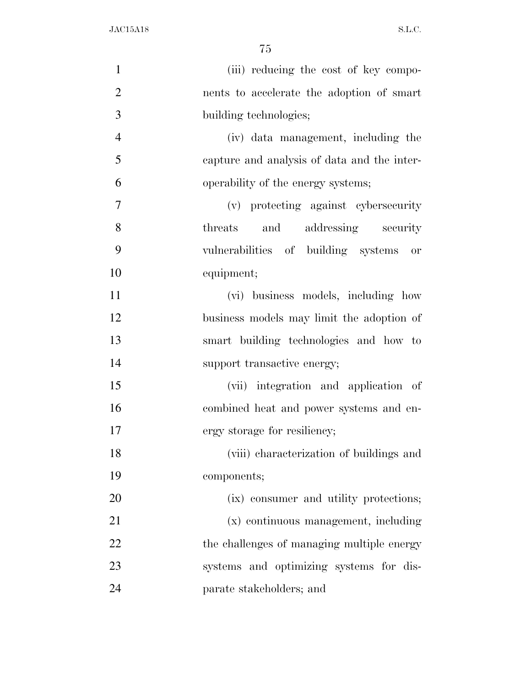| $\mathbf{1}$   | (iii) reducing the cost of key compo-       |
|----------------|---------------------------------------------|
| $\overline{2}$ | nents to accelerate the adoption of smart   |
| 3              | building technologies;                      |
| $\overline{4}$ | (iv) data management, including the         |
| 5              | capture and analysis of data and the inter- |
| 6              | operability of the energy systems;          |
| $\tau$         | (v) protecting against cybersecurity        |
| 8              | and addressing security<br>threats          |
| 9              | vulnerabilities of building systems or      |
| 10             | equipment;                                  |
| 11             | (vi) business models, including how         |
| 12             | business models may limit the adoption of   |
| 13             | smart building technologies and how to      |
| 14             | support transactive energy;                 |
| 15             | (vii) integration and application of        |
| 16             | combined heat and power systems and en-     |
| 17             | ergy storage for resiliency;                |
| 18             | (viii) characterization of buildings and    |
| 19             | components;                                 |
| 20             | (ix) consumer and utility protections;      |
| 21             | (x) continuous management, including        |
| 22             | the challenges of managing multiple energy  |
| 23             | systems and optimizing systems for dis-     |
| 24             | parate stakeholders; and                    |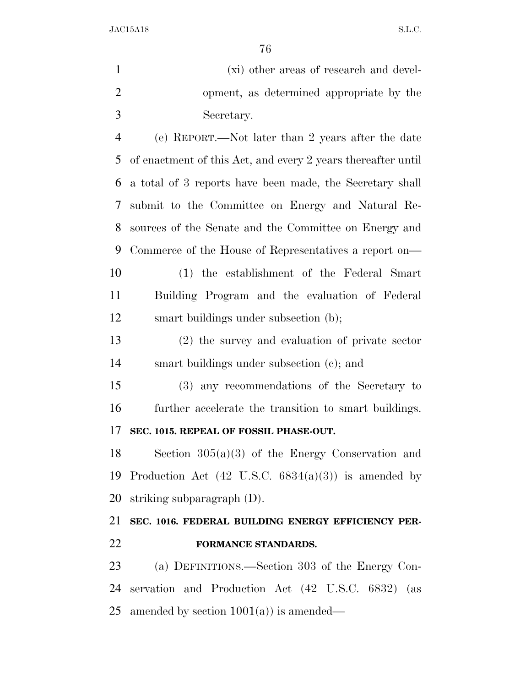(xi) other areas of research and devel- opment, as determined appropriate by the Secretary. (e) REPORT.—Not later than 2 years after the date of enactment of this Act, and every 2 years thereafter until a total of 3 reports have been made, the Secretary shall submit to the Committee on Energy and Natural Re- sources of the Senate and the Committee on Energy and Commerce of the House of Representatives a report on— (1) the establishment of the Federal Smart Building Program and the evaluation of Federal smart buildings under subsection (b); (2) the survey and evaluation of private sector smart buildings under subsection (c); and (3) any recommendations of the Secretary to further accelerate the transition to smart buildings. **SEC. 1015. REPEAL OF FOSSIL PHASE-OUT.**  Section 305(a)(3) of the Energy Conservation and 19 Production Act  $(42 \text{ U.S.C. } 6834(a)(3))$  is amended by striking subparagraph (D). **SEC. 1016. FEDERAL BUILDING ENERGY EFFICIENCY PER-FORMANCE STANDARDS.**  (a) DEFINITIONS.—Section 303 of the Energy Con- servation and Production Act (42 U.S.C. 6832) (as 25 amended by section  $1001(a)$  is amended—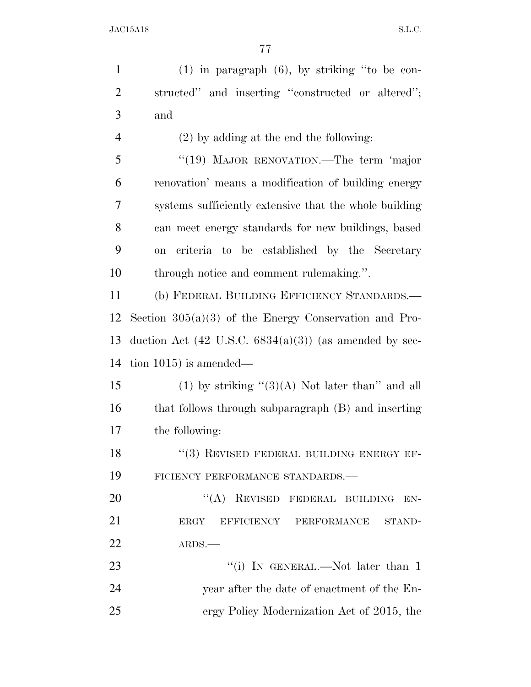(1) in paragraph (6), by striking ''to be con-2 structed" and inserting "constructed or altered"; and (2) by adding at the end the following: ''(19) MAJOR RENOVATION.—The term 'major renovation' means a modification of building energy systems sufficiently extensive that the whole building can meet energy standards for new buildings, based on criteria to be established by the Secretary through notice and comment rulemaking.''. (b) FEDERAL BUILDING EFFICIENCY STANDARDS.— Section 305(a)(3) of the Energy Conservation and Pro-13 duction Act  $(42 \text{ U.S.C. } 6834(a)(3))$  (as amended by sec- tion 1015) is amended— 15 (1) by striking  $\lq(3)(A)$  Not later than'' and all that follows through subparagraph (B) and inserting the following: 18 "(3) REVISED FEDERAL BUILDING ENERGY EF- FICIENCY PERFORMANCE STANDARDS.— 20 "(A) REVISED FEDERAL BUILDING EN-21 ERGY EFFICIENCY PERFORMANCE STAND- ARDS.— 23 "(i) In GENERAL.—Not later than 1

 year after the date of enactment of the En-ergy Policy Modernization Act of 2015, the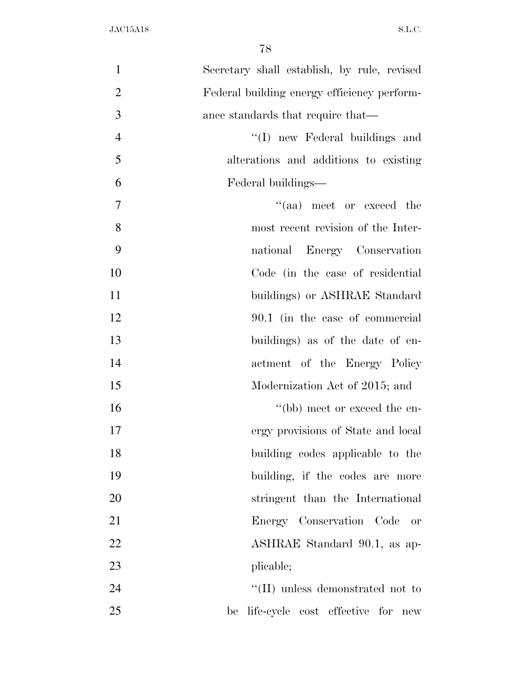| $\mathbf{1}$   | Secretary shall establish, by rule, revised |
|----------------|---------------------------------------------|
| $\overline{2}$ | Federal building energy efficiency perform- |
| 3              | ance standards that require that—           |
| $\overline{4}$ | "(I) new Federal buildings and              |
| 5              | alterations and additions to existing       |
| 6              | Federal buildings—                          |
| 7              | "(aa) meet or exceed the                    |
| 8              | most recent revision of the Inter-          |
| 9              | national Energy Conservation                |
| 10             | Code (in the case of residential            |
| 11             | buildings) or ASHRAE Standard               |
| 12             | 90.1 (in the case of commercial             |
| 13             | buildings) as of the date of en-            |
| 14             | actment of the Energy Policy                |
| 15             | Modernization Act of 2015; and              |
| 16             | "(bb) meet or exceed the en-                |
| 17             | ergy provisions of State and local          |
| 18             | building codes applicable to the            |
| 19             | building, if the codes are more             |
| 20             | stringent than the International            |
| 21             | Energy Conservation Code<br>or              |
| 22             | ASHRAE Standard 90.1, as ap-                |
| 23             | plicable;                                   |
| 24             | "(II) unless demonstrated not to            |
| 25             | be life-cycle cost effective for new        |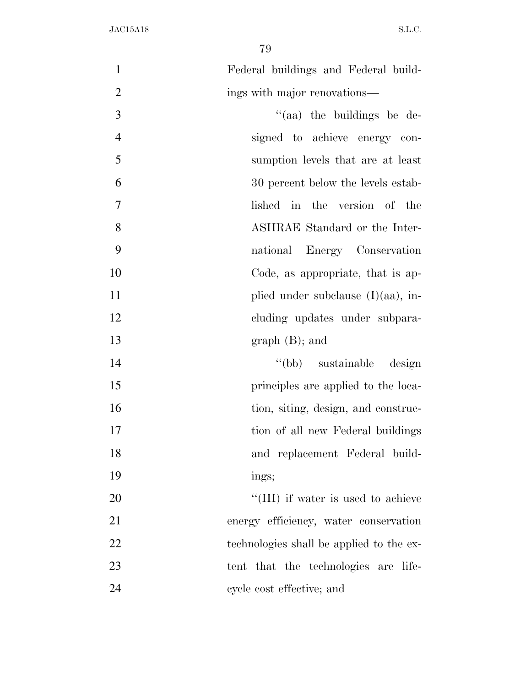Federal buildings and Federal build-2 ings with major renovations— 3 ''(aa) the buildings be de- signed to achieve energy con- sumption levels that are at least 30 percent below the levels estab- lished in the version of the ASHRAE Standard or the Inter- national Energy Conservation 10 Code, as appropriate, that is ap-11 plied under subclause (I)(aa), in- cluding updates under subpara- graph (B); and 14 ''(bb) sustainable design principles are applied to the loca-16 tion, siting, design, and construc- tion of all new Federal buildings and replacement Federal build- ings;  $\frac{1}{20}$  The metal is used to achieve energy efficiency, water conservation technologies shall be applied to the ex- tent that the technologies are life-cycle cost effective; and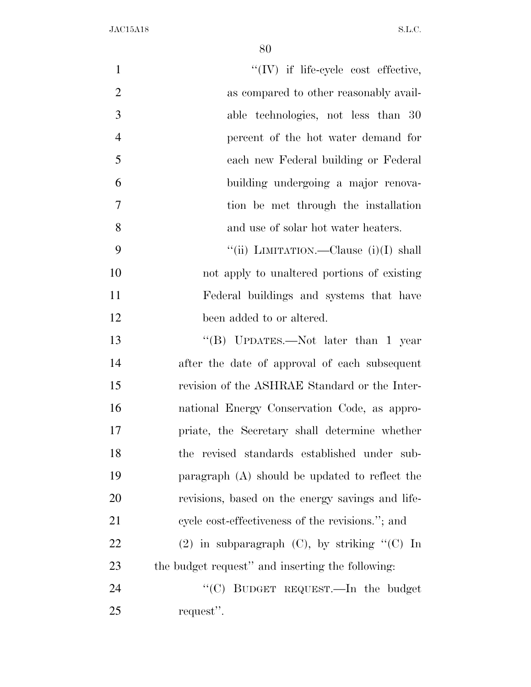| $\mathbf{1}$   | $\lq\lq$ (IV) if life-cycle cost effective,      |
|----------------|--------------------------------------------------|
| $\overline{2}$ | as compared to other reasonably avail-           |
| 3              | able technologies, not less than 30              |
| $\overline{4}$ | percent of the hot water demand for              |
| 5              | each new Federal building or Federal             |
| 6              | building undergoing a major renova-              |
| $\overline{7}$ | tion be met through the installation             |
| 8              | and use of solar hot water heaters.              |
| 9              | "(ii) LIMITATION.—Clause (i)(I) shall            |
| 10             | not apply to unaltered portions of existing      |
| 11             | Federal buildings and systems that have          |
| 12             | been added to or altered.                        |
| 13             | "(B) UPDATES.—Not later than 1 year              |
| 14             | after the date of approval of each subsequent    |
| 15             | revision of the ASHRAE Standard or the Inter-    |
| 16             | national Energy Conservation Code, as appro-     |
| 17             | priate, the Secretary shall determine whether    |
| 18             | the revised standards established under sub-     |
| 19             | paragraph (A) should be updated to reflect the   |
| 20             | revisions, based on the energy savings and life- |
| 21             | cycle cost-effectiveness of the revisions."; and |
| 22             | (2) in subparagraph (C), by striking " $(C)$ In  |
| 23             | the budget request" and inserting the following: |
| 24             | "(C) BUDGET REQUEST.—In the budget               |
| 25             | request".                                        |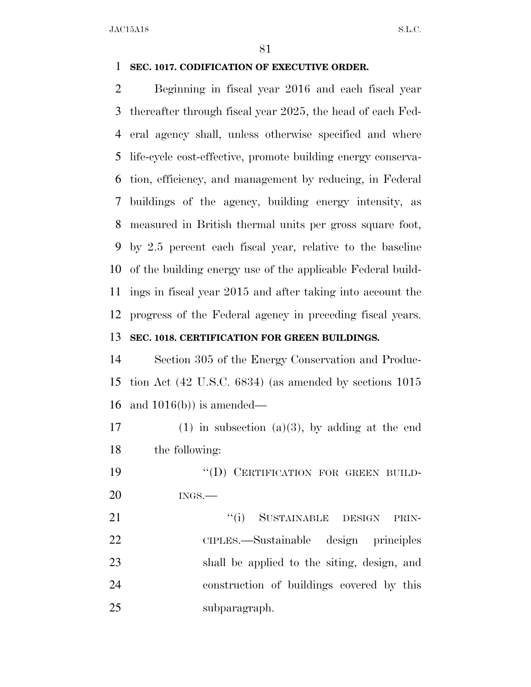## **SEC. 1017. CODIFICATION OF EXECUTIVE ORDER.**

 Beginning in fiscal year 2016 and each fiscal year thereafter through fiscal year 2025, the head of each Fed- eral agency shall, unless otherwise specified and where life-cycle cost-effective, promote building energy conserva- tion, efficiency, and management by reducing, in Federal buildings of the agency, building energy intensity, as measured in British thermal units per gross square foot, by 2.5 percent each fiscal year, relative to the baseline of the building energy use of the applicable Federal build- ings in fiscal year 2015 and after taking into account the progress of the Federal agency in preceding fiscal years.

## **SEC. 1018. CERTIFICATION FOR GREEN BUILDINGS.**

 Section 305 of the Energy Conservation and Produc- tion Act (42 U.S.C. 6834) (as amended by sections 1015 and 1016(b)) is amended—

17 (1) in subsection (a)(3), by adding at the end the following:

19 "(D) CERTIFICATION FOR GREEN BUILD-INGS.—

21 '(i) SUSTAINABLE DESIGN PRIN- CIPLES.—Sustainable design principles shall be applied to the siting, design, and construction of buildings covered by this subparagraph.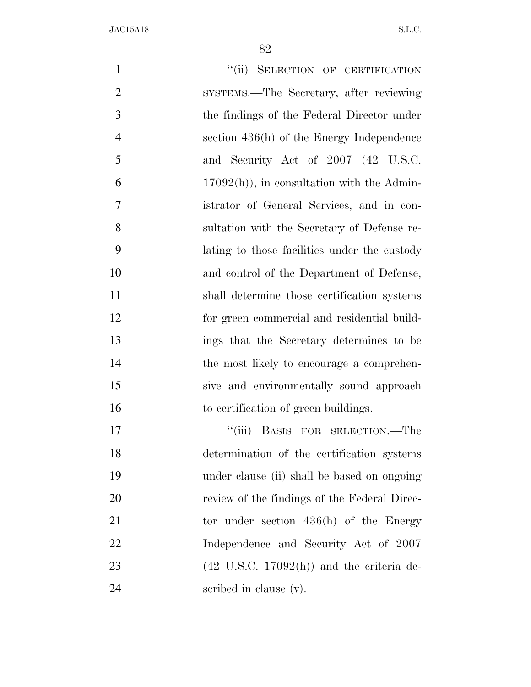1 "(ii) SELECTION OF CERTIFICATION SYSTEMS.—The Secretary, after reviewing the findings of the Federal Director under section 436(h) of the Energy Independence 5 and Security Act of 2007 (42 U.S.C.  $6 \t 17092(h)$ , in consultation with the Admin- istrator of General Services, and in con- sultation with the Secretary of Defense re- lating to those facilities under the custody and control of the Department of Defense, shall determine those certification systems for green commercial and residential build- ings that the Secretary determines to be 14 the most likely to encourage a comprehen- sive and environmentally sound approach 16 to certification of green buildings. 17 ''(iii) BASIS FOR SELECTION.—The determination of the certification systems under clause (ii) shall be based on ongoing review of the findings of the Federal Direc-21 tor under section 436(h) of the Energy Independence and Security Act of 2007 (42 U.S.C. 17092(h)) and the criteria de-scribed in clause (v).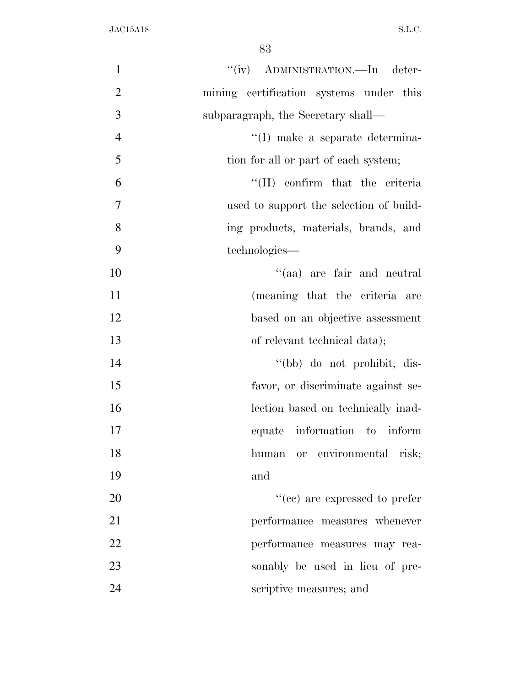| $\mathbf{1}$   | "(iv) ADMINISTRATION.—In deter-         |
|----------------|-----------------------------------------|
| $\overline{2}$ | mining certification systems under this |
| 3              | subparagraph, the Secretary shall—      |
| $\overline{4}$ | "(I) make a separate determina-         |
| 5              | tion for all or part of each system;    |
| 6              | "(II) confirm that the criteria         |
| $\overline{7}$ | used to support the selection of build- |
| 8              | ing products, materials, brands, and    |
| 9              | technologies-                           |
| 10             | "(aa) are fair and neutral              |
| 11             | (meaning that the criteria are          |
| 12             | based on an objective assessment        |
| 13             | of relevant technical data);            |
| 14             | "(bb) do not prohibit, dis-             |
| 15             | favor, or discriminate against se-      |
| 16             | lection based on technically inad-      |
| 17             | equate information to inform            |
| 18             | human or environmental risk;            |
| 19             | and                                     |
| 20             | "(cc) are expressed to prefer           |
| 21             | performance measures whenever           |
| 22             | performance measures may rea-           |
| 23             | sonably be used in lieu of pre-         |
| 24             | scriptive measures; and                 |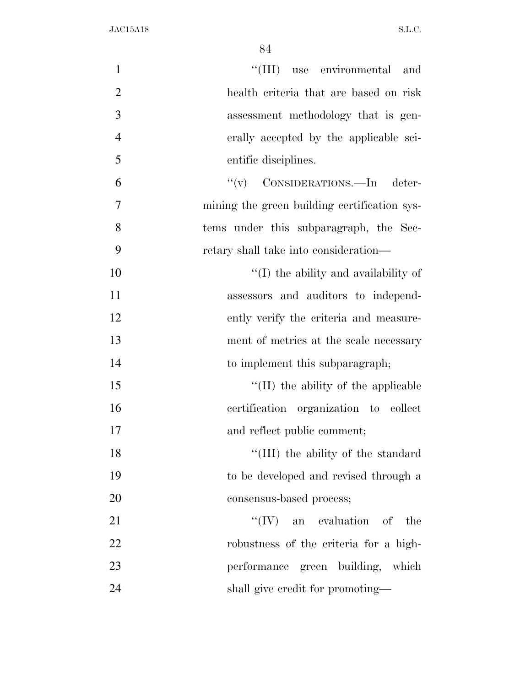| $\mathbf{1}$   | "(III) use environmental<br>and              |
|----------------|----------------------------------------------|
| $\overline{2}$ | health criteria that are based on risk       |
| 3              | assessment methodology that is gen-          |
| $\overline{4}$ | erally accepted by the applicable sci-       |
| 5              | entific disciplines.                         |
| 6              | $``(v)$ CONSIDERATIONS.—In deter-            |
| 7              | mining the green building certification sys- |
| 8              | tems under this subparagraph, the Sec-       |
| 9              | retary shall take into consideration—        |
| 10             | $``(I)$ the ability and availability of      |
| 11             | assessors and auditors to independ-          |
| 12             | ently verify the criteria and measure-       |
| 13             | ment of metrics at the scale necessary       |
| 14             | to implement this subparagraph;              |
| 15             | $\lq\lq$ (II) the ability of the applicable  |
| 16             | certification organization to collect        |
| 17             | and reflect public comment;                  |
| 18             | "(III) the ability of the standard           |
| 19             | to be developed and revised through a        |
| 20             | consensus-based process;                     |
| 21             | $\lq\lq (IV)$ an evaluation of the           |
| 22             | robustness of the criteria for a high-       |
| 23             | performance green building, which            |
| 24             | shall give credit for promoting—             |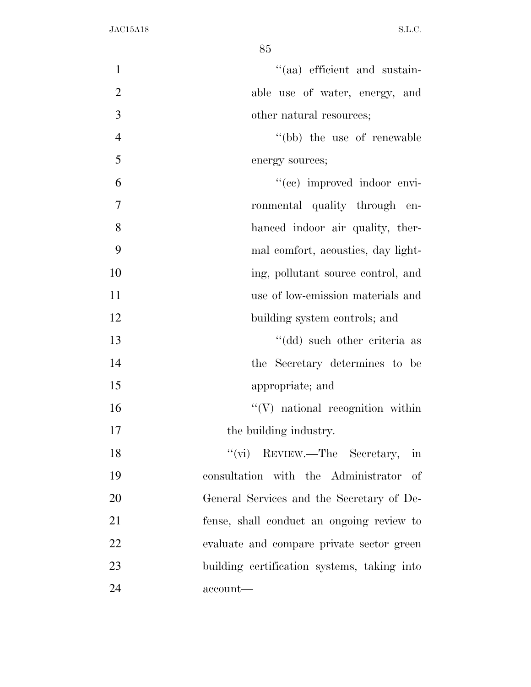| $\mathbf{1}$   | "(aa) efficient and sustain-                        |
|----------------|-----------------------------------------------------|
| $\overline{2}$ | able use of water, energy, and                      |
| 3              | other natural resources;                            |
| $\overline{4}$ | "(bb) the use of renewable                          |
| 5              | energy sources;                                     |
| 6              | "(ce) improved indoor envi-                         |
| 7              | ronmental quality through en-                       |
| 8              | hanced indoor air quality, ther-                    |
| 9              | mal comfort, acoustics, day light-                  |
| 10             | ing, pollutant source control, and                  |
| 11             | use of low-emission materials and                   |
| 12             | building system controls; and                       |
| 13             | "(dd) such other criteria as                        |
| 14             | the Secretary determines to be                      |
| 15             | appropriate; and                                    |
| 16             | $\lq\lq(V)$ national recognition within             |
| 17             | the building industry.                              |
| 18             | "(vi) REVIEW.—The Secretary,<br>$\operatorname{in}$ |
| 19             | consultation with the Administrator of              |
| 20             | General Services and the Secretary of De-           |
| 21             | fense, shall conduct an ongoing review to           |
| 22             | evaluate and compare private sector green           |
| 23             | building certification systems, taking into         |
| 24             | account—                                            |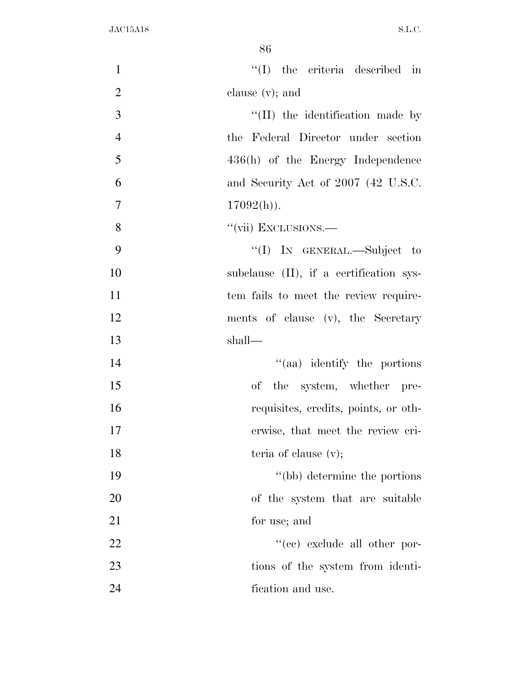| $\mathbf{1}$   | $``(I)$ the criteria described in       |
|----------------|-----------------------------------------|
| $\overline{2}$ | clause $(v)$ ; and                      |
| 3              | "(II) the identification made by        |
| $\overline{4}$ | the Federal Director under section      |
| 5              | $436(h)$ of the Energy Independence     |
| 6              | and Security Act of 2007 (42 U.S.C.     |
| $\overline{7}$ | $17092(h)$ .                            |
| 8              | "(vii) EXCLUSIONS.—                     |
| 9              | "(I) IN GENERAL.—Subject to             |
| 10             | subclause (II), if a certification sys- |
| 11             | tem fails to meet the review require-   |
| 12             | ments of clause (v), the Secretary      |
| 13             | shall—                                  |
| 14             | "(aa) identify the portions             |
| 15             | of the system, whether pre-             |
| 16             | requisites, credits, points, or oth-    |
| 17             | erwise, that meet the review cri-       |
| 18             | teria of clause $(v)$ ;                 |
| 19             | "(bb) determine the portions            |
| 20             | of the system that are suitable         |
| 21             | for use; and                            |
| 22             | "(cc) exclude all other por-            |
| 23             | tions of the system from identi-        |
| 24             | fication and use.                       |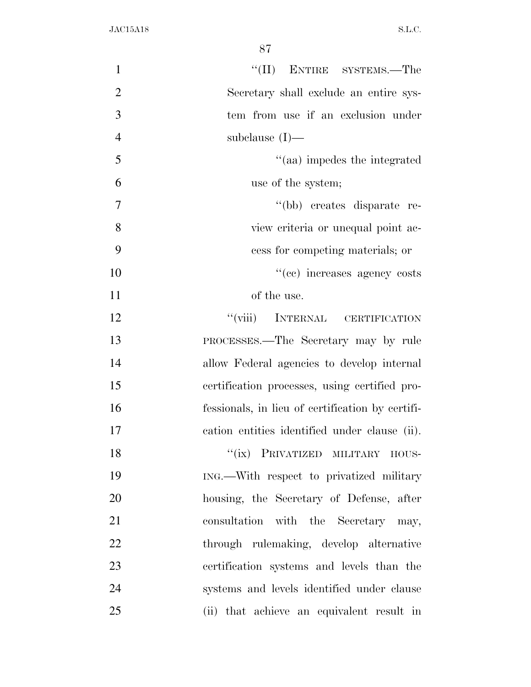| $\mathbf{1}$   | $``(II)$ ENTIRE SYSTEMS.—The                     |
|----------------|--------------------------------------------------|
| $\overline{2}$ | Secretary shall exclude an entire sys-           |
| 3              | tem from use if an exclusion under               |
| $\overline{4}$ | subclause $(I)$ —                                |
| 5              | "(aa) impedes the integrated                     |
| 6              | use of the system;                               |
| 7              | "(bb) creates disparate re-                      |
| 8              | view criteria or unequal point ac-               |
| 9              | cess for competing materials; or                 |
| 10             | "(cc) increases agency costs                     |
| 11             | of the use.                                      |
| 12             | "(viii) INTERNAL CERTIFICATION                   |
| 13             | PROCESSES.—The Secretary may by rule             |
| 14             | allow Federal agencies to develop internal       |
| 15             | certification processes, using certified pro-    |
| 16             | fessionals, in lieu of certification by certifi- |
| 17             | cation entities identified under clause (ii).    |
| 18             | "(ix) PRIVATIZED MILITARY HOUS-                  |
| 19             | ING.—With respect to privatized military         |
| 20             | housing, the Secretary of Defense, after         |
| 21             | consultation with the Secretary may,             |
| 22             | through rulemaking, develop alternative          |
| 23             | certification systems and levels than the        |
| 24             | systems and levels identified under clause       |
| 25             | (ii) that achieve an equivalent result in        |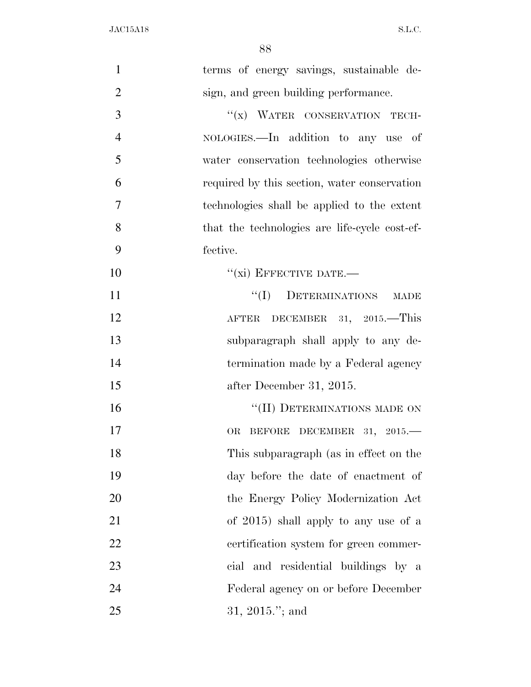| $\mathbf{1}$   | terms of energy savings, sustainable de-      |
|----------------|-----------------------------------------------|
| $\overline{2}$ | sign, and green building performance.         |
| 3              | "(x) WATER CONSERVATION TECH-                 |
| $\overline{4}$ | NOLOGIES.—In addition to any use of           |
| 5              | water conservation technologies otherwise     |
| 6              | required by this section, water conservation  |
| 7              | technologies shall be applied to the extent   |
| 8              | that the technologies are life-cycle cost-ef- |
| 9              | fective.                                      |
| 10             | $``(xi)$ EFFECTIVE DATE.—                     |
| 11             | "(I) DETERMINATIONS MADE                      |
| 12             | AFTER DECEMBER 31, 2015. This                 |
| 13             | subparagraph shall apply to any de-           |
| 14             | termination made by a Federal agency          |
| 15             | after December 31, 2015.                      |
| 16             | "(II) DETERMINATIONS MADE ON                  |
| 17             | BEFORE DECEMBER 31, 2015.<br>OR               |
| 18             | This subparagraph (as in effect on the        |
| 19             | day before the date of enactment of           |
| 20             | the Energy Policy Modernization Act           |
| 21             | of 2015) shall apply to any use of a          |
| 22             | certification system for green commer-        |
| 23             | cial and residential buildings by a           |
| 24             | Federal agency on or before December          |
| 25             | $31, 2015$ ."; and                            |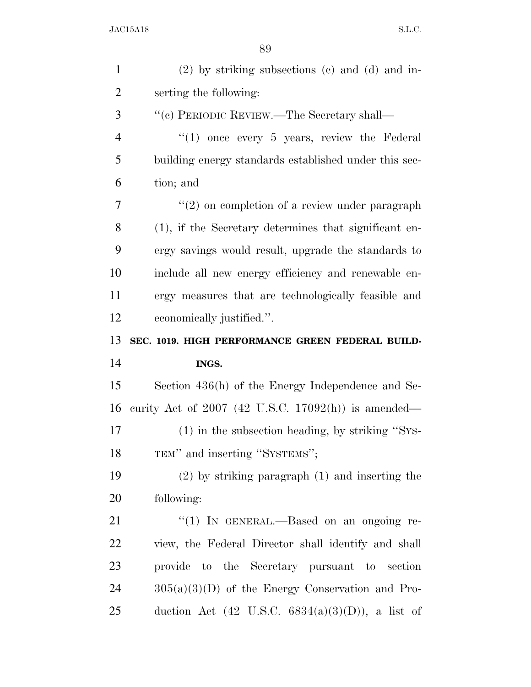| $\mathbf{1}$   | $(2)$ by striking subsections $(e)$ and $(d)$ and in- |
|----------------|-------------------------------------------------------|
| $\overline{2}$ | serting the following:                                |
| 3              | "(c) PERIODIC REVIEW.—The Secretary shall—            |
| $\overline{4}$ | $(1)$ once every 5 years, review the Federal          |
| 5              | building energy standards established under this sec- |
| 6              | tion; and                                             |
| 7              | $"(2)$ on completion of a review under paragraph      |
| 8              | (1), if the Secretary determines that significant en- |
| 9              | ergy savings would result, upgrade the standards to   |
| 10             | include all new energy efficiency and renewable en-   |
| 11             | ergy measures that are technologically feasible and   |
| 12             | economically justified.".                             |
| 13             | SEC. 1019. HIGH PERFORMANCE GREEN FEDERAL BUILD-      |
| 14             | INGS.                                                 |
| 15             | Section 436(h) of the Energy Independence and Se-     |
| 16             | curity Act of $2007$ (42 U.S.C. 17092(h)) is amended— |
| 17             | (1) in the subsection heading, by striking "SYS-      |
| 18             | TEM" and inserting "SYSTEMS";                         |
| 19             | $(2)$ by striking paragraph $(1)$ and inserting the   |
| 20             | following:                                            |
| 21             | " $(1)$ IN GENERAL.—Based on an ongoing re-           |
| 22             | view, the Federal Director shall identify and shall   |
| 23             | provide to the Secretary pursuant to section          |
| 24             | $305(a)(3)(D)$ of the Energy Conservation and Pro-    |
|                |                                                       |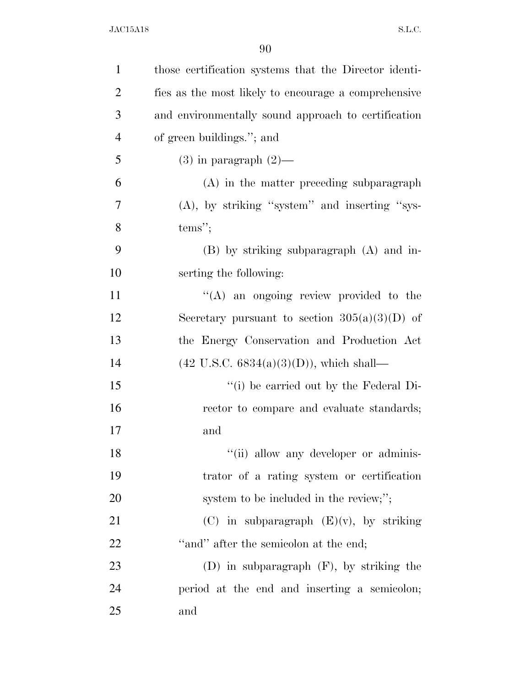| $\mathbf{1}$   | those certification systems that the Director identi- |
|----------------|-------------------------------------------------------|
| $\overline{2}$ | fies as the most likely to encourage a comprehensive  |
| 3              | and environmentally sound approach to certification   |
| $\overline{4}$ | of green buildings."; and                             |
| 5              | $(3)$ in paragraph $(2)$ —                            |
| 6              | (A) in the matter preceding subparagraph              |
| 7              | $(A)$ , by striking "system" and inserting "sys-      |
| 8              | $tems$ ";                                             |
| 9              | $(B)$ by striking subparagraph $(A)$ and in-          |
| 10             | serting the following:                                |
| 11             | $\lq\lq$ an ongoing review provided to the            |
| 12             | Secretary pursuant to section $305(a)(3)(D)$ of       |
| 13             | the Energy Conservation and Production Act            |
| 14             | $(42 \text{ U.S.C. } 6834(a)(3)(D))$ , which shall—   |
| 15             | "(i) be carried out by the Federal Di-                |
| 16             | rector to compare and evaluate standards;             |
| 17             | and                                                   |
| 18             | "(ii) allow any developer or adminis-                 |
| 19             | trator of a rating system or certification            |
| 20             | system to be included in the review;";                |
| 21             | $(C)$ in subparagraph $(E)(v)$ , by striking          |
| 22             | "and" after the semicolon at the end;                 |
| 23             | $(D)$ in subparagraph $(F)$ , by striking the         |
| 24             | period at the end and inserting a semicolon;          |
| 25             | and                                                   |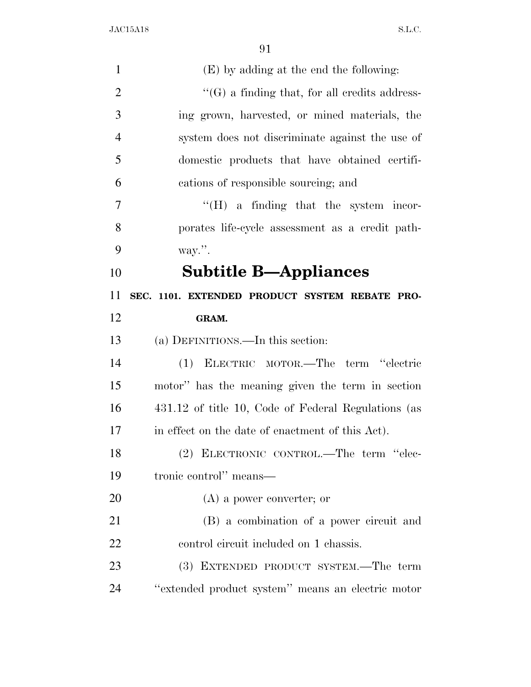| $\mathbf{1}$   | (E) by adding at the end the following:              |
|----------------|------------------------------------------------------|
| $\overline{2}$ | $\lq\lq(G)$ a finding that, for all credits address- |
| 3              | ing grown, harvested, or mined materials, the        |
| $\overline{4}$ | system does not discriminate against the use of      |
| 5              | domestic products that have obtained certifi-        |
| 6              | cations of responsible sourcing; and                 |
| 7              | $\lq\lq(H)$ a finding that the system incor-         |
| 8              | porates life-cycle assessment as a credit path-      |
| 9              | way.".                                               |
| 10             | <b>Subtitle B-Appliances</b>                         |
| 11             | SEC. 1101. EXTENDED PRODUCT SYSTEM REBATE PRO-       |
| 12             | GRAM.                                                |
| 13             | (a) DEFINITIONS.—In this section:                    |
| 14             | (1) ELECTRIC MOTOR.—The term "electric               |
| 15             | motor" has the meaning given the term in section     |
| 16             | 431.12 of title 10, Code of Federal Regulations (as  |
| 17             | in effect on the date of enactment of this Act).     |
| 18             | (2) ELECTRONIC CONTROL.-The term "elec-              |
| 19             | tronic control" means—                               |
| 20             | $(A)$ a power converter; or                          |
| 21             | (B) a combination of a power circuit and             |
| 22             | control circuit included on 1 chassis.               |
| 23             | (3) EXTENDED PRODUCT SYSTEM.—The term                |
| 24             | "extended product system" means an electric motor    |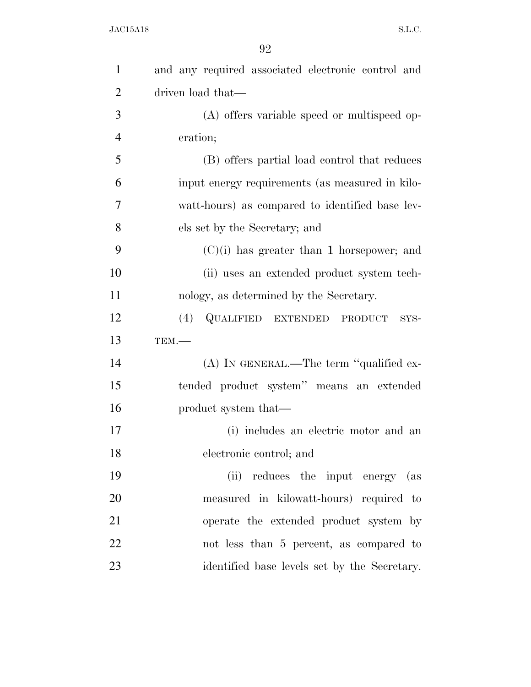| $\mathbf{1}$   | and any required associated electronic control and |
|----------------|----------------------------------------------------|
| $\overline{2}$ | driven load that—                                  |
| 3              | (A) offers variable speed or multispeed op-        |
| $\overline{4}$ | eration;                                           |
| 5              | (B) offers partial load control that reduces       |
| 6              | input energy requirements (as measured in kilo-    |
| 7              | watt-hours) as compared to identified base lev-    |
| 8              | els set by the Secretary; and                      |
| 9              | $(C)(i)$ has greater than 1 horsepower; and        |
| 10             | (ii) uses an extended product system tech-         |
| 11             | nology, as determined by the Secretary.            |
| 12             | (4) QUALIFIED EXTENDED<br>PRODUCT<br>SYS-          |
| 13             | TEM.                                               |
| 14             | (A) IN GENERAL.—The term "qualified ex-            |
| 15             | tended product system" means an extended           |
| 16             | product system that—                               |
| 17             | (i) includes an electric motor and an              |
| 18             | electronic control; and                            |
| 19             | (ii) reduces the input energy (as                  |
| 20             | measured in kilowatt-hours) required to            |
| 21             | operate the extended product system by             |
| 22             | not less than 5 percent, as compared to            |
| 23             | identified base levels set by the Secretary.       |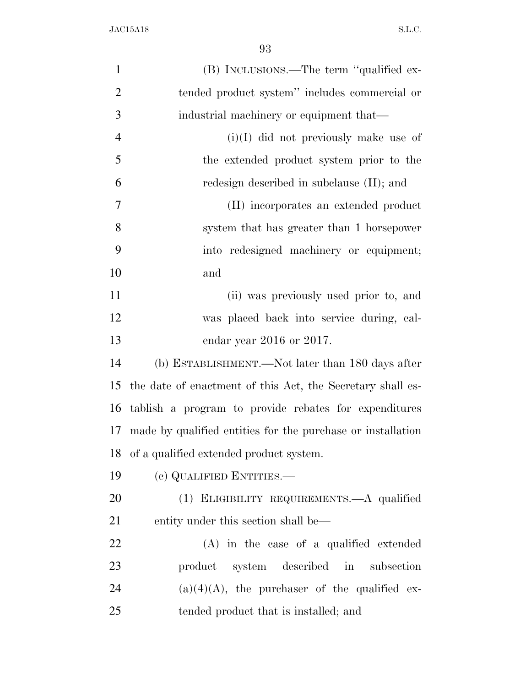| $\mathbf{1}$   | (B) INCLUSIONS.—The term "qualified ex-                     |
|----------------|-------------------------------------------------------------|
| $\overline{2}$ | tended product system" includes commercial or               |
| 3              | industrial machinery or equipment that—                     |
| $\overline{4}$ | $(i)(I)$ did not previously make use of                     |
| 5              | the extended product system prior to the                    |
| 6              | redesign described in subclause (II); and                   |
| 7              | (II) incorporates an extended product                       |
| 8              | system that has greater than 1 horsepower                   |
| 9              | into redesigned machinery or equipment;                     |
| 10             | and                                                         |
| 11             | (ii) was previously used prior to, and                      |
| 12             | was placed back into service during, cal-                   |
| 13             | endar year $2016$ or $2017$ .                               |
| 14             | (b) ESTABLISHMENT.—Not later than 180 days after            |
| 15             | the date of enactment of this Act, the Secretary shall es-  |
| 16             | tablish a program to provide rebates for expenditures       |
| 17             | made by qualified entities for the purchase or installation |
| 18             | of a qualified extended product system.                     |
| 19             | (c) QUALIFIED ENTITIES.—                                    |
| 20             | (1) ELIGIBILITY REQUIREMENTS.—A qualified                   |
| 21             | entity under this section shall be—                         |
| 22             | (A) in the case of a qualified extended                     |
| 23             | product system described in<br>subsection                   |
| 24             | $(a)(4)(A)$ , the purchaser of the qualified ex-            |
| 25             | tended product that is installed; and                       |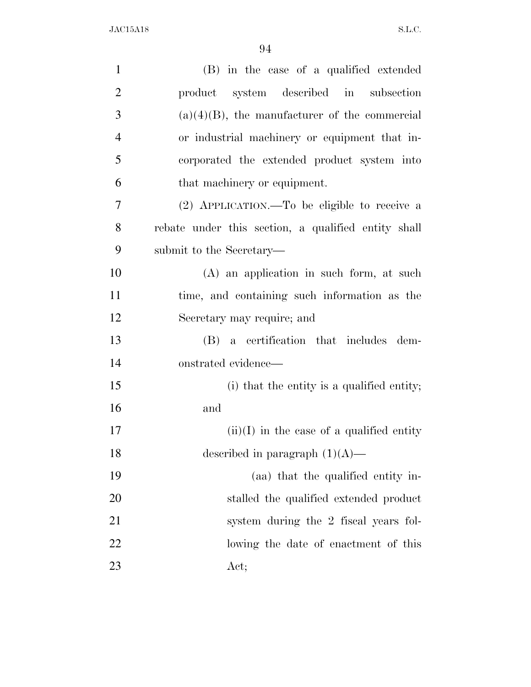| $\mathbf{1}$   | (B) in the case of a qualified extended             |
|----------------|-----------------------------------------------------|
| $\overline{2}$ | product system described in subsection              |
| 3              | $(a)(4)(B)$ , the manufacturer of the commercial    |
| $\overline{4}$ | or industrial machinery or equipment that in-       |
| 5              | corporated the extended product system into         |
| 6              | that machinery or equipment.                        |
| 7              | (2) APPLICATION.—To be eligible to receive a        |
| 8              | rebate under this section, a qualified entity shall |
| 9              | submit to the Secretary—                            |
| 10             | $(A)$ an application in such form, at such          |
| 11             | time, and containing such information as the        |
| 12             | Secretary may require; and                          |
| 13             | (B) a certification that includes dem-              |
| 14             | onstrated evidence—                                 |
| 15             | (i) that the entity is a qualified entity;          |
| 16             | and                                                 |
| 17             | $(ii)(I)$ in the case of a qualified entity         |
| 18             | described in paragraph $(1)(A)$ —                   |
| 19             | (aa) that the qualified entity in-                  |
| 20             | stalled the qualified extended product              |
| 21             | system during the 2 fiscal years fol-               |
| 22             | lowing the date of enactment of this                |
| 23             | Act;                                                |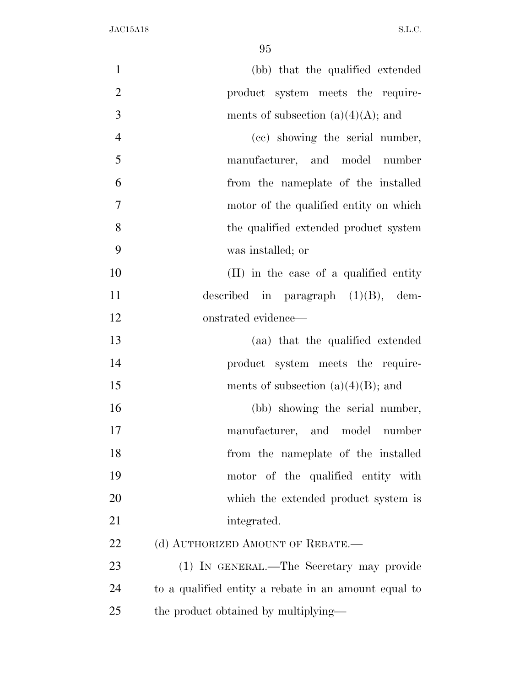| $\mathbf{1}$   | (bb) that the qualified extended                     |
|----------------|------------------------------------------------------|
| $\overline{2}$ | product system meets the require-                    |
| 3              | ments of subsection $(a)(4)(A)$ ; and                |
| $\overline{4}$ | (cc) showing the serial number,                      |
| 5              | manufacturer, and model number                       |
| 6              | from the nameplate of the installed                  |
| 7              | motor of the qualified entity on which               |
| 8              | the qualified extended product system                |
| 9              | was installed; or                                    |
| 10             | (II) in the case of a qualified entity               |
| 11             | described in paragraph $(1)(B)$ , dem-               |
| 12             | onstrated evidence—                                  |
| 13             | (aa) that the qualified extended                     |
| 14             | product system meets the require-                    |
| 15             | ments of subsection $(a)(4)(B)$ ; and                |
| 16             | (bb) showing the serial number,                      |
| 17             | manufacturer, and model number                       |
| 18             | from the nameplate of the installed                  |
| 19             | motor of the qualified entity with                   |
| 20             | which the extended product system is                 |
| 21             | integrated.                                          |
| 22             | (d) AUTHORIZED AMOUNT OF REBATE.—                    |
| 23             | (1) IN GENERAL.—The Secretary may provide            |
| 24             | to a qualified entity a rebate in an amount equal to |
| 25             | the product obtained by multiplying—                 |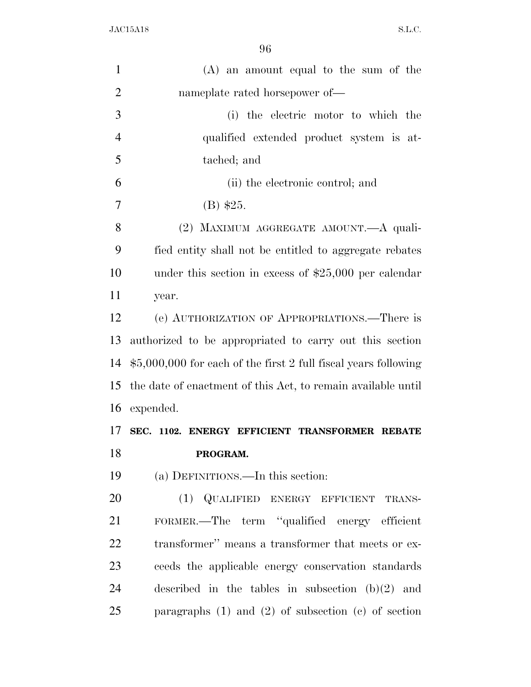| $\mathbf{1}$   | $(A)$ an amount equal to the sum of the                          |
|----------------|------------------------------------------------------------------|
| $\overline{2}$ | nameplate rated horsepower of—                                   |
| 3              | (i) the electric motor to which the                              |
| $\overline{4}$ | qualified extended product system is at-                         |
| 5              | tached; and                                                      |
| 6              | (ii) the electronic control; and                                 |
| $\overline{7}$ | $(B)$ \$25.                                                      |
| 8              | (2) MAXIMUM AGGREGATE AMOUNT.—A quali-                           |
| 9              | fied entity shall not be entitled to aggregate rebates           |
| 10             | under this section in excess of $$25,000$ per calendar           |
| 11             | year.                                                            |
| 12             | (e) AUTHORIZATION OF APPROPRIATIONS.—There is                    |
| 13             | authorized to be appropriated to carry out this section          |
| 14             | $$5,000,000$ for each of the first 2 full fiscal years following |
| 15             | the date of enactment of this Act, to remain available until     |
| 16             | expended.                                                        |
| 17             | SEC. 1102. ENERGY EFFICIENT TRANSFORMER REBATE                   |
| 18             | PROGRAM.                                                         |
| 19             | (a) DEFINITIONS.—In this section:                                |
| 20             | (1) QUALIFIED ENERGY EFFICIENT TRANS-                            |
| 21             | FORMER.—The term "qualified energy efficient                     |
| 22             | transformer" means a transformer that meets or ex-               |
| 23             | ceeds the applicable energy conservation standards               |
| 24             | described in the tables in subsection $(b)(2)$ and               |
| 25             | paragraphs $(1)$ and $(2)$ of subsection $(e)$ of section        |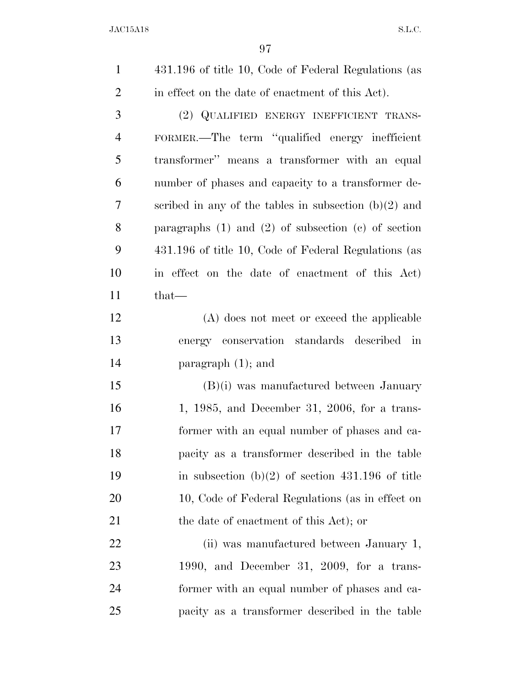| $\mathbf{1}$   | 431.196 of title 10, Code of Federal Regulations (as      |
|----------------|-----------------------------------------------------------|
| $\overline{2}$ | in effect on the date of enactment of this Act).          |
| 3              | (2) QUALIFIED ENERGY INEFFICIENT TRANS-                   |
| $\overline{4}$ | FORMER.—The term "qualified energy inefficient            |
| 5              | transformer" means a transformer with an equal            |
| 6              | number of phases and capacity to a transformer de-        |
| 7              | scribed in any of the tables in subsection $(b)(2)$ and   |
| 8              | paragraphs $(1)$ and $(2)$ of subsection $(e)$ of section |
| 9              | 431.196 of title 10, Code of Federal Regulations (as      |
| 10             | in effect on the date of enactment of this Act)           |
| 11             | that-                                                     |
| 12             | (A) does not meet or exceed the applicable                |
| 13             | energy conservation standards described in                |
| 14             | paragraph $(1)$ ; and                                     |
| 15             | $(B)(i)$ was manufactured between January                 |
| 16             | $1, 1985,$ and December 31, 2006, for a trans-            |
| 17             | former with an equal number of phases and ca-             |
| 18             | pacity as a transformer described in the table            |
| 19             | in subsection $(b)(2)$ of section 431.196 of title        |
| 20             | 10, Code of Federal Regulations (as in effect on          |
| 21             | the date of enactment of this Act); or                    |
| <u>22</u>      | (ii) was manufactured between January 1,                  |
| 23             | 1990, and December 31, 2009, for a trans-                 |
| 24             | former with an equal number of phases and ca-             |
| 25             | pacity as a transformer described in the table            |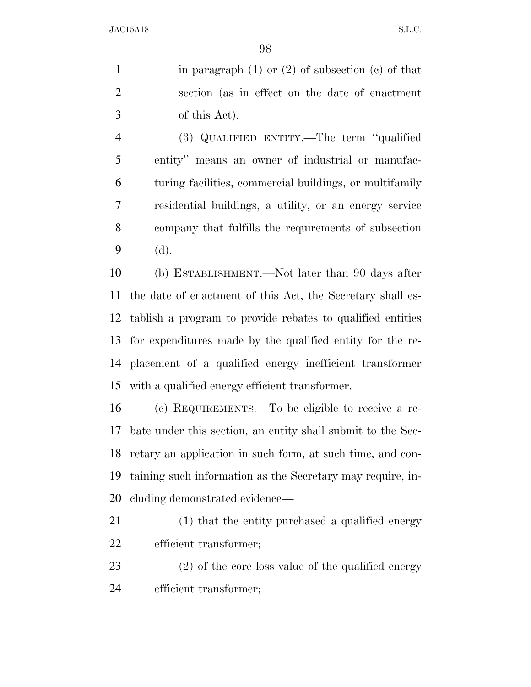1 in paragraph  $(1)$  or  $(2)$  of subsection  $(e)$  of that section (as in effect on the date of enactment of this Act).

 (3) QUALIFIED ENTITY.—The term ''qualified entity'' means an owner of industrial or manufac- turing facilities, commercial buildings, or multifamily residential buildings, a utility, or an energy service company that fulfills the requirements of subsection (d).

 (b) ESTABLISHMENT.—Not later than 90 days after the date of enactment of this Act, the Secretary shall es- tablish a program to provide rebates to qualified entities for expenditures made by the qualified entity for the re- placement of a qualified energy inefficient transformer with a qualified energy efficient transformer.

 (c) REQUIREMENTS.—To be eligible to receive a re- bate under this section, an entity shall submit to the Sec- retary an application in such form, at such time, and con- taining such information as the Secretary may require, in-cluding demonstrated evidence—

- (1) that the entity purchased a qualified energy efficient transformer;
- (2) of the core loss value of the qualified energy efficient transformer;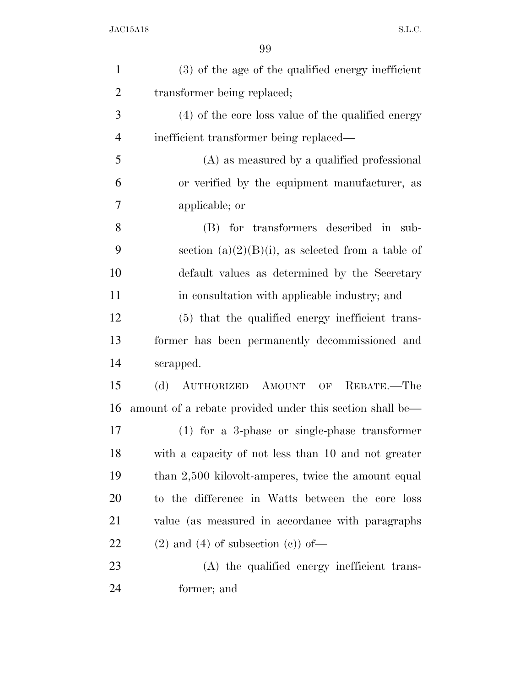| $\mathbf{1}$   | (3) of the age of the qualified energy inefficient       |
|----------------|----------------------------------------------------------|
| $\overline{2}$ | transformer being replaced;                              |
| 3              | (4) of the core loss value of the qualified energy       |
| $\overline{4}$ | inefficient transformer being replaced—                  |
| 5              | (A) as measured by a qualified professional              |
| 6              | or verified by the equipment manufacturer, as            |
| 7              | applicable; or                                           |
| 8              | (B) for transformers described in sub-                   |
| 9              | section (a) $(2)(B)(i)$ , as selected from a table of    |
| 10             | default values as determined by the Secretary            |
| 11             | in consultation with applicable industry; and            |
| 12             | (5) that the qualified energy inefficient trans-         |
| 13             | former has been permanently decommissioned and           |
| 14             | scrapped.                                                |
| 15             | AUTHORIZED AMOUNT OF<br>REBATE.—The<br>(d)               |
| 16             | amount of a rebate provided under this section shall be— |
| 17             | $(1)$ for a 3-phase or single-phase transformer          |
| 18             | with a capacity of not less than 10 and not greater      |
| 19             | than 2,500 kilovolt-amperes, twice the amount equal      |
| 20             | to the difference in Watts between the core loss         |
| 21             | value (as measured in accordance with paragraphs         |
| 22             | $(2)$ and $(4)$ of subsection $(e)$ of —                 |
| 23             | (A) the qualified energy inefficient trans-              |
| 24             | former; and                                              |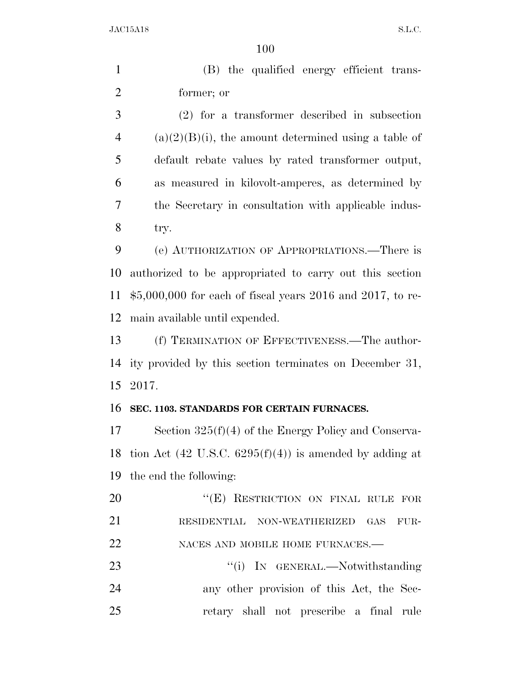(B) the qualified energy efficient trans- former; or (2) for a transformer described in subsection 4 (a) $(2)(B)(i)$ , the amount determined using a table of

 default rebate values by rated transformer output, as measured in kilovolt-amperes, as determined by the Secretary in consultation with applicable indus-try.

 (e) AUTHORIZATION OF APPROPRIATIONS.—There is authorized to be appropriated to carry out this section \$5,000,000 for each of fiscal years 2016 and 2017, to re-main available until expended.

 (f) TERMINATION OF EFFECTIVENESS.—The author- ity provided by this section terminates on December 31, 2017.

## **SEC. 1103. STANDARDS FOR CERTAIN FURNACES.**

 Section 325(f)(4) of the Energy Policy and Conserva-18 tion Act (42 U.S.C.  $6295(f)(4)$ ) is amended by adding at the end the following:

20 "(E) RESTRICTION ON FINAL RULE FOR RESIDENTIAL NON-WEATHERIZED GAS FUR-22 NACES AND MOBILE HOME FURNACES.— 23 "(i) IN GENERAL.—Notwithstanding

 any other provision of this Act, the Sec-retary shall not prescribe a final rule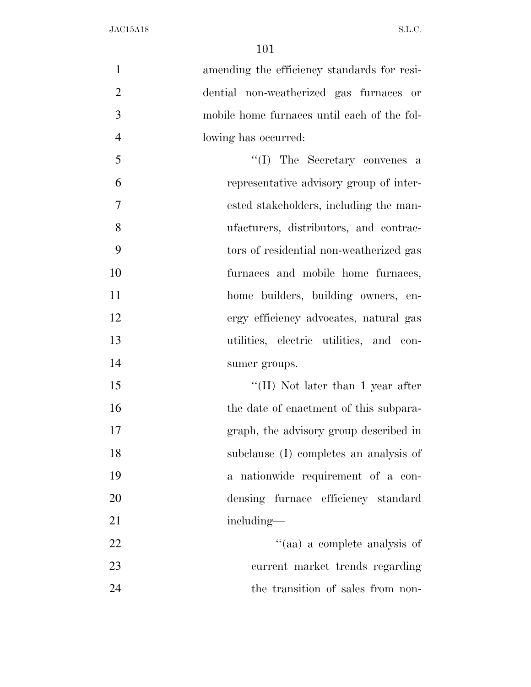amending the efficiency standards for resi- dential non-weatherized gas furnaces or mobile home furnaces until each of the fol- lowing has occurred: 5 ''(I) The Secretary convenes a representative advisory group of inter- ested stakeholders, including the man- ufacturers, distributors, and contrac- tors of residential non-weatherized gas furnaces and mobile home furnaces, 11 home builders, building owners, en- ergy efficiency advocates, natural gas utilities, electric utilities, and con- sumer groups. 15 ''(II) Not later than 1 year after 16 the date of enactment of this subpara- graph, the advisory group described in subclause (I) completes an analysis of a nationwide requirement of a con- densing furnace efficiency standard 21 including— 22 ''(aa) a complete analysis of current market trends regarding 24 the transition of sales from non-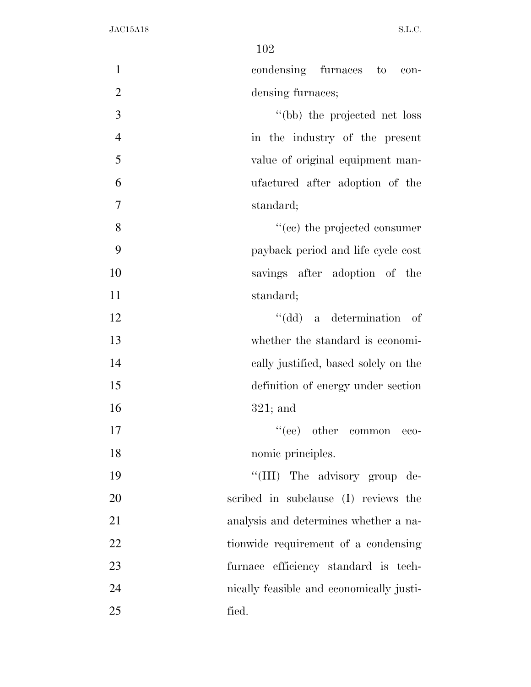| $\mathbf{1}$   | condensing furnaces to<br>con-               |
|----------------|----------------------------------------------|
| $\mathbf{2}$   | densing furnaces;                            |
| 3              | "(bb) the projected net loss                 |
| $\overline{4}$ | in the industry of the present               |
| 5              | value of original equipment man-             |
| 6              | ufactured after adoption of the              |
| $\overline{7}$ | standard;                                    |
| 8              | "(cc) the projected consumer                 |
| 9              | payback period and life cycle cost           |
| 10             | savings after adoption of the                |
| 11             | standard;                                    |
| 12             | a determination<br>$``(\mathrm{dd})$<br>- of |
| 13             | whether the standard is economi-             |
| 14             | cally justified, based solely on the         |
| 15             | definition of energy under section           |
| 16             | $321;$ and                                   |
| 17             | other common eco-<br>``(ee)                  |
| 18             | nomic principles.                            |
| 19             | "(III) The advisory group de-                |
| 20             | scribed in subclause (I) reviews the         |
| 21             | analysis and determines whether a na-        |
| 22             | tionwide requirement of a condensing         |
| 23             | furnace efficiency standard is tech-         |
| 24             | nically feasible and economically justi-     |
| 25             | fied.                                        |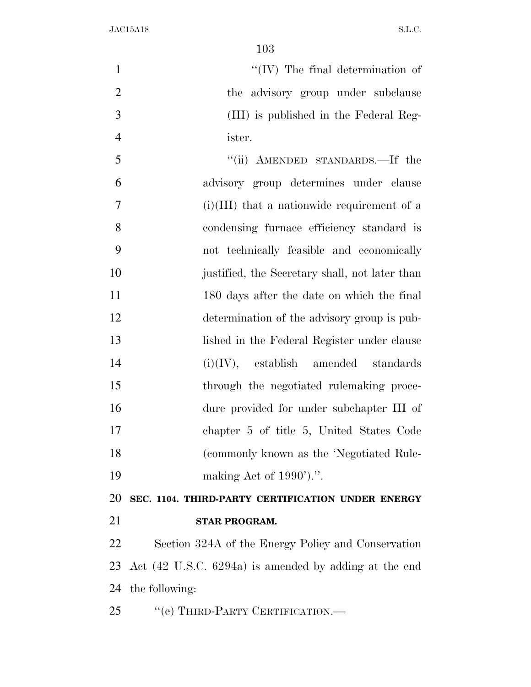| $\mathbf{1}$   | $\lq\lq$ (IV) The final determination of                         |
|----------------|------------------------------------------------------------------|
| $\overline{2}$ | the advisory group under subclause                               |
| 3              | (III) is published in the Federal Reg-                           |
| $\overline{4}$ | ister.                                                           |
| 5              | "(ii) AMENDED STANDARDS.—If the                                  |
| 6              | advisory group determines under clause                           |
| $\overline{7}$ | $(i)(III)$ that a nationwide requirement of a                    |
| 8              | condensing furnace efficiency standard is                        |
| 9              | not technically feasible and economically                        |
| 10             | justified, the Secretary shall, not later than                   |
| 11             | 180 days after the date on which the final                       |
| 12             | determination of the advisory group is pub-                      |
| 13             | lished in the Federal Register under clause                      |
| 14             | $(i)(IV)$ , establish amended standards                          |
| 15             | through the negotiated rulemaking proce-                         |
| 16             | dure provided for under subchapter III of                        |
| 17             | chapter 5 of title 5, United States Code                         |
| 18             | (commonly known as the 'Negotiated Rule-                         |
| 19             | making Act of $1990'$ .".                                        |
| 20             | SEC. 1104. THIRD-PARTY CERTIFICATION UNDER ENERGY                |
| 21             | STAR PROGRAM.                                                    |
| 22             | Section 324A of the Energy Policy and Conservation               |
| 23             | Act $(42 \text{ U.S.C. } 6294a)$ is amended by adding at the end |
| 24             | the following:                                                   |
| 25             | "(e) THIRD-PARTY CERTIFICATION.—                                 |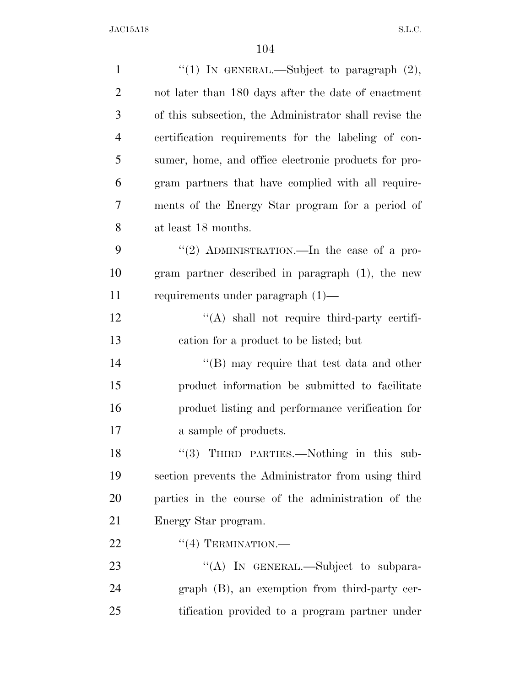| $\mathbf{1}$   | "(1) IN GENERAL.—Subject to paragraph $(2)$ ,          |
|----------------|--------------------------------------------------------|
| $\overline{2}$ | not later than 180 days after the date of enactment    |
| 3              | of this subsection, the Administrator shall revise the |
| $\overline{4}$ | certification requirements for the labeling of con-    |
| 5              | sumer, home, and office electronic products for pro-   |
| 6              | gram partners that have complied with all require-     |
| 7              | ments of the Energy Star program for a period of       |
| 8              | at least 18 months.                                    |
| 9              | "(2) ADMINISTRATION.—In the case of a pro-             |
| 10             | gram partner described in paragraph (1), the new       |
| 11             | requirements under paragraph $(1)$ —                   |
| 12             | $\lq\lq$ shall not require third-party certifi-        |
| 13             | cation for a product to be listed; but                 |
| 14             | "(B) may require that test data and other              |
| 15             | product information be submitted to facilitate         |
| 16             | product listing and performance verification for       |
| 17             | a sample of products.                                  |
| 18             | "(3) THIRD PARTIES.—Nothing in this sub-               |
| 19             | section prevents the Administrator from using third    |
| 20             | parties in the course of the administration of the     |
| 21             | Energy Star program.                                   |
| 22             | $``(4)$ TERMINATION.—                                  |
| 23             | "(A) IN GENERAL.—Subject to subpara-                   |
| 24             | graph (B), an exemption from third-party cer-          |
| 25             | tification provided to a program partner under         |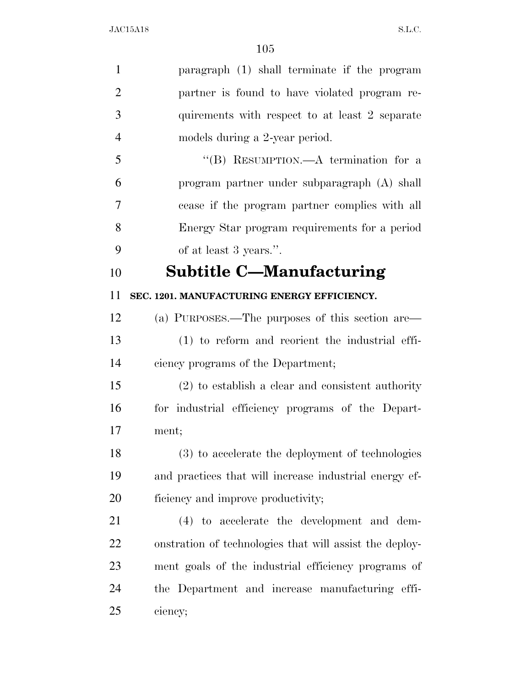| $\mathbf{1}$   | paragraph (1) shall terminate if the program            |
|----------------|---------------------------------------------------------|
| $\overline{2}$ | partner is found to have violated program re-           |
| 3              | quirements with respect to at least 2 separate          |
| $\overline{4}$ | models during a 2-year period.                          |
| 5              | "(B) RESUMPTION.—A termination for a                    |
| 6              | program partner under subparagraph (A) shall            |
| 7              | cease if the program partner complies with all          |
| 8              | Energy Star program requirements for a period           |
| 9              | of at least 3 years.".                                  |
| 10             | <b>Subtitle C-Manufacturing</b>                         |
| 11             | SEC. 1201. MANUFACTURING ENERGY EFFICIENCY.             |
| 12             | (a) PURPOSES.—The purposes of this section are—         |
| 13             | $(1)$ to reform and reorient the industrial effi-       |
| 14             | ciency programs of the Department;                      |
| 15             | $(2)$ to establish a clear and consistent authority     |
| 16             | for industrial efficiency programs of the Depart-       |
| 17             | ment;                                                   |
| 18             | (3) to accelerate the deployment of technologies        |
| 19             | and practices that will increase industrial energy ef-  |
| 20             | ficiency and improve productivity;                      |
| 21             | $(4)$ to accelerate the development and dem-            |
| 22             | onstration of technologies that will assist the deploy- |
| 23             | ment goals of the industrial efficiency programs of     |
| 24             | the Department and increase manufacturing effi-         |
| 25             | ciency;                                                 |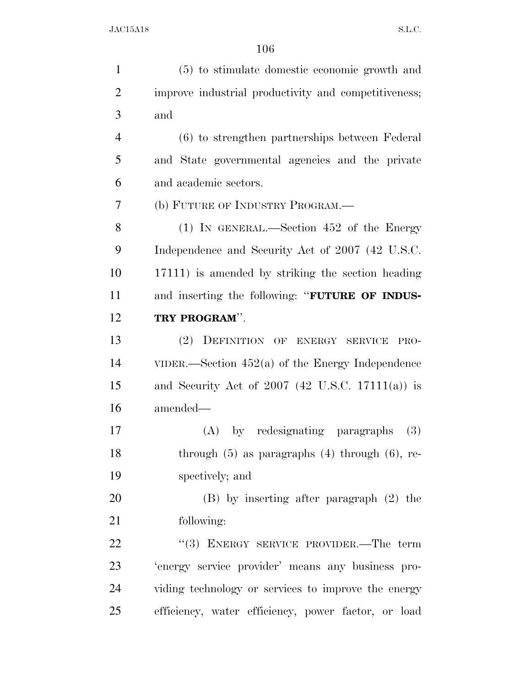(5) to stimulate domestic economic growth and improve industrial productivity and competitiveness; and (6) to strengthen partnerships between Federal and State governmental agencies and the private and academic sectors. (b) FUTURE OF INDUSTRY PROGRAM.— (1) IN GENERAL.—Section 452 of the Energy Independence and Security Act of 2007 (42 U.S.C. 17111) is amended by striking the section heading and inserting the following: ''**FUTURE OF INDUS- TRY PROGRAM**''. (2) DEFINITION OF ENERGY SERVICE PRO- VIDER.—Section 452(a) of the Energy Independence and Security Act of 2007 (42 U.S.C. 17111(a)) is amended— (A) by redesignating paragraphs (3) 18 through (5) as paragraphs (4) through (6), re- spectively; and (B) by inserting after paragraph (2) the following: 22 "(3) ENERGY SERVICE PROVIDER.—The term 'energy service provider' means any business pro- viding technology or services to improve the energy efficiency, water efficiency, power factor, or load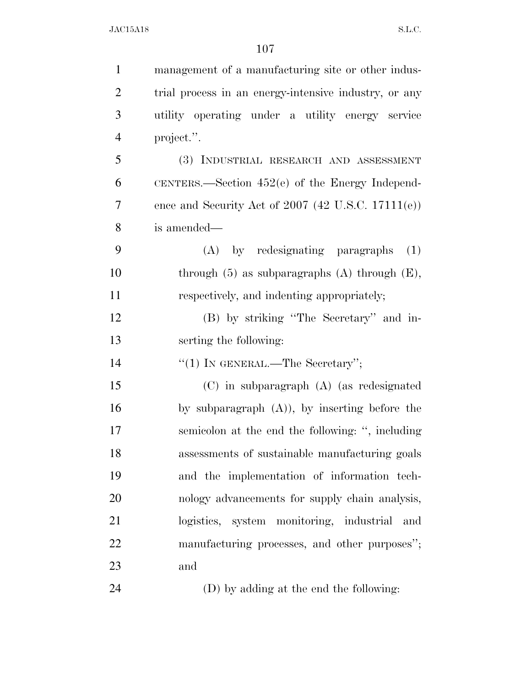| $\mathbf{1}$   | management of a manufacturing site or other indus-    |
|----------------|-------------------------------------------------------|
| $\overline{2}$ | trial process in an energy-intensive industry, or any |
| 3              | utility operating under a utility energy service      |
| $\overline{4}$ | project.".                                            |
| 5              | (3) INDUSTRIAL RESEARCH AND ASSESSMENT                |
| 6              | CENTERS.—Section $452(e)$ of the Energy Independ-     |
| 7              | ence and Security Act of $2007$ (42 U.S.C. 17111(e))  |
| 8              | is amended—                                           |
| 9              | (A) by redesignating paragraphs<br>(1)                |
| 10             | through $(5)$ as subparagraphs $(A)$ through $(E)$ ,  |
| 11             | respectively, and indenting appropriately;            |
| 12             | (B) by striking "The Secretary" and in-               |
| 13             | serting the following:                                |
| 14             | "(1) IN GENERAL.—The Secretary";                      |
| 15             | $(C)$ in subparagraph $(A)$ (as redesignated          |
| 16             | by subparagraph $(A)$ ), by inserting before the      |
| 17             | semicolon at the end the following: ", including      |
| 18             | assessments of sustainable manufacturing goals        |
| 19             | and the implementation of information tech-           |
| 20             | nology advancements for supply chain analysis,        |
| 21             | logistics, system monitoring, industrial and          |
| 22             | manufacturing processes, and other purposes";         |
| 23             | and                                                   |
| 24             | (D) by adding at the end the following:               |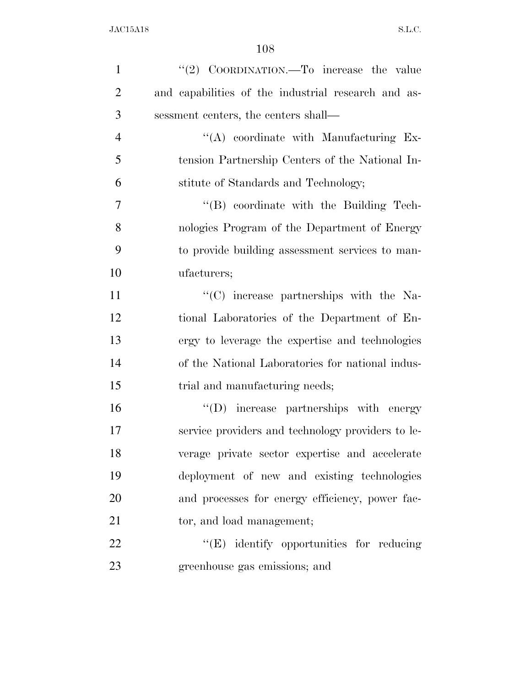| $\mathbf{1}$   | "(2) COORDINATION.—To increase the value            |
|----------------|-----------------------------------------------------|
| $\overline{2}$ | and capabilities of the industrial research and as- |
| 3              | sessment centers, the centers shall—                |
| $\overline{4}$ | $\lq\lq$ coordinate with Manufacturing Ex-          |
| 5              | tension Partnership Centers of the National In-     |
| 6              | stitute of Standards and Technology;                |
| 7              | $\lq\lq (B)$ coordinate with the Building Tech-     |
| 8              | nologies Program of the Department of Energy        |
| 9              | to provide building assessment services to man-     |
| 10             | ufacturers;                                         |
| 11             | "(C) increase partnerships with the Na-             |
| 12             | tional Laboratories of the Department of En-        |
| 13             | ergy to leverage the expertise and technologies     |
| 14             | of the National Laboratories for national indus-    |
| 15             | trial and manufacturing needs;                      |
| 16             | "(D) increase partnerships with energy              |
| 17             | service providers and technology providers to le-   |
| 18             | verage private sector expertise and accelerate      |
| 19             | deployment of new and existing technologies         |
| 20             | and processes for energy efficiency, power fac-     |
| 21             | tor, and load management;                           |
| 22             | "(E) identify opportunities for reducing            |
| 23             | greenhouse gas emissions; and                       |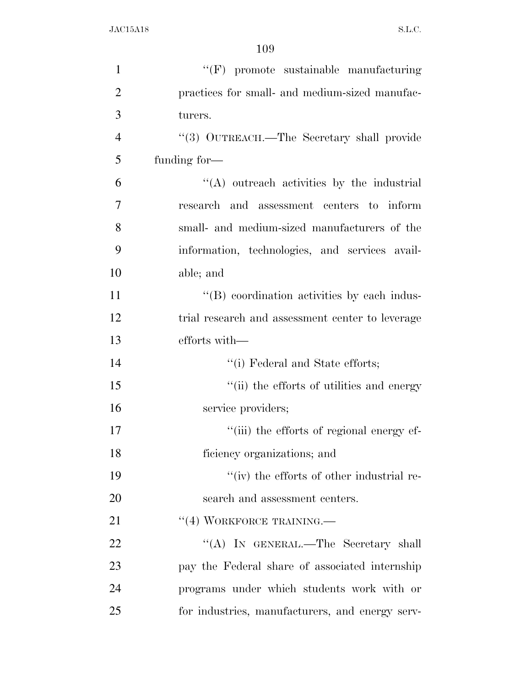| $\mathbf{1}$   | $``(F)$ promote sustainable manufacturing        |
|----------------|--------------------------------------------------|
| $\overline{2}$ | practices for small- and medium-sized manufac-   |
| 3              | turers.                                          |
| $\overline{4}$ | "(3) OUTREACH.—The Secretary shall provide       |
| 5              | funding for-                                     |
| 6              | $\lq\lq$ outreach activities by the industrial   |
| 7              | research and assessment centers to inform        |
| 8              | small- and medium-sized manufacturers of the     |
| 9              | information, technologies, and services avail-   |
| 10             | able; and                                        |
| 11             | "(B) coordination activities by each indus-      |
| 12             | trial research and assessment center to leverage |
| 13             | efforts with-                                    |
| 14             | "(i) Federal and State efforts;                  |
| 15             | "(ii) the efforts of utilities and energy        |
| 16             | service providers;                               |
| 17             | "(iii) the efforts of regional energy ef-        |
| 18             | ficiency organizations; and                      |
| 19             | "(iv) the efforts of other industrial re-        |
| 20             | search and assessment centers.                   |
| 21             | $``(4)$ WORKFORCE TRAINING.—                     |
| 22             | "(A) IN GENERAL.—The Secretary shall             |
| 23             | pay the Federal share of associated internship   |
| 24             | programs under which students work with or       |
| 25             | for industries, manufacturers, and energy serv-  |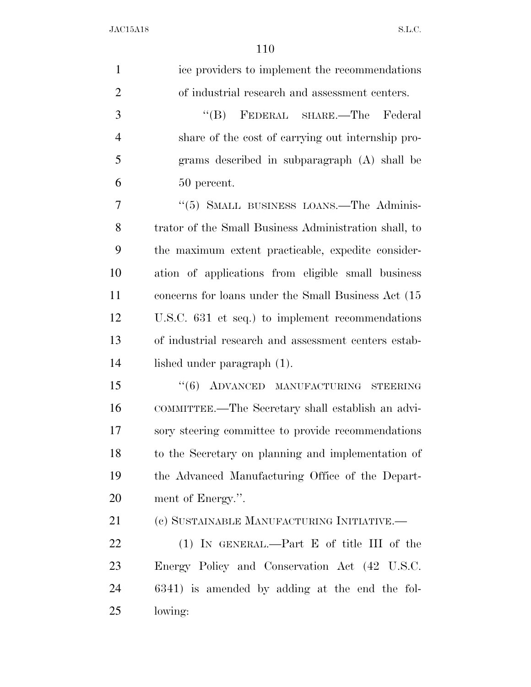| $\mathbf{1}$   | ice providers to implement the recommendations        |
|----------------|-------------------------------------------------------|
| $\overline{2}$ | of industrial research and assessment centers.        |
| 3              | "(B) FEDERAL SHARE.—The Federal                       |
| $\overline{4}$ | share of the cost of carrying out internship pro-     |
| 5              | grams described in subparagraph (A) shall be          |
| 6              | 50 percent.                                           |
| 7              | "(5) SMALL BUSINESS LOANS.—The Adminis-               |
| 8              | trator of the Small Business Administration shall, to |
| 9              | the maximum extent practicable, expedite consider-    |
| 10             | ation of applications from eligible small business    |
| 11             | concerns for loans under the Small Business Act (15)  |
| 12             | U.S.C. 631 et seq.) to implement recommendations      |
| 13             | of industrial research and assessment centers estab-  |
| 14             | lished under paragraph (1).                           |
| 15             | "(6) ADVANCED MANUFACTURING STEERING                  |
| 16             | COMMITTEE.—The Secretary shall establish an advi-     |
| 17             | sory steering committee to provide recommendations    |
| 18             | to the Secretary on planning and implementation of    |
| 19             | the Advanced Manufacturing Office of the Depart-      |
| 20             | ment of Energy.".                                     |
| 21             | (c) SUSTAINABLE MANUFACTURING INITIATIVE.—            |
| 22             | $(1)$ IN GENERAL.—Part E of title III of the          |
| 23             | Energy Policy and Conservation Act (42 U.S.C.         |
| 24             | 6341) is amended by adding at the end the fol-        |
| 25             | lowing:                                               |
|                |                                                       |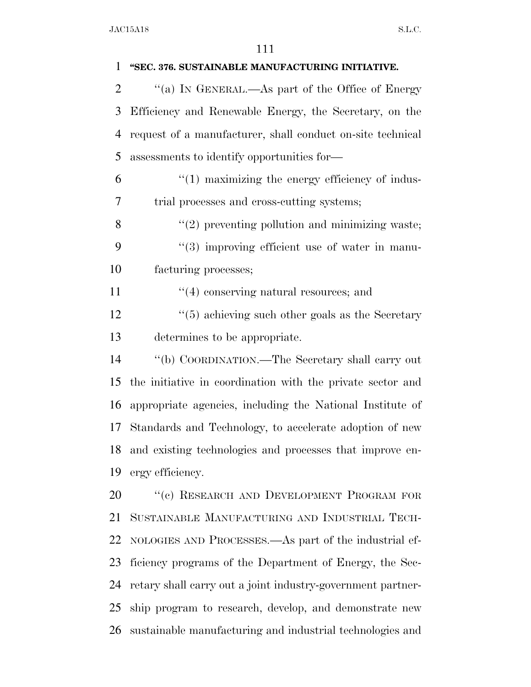| 1              | "SEC. 376. SUSTAINABLE MANUFACTURING INITIATIVE.            |
|----------------|-------------------------------------------------------------|
| $\overline{2}$ | "(a) IN GENERAL.—As part of the Office of Energy            |
| 3              | Efficiency and Renewable Energy, the Secretary, on the      |
| 4              | request of a manufacturer, shall conduct on-site technical  |
| 5              | assessments to identify opportunities for-                  |
| 6              | $\lq(1)$ maximizing the energy efficiency of indus-         |
| 7              | trial processes and cross-cutting systems;                  |
| 8              | $\lq(2)$ preventing pollution and minimizing waste;         |
| 9              | "(3) improving efficient use of water in manu-              |
| 10             | facturing processes;                                        |
| 11             | $\cdot$ (4) conserving natural resources; and               |
| 12             | $\lq(5)$ achieving such other goals as the Secretary        |
| 13             | determines to be appropriate.                               |
| 14             | "(b) COORDINATION.—The Secretary shall carry out            |
| 15             | the initiative in coordination with the private sector and  |
| 16             | appropriate agencies, including the National Institute of   |
| 17             | Standards and Technology, to accelerate adoption of new     |
|                | 18 and existing technologies and processes that improve en- |
| 19             | ergy efficiency.                                            |
| 20             | "(c) RESEARCH AND DEVELOPMENT PROGRAM FOR                   |
| 21             | SUSTAINABLE MANUFACTURING AND INDUSTRIAL TECH-              |
| 22             | NOLOGIES AND PROCESSES.—As part of the industrial ef-       |
| 23             | ficiency programs of the Department of Energy, the Sec-     |
| 24             | retary shall carry out a joint industry-government partner- |
| 25             | ship program to research, develop, and demonstrate new      |
| 26             | sustainable manufacturing and industrial technologies and   |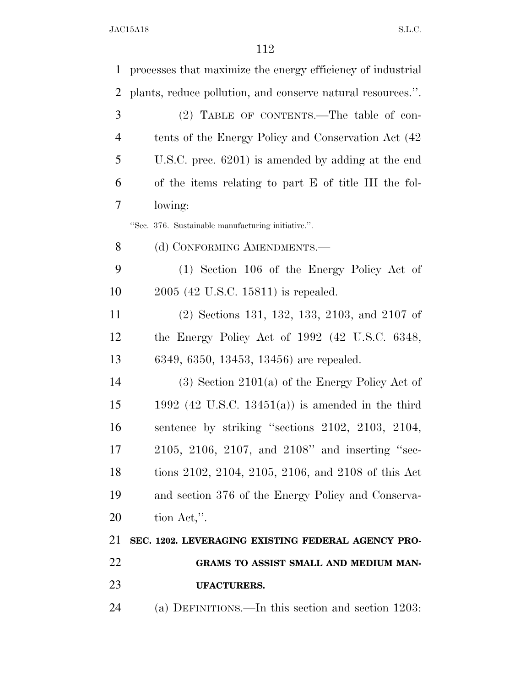| $\mathbf{1}$   | processes that maximize the energy efficiency of industrial |
|----------------|-------------------------------------------------------------|
| 2              | plants, reduce pollution, and conserve natural resources.". |
| 3              | (2) TABLE OF CONTENTS.—The table of con-                    |
| $\overline{4}$ | tents of the Energy Policy and Conservation Act (42)        |
| 5              | U.S.C. prec. $6201$ ) is amended by adding at the end       |
| 6              | of the items relating to part E of title III the fol-       |
| 7              | lowing:                                                     |
|                | "Sec. 376. Sustainable manufacturing initiative.".          |
| 8              | (d) CONFORMING AMENDMENTS.-                                 |
| 9              | (1) Section 106 of the Energy Policy Act of                 |
| 10             | 2005 (42 U.S.C. 15811) is repealed.                         |
| 11             | $(2)$ Sections 131, 132, 133, 2103, and 2107 of             |
| 12             | the Energy Policy Act of $1992$ (42 U.S.C. 6348,            |
| 13             | 6349, 6350, 13453, 13456) are repealed.                     |
| 14             | $(3)$ Section 2101(a) of the Energy Policy Act of           |
| 15             | 1992 (42 U.S.C. 13451(a)) is amended in the third           |
| 16             | sentence by striking "sections 2102, 2103, 2104,            |
| 17             | 2105, 2106, 2107, and 2108" and inserting "sec-             |
| 18             | tions 2102, 2104, 2105, 2106, and 2108 of this Act          |
| 19             | and section 376 of the Energy Policy and Conserva-          |
| <b>20</b>      | tion Act,".                                                 |
| 21             | SEC. 1202. LEVERAGING EXISTING FEDERAL AGENCY PRO-          |
| <u>22</u>      | GRAMS TO ASSIST SMALL AND MEDIUM MAN-                       |
| 23             | <b>UFACTURERS.</b>                                          |
| 24             | (a) DEFINITIONS.—In this section and section 1203:          |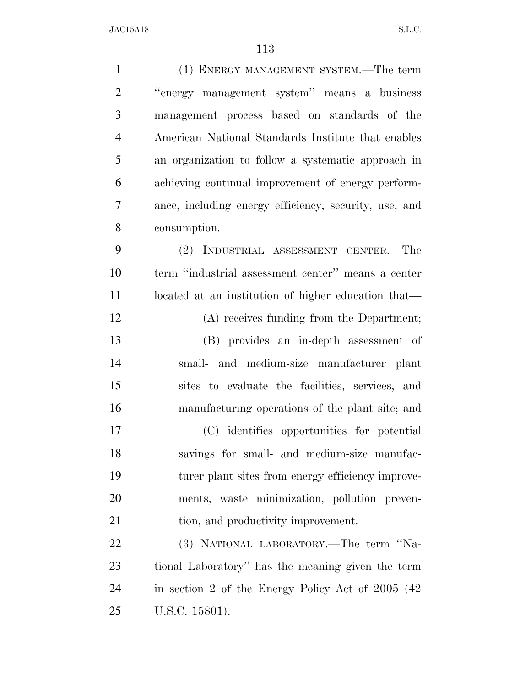| $\mathbf{1}$   | (1) ENERGY MANAGEMENT SYSTEM.—The term                |
|----------------|-------------------------------------------------------|
| $\overline{2}$ | "energy management system" means a business           |
| 3              | management process based on standards of the          |
| $\overline{4}$ | American National Standards Institute that enables    |
| 5              | an organization to follow a systematic approach in    |
| 6              | achieving continual improvement of energy perform-    |
| 7              | ance, including energy efficiency, security, use, and |
| 8              | consumption.                                          |
| 9              | (2) INDUSTRIAL ASSESSMENT CENTER.—The                 |
| 10             | term "industrial assessment center" means a center    |
| 11             | located at an institution of higher education that—   |
| 12             | (A) receives funding from the Department;             |
| 13             | (B) provides an in-depth assessment of                |
| 14             | small- and medium-size manufacturer plant             |
| 15             | sites to evaluate the facilities, services, and       |
| 16             | manufacturing operations of the plant site; and       |
| 17             | (C) identifies opportunities for potential            |
| 18             | savings for small- and medium-size manufac-           |
| 19             | turer plant sites from energy efficiency improve-     |
| 20             | ments, waste minimization, pollution preven-          |
| 21             | tion, and productivity improvement.                   |
| 22             | (3) NATIONAL LABORATORY.—The term "Na-                |
| 23             | tional Laboratory" has the meaning given the term     |
| 24             | in section 2 of the Energy Policy Act of 2005 (42)    |
| 25             | U.S.C. 15801).                                        |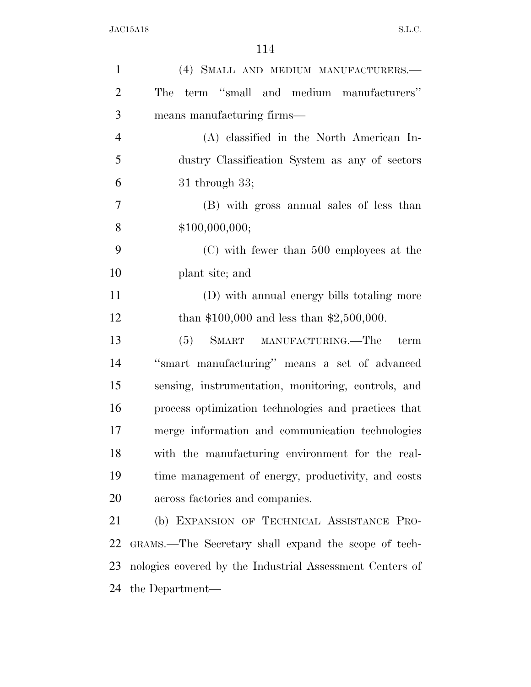| $\mathbf{1}$   | (4) SMALL AND MEDIUM MANUFACTURERS.—                     |
|----------------|----------------------------------------------------------|
| $\overline{2}$ | The term "small and medium manufacturers"                |
| 3              | means manufacturing firms—                               |
| $\overline{4}$ | (A) classified in the North American In-                 |
| 5              | dustry Classification System as any of sectors           |
| 6              | $31$ through $33$ ;                                      |
| 7              | (B) with gross annual sales of less than                 |
| 8              | \$100,000,000;                                           |
| 9              | (C) with fewer than 500 employees at the                 |
| 10             | plant site; and                                          |
| 11             | (D) with annual energy bills totaling more               |
| 12             | than \$100,000 and less than \$2,500,000.                |
| 13             | SMART MANUFACTURING.—The<br>(5)<br>term                  |
| 14             | "smart manufacturing" means a set of advanced            |
| 15             | sensing, instrumentation, monitoring, controls, and      |
| 16             | process optimization technologies and practices that     |
| 17             | merge information and communication technologies         |
| 18             | with the manufacturing environment for the real-         |
| 19             | time management of energy, productivity, and costs       |
| 20             | across factories and companies.                          |
| 21             | (b) EXPANSION OF TECHNICAL ASSISTANCE PRO-               |
| 22             | GRAMS.—The Secretary shall expand the scope of tech-     |
| 23             | nologies covered by the Industrial Assessment Centers of |
| 24             | the Department—                                          |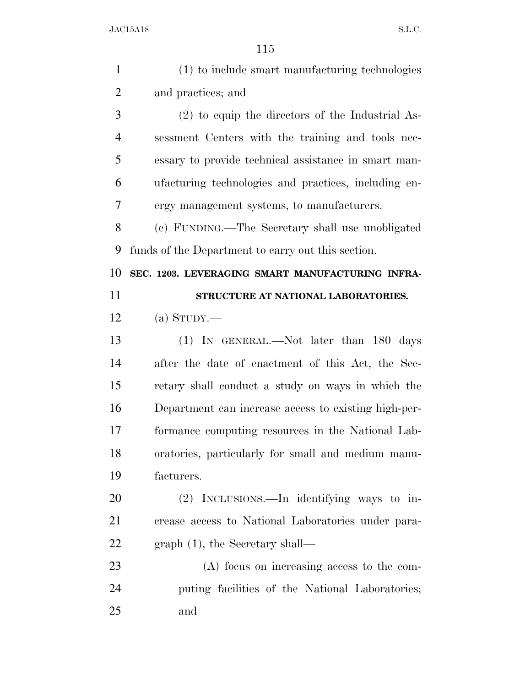| $\mathbf{1}$   | (1) to include smart manufacturing technologies      |
|----------------|------------------------------------------------------|
| $\overline{2}$ | and practices; and                                   |
| 3              | $(2)$ to equip the directors of the Industrial As-   |
| $\overline{4}$ | sessment Centers with the training and tools nec-    |
| 5              | essary to provide technical assistance in smart man- |
| 6              | ufacturing technologies and practices, including en- |
| 7              | ergy management systems, to manufacturers.           |
| 8              | (c) FUNDING.—The Secretary shall use unobligated     |
| 9              | funds of the Department to carry out this section.   |
| 10             | SEC. 1203. LEVERAGING SMART MANUFACTURING INFRA-     |
| 11             | STRUCTURE AT NATIONAL LABORATORIES.                  |
| 12             | (a) STUDY.—                                          |
| 13             | (1) IN GENERAL.—Not later than 180 days              |
| 14             | after the date of enactment of this Act, the Sec-    |
| 15             | retary shall conduct a study on ways in which the    |
| 16             | Department can increase access to existing high-per- |
| 17             | formance computing resources in the National Lab-    |
| 18             | oratories, particularly for small and medium manu-   |
| 19             | facturers.                                           |
| 20             | (2) INCLUSIONS.—In identifying ways to in-           |
| 21             | crease access to National Laboratories under para-   |
| 22             | $graph(1)$ , the Secretary shall—                    |
| 23             | (A) focus on increasing access to the com-           |
| 24             | puting facilities of the National Laboratories;      |
| 25             | and                                                  |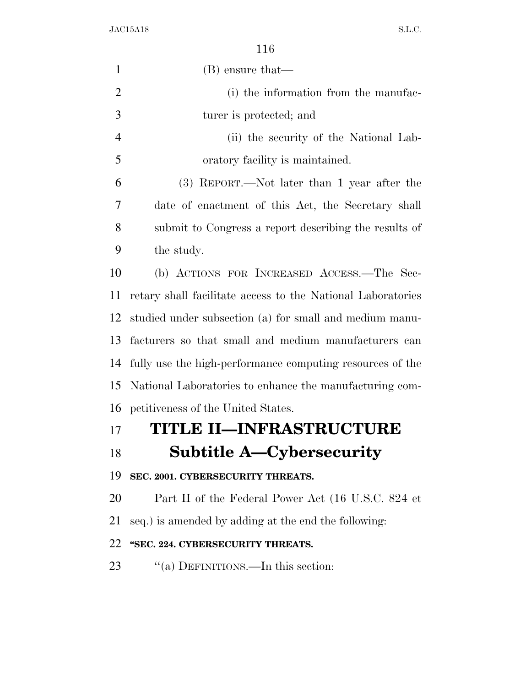| ۰.<br>× |
|---------|
|---------|

| $\mathbf{1}$   | (B) ensure that—                                            |
|----------------|-------------------------------------------------------------|
| $\overline{2}$ | (i) the information from the manufac-                       |
| 3              | turer is protected; and                                     |
| $\overline{4}$ | (ii) the security of the National Lab-                      |
| 5              | oratory facility is maintained.                             |
| 6              | (3) REPORT.—Not later than 1 year after the                 |
| 7              | date of enactment of this Act, the Secretary shall          |
| 8              | submit to Congress a report describing the results of       |
| 9              | the study.                                                  |
| 10             | (b) ACTIONS FOR INCREASED ACCESS.—The Sec-                  |
| 11             | retary shall facilitate access to the National Laboratories |
| 12             | studied under subsection (a) for small and medium manu-     |
| 13             | facturers so that small and medium manufacturers can        |
| 14             | fully use the high-performance computing resources of the   |
| 15             | National Laboratories to enhance the manufacturing com-     |
| 16             | petitiveness of the United States.                          |
| 17             | TITLE II—INFRASTRUCTURE                                     |
| 18             | <b>Subtitle A—Cybersecurity</b>                             |
| 19             | SEC. 2001. CYBERSECURITY THREATS.                           |
| 20             | Part II of the Federal Power Act (16 U.S.C. 824 et          |
| 21             | seq.) is amended by adding at the end the following:        |
| 22             | "SEC. 224. CYBERSECURITY THREATS.                           |
| 23             | "(a) DEFINITIONS.—In this section:                          |
|                |                                                             |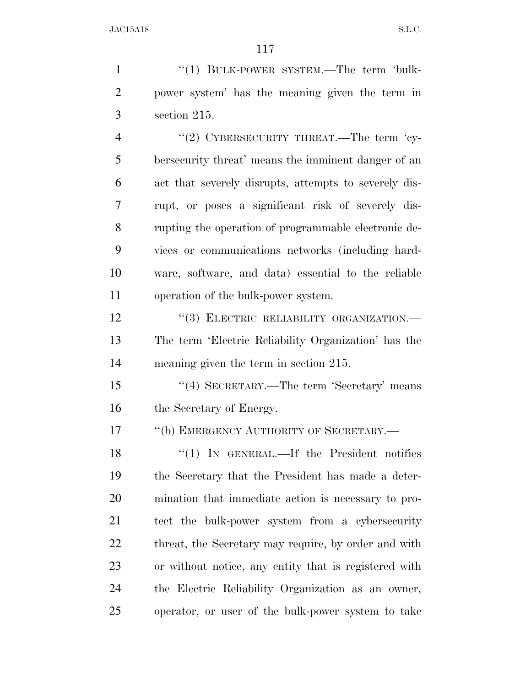1 "(1) BULK-POWER SYSTEM.—The term 'bulk- power system' has the meaning given the term in section 215.

4 "(2) CYBERSECURITY THREAT.—The term 'cy- bersecurity threat' means the imminent danger of an act that severely disrupts, attempts to severely dis- rupt, or poses a significant risk of severely dis- rupting the operation of programmable electronic de- vices or communications networks (including hard- ware, software, and data) essential to the reliable operation of the bulk-power system.

12 "(3) ELECTRIC RELIABILITY ORGANIZATION.— The term 'Electric Reliability Organization' has the meaning given the term in section 215.

15 "(4) SECRETARY.—The term 'Secretary' means the Secretary of Energy.

17 <sup>"</sup>(b) EMERGENCY AUTHORITY OF SECRETARY.—

18 "(1) In GENERAL.—If the President notifies the Secretary that the President has made a deter- mination that immediate action is necessary to pro- tect the bulk-power system from a cybersecurity 22 threat, the Secretary may require, by order and with or without notice, any entity that is registered with the Electric Reliability Organization as an owner, operator, or user of the bulk-power system to take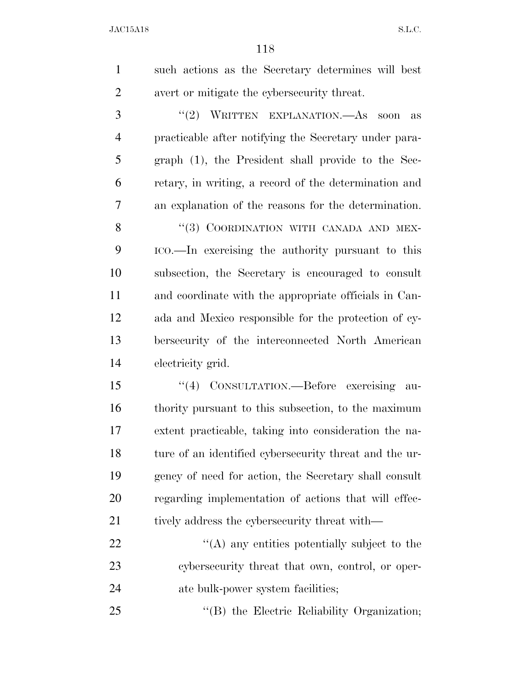| $\mathbf{1}$   | such actions as the Secretary determines will best    |
|----------------|-------------------------------------------------------|
| 2              | avert or mitigate the cybers equity threat.           |
| 3              | "(2) WRITTEN EXPLANATION.—As soon as                  |
| $\overline{4}$ | practicable after notifying the Secretary under para- |
| 5              | graph (1), the President shall provide to the Sec-    |
| 6              | retary, in writing, a record of the determination and |
| 7              | an explanation of the reasons for the determination.  |
| 8              | "(3) COORDINATION WITH CANADA AND MEX-                |
| 9              | ICO.—In exercising the authority pursuant to this     |

 ICO.—In exercising the authority pursuant to this subsection, the Secretary is encouraged to consult and coordinate with the appropriate officials in Can- ada and Mexico responsible for the protection of cy- bersecurity of the interconnected North American electricity grid.

 ''(4) CONSULTATION.—Before exercising au- thority pursuant to this subsection, to the maximum extent practicable, taking into consideration the na-18 ture of an identified cybersecurity threat and the ur- gency of need for action, the Secretary shall consult regarding implementation of actions that will effec-21 tively address the cybersecurity threat with—

 $\mathcal{L}(A)$  any entities potentially subject to the cybersecurity threat that own, control, or oper-ate bulk-power system facilities;

25 "(B) the Electric Reliability Organization;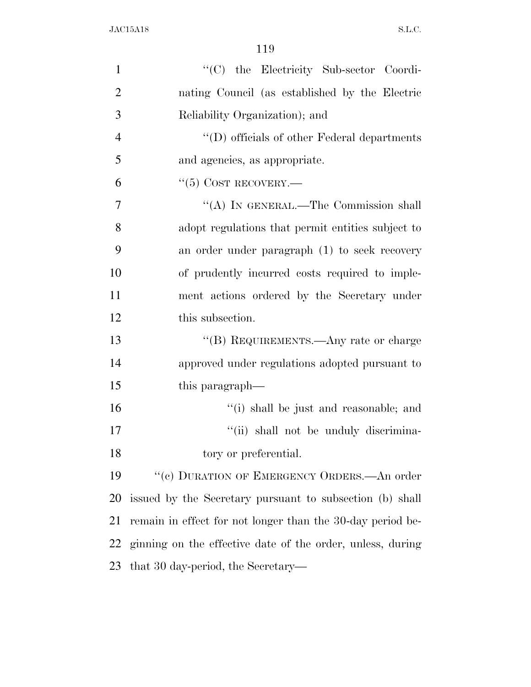| $\mathbf{1}$   | "(C) the Electricity Sub-sector Coordi-                    |
|----------------|------------------------------------------------------------|
| $\overline{2}$ | nating Council (as established by the Electric             |
| 3              | Reliability Organization); and                             |
| $\overline{4}$ |                                                            |
| 5              | and agencies, as appropriate.                              |
| 6              | $``(5)$ COST RECOVERY.—                                    |
| $\overline{7}$ | "(A) IN GENERAL.—The Commission shall                      |
| 8              | adopt regulations that permit entities subject to          |
| 9              | an order under paragraph (1) to seek recovery              |
| 10             | of prudently incurred costs required to imple-             |
| 11             | ment actions ordered by the Secretary under                |
| 12             | this subsection.                                           |
| 13             | "(B) REQUIREMENTS.—Any rate or charge                      |
| 14             | approved under regulations adopted pursuant to             |
| 15             | this paragraph—                                            |
| 16             | "(i) shall be just and reasonable; and                     |
| 17             | "(ii) shall not be unduly discrimina-                      |
| 18             | tory or preferential.                                      |
| 19             | "(c) DURATION OF EMERGENCY ORDERS.—An order                |
| 20             | issued by the Secretary pursuant to subsection (b) shall   |
| 21             | remain in effect for not longer than the 30-day period be- |
| 22             | ginning on the effective date of the order, unless, during |
| 23             | that 30 day-period, the Secretary—                         |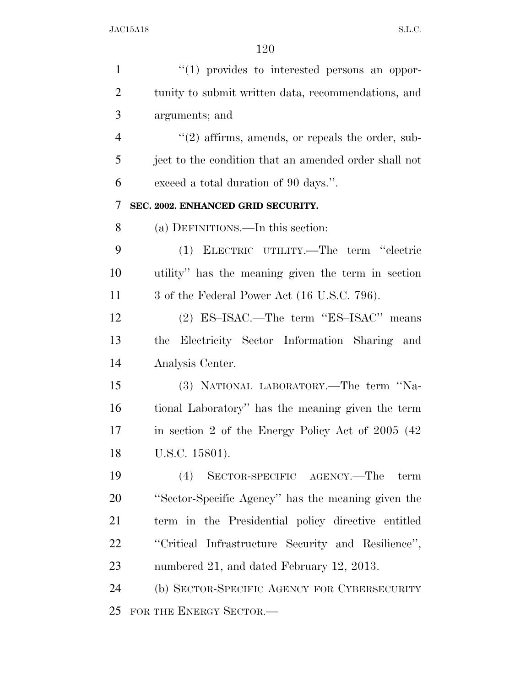| $\mathbf{1}$   | $\lq(1)$ provides to interested persons an oppor-     |
|----------------|-------------------------------------------------------|
| $\overline{2}$ | tunity to submit written data, recommendations, and   |
| 3              | arguments; and                                        |
| $\overline{4}$ | $\lq(2)$ affirms, amends, or repeals the order, sub-  |
| 5              | ject to the condition that an amended order shall not |
| 6              | exceed a total duration of 90 days.".                 |
| 7              | SEC. 2002. ENHANCED GRID SECURITY.                    |
| 8              | (a) DEFINITIONS.—In this section:                     |
| 9              | (1) ELECTRIC UTILITY.—The term "electric              |
| 10             | utility" has the meaning given the term in section    |
| 11             | 3 of the Federal Power Act (16 U.S.C. 796).           |
| 12             | (2) ES-ISAC.—The term "ES-ISAC" means                 |
| 13             | the Electricity Sector Information Sharing and        |
| 14             | Analysis Center.                                      |
| 15             | (3) NATIONAL LABORATORY.—The term "Na-                |
| 16             | tional Laboratory" has the meaning given the term     |
| 17             | in section 2 of the Energy Policy Act of 2005 (42)    |
| 18             | U.S.C. 15801).                                        |
| 19             | SECTOR-SPECIFIC AGENCY.-The<br>(4)<br>term            |
| 20             | "Sector-Specific Agency" has the meaning given the    |
| 21             | term in the Presidential policy directive entitled    |
| 22             | "Critical Infrastructure Security and Resilience",    |
| 23             | numbered 21, and dated February 12, 2013.             |
| 24             | (b) SECTOR-SPECIFIC AGENCY FOR CYBERSECURITY          |
| 25             | FOR THE ENERGY SECTOR.                                |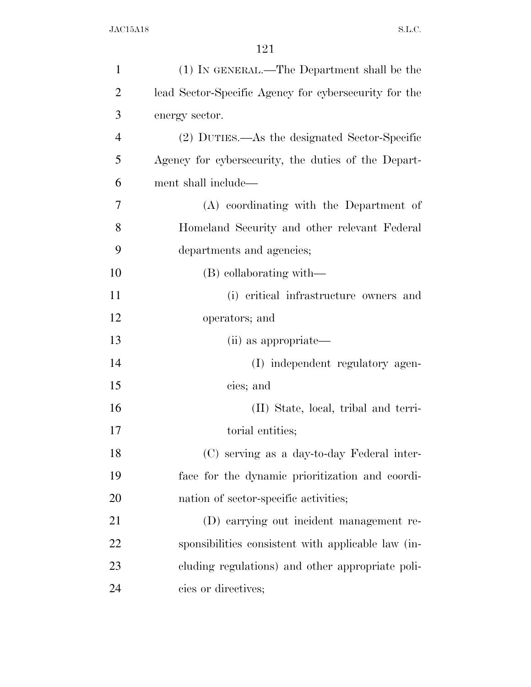| $\mathbf{1}$   | (1) IN GENERAL.—The Department shall be the           |
|----------------|-------------------------------------------------------|
| $\overline{2}$ | lead Sector-Specific Agency for cybersecurity for the |
| 3              | energy sector.                                        |
| $\overline{4}$ | (2) DUTIES.—As the designated Sector-Specific         |
| 5              | Agency for cybersecurity, the duties of the Depart-   |
| 6              | ment shall include—                                   |
| 7              | (A) coordinating with the Department of               |
| 8              | Homeland Security and other relevant Federal          |
| 9              | departments and agencies;                             |
| 10             | (B) collaborating with—                               |
| 11             | (i) critical infrastructure owners and                |
| 12             | operators; and                                        |
| 13             | (ii) as appropriate—                                  |
| 14             | (I) independent regulatory agen-                      |
| 15             | cies; and                                             |
| 16             | (II) State, local, tribal and terri-                  |
| 17             | torial entities;                                      |
| 18             | (C) serving as a day-to-day Federal inter-            |
| 19             | face for the dynamic prioritization and coordi-       |
| 20             | nation of sector-specific activities;                 |
| 21             | (D) carrying out incident management re-              |
| 22             | sponsibilities consistent with applicable law (in-    |
| 23             | cluding regulations) and other appropriate poli-      |
| 24             | cies or directives;                                   |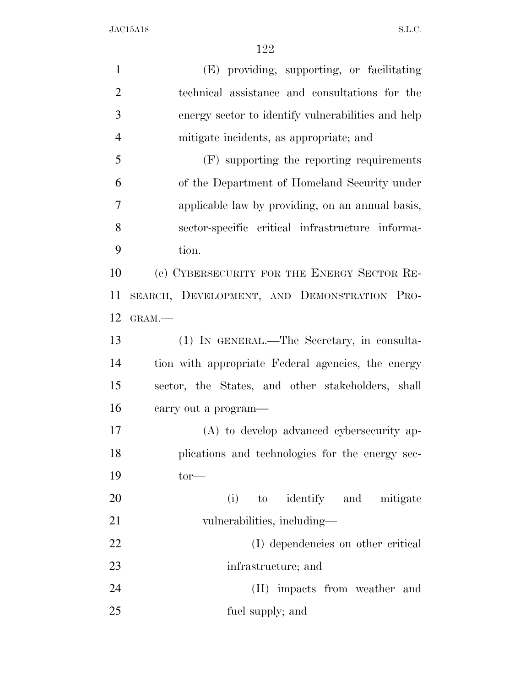| $\mathbf{1}$   | (E) providing, supporting, or facilitating         |
|----------------|----------------------------------------------------|
| $\overline{2}$ | technical assistance and consultations for the     |
| 3              | energy sector to identify vulnerabilities and help |
| 4              | mitigate incidents, as appropriate; and            |
| 5              | (F) supporting the reporting requirements          |
| 6              | of the Department of Homeland Security under       |
| 7              | applicable law by providing, on an annual basis,   |
| 8              | sector-specific critical infrastructure informa-   |
| 9              | tion.                                              |
| 10             | (c) CYBERSECURITY FOR THE ENERGY SECTOR RE-        |
| 11             | SEARCH, DEVELOPMENT, AND DEMONSTRATION PRO-        |
| 12             | GRAM.-                                             |
| 13             | (1) IN GENERAL.—The Secretary, in consulta-        |
| 14             | tion with appropriate Federal agencies, the energy |
| 15             | sector, the States, and other stakeholders, shall  |
| 16             | carry out a program—                               |
| 17             | (A) to develop advanced cybersecurity ap-          |
| 18             | plications and technologies for the energy sec-    |
| 19             | $tor$ —                                            |
| 20             | to identify and mitigate<br>(i)                    |
| 21             | vulnerabilities, including-                        |
| 22             | (I) dependencies on other critical                 |
| 23             | infrastructure; and                                |
| 24             | (II) impacts from weather and                      |
| 25             | fuel supply; and                                   |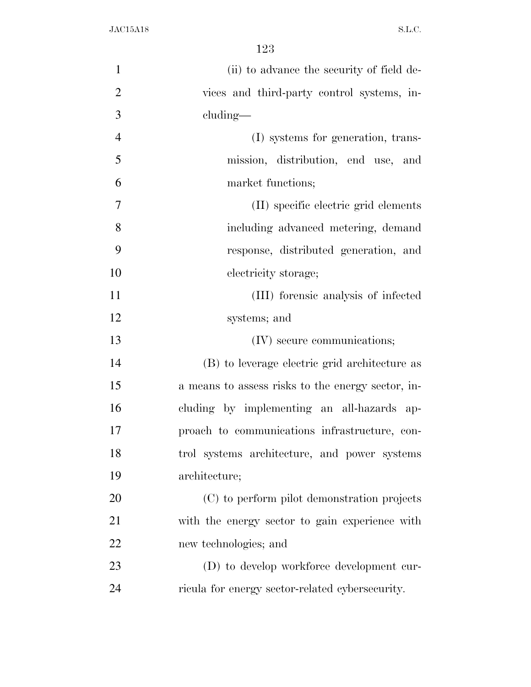| $\mathbf{1}$   | (ii) to advance the security of field de-         |
|----------------|---------------------------------------------------|
| $\overline{2}$ | vices and third-party control systems, in-        |
| 3              | $cluding$ —                                       |
| $\overline{4}$ | (I) systems for generation, trans-                |
| 5              | mission, distribution, end use, and               |
| 6              | market functions;                                 |
| $\overline{7}$ | (II) specific electric grid elements              |
| 8              | including advanced metering, demand               |
| 9              | response, distributed generation, and             |
| 10             | electricity storage;                              |
| 11             | (III) forensic analysis of infected               |
| 12             | systems; and                                      |
| 13             | (IV) secure communications;                       |
| 14             | (B) to leverage electric grid architecture as     |
|                |                                                   |
| 15             | a means to assess risks to the energy sector, in- |
| 16             | cluding by implementing an all-hazards ap-        |
| 17             | proach to communications infrastructure, con-     |
| 18             | trol systems architecture, and power systems      |
| 19             | architecture;                                     |
| 20             | (C) to perform pilot demonstration projects       |
| 21             | with the energy sector to gain experience with    |
| 22             | new technologies; and                             |
| 23             | (D) to develop workforce development cur-         |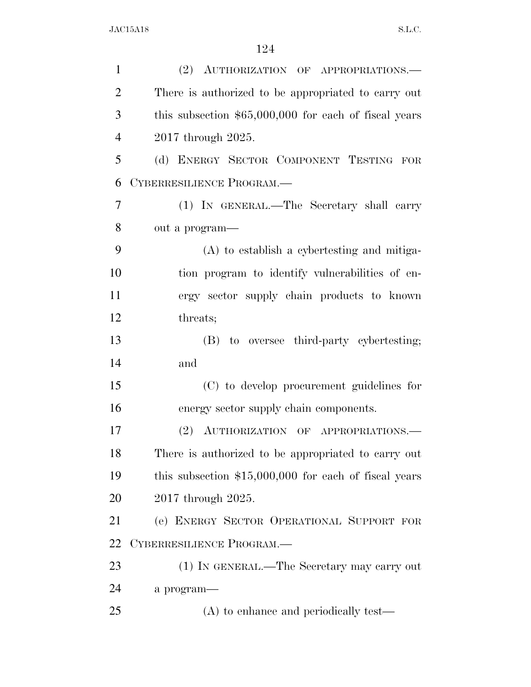| $\mathbf{1}$   | (2) AUTHORIZATION OF APPROPRIATIONS.                   |
|----------------|--------------------------------------------------------|
| $\overline{2}$ | There is authorized to be appropriated to carry out    |
| 3              | this subsection $$65,000,000$ for each of fiscal years |
| $\overline{4}$ | 2017 through 2025.                                     |
| 5              | (d) ENERGY SECTOR COMPONENT TESTING FOR                |
| 6              | CYBERRESILIENCE PROGRAM.—                              |
| 7              | (1) IN GENERAL.—The Secretary shall carry              |
| 8              | out a program—                                         |
| 9              | (A) to establish a cybertesting and mitiga-            |
| 10             | tion program to identify vulnerabilities of en-        |
| 11             | ergy sector supply chain products to known             |
| 12             | threats;                                               |
| 13             | (B) to oversee third-party cybertesting;               |
| 14             | and                                                    |
| 15             | (C) to develop procurement guidelines for              |
| 16             | energy sector supply chain components.                 |
| 17             | (2)<br>AUTHORIZATION OF APPROPRIATIONS.                |
| 18             | There is authorized to be appropriated to carry out    |
| 19             | this subsection $$15,000,000$ for each of fiscal years |
| 20             | 2017 through 2025.                                     |
| 21             | (e) ENERGY SECTOR OPERATIONAL SUPPORT FOR              |
| 22             | CYBERRESILIENCE PROGRAM.                               |
| 23             | (1) IN GENERAL.—The Secretary may carry out            |
| 24             | a program-                                             |
| 25             | (A) to enhance and periodically test—                  |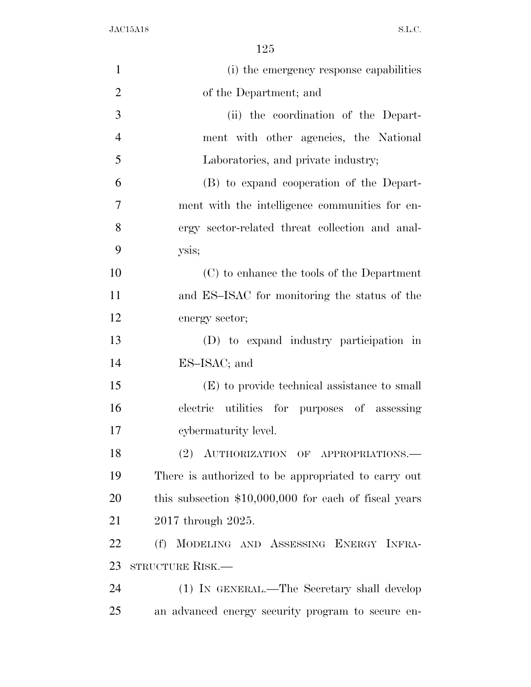| $\mathbf{1}$   | (i) the emergency response capabilities                |
|----------------|--------------------------------------------------------|
| $\overline{2}$ | of the Department; and                                 |
| 3              | (ii) the coordination of the Depart-                   |
| $\overline{4}$ | ment with other agencies, the National                 |
| 5              | Laboratories, and private industry;                    |
| 6              | (B) to expand cooperation of the Depart-               |
| 7              | ment with the intelligence communities for en-         |
| 8              | ergy sector-related threat collection and anal-        |
| 9              | ysis;                                                  |
| 10             | (C) to enhance the tools of the Department             |
| 11             | and ES-ISAC for monitoring the status of the           |
| 12             | energy sector;                                         |
| 13             | (D) to expand industry participation in                |
| 14             | ES-ISAC; and                                           |
| 15             | (E) to provide technical assistance to small           |
| 16             | electric utilities for purposes of assessing           |
| 17             | cybermaturity level.                                   |
| 18             | (2) AUTHORIZATION OF APPROPRIATIONS.                   |
| 19             | There is authorized to be appropriated to carry out    |
| 20             | this subsection $$10,000,000$ for each of fiscal years |
| 21             | 2017 through 2025.                                     |
| 22             | (f)<br>MODELING AND ASSESSING ENERGY INFRA-            |
| 23             | <b>STRUCTURE RISK.—</b>                                |
| 24             | (1) IN GENERAL.—The Secretary shall develop            |
| 25             | an advanced energy security program to secure en-      |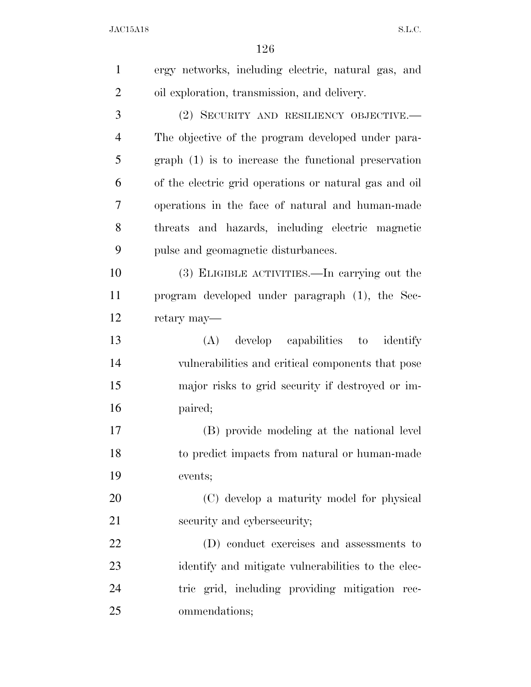| $\mathbf{1}$   | ergy networks, including electric, natural gas, and    |
|----------------|--------------------------------------------------------|
| $\overline{2}$ | oil exploration, transmission, and delivery.           |
| 3              | (2) SECURITY AND RESILIENCY OBJECTIVE.—                |
| 4              | The objective of the program developed under para-     |
| 5              | graph (1) is to increase the functional preservation   |
| 6              | of the electric grid operations or natural gas and oil |
| 7              | operations in the face of natural and human-made       |
| 8              | threats and hazards, including electric magnetic       |
| 9              | pulse and geomagnetic disturbances.                    |
| 10             | (3) ELIGIBLE ACTIVITIES.—In carrying out the           |
| 11             | program developed under paragraph (1), the Sec-        |
| 12             | retary may—                                            |
| 13             | (A) develop capabilities to<br>identify                |
| 14             | vulnerabilities and critical components that pose      |
| 15             | major risks to grid security if destroyed or im-       |
| 16             | paired;                                                |
| 17             | (B) provide modeling at the national level             |
| 18             | to predict impacts from natural or human-made          |
| 19             | events;                                                |
| 20             | (C) develop a maturity model for physical              |
| 21             | security and cybersecurity;                            |
| 22             | (D) conduct exercises and assessments to               |
| 23             | identify and mitigate vulnerabilities to the elec-     |
| 24             | tric grid, including providing mitigation rec-         |
| 25             | ommendations;                                          |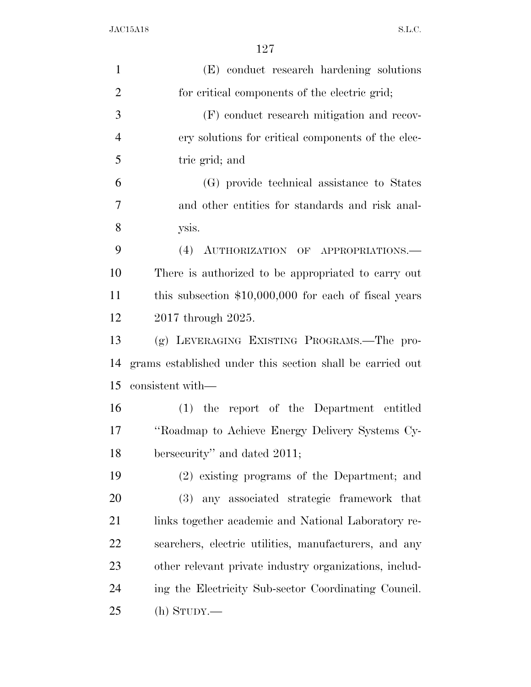| $\mathbf{1}$   | (E) conduct research hardening solutions                  |
|----------------|-----------------------------------------------------------|
| $\overline{2}$ | for critical components of the electric grid;             |
| 3              | (F) conduct research mitigation and recov-                |
| $\overline{4}$ | ery solutions for critical components of the elec-        |
| 5              | tric grid; and                                            |
| 6              | (G) provide technical assistance to States                |
| $\overline{7}$ | and other entities for standards and risk anal-           |
| 8              | ysis.                                                     |
| 9              | (4) AUTHORIZATION OF APPROPRIATIONS.                      |
| 10             | There is authorized to be appropriated to carry out       |
| 11             | this subsection $$10,000,000$ for each of fiscal years    |
| 12             | 2017 through 2025.                                        |
| 13             | (g) LEVERAGING EXISTING PROGRAMS.—The pro-                |
| 14             | grams established under this section shall be carried out |
| 15             | consistent with—                                          |
| 16             | (1) the report of the Department entitled                 |
| 17             | "Roadmap to Achieve Energy Delivery Systems Cy-           |
| 18             | bersecurity" and dated 2011;                              |
| 19             | (2) existing programs of the Department; and              |
| 20             | (3)<br>any associated strategic framework that            |
| 21             | links together academic and National Laboratory re-       |
| 22             | searchers, electric utilities, manufacturers, and any     |
| 23             | other relevant private industry organizations, includ-    |
| 24             | ing the Electricity Sub-sector Coordinating Council.      |
| 25             | $(h)$ STUDY.—                                             |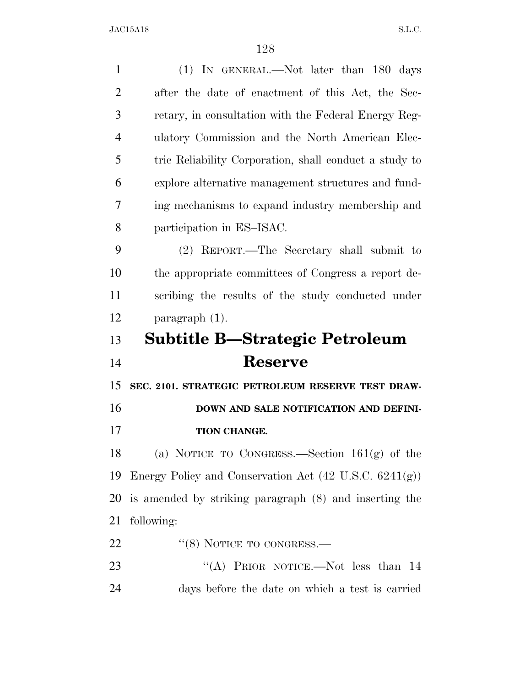| $\mathbf{1}$   | (1) IN GENERAL.—Not later than 180 days                           |
|----------------|-------------------------------------------------------------------|
| $\overline{2}$ | after the date of enactment of this Act, the Sec-                 |
| 3              | retary, in consultation with the Federal Energy Reg-              |
| $\overline{4}$ | ulatory Commission and the North American Elec-                   |
| 5              | tric Reliability Corporation, shall conduct a study to            |
| 6              | explore alternative management structures and fund-               |
| 7              | ing mechanisms to expand industry membership and                  |
| 8              | participation in ES-ISAC.                                         |
| 9              | (2) REPORT.—The Secretary shall submit to                         |
| 10             | the appropriate committees of Congress a report de-               |
| 11             | scribing the results of the study conducted under                 |
| 12             | $\frac{1}{2}$ paragraph $(1)$ .                                   |
|                |                                                                   |
|                | Subtitle B—Strategic Petroleum                                    |
| 13<br>14       | <b>Reserve</b>                                                    |
| 15             | SEC. 2101. STRATEGIC PETROLEUM RESERVE TEST DRAW-                 |
| 16             | DOWN AND SALE NOTIFICATION AND DEFINI-                            |
| 17             | TION CHANGE.                                                      |
| 18             | (a) NOTICE TO CONGRESS.—Section $161(g)$ of the                   |
| 19             | Energy Policy and Conservation Act $(42 \text{ U.S.C. } 6241(g))$ |
| 20             | is amended by striking paragraph (8) and inserting the            |
| 21             | following:                                                        |
| 22             | $\lq(8)$ NOTICE TO CONGRESS.—                                     |
| 23             | "(A) PRIOR NOTICE.—Not less than 14                               |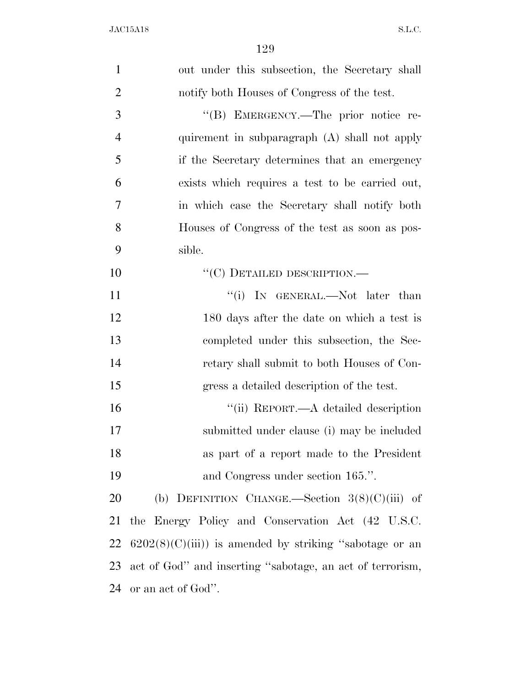| $\mathbf{1}$   | out under this subsection, the Secretary shall            |
|----------------|-----------------------------------------------------------|
| $\overline{2}$ | notify both Houses of Congress of the test.               |
| 3              | "(B) EMERGENCY.—The prior notice re-                      |
| 4              | quirement in subparagraph (A) shall not apply             |
| 5              | if the Secretary determines that an emergency             |
| 6              | exists which requires a test to be carried out,           |
| 7              | in which case the Secretary shall notify both             |
| 8              | Houses of Congress of the test as soon as pos-            |
| 9              | sible.                                                    |
| 10             | $``(C)$ DETAILED DESCRIPTION.—                            |
| 11             | "(i) In GENERAL.—Not later than                           |
| 12             | 180 days after the date on which a test is                |
| 13             | completed under this subsection, the Sec-                 |
| 14             | retary shall submit to both Houses of Con-                |
| 15             | gress a detailed description of the test.                 |
| 16             | "(ii) REPORT.—A detailed description                      |
| 17             | submitted under clause (i) may be included                |
| 18             | as part of a report made to the President                 |
| 19             | and Congress under section 165.".                         |
| 20             | (b) DEFINITION CHANGE.—Section $3(8)(C)(iii)$ of          |
| 21             | the Energy Policy and Conservation Act (42 U.S.C.         |
| 22             | $6202(8)(C)(iii)$ is amended by striking "sabotage or an  |
| 23             | act of God" and inserting "sabotage, an act of terrorism, |
| 24             | or an act of God".                                        |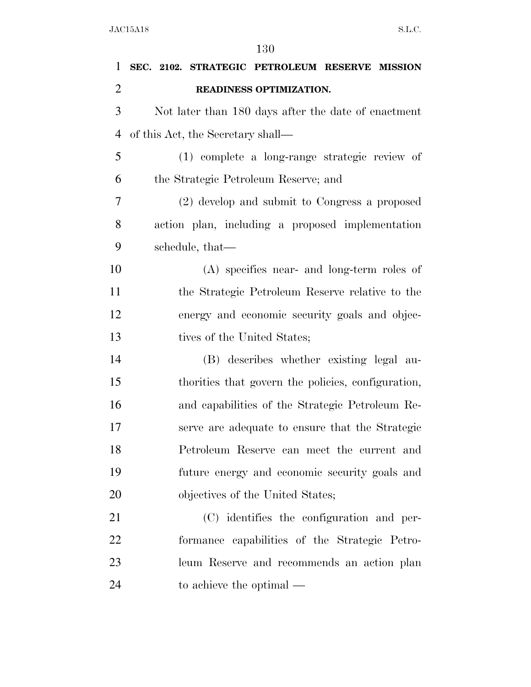| $\mathbf{1}$   | SEC. 2102. STRATEGIC PETROLEUM RESERVE MISSION      |
|----------------|-----------------------------------------------------|
| $\overline{2}$ | READINESS OPTIMIZATION.                             |
| 3              | Not later than 180 days after the date of enactment |
| 4              | of this Act, the Secretary shall—                   |
| 5              | (1) complete a long-range strategic review of       |
| 6              | the Strategic Petroleum Reserve; and                |
| 7              | (2) develop and submit to Congress a proposed       |
| $8\,$          | action plan, including a proposed implementation    |
| 9              | schedule, that—                                     |
| 10             | $(A)$ specifies near- and long-term roles of        |
| 11             | the Strategic Petroleum Reserve relative to the     |
| 12             | energy and economic security goals and objec-       |
| 13             | tives of the United States;                         |
| 14             | (B) describes whether existing legal au-            |
| 15             | thorities that govern the policies, configuration,  |
| 16             | and capabilities of the Strategic Petroleum Re-     |
| 17             | serve are adequate to ensure that the Strategic     |
| 18             | Petroleum Reserve can meet the current and          |
| 19             | future energy and economic security goals and       |
| 20             | objectives of the United States;                    |
| 21             | (C) identifies the configuration and per-           |
| 22             | formance capabilities of the Strategic Petro-       |
| 23             | leum Reserve and recommends an action plan          |
| 24             | to achieve the optimal $-$                          |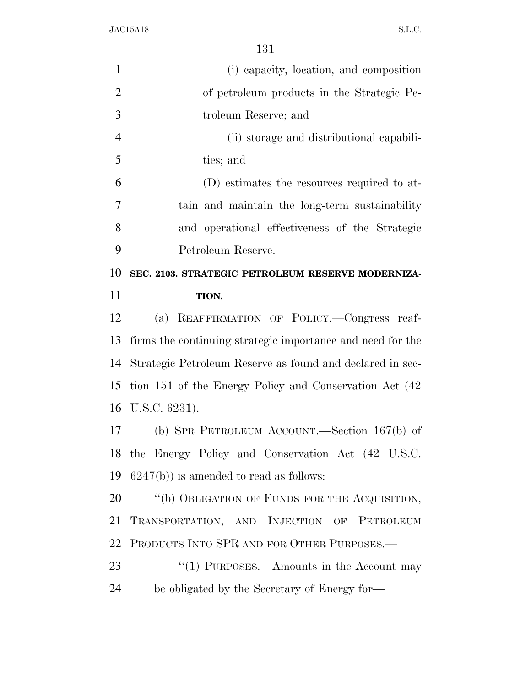| $\mathbf{1}$   | (i) capacity, location, and composition                    |
|----------------|------------------------------------------------------------|
| $\overline{2}$ | of petroleum products in the Strategic Pe-                 |
| 3              | troleum Reserve; and                                       |
| $\overline{4}$ | (ii) storage and distributional capabili-                  |
| 5              | ties; and                                                  |
| 6              | (D) estimates the resources required to at-                |
| 7              | tain and maintain the long-term sustainability             |
| 8              | and operational effectiveness of the Strategic             |
| 9              | Petroleum Reserve.                                         |
| 10             | SEC. 2103. STRATEGIC PETROLEUM RESERVE MODERNIZA-          |
| 11             | TION.                                                      |
| 12             | REAFFIRMATION OF POLICY.-Congress reaf-<br>(a)             |
| 13             | firms the continuing strategic importance and need for the |
| 14             | Strategic Petroleum Reserve as found and declared in sec-  |
| 15             | tion 151 of the Energy Policy and Conservation Act (42)    |
|                | 16 U.S.C. 6231).                                           |
| 17             | (b) SPR PETROLEUM ACCOUNT.—Section $167(b)$ of             |
|                | 18 the Energy Policy and Conservation Act (42 U.S.C.       |
| 19             | $6247(b)$ ) is amended to read as follows:                 |
| 20             | "(b) OBLIGATION OF FUNDS FOR THE ACQUISITION,              |
| 21             | TRANSPORTATION, AND INJECTION OF PETROLEUM                 |
| 22             | PRODUCTS INTO SPR AND FOR OTHER PURPOSES.—                 |
| 23             | $\lq(1)$ PURPOSES.—Amounts in the Account may              |
| 24             | be obligated by the Secretary of Energy for—               |
|                |                                                            |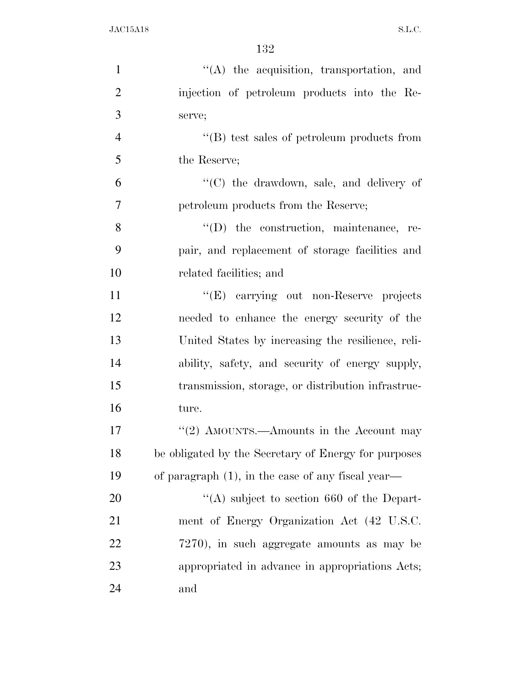| $\mathbf{1}$   | "(A) the acquisition, transportation, and            |
|----------------|------------------------------------------------------|
| $\overline{2}$ | injection of petroleum products into the Re-         |
| 3              | serve;                                               |
| $\overline{4}$ | $\lq\lq$ test sales of petroleum products from       |
| 5              | the Reserve;                                         |
| 6              | "(C) the drawdown, sale, and delivery of             |
| $\overline{7}$ | petroleum products from the Reserve;                 |
| 8              | "(D) the construction, maintenance, re-              |
| 9              | pair, and replacement of storage facilities and      |
| 10             | related facilities; and                              |
| 11             | "(E) carrying out non-Reserve projects               |
| 12             | needed to enhance the energy security of the         |
| 13             | United States by increasing the resilience, reli-    |
| 14             | ability, safety, and security of energy supply,      |
| 15             | transmission, storage, or distribution infrastruc-   |
| 16             | ture.                                                |
| 17             | "(2) AMOUNTS.—Amounts in the Account may             |
| 18             | be obligated by the Secretary of Energy for purposes |
| 19             | of paragraph $(1)$ , in the case of any fiscal year— |
| 20             | "(A) subject to section 660 of the Depart-           |
| 21             | ment of Energy Organization Act (42 U.S.C.           |
| 22             | 7270), in such aggregate amounts as may be           |
| 23             | appropriated in advance in appropriations Acts;      |
| 24             | and                                                  |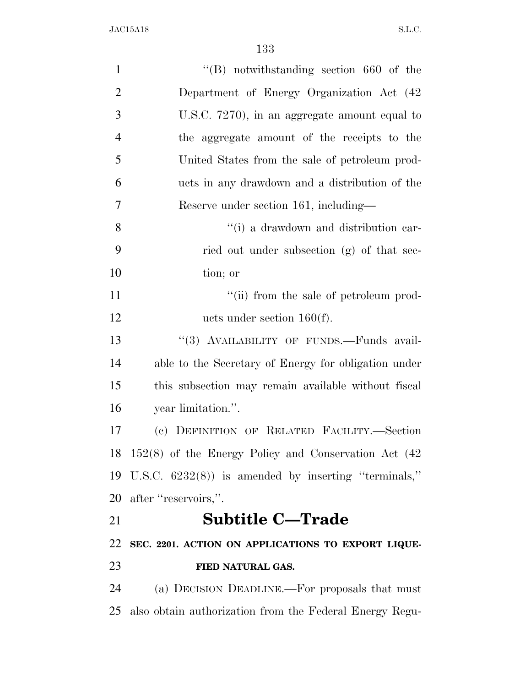| $\mathbf{1}$   | $\cdot$ <sup>"</sup> (B) notwithstanding section 660 of the |
|----------------|-------------------------------------------------------------|
| $\overline{2}$ | Department of Energy Organization Act (42)                  |
| 3              | U.S.C. 7270), in an aggregate amount equal to               |
| $\overline{4}$ | the aggregate amount of the receipts to the                 |
| 5              | United States from the sale of petroleum prod-              |
| 6              | ucts in any drawdown and a distribution of the              |
| 7              | Reserve under section 161, including—                       |
| 8              | "(i) a drawdown and distribution car-                       |
| 9              | ried out under subsection (g) of that sec-                  |
| 10             | tion; or                                                    |
| 11             | "(ii) from the sale of petroleum prod-                      |
| 12             | ucts under section $160(f)$ .                               |
| 13             | "(3) AVAILABILITY OF FUNDS. Funds avail-                    |
| 14             | able to the Secretary of Energy for obligation under        |
| 15             | this subsection may remain available without fiscal         |
| 16             | year limitation.".                                          |
| 17             | (c) DEFINITION OF RELATED FACILITY.-Section                 |
|                | 18 152(8) of the Energy Policy and Conservation Act (42)    |
|                | 19 U.S.C. 6232(8)) is amended by inserting "terminals,"     |
|                | 20 after "reservoirs,".                                     |
| 21             | <b>Subtitle C-Trade</b>                                     |
| 22             | SEC. 2201. ACTION ON APPLICATIONS TO EXPORT LIQUE-          |
| 23             | FIED NATURAL GAS.                                           |
| 24             | (a) DECISION DEADLINE.—For proposals that must              |
| 25             | also obtain authorization from the Federal Energy Regu-     |
|                |                                                             |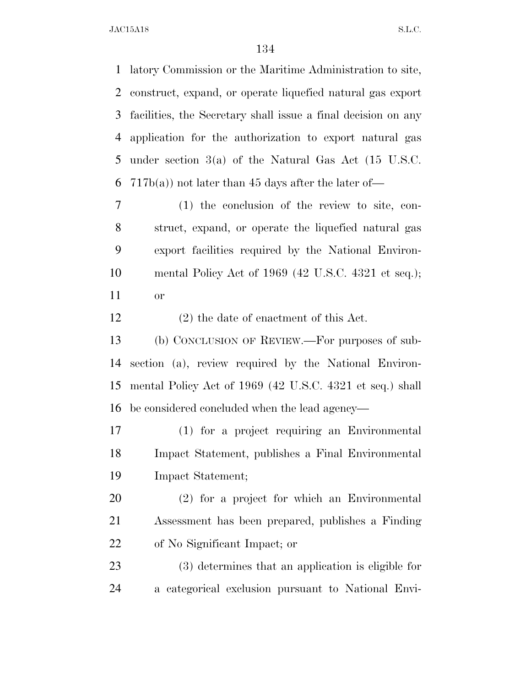latory Commission or the Maritime Administration to site, construct, expand, or operate liquefied natural gas export facilities, the Secretary shall issue a final decision on any application for the authorization to export natural gas under section 3(a) of the Natural Gas Act (15 U.S.C.  $717b(a)$  not later than 45 days after the later of-

 (1) the conclusion of the review to site, con- struct, expand, or operate the liquefied natural gas export facilities required by the National Environ- mental Policy Act of 1969 (42 U.S.C. 4321 et seq.); or

(2) the date of enactment of this Act.

 (b) CONCLUSION OF REVIEW.—For purposes of sub- section (a), review required by the National Environ- mental Policy Act of 1969 (42 U.S.C. 4321 et seq.) shall be considered concluded when the lead agency—

 (1) for a project requiring an Environmental Impact Statement, publishes a Final Environmental Impact Statement;

 (2) for a project for which an Environmental Assessment has been prepared, publishes a Finding of No Significant Impact; or

 (3) determines that an application is eligible for a categorical exclusion pursuant to National Envi-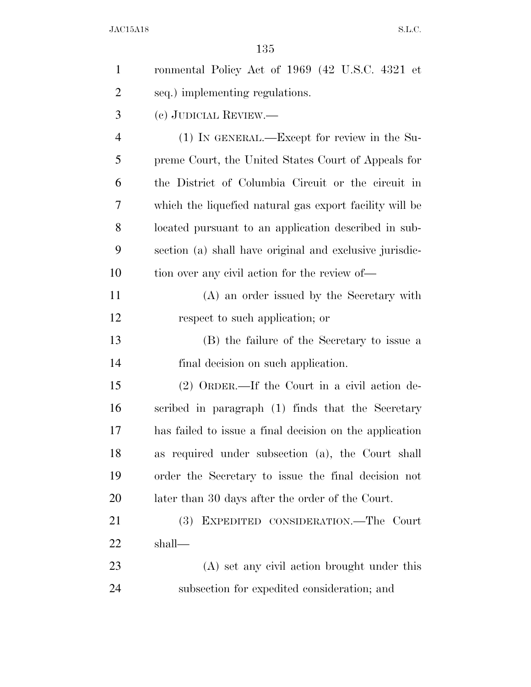| ronmental Policy Act of 1969 (42 U.S.C. 4321 et         |
|---------------------------------------------------------|
| seq.) implementing regulations.                         |
| (c) JUDICIAL REVIEW.—                                   |
| $(1)$ IN GENERAL.—Except for review in the Su-          |
| preme Court, the United States Court of Appeals for     |
| the District of Columbia Circuit or the circuit in      |
| which the liquefied natural gas export facility will be |
| located pursuant to an application described in sub-    |
| section (a) shall have original and exclusive jurisdic- |
| tion over any civil action for the review of—           |
| (A) an order issued by the Secretary with               |
| respect to such application; or                         |
| (B) the failure of the Secretary to issue a             |
| final decision on such application.                     |
| $(2)$ ORDER.—If the Court in a civil action de-         |
| scribed in paragraph (1) finds that the Secretary       |
| has failed to issue a final decision on the application |
| as required under subsection (a), the Court shall       |
| order the Secretary to issue the final decision not     |
| later than 30 days after the order of the Court.        |
| (3)<br>EXPEDITED CONSIDERATION.—The Court               |
| shall—                                                  |
| (A) set any civil action brought under this             |
|                                                         |
|                                                         |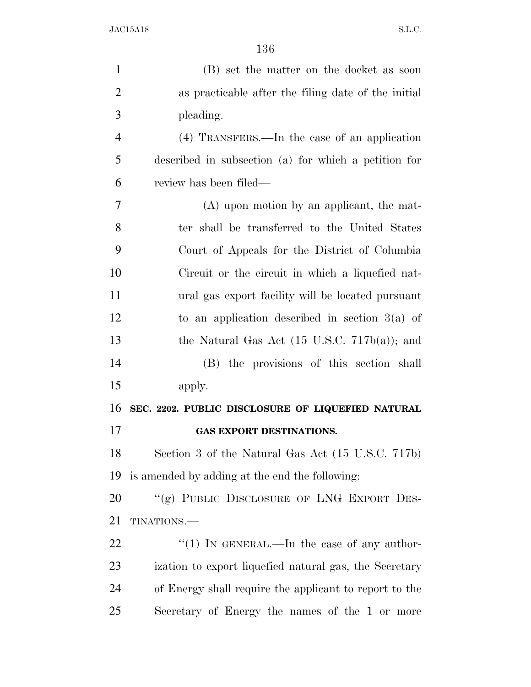| $\mathbf{1}$   | (B) set the matter on the docket as soon                 |
|----------------|----------------------------------------------------------|
| $\overline{2}$ | as practicable after the filing date of the initial      |
| 3              | pleading.                                                |
| $\overline{4}$ | (4) TRANSFERS.—In the case of an application             |
| 5              | described in subsection (a) for which a petition for     |
| 6              | review has been filed—                                   |
| 7              | $(A)$ upon motion by an applicant, the mat-              |
| 8              | ter shall be transferred to the United States            |
| 9              | Court of Appeals for the District of Columbia            |
| 10             | Circuit or the circuit in which a liquefied nat-         |
| 11             | ural gas export facility will be located pursuant        |
| 12             | to an application described in section $3(a)$ of         |
| 13             | the Natural Gas Act $(15 \text{ U.S.C. } 717b(a))$ ; and |
| 14             | (B) the provisions of this section shall                 |
| 15             | apply.                                                   |
| 16             | SEC. 2202. PUBLIC DISCLOSURE OF LIQUEFIED NATURAL        |
| 17             | GAS EXPORT DESTINATIONS.                                 |
| 18             | Section 3 of the Natural Gas Act (15 U.S.C. 717b)        |
| 19             | is amended by adding at the end the following:           |
| 20             | "(g) PUBLIC DISCLOSURE OF LNG EXPORT DES-                |
| 21             | TINATIONS.                                               |
| 22             | "(1) IN GENERAL.—In the case of any author-              |
| 23             | ization to export liquefied natural gas, the Secretary   |
| 24             | of Energy shall require the applicant to report to the   |
| 25             | Secretary of Energy the names of the 1 or more           |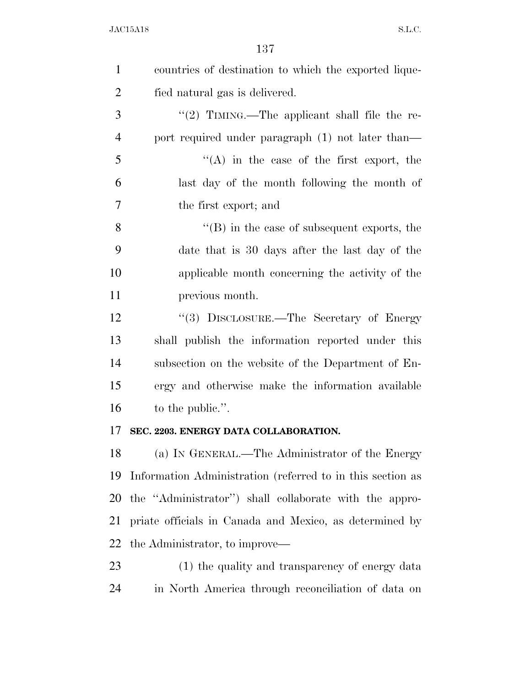| $\mathbf{1}$   | countries of destination to which the exported lique-      |
|----------------|------------------------------------------------------------|
| $\overline{2}$ | fied natural gas is delivered.                             |
| 3              | "(2) TIMING.—The applicant shall file the re-              |
| $\overline{4}$ | port required under paragraph (1) not later than—          |
| 5              | $\lq\lq$ in the case of the first export, the              |
| 6              | last day of the month following the month of               |
| 7              | the first export; and                                      |
| 8              | $\lq\lq (B)$ in the case of subsequent exports, the        |
| 9              | date that is 30 days after the last day of the             |
| 10             | applicable month concerning the activity of the            |
| 11             | previous month.                                            |
| 12             | "(3) DISCLOSURE.—The Secretary of Energy                   |
| 13             | shall publish the information reported under this          |
| 14             | subsection on the website of the Department of En-         |
| 15             | ergy and otherwise make the information available          |
| 16             | to the public.".                                           |
| 17             | SEC. 2203. ENERGY DATA COLLABORATION.                      |
| 18             | (a) IN GENERAL.—The Administrator of the Energy            |
| 19             | Information Administration (referred to in this section as |
| 20             | the "Administrator") shall collaborate with the appro-     |
| 21             | priate officials in Canada and Mexico, as determined by    |
| 22             | the Administrator, to improve—                             |
| 23             | (1) the quality and transparency of energy data            |
| 24             | in North America through reconciliation of data on         |
|                |                                                            |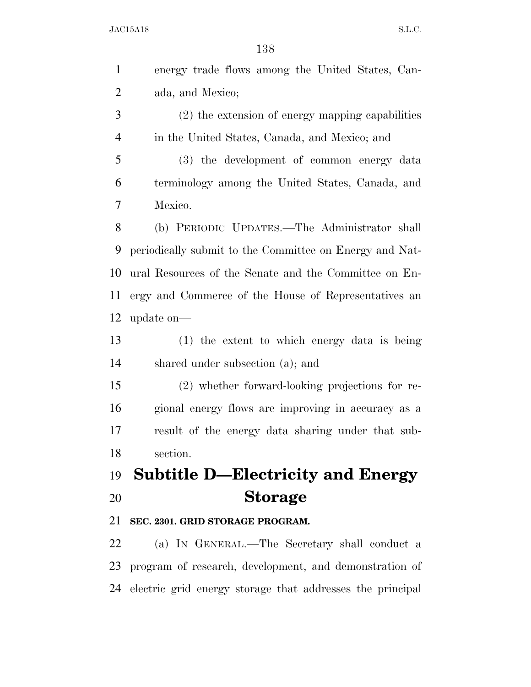| $\mathbf{1}$   | energy trade flows among the United States, Can-             |
|----------------|--------------------------------------------------------------|
| $\overline{2}$ | ada, and Mexico;                                             |
| 3              | (2) the extension of energy mapping capabilities             |
| $\overline{4}$ | in the United States, Canada, and Mexico; and                |
| 5              | (3) the development of common energy data                    |
| 6              | terminology among the United States, Canada, and             |
| 7              | Mexico.                                                      |
| 8              | (b) PERIODIC UPDATES.—The Administrator shall                |
| 9              | periodically submit to the Committee on Energy and Nat-      |
| 10             | ural Resources of the Senate and the Committee on En-        |
| 11             | ergy and Commerce of the House of Representatives an         |
| 12             | update on-                                                   |
| 13             | $(1)$ the extent to which energy data is being               |
| 14             | shared under subsection (a); and                             |
| 15             | (2) whether forward-looking projections for re-              |
| 16             | gional energy flows are improving in accuracy as a           |
| 17             | result of the energy data sharing under that sub-            |
| 18             | section.                                                     |
| 19             | <b>Subtitle D-Electricity and Energy</b>                     |
| 20             | <b>Storage</b>                                               |
| 21             | SEC. 2301. GRID STORAGE PROGRAM.                             |
| 22             | (a) IN GENERAL.—The Secretary shall conduct a                |
| 23             | program of research, development, and demonstration of       |
|                | 24 electric grid energy storage that addresses the principal |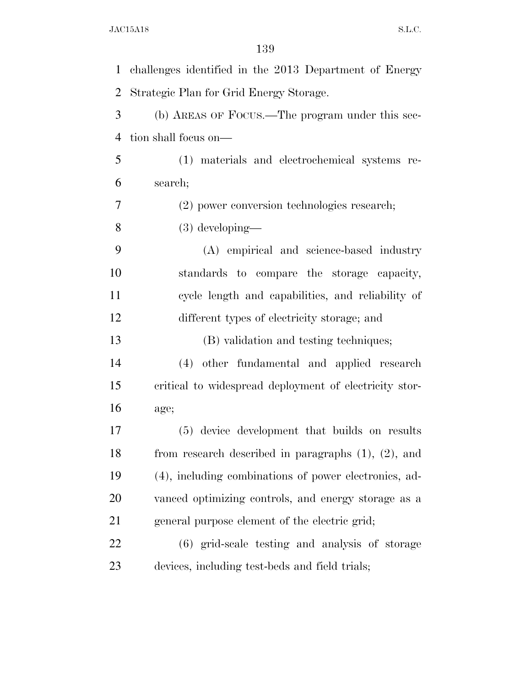challenges identified in the 2013 Department of Energy Strategic Plan for Grid Energy Storage. (b) AREAS OF FOCUS.—The program under this sec- tion shall focus on— (1) materials and electrochemical systems re- search; (2) power conversion technologies research; (3) developing— (A) empirical and science-based industry standards to compare the storage capacity, cycle length and capabilities, and reliability of different types of electricity storage; and (B) validation and testing techniques; (4) other fundamental and applied research critical to widespread deployment of electricity stor- age; (5) device development that builds on results from research described in paragraphs (1), (2), and (4), including combinations of power electronics, ad- vanced optimizing controls, and energy storage as a general purpose element of the electric grid; (6) grid-scale testing and analysis of storage devices, including test-beds and field trials;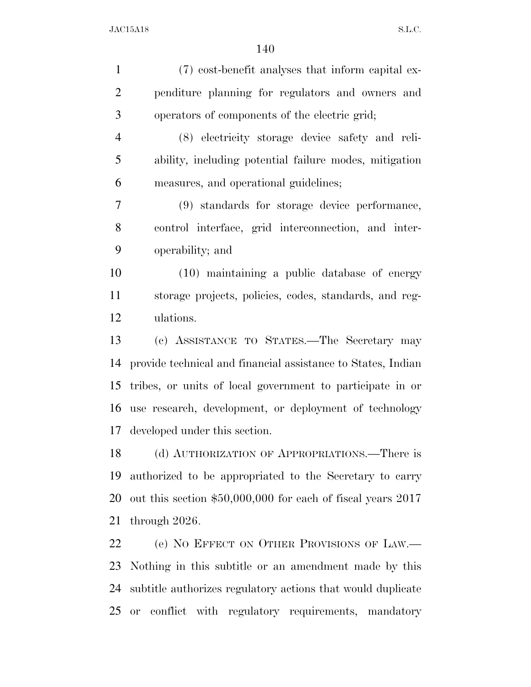| $\mathbf{1}$   | (7) cost-benefit analyses that inform capital ex-              |
|----------------|----------------------------------------------------------------|
| $\overline{2}$ | penditure planning for regulators and owners and               |
| 3              | operators of components of the electric grid;                  |
| $\overline{4}$ | (8) electricity storage device safety and reli-                |
| 5              | ability, including potential failure modes, mitigation         |
| 6              | measures, and operational guidelines;                          |
| 7              | (9) standards for storage device performance,                  |
| 8              | control interface, grid interconnection, and inter-            |
| 9              | operability; and                                               |
| 10             | $(10)$ maintaining a public database of energy                 |
| 11             | storage projects, policies, codes, standards, and reg-         |
| 12             | ulations.                                                      |
| 13             | (c) ASSISTANCE TO STATES.—The Secretary may                    |
| 14             | provide technical and financial assistance to States, Indian   |
| 15             | tribes, or units of local government to participate in or      |
| 16             | use research, development, or deployment of technology         |
| 17             | developed under this section.                                  |
| 18             | (d) AUTHORIZATION OF APPROPRIATIONS.—There is                  |
| 19             | authorized to be appropriated to the Secretary to carry        |
| 20             | out this section $$50,000,000$ for each of fiscal years $2017$ |
| 21             | through 2026.                                                  |
| 22             | (e) NO EFFECT ON OTHER PROVISIONS OF LAW.—                     |
| 23             | Nothing in this subtitle or an amendment made by this          |
| 24             | subtitle authorizes regulatory actions that would duplicate    |

or conflict with regulatory requirements, mandatory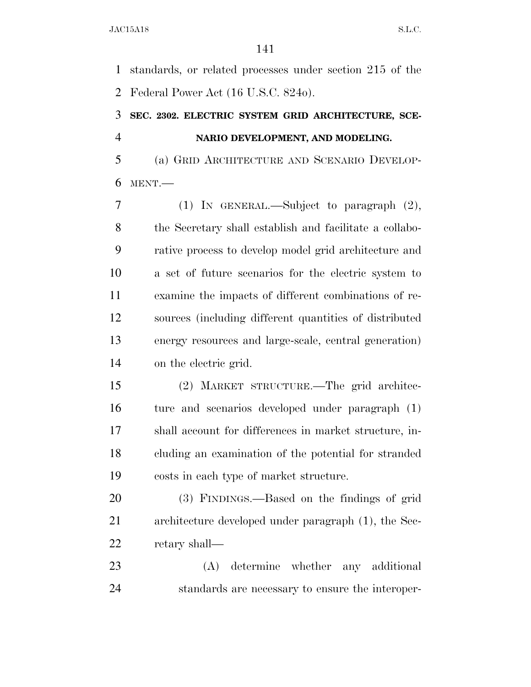standards, or related processes under section 215 of the Federal Power Act (16 U.S.C. 824o).

## **SEC. 2302. ELECTRIC SYSTEM GRID ARCHITECTURE, SCE-NARIO DEVELOPMENT, AND MODELING.**

 (a) GRID ARCHITECTURE AND SCENARIO DEVELOP-MENT.—

 (1) IN GENERAL.—Subject to paragraph (2), the Secretary shall establish and facilitate a collabo- rative process to develop model grid architecture and a set of future scenarios for the electric system to examine the impacts of different combinations of re- sources (including different quantities of distributed energy resources and large-scale, central generation) on the electric grid.

 (2) MARKET STRUCTURE.—The grid architec- ture and scenarios developed under paragraph (1) shall account for differences in market structure, in- cluding an examination of the potential for stranded costs in each type of market structure.

 (3) FINDINGS.—Based on the findings of grid architecture developed under paragraph (1), the Sec-retary shall—

 (A) determine whether any additional standards are necessary to ensure the interoper-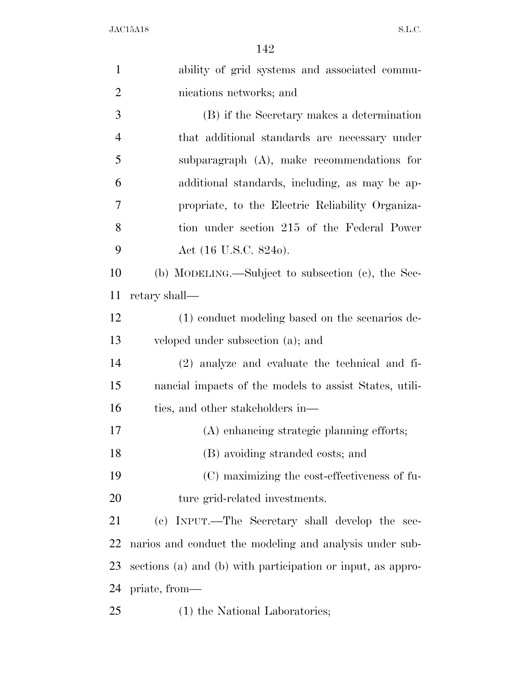| $\mathbf{1}$   | ability of grid systems and associated commu-               |
|----------------|-------------------------------------------------------------|
| $\overline{2}$ | nications networks; and                                     |
| 3              | (B) if the Secretary makes a determination                  |
| $\overline{4}$ | that additional standards are necessary under               |
| 5              | subparagraph $(A)$ , make recommendations for               |
| 6              | additional standards, including, as may be ap-              |
| 7              | propriate, to the Electric Reliability Organiza-            |
| 8              | tion under section 215 of the Federal Power                 |
| 9              | Act (16 U.S.C. 8240).                                       |
| 10             | (b) MODELING.—Subject to subsection (c), the Sec-           |
| 11             | retary shall—                                               |
| 12             | (1) conduct modeling based on the scenarios de-             |
| 13             | veloped under subsection (a); and                           |
| 14             | $(2)$ analyze and evaluate the technical and fi-            |
| 15             | nancial impacts of the models to assist States, utili-      |
| 16             | ties, and other stakeholders in—                            |
| 17             | (A) enhancing strategic planning efforts;                   |
| 18             | (B) avoiding stranded costs; and                            |
| 19             | (C) maximizing the cost-effectiveness of fu-                |
| 20             | ture grid-related investments.                              |
| 21             | INPUT.—The Secretary shall develop the sce-<br>(e)          |
| 22             | narios and conduct the modeling and analysis under sub-     |
| 23             | sections (a) and (b) with participation or input, as appro- |
| 24             | priate, from—                                               |
| 25             | (1) the National Laboratories;                              |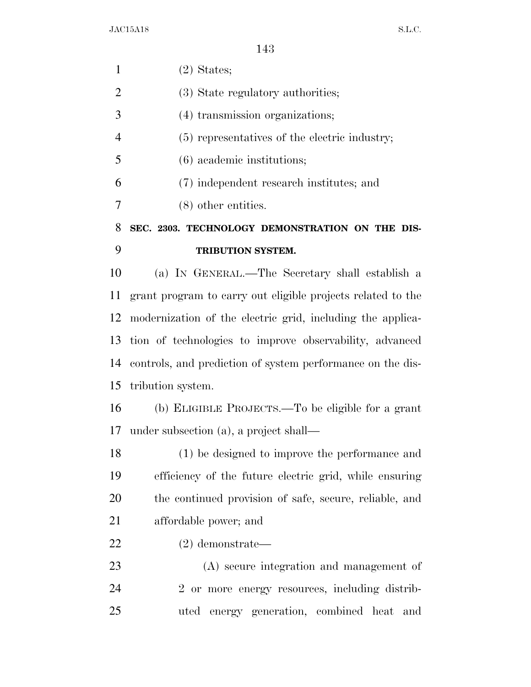| $\mathbf{1}$   | $(2)$ States;                                               |
|----------------|-------------------------------------------------------------|
| $\overline{2}$ | (3) State regulatory authorities;                           |
| 3              | (4) transmission organizations;                             |
| $\overline{4}$ | (5) representatives of the electric industry;               |
| 5              | $(6)$ academic institutions;                                |
| 6              | (7) independent research institutes; and                    |
| 7              | $(8)$ other entities.                                       |
| 8              | SEC. 2303. TECHNOLOGY DEMONSTRATION ON THE DIS-             |
| 9              | TRIBUTION SYSTEM.                                           |
| 10             | (a) IN GENERAL.—The Secretary shall establish a             |
| 11             | grant program to carry out eligible projects related to the |
| 12             | modernization of the electric grid, including the applica-  |
| 13             | tion of technologies to improve observability, advanced     |
| 14             | controls, and prediction of system performance on the dis-  |
| 15             | tribution system.                                           |
| 16             | (b) ELIGIBLE PROJECTS.—To be eligible for a grant           |
| 17             | under subsection (a), a project shall—                      |
| 18             | (1) be designed to improve the performance and              |
| 19             | efficiency of the future electric grid, while ensuring      |
| 20             | the continued provision of safe, secure, reliable, and      |
| 21             | affordable power; and                                       |
| 22             | $(2)$ demonstrate—                                          |
| 23             | (A) secure integration and management of                    |
| 24             | 2 or more energy resources, including distrib-              |
| 25             | uted energy generation, combined heat and                   |
|                |                                                             |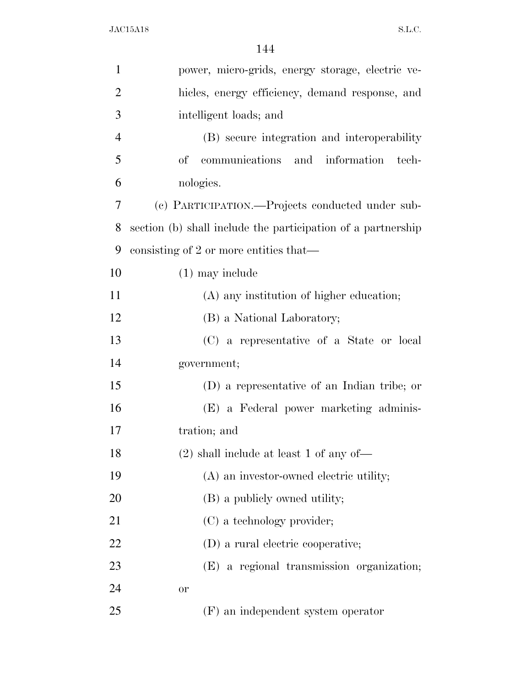| $\mathbf{1}$   | power, micro-grids, energy storage, electric ve-             |
|----------------|--------------------------------------------------------------|
| $\overline{2}$ | hicles, energy efficiency, demand response, and              |
| 3              | intelligent loads; and                                       |
| $\overline{4}$ | (B) secure integration and interoperability                  |
| 5              | communications and information<br>of<br>tech-                |
| 6              | nologies.                                                    |
| 7              | (c) PARTICIPATION.—Projects conducted under sub-             |
| 8              | section (b) shall include the participation of a partnership |
| 9              | consisting of 2 or more entities that—                       |
| 10             | $(1)$ may include                                            |
| 11             | (A) any institution of higher education;                     |
| 12             | (B) a National Laboratory;                                   |
| 13             | (C) a representative of a State or local                     |
| 14             | government;                                                  |
| 15             | (D) a representative of an Indian tribe; or                  |
| 16             | (E) a Federal power marketing adminis-                       |
| 17             | tration; and                                                 |
| 18             | $(2)$ shall include at least 1 of any of-                    |
| 19             | (A) an investor-owned electric utility;                      |
| 20             | (B) a publicly owned utility;                                |
| 21             | (C) a technology provider;                                   |
| 22             | (D) a rural electric cooperative;                            |
| 23             | (E) a regional transmission organization;                    |
| 24             | <b>or</b>                                                    |
| 25             | (F) an independent system operator                           |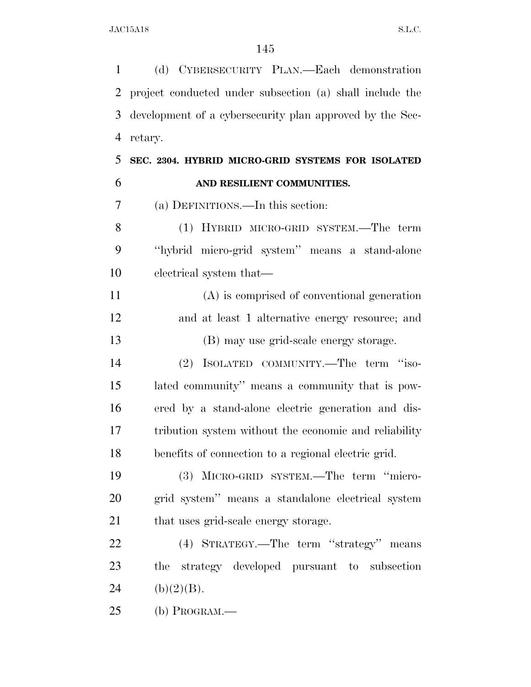| $\mathbf{1}$   | (d) CYBERSECURITY PLAN.—Each demonstration               |
|----------------|----------------------------------------------------------|
| 2              | project conducted under subsection (a) shall include the |
| 3              | development of a cybersecurity plan approved by the Sec- |
| $\overline{4}$ | retary.                                                  |
| 5              | SEC. 2304. HYBRID MICRO-GRID SYSTEMS FOR ISOLATED        |
| 6              | AND RESILIENT COMMUNITIES.                               |
| 7              | (a) DEFINITIONS.—In this section:                        |
| 8              | (1) HYBRID MICRO-GRID SYSTEM.—The term                   |
| 9              | "hybrid micro-grid system" means a stand-alone           |
| 10             | electrical system that—                                  |
| 11             | (A) is comprised of conventional generation              |
| 12             | and at least 1 alternative energy resource; and          |
| 13             | (B) may use grid-scale energy storage.                   |
| 14             | ISOLATED COMMUNITY.—The term "iso-<br>(2)                |
| 15             | lated community" means a community that is pow-          |
| 16             | ered by a stand-alone electric generation and dis-       |
| 17             | tribution system without the economic and reliability    |
| 18             | benefits of connection to a regional electric grid.      |
| 19             | (3) MICRO-GRID SYSTEM.—The term "micro-                  |
| 20             | grid system" means a standalone electrical system        |
| 21             | that uses grid-scale energy storage.                     |
| 22             | (4) STRATEGY.—The term "strategy" means                  |
| 23             | the strategy developed pursuant to subsection            |
| 24             | (b)(2)(B).                                               |
| 25             | (b) PROGRAM. $-$                                         |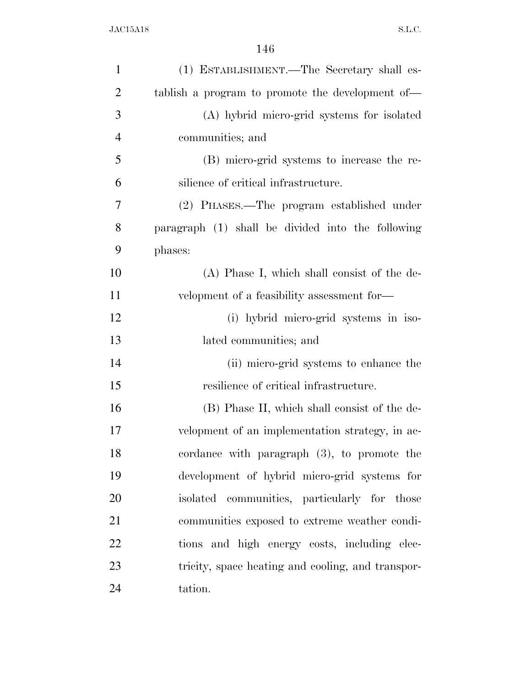| $\mathbf{1}$   | (1) ESTABLISHMENT.—The Secretary shall es-        |
|----------------|---------------------------------------------------|
| $\overline{2}$ | tablish a program to promote the development of-  |
| 3              | (A) hybrid micro-grid systems for isolated        |
| $\overline{4}$ | communities; and                                  |
| 5              | (B) micro-grid systems to increase the re-        |
| 6              | silience of critical infrastructure.              |
| 7              | (2) PHASES.—The program established under         |
| 8              | paragraph (1) shall be divided into the following |
| 9              | phases:                                           |
| 10             | (A) Phase I, which shall consist of the de-       |
| 11             | velopment of a feasibility assessment for-        |
| 12             | (i) hybrid micro-grid systems in iso-             |
| 13             | lated communities; and                            |
| 14             | (ii) micro-grid systems to enhance the            |
| 15             | resilience of critical infrastructure.            |
| 16             | (B) Phase II, which shall consist of the de-      |
| 17             | velopment of an implementation strategy, in ac-   |
| 18             | cordance with paragraph $(3)$ , to promote the    |
| 19             | development of hybrid micro-grid systems for      |
| 20             | isolated communities, particularly for those      |
| 21             | communities exposed to extreme weather condi-     |
| 22             | tions and high energy costs, including elec-      |
| 23             | tricity, space heating and cooling, and transpor- |
| 24             | tation.                                           |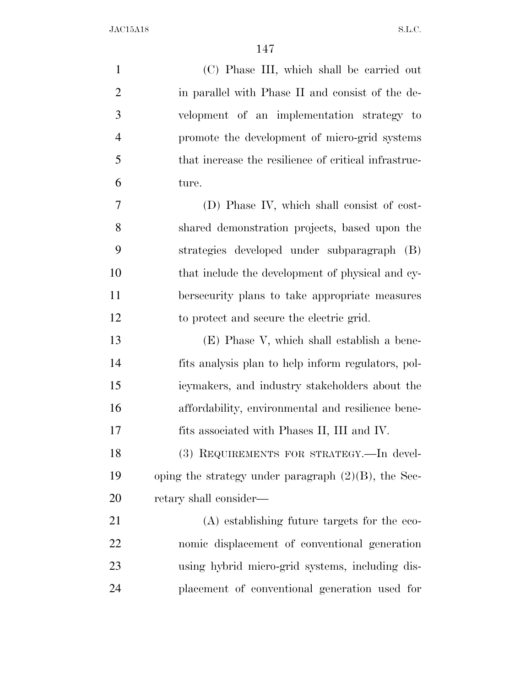| $\mathbf{1}$   | (C) Phase III, which shall be carried out              |
|----------------|--------------------------------------------------------|
| $\overline{2}$ | in parallel with Phase II and consist of the de-       |
| 3              | velopment of an implementation strategy to             |
| 4              | promote the development of micro-grid systems          |
| 5              | that increase the resilience of critical infrastruc-   |
| 6              | ture.                                                  |
| 7              | (D) Phase IV, which shall consist of cost-             |
| 8              | shared demonstration projects, based upon the          |
| 9              | strategies developed under subparagraph (B)            |
| 10             | that include the development of physical and cy-       |
| 11             | bersecurity plans to take appropriate measures         |
| 12             | to protect and secure the electric grid.               |
| 13             | (E) Phase V, which shall establish a bene-             |
| 14             | fits analysis plan to help inform regulators, pol-     |
| 15             | icymakers, and industry stakeholders about the         |
| 16             | affordability, environmental and resilience bene-      |
| 17             | fits associated with Phases II, III and IV.            |
| 18             | (3) REQUIREMENTS FOR STRATEGY.—In devel-               |
| 19             | oping the strategy under paragraph $(2)(B)$ , the Sec- |
| 20             | retary shall consider—                                 |
| 21             | (A) establishing future targets for the eco-           |
| 22             | nomic displacement of conventional generation          |
| 23             | using hybrid micro-grid systems, including dis-        |
| 24             | placement of conventional generation used for          |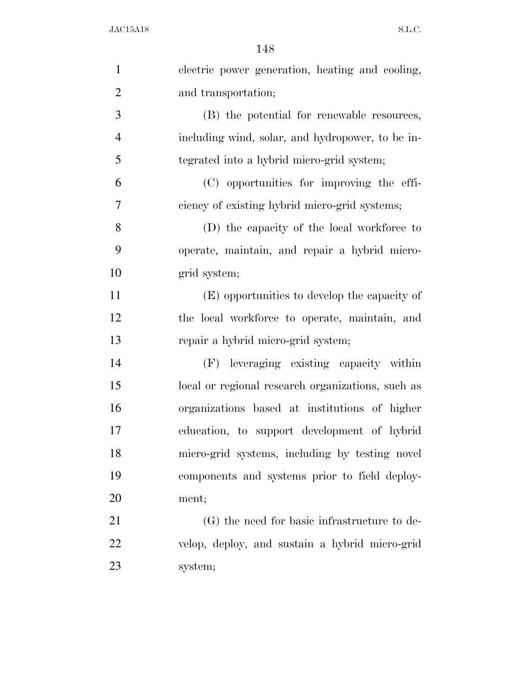| $\mathbf{1}$   | electric power generation, heating and cooling,   |
|----------------|---------------------------------------------------|
| $\overline{2}$ | and transportation;                               |
| 3              | (B) the potential for renewable resources,        |
| $\overline{4}$ | including wind, solar, and hydropower, to be in-  |
| 5              | tegrated into a hybrid micro-grid system;         |
| 6              | (C) opportunities for improving the effi-         |
| $\overline{7}$ | ciency of existing hybrid micro-grid systems;     |
| 8              | (D) the capacity of the local workforce to        |
| 9              | operate, maintain, and repair a hybrid micro-     |
| 10             | grid system;                                      |
| 11             | (E) opportunities to develop the capacity of      |
| 12             | the local workforce to operate, maintain, and     |
| 13             | repair a hybrid micro-grid system;                |
| 14             | (F) leveraging existing capacity within           |
| 15             | local or regional research organizations, such as |
| 16             | organizations based at institutions of higher     |
| 17             | education, to support development of hybrid       |
| 18             | micro-grid systems, including by testing novel    |
| 19             | components and systems prior to field deploy-     |
| 20             | ment;                                             |
| 21             | (G) the need for basic infrastructure to de-      |
| 22             | velop, deploy, and sustain a hybrid micro-grid    |
| 23             | system;                                           |
|                |                                                   |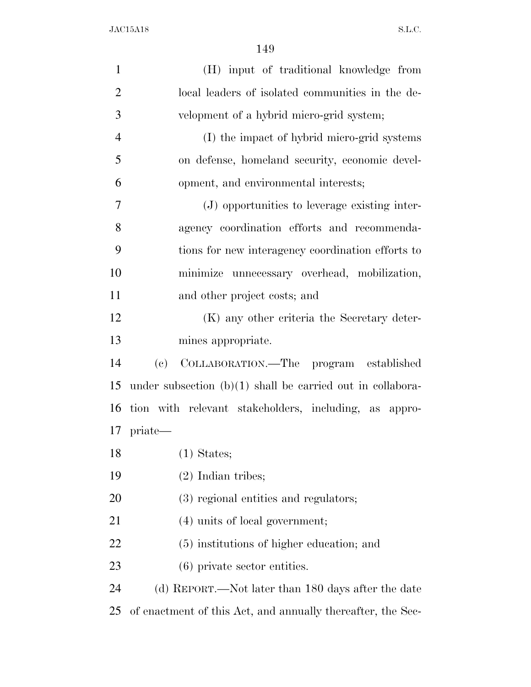| $\mathbf{1}$   | (H) input of traditional knowledge from                      |
|----------------|--------------------------------------------------------------|
| $\overline{2}$ | local leaders of isolated communities in the de-             |
| 3              | velopment of a hybrid micro-grid system;                     |
| $\overline{4}$ | (I) the impact of hybrid micro-grid systems                  |
| 5              | on defense, homeland security, economic devel-               |
| 6              | opment, and environmental interests;                         |
| 7              | (J) opportunities to leverage existing inter-                |
| 8              | agency coordination efforts and recommenda-                  |
| 9              | tions for new interagency coordination efforts to            |
| 10             | minimize unnecessary overhead, mobilization,                 |
| 11             | and other project costs; and                                 |
| 12             | (K) any other criteria the Secretary deter-                  |
| 13             | mines appropriate.                                           |
| 14             | COLLABORATION.—The program established<br>(e)                |
| 15             | under subsection $(b)(1)$ shall be carried out in collabora- |
| 16             | tion with relevant stakeholders, including, as appro-        |
| 17             | priate—                                                      |
| 18             | $(1)$ States;                                                |
| 19             | $(2)$ Indian tribes;                                         |
| 20             | (3) regional entities and regulators;                        |
| 21             | (4) units of local government;                               |
| 22             | (5) institutions of higher education; and                    |
| 23             | $(6)$ private sector entities.                               |
| 24             | (d) REPORT.—Not later than 180 days after the date           |
| 25             | of enactment of this Act, and annually thereafter, the Sec-  |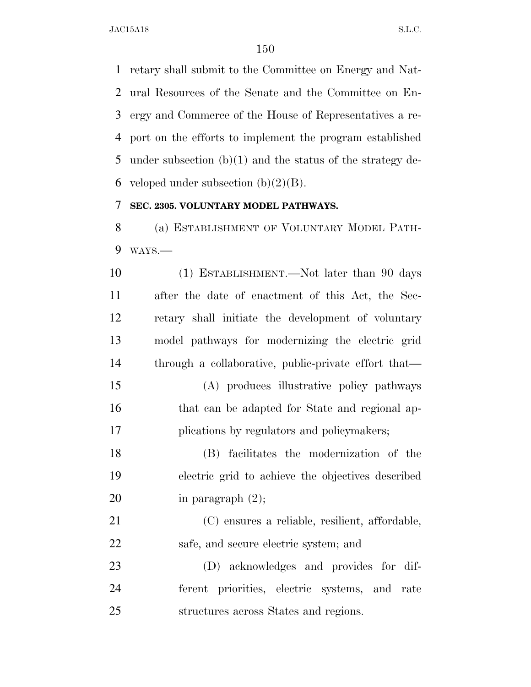retary shall submit to the Committee on Energy and Nat- ural Resources of the Senate and the Committee on En- ergy and Commerce of the House of Representatives a re- port on the efforts to implement the program established under subsection (b)(1) and the status of the strategy de-6 veloped under subsection  $(b)(2)(B)$ .

### **SEC. 2305. VOLUNTARY MODEL PATHWAYS.**

 (a) ESTABLISHMENT OF VOLUNTARY MODEL PATH-WAYS.—

 (1) ESTABLISHMENT.—Not later than 90 days after the date of enactment of this Act, the Sec- retary shall initiate the development of voluntary model pathways for modernizing the electric grid through a collaborative, public-private effort that— (A) produces illustrative policy pathways 16 that can be adapted for State and regional ap-plications by regulators and policymakers;

 (B) facilitates the modernization of the electric grid to achieve the objectives described 20 in paragraph  $(2)$ ;

 (C) ensures a reliable, resilient, affordable, safe, and secure electric system; and

 (D) acknowledges and provides for dif- ferent priorities, electric systems, and rate structures across States and regions.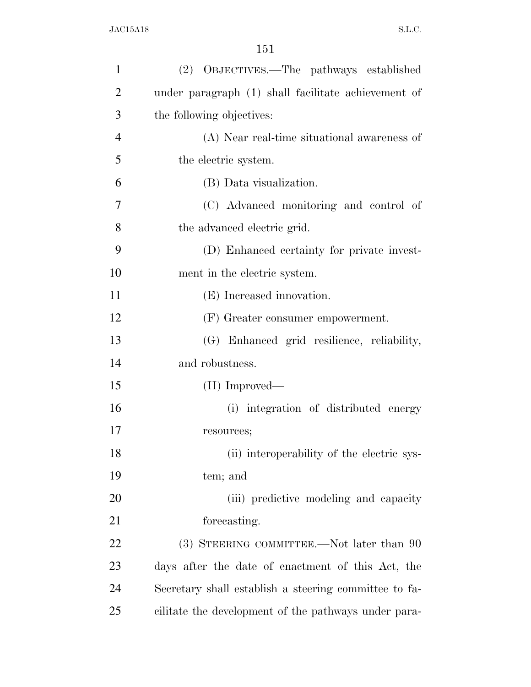| $\mathbf{1}$   | (2) OBJECTIVES.—The pathways established              |
|----------------|-------------------------------------------------------|
| $\overline{2}$ | under paragraph (1) shall facilitate achievement of   |
| 3              | the following objectives:                             |
| $\overline{4}$ | (A) Near real-time situational awareness of           |
| 5              | the electric system.                                  |
| 6              | (B) Data visualization.                               |
| $\overline{7}$ | (C) Advanced monitoring and control of                |
| 8              | the advanced electric grid.                           |
| 9              | (D) Enhanced certainty for private invest-            |
| 10             | ment in the electric system.                          |
| 11             | (E) Increased innovation.                             |
| 12             | (F) Greater consumer empowerment.                     |
| 13             | (G) Enhanced grid resilience, reliability,            |
| 14             | and robustness.                                       |
| 15             | (H) Improved—                                         |
| 16             | (i) integration of distributed energy                 |
| 17             | resources;                                            |
| 18             | (ii) interoperability of the electric sys-            |
| 19             | tem; and                                              |
| 20             | (iii) predictive modeling and capacity                |
| 21             | forecasting.                                          |
| 22             | (3) STEERING COMMITTEE.—Not later than 90             |
| 23             | days after the date of enactment of this Act, the     |
| 24             | Secretary shall establish a steering committee to fa- |
| 25             | cilitate the development of the pathways under para-  |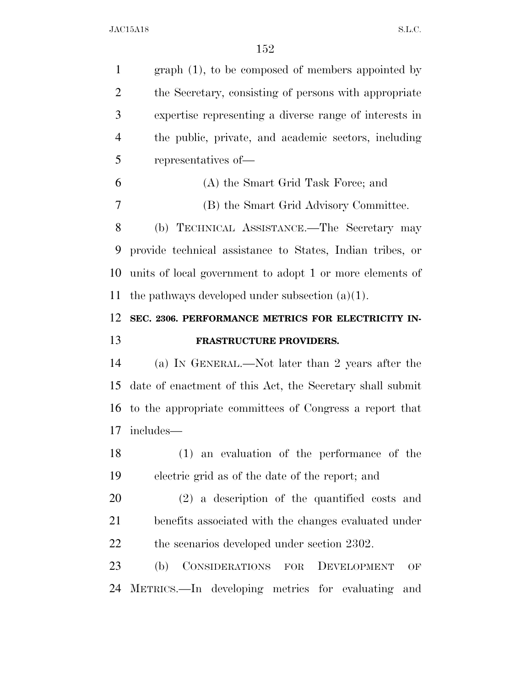| $\mathbf{1}$         | $graph(1)$ , to be composed of members appointed by       |
|----------------------|-----------------------------------------------------------|
| $\overline{2}$       | the Secretary, consisting of persons with appropriate     |
| 3                    | expertise representing a diverse range of interests in    |
| $\overline{4}$       | the public, private, and academic sectors, including      |
| 5                    | representatives of—                                       |
| 6                    | (A) the Smart Grid Task Force; and                        |
| 7                    | (B) the Smart Grid Advisory Committee.                    |
| 8                    | (b) TECHNICAL ASSISTANCE.-The Secretary may               |
| 9                    | provide technical assistance to States, Indian tribes, or |
| 10                   | units of local government to adopt 1 or more elements of  |
| 11                   | the pathways developed under subsection $(a)(1)$ .        |
| 12                   | SEC. 2306. PERFORMANCE METRICS FOR ELECTRICITY IN-        |
|                      |                                                           |
|                      | FRASTRUCTURE PROVIDERS.                                   |
|                      | (a) IN GENERAL.—Not later than 2 years after the          |
|                      | date of enactment of this Act, the Secretary shall submit |
| 13<br>14<br>15<br>16 | to the appropriate committees of Congress a report that   |
| 17                   | includes—                                                 |
|                      | (1) an evaluation of the performance of the               |
|                      | electric grid as of the date of the report; and           |
| 18<br>19<br>20       | $(2)$ a description of the quantified costs and           |
| 21                   | benefits associated with the changes evaluated under      |
| 22                   | the scenarios developed under section 2302.               |
| 23                   | CONSIDERATIONS FOR<br>(b)<br>DEVELOPMENT<br>OF            |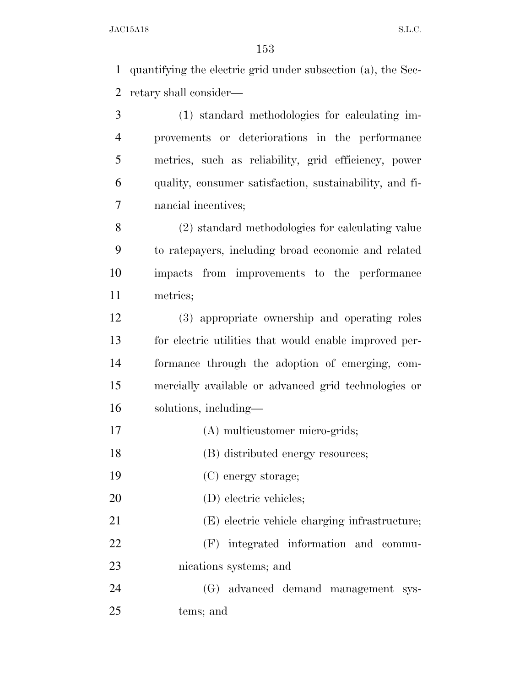quantifying the electric grid under subsection (a), the Sec-retary shall consider—

 (1) standard methodologies for calculating im- provements or deteriorations in the performance metrics, such as reliability, grid efficiency, power quality, consumer satisfaction, sustainability, and fi-nancial incentives;

 (2) standard methodologies for calculating value to ratepayers, including broad economic and related impacts from improvements to the performance metrics;

 (3) appropriate ownership and operating roles for electric utilities that would enable improved per- formance through the adoption of emerging, com- mercially available or advanced grid technologies or solutions, including—

(A) multicustomer micro-grids;

18 (B) distributed energy resources;

(C) energy storage;

(D) electric vehicles;

(E) electric vehicle charging infrastructure;

 (F) integrated information and commu-nications systems; and

 (G) advanced demand management sys-tems; and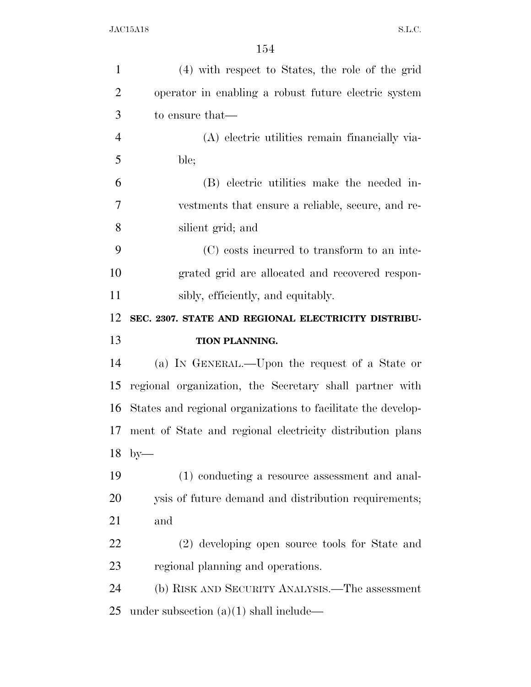| $\mathbf{1}$   | (4) with respect to States, the role of the grid             |
|----------------|--------------------------------------------------------------|
| $\overline{2}$ | operator in enabling a robust future electric system         |
| 3              | to ensure that—                                              |
| $\overline{4}$ | (A) electric utilities remain financially via-               |
| 5              | ble;                                                         |
| 6              | (B) electric utilities make the needed in-                   |
| 7              | vestments that ensure a reliable, secure, and re-            |
| 8              | silient grid; and                                            |
| 9              | (C) costs incurred to transform to an inte-                  |
| 10             | grated grid are allocated and recovered respon-              |
| 11             | sibly, efficiently, and equitably.                           |
| 12             | SEC. 2307. STATE AND REGIONAL ELECTRICITY DISTRIBU-          |
| 13             | TION PLANNING.                                               |
| 14             | (a) IN GENERAL.—Upon the request of a State or               |
| 15             | regional organization, the Secretary shall partner with      |
| 16             | States and regional organizations to facilitate the develop- |
| 17             | ment of State and regional electricity distribution plans    |
| 18             | $by-$                                                        |
| 19             | (1) conducting a resource assessment and anal-               |
| 20             | ysis of future demand and distribution requirements;         |
| 21             | and                                                          |
| 22             | (2) developing open source tools for State and               |
| 23             | regional planning and operations.                            |
| 24             | (b) RISK AND SECURITY ANALYSIS.—The assessment               |
|                |                                                              |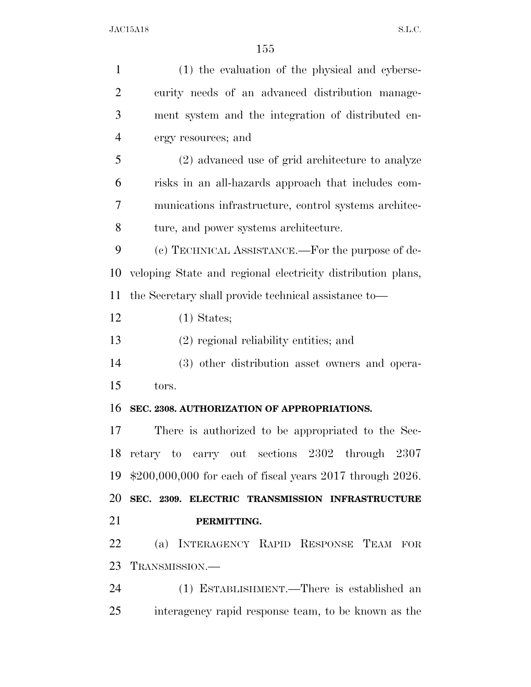| $\mathbf{1}$   | (1) the evaluation of the physical and cyberse-                 |
|----------------|-----------------------------------------------------------------|
| $\overline{2}$ | curity needs of an advanced distribution manage-                |
| 3              | ment system and the integration of distributed en-              |
| $\overline{4}$ | ergy resources; and                                             |
| 5              | (2) advanced use of grid architecture to analyze                |
| 6              | risks in an all-hazards approach that includes com-             |
| 7              | munications infrastructure, control systems architec-           |
| 8              | ture, and power systems architecture.                           |
| 9              | (c) TECHNICAL ASSISTANCE.—For the purpose of de-                |
| 10             | veloping State and regional electricity distribution plans,     |
| 11             | the Secretary shall provide technical assistance to—            |
| 12             | $(1)$ States;                                                   |
| 13             | $(2)$ regional reliability entities; and                        |
| 14             | (3) other distribution asset owners and opera-                  |
| 15             | tors.                                                           |
| 16             | SEC. 2308. AUTHORIZATION OF APPROPRIATIONS.                     |
| 17             | There is authorized to be appropriated to the Sec-              |
|                | 18 retary to carry out sections 2302 through 2307               |
| 19             | $$200,000,000$ for each of fiscal years $2017$ through $2026$ . |
| 20             | SEC. 2309. ELECTRIC TRANSMISSION INFRASTRUCTURE                 |
| 21             | PERMITTING.                                                     |
| 22             | (a) INTERAGENCY RAPID RESPONSE TEAM FOR                         |
| 23             | TRANSMISSION.-                                                  |
| 24             | (1) ESTABLISHMENT.—There is established an                      |
| 25             | interagency rapid response team, to be known as the             |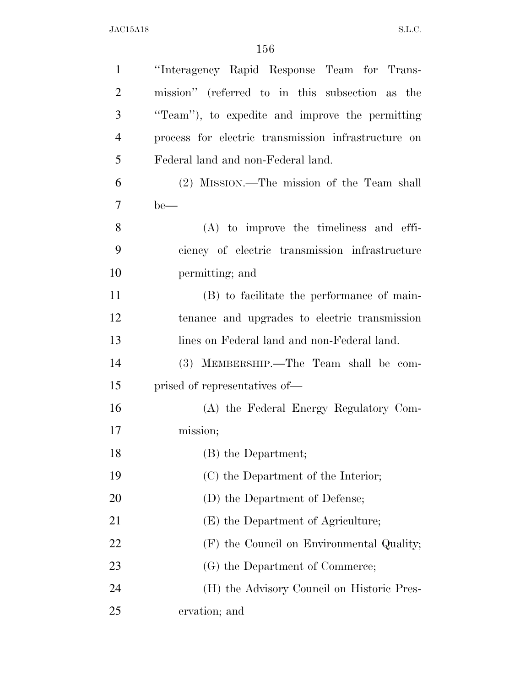| $\mathbf{1}$   | "Interagency Rapid Response Team for Trans-         |
|----------------|-----------------------------------------------------|
| $\overline{2}$ | mission" (referred to in this subsection as the     |
| 3              | "Team"), to expedite and improve the permitting     |
| $\overline{4}$ | process for electric transmission infrastructure on |
| 5              | Federal land and non-Federal land.                  |
| 6              | (2) MISSION.—The mission of the Team shall          |
| 7              | $be$ —                                              |
| 8              | $(A)$ to improve the timeliness and effi-           |
| 9              | ciency of electric transmission infrastructure      |
| 10             | permitting; and                                     |
| 11             | (B) to facilitate the performance of main-          |
| 12             | tenance and upgrades to electric transmission       |
| 13             | lines on Federal land and non-Federal land.         |
| 14             | (3) MEMBERSHIP.—The Team shall be com-              |
| 15             | prised of representatives of—                       |
| 16             | (A) the Federal Energy Regulatory Com-              |
| 17             | mission;                                            |
| 18             | (B) the Department;                                 |
| 19             | (C) the Department of the Interior;                 |
| 20             | (D) the Department of Defense;                      |
| 21             | (E) the Department of Agriculture;                  |
| 22             | (F) the Council on Environmental Quality;           |
| 23             | (G) the Department of Commerce;                     |
| 24             | (H) the Advisory Council on Historic Pres-          |
| 25             | ervation; and                                       |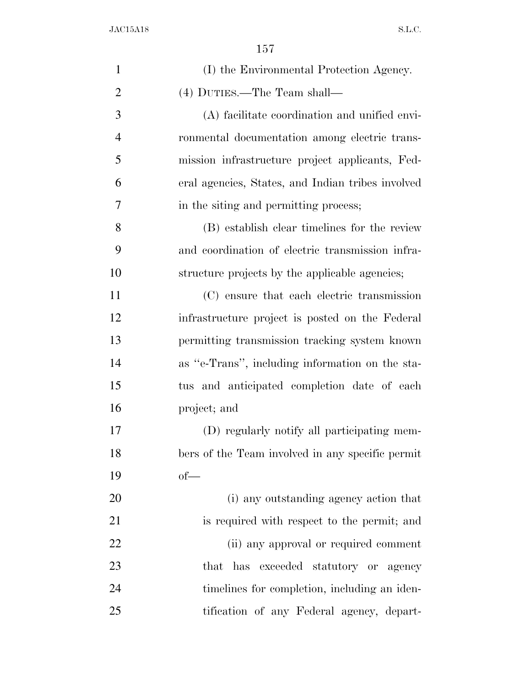| $\mathbf{1}$   | (I) the Environmental Protection Agency.          |
|----------------|---------------------------------------------------|
| $\overline{2}$ | (4) DUTIES.—The Team shall—                       |
| 3              | (A) facilitate coordination and unified envi-     |
| $\overline{4}$ | ronmental documentation among electric trans-     |
| 5              | mission infrastructure project applicants, Fed-   |
| 6              | eral agencies, States, and Indian tribes involved |
| 7              | in the siting and permitting process;             |
| 8              | (B) establish clear timelines for the review      |
| 9              | and coordination of electric transmission infra-  |
| 10             | structure projects by the applicable agencies;    |
| 11             | (C) ensure that each electric transmission        |
| 12             | infrastructure project is posted on the Federal   |
| 13             | permitting transmission tracking system known     |
| 14             | as "e-Trans", including information on the sta-   |
| 15             | tus and anticipated completion date of each       |
| 16             | project; and                                      |
| 17             | (D) regularly notify all participating mem-       |
| 18             | bers of the Team involved in any specific permit  |
| 19             | $of$ —                                            |
| 20             | (i) any outstanding agency action that            |
| 21             | is required with respect to the permit; and       |
| 22             | (ii) any approval or required comment             |
| 23             | that has exceeded statutory or agency             |
| 24             | timelines for completion, including an iden-      |
| 25             | tification of any Federal agency, depart-         |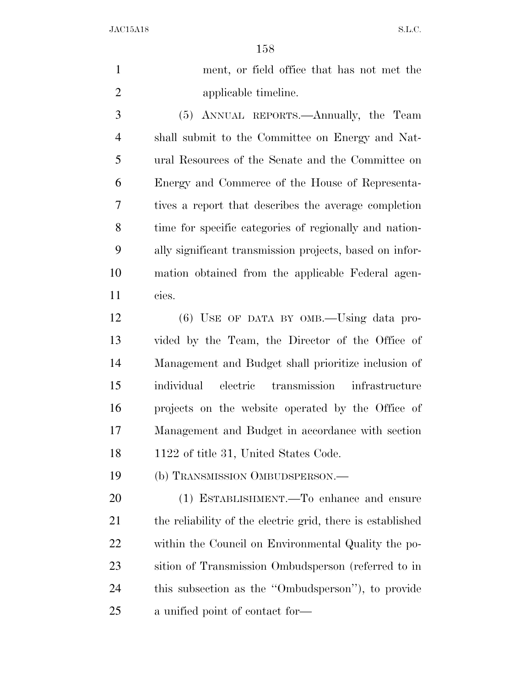ment, or field office that has not met the applicable timeline. (5) ANNUAL REPORTS.—Annually, the Team shall submit to the Committee on Energy and Nat- ural Resources of the Senate and the Committee on Energy and Commerce of the House of Representa- tives a report that describes the average completion time for specific categories of regionally and nation- ally significant transmission projects, based on infor-mation obtained from the applicable Federal agen-

cies.

 (6) USE OF DATA BY OMB.—Using data pro- vided by the Team, the Director of the Office of Management and Budget shall prioritize inclusion of individual electric transmission infrastructure projects on the website operated by the Office of Management and Budget in accordance with section 18 1122 of title 31, United States Code.

(b) TRANSMISSION OMBUDSPERSON.—

 (1) ESTABLISHMENT.—To enhance and ensure the reliability of the electric grid, there is established within the Council on Environmental Quality the po- sition of Transmission Ombudsperson (referred to in this subsection as the ''Ombudsperson''), to provide a unified point of contact for—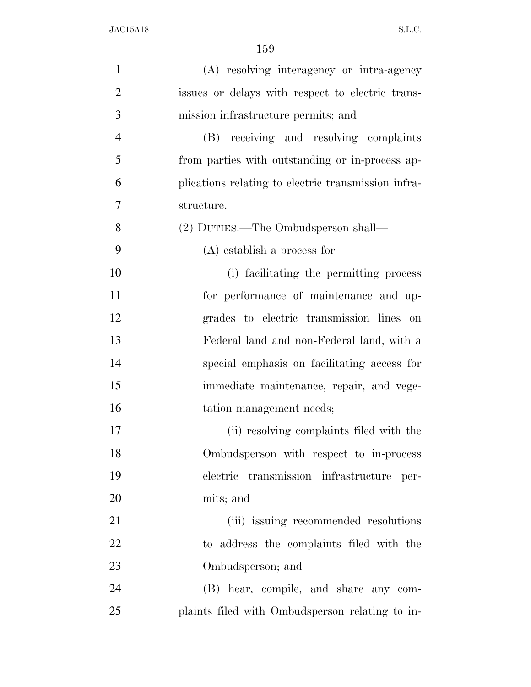| $\mathbf{1}$   | (A) resolving interagency or intra-agency           |
|----------------|-----------------------------------------------------|
| $\overline{2}$ | issues or delays with respect to electric trans-    |
| 3              | mission infrastructure permits; and                 |
| $\overline{4}$ | (B) receiving and resolving complaints              |
| 5              | from parties with outstanding or in-process ap-     |
| 6              | plications relating to electric transmission infra- |
| 7              | structure.                                          |
| 8              | (2) DUTIES.—The Ombudsperson shall—                 |
| 9              | $(A)$ establish a process for-                      |
| 10             | (i) facilitating the permitting process             |
| 11             | for performance of maintenance and up-              |
| 12             | grades to electric transmission lines on            |
| 13             | Federal land and non-Federal land, with a           |
| 14             | special emphasis on facilitating access for         |
| 15             | immediate maintenance, repair, and vege-            |
| 16             | tation management needs;                            |
| 17             | (ii) resolving complaints filed with the            |
| 18             | Ombudsperson with respect to in-process             |
| 19             | electric transmission infrastructure per-           |
| 20             | mits; and                                           |
| 21             | (iii) issuing recommended resolutions               |
| 22             | to address the complaints filed with the            |
| 23             | Ombudsperson; and                                   |
| 24             | (B) hear, compile, and share any com-               |
| 25             | plaints filed with Ombudsperson relating to in-     |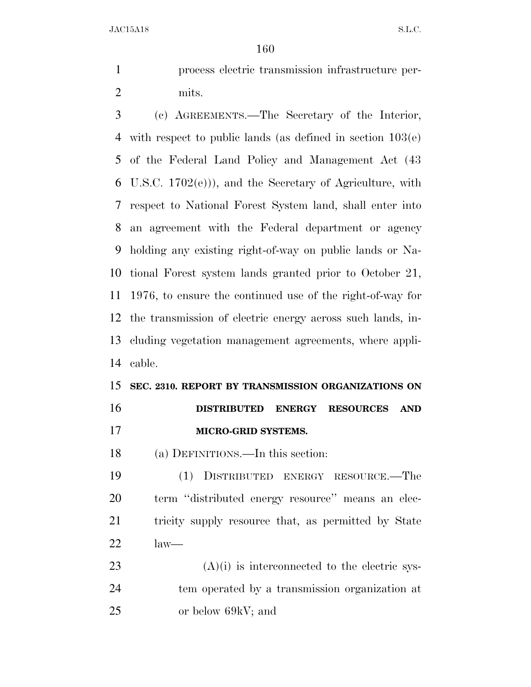process electric transmission infrastructure per-mits.

 (c) AGREEMENTS.—The Secretary of the Interior, with respect to public lands (as defined in section 103(e) of the Federal Land Policy and Management Act (43 U.S.C. 1702(e))), and the Secretary of Agriculture, with respect to National Forest System land, shall enter into an agreement with the Federal department or agency holding any existing right-of-way on public lands or Na- tional Forest system lands granted prior to October 21, 1976, to ensure the continued use of the right-of-way for the transmission of electric energy across such lands, in- cluding vegetation management agreements, where appli-cable.

# **SEC. 2310. REPORT BY TRANSMISSION ORGANIZATIONS ON DISTRIBUTED ENERGY RESOURCES AND**

**MICRO-GRID SYSTEMS.** 

(a) DEFINITIONS.—In this section:

 (1) DISTRIBUTED ENERGY RESOURCE.—The term ''distributed energy resource'' means an elec-21 tricity supply resource that, as permitted by State law—

23  $(A)(i)$  is interconnected to the electric sys- tem operated by a transmission organization at or below 69kV; and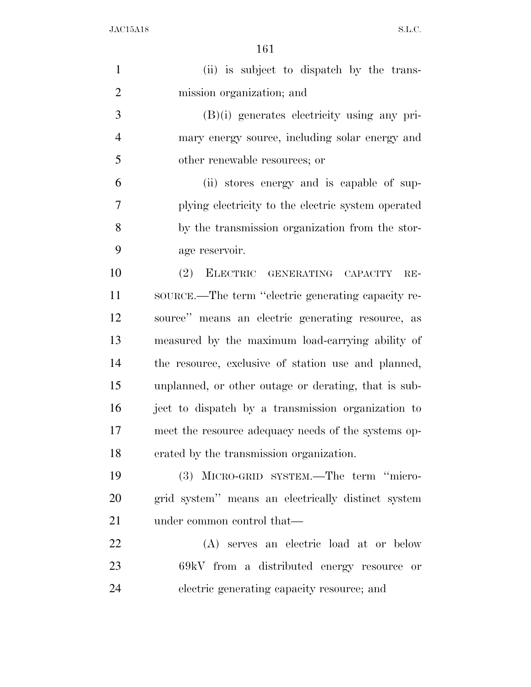| $\mathbf{1}$   | (ii) is subject to dispatch by the trans-            |
|----------------|------------------------------------------------------|
| $\overline{2}$ | mission organization; and                            |
| 3              | $(B)(i)$ generates electricity using any pri-        |
| $\overline{4}$ | mary energy source, including solar energy and       |
| 5              | other renewable resources; or                        |
| 6              | (ii) stores energy and is capable of sup-            |
| 7              | plying electricity to the electric system operated   |
| 8              | by the transmission organization from the stor-      |
| 9              | age reservoir.                                       |
| 10             | (2) ELECTRIC GENERATING CAPACITY<br>$RE-$            |
| 11             | source.—The term "electric generating capacity re-   |
| 12             | source" means an electric generating resource, as    |
| 13             | measured by the maximum load-carrying ability of     |
| 14             | the resource, exclusive of station use and planned,  |
| 15             | unplanned, or other outage or derating, that is sub- |
| 16             | ject to dispatch by a transmission organization to   |
| 17             | meet the resource adequacy needs of the systems op-  |
| 18             | erated by the transmission organization.             |
| 19             | (3) MICRO-GRID SYSTEM.—The term "micro-              |
| 20             | grid system" means an electrically distinct system   |
| 21             | under common control that—                           |
| 22             | (A) serves an electric load at or below              |
| 23             | 69kV from a distributed energy resource or           |
| 24             | electric generating capacity resource; and           |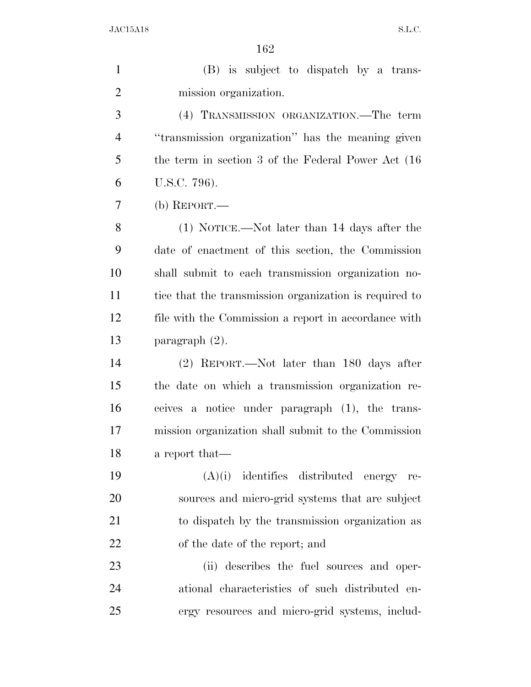(B) is subject to dispatch by a trans-mission organization.

 (4) TRANSMISSION ORGANIZATION.—The term ''transmission organization'' has the meaning given the term in section 3 of the Federal Power Act (16 U.S.C. 796).

(b) REPORT.—

 (1) NOTICE.—Not later than 14 days after the date of enactment of this section, the Commission shall submit to each transmission organization no- tice that the transmission organization is required to file with the Commission a report in accordance with paragraph (2).

 (2) REPORT.—Not later than 180 days after the date on which a transmission organization re- ceives a notice under paragraph (1), the trans- mission organization shall submit to the Commission a report that—

 (A)(i) identifies distributed energy re- sources and micro-grid systems that are subject to dispatch by the transmission organization as of the date of the report; and

 (ii) describes the fuel sources and oper- ational characteristics of such distributed en-ergy resources and micro-grid systems, includ-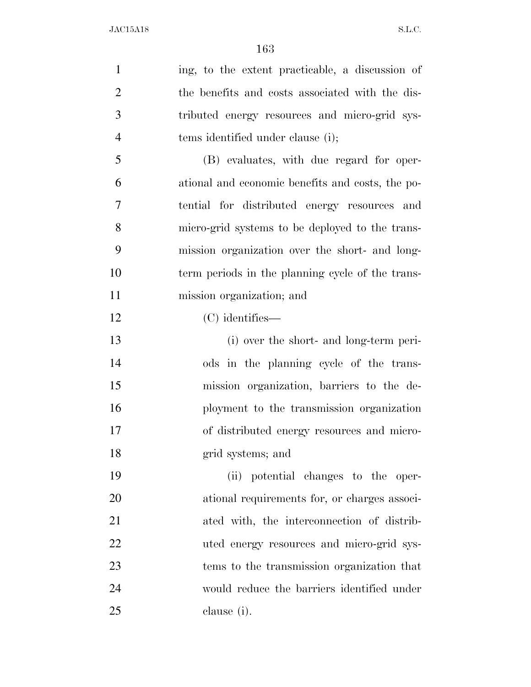ing, to the extent practicable, a discussion of the benefits and costs associated with the dis- tributed energy resources and micro-grid sys-4 tems identified under clause (i); (B) evaluates, with due regard for oper- ational and economic benefits and costs, the po- tential for distributed energy resources and micro-grid systems to be deployed to the trans- mission organization over the short- and long- term periods in the planning cycle of the trans- mission organization; and (C) identifies— (i) over the short- and long-term peri- ods in the planning cycle of the trans- mission organization, barriers to the de- ployment to the transmission organization of distributed energy resources and micro- grid systems; and (ii) potential changes to the oper- ational requirements for, or charges associ- ated with, the interconnection of distrib- uted energy resources and micro-grid sys- tems to the transmission organization that would reduce the barriers identified under clause (i).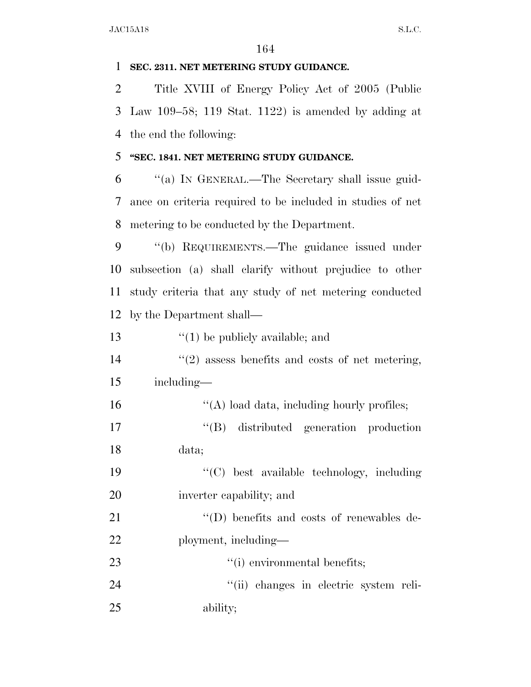#### **SEC. 2311. NET METERING STUDY GUIDANCE.**

 Title XVIII of Energy Policy Act of 2005 (Public Law 109–58; 119 Stat. 1122) is amended by adding at the end the following:

## **''SEC. 1841. NET METERING STUDY GUIDANCE.**

 ''(a) IN GENERAL.—The Secretary shall issue guid- ance on criteria required to be included in studies of net metering to be conducted by the Department.

 ''(b) REQUIREMENTS.—The guidance issued under subsection (a) shall clarify without prejudice to other study criteria that any study of net metering conducted by the Department shall—

## 13 ''(1) be publicly available; and

14  $\frac{1}{2}$  assess benefits and costs of net metering, including—

16  $\frac{16}{16}$   $\frac{16}{16}$  load data, including hourly profiles;

17  $\text{``(B)}$  distributed generation production data;

 ''(C) best available technology, including inverter capability; and

21  $''(D)$  benefits and costs of renewables de-ployment, including—

23  $\frac{1}{1}$  environmental benefits;

 ''(ii) changes in electric system reli-ability;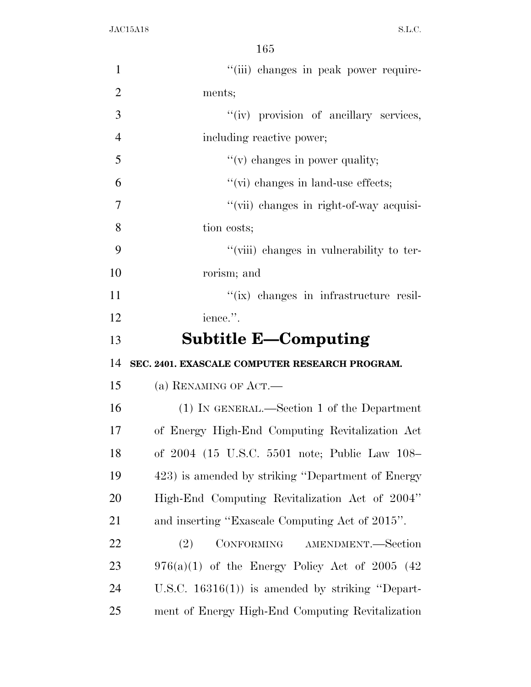| $\mathbf{1}$   | "(iii) changes in peak power require-             |
|----------------|---------------------------------------------------|
| $\overline{2}$ | ments;                                            |
| 3              | "(iv) provision of ancillary services,            |
| $\overline{4}$ | including reactive power;                         |
| 5              | $f'(v)$ changes in power quality;                 |
| 6              | "(vi) changes in land-use effects;                |
| 7              | "(vii) changes in right-of-way acquisi-           |
| 8              | tion costs;                                       |
| 9              | "(viii) changes in vulnerability to ter-          |
| 10             | rorism; and                                       |
| 11             | "(ix) changes in infrastructure resil-            |
| 12             | ience.".                                          |
| 13             | <b>Subtitle E-Computing</b>                       |
| 14             | SEC. 2401. EXASCALE COMPUTER RESEARCH PROGRAM.    |
| 15             | (a) RENAMING OF ACT.-                             |
| 16             | (1) IN GENERAL.—Section 1 of the Department       |
| 17             |                                                   |
|                | of Energy High-End Computing Revitalization Act   |
| 18             | of 2004 (15 U.S.C. 5501 note; Public Law 108–     |
| 19             | 423) is amended by striking "Department of Energy |
| 20             | High-End Computing Revitalization Act of 2004"    |
| 21             | and inserting "Exascale Computing Act of 2015".   |
| 22             | CONFORMING<br>AMENDMENT.—Section<br>(2)           |
| 23             | $976(a)(1)$ of the Energy Policy Act of 2005 (42) |
| 24             | U.S.C. $16316(1)$ is amended by striking "Depart- |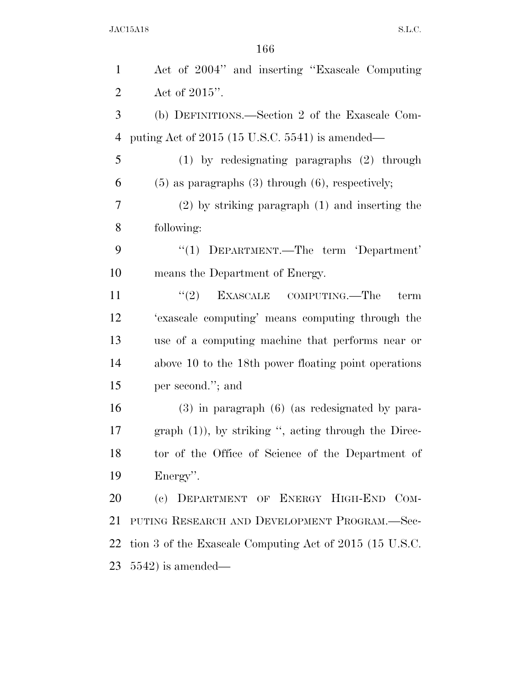| $\mathbf{1}$   | Act of 2004" and inserting "Exascale Computing"         |
|----------------|---------------------------------------------------------|
| $\overline{2}$ | Act of $2015$ ".                                        |
| 3              | (b) DEFINITIONS.—Section 2 of the Exascale Com-         |
| $\overline{4}$ | puting Act of $2015$ (15 U.S.C. 5541) is amended—       |
| 5              | $(1)$ by redesignating paragraphs $(2)$ through         |
| 6              | $(5)$ as paragraphs $(3)$ through $(6)$ , respectively; |
| 7              | $(2)$ by striking paragraph $(1)$ and inserting the     |
| 8              | following:                                              |
| 9              | "(1) DEPARTMENT.—The term 'Department'                  |
| 10             | means the Department of Energy.                         |
| 11             | $\cdot\cdot(2)$ EXASCALE COMPUTING.—The<br>term         |
| 12             | 'exascale computing' means computing through the        |
| 13             | use of a computing machine that performs near or        |
| 14             | above 10 to the 18th power floating point operations    |
| 15             | per second."; and                                       |
| 16             | $(3)$ in paragraph $(6)$ (as redesignated by para-      |
| 17             | graph $(1)$ ), by striking ", acting through the Direc- |
| 18             | tor of the Office of Science of the Department of       |
| 19             | Energy".                                                |
| 20             | (c) DEPARTMENT OF ENERGY HIGH-END COM-                  |
| 21             | PUTING RESEARCH AND DEVELOPMENT PROGRAM.-Sec-           |
| 22             | tion 3 of the Exascale Computing Act of 2015 (15 U.S.C. |
| 23             | $5542$ ) is amended—                                    |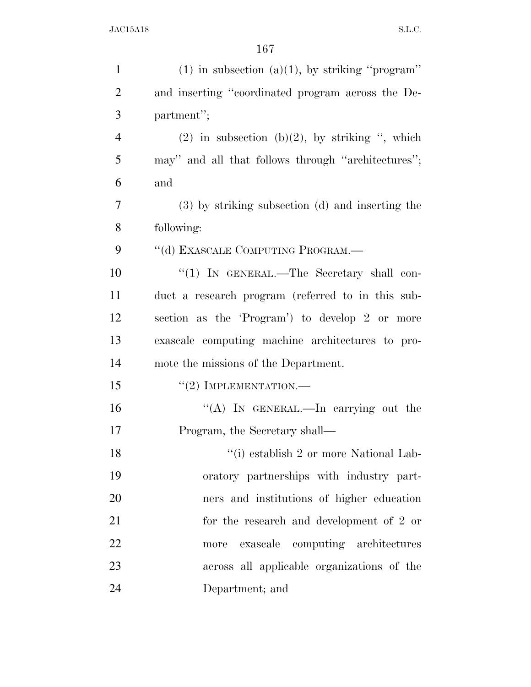| $\mathbf{1}$   | (1) in subsection (a)(1), by striking "program"     |
|----------------|-----------------------------------------------------|
| $\overline{2}$ | and inserting "coordinated program across the De-   |
| 3              | partment";                                          |
| $\overline{4}$ | $(2)$ in subsection $(b)(2)$ , by striking ", which |
| 5              | may" and all that follows through "architectures";  |
| 6              | and                                                 |
| $\overline{7}$ | (3) by striking subsection (d) and inserting the    |
| 8              | following:                                          |
| 9              | "(d) EXASCALE COMPUTING PROGRAM.-                   |
| 10             | "(1) IN GENERAL.—The Secretary shall con-           |
| 11             | duct a research program (referred to in this sub-   |
| 12             | section as the 'Program') to develop 2 or more      |
| 13             | exascale computing machine architectures to pro-    |
| 14             | mote the missions of the Department.                |
| 15             | $``(2)$ IMPLEMENTATION.—                            |
| 16             | "(A) IN GENERAL.—In carrying out the                |
| 17             | Program, the Secretary shall—                       |
| 18             | "(i) establish 2 or more National Lab-              |
| 19             | oratory partnerships with industry part-            |
| 20             | ners and institutions of higher education           |
| 21             | for the research and development of 2 or            |
| 22             | computing architectures<br>exascale<br>more         |
| 23             | across all applicable organizations of the          |
| 24             | Department; and                                     |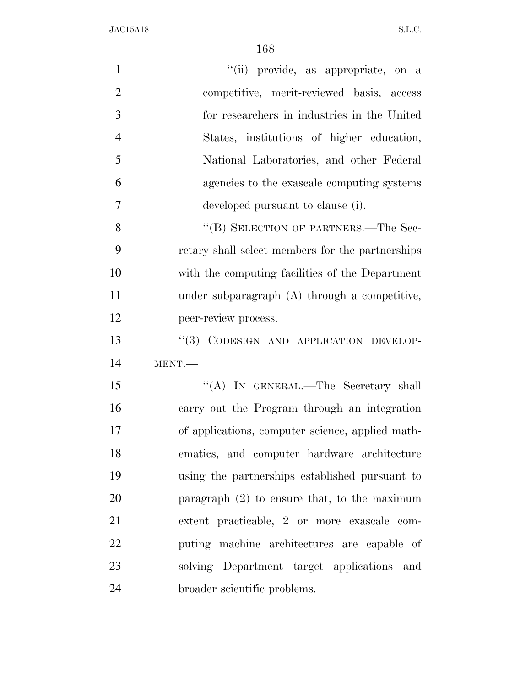| $\mathbf{1}$   | "(ii) provide, as appropriate, on a              |
|----------------|--------------------------------------------------|
| $\overline{2}$ | competitive, merit-reviewed basis, access        |
| 3              | for researchers in industries in the United      |
| $\overline{4}$ | States, institutions of higher education,        |
| 5              | National Laboratories, and other Federal         |
| 6              | agencies to the exascale computing systems       |
| $\overline{7}$ | developed pursuant to clause (i).                |
| 8              | "(B) SELECTION OF PARTNERS.—The Sec-             |
| 9              | retary shall select members for the partnerships |
| 10             | with the computing facilities of the Department  |
| 11             | under subparagraph (A) through a competitive,    |
| 12             | peer-review process.                             |
| 13             | "(3) CODESIGN AND APPLICATION DEVELOP-           |
| 14             | MENT.                                            |
| 15             | "(A) IN GENERAL.—The Secretary shall             |
| 16             | carry out the Program through an integration     |
| 17             | of applications, computer science, applied math- |
| 18             | ematics, and computer hardware architecture      |
| 19             | using the partnerships established pursuant to   |
| 20             | paragraph $(2)$ to ensure that, to the maximum   |
| 21             | extent practicable, 2 or more exascale com-      |
| 22             | puting machine architectures are capable of      |
| 23             | solving Department target applications and       |
| 24             | broader scientific problems.                     |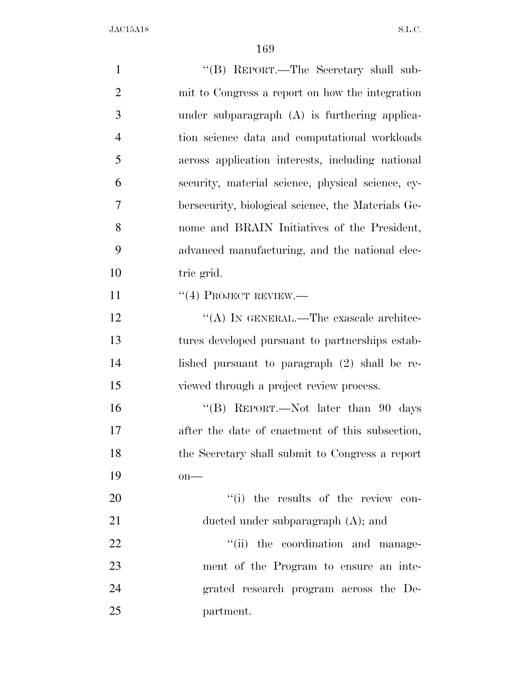| $\mathbf{1}$   | "(B) REPORT.—The Secretary shall sub-              |
|----------------|----------------------------------------------------|
| $\overline{2}$ | mit to Congress a report on how the integration    |
| 3              | under subparagraph $(A)$ is furthering applica-    |
| $\overline{4}$ | tion science data and computational workloads      |
| 5              | across application interests, including national   |
| 6              | security, material science, physical science, cy-  |
| 7              | bersecurity, biological science, the Materials Ge- |
| 8              | nome and BRAIN Initiatives of the President,       |
| 9              | advanced manufacturing, and the national elec-     |
| 10             | tric grid.                                         |
| 11             | $``(4)$ PROJECT REVIEW.—                           |
| 12             | "(A) IN GENERAL.—The exascale architec-            |
| 13             | tures developed pursuant to partnerships estab-    |
| 14             | lished pursuant to paragraph (2) shall be re-      |
| 15             | viewed through a project review process.           |
| 16             | "(B) REPORT.—Not later than 90 days                |
| 17             | after the date of enactment of this subsection,    |
| 18             | the Secretary shall submit to Congress a report    |
| 19             | $on$ —                                             |
| 20             | "(i) the results of the review con-                |
| 21             | ducted under subparagraph $(A)$ ; and              |
| 22             | "(ii) the coordination and manage-                 |
| 23             | ment of the Program to ensure an inte-             |
| 24             | grated research program across the De-             |
| 25             | partment.                                          |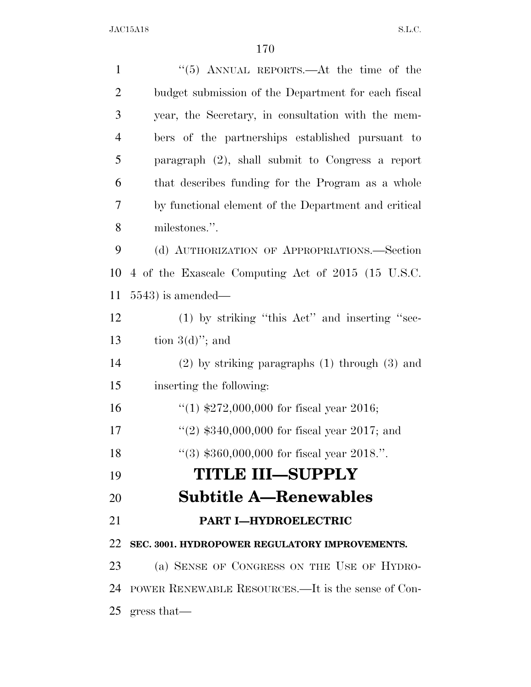| $\mathbf{1}$   | $``(5)$ ANNUAL REPORTS.—At the time of the           |
|----------------|------------------------------------------------------|
| $\overline{2}$ | budget submission of the Department for each fiscal  |
| 3              | year, the Secretary, in consultation with the mem-   |
| $\overline{4}$ | bers of the partnerships established pursuant to     |
| 5              | paragraph $(2)$ , shall submit to Congress a report  |
| 6              | that describes funding for the Program as a whole    |
| 7              | by functional element of the Department and critical |
| 8              | milestones.".                                        |
| 9              | (d) AUTHORIZATION OF APPROPRIATIONS.—Section         |
| 10             | 4 of the Exascale Computing Act of 2015 (15 U.S.C.   |
| 11             | $5543$ ) is amended—                                 |
| 12             | $(1)$ by striking "this Act" and inserting "sec-     |
| 13             | tion $3(d)$ "; and                                   |
| 14             | $(2)$ by striking paragraphs $(1)$ through $(3)$ and |
| 15             | inserting the following:                             |
| 16             | "(1) $$272,000,000$ for fiscal year 2016;            |
| 17             | "(2) $$340,000,000$ for fiscal year 2017; and        |
| 18             | $(3)$ \$360,000,000 for fiscal year 2018.".          |
| 19             | <b>TITLE III-SUPPLY</b>                              |
| 20             | <b>Subtitle A—Renewables</b>                         |
| 21             | <b>PART I-HYDROELECTRIC</b>                          |
| 22             | SEC. 3001. HYDROPOWER REGULATORY IMPROVEMENTS.       |
| 23             | (a) SENSE OF CONGRESS ON THE USE OF HYDRO-           |
| 24             | POWER RENEWABLE RESOURCES.—It is the sense of Con-   |
|                | 25 gress that—                                       |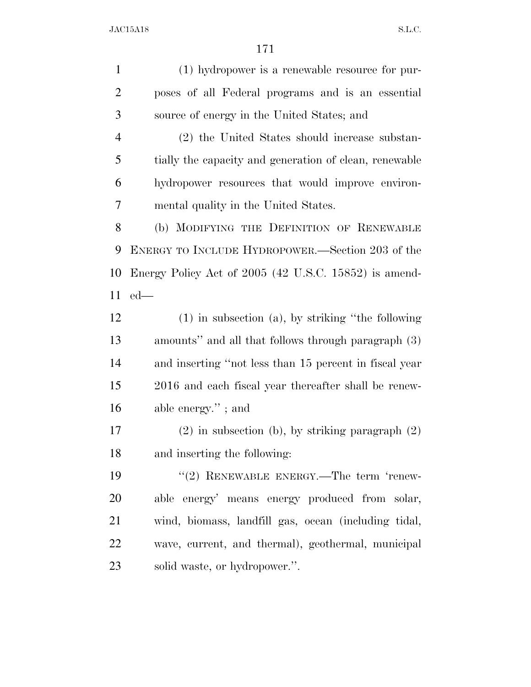(1) hydropower is a renewable resource for pur- poses of all Federal programs and is an essential source of energy in the United States; and (2) the United States should increase substan- tially the capacity and generation of clean, renewable hydropower resources that would improve environ- mental quality in the United States. (b) MODIFYING THE DEFINITION OF RENEWABLE ENERGY TO INCLUDE HYDROPOWER.—Section 203 of the Energy Policy Act of 2005 (42 U.S.C. 15852) is amend- ed— (1) in subsection (a), by striking ''the following amounts'' and all that follows through paragraph (3) and inserting ''not less than 15 percent in fiscal year 2016 and each fiscal year thereafter shall be renew- able energy.'' ; and (2) in subsection (b), by striking paragraph (2) and inserting the following: 19 "(2) RENEWABLE ENERGY.—The term 'renew- able energy' means energy produced from solar, wind, biomass, landfill gas, ocean (including tidal, wave, current, and thermal), geothermal, municipal solid waste, or hydropower.''.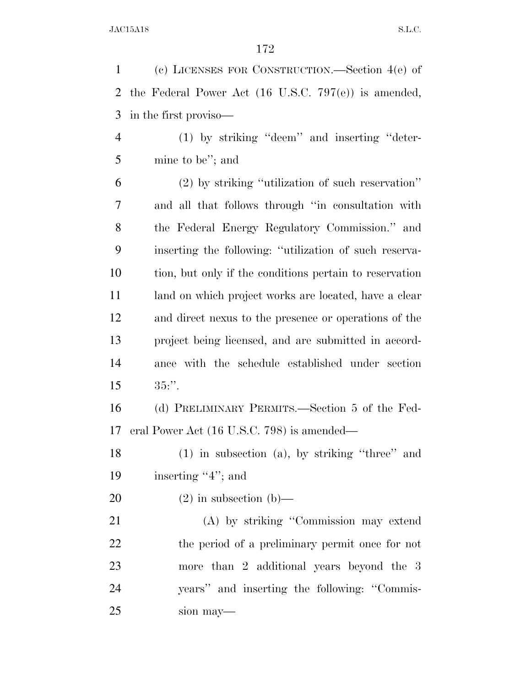(c) LICENSES FOR CONSTRUCTION.—Section 4(e) of the Federal Power Act (16 U.S.C. 797(e)) is amended, in the first proviso—

 (1) by striking ''deem'' and inserting ''deter-mine to be''; and

 (2) by striking ''utilization of such reservation'' and all that follows through ''in consultation with the Federal Energy Regulatory Commission.'' and inserting the following: ''utilization of such reserva- tion, but only if the conditions pertain to reservation 11 land on which project works are located, have a clear and direct nexus to the presence or operations of the project being licensed, and are submitted in accord- ance with the schedule established under section  $15 \t 35$ :".

 (d) PRELIMINARY PERMITS.—Section 5 of the Fed-eral Power Act (16 U.S.C. 798) is amended—

 (1) in subsection (a), by striking ''three'' and 19 inserting "4"; and

20  $(2)$  in subsection (b)—

 (A) by striking ''Commission may extend the period of a preliminary permit once for not more than 2 additional years beyond the 3 years'' and inserting the following: ''Commis-sion may—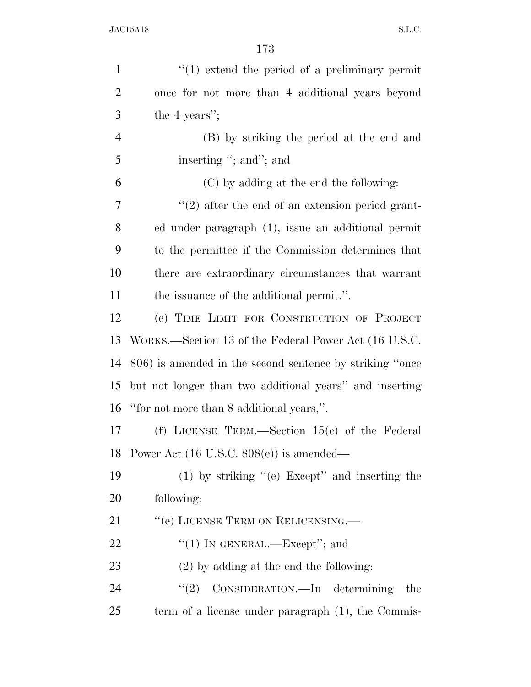| $\mathbf{1}$   | $\lq(1)$ extend the period of a preliminary permit       |
|----------------|----------------------------------------------------------|
| $\overline{2}$ | once for not more than 4 additional years beyond         |
| 3              | the 4 years";                                            |
| $\overline{4}$ | (B) by striking the period at the end and                |
| 5              | inserting "; and"; and                                   |
| 6              | (C) by adding at the end the following:                  |
| 7              | $\lq(2)$ after the end of an extension period grant-     |
| 8              | ed under paragraph (1), issue an additional permit       |
| 9              | to the permittee if the Commission determines that       |
| 10             | there are extraordinary circumstances that warrant       |
| 11             | the issuance of the additional permit.".                 |
| 12             | (e) TIME LIMIT FOR CONSTRUCTION OF PROJECT               |
| 13             | WORKS.—Section 13 of the Federal Power Act (16 U.S.C.    |
| 14             | 806) is amended in the second sentence by striking "once |
| 15             | but not longer than two additional years" and inserting  |
| 16             | "for not more than 8 additional years,".                 |
| 17             | (f) LICENSE TERM.—Section $15(e)$ of the Federal         |
| 18             | Power Act $(16 \text{ U.S.C. } 808(e))$ is amended—      |
| 19             | $(1)$ by striking "(e) Except" and inserting the         |
| 20             | following:                                               |
| 21             | "(e) LICENSE TERM ON RELICENSING.                        |
| 22             | "(1) IN GENERAL.—Except"; and                            |
| 23             | $(2)$ by adding at the end the following:                |
| 24             | CONSIDERATION.—In determining<br>(2)<br>the              |
| 25             | term of a license under paragraph $(1)$ , the Commis-    |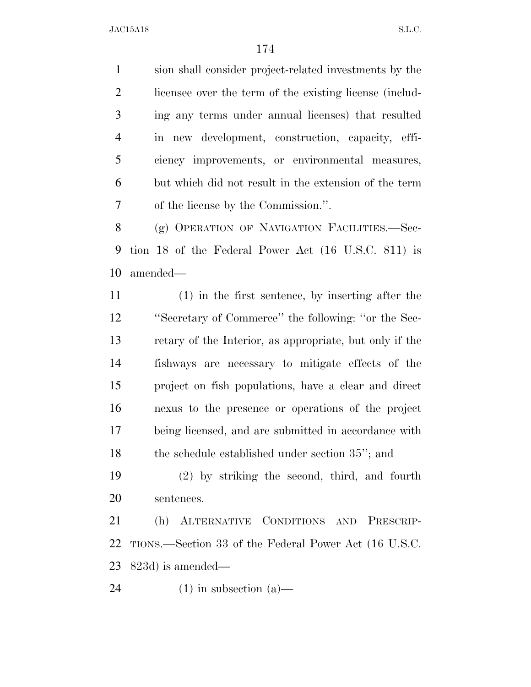sion shall consider project-related investments by the licensee over the term of the existing license (includ- ing any terms under annual licenses) that resulted in new development, construction, capacity, effi- ciency improvements, or environmental measures, but which did not result in the extension of the term of the license by the Commission.''.

8 (g) OPERATION OF NAVIGATION FACILITIES.—Sec- tion 18 of the Federal Power Act (16 U.S.C. 811) is amended—

 (1) in the first sentence, by inserting after the ''Secretary of Commerce'' the following: ''or the Sec- retary of the Interior, as appropriate, but only if the fishways are necessary to mitigate effects of the project on fish populations, have a clear and direct nexus to the presence or operations of the project being licensed, and are submitted in accordance with 18 the schedule established under section 35"; and

 (2) by striking the second, third, and fourth sentences.

 (h) ALTERNATIVE CONDITIONS AND PRESCRIP- TIONS.—Section 33 of the Federal Power Act (16 U.S.C. 823d) is amended—

24 (1) in subsection (a)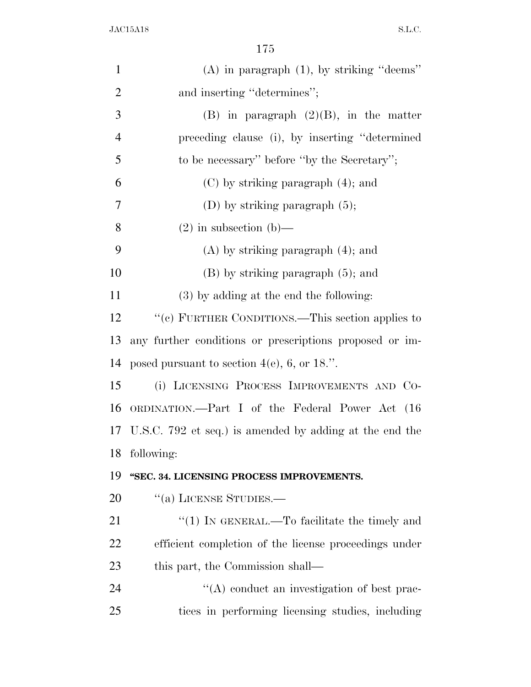| $\mathbf{1}$   | $(A)$ in paragraph $(1)$ , by striking "deems"             |
|----------------|------------------------------------------------------------|
| $\overline{2}$ | and inserting "determines";                                |
| 3              | $(B)$ in paragraph $(2)(B)$ , in the matter                |
| $\overline{4}$ | preceding clause (i), by inserting "determined             |
| 5              | to be necessary" before "by the Secretary";                |
| 6              | $(C)$ by striking paragraph $(4)$ ; and                    |
| 7              | (D) by striking paragraph $(5)$ ;                          |
| 8              | $(2)$ in subsection $(b)$ —                                |
| 9              | $(A)$ by striking paragraph $(4)$ ; and                    |
| 10             | $(B)$ by striking paragraph $(5)$ ; and                    |
| 11             | (3) by adding at the end the following:                    |
| 12             | "(c) FURTHER CONDITIONS.—This section applies to           |
| 13             | any further conditions or prescriptions proposed or im-    |
| 14             | posed pursuant to section $4(e)$ , 6, or 18.".             |
| 15             | (i) LICENSING PROCESS IMPROVEMENTS AND CO-                 |
| 16             | ORDINATION.—Part I of the Federal Power Act (16            |
|                | 17 U.S.C. 792 et seq.) is amended by adding at the end the |
| 18             | following:                                                 |
| 19             | "SEC. 34. LICENSING PROCESS IMPROVEMENTS.                  |
| 20             | "(a) LICENSE STUDIES.—                                     |
| 21             | " $(1)$ In GENERAL.—To facilitate the timely and           |
| 22             | efficient completion of the license proceedings under      |
| 23             | this part, the Commission shall—                           |
| 24             | $\lq\lq$ conduct an investigation of best prac-            |
| 25             | tices in performing licensing studies, including           |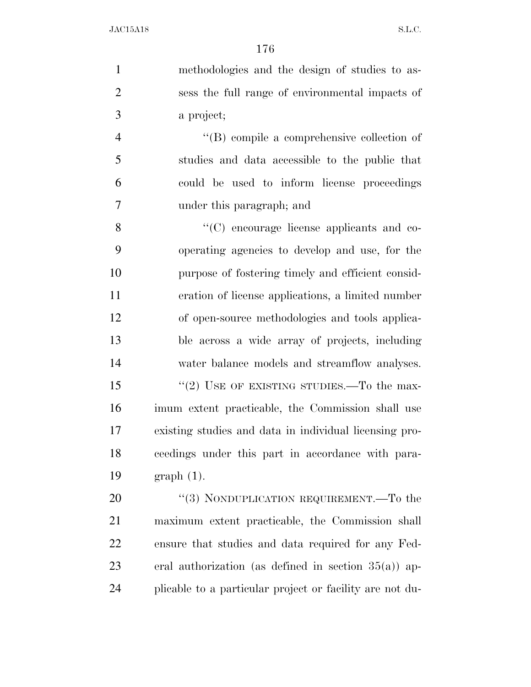methodologies and the design of studies to as- sess the full range of environmental impacts of a project;

 ''(B) compile a comprehensive collection of studies and data accessible to the public that could be used to inform license proceedings under this paragraph; and

 ''(C) encourage license applicants and co- operating agencies to develop and use, for the purpose of fostering timely and efficient consid- eration of license applications, a limited number of open-source methodologies and tools applica- ble across a wide array of projects, including water balance models and streamflow analyses. 15 "(2) USE OF EXISTING STUDIES.—To the max- imum extent practicable, the Commission shall use existing studies and data in individual licensing pro- ceedings under this part in accordance with para-graph (1).

20 "(3) NONDUPLICATION REQUIREMENT.—To the maximum extent practicable, the Commission shall ensure that studies and data required for any Fed- eral authorization (as defined in section 35(a)) ap-plicable to a particular project or facility are not du-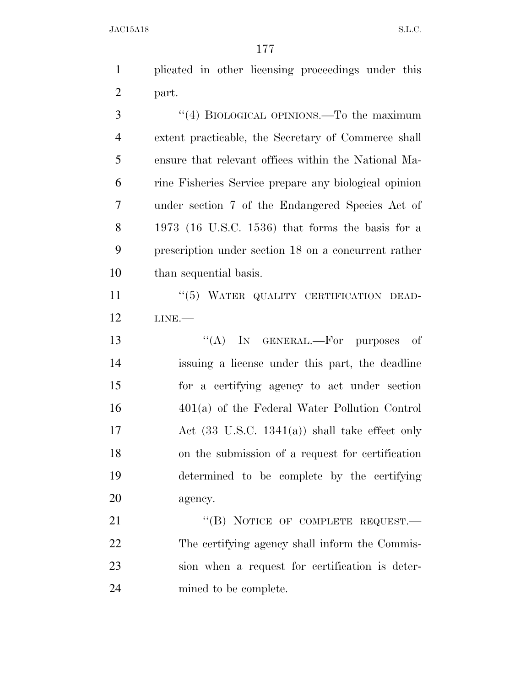plicated in other licensing proceedings under this part.

 ''(4) BIOLOGICAL OPINIONS.—To the maximum extent practicable, the Secretary of Commerce shall ensure that relevant offices within the National Ma- rine Fisheries Service prepare any biological opinion under section 7 of the Endangered Species Act of 1973 (16 U.S.C. 1536) that forms the basis for a prescription under section 18 on a concurrent rather than sequential basis.

11  $((5)$  WATER QUALITY CERTIFICATION DEAD-LINE.—

13 "(A) IN GENERAL.—For purposes of issuing a license under this part, the deadline for a certifying agency to act under section 401(a) of the Federal Water Pollution Control Act (33 U.S.C. 1341(a)) shall take effect only on the submission of a request for certification determined to be complete by the certifying agency.

21 "(B) NOTICE OF COMPLETE REQUEST.— The certifying agency shall inform the Commis- sion when a request for certification is deter-mined to be complete.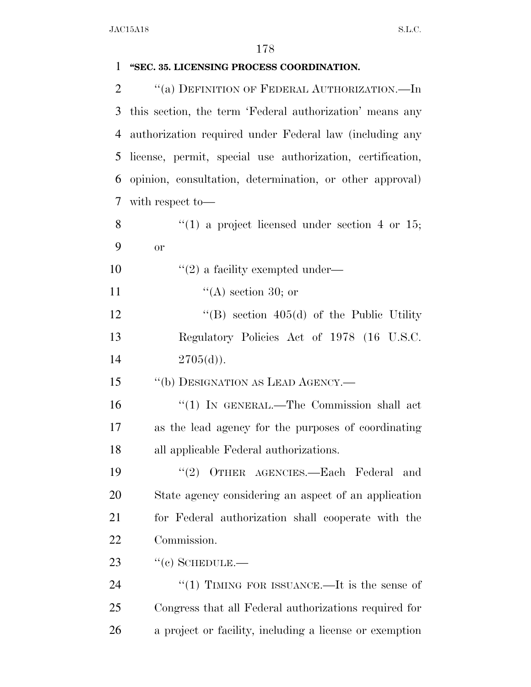| $\mathbf{1}$   | "SEC. 35. LICENSING PROCESS COORDINATION.                  |
|----------------|------------------------------------------------------------|
| $\overline{2}$ | "(a) DEFINITION OF FEDERAL AUTHORIZATION.—In               |
| 3              | this section, the term 'Federal authorization' means any   |
| $\overline{4}$ | authorization required under Federal law (including any    |
| 5              | license, permit, special use authorization, certification, |
| 6              | opinion, consultation, determination, or other approval)   |
| 7              | with respect to-                                           |
| 8              | $\lq(1)$ a project licensed under section 4 or 15;         |
| 9              | or                                                         |
| 10             | $\lq(2)$ a facility exempted under—                        |
| 11             | $\lq\lq$ section 30; or                                    |
| 12             | "(B) section $405(d)$ of the Public Utility"               |
| 13             | Regulatory Policies Act of 1978 (16 U.S.C.                 |
| 14             | $2705(d)$ .                                                |
| 15             | "(b) DESIGNATION AS LEAD AGENCY.—                          |
| 16             | " $(1)$ IN GENERAL.—The Commission shall act               |
| 17             | as the lead agency for the purposes of coordinating        |
| 18             | all applicable Federal authorizations.                     |
| 19             | (2)<br>OTHER AGENCIES.-Each Federal<br>and                 |
| 20             | State agency considering an aspect of an application       |
| 21             | for Federal authorization shall cooperate with the         |
| 22             | Commission.                                                |
| 23             | $``(c)$ SCHEDULE.—                                         |
| 24             | "(1) TIMING FOR ISSUANCE.—It is the sense of               |
| 25             | Congress that all Federal authorizations required for      |
| 26             | a project or facility, including a license or exemption    |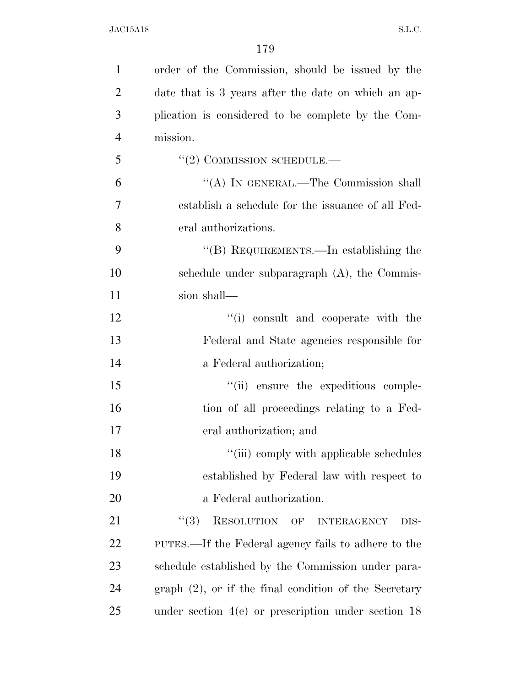| $\mathbf{1}$   | order of the Commission, should be issued by the         |
|----------------|----------------------------------------------------------|
| $\overline{2}$ | date that is 3 years after the date on which an ap-      |
| 3              | plication is considered to be complete by the Com-       |
| $\overline{4}$ | mission.                                                 |
| 5              | $``(2)$ COMMISSION SCHEDULE.—                            |
| 6              | "(A) IN GENERAL.—The Commission shall                    |
| 7              | establish a schedule for the issuance of all Fed-        |
| 8              | eral authorizations.                                     |
| 9              | "(B) REQUIREMENTS.—In establishing the                   |
| 10             | schedule under subparagraph $(A)$ , the Commis-          |
| 11             | sion shall-                                              |
| 12             | "(i) consult and cooperate with the                      |
| 13             | Federal and State agencies responsible for               |
| 14             | a Federal authorization;                                 |
| 15             | "(ii) ensure the expeditious comple-                     |
| 16             | tion of all proceedings relating to a Fed-               |
| 17             | eral authorization; and                                  |
| 18             | "(iii) comply with applicable schedules                  |
| 19             | established by Federal law with respect to               |
| 20             | a Federal authorization.                                 |
| 21             | (3)<br>RESOLUTION OF INTERAGENCY<br>DIS-                 |
| 22             | PUTES.—If the Federal agency fails to adhere to the      |
| 23             | schedule established by the Commission under para-       |
| 24             | $graph (2)$ , or if the final condition of the Secretary |
| 25             | under section $4(e)$ or prescription under section 18    |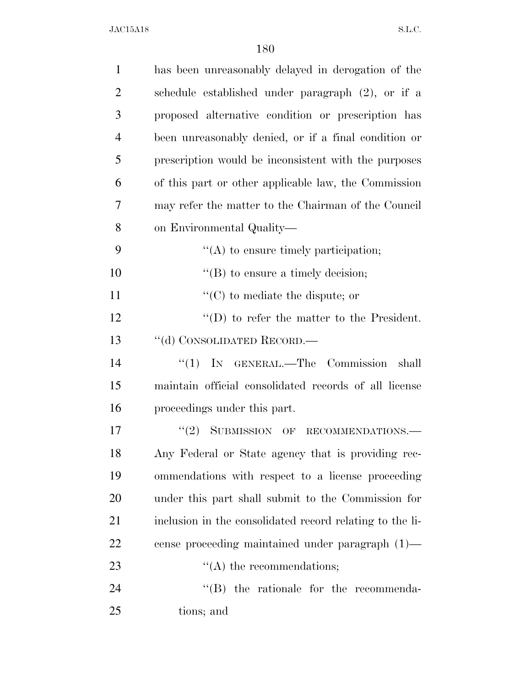| $\mathbf{1}$   | has been unreasonably delayed in derogation of the       |
|----------------|----------------------------------------------------------|
| $\overline{2}$ | schedule established under paragraph (2), or if a        |
| 3              | proposed alternative condition or prescription has       |
| $\overline{4}$ | been unreasonably denied, or if a final condition or     |
| 5              | prescription would be inconsistent with the purposes     |
| 6              | of this part or other applicable law, the Commission     |
| 7              | may refer the matter to the Chairman of the Council      |
| 8              | on Environmental Quality—                                |
| 9              | $\lq\lq$ to ensure timely participation;                 |
| 10             | $\lq\lq$ to ensure a timely decision;                    |
| 11             | $\lq\lq$ (C) to mediate the dispute; or                  |
| 12             | $\lq\lq$ to refer the matter to the President.           |
| 13             | "(d) CONSOLIDATED RECORD.—                               |
| 14             | $(1)$ IN GENERAL.—The Commission<br>shall                |
| 15             | maintain official consolidated records of all license    |
| 16             | proceedings under this part.                             |
| 17             | (2)<br>SUBMISSION OF RECOMMENDATIONS.-                   |
| 18             | Any Federal or State agency that is providing rec-       |
| 19             | ommendations with respect to a license proceeding        |
| 20             | under this part shall submit to the Commission for       |
| 21             | inclusion in the consolidated record relating to the li- |
| 22             | cense proceeding maintained under paragraph $(1)$ —      |
| 23             | $\lq\lq$ the recommendations;                            |
| 24             | $\lq\lq$ the rationale for the recommenda-               |
| 25             | tions; and                                               |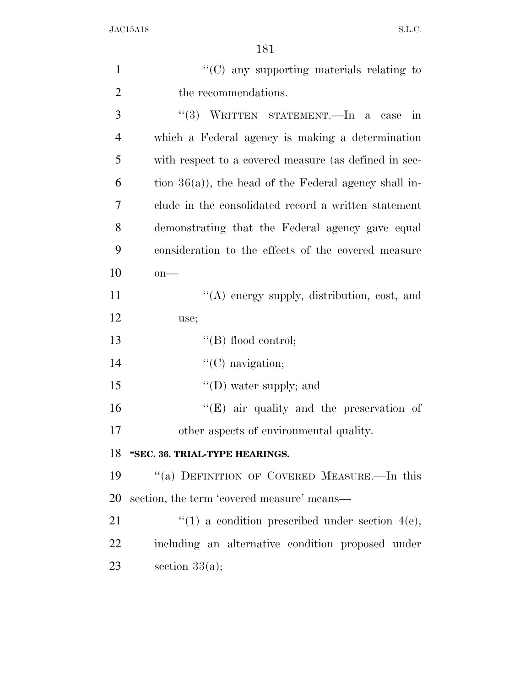| $\mathbf{1}$   | $\lq\lq$ (C) any supporting materials relating to       |
|----------------|---------------------------------------------------------|
| $\overline{2}$ | the recommendations.                                    |
| 3              | "(3) WRITTEN STATEMENT.—In a case in                    |
| $\overline{4}$ | which a Federal agency is making a determination        |
| 5              | with respect to a covered measure (as defined in sec-   |
| 6              | tion $36(a)$ , the head of the Federal agency shall in- |
| 7              | clude in the consolidated record a written statement    |
| 8              | demonstrating that the Federal agency gave equal        |
| 9              | consideration to the effects of the covered measure     |
| 10             | $on$ —                                                  |
| 11             | $\lq\lq$ energy supply, distribution, cost, and         |
| 12             | use;                                                    |
| 13             | $\lq\lq$ (B) flood control;                             |
| 14             | $\lq\lq$ (C) navigation;                                |
| 15             | "(D) water supply; and                                  |
| 16             | " $(E)$ air quality and the preservation of             |
| 17             | other aspects of environmental quality.                 |
| 18             | "SEC. 36. TRIAL-TYPE HEARINGS.                          |
| 19             | "(a) DEFINITION OF COVERED MEASURE.—In this             |
| 20             | section, the term 'covered measure' means—              |
| 21             | "(1) a condition prescribed under section $4(e)$ ,      |
| 22             | including an alternative condition proposed under       |
| 23             | section $33(a)$ ;                                       |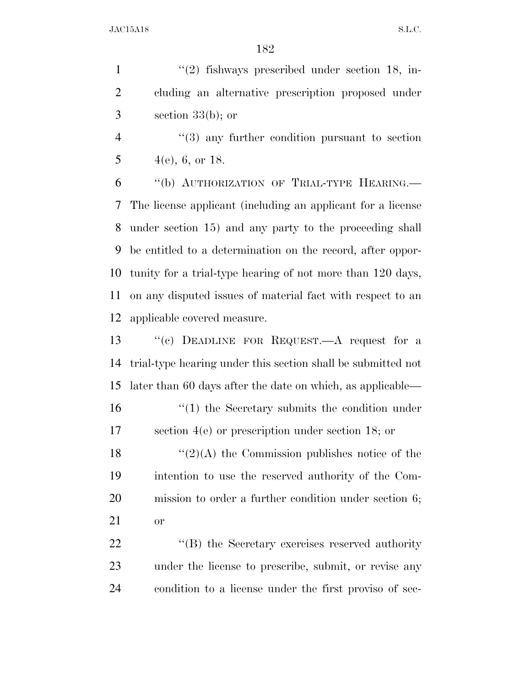1  $\frac{1}{2}$  fishways prescribed under section 18, in- cluding an alternative prescription proposed under section 33(b); or

 ''(3) any further condition pursuant to section 5  $4(e)$ , 6, or 18.

 ''(b) AUTHORIZATION OF TRIAL-TYPE HEARING.— The license applicant (including an applicant for a license under section 15) and any party to the proceeding shall be entitled to a determination on the record, after oppor- tunity for a trial-type hearing of not more than 120 days, on any disputed issues of material fact with respect to an applicable covered measure.

 ''(c) DEADLINE FOR REQUEST.—A request for a trial-type hearing under this section shall be submitted not later than 60 days after the date on which, as applicable—

16 ''(1) the Secretary submits the condition under section 4(e) or prescription under section 18; or

 $\frac{1}{2}(2)$ (A) the Commission publishes notice of the intention to use the reserved authority of the Com- mission to order a further condition under section 6; or

22 "(B) the Secretary exercises reserved authority under the license to prescribe, submit, or revise any condition to a license under the first proviso of sec-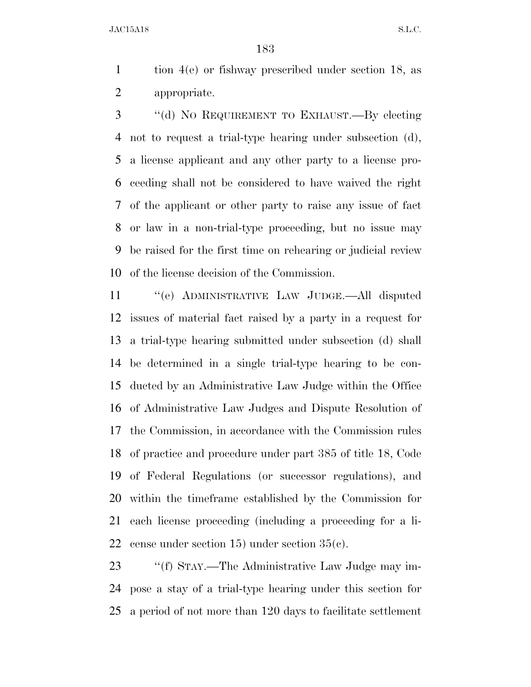tion 4(e) or fishway prescribed under section 18, as appropriate.

 ''(d) NO REQUIREMENT TO EXHAUST.—By electing not to request a trial-type hearing under subsection (d), a license applicant and any other party to a license pro- ceeding shall not be considered to have waived the right of the applicant or other party to raise any issue of fact or law in a non-trial-type proceeding, but no issue may be raised for the first time on rehearing or judicial review of the license decision of the Commission.

 ''(e) ADMINISTRATIVE LAW JUDGE.—All disputed issues of material fact raised by a party in a request for a trial-type hearing submitted under subsection (d) shall be determined in a single trial-type hearing to be con- ducted by an Administrative Law Judge within the Office of Administrative Law Judges and Dispute Resolution of the Commission, in accordance with the Commission rules of practice and procedure under part 385 of title 18, Code of Federal Regulations (or successor regulations), and within the timeframe established by the Commission for each license proceeding (including a proceeding for a li-cense under section 15) under section 35(c).

 ''(f) STAY.—The Administrative Law Judge may im- pose a stay of a trial-type hearing under this section for a period of not more than 120 days to facilitate settlement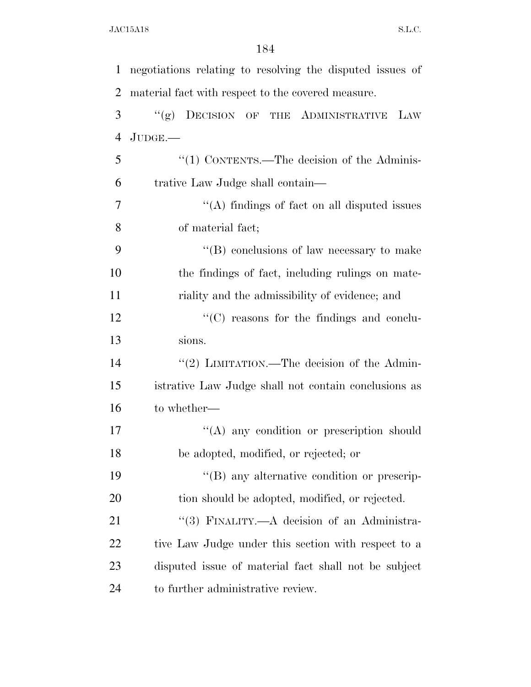| $\mathbf{1}$   | negotiations relating to resolving the disputed issues of |
|----------------|-----------------------------------------------------------|
| $\overline{2}$ | material fact with respect to the covered measure.        |
| 3              | DECISION OF THE ADMINISTRATIVE<br>``(g)<br>LAW            |
| $\overline{4}$ | $JUDGE$ .                                                 |
| 5              | "(1) CONTENTS.—The decision of the Adminis-               |
| 6              | trative Law Judge shall contain—                          |
| 7              | "(A) findings of fact on all disputed issues              |
| 8              | of material fact;                                         |
| 9              | $\lq\lq (B)$ conclusions of law necessary to make         |
| 10             | the findings of fact, including rulings on mate-          |
| 11             | riality and the admissibility of evidence; and            |
| 12             | $\cdot$ (C) reasons for the findings and conclu-          |
| 13             | sions.                                                    |
| 14             | "(2) LIMITATION.—The decision of the Admin-               |
| 15             | istrative Law Judge shall not contain conclusions as      |
| 16             | to whether—                                               |
| 17             | "(A) any condition or prescription should                 |
| 18             | be adopted, modified, or rejected; or                     |
| 19             | $\lq\lq (B)$ any alternative condition or prescrip-       |
| 20             | tion should be adopted, modified, or rejected.            |
| 21             | "(3) FINALITY.—A decision of an Administra-               |
| 22             | tive Law Judge under this section with respect to a       |
| 23             | disputed issue of material fact shall not be subject      |
| 24             | to further administrative review.                         |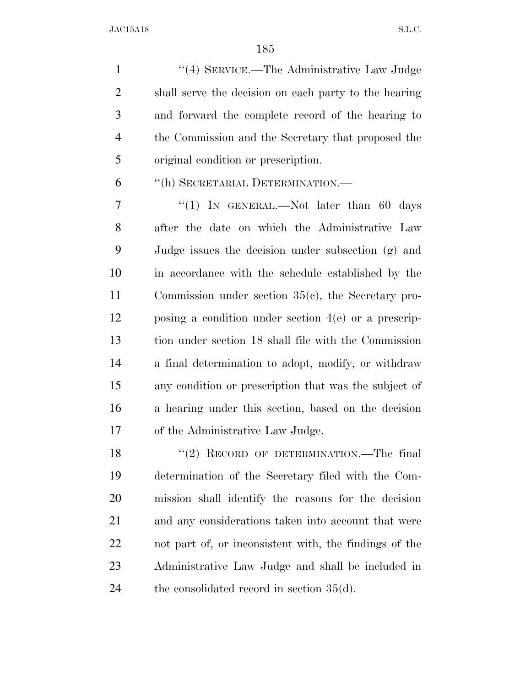1 "(4) SERVICE.—The Administrative Law Judge shall serve the decision on each party to the hearing and forward the complete record of the hearing to the Commission and the Secretary that proposed the original condition or prescription.

''(h) SECRETARIAL DETERMINATION.—

7 "(1) In GENERAL.—Not later than 60 days after the date on which the Administrative Law Judge issues the decision under subsection (g) and in accordance with the schedule established by the Commission under section 35(c), the Secretary pro- posing a condition under section 4(e) or a prescrip- tion under section 18 shall file with the Commission a final determination to adopt, modify, or withdraw any condition or prescription that was the subject of a hearing under this section, based on the decision of the Administrative Law Judge.

18 "(2) RECORD OF DETERMINATION.—The final determination of the Secretary filed with the Com- mission shall identify the reasons for the decision and any considerations taken into account that were not part of, or inconsistent with, the findings of the Administrative Law Judge and shall be included in the consolidated record in section 35(d).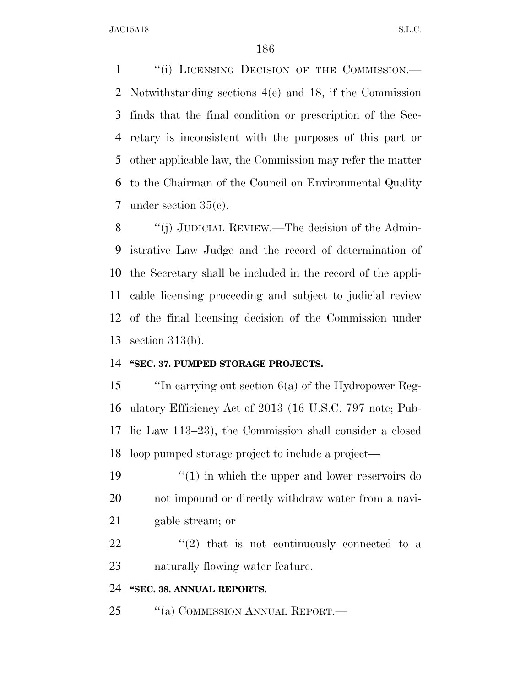1 "(i) LICENSING DECISION OF THE COMMISSION.— Notwithstanding sections 4(e) and 18, if the Commission finds that the final condition or prescription of the Sec- retary is inconsistent with the purposes of this part or other applicable law, the Commission may refer the matter to the Chairman of the Council on Environmental Quality under section 35(c).

8 "(j) JUDICIAL REVIEW.—The decision of the Admin- istrative Law Judge and the record of determination of the Secretary shall be included in the record of the appli- cable licensing proceeding and subject to judicial review of the final licensing decision of the Commission under section 313(b).

#### **''SEC. 37. PUMPED STORAGE PROJECTS.**

 ''In carrying out section 6(a) of the Hydropower Reg- ulatory Efficiency Act of 2013 (16 U.S.C. 797 note; Pub- lic Law 113–23), the Commission shall consider a closed loop pumped storage project to include a project—

19 ''(1) in which the upper and lower reservoirs do not impound or directly withdraw water from a navi-gable stream; or

 $\frac{22}{22}$  ''(2) that is not continuously connected to a naturally flowing water feature.

#### **''SEC. 38. ANNUAL REPORTS.**

25 "(a) COMMISSION ANNUAL REPORT.—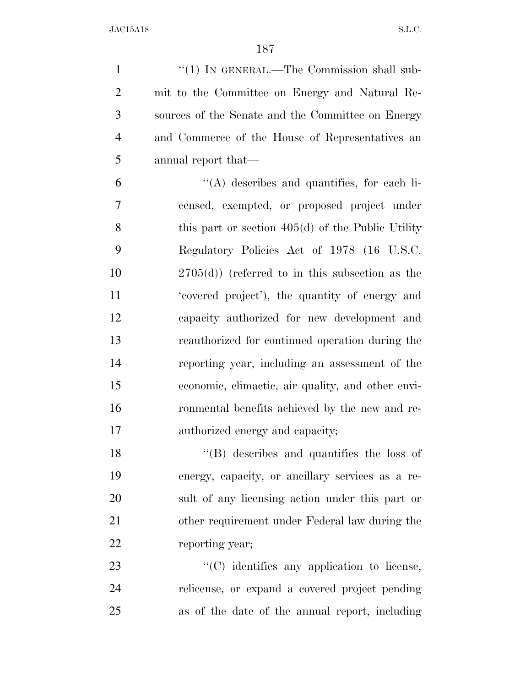1 "(1) IN GENERAL.—The Commission shall sub- mit to the Committee on Energy and Natural Re- sources of the Senate and the Committee on Energy and Commerce of the House of Representatives an annual report that—  $(4)$  describes and quantifies, for each li- censed, exempted, or proposed project under 8 this part or section 405(d) of the Public Utility Regulatory Policies Act of 1978 (16 U.S.C. 2705(d)) (referred to in this subsection as the 'covered project'), the quantity of energy and capacity authorized for new development and reauthorized for continued operation during the reporting year, including an assessment of the economic, climactic, air quality, and other envi- ronmental benefits achieved by the new and re- authorized energy and capacity; ''(B) describes and quantifies the loss of energy, capacity, or ancillary services as a re- sult of any licensing action under this part or other requirement under Federal law during the

reporting year;

23  $\cdot$  (C) identifies any application to license, relicense, or expand a covered project pending as of the date of the annual report, including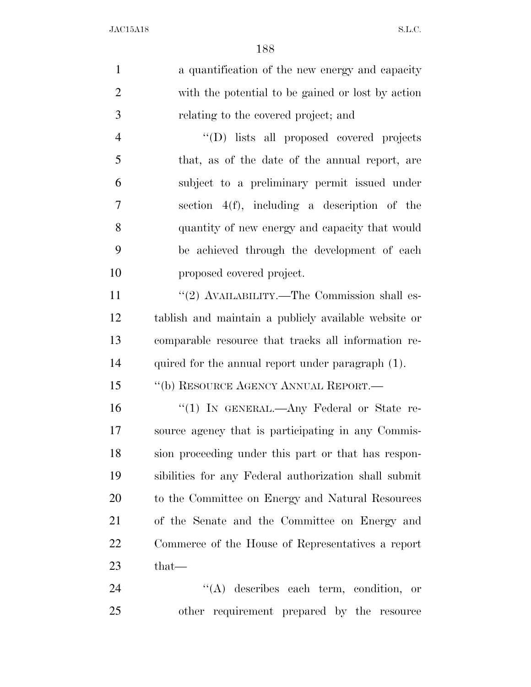1 a quantification of the new energy and capacity with the potential to be gained or lost by action relating to the covered project; and ''(D) lists all proposed covered projects that, as of the date of the annual report, are subject to a preliminary permit issued under section 4(f), including a description of the quantity of new energy and capacity that would be achieved through the development of each proposed covered project.  $\frac{1}{2}$  AVAILABILITY.—The Commission shall es- tablish and maintain a publicly available website or comparable resource that tracks all information re- quired for the annual report under paragraph (1). ''(b) RESOURCE AGENCY ANNUAL REPORT.— 16 "(1) In GENERAL.—Any Federal or State re- source agency that is participating in any Commis- sion proceeding under this part or that has respon- sibilities for any Federal authorization shall submit to the Committee on Energy and Natural Resources of the Senate and the Committee on Energy and Commerce of the House of Representatives a report that ''(A) describes each term, condition, or

other requirement prepared by the resource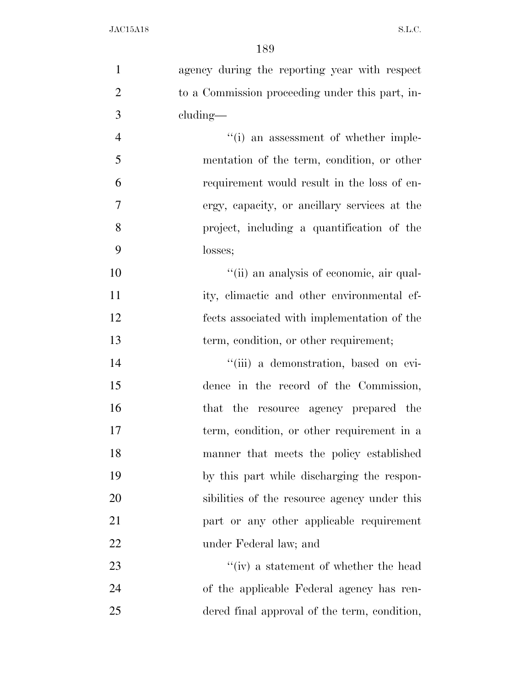| $\mathbf{1}$   | agency during the reporting year with respect   |
|----------------|-------------------------------------------------|
| $\mathbf{2}$   | to a Commission proceeding under this part, in- |
| 3              | $cluding$ —                                     |
| $\overline{4}$ | "(i) an assessment of whether imple-            |
| 5              | mentation of the term, condition, or other      |
| 6              | requirement would result in the loss of en-     |
| $\tau$         | ergy, capacity, or ancillary services at the    |
| 8              | project, including a quantification of the      |
| 9              | losses;                                         |
| 10             | "(ii) an analysis of economic, air qual-        |
| 11             | ity, climactic and other environmental ef-      |
| 12             | fects associated with implementation of the     |
| 13             | term, condition, or other requirement;          |
| 14             | "(iii) a demonstration, based on evi-           |
| 15             | dence in the record of the Commission,          |
| 16             | that the resource agency prepared the           |
| 17             | term, condition, or other requirement in a      |
| 18             | manner that meets the policy established        |
| 19             | by this part while discharging the respon-      |
| 20             | sibilities of the resource agency under this    |
| 21             | part or any other applicable requirement        |
| 22             | under Federal law; and                          |
| 23             | $\lq\lq$ (iv) a statement of whether the head   |
| 24             | of the applicable Federal agency has ren-       |
| 25             | dered final approval of the term, condition,    |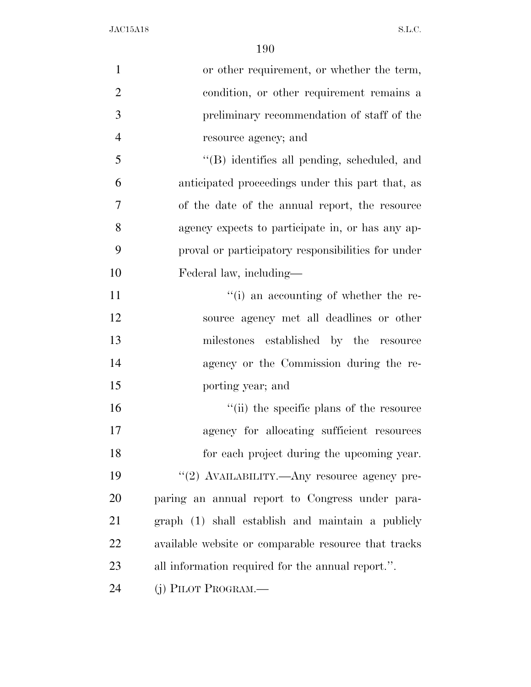| $\mathbf{1}$   | or other requirement, or whether the term,           |
|----------------|------------------------------------------------------|
| $\overline{2}$ | condition, or other requirement remains a            |
| 3              | preliminary recommendation of staff of the           |
| $\overline{4}$ | resource agency; and                                 |
| 5              | "(B) identifies all pending, scheduled, and          |
| 6              | anticipated proceedings under this part that, as     |
| 7              | of the date of the annual report, the resource       |
| 8              | agency expects to participate in, or has any ap-     |
| 9              | proval or participatory responsibilities for under   |
| 10             | Federal law, including—                              |
| 11             | $f'(i)$ an accounting of whether the re-             |
| 12             | source agency met all deadlines or other             |
| 13             | milestones established by the resource               |
| 14             | agency or the Commission during the re-              |
| 15             | porting year; and                                    |
| 16             | "(ii) the specific plans of the resource             |
| 17             | agency for allocating sufficient resources           |
| 18             | for each project during the upcoming year.           |
| 19             | "(2) AVAILABILITY.—Any resource agency pre-          |
| 20             | paring an annual report to Congress under para-      |
| 21             | graph (1) shall establish and maintain a publicly    |
| 22             | available website or comparable resource that tracks |
| 23             | all information required for the annual report.".    |
| 24             | (j) PILOT PROGRAM.—                                  |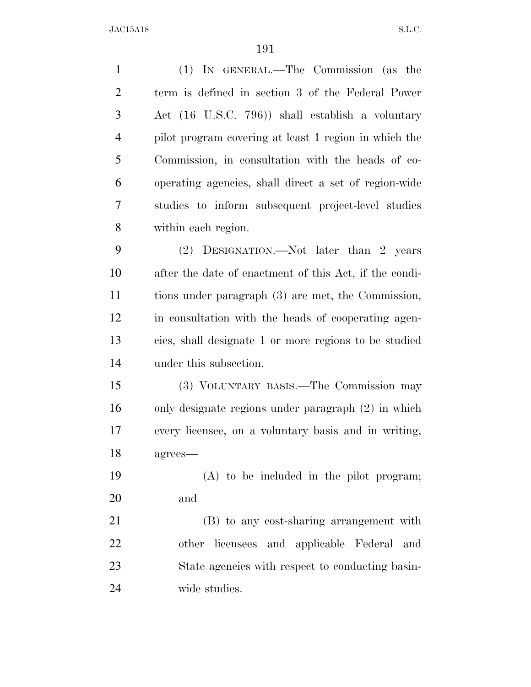(1) IN GENERAL.—The Commission (as the term is defined in section 3 of the Federal Power Act (16 U.S.C. 796)) shall establish a voluntary pilot program covering at least 1 region in which the Commission, in consultation with the heads of co- operating agencies, shall direct a set of region-wide studies to inform subsequent project-level studies within each region. (2) DESIGNATION.—Not later than 2 years after the date of enactment of this Act, if the condi- tions under paragraph (3) are met, the Commission, in consultation with the heads of cooperating agen- cies, shall designate 1 or more regions to be studied under this subsection. (3) VOLUNTARY BASIS.—The Commission may only designate regions under paragraph (2) in which every licensee, on a voluntary basis and in writing, agrees— (A) to be included in the pilot program; and (B) to any cost-sharing arrangement with other licensees and applicable Federal and State agencies with respect to conducting basin-wide studies.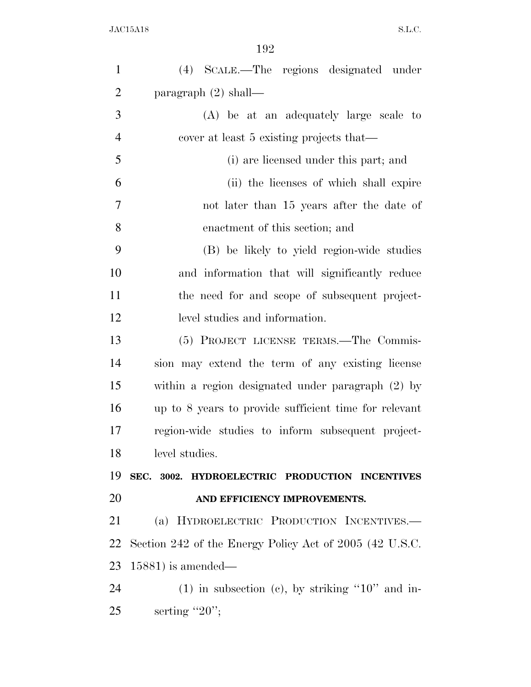| $\mathbf{1}$   | (4) SCALE.—The regions designated under                 |
|----------------|---------------------------------------------------------|
| $\overline{2}$ | paragraph $(2)$ shall—                                  |
| 3              | (A) be at an adequately large scale to                  |
| $\overline{4}$ | cover at least 5 existing projects that—                |
| 5              | (i) are licensed under this part; and                   |
| 6              | (ii) the licenses of which shall expire                 |
| 7              | not later than 15 years after the date of               |
| 8              | enactment of this section; and                          |
| 9              | (B) be likely to yield region-wide studies              |
| 10             | and information that will significantly reduce          |
| 11             | the need for and scope of subsequent project-           |
| 12             | level studies and information.                          |
| 13             | (5) PROJECT LICENSE TERMS.—The Commis-                  |
| 14             | sion may extend the term of any existing license        |
| 15             | within a region designated under paragraph (2) by       |
| 16             | up to 8 years to provide sufficient time for relevant   |
| 17             | region-wide studies to inform subsequent project-       |
| 18             | level studies.                                          |
| 19             | SEC. 3002. HYDROELECTRIC PRODUCTION INCENTIVES          |
| 20             | AND EFFICIENCY IMPROVEMENTS.                            |
| 21             | (a) HYDROELECTRIC PRODUCTION INCENTIVES.                |
| 22             | Section 242 of the Energy Policy Act of 2005 (42 U.S.C. |
| 23             | $15881$ ) is amended—                                   |
| 24             | $(1)$ in subsection (c), by striking "10" and in-       |
| 25             | serting "20";                                           |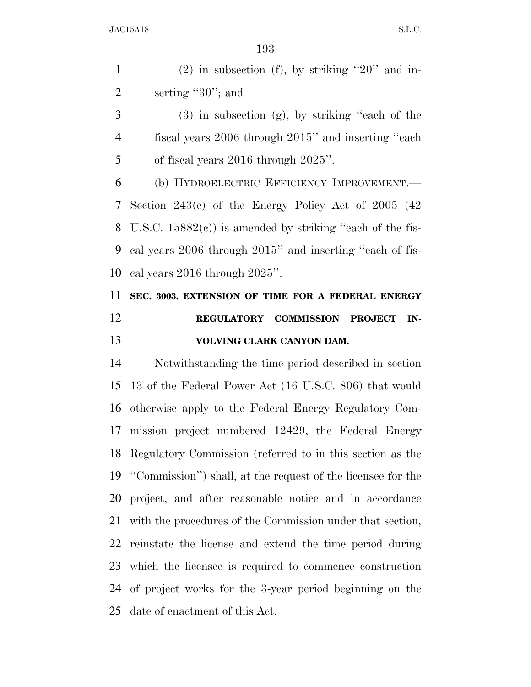1 (2) in subsection (f), by striking  $"20"$  and in-2 serting "30"; and

 (3) in subsection (g), by striking ''each of the fiscal years 2006 through 2015'' and inserting ''each 5 of fiscal years 2016 through 2025".

 (b) HYDROELECTRIC EFFICIENCY IMPROVEMENT.— Section 243(c) of the Energy Policy Act of 2005 (42 U.S.C. 15882(c)) is amended by striking ''each of the fis- cal years 2006 through 2015'' and inserting ''each of fis-cal years 2016 through 2025''.

## **SEC. 3003. EXTENSION OF TIME FOR A FEDERAL ENERGY REGULATORY COMMISSION PROJECT IN-VOLVING CLARK CANYON DAM.**

 Notwithstanding the time period described in section 13 of the Federal Power Act (16 U.S.C. 806) that would otherwise apply to the Federal Energy Regulatory Com- mission project numbered 12429, the Federal Energy Regulatory Commission (referred to in this section as the ''Commission'') shall, at the request of the licensee for the project, and after reasonable notice and in accordance with the procedures of the Commission under that section, reinstate the license and extend the time period during which the licensee is required to commence construction of project works for the 3-year period beginning on the date of enactment of this Act.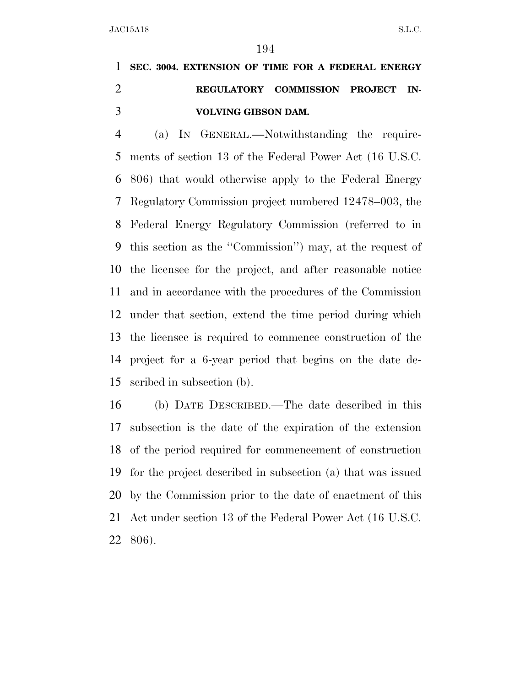# **SEC. 3004. EXTENSION OF TIME FOR A FEDERAL ENERGY REGULATORY COMMISSION PROJECT IN-VOLVING GIBSON DAM.**

 (a) IN GENERAL.—Notwithstanding the require- ments of section 13 of the Federal Power Act (16 U.S.C. 806) that would otherwise apply to the Federal Energy Regulatory Commission project numbered 12478–003, the Federal Energy Regulatory Commission (referred to in this section as the ''Commission'') may, at the request of the licensee for the project, and after reasonable notice and in accordance with the procedures of the Commission under that section, extend the time period during which the licensee is required to commence construction of the project for a 6-year period that begins on the date de-scribed in subsection (b).

 (b) DATE DESCRIBED.—The date described in this subsection is the date of the expiration of the extension of the period required for commencement of construction for the project described in subsection (a) that was issued by the Commission prior to the date of enactment of this Act under section 13 of the Federal Power Act (16 U.S.C. 806).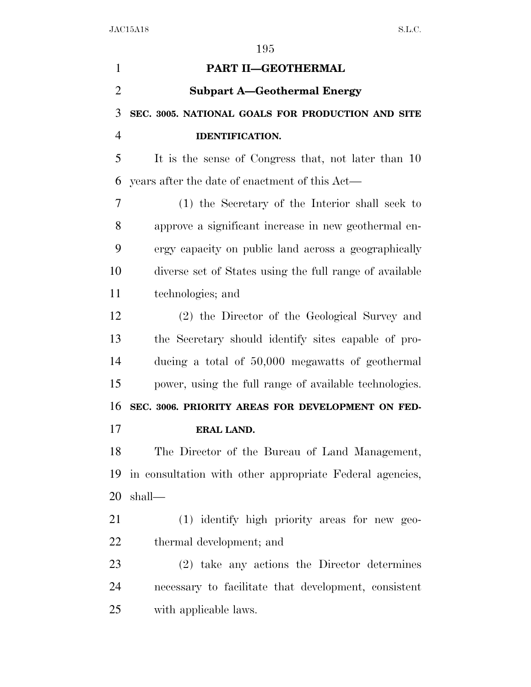| $\mathbf{1}$   | PART II-GEOTHERMAL                                       |
|----------------|----------------------------------------------------------|
| $\overline{2}$ | <b>Subpart A-Geothermal Energy</b>                       |
| 3              | SEC. 3005. NATIONAL GOALS FOR PRODUCTION AND SITE        |
| $\overline{4}$ | <b>IDENTIFICATION.</b>                                   |
| 5              | It is the sense of Congress that, not later than 10      |
| 6              | years after the date of enactment of this Act—           |
| 7              | (1) the Secretary of the Interior shall seek to          |
| 8              | approve a significant increase in new geothermal en-     |
| 9              | ergy capacity on public land across a geographically     |
| 10             | diverse set of States using the full range of available  |
| 11             | technologies; and                                        |
| 12             | (2) the Director of the Geological Survey and            |
| 13             | the Secretary should identify sites capable of pro-      |
| 14             | ducing a total of 50,000 megawatts of geothermal         |
| 15             | power, using the full range of available technologies.   |
| 16             | SEC. 3006. PRIORITY AREAS FOR DEVELOPMENT ON FED-        |
| 17             | <b>ERAL LAND.</b>                                        |
| 18             | The Director of the Bureau of Land Management,           |
| 19             | in consultation with other appropriate Federal agencies, |
| 20             | shall-                                                   |
| 21             | (1) identify high priority areas for new geo-            |
| 22             | thermal development; and                                 |
| 23             | (2) take any actions the Director determines             |
| 24             | necessary to facilitate that development, consistent     |
| 25             | with applicable laws.                                    |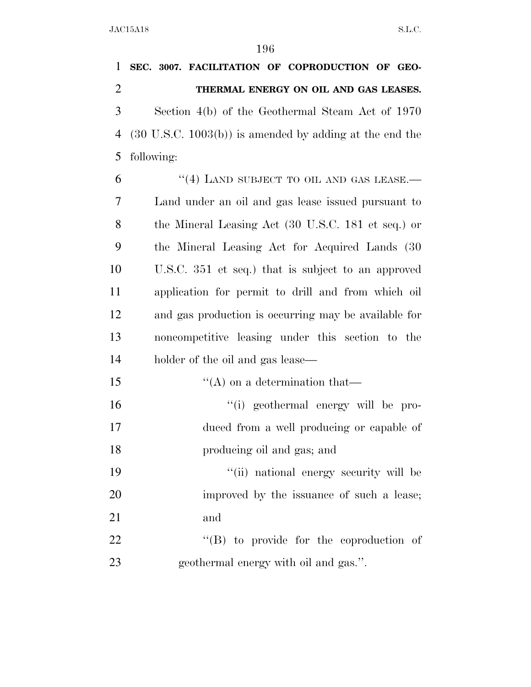**SEC. 3007. FACILITATION OF COPRODUCTION OF GEO- THERMAL ENERGY ON OIL AND GAS LEASES.**  Section 4(b) of the Geothermal Steam Act of 1970 (30 U.S.C. 1003(b)) is amended by adding at the end the following: "(4) LAND SUBJECT TO OIL AND GAS LEASE.— Land under an oil and gas lease issued pursuant to the Mineral Leasing Act (30 U.S.C. 181 et seq.) or the Mineral Leasing Act for Acquired Lands (30 U.S.C. 351 et seq.) that is subject to an approved application for permit to drill and from which oil and gas production is occurring may be available for noncompetitive leasing under this section to the holder of the oil and gas lease—  $\frac{1}{2}$  (A) on a determination that— ''(i) geothermal energy will be pro- duced from a well producing or capable of producing oil and gas; and ''(ii) national energy security will be improved by the issuance of such a lease; and  $\text{``(B)}$  to provide for the coproduction of geothermal energy with oil and gas.''.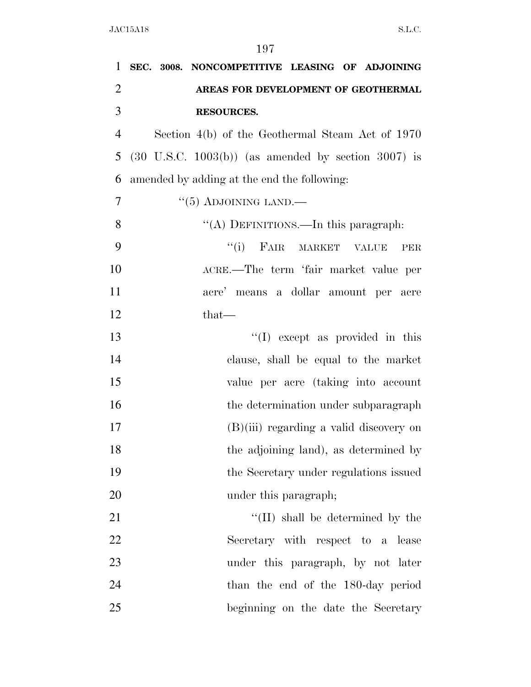| 1              | SEC. 3008. NONCOMPETITIVE LEASING OF ADJOINING                    |
|----------------|-------------------------------------------------------------------|
| $\overline{2}$ | AREAS FOR DEVELOPMENT OF GEOTHERMAL                               |
| 3              | <b>RESOURCES.</b>                                                 |
| $\overline{4}$ | Section 4(b) of the Geothermal Steam Act of 1970                  |
| 5              | $(30 \text{ U.S.C. } 1003(b))$ (as amended by section $3007$ ) is |
| 6              | amended by adding at the end the following:                       |
| $\overline{7}$ | $\lq(5)$ ADJOINING LAND.—                                         |
| 8              | "(A) DEFINITIONS.—In this paragraph:                              |
| 9              | "(i) FAIR MARKET VALUE<br><b>PER</b>                              |
| 10             | ACRE.—The term 'fair market value per                             |
| 11             | acre' means a dollar amount per acre                              |
| 12             | $that-$                                                           |
| 13             | $\lq(1)$ except as provided in this                               |
| 14             | clause, shall be equal to the market                              |
| 15             | value per acre (taking into account                               |
| 16             | the determination under subparagraph                              |
| 17             | $(B)(iii)$ regarding a valid discovery on                         |
| 18             | the adjoining land), as determined by                             |
| 19             | the Secretary under regulations issued                            |
| 20             | under this paragraph;                                             |
| 21             | $\lq\lq$ (II) shall be determined by the                          |
| 22             | Secretary with respect to a lease                                 |
| 23             | under this paragraph, by not later                                |
| 24             | than the end of the 180-day period                                |
| 25             | beginning on the date the Secretary                               |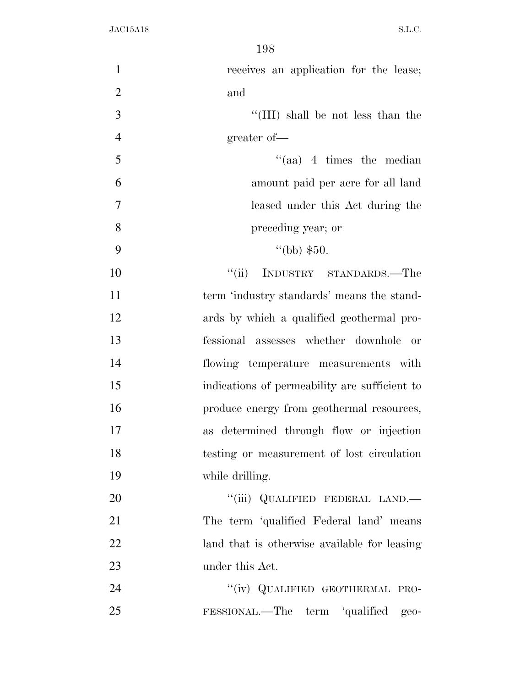| $\mathbf{1}$   | receives an application for the lease;        |
|----------------|-----------------------------------------------|
| $\overline{2}$ | and                                           |
| 3              | "(III) shall be not less than the             |
| $\overline{4}$ | greater of-                                   |
| 5              | $\cdot$ (aa) 4 times the median               |
| 6              | amount paid per acre for all land             |
| $\overline{7}$ | leased under this Act during the              |
| $8\,$          | preceding year; or                            |
| 9              | "(bb) $$50.$                                  |
| 10             | INDUSTRY STANDARDS.—The<br>``(ii)             |
| 11             | term 'industry standards' means the stand-    |
| 12             | ards by which a qualified geothermal pro-     |
| 13             | fessional assesses whether downhole or        |
| 14             | flowing temperature measurements with         |
| 15             | indications of permeability are sufficient to |
| 16             | produce energy from geothermal resources,     |
| 17             | as determined through flow or injection       |
| 18             | testing or measurement of lost circulation    |
| 19             | while drilling.                               |
| <b>20</b>      | "(iii) QUALIFIED FEDERAL LAND.—               |
| 21             | The term 'qualified Federal land' means       |
| 22             | land that is otherwise available for leasing  |
| 23             | under this Act.                               |
| 24             | "(iv) QUALIFIED GEOTHERMAL PRO-               |
| 25             | FESSIONAL.—The term 'qualified<br>$geo-$      |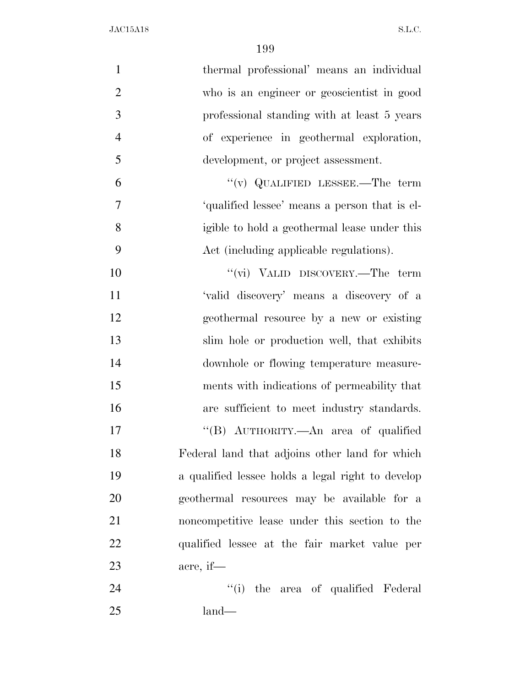| $\mathbf{1}$   | thermal professional' means an individual         |
|----------------|---------------------------------------------------|
| $\overline{2}$ | who is an engineer or geoscientist in good        |
| 3              | professional standing with at least 5 years       |
| $\overline{4}$ | of experience in geothermal exploration,          |
| 5              | development, or project assessment.               |
| 6              | "(v) QUALIFIED LESSEE.—The term                   |
| 7              | 'qualified lessee' means a person that is el-     |
| 8              | igible to hold a geothermal lease under this      |
| 9              | Act (including applicable regulations).           |
| 10             | "(vi) VALID DISCOVERY.—The term                   |
| 11             | 'valid discovery' means a discovery of a          |
| 12             | geothermal resource by a new or existing          |
| 13             | slim hole or production well, that exhibits       |
| 14             | downhole or flowing temperature measure-          |
| 15             | ments with indications of permeability that       |
| 16             | are sufficient to meet industry standards.        |
| 17             | "(B) AUTHORITY.—An area of qualified              |
| 18             | Federal land that adjoins other land for which    |
| 19             | a qualified lessee holds a legal right to develop |
| 20             | geothermal resources may be available for a       |
| 21             | noncompetitive lease under this section to the    |
| 22             | qualified lessee at the fair market value per     |
| 23             | acre, if—                                         |
| 24             | "(i) the area of qualified Federal                |
| 25             | $land-$                                           |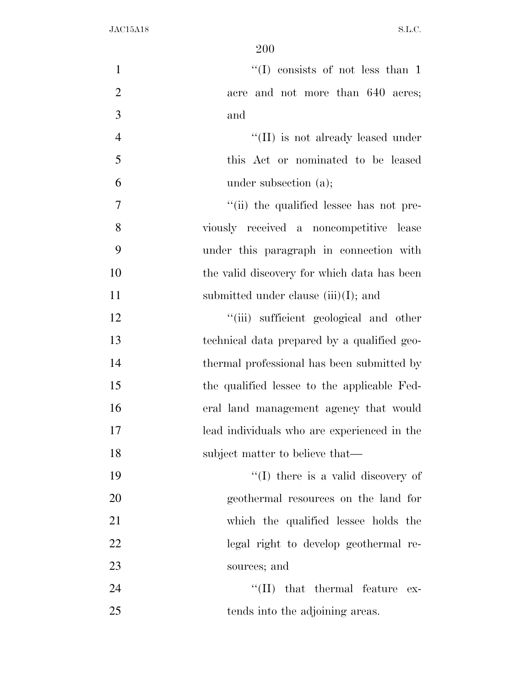| $\mathbf{1}$   | "(I) consists of not less than 1            |
|----------------|---------------------------------------------|
| $\overline{2}$ | acre and not more than 640 acres;           |
| 3              | and                                         |
| $\overline{4}$ | $\lq\lq$ (II) is not already leased under   |
| 5              | this Act or nominated to be leased          |
| 6              | under subsection $(a)$ ;                    |
| $\tau$         | "(ii) the qualified lessee has not pre-     |
| 8              | viously received a noncompetitive lease     |
| 9              | under this paragraph in connection with     |
| 10             | the valid discovery for which data has been |
| 11             | submitted under clause $(iii)(I)$ ; and     |
| 12             | "(iii) sufficient geological and other      |
| 13             | technical data prepared by a qualified geo- |
| 14             | thermal professional has been submitted by  |
| 15             | the qualified lessee to the applicable Fed- |
| 16             | eral land management agency that would      |
| 17             | lead individuals who are experienced in the |
| 18             | subject matter to believe that—             |
| 19             | $\lq\lq$ (I) there is a valid discovery of  |
| 20             | geothermal resources on the land for        |
| 21             | which the qualified lessee holds the        |
| 22             | legal right to develop geothermal re-       |
| 23             | sources; and                                |
| 24             | $\lq\lq$ (II) that thermal feature<br>$ex-$ |
| 25             | tends into the adjoining areas.             |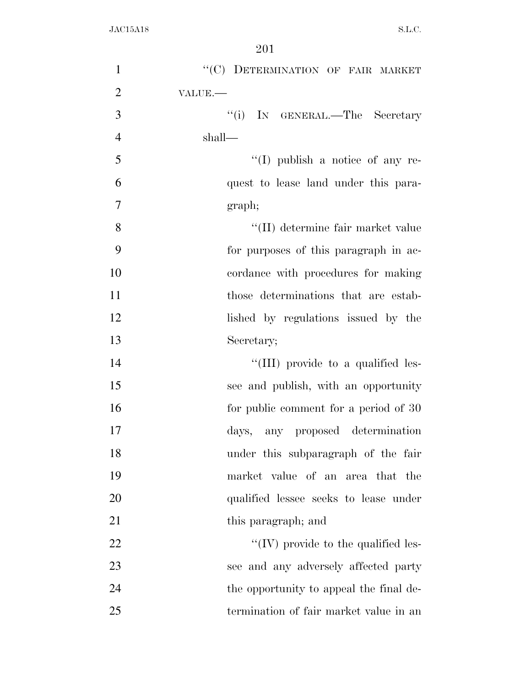| $\mathbf{1}$   | "(C) DETERMINATION OF FAIR MARKET               |
|----------------|-------------------------------------------------|
| $\overline{2}$ | VALUE.                                          |
| 3              | "(i) IN GENERAL.—The Secretary                  |
| $\overline{4}$ | shall—                                          |
| 5              | $\lq\lq$ (I) publish a notice of any re-        |
| 6              | quest to lease land under this para-            |
| $\overline{7}$ | graph;                                          |
| 8              | $\lq\lq(\text{II})$ determine fair market value |
| 9              | for purposes of this paragraph in ac-           |
| 10             | cordance with procedures for making             |
| 11             | those determinations that are estab-            |
| 12             | lished by regulations issued by the             |
| 13             | Secretary;                                      |
| 14             | "(III) provide to a qualified les-              |
| 15             | see and publish, with an opportunity            |
| 16             | for public comment for a period of 30           |
| 17             | days, any proposed determination                |
| 18             | under this subparagraph of the fair             |
| 19             | market value of an area that the                |
| 20             | qualified lessee seeks to lease under           |
| 21             | this paragraph; and                             |
| 22             | "(IV) provide to the qualified les-             |
| 23             | see and any adversely affected party            |
| 24             | the opportunity to appeal the final de-         |
| 25             | termination of fair market value in an          |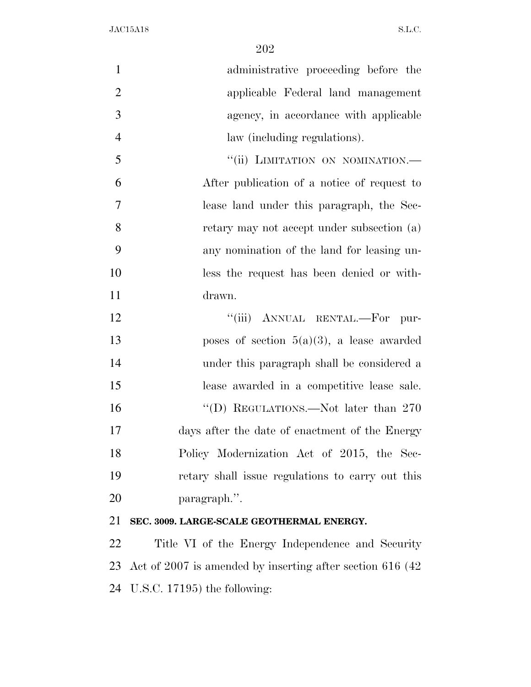| $\mathbf{1}$   | administrative proceeding before the                       |
|----------------|------------------------------------------------------------|
| $\overline{2}$ | applicable Federal land management                         |
| 3              | agency, in accordance with applicable                      |
| $\overline{4}$ | law (including regulations).                               |
| 5              | "(ii) LIMITATION ON NOMINATION.-                           |
| 6              | After publication of a notice of request to                |
| $\overline{7}$ | lease land under this paragraph, the Sec-                  |
| 8              | retary may not accept under subsection (a)                 |
| 9              | any nomination of the land for leasing un-                 |
| 10             | less the request has been denied or with-                  |
| 11             | drawn.                                                     |
| 12             | "(iii) ANNUAL RENTAL.-For<br>pur-                          |
| 13             | poses of section $5(a)(3)$ , a lease awarded               |
| 14             | under this paragraph shall be considered a                 |
| 15             | lease awarded in a competitive lease sale.                 |
| 16             | "(D) REGULATIONS.—Not later than $270$                     |
| 17             | days after the date of enactment of the Energy             |
| 18             | Policy Modernization Act of 2015, the Sec-                 |
| 19             | retary shall issue regulations to carry out this           |
| 20             | paragraph.".                                               |
| 21             | SEC. 3009. LARGE-SCALE GEOTHERMAL ENERGY.                  |
| 22             | Title VI of the Energy Independence and Security           |
| 23             | Act of 2007 is amended by inserting after section 616 (42) |
|                | 24 U.S.C. 17195) the following:                            |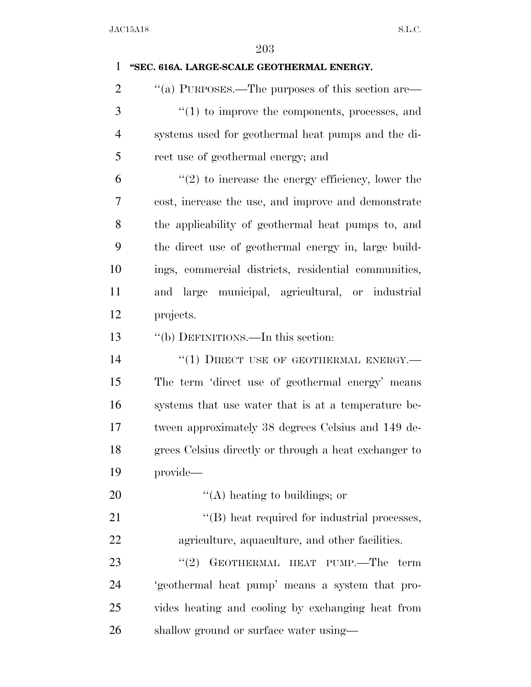| 1              | "SEC. 616A. LARGE-SCALE GEOTHERMAL ENERGY.            |
|----------------|-------------------------------------------------------|
| $\overline{2}$ | "(a) PURPOSES.—The purposes of this section are—      |
| 3              | $"(1)$ to improve the components, processes, and      |
| 4              | systems used for geothermal heat pumps and the di-    |
| 5              | rect use of geothermal energy; and                    |
| 6              | $f'(2)$ to increase the energy efficiency, lower the  |
| 7              | cost, increase the use, and improve and demonstrate   |
| 8              | the applicability of geothermal heat pumps to, and    |
| 9              | the direct use of geothermal energy in, large build-  |
| 10             | ings, commercial districts, residential communities,  |
| 11             | and large municipal, agricultural, or industrial      |
| 12             | projects.                                             |
| 13             | "(b) DEFINITIONS.—In this section:                    |
| 14             | "(1) DIRECT USE OF GEOTHERMAL ENERGY.-                |
| 15             | The term 'direct use of geothermal energy' means      |
| 16             | systems that use water that is at a temperature be-   |
| 17             | tween approximately 38 degrees Celsius and 149 de-    |
| 18             | grees Celsius directly or through a heat exchanger to |
| 19             | provide—                                              |
| 20             | $\lq\lq$ heating to buildings; or                     |
| 21             | "(B) heat required for industrial processes,          |
| 22             | agriculture, aquaculture, and other facilities.       |
| 23             | "(2) GEOTHERMAL HEAT PUMP.—The term                   |
| 24             | 'geothermal heat pump' means a system that pro-       |
| 25             | vides heating and cooling by exchanging heat from     |
| 26             | shallow ground or surface water using—                |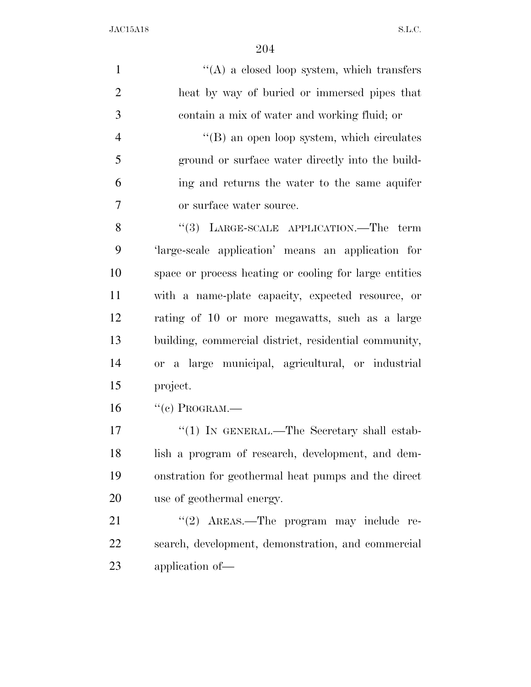1 ''(A) a closed loop system, which transfers heat by way of buried or immersed pipes that contain a mix of water and working fluid; or ''(B) an open loop system, which circulates ground or surface water directly into the build- ing and returns the water to the same aquifer or surface water source. 8 "(3) LARGE-SCALE APPLICATION.—The term 'large-scale application' means an application for space or process heating or cooling for large entities with a name-plate capacity, expected resource, or rating of 10 or more megawatts, such as a large building, commercial district, residential community, or a large municipal, agricultural, or industrial project. "(c) PROGRAM.— 17 "(1) IN GENERAL.—The Secretary shall estab- lish a program of research, development, and dem- onstration for geothermal heat pumps and the direct use of geothermal energy. 21 "(2) AREAS.—The program may include re-search, development, demonstration, and commercial

application of—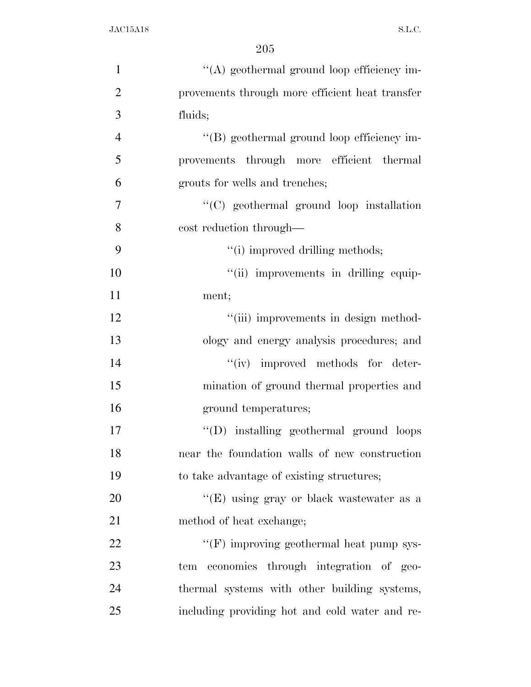| $\mathbf{1}$   | $\lq\lq$ geothermal ground loop efficiency im-  |
|----------------|-------------------------------------------------|
| $\overline{2}$ | provements through more efficient heat transfer |
| 3              | fluids;                                         |
| $\overline{4}$ | "(B) geothermal ground loop efficiency im-      |
| 5              | provements through more efficient thermal       |
| 6              | grouts for wells and trenches;                  |
| $\tau$         | "(C) geothermal ground loop installation        |
| 8              | cost reduction through—                         |
| 9              | "(i) improved drilling methods;                 |
| 10             | "(ii) improvements in drilling equip-           |
| 11             | ment;                                           |
| 12             | "(iii) improvements in design method-           |
| 13             | ology and energy analysis procedures; and       |
| 14             | "(iv) improved methods for deter-               |
| 15             | mination of ground thermal properties and       |
| 16             | ground temperatures;                            |
| 17             | "(D) installing geothermal ground loops         |
| 18             | near the foundation walls of new construction   |
| 19             | to take advantage of existing structures;       |
| 20             | "(E) using gray or black was tewater as a       |
| 21             | method of heat exchange;                        |
| 22             | $\lq\lq(F)$ improving geothermal heat pump sys- |
| 23             | economics through integration of geo-<br>tem    |
| 24             | thermal systems with other building systems,    |
| 25             | including providing hot and cold water and re-  |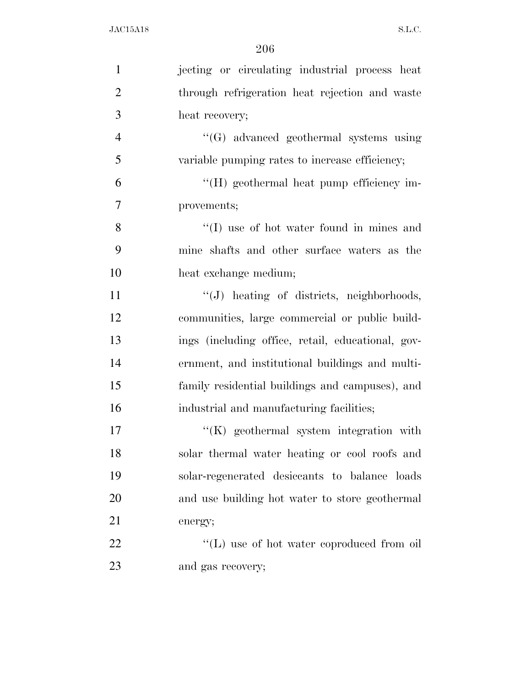| $\mathbf{1}$   | jecting or circulating industrial process heat    |
|----------------|---------------------------------------------------|
| $\overline{2}$ | through refrigeration heat rejection and waste    |
| 3              | heat recovery;                                    |
| $\overline{4}$ | "(G) advanced geothermal systems using            |
| 5              | variable pumping rates to increase efficiency;    |
| 6              | "(H) geothermal heat pump efficiency im-          |
| $\tau$         | provements;                                       |
| 8              | "(I) use of hot water found in mines and          |
| 9              | mine shafts and other surface waters as the       |
| 10             | heat exchange medium;                             |
| 11             | "(J) heating of districts, neighborhoods,         |
| 12             | communities, large commercial or public build-    |
| 13             | ings (including office, retail, educational, gov- |
| 14             | ernment, and institutional buildings and multi-   |
| 15             | family residential buildings and campuses), and   |
| 16             | industrial and manufacturing facilities;          |
| 17             | $\lq\lq$ (K) geothermal system integration with   |
| 18             | solar thermal water heating or cool roofs and     |
| 19             | solar-regenerated desiceants to balance loads     |
| 20             | and use building hot water to store geothermal    |
| 21             | energy;                                           |
| 22             | $\lq\lq$ . Use of hot water coproduced from oil   |
| 23             | and gas recovery;                                 |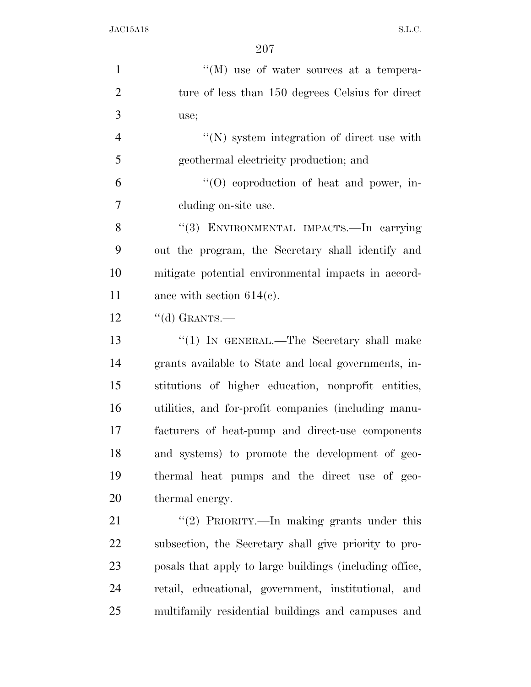| $\mathbf{1}$   | "(M) use of water sources at a tempera-                 |
|----------------|---------------------------------------------------------|
| $\overline{2}$ | ture of less than 150 degrees Celsius for direct        |
| 3              | use;                                                    |
| $\overline{4}$ | $\lq\lq(N)$ system integration of direct use with       |
| 5              | geothermal electricity production; and                  |
| 6              | "(O) coproduction of heat and power, in-                |
| $\overline{7}$ | cluding on-site use.                                    |
| 8              | "(3) ENVIRONMENTAL IMPACTS.-In carrying                 |
| 9              | out the program, the Secretary shall identify and       |
| 10             | mitigate potential environmental impacts in accord-     |
| 11             | ance with section $614(c)$ .                            |
| 12             | "(d) GRANTS.—                                           |
| 13             | " $(1)$ IN GENERAL.—The Secretary shall make            |
| 14             | grants available to State and local governments, in-    |
| 15             | stitutions of higher education, nonprofit entities,     |
| 16             | utilities, and for-profit companies (including manu-    |
| 17             | facturers of heat-pump and direct-use components        |
| 18             | and systems) to promote the development of geo-         |
| 19             | thermal heat pumps and the direct use of geo-           |
| 20             | thermal energy.                                         |
| 21             | "(2) PRIORITY.—In making grants under this              |
| 22             | subsection, the Secretary shall give priority to pro-   |
| 23             | posals that apply to large buildings (including office, |
| 24             | retail, educational, government, institutional, and     |
| 25             | multifamily residential buildings and campuses and      |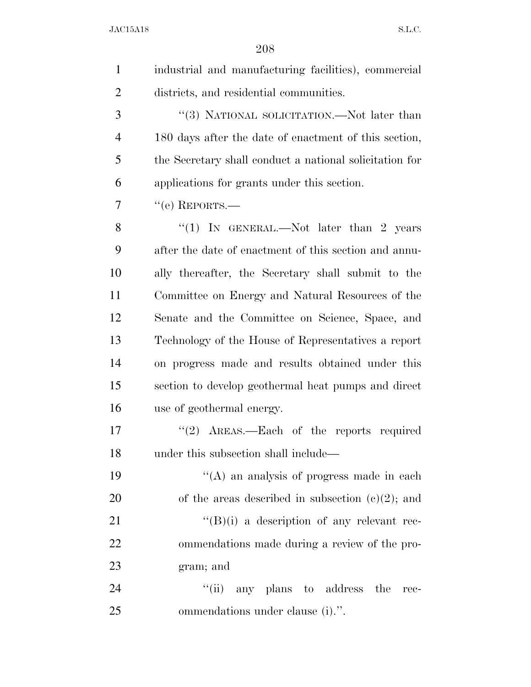| $\mathbf{1}$   | industrial and manufacturing facilities), commercial     |
|----------------|----------------------------------------------------------|
| $\overline{2}$ | districts, and residential communities.                  |
| 3              | "(3) NATIONAL SOLICITATION.—Not later than               |
| $\overline{4}$ | 180 days after the date of enactment of this section,    |
| 5              | the Secretary shall conduct a national solicitation for  |
| 6              | applications for grants under this section.              |
| 7              | $``$ (e) REPORTS.—                                       |
| 8              | "(1) IN GENERAL.—Not later than 2 years                  |
| 9              | after the date of enactment of this section and annu-    |
| 10             | ally thereafter, the Secretary shall submit to the       |
| 11             | Committee on Energy and Natural Resources of the         |
| 12             | Senate and the Committee on Science, Space, and          |
| 13             | Technology of the House of Representatives a report      |
| 14             | on progress made and results obtained under this         |
| 15             | section to develop geothermal heat pumps and direct      |
| 16             | use of geothermal energy.                                |
| 17             | $\cdot\cdot\cdot(2)$ AREAS.—Each of the reports required |
| 18             | under this subsection shall include—                     |
| 19             | $\lq\lq$ (A) an analysis of progress made in each        |
| 20             | of the areas described in subsection $(c)(2)$ ; and      |
| 21             | $\lq\lq(B)(i)$ a description of any relevant rec-        |
| 22             | ommendations made during a review of the pro-            |
| 23             | gram; and                                                |
| 24             | "(ii) any plans to address<br>the<br>rec-                |
| 25             | ommendations under clause (i).".                         |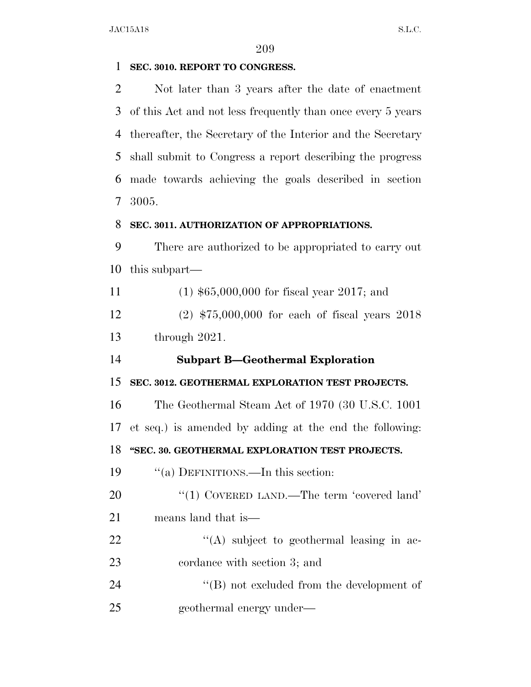#### **SEC. 3010. REPORT TO CONGRESS.**

 Not later than 3 years after the date of enactment of this Act and not less frequently than once every 5 years thereafter, the Secretary of the Interior and the Secretary shall submit to Congress a report describing the progress made towards achieving the goals described in section 3005.

### **SEC. 3011. AUTHORIZATION OF APPROPRIATIONS.**

 There are authorized to be appropriated to carry out this subpart—

(1) \$65,000,000 for fiscal year 2017; and

 (2) \$75,000,000 for each of fiscal years 2018 through 2021.

### **Subpart B—Geothermal Exploration**

**SEC. 3012. GEOTHERMAL EXPLORATION TEST PROJECTS.** 

 The Geothermal Steam Act of 1970 (30 U.S.C. 1001 et seq.) is amended by adding at the end the following: **''SEC. 30. GEOTHERMAL EXPLORATION TEST PROJECTS.** 

19 "(a) DEFINITIONS.—In this section:

20 "(1) COVERED LAND.—The term 'covered land' means land that is—

22 ''(A) subject to geothermal leasing in ac-23 cordance with section 3; and

24 ''(B) not excluded from the development of geothermal energy under—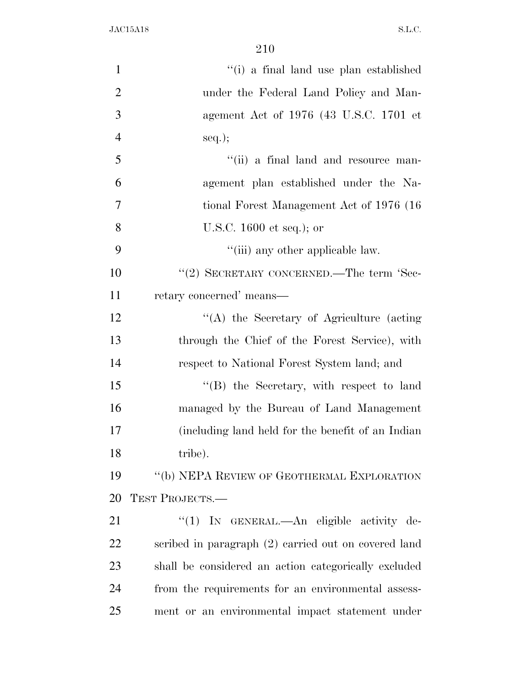| $\mathbf{1}$   | "(i) a final land use plan established               |
|----------------|------------------------------------------------------|
| $\overline{2}$ | under the Federal Land Policy and Man-               |
| 3              | agement Act of 1976 (43 U.S.C. 1701 et               |
| $\overline{4}$ | $seq.$ ;                                             |
| 5              | "(ii) a final land and resource man-                 |
| 6              | agement plan established under the Na-               |
| 7              | tional Forest Management Act of 1976 (16             |
| 8              | U.S.C. $1600$ et seq.); or                           |
| 9              | "(iii) any other applicable law.                     |
| 10             | " $(2)$ SECRETARY CONCERNED.—The term 'Sec-          |
| 11             | retary concerned' means—                             |
| 12             | "(A) the Secretary of Agriculture (acting            |
| 13             | through the Chief of the Forest Service), with       |
| 14             | respect to National Forest System land; and          |
| 15             | "(B) the Secretary, with respect to land             |
| 16             | managed by the Bureau of Land Management             |
| 17             | (including land held for the benefit of an Indian    |
| 18             | tribe).                                              |
| 19             | "(b) NEPA REVIEW OF GEOTHERMAL EXPLORATION           |
| 20             | TEST PROJECTS.-                                      |
| 21             | "(1) IN GENERAL.—An eligible activity de-            |
| 22             | scribed in paragraph (2) carried out on covered land |
| 23             | shall be considered an action categorically excluded |
| 24             | from the requirements for an environmental assess-   |
| 25             | ment or an environmental impact statement under      |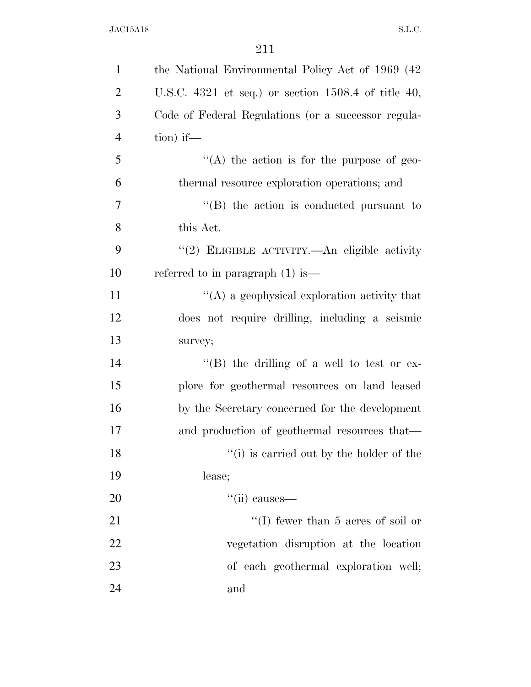| $\mathbf{1}$   | the National Environmental Policy Act of 1969 (42)         |
|----------------|------------------------------------------------------------|
| $\overline{2}$ | U.S.C. $4321$ et seq.) or section $1508.4$ of title $40$ , |
| 3              | Code of Federal Regulations (or a successor regula-        |
| $\overline{4}$ | $\frac{\text{tion}}{\text{if}}$                            |
| 5              | "(A) the action is for the purpose of geo-                 |
| 6              | thermal resource exploration operations; and               |
| 7              | $\cdot$ (B) the action is conducted pursuant to            |
| 8              | this Act.                                                  |
| 9              | "(2) ELIGIBLE ACTIVITY.—An eligible activity               |
| 10             | referred to in paragraph $(1)$ is —                        |
| 11             | $\lq\lq$ a geophysical exploration activity that           |
| 12             | does not require drilling, including a seismic             |
| 13             | survey;                                                    |
| 14             | "(B) the drilling of a well to test or ex-                 |
| 15             | plore for geothermal resources on land leased              |
| 16             | by the Secretary concerned for the development             |
| 17             | and production of geothermal resources that—               |
| 18             | "(i) is carried out by the holder of the                   |
| 19             | lease;                                                     |
| 20             | $``(ii) \text{ causes}$ .                                  |
| 21             | "(I) fewer than 5 acres of soil or                         |
| 22             | vegetation disruption at the location                      |
| 23             | of each geothermal exploration well;                       |
| 24             | and                                                        |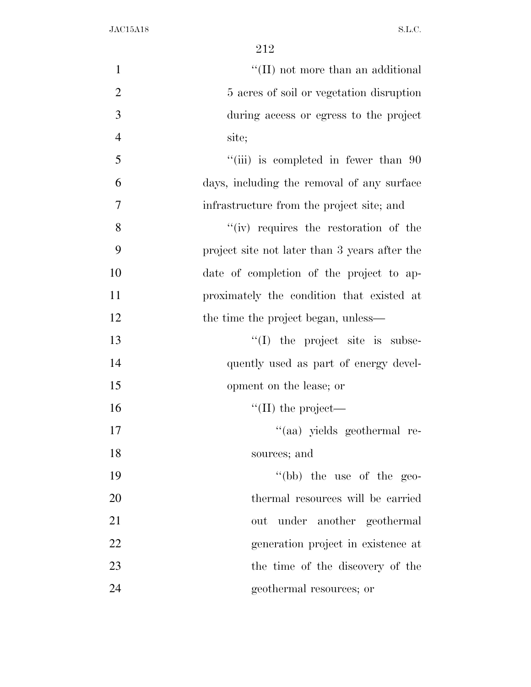| $\mathbf{1}$   | $\lq$ (II) not more than an additional        |
|----------------|-----------------------------------------------|
| $\overline{2}$ | 5 acres of soil or vegetation disruption      |
| 3              | during access or egress to the project        |
| $\overline{4}$ | site;                                         |
| 5              | "(iii) is completed in fewer than $90$        |
| 6              | days, including the removal of any surface    |
| 7              | infrastructure from the project site; and     |
| 8              | $f'(iv)$ requires the restoration of the      |
| 9              | project site not later than 3 years after the |
| 10             | date of completion of the project to ap-      |
| 11             | proximately the condition that existed at     |
| 12             | the time the project began, unless—           |
| 13             | $\lq\lq$ (I) the project site is subse-       |
| 14             | quently used as part of energy devel-         |
| 15             | opment on the lease; or                       |
| 16             | $\lq\lq$ (II) the project—                    |
| 17             | "(aa) yields geothermal re-                   |
| 18             | sources; and                                  |
| 19             | "(bb) the use of the geo-                     |
| 20             | thermal resources will be carried             |
| 21             | out under another geothermal                  |
| 22             | generation project in existence at            |
| 23             | the time of the discovery of the              |
| 24             | geothermal resources; or                      |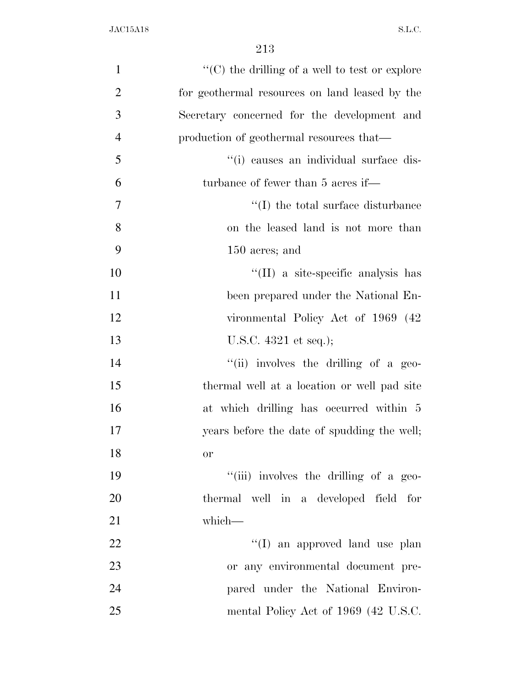| $\mathbf{1}$   | " $(C)$ the drilling of a well to test or explore |
|----------------|---------------------------------------------------|
| $\overline{2}$ | for geothermal resources on land leased by the    |
| 3              | Secretary concerned for the development and       |
| $\overline{4}$ | production of geothermal resources that—          |
| 5              | "(i) causes an individual surface dis-            |
| 6              | turbance of fewer than 5 acres if—                |
| $\tau$         | $\lq\lq$ (I) the total surface disturbance        |
| 8              | on the leased land is not more than               |
| 9              | 150 acres; and                                    |
| 10             | "(II) a site-specific analysis has                |
| 11             | been prepared under the National En-              |
| 12             | vironmental Policy Act of 1969 (42)               |
| 13             | U.S.C. $4321$ et seq.);                           |
| 14             | "(ii) involves the drilling of a geo-             |
| 15             | thermal well at a location or well pad site       |
| 16             | at which drilling has occurred within 5           |
| 17             | years before the date of spudding the well;       |
| 18             | <b>or</b>                                         |
| 19             | "(iii) involves the drilling of a geo-            |
| 20             | thermal well in a developed field for             |
| 21             | which-                                            |
| 22             | "(I) an approved land use plan                    |
| 23             | or any environmental document pre-                |
| 24             | pared under the National Environ-                 |
| 25             | mental Policy Act of 1969 (42 U.S.C.              |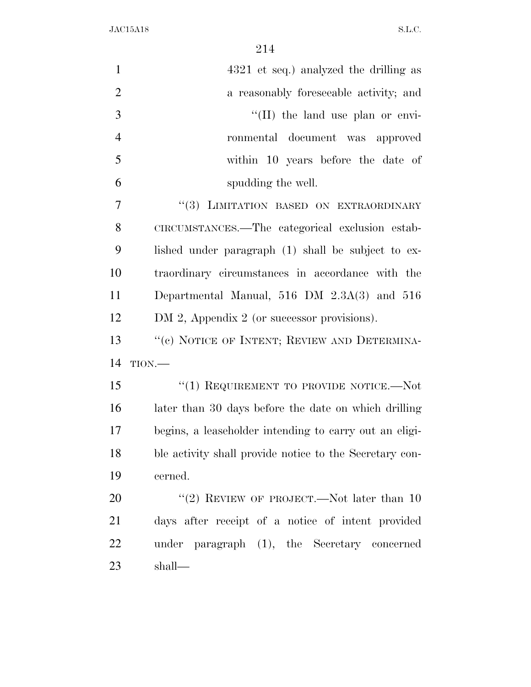| $\mathbf{1}$   | 4321 et seq.) analyzed the drilling as                  |
|----------------|---------------------------------------------------------|
| $\overline{2}$ | a reasonably foreseeable activity; and                  |
| 3              | "(II) the land use plan or envi-                        |
| $\overline{4}$ | ronmental document was approved                         |
| 5              | within 10 years before the date of                      |
| 6              | spudding the well.                                      |
| $\overline{7}$ | "(3) LIMITATION BASED ON EXTRAORDINARY                  |
| 8              | CIRCUMSTANCES.—The categorical exclusion estab-         |
| 9              | lished under paragraph (1) shall be subject to ex-      |
| 10             | traordinary circumstances in accordance with the        |
| 11             | Departmental Manual, $516$ DM $2.3A(3)$ and $516$       |
| 12             | DM 2, Appendix 2 (or successor provisions).             |
| 13             | "(c) NOTICE OF INTENT; REVIEW AND DETERMINA-            |
| 14             | $TION$ .                                                |
| 15             | "(1) REQUIREMENT TO PROVIDE NOTICE.—Not                 |
| 16             | later than 30 days before the date on which drilling    |
| 17             | begins, a leaseholder intending to carry out an eligi-  |
| 18             | ble activity shall provide notice to the Secretary con- |
| 19             | cerned.                                                 |
| 20             | "(2) REVIEW OF PROJECT.—Not later than $10$             |
| 21             | days after receipt of a notice of intent provided       |
| 22             | under paragraph (1), the Secretary concerned            |
| 23             | shall—                                                  |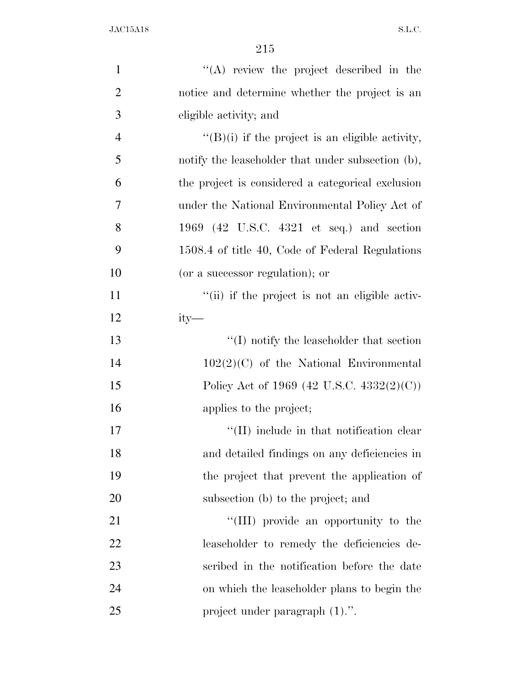| $\mathbf{1}$   | $\lq\lq$ review the project described in the           |
|----------------|--------------------------------------------------------|
| $\overline{2}$ | notice and determine whether the project is an         |
| 3              | eligible activity; and                                 |
| $\overline{4}$ | $\lq\lq(B)(i)$ if the project is an eligible activity, |
| 5              | notify the leaseholder that under subsection (b),      |
| 6              | the project is considered a categorical exclusion      |
| 7              | under the National Environmental Policy Act of         |
| 8              | 1969 (42 U.S.C. 4321 et seq.) and section              |
| 9              | 1508.4 of title 40, Code of Federal Regulations        |
| 10             | (or a successor regulation); or                        |
| 11             | "(ii) if the project is not an eligible activ-         |
| 12             | $ity-$                                                 |
| 13             | $\lq\lq$ (I) notify the leaseholder that section       |
| 14             | $102(2)(C)$ of the National Environmental              |
| 15             | Policy Act of 1969 (42 U.S.C. 4332(2)(C))              |
| 16             | applies to the project;                                |
| 17             | $\lq$ (II) include in that notification clear          |
| 18             | and detailed findings on any deficiencies in           |
| 19             | the project that prevent the application of            |
| 20             | subsection (b) to the project; and                     |
| 21             | "(III) provide an opportunity to the                   |
| 22             | leaseholder to remedy the deficiencies de-             |
| 23             | scribed in the notification before the date            |
| 24             | on which the leaseholder plans to begin the            |
| 25             | project under paragraph (1).".                         |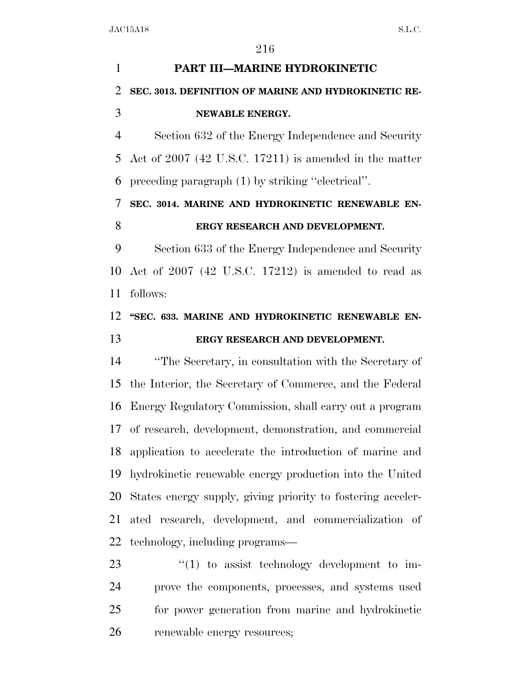# **PART III—MARINE HYDROKINETIC SEC. 3013. DEFINITION OF MARINE AND HYDROKINETIC RE- NEWABLE ENERGY.**  Section 632 of the Energy Independence and Security

 Act of 2007 (42 U.S.C. 17211) is amended in the matter preceding paragraph (1) by striking ''electrical''.

### **SEC. 3014. MARINE AND HYDROKINETIC RENEWABLE EN-ERGY RESEARCH AND DEVELOPMENT.**

 Section 633 of the Energy Independence and Security Act of 2007 (42 U.S.C. 17212) is amended to read as follows:

## **''SEC. 633. MARINE AND HYDROKINETIC RENEWABLE EN-ERGY RESEARCH AND DEVELOPMENT.**

 ''The Secretary, in consultation with the Secretary of the Interior, the Secretary of Commerce, and the Federal Energy Regulatory Commission, shall carry out a program of research, development, demonstration, and commercial application to accelerate the introduction of marine and hydrokinetic renewable energy production into the United States energy supply, giving priority to fostering acceler- ated research, development, and commercialization of technology, including programs—

 $\frac{1}{2}$  (1) to assist technology development to im- prove the components, processes, and systems used for power generation from marine and hydrokinetic renewable energy resources;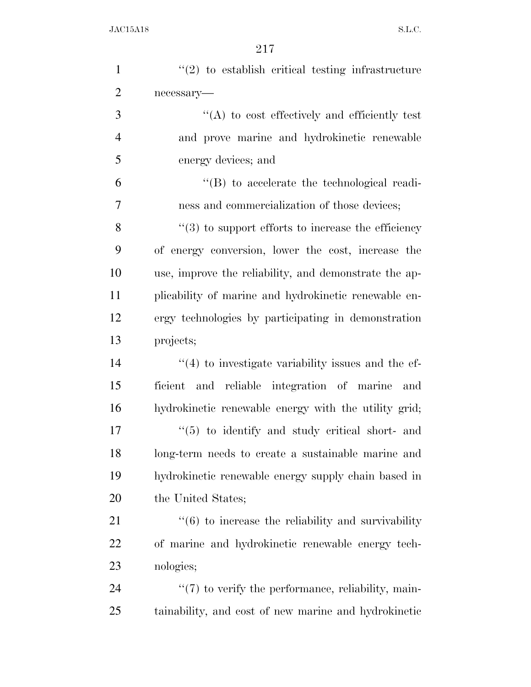| $\mathbf{1}$   | $"(2)$ to establish critical testing infrastructure                |
|----------------|--------------------------------------------------------------------|
| $\overline{2}$ | necessary-                                                         |
| 3              | $\lq\lq$ to cost effectively and efficiently test                  |
| $\overline{4}$ | and prove marine and hydrokinetic renewable                        |
| 5              | energy devices; and                                                |
| 6              | $\lq\lq (B)$ to accelerate the technological readi-                |
| $\overline{7}$ | ness and commercialization of those devices;                       |
| 8              | $\cdot\cdot$ (3) to support efforts to increase the efficiency     |
| 9              | of energy conversion, lower the cost, increase the                 |
| 10             | use, improve the reliability, and demonstrate the ap-              |
| 11             | plicability of marine and hydrokinetic renewable en-               |
| 12             | ergy technologies by participating in demonstration                |
| 13             | projects;                                                          |
| 14             | $\cdot$ (4) to investigate variability issues and the ef-          |
| 15             | ficient and reliable integration of marine and                     |
| 16             | hydrokinetic renewable energy with the utility grid;               |
| 17             | $\cdot\cdot$ (5) to identify and study critical short- and         |
| 18             | long-term needs to create a sustainable marine and                 |
| 19             | hydrokinetic renewable energy supply chain based in                |
| 20             | the United States;                                                 |
| 21             | $\cdot\cdot\cdot(6)$ to increase the reliability and survivability |
| 22             | of marine and hydrokinetic renewable energy tech-                  |
| 23             | nologies;                                                          |
| 24             | "(7) to verify the performance, reliability, main-                 |
| 25             | tainability, and cost of new marine and hydrokinetic               |
|                |                                                                    |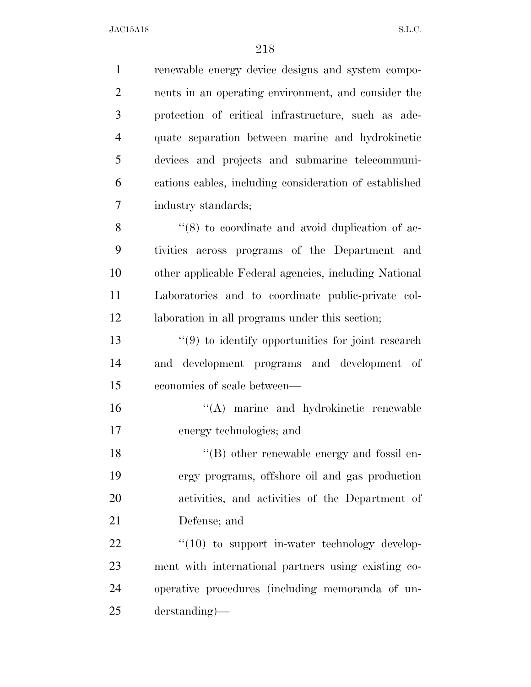renewable energy device designs and system compo- nents in an operating environment, and consider the protection of critical infrastructure, such as ade- quate separation between marine and hydrokinetic devices and projects and submarine telecommuni- cations cables, including consideration of established industry standards; 8 ''(8) to coordinate and avoid duplication of ac- tivities across programs of the Department and other applicable Federal agencies, including National Laboratories and to coordinate public-private col- laboration in all programs under this section; ''(9) to identify opportunities for joint research and development programs and development of economies of scale between— ''(A) marine and hydrokinetic renewable energy technologies; and 18 ''(B) other renewable energy and fossil en- ergy programs, offshore oil and gas production activities, and activities of the Department of Defense; and  $\frac{4}{10}$  to support in-water technology develop- ment with international partners using existing co- operative procedures (including memoranda of un-derstanding)—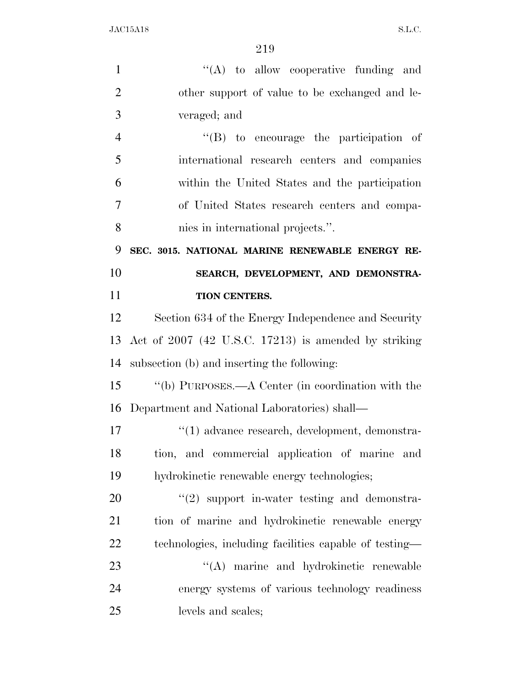$\langle (A)$  to allow cooperative funding and other support of value to be exchanged and le- veraged; and ''(B) to encourage the participation of international research centers and companies within the United States and the participation of United States research centers and compa- nies in international projects.''. **SEC. 3015. NATIONAL MARINE RENEWABLE ENERGY RE- SEARCH, DEVELOPMENT, AND DEMONSTRA- TION CENTERS.**  Section 634 of the Energy Independence and Security Act of 2007 (42 U.S.C. 17213) is amended by striking subsection (b) and inserting the following: ''(b) PURPOSES.—A Center (in coordination with the Department and National Laboratories) shall— 17 ''(1) advance research, development, demonstra- tion, and commercial application of marine and hydrokinetic renewable energy technologies; ''(2) support in-water testing and demonstra- tion of marine and hydrokinetic renewable energy technologies, including facilities capable of testing— 23 "(A) marine and hydrokinetic renewable energy systems of various technology readiness levels and scales;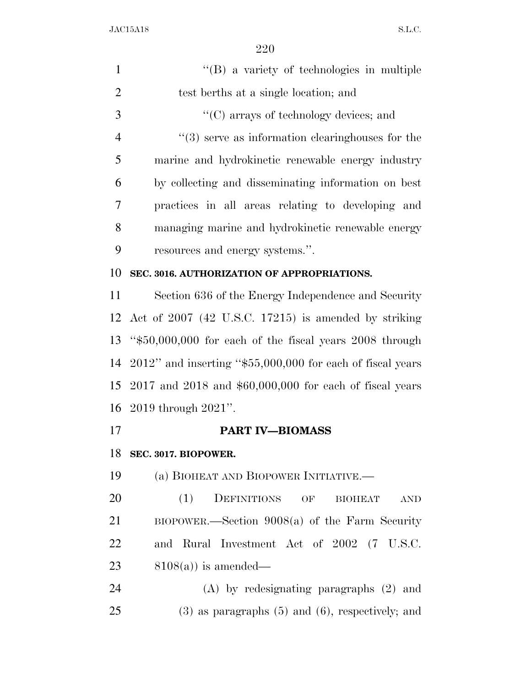| $\mathbf{1}$   | $\lq\lq (B)$ a variety of technologies in multiple              |
|----------------|-----------------------------------------------------------------|
| $\overline{2}$ | test berths at a single location; and                           |
| 3              | $\lq\lq$ (C) arrays of technology devices; and                  |
| $\overline{4}$ | $\lq(3)$ serve as information clearinghouses for the            |
| 5              | marine and hydrokinetic renewable energy industry               |
| 6              | by collecting and disseminating information on best             |
| 7              | practices in all areas relating to developing and               |
| 8              | managing marine and hydrokinetic renewable energy               |
| 9              | resources and energy systems.".                                 |
| 10             | SEC. 3016. AUTHORIZATION OF APPROPRIATIONS.                     |
| 11             | Section 636 of the Energy Independence and Security             |
| 12             | Act of 2007 (42 U.S.C. 17215) is amended by striking            |
| 13             | " $$50,000,000$ for each of the fiscal years 2008 through       |
| 14             | $2012$ " and inserting " $$55,000,000$ for each of fiscal years |
| 15             | $2017$ and $2018$ and $$60,000,000$ for each of fiscal years    |
|                | 16 2019 through $2021$ ".                                       |
| 17             | <b>PART IV-BIOMASS</b>                                          |
| 18             | SEC. 3017. BIOPOWER.                                            |
| 19             | (a) BIOHEAT AND BIOPOWER INITIATIVE.                            |
| 20             | (1)<br>DEFINITIONS OF<br><b>BIOHEAT</b><br><b>AND</b>           |
| 21             | $BIOPOWER.$ Section $9008(a)$ of the Farm Security              |
| 22             | and Rural Investment Act of 2002 (7 U.S.C.                      |
| 23             | $8108(a)$ is amended—                                           |
| 24             | $(A)$ by redesignating paragraphs $(2)$ and                     |
| 25             | $(3)$ as paragraphs $(5)$ and $(6)$ , respectively; and         |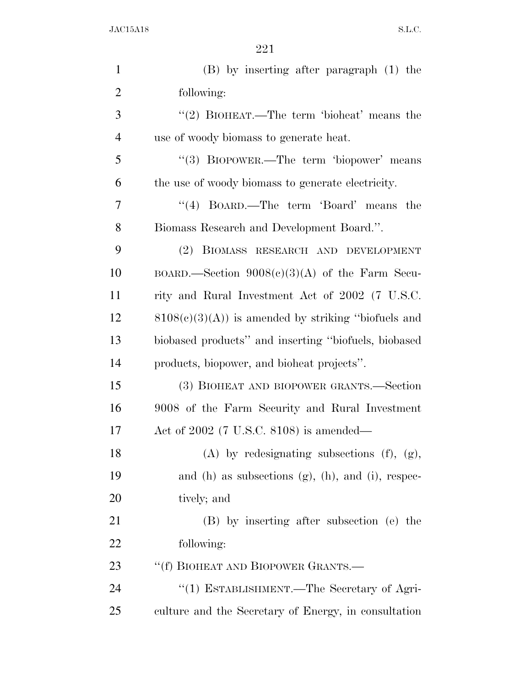| $\mathbf{1}$   | (B) by inserting after paragraph (1) the                     |
|----------------|--------------------------------------------------------------|
| $\overline{2}$ | following:                                                   |
| 3              | "(2) BIOHEAT.—The term 'bioheat' means the                   |
| $\overline{4}$ | use of woody biomass to generate heat.                       |
| 5              | "(3) BIOPOWER.—The term 'biopower' means                     |
| 6              | the use of woody biomass to generate electricity.            |
| 7              | "(4) BOARD.—The term 'Board' means the                       |
| 8              | Biomass Research and Development Board.".                    |
| 9              | (2) BIOMASS RESEARCH AND DEVELOPMENT                         |
| 10             | BOARD.—Section $9008(c)(3)(A)$ of the Farm Secu-             |
| 11             | rity and Rural Investment Act of 2002 (7 U.S.C.              |
| 12             | $8108(c)(3)(A)$ is amended by striking "biofuels and         |
| 13             | biobased products" and inserting "biofuels, biobased         |
| 14             | products, biopower, and bioheat projects".                   |
| 15             | (3) BIOHEAT AND BIOPOWER GRANTS.—Section                     |
| 16             | 9008 of the Farm Security and Rural Investment               |
| 17             | Act of $2002$ (7 U.S.C. 8108) is amended—                    |
| 18             | $(A)$ by redesignating subsections $(f)$ , $(g)$ ,           |
| 19             | and $(h)$ as subsections $(g)$ , $(h)$ , and $(i)$ , respec- |
| 20             | tively; and                                                  |
| 21             | (B) by inserting after subsection (e) the                    |
| 22             | following:                                                   |
| 23             | "(f) BIOHEAT AND BIOPOWER GRANTS.-                           |
| 24             | "(1) ESTABLISHMENT.—The Secretary of Agri-                   |
| 25             | culture and the Secretary of Energy, in consultation         |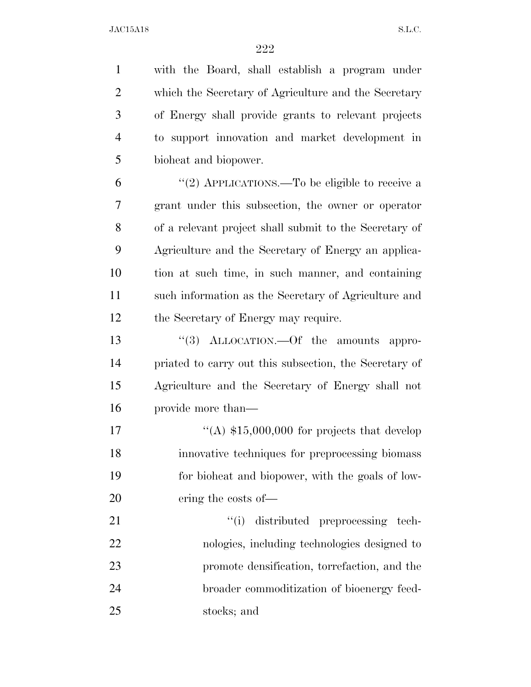with the Board, shall establish a program under which the Secretary of Agriculture and the Secretary of Energy shall provide grants to relevant projects to support innovation and market development in bioheat and biopower. ''(2) APPLICATIONS.—To be eligible to receive a grant under this subsection, the owner or operator of a relevant project shall submit to the Secretary of Agriculture and the Secretary of Energy an applica- tion at such time, in such manner, and containing such information as the Secretary of Agriculture and 12 the Secretary of Energy may require. 13 "(3) ALLOCATION.—Of the amounts appro- priated to carry out this subsection, the Secretary of Agriculture and the Secretary of Energy shall not provide more than—  $\frac{4}{(A)}$  \$15,000,000 for projects that develop innovative techniques for preprocessing biomass for bioheat and biopower, with the goals of low- ering the costs of—  $\frac{1}{2}$   $\frac{1}{2}$  distributed preprocessing tech- nologies, including technologies designed to promote densification, torrefaction, and the broader commoditization of bioenergy feed-stocks; and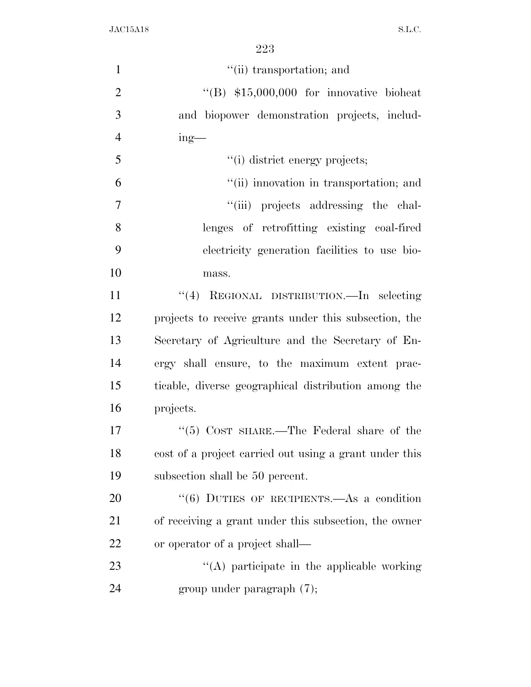| $\mathbf{1}$   | "(ii) transportation; and                              |
|----------------|--------------------------------------------------------|
| $\overline{2}$ | "(B) $$15,000,000$ for innovative bioheat              |
| 3              | and biopower demonstration projects, includ-           |
| $\overline{4}$ | $ing$ —                                                |
| 5              | "(i) district energy projects;                         |
| 6              | "(ii) innovation in transportation; and                |
| $\overline{7}$ | "(iii) projects addressing the chal-                   |
| 8              | lenges of retrofitting existing coal-fired             |
| 9              | electricity generation facilities to use bio-          |
| 10             | mass.                                                  |
| 11             | "(4) REGIONAL DISTRIBUTION.—In selecting               |
| 12             | projects to receive grants under this subsection, the  |
| 13             | Secretary of Agriculture and the Secretary of En-      |
| 14             | ergy shall ensure, to the maximum extent prac-         |
| 15             | ticable, diverse geographical distribution among the   |
| 16             | projects.                                              |
| 17             | "(5) COST SHARE.—The Federal share of the              |
| 18             | cost of a project carried out using a grant under this |
| 19             | subsection shall be 50 percent.                        |
| 20             | "(6) DUTIES OF RECIPIENTS.—As a condition              |
| 21             | of receiving a grant under this subsection, the owner  |
| 22             | or operator of a project shall—                        |
| 23             | "(A) participate in the applicable working             |
| 24             | group under paragraph $(7)$ ;                          |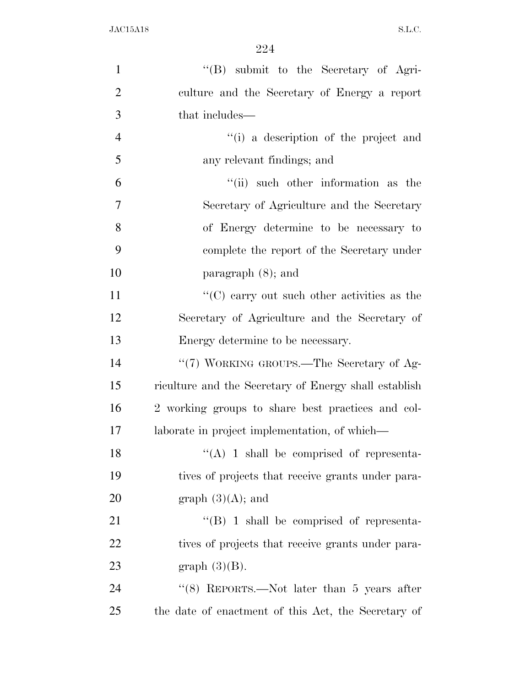| $\mathbf{1}$   | "(B) submit to the Secretary of Agri-                 |
|----------------|-------------------------------------------------------|
| $\overline{2}$ | culture and the Secretary of Energy a report          |
| 3              | that includes—                                        |
| $\overline{4}$ | "(i) a description of the project and                 |
| 5              | any relevant findings; and                            |
| 6              | "(ii) such other information as the                   |
| 7              | Secretary of Agriculture and the Secretary            |
| 8              | of Energy determine to be necessary to                |
| 9              | complete the report of the Secretary under            |
| 10             | paragraph $(8)$ ; and                                 |
| 11             | $\cdot$ (C) carry out such other activities as the    |
| 12             | Secretary of Agriculture and the Secretary of         |
| 13             | Energy determine to be necessary.                     |
| 14             | "(7) WORKING GROUPS.—The Secretary of Ag-             |
| 15             | riculture and the Secretary of Energy shall establish |
| 16             | 2 working groups to share best practices and col-     |
| 17             | laborate in project implementation, of which—         |
| 18             | $\lq\lq$ (A) 1 shall be comprised of representa-      |
| 19             | tives of projects that receive grants under para-     |
| <b>20</b>      | graph $(3)(A)$ ; and                                  |
| 21             | $\lq\lq (B)$ 1 shall be comprised of representa-      |
| <u>22</u>      | tives of projects that receive grants under para-     |
| 23             | graph $(3)(B)$ .                                      |
| 24             | " $(8)$ REPORTS.—Not later than 5 years after         |
| 25             | the date of enactment of this Act, the Secretary of   |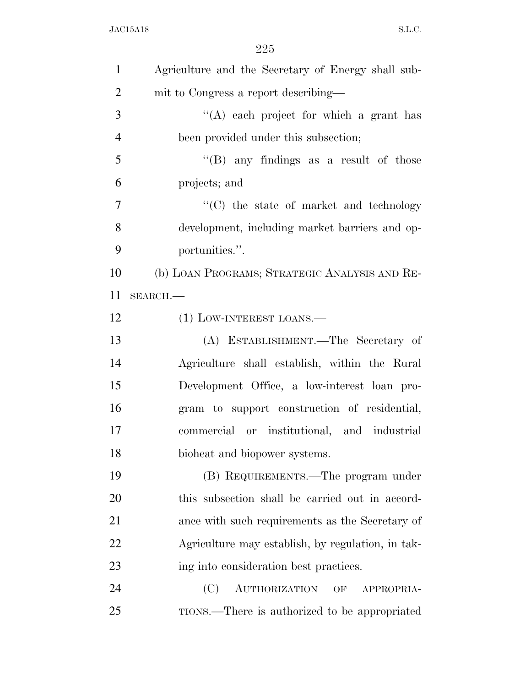| $\mathbf{1}$   | Agriculture and the Secretary of Energy shall sub- |
|----------------|----------------------------------------------------|
| $\overline{2}$ | mit to Congress a report describing—               |
| 3              | $\lq\lq$ each project for which a grant has        |
| $\overline{4}$ | been provided under this subsection;               |
| 5              | "(B) any findings as a result of those             |
| 6              | projects; and                                      |
| $\overline{7}$ | $\lq\lq$ (C) the state of market and technology    |
| 8              | development, including market barriers and op-     |
| 9              | portunities.".                                     |
| 10             | (b) LOAN PROGRAMS; STRATEGIC ANALYSIS AND RE-      |
| 11             | $SEARCH$ .                                         |
| 12             | $(1)$ LOW-INTEREST LOANS.—                         |
| 13             | (A) ESTABLISHMENT.—The Secretary of                |
| 14             | Agriculture shall establish, within the Rural      |
| 15             | Development Office, a low-interest loan pro-       |
| 16             | gram to support construction of residential,       |
| 17             | commercial or institutional, and industrial        |
| 18             | bioheat and biopower systems.                      |
| 19             | (B) REQUIREMENTS.—The program under                |
| 20             | this subsection shall be carried out in accord-    |
| 21             | ance with such requirements as the Secretary of    |
| 22             | Agriculture may establish, by regulation, in tak-  |
| 23             | ing into consideration best practices.             |
| 24             | (C)<br><b>AUTHORIZATION</b><br>OF<br>APPROPRIA-    |
| 25             | TIONS.—There is authorized to be appropriated      |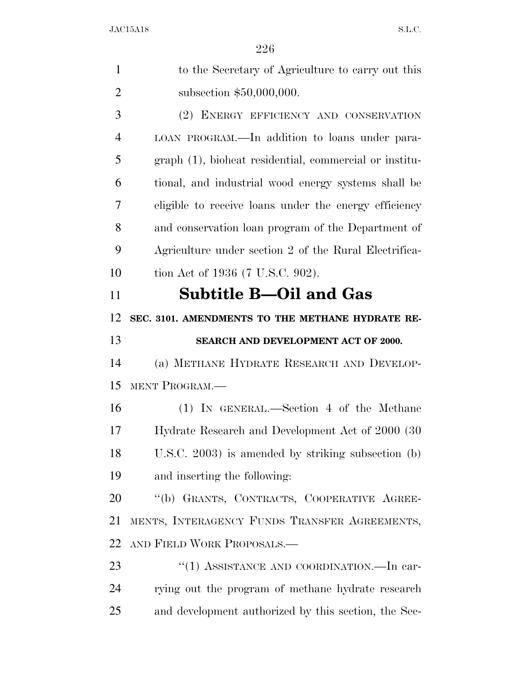| 1              | to the Secretary of Agriculture to carry out this      |
|----------------|--------------------------------------------------------|
| $\overline{2}$ | subsection \$50,000,000.                               |
| 3              | (2) ENERGY EFFICIENCY AND CONSERVATION                 |
| $\overline{4}$ | LOAN PROGRAM.—In addition to loans under para-         |
| 5              | graph (1), bioheat residential, commercial or institu- |
| 6              | tional, and industrial wood energy systems shall be    |
| 7              | eligible to receive loans under the energy efficiency  |
| 8              | and conservation loan program of the Department of     |
| 9              | Agriculture under section 2 of the Rural Electrifica-  |
| 10             | tion Act of 1936 (7 U.S.C. 902).                       |
| 11             | <b>Subtitle B-Oil and Gas</b>                          |
| 12             | SEC. 3101. AMENDMENTS TO THE METHANE HYDRATE RE-       |
| 13             | SEARCH AND DEVELOPMENT ACT OF 2000.                    |
| 14             | (a) METHANE HYDRATE RESEARCH AND DEVELOP-              |
| 15             | MENT PROGRAM.                                          |
|                |                                                        |
| 16             | (1) IN GENERAL.—Section 4 of the Methane               |
| 17             | Hydrate Research and Development Act of 2000 (30)      |
|                | U.S.C. $2003$ ) is amended by striking subsection (b)  |
| 18<br>19       | and inserting the following:                           |
| 20             | "(b) GRANTS, CONTRACTS, COOPERATIVE AGREE-             |
| 21             | MENTS, INTERAGENCY FUNDS TRANSFER AGREEMENTS,          |
|                | AND FIELD WORK PROPOSALS.—                             |
| 22<br>23       | "(1) ASSISTANCE AND COORDINATION.—In car-              |
| 24             | rying out the program of methane hydrate research      |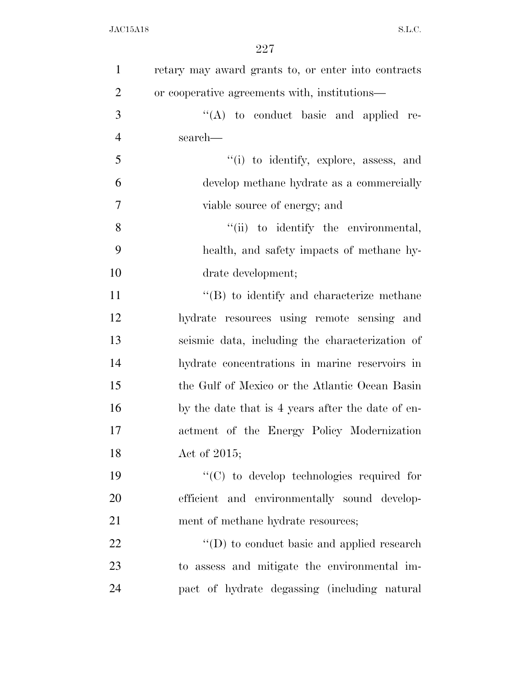| $\mathbf{1}$   | retary may award grants to, or enter into contracts   |
|----------------|-------------------------------------------------------|
| $\overline{2}$ | or cooperative agreements with, institutions—         |
| 3              | $\lq\lq$ to conduct basic and applied re-             |
| $\overline{4}$ | search—                                               |
| 5              | "(i) to identify, explore, assess, and                |
| 6              | develop methane hydrate as a commercially             |
| $\overline{7}$ | viable source of energy; and                          |
| 8              | "(ii) to identify the environmental,                  |
| 9              | health, and safety impacts of methane hy-             |
| 10             | drate development;                                    |
| 11             | $\mathrm{``(B)}$ to identify and characterize methane |
| 12             | hydrate resources using remote sensing and            |
| 13             | seismic data, including the characterization of       |
| 14             | hydrate concentrations in marine reservoirs in        |
| 15             | the Gulf of Mexico or the Atlantic Ocean Basin        |
| 16             | by the date that is 4 years after the date of en-     |
| 17             | actment of the Energy Policy Modernization            |
| 18             | Act of $2015$ ;                                       |
| 19             | "(C) to develop technologies required for             |
| 20             | efficient and environmentally sound develop-          |
| 21             | ment of methane hydrate resources;                    |
| 22             | "(D) to conduct basic and applied research            |
| 23             | to assess and mitigate the environmental im-          |
| 24             | pact of hydrate degassing (including natural          |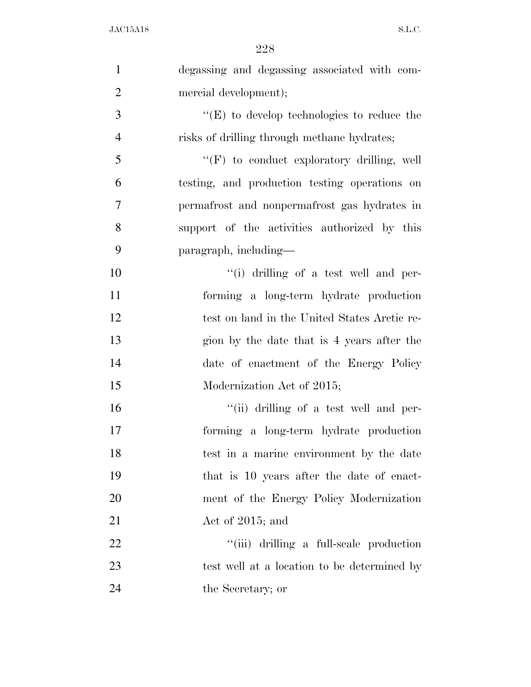| $\mathbf{1}$   | degassing and degassing associated with com-      |
|----------------|---------------------------------------------------|
| $\overline{2}$ | mercial development);                             |
| 3              | $\lq\lq(E)$ to develop technologies to reduce the |
| $\overline{4}$ | risks of drilling through methane hydrates;       |
| 5              | "(F) to conduct exploratory drilling, well        |
| 6              | testing, and production testing operations on     |
| 7              | permafrost and nonpermafrost gas hydrates in      |
| 8              | support of the activities authorized by this      |
| 9              | paragraph, including—                             |
| 10             | "(i) drilling of a test well and per-             |
| 11             | forming a long-term hydrate production            |
| 12             | test on land in the United States Arctic re-      |
| 13             | gion by the date that is 4 years after the        |
| 14             | date of enactment of the Energy Policy            |
| 15             | Modernization Act of 2015;                        |
| 16             | "(ii) drilling of a test well and per-            |
| 17             | forming a long-term hydrate production            |
| 18             | test in a marine environment by the date          |
| 19             | that is 10 years after the date of enact-         |
| 20             | ment of the Energy Policy Modernization           |
| 21             | Act of 2015; and                                  |
| 22             | "(iii) drilling a full-scale production           |
| 23             | test well at a location to be determined by       |
| 24             | the Secretary; or                                 |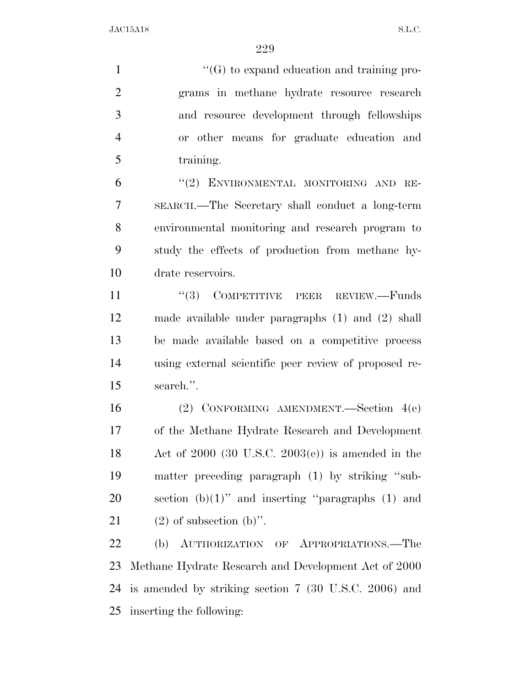$\lq(0)$  to expand education and training pro- grams in methane hydrate resource research and resource development through fellowships or other means for graduate education and training.

6 "(2) ENVIRONMENTAL MONITORING AND RE- SEARCH.—The Secretary shall conduct a long-term environmental monitoring and research program to study the effects of production from methane hy-drate reservoirs.

11 "(3) COMPETITIVE PEER REVIEW.—Funds made available under paragraphs (1) and (2) shall be made available based on a competitive process using external scientific peer review of proposed re-search.''.

 (2) CONFORMING AMENDMENT.—Section 4(e) of the Methane Hydrate Research and Development Act of 2000 (30 U.S.C. 2003(e)) is amended in the matter preceding paragraph (1) by striking ''sub-20 section  $(b)(1)$ " and inserting "paragraphs  $(1)$  and  $(2)$  of subsection  $(b)$ ".

 (b) AUTHORIZATION OF APPROPRIATIONS.—The Methane Hydrate Research and Development Act of 2000 is amended by striking section 7 (30 U.S.C. 2006) and inserting the following: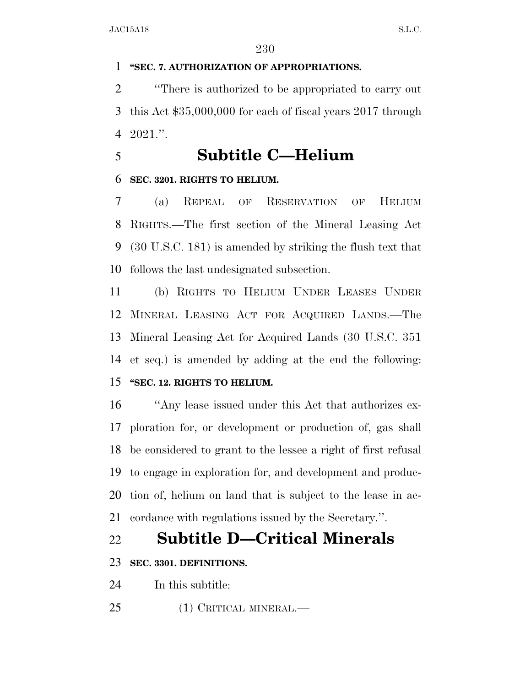### **''SEC. 7. AUTHORIZATION OF APPROPRIATIONS.**

 ''There is authorized to be appropriated to carry out this Act \$35,000,000 for each of fiscal years 2017 through 2021.''.

# **Subtitle C—Helium**

#### **SEC. 3201. RIGHTS TO HELIUM.**

 (a) REPEAL OF RESERVATION OF HELIUM RIGHTS.—The first section of the Mineral Leasing Act (30 U.S.C. 181) is amended by striking the flush text that follows the last undesignated subsection.

 (b) RIGHTS TO HELIUM UNDER LEASES UNDER MINERAL LEASING ACT FOR ACQUIRED LANDS.—The Mineral Leasing Act for Acquired Lands (30 U.S.C. 351 et seq.) is amended by adding at the end the following: **''SEC. 12. RIGHTS TO HELIUM.** 

 ''Any lease issued under this Act that authorizes ex- ploration for, or development or production of, gas shall be considered to grant to the lessee a right of first refusal to engage in exploration for, and development and produc- tion of, helium on land that is subject to the lease in ac-cordance with regulations issued by the Secretary.''.

# **Subtitle D—Critical Minerals**

#### **SEC. 3301. DEFINITIONS.**

- In this subtitle:
- (1) CRITICAL MINERAL.—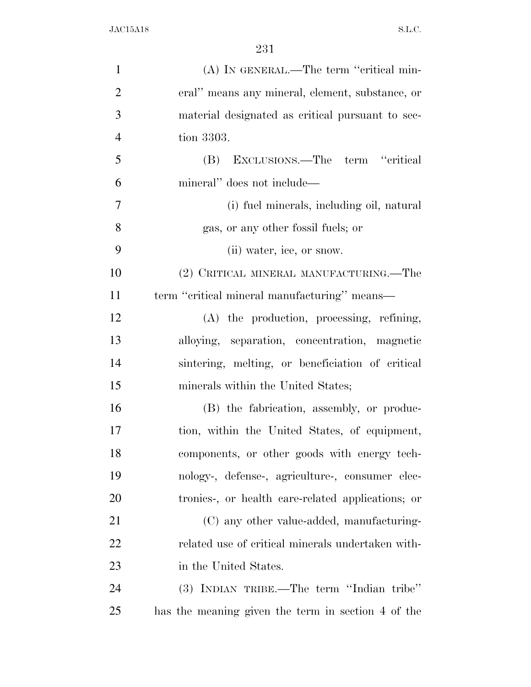| $\mathbf{1}$   | (A) IN GENERAL.—The term "critical min-            |
|----------------|----------------------------------------------------|
| $\overline{2}$ | eral" means any mineral, element, substance, or    |
| 3              | material designated as critical pursuant to sec-   |
| $\overline{4}$ | tion 3303.                                         |
| 5              | EXCLUSIONS.—The term "critical<br>(B)              |
| 6              | mineral" does not include—                         |
| $\overline{7}$ | (i) fuel minerals, including oil, natural          |
| 8              | gas, or any other fossil fuels; or                 |
| 9              | (ii) water, ice, or snow.                          |
| 10             | (2) CRITICAL MINERAL MANUFACTURING.—The            |
| 11             | term "critical mineral manufacturing" means—       |
| 12             | (A) the production, processing, refining,          |
| 13             | alloying, separation, concentration, magnetic      |
| 14             | sintering, melting, or beneficiation of critical   |
| 15             | minerals within the United States;                 |
| 16             | (B) the fabrication, assembly, or produc-          |
| 17             | tion, within the United States, of equipment,      |
| 18             | components, or other goods with energy tech-       |
| 19             | nology-, defense-, agriculture-, consumer elec-    |
| 20             | tronics-, or health care-related applications; or  |
| 21             | (C) any other value-added, manufacturing-          |
| 22             | related use of critical minerals undertaken with-  |
| 23             | in the United States.                              |
| 24             | (3) INDIAN TRIBE.—The term "Indian tribe"          |
| 25             | has the meaning given the term in section 4 of the |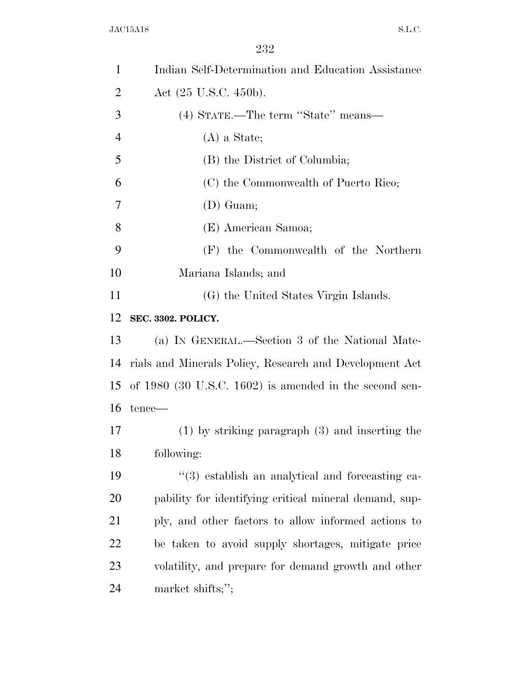| $\mathbf{1}$   | Indian Self-Determination and Education Assistance       |
|----------------|----------------------------------------------------------|
| $\overline{2}$ | Act (25 U.S.C. 450b).                                    |
| 3              | (4) STATE.—The term "State" means—                       |
| $\overline{4}$ | $(A)$ a State;                                           |
| 5              | (B) the District of Columbia;                            |
| 6              | (C) the Commonwealth of Puerto Rico;                     |
| 7              | $(D)$ Guam;                                              |
| 8              | (E) American Samoa;                                      |
| 9              | (F) the Commonwealth of the Northern                     |
| 10             | Mariana Islands; and                                     |
| 11             | (G) the United States Virgin Islands.                    |
| 12             | SEC. 3302. POLICY.                                       |
| 13             | (a) IN GENERAL.—Section 3 of the National Mate-          |
| 14             | rials and Minerals Policy, Research and Development Act  |
| 15             | of $1980$ (30 U.S.C. 1602) is amended in the second sen- |
|                | $16 \text{ tence}$                                       |
| 17             | $(1)$ by striking paragraph $(3)$ and inserting the      |
| 18             | following:                                               |
| 19             | "(3) establish an analytical and forecasting ca-         |
| 20             | pability for identifying critical mineral demand, sup-   |
| 21             | ply, and other factors to allow informed actions to      |
| 22             | be taken to avoid supply shortages, mitigate price       |
| 23             | volatility, and prepare for demand growth and other      |
| 24             | market shifts;";                                         |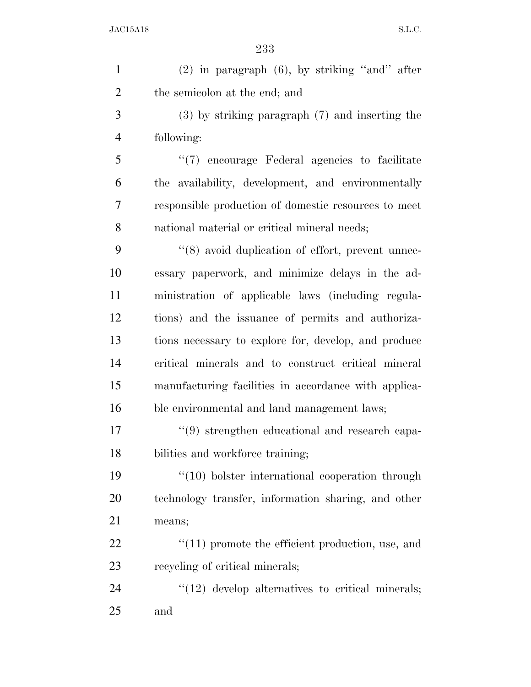| $\mathbf{1}$   | $(2)$ in paragraph $(6)$ , by striking "and" after             |
|----------------|----------------------------------------------------------------|
| $\overline{2}$ | the semicolon at the end; and                                  |
| 3              | $(3)$ by striking paragraph $(7)$ and inserting the            |
| $\overline{4}$ | following:                                                     |
| 5              | "(7) encourage Federal agencies to facilitate                  |
| 6              | the availability, development, and environmentally             |
| 7              | responsible production of domestic resources to meet           |
| 8              | national material or critical mineral needs;                   |
| 9              | "(8) avoid duplication of effort, prevent unnec-               |
| 10             | essary paperwork, and minimize delays in the ad-               |
| 11             | ministration of applicable laws (including regula-             |
| 12             | tions) and the issuance of permits and authoriza-              |
| 13             | tions necessary to explore for, develop, and produce           |
| 14             | critical minerals and to construct critical mineral            |
| 15             | manufacturing facilities in accordance with applica-           |
| 16             | ble environmental and land management laws;                    |
| 17             | $\cdot\cdot\cdot(9)$ strengthen educational and research capa- |
| 18             | bilities and workforce training;                               |
| 19             | $\lq(10)$ bolster international cooperation through            |
| 20             | technology transfer, information sharing, and other            |
| 21             | means;                                                         |
| 22             | $\lq(11)$ promote the efficient production, use, and           |
| 23             | recycling of critical minerals;                                |
| 24             | $"(12)$ develop alternatives to critical minerals;             |
| 25             | and                                                            |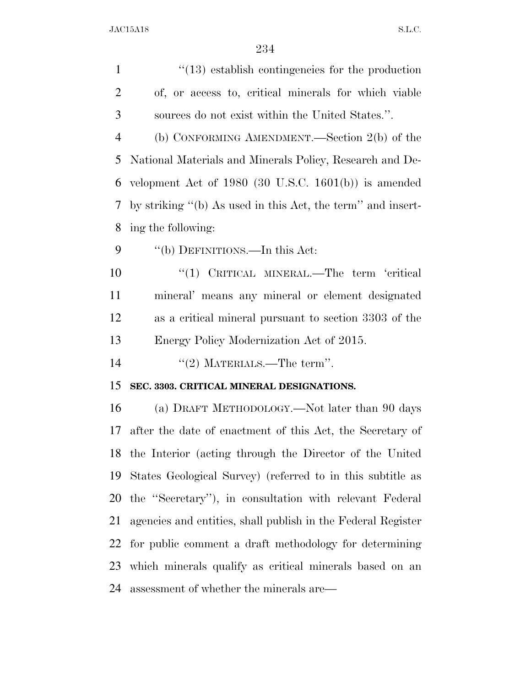| $\mathbf{1}$   | $\cdot\cdot(13)$ establish contingencies for the production  |
|----------------|--------------------------------------------------------------|
| $\overline{2}$ | of, or access to, critical minerals for which viable         |
| 3              | sources do not exist within the United States.".             |
| $\overline{4}$ | (b) CONFORMING AMENDMENT.—Section $2(b)$ of the              |
| 5              | National Materials and Minerals Policy, Research and De-     |
| 6              | velopment Act of $1980$ (30 U.S.C. $1601(b)$ ) is amended    |
| 7              | by striking "(b) As used in this Act, the term" and insert-  |
| 8              | ing the following:                                           |
| 9              | "(b) DEFINITIONS.—In this Act:                               |
| 10             | "(1) CRITICAL MINERAL.—The term 'critical                    |
| 11             | mineral' means any mineral or element designated             |
| 12             | as a critical mineral pursuant to section 3303 of the        |
| 13             | Energy Policy Modernization Act of 2015.                     |
| 14             | "(2) MATERIALS.—The term".                                   |
| 15             | SEC. 3303. CRITICAL MINERAL DESIGNATIONS.                    |
| 16             | (a) DRAFT METHODOLOGY.—Not later than 90 days                |
| 17             | after the date of enactment of this Act, the Secretary of    |
|                | 18 the Interior (acting through the Director of the United   |
| 19             | States Geological Survey) (referred to in this subtitle as   |
| 20             | the "Secretary"), in consultation with relevant Federal      |
| 21             | agencies and entities, shall publish in the Federal Register |
| 22             | for public comment a draft methodology for determining       |
| 23             | which minerals qualify as critical minerals based on an      |
| 24             | assessment of whether the minerals are—                      |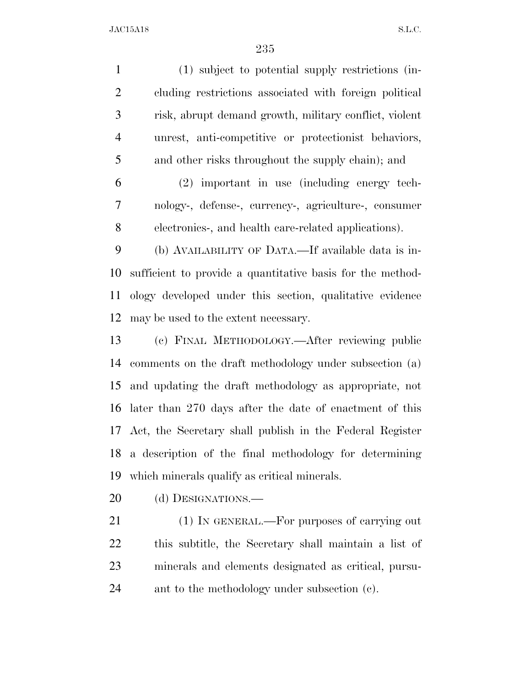(1) subject to potential supply restrictions (in- cluding restrictions associated with foreign political risk, abrupt demand growth, military conflict, violent unrest, anti-competitive or protectionist behaviors, and other risks throughout the supply chain); and

 (2) important in use (including energy tech- nology-, defense-, currency-, agriculture-, consumer electronics-, and health care-related applications).

 (b) AVAILABILITY OF DATA.—If available data is in- sufficient to provide a quantitative basis for the method- ology developed under this section, qualitative evidence may be used to the extent necessary.

 (c) FINAL METHODOLOGY.—After reviewing public comments on the draft methodology under subsection (a) and updating the draft methodology as appropriate, not later than 270 days after the date of enactment of this Act, the Secretary shall publish in the Federal Register a description of the final methodology for determining which minerals qualify as critical minerals.

20 (d) DESIGNATIONS.—

21 (1) IN GENERAL.—For purposes of carrying out this subtitle, the Secretary shall maintain a list of minerals and elements designated as critical, pursu-ant to the methodology under subsection (c).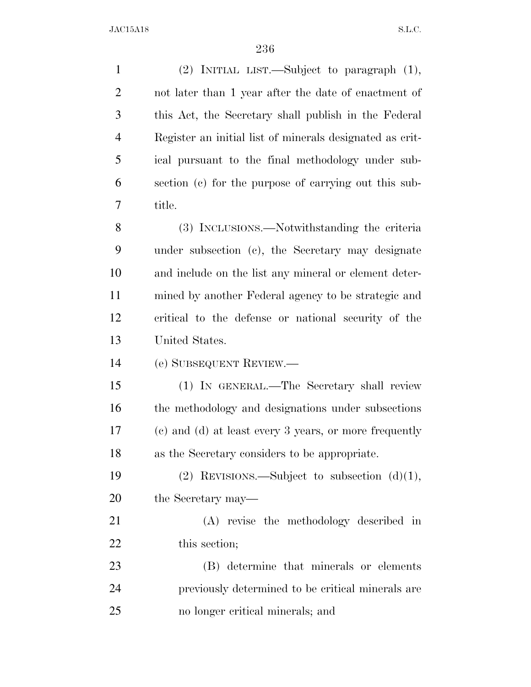(2) INITIAL LIST.—Subject to paragraph (1), not later than 1 year after the date of enactment of this Act, the Secretary shall publish in the Federal Register an initial list of minerals designated as crit- ical pursuant to the final methodology under sub- section (c) for the purpose of carrying out this sub- title. (3) INCLUSIONS.—Notwithstanding the criteria under subsection (c), the Secretary may designate and include on the list any mineral or element deter- mined by another Federal agency to be strategic and critical to the defense or national security of the United States. (e) SUBSEQUENT REVIEW.— (1) IN GENERAL.—The Secretary shall review the methodology and designations under subsections (c) and (d) at least every 3 years, or more frequently as the Secretary considers to be appropriate. (2) REVISIONS.—Subject to subsection (d)(1), the Secretary may— (A) revise the methodology described in this section; (B) determine that minerals or elements previously determined to be critical minerals are no longer critical minerals; and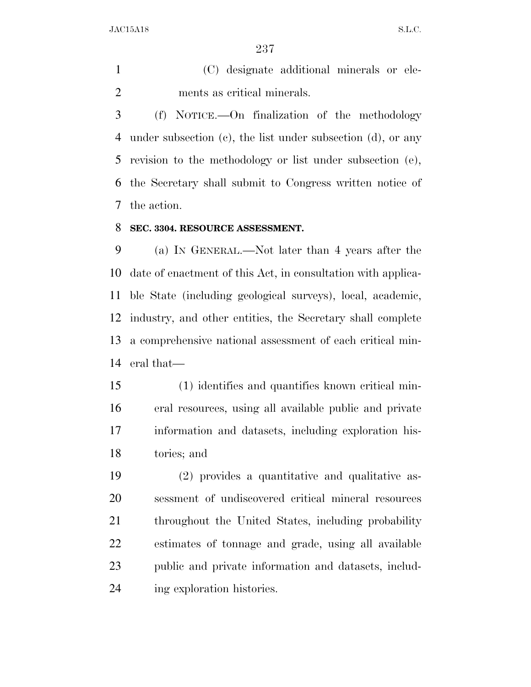(C) designate additional minerals or ele-ments as critical minerals.

 (f) NOTICE.—On finalization of the methodology under subsection (c), the list under subsection (d), or any revision to the methodology or list under subsection (e), the Secretary shall submit to Congress written notice of the action.

#### **SEC. 3304. RESOURCE ASSESSMENT.**

 (a) IN GENERAL.—Not later than 4 years after the date of enactment of this Act, in consultation with applica- ble State (including geological surveys), local, academic, industry, and other entities, the Secretary shall complete a comprehensive national assessment of each critical min-eral that—

 (1) identifies and quantifies known critical min- eral resources, using all available public and private information and datasets, including exploration his-tories; and

 (2) provides a quantitative and qualitative as- sessment of undiscovered critical mineral resources 21 throughout the United States, including probability estimates of tonnage and grade, using all available public and private information and datasets, includ-ing exploration histories.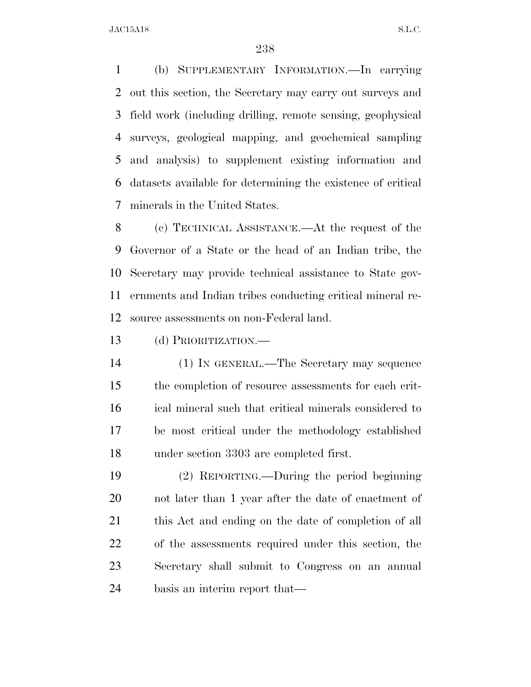(b) SUPPLEMENTARY INFORMATION.—In carrying out this section, the Secretary may carry out surveys and field work (including drilling, remote sensing, geophysical surveys, geological mapping, and geochemical sampling and analysis) to supplement existing information and datasets available for determining the existence of critical minerals in the United States.

 (c) TECHNICAL ASSISTANCE.—At the request of the Governor of a State or the head of an Indian tribe, the Secretary may provide technical assistance to State gov- ernments and Indian tribes conducting critical mineral re-source assessments on non-Federal land.

(d) PRIORITIZATION.—

 (1) IN GENERAL.—The Secretary may sequence the completion of resource assessments for each crit- ical mineral such that critical minerals considered to be most critical under the methodology established under section 3303 are completed first.

 (2) REPORTING.—During the period beginning not later than 1 year after the date of enactment of 21 this Act and ending on the date of completion of all of the assessments required under this section, the Secretary shall submit to Congress on an annual basis an interim report that—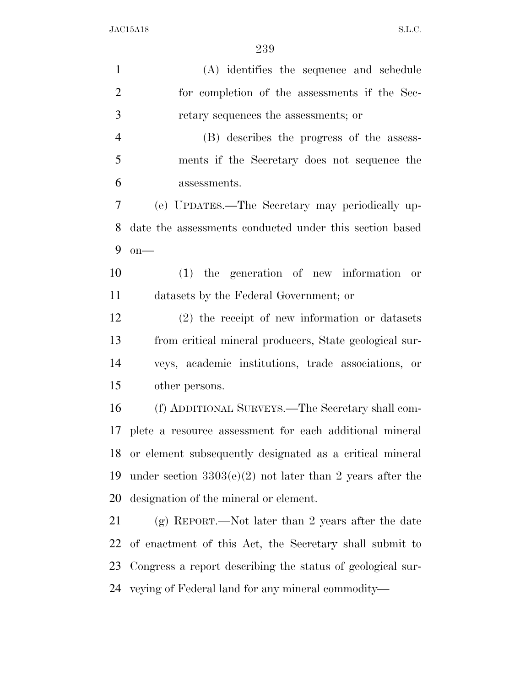| $\mathbf{1}$   | (A) identifies the sequence and schedule                    |
|----------------|-------------------------------------------------------------|
| $\overline{2}$ | for completion of the assessments if the Sec-               |
| 3              | retary sequences the assessments; or                        |
| $\overline{4}$ | (B) describes the progress of the assess-                   |
| 5              | ments if the Secretary does not sequence the                |
| 6              | assessments.                                                |
| 7              | (e) UPDATES.—The Secretary may periodically up-             |
| 8              | date the assessments conducted under this section based     |
| 9              | $on$ —                                                      |
| 10             | $(1)$ the generation of new information or                  |
| 11             | datasets by the Federal Government; or                      |
| 12             | $(2)$ the receipt of new information or datasets            |
| 13             | from critical mineral producers, State geological sur-      |
| 14             | veys, academic institutions, trade associations, or         |
| 15             | other persons.                                              |
| 16             | (f) ADDITIONAL SURVEYS.—The Secretary shall com-            |
| 17             | plete a resource assessment for each additional mineral     |
| 18             | or element subsequently designated as a critical mineral    |
| 19             | under section $3303(e)(2)$ not later than 2 years after the |
| 20             | designation of the mineral or element.                      |
| 21             | (g) REPORT.—Not later than 2 years after the date           |
| 22             | of enactment of this Act, the Secretary shall submit to     |
| 23             | Congress a report describing the status of geological sur-  |
| 24             | veying of Federal land for any mineral commodity-           |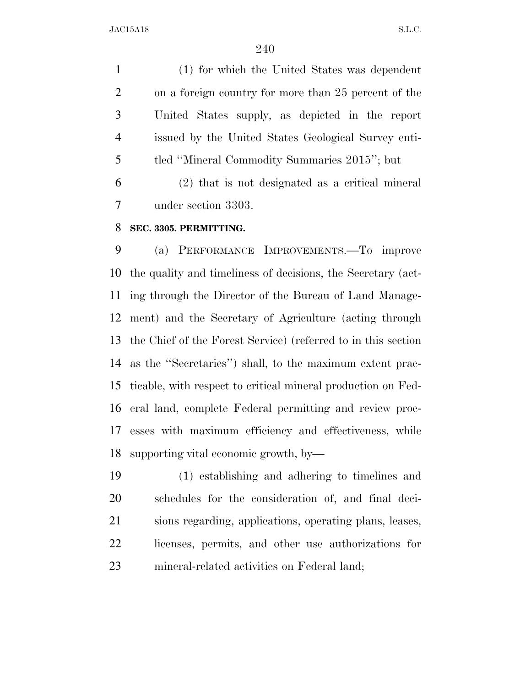(1) for which the United States was dependent on a foreign country for more than 25 percent of the United States supply, as depicted in the report issued by the United States Geological Survey enti-tled ''Mineral Commodity Summaries 2015''; but

 (2) that is not designated as a critical mineral under section 3303.

#### **SEC. 3305. PERMITTING.**

 (a) PERFORMANCE IMPROVEMENTS.—To improve the quality and timeliness of decisions, the Secretary (act- ing through the Director of the Bureau of Land Manage- ment) and the Secretary of Agriculture (acting through the Chief of the Forest Service) (referred to in this section as the ''Secretaries'') shall, to the maximum extent prac- ticable, with respect to critical mineral production on Fed- eral land, complete Federal permitting and review proc- esses with maximum efficiency and effectiveness, while supporting vital economic growth, by—

 (1) establishing and adhering to timelines and schedules for the consideration of, and final deci- sions regarding, applications, operating plans, leases, licenses, permits, and other use authorizations for mineral-related activities on Federal land;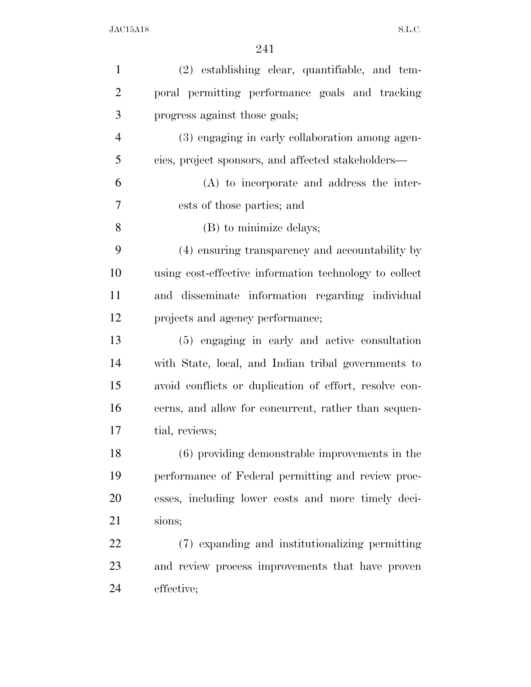| $\mathbf{1}$   | (2) establishing clear, quantifiable, and tem-         |
|----------------|--------------------------------------------------------|
| $\overline{2}$ | poral permitting performance goals and tracking        |
| 3              | progress against those goals;                          |
| $\overline{4}$ | (3) engaging in early collaboration among agen-        |
| 5              | cies, project sponsors, and affected stakeholders—     |
| 6              | (A) to incorporate and address the inter-              |
| 7              | ests of those parties; and                             |
| 8              | (B) to minimize delays;                                |
| 9              | (4) ensuring transparency and accountability by        |
| 10             | using cost-effective information technology to collect |
| 11             | and disseminate information regarding individual       |
| 12             | projects and agency performance;                       |
| 13             | (5) engaging in early and active consultation          |
| 14             | with State, local, and Indian tribal governments to    |
| 15             | avoid conflicts or duplication of effort, resolve con- |
| 16             | cerns, and allow for concurrent, rather than sequen-   |
| 17             | tial, reviews;                                         |
| 18             | (6) providing demonstrable improvements in the         |
| 19             | performance of Federal permitting and review proc-     |
| 20             | esses, including lower costs and more timely deci-     |
| 21             | sions;                                                 |
| 22             | (7) expanding and institutionalizing permitting        |
| 23             | and review process improvements that have proven       |
| 24             | effective;                                             |
|                |                                                        |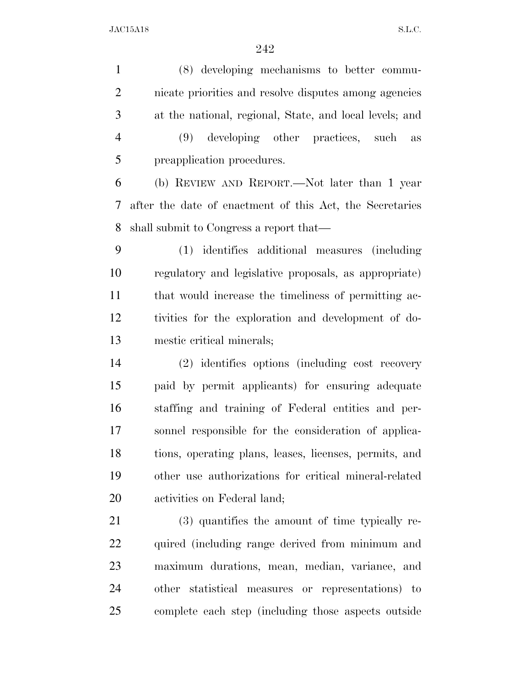(8) developing mechanisms to better commu- nicate priorities and resolve disputes among agencies at the national, regional, State, and local levels; and (9) developing other practices, such as preapplication procedures. (b) REVIEW AND REPORT.—Not later than 1 year after the date of enactment of this Act, the Secretaries shall submit to Congress a report that— (1) identifies additional measures (including regulatory and legislative proposals, as appropriate) that would increase the timeliness of permitting ac- tivities for the exploration and development of do- mestic critical minerals; (2) identifies options (including cost recovery paid by permit applicants) for ensuring adequate staffing and training of Federal entities and per- sonnel responsible for the consideration of applica- tions, operating plans, leases, licenses, permits, and other use authorizations for critical mineral-related activities on Federal land; (3) quantifies the amount of time typically re- quired (including range derived from minimum and maximum durations, mean, median, variance, and other statistical measures or representations) to

complete each step (including those aspects outside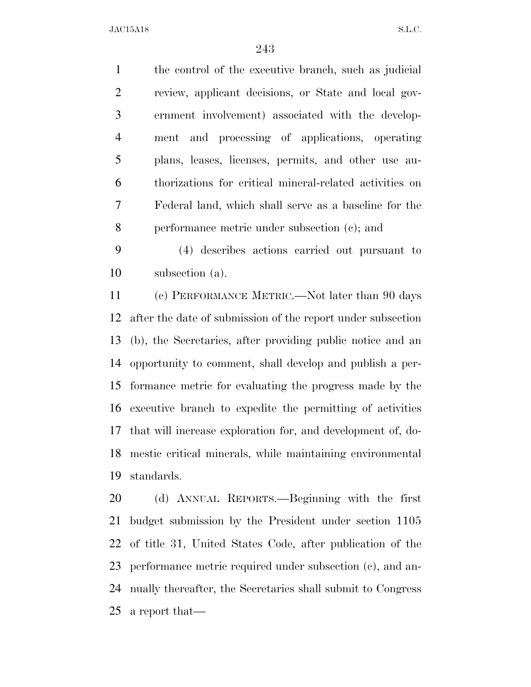the control of the executive branch, such as judicial review, applicant decisions, or State and local gov- ernment involvement) associated with the develop- ment and processing of applications, operating plans, leases, licenses, permits, and other use au- thorizations for critical mineral-related activities on Federal land, which shall serve as a baseline for the performance metric under subsection (c); and

 (4) describes actions carried out pursuant to subsection (a).

 (c) PERFORMANCE METRIC.—Not later than 90 days after the date of submission of the report under subsection (b), the Secretaries, after providing public notice and an opportunity to comment, shall develop and publish a per- formance metric for evaluating the progress made by the executive branch to expedite the permitting of activities that will increase exploration for, and development of, do- mestic critical minerals, while maintaining environmental standards.

 (d) ANNUAL REPORTS.—Beginning with the first budget submission by the President under section 1105 of title 31, United States Code, after publication of the performance metric required under subsection (c), and an- nually thereafter, the Secretaries shall submit to Congress a report that—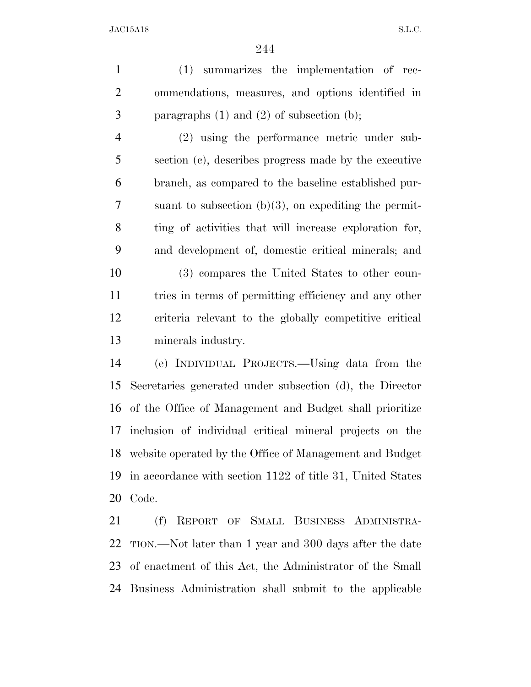(1) summarizes the implementation of rec- ommendations, measures, and options identified in paragraphs (1) and (2) of subsection (b);

 (2) using the performance metric under sub- section (c), describes progress made by the executive branch, as compared to the baseline established pur- suant to subsection (b)(3), on expediting the permit- ting of activities that will increase exploration for, and development of, domestic critical minerals; and (3) compares the United States to other coun-

 tries in terms of permitting efficiency and any other criteria relevant to the globally competitive critical minerals industry.

 (e) INDIVIDUAL PROJECTS.—Using data from the Secretaries generated under subsection (d), the Director of the Office of Management and Budget shall prioritize inclusion of individual critical mineral projects on the website operated by the Office of Management and Budget in accordance with section 1122 of title 31, United States Code.

 (f) REPORT OF SMALL BUSINESS ADMINISTRA- TION.—Not later than 1 year and 300 days after the date of enactment of this Act, the Administrator of the Small Business Administration shall submit to the applicable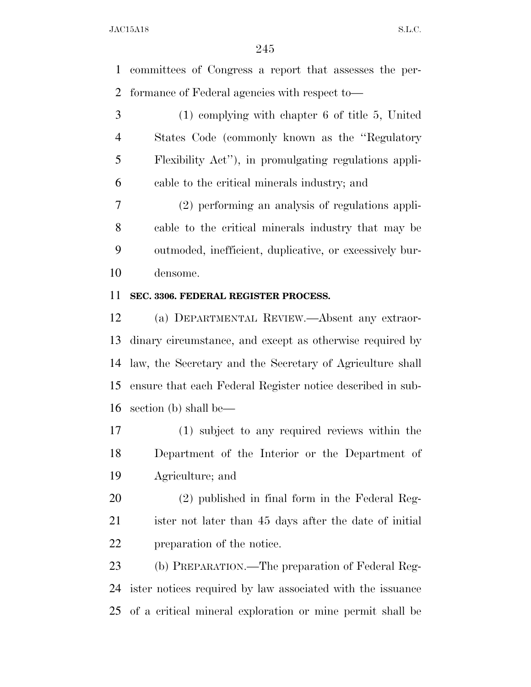committees of Congress a report that assesses the per-formance of Federal agencies with respect to—

 (1) complying with chapter 6 of title 5, United States Code (commonly known as the ''Regulatory Flexibility Act''), in promulgating regulations appli-cable to the critical minerals industry; and

 (2) performing an analysis of regulations appli- cable to the critical minerals industry that may be outmoded, inefficient, duplicative, or excessively bur-densome.

#### **SEC. 3306. FEDERAL REGISTER PROCESS.**

 (a) DEPARTMENTAL REVIEW.—Absent any extraor- dinary circumstance, and except as otherwise required by law, the Secretary and the Secretary of Agriculture shall ensure that each Federal Register notice described in sub-section (b) shall be—

 (1) subject to any required reviews within the Department of the Interior or the Department of Agriculture; and

 (2) published in final form in the Federal Reg- ister not later than 45 days after the date of initial preparation of the notice.

 (b) PREPARATION.—The preparation of Federal Reg- ister notices required by law associated with the issuance of a critical mineral exploration or mine permit shall be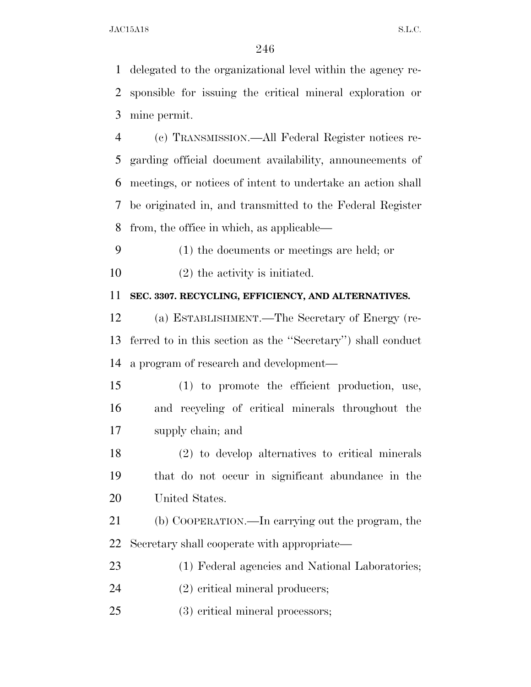delegated to the organizational level within the agency re- sponsible for issuing the critical mineral exploration or mine permit.

 (c) TRANSMISSION.—All Federal Register notices re- garding official document availability, announcements of meetings, or notices of intent to undertake an action shall be originated in, and transmitted to the Federal Register from, the office in which, as applicable—

(1) the documents or meetings are held; or

(2) the activity is initiated.

## **SEC. 3307. RECYCLING, EFFICIENCY, AND ALTERNATIVES.**

 (a) ESTABLISHMENT.—The Secretary of Energy (re- ferred to in this section as the ''Secretary'') shall conduct a program of research and development—

 (1) to promote the efficient production, use, and recycling of critical minerals throughout the supply chain; and

 (2) to develop alternatives to critical minerals that do not occur in significant abundance in the United States.

 (b) COOPERATION.—In carrying out the program, the Secretary shall cooperate with appropriate—

(1) Federal agencies and National Laboratories;

(2) critical mineral producers;

(3) critical mineral processors;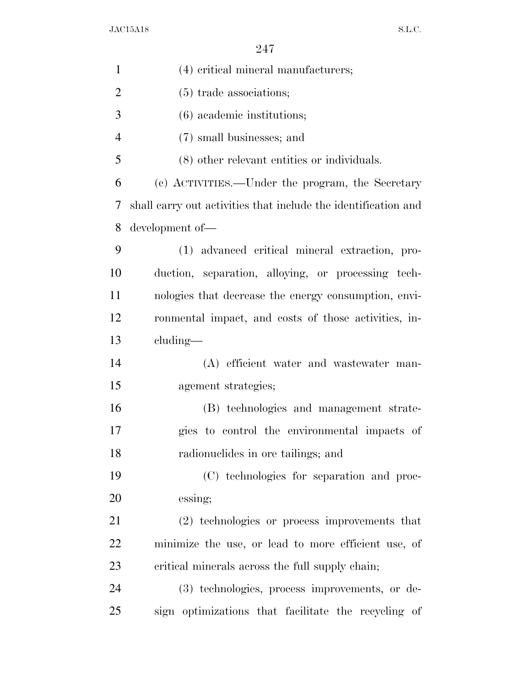| $\mathbf{1}$   | (4) critical mineral manufacturers;                            |
|----------------|----------------------------------------------------------------|
| $\overline{2}$ | $(5)$ trade associations;                                      |
| 3              | (6) academic institutions;                                     |
| $\overline{4}$ | (7) small businesses; and                                      |
| 5              | (8) other relevant entities or individuals.                    |
| 6              | (c) ACTIVITIES.—Under the program, the Secretary               |
| 7              | shall carry out activities that include the identification and |
| 8              | development of-                                                |
| 9              | (1) advanced critical mineral extraction, pro-                 |
| 10             | duction, separation, alloying, or processing tech-             |
| 11             | nologies that decrease the energy consumption, envi-           |
| 12             | ronmental impact, and costs of those activities, in-           |
| 13             | cluding—                                                       |
| 14             | (A) efficient water and wastewater man-                        |
| 15             | agement strategies;                                            |
| 16             | (B) technologies and management strate-                        |
| 17             | gies to control the environmental impacts of                   |
| 18             | radionuclides in ore tailings; and                             |
| 19             | (C) technologies for separation and proc-                      |
| 20             | essing;                                                        |
| 21             | (2) technologies or process improvements that                  |
| 22             | minimize the use, or lead to more efficient use, of            |
| 23             | critical minerals across the full supply chain;                |
| 24             | (3) technologies, process improvements, or de-                 |
| 25             | sign optimizations that facilitate the recycling of            |
|                |                                                                |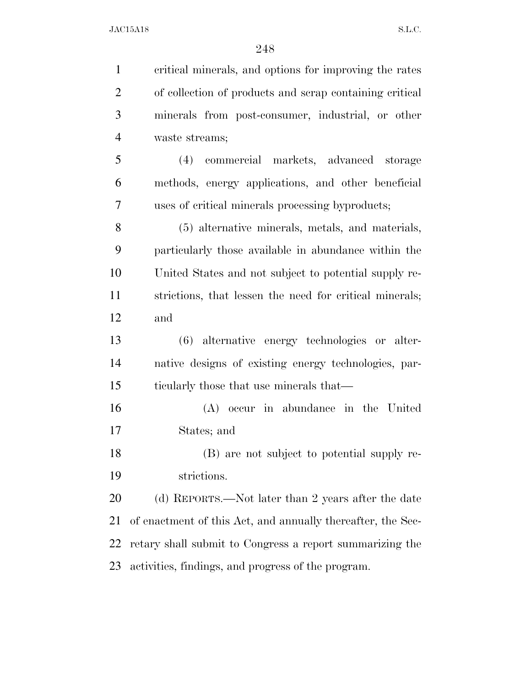| $\mathbf{1}$   | critical minerals, and options for improving the rates      |
|----------------|-------------------------------------------------------------|
| $\overline{2}$ | of collection of products and scrap containing critical     |
| 3              | minerals from post-consumer, industrial, or other           |
| $\overline{4}$ | waste streams;                                              |
| 5              | commercial markets, advanced storage<br>(4)                 |
| 6              | methods, energy applications, and other beneficial          |
| 7              | uses of critical minerals processing byproducts;            |
| 8              | (5) alternative minerals, metals, and materials,            |
| 9              | particularly those available in abundance within the        |
| 10             | United States and not subject to potential supply re-       |
| 11             | strictions, that lessen the need for critical minerals;     |
| 12             | and                                                         |
| 13             | (6) alternative energy technologies or alter-               |
| 14             | native designs of existing energy technologies, par-        |
| 15             | ticularly those that use minerals that—                     |
| 16             | (A) occur in abundance in the United                        |
| 17             | States; and                                                 |
| 18             | (B) are not subject to potential supply re-                 |
| 19             | strictions.                                                 |
| 20             | (d) REPORTS.—Not later than 2 years after the date          |
| 21             | of enactment of this Act, and annually thereafter, the Sec- |
| 22             | retary shall submit to Congress a report summarizing the    |
| 23             | activities, findings, and progress of the program.          |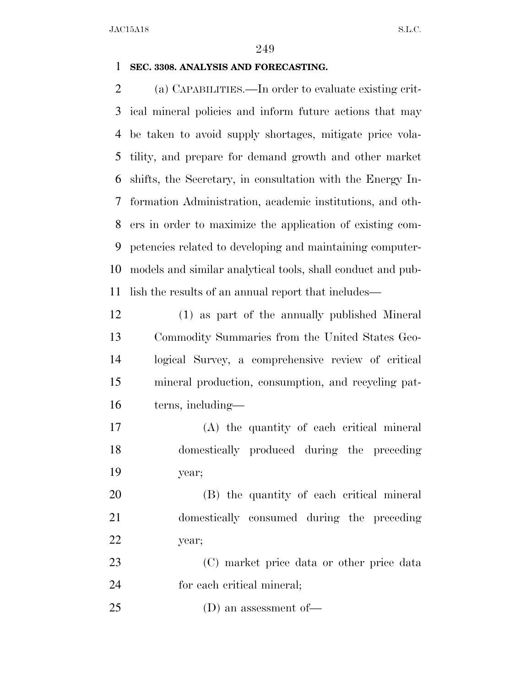#### **SEC. 3308. ANALYSIS AND FORECASTING.**

 (a) CAPABILITIES.—In order to evaluate existing crit- ical mineral policies and inform future actions that may be taken to avoid supply shortages, mitigate price vola- tility, and prepare for demand growth and other market shifts, the Secretary, in consultation with the Energy In- formation Administration, academic institutions, and oth- ers in order to maximize the application of existing com- petencies related to developing and maintaining computer- models and similar analytical tools, shall conduct and pub-lish the results of an annual report that includes—

 (1) as part of the annually published Mineral Commodity Summaries from the United States Geo- logical Survey, a comprehensive review of critical mineral production, consumption, and recycling pat-terns, including—

 (A) the quantity of each critical mineral domestically produced during the preceding year;

 (B) the quantity of each critical mineral domestically consumed during the preceding year;

 (C) market price data or other price data for each critical mineral;

(D) an assessment of—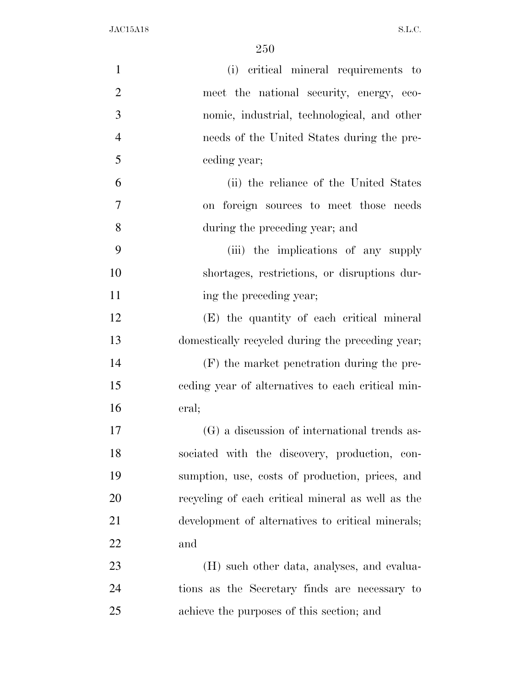| $\mathbf{1}$   | (i) critical mineral requirements to              |
|----------------|---------------------------------------------------|
| $\overline{2}$ | meet the national security, energy, eco-          |
| 3              | nomic, industrial, technological, and other       |
| $\overline{4}$ | needs of the United States during the pre-        |
| 5              | ceding year;                                      |
| 6              | (ii) the reliance of the United States            |
| 7              | on foreign sources to meet those needs            |
| 8              | during the preceding year; and                    |
| 9              | (iii) the implications of any supply              |
| 10             | shortages, restrictions, or disruptions dur-      |
| 11             | ing the preceding year;                           |
| 12             | (E) the quantity of each critical mineral         |
| 13             | domestically recycled during the preceding year;  |
| 14             | (F) the market penetration during the pre-        |
| 15             | eeding year of alternatives to each critical min- |
| 16             | eral;                                             |
| 17             | (G) a discussion of international trends as-      |
| 18             | sociated with the discovery, production, con-     |
| 19             | sumption, use, costs of production, prices, and   |
| 20             | recycling of each critical mineral as well as the |
| 21             | development of alternatives to critical minerals; |
| 22             | and                                               |
| 23             | (H) such other data, analyses, and evalua-        |
| 24             | tions as the Secretary finds are necessary to     |
| 25             | achieve the purposes of this section; and         |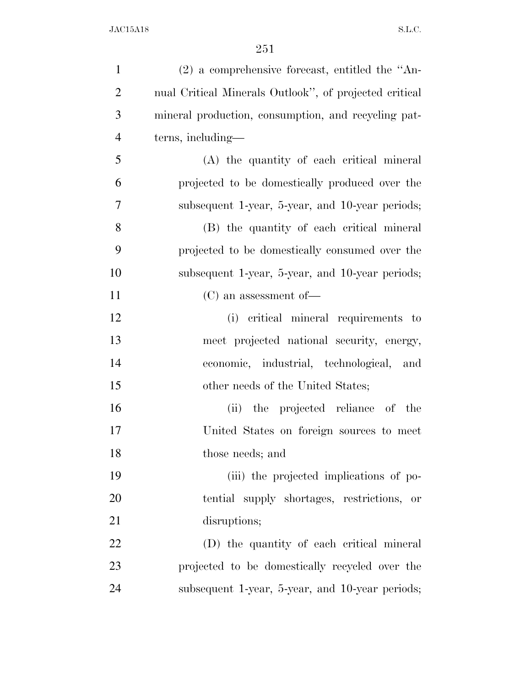| $\mathbf{1}$   | $(2)$ a comprehensive forecast, entitled the "An-      |
|----------------|--------------------------------------------------------|
| $\overline{2}$ | nual Critical Minerals Outlook", of projected critical |
| 3              | mineral production, consumption, and recycling pat-    |
| $\overline{4}$ | terns, including—                                      |
| 5              | (A) the quantity of each critical mineral              |
| 6              | projected to be domestically produced over the         |
| 7              | subsequent 1-year, 5-year, and 10-year periods;        |
| 8              | (B) the quantity of each critical mineral              |
| 9              | projected to be domestically consumed over the         |
| 10             | subsequent 1-year, 5-year, and 10-year periods;        |
| 11             | $(C)$ an assessment of —                               |
| 12             | (i) critical mineral requirements to                   |
| 13             | meet projected national security, energy,              |
| 14             | economic, industrial, technological, and               |
| 15             | other needs of the United States;                      |
| 16             | (ii) the projected reliance of the                     |
| 17             | United States on foreign sources to meet               |
| 18             | those needs; and                                       |
| 19             | (iii) the projected implications of po-                |
| 20             | tential supply shortages, restrictions, or             |
| 21             | disruptions;                                           |
| 22             | (D) the quantity of each critical mineral              |
| 23             | projected to be domestically recycled over the         |
| 24             | subsequent 1-year, 5-year, and 10-year periods;        |
|                |                                                        |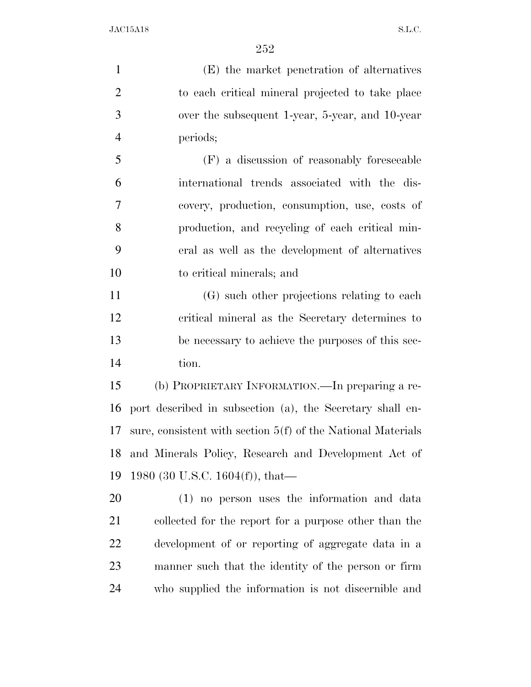(E) the market penetration of alternatives to each critical mineral projected to take place over the subsequent 1-year, 5-year, and 10-year periods; (F) a discussion of reasonably foreseeable international trends associated with the dis- covery, production, consumption, use, costs of production, and recycling of each critical min- eral as well as the development of alternatives to critical minerals; and (G) such other projections relating to each critical mineral as the Secretary determines to be necessary to achieve the purposes of this sec- tion. (b) PROPRIETARY INFORMATION.—In preparing a re- port described in subsection (a), the Secretary shall en- sure, consistent with section 5(f) of the National Materials and Minerals Policy, Research and Development Act of 1980 (30 U.S.C. 1604(f)), that— (1) no person uses the information and data collected for the report for a purpose other than the development of or reporting of aggregate data in a manner such that the identity of the person or firm who supplied the information is not discernible and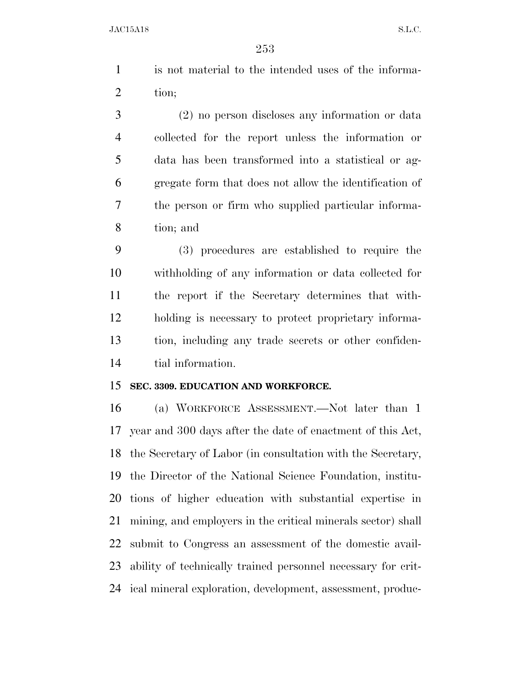is not material to the intended uses of the informa-tion;

 (2) no person discloses any information or data collected for the report unless the information or data has been transformed into a statistical or ag- gregate form that does not allow the identification of the person or firm who supplied particular informa-tion; and

 (3) procedures are established to require the withholding of any information or data collected for the report if the Secretary determines that with- holding is necessary to protect proprietary informa- tion, including any trade secrets or other confiden-tial information.

## **SEC. 3309. EDUCATION AND WORKFORCE.**

 (a) WORKFORCE ASSESSMENT.—Not later than 1 year and 300 days after the date of enactment of this Act, the Secretary of Labor (in consultation with the Secretary, the Director of the National Science Foundation, institu- tions of higher education with substantial expertise in mining, and employers in the critical minerals sector) shall submit to Congress an assessment of the domestic avail- ability of technically trained personnel necessary for crit-ical mineral exploration, development, assessment, produc-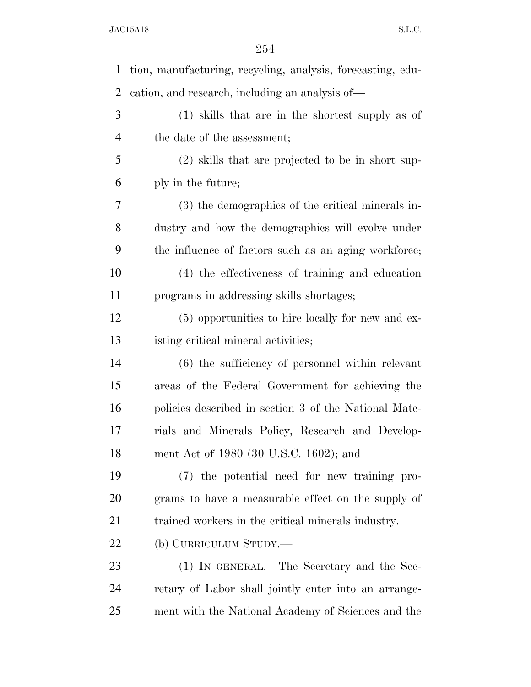| 1              | tion, manufacturing, recycling, analysis, forecasting, edu- |
|----------------|-------------------------------------------------------------|
| 2              | cation, and research, including an analysis of—             |
| 3              | (1) skills that are in the shortest supply as of            |
| $\overline{4}$ | the date of the assessment;                                 |
| 5              | (2) skills that are projected to be in short sup-           |
| 6              | ply in the future;                                          |
| 7              | (3) the demographics of the critical minerals in-           |
| 8              | dustry and how the demographics will evolve under           |
| 9              | the influence of factors such as an aging workforce;        |
| 10             | (4) the effectiveness of training and education             |
| 11             | programs in addressing skills shortages;                    |
| 12             | (5) opportunities to hire locally for new and ex-           |
| 13             | isting critical mineral activities;                         |
| 14             | $(6)$ the sufficiency of personnel within relevant          |
| 15             | areas of the Federal Government for achieving the           |
| 16             | policies described in section 3 of the National Mate-       |
| 17             | rials and Minerals Policy, Research and Develop-            |
| 18             | ment Act of 1980 (30 U.S.C. 1602); and                      |
| 19             | (7) the potential need for new training pro-                |
| <b>20</b>      | grams to have a measurable effect on the supply of          |
| 21             | trained workers in the critical minerals industry.          |
| 22             | (b) CURRICULUM STUDY.—                                      |
| 23             | (1) IN GENERAL.—The Secretary and the Sec-                  |
| 24             | retary of Labor shall jointly enter into an arrange-        |
| 25             | ment with the National Academy of Sciences and the          |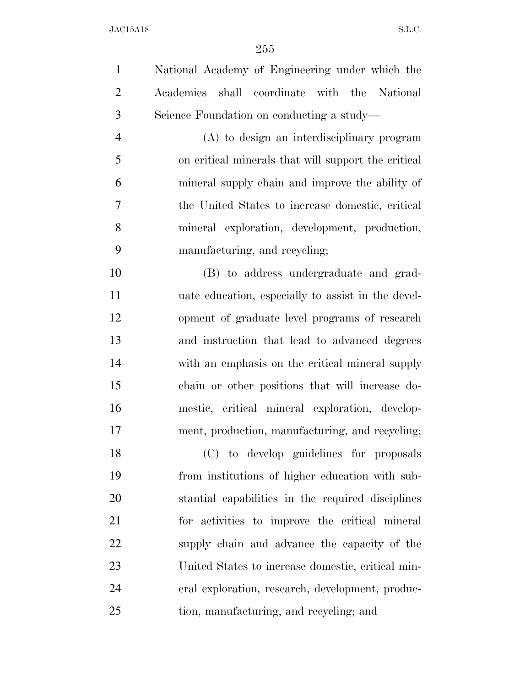National Academy of Engineering under which the Academies shall coordinate with the National Science Foundation on conducting a study—

 (A) to design an interdisciplinary program on critical minerals that will support the critical mineral supply chain and improve the ability of the United States to increase domestic, critical mineral exploration, development, production, manufacturing, and recycling;

 (B) to address undergraduate and grad- uate education, especially to assist in the devel- opment of graduate level programs of research and instruction that lead to advanced degrees with an emphasis on the critical mineral supply chain or other positions that will increase do- mestic, critical mineral exploration, develop-ment, production, manufacturing, and recycling;

 (C) to develop guidelines for proposals from institutions of higher education with sub- stantial capabilities in the required disciplines for activities to improve the critical mineral supply chain and advance the capacity of the United States to increase domestic, critical min- eral exploration, research, development, produc-tion, manufacturing, and recycling; and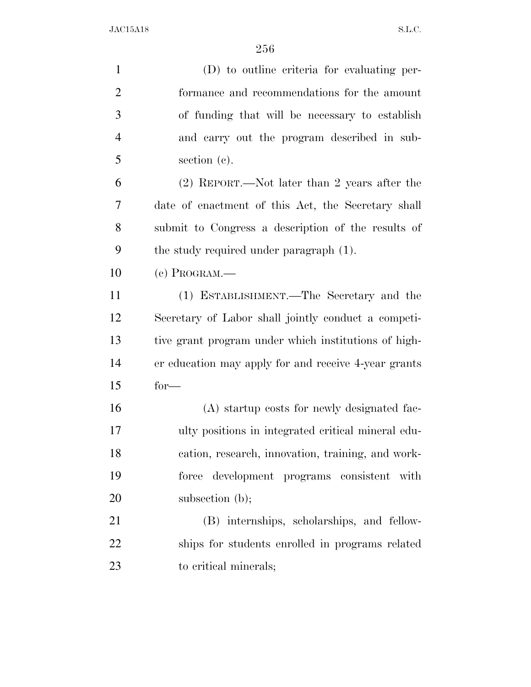| $\mathbf{1}$   | (D) to outline criteria for evaluating per-          |
|----------------|------------------------------------------------------|
| $\overline{2}$ | formance and recommendations for the amount          |
| 3              | of funding that will be necessary to establish       |
| $\overline{4}$ | and carry out the program described in sub-          |
| 5              | section $(e)$ .                                      |
| 6              | (2) REPORT.—Not later than 2 years after the         |
| 7              | date of enactment of this Act, the Secretary shall   |
| 8              | submit to Congress a description of the results of   |
| 9              | the study required under paragraph (1).              |
| 10             | $(e)$ PROGRAM.—                                      |
| 11             | (1) ESTABLISHMENT.—The Secretary and the             |
| 12             | Secretary of Labor shall jointly conduct a competi-  |
| 13             | tive grant program under which institutions of high- |
| 14             | er education may apply for and receive 4-year grants |
| 15             | $for-$                                               |
| 16             | (A) startup costs for newly designated fac-          |
| 17             | ulty positions in integrated critical mineral edu-   |
| 18             | cation, research, innovation, training, and work-    |
| 19             | force development programs consistent with           |
| 20             | subsection (b);                                      |
| 21             | (B) internships, scholarships, and fellow-           |
| 22             | ships for students enrolled in programs related      |
| 23             | to critical minerals;                                |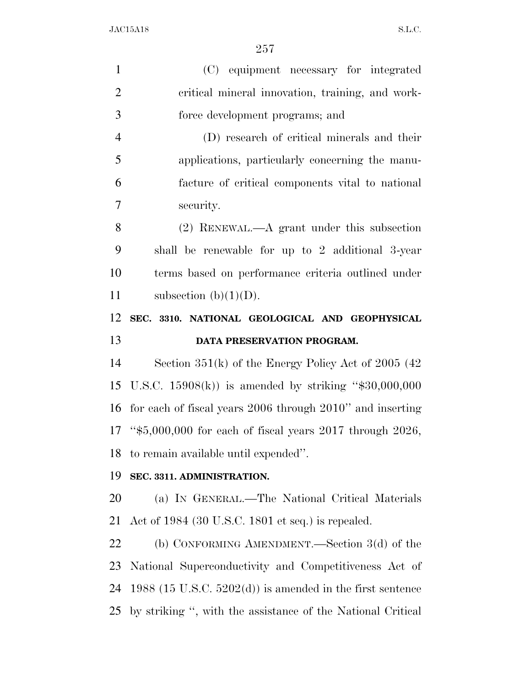| $\mathbf{1}$   | (C) equipment necessary for integrated                         |
|----------------|----------------------------------------------------------------|
| $\overline{2}$ | critical mineral innovation, training, and work-               |
| 3              | force development programs; and                                |
| $\overline{4}$ | (D) research of critical minerals and their                    |
| 5              | applications, particularly concerning the manu-                |
| 6              | facture of critical components vital to national               |
| $\overline{7}$ | security.                                                      |
| 8              | $(2)$ RENEWAL.—A grant under this subsection                   |
| 9              | shall be renewable for up to 2 additional 3-year               |
| 10             | terms based on performance criteria outlined under             |
| 11             | subsection (b) $(1)(D)$ .                                      |
| 12             | SEC. 3310. NATIONAL GEOLOGICAL AND GEOPHYSICAL                 |
|                |                                                                |
| 13             | DATA PRESERVATION PROGRAM.                                     |
| 14             | Section $351(k)$ of the Energy Policy Act of 2005 (42)         |
| 15             | U.S.C. $15908(k)$ is amended by striking "\$30,000,000         |
| 16             | for each of fiscal years 2006 through 2010" and inserting      |
|                | 17 "\$5,000,000 for each of fiscal years 2017 through 2026,    |
|                | 18 to remain available until expended".                        |
| 19             | SEC. 3311. ADMINISTRATION.                                     |
|                | (a) IN GENERAL.—The National Critical Materials                |
| 20<br>21       | Act of $1984$ (30 U.S.C. 1801 et seq.) is repealed.            |
| 22             | (b) CONFORMING AMENDMENT.—Section $3(d)$ of the                |
| 23             | National Superconductivity and Competitiveness Act of          |
| 24             | 1988 (15 U.S.C. 5202(d)) is amended in the first sentence      |
|                | 25 by striking ", with the assistance of the National Critical |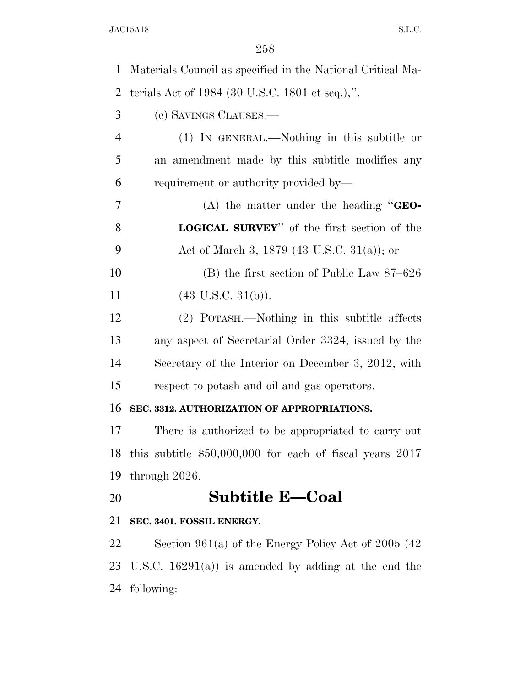| $\mathbf{1}$   | Materials Council as specified in the National Critical Ma-  |
|----------------|--------------------------------------------------------------|
| $\overline{2}$ | terials Act of 1984 (30 U.S.C. 1801 et seq.),".              |
| 3              | (c) SAVINGS CLAUSES.—                                        |
| $\overline{4}$ | (1) IN GENERAL.—Nothing in this subtitle or                  |
| 5              | an amendment made by this subtitle modifies any              |
| 6              | requirement or authority provided by—                        |
| 7              | (A) the matter under the heading " $GEO-$                    |
| 8              | LOGICAL SURVEY" of the first section of the                  |
| 9              | Act of March 3, 1879 (43 U.S.C. 31(a)); or                   |
| 10             | $(B)$ the first section of Public Law 87–626                 |
| 11             | $(43 \text{ U.S.C. } 31(b)).$                                |
| 12             | (2) POTASH.—Nothing in this subtitle affects                 |
| 13             | any aspect of Secretarial Order 3324, issued by the          |
| 14             | Secretary of the Interior on December 3, 2012, with          |
| 15             | respect to potash and oil and gas operators.                 |
| 16             | SEC. 3312. AUTHORIZATION OF APPROPRIATIONS.                  |
| 17             | There is authorized to be appropriated to carry out          |
|                | 18 this subtitle $$50,000,000$ for each of fiscal years 2017 |
| 19             | through $2026$ .                                             |
| 20             | <b>Subtitle E-Coal</b>                                       |
| 21             | SEC. 3401. FOSSIL ENERGY.                                    |
| 22             | Section 961(a) of the Energy Policy Act of 2005 (42)         |
| 23             | U.S.C. $16291(a)$ is amended by adding at the end the        |

following: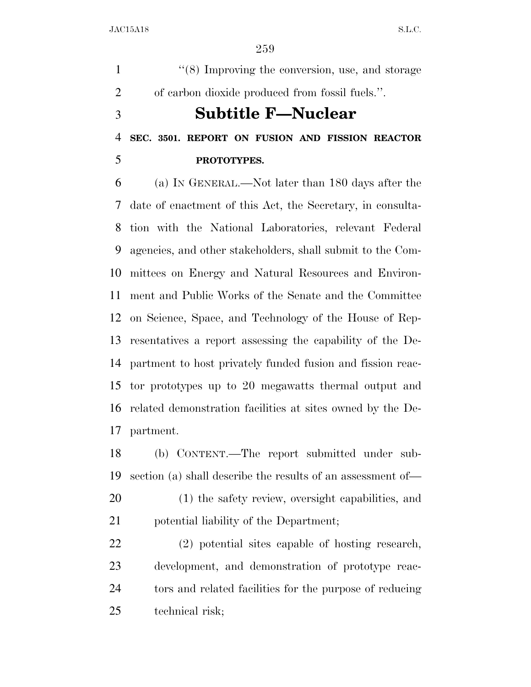1 ''(8) Improving the conversion, use, and storage of carbon dioxide produced from fossil fuels.''. **Subtitle F—Nuclear SEC. 3501. REPORT ON FUSION AND FISSION REACTOR** 

# **PROTOTYPES.**

 (a) IN GENERAL.—Not later than 180 days after the date of enactment of this Act, the Secretary, in consulta- tion with the National Laboratories, relevant Federal agencies, and other stakeholders, shall submit to the Com- mittees on Energy and Natural Resources and Environ- ment and Public Works of the Senate and the Committee on Science, Space, and Technology of the House of Rep- resentatives a report assessing the capability of the De- partment to host privately funded fusion and fission reac- tor prototypes up to 20 megawatts thermal output and related demonstration facilities at sites owned by the De-partment.

 (b) CONTENT.—The report submitted under sub-section (a) shall describe the results of an assessment of—

 (1) the safety review, oversight capabilities, and potential liability of the Department;

 (2) potential sites capable of hosting research, development, and demonstration of prototype reac- tors and related facilities for the purpose of reducing technical risk;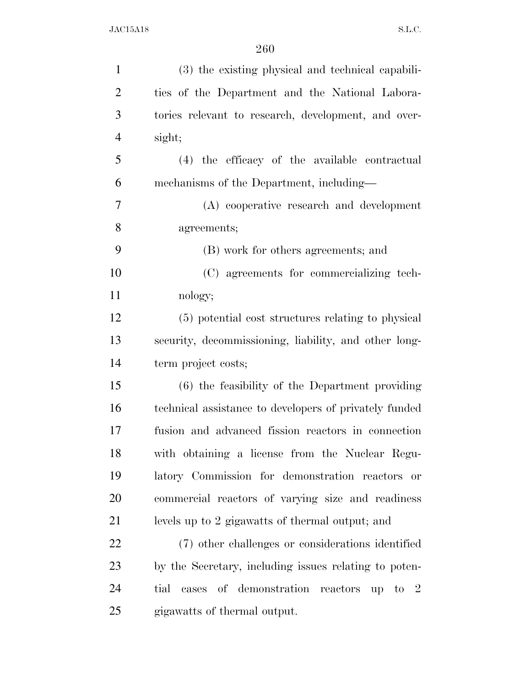| $\mathbf{1}$   | (3) the existing physical and technical capabili-      |
|----------------|--------------------------------------------------------|
| $\overline{2}$ | ties of the Department and the National Labora-        |
| 3              | tories relevant to research, development, and over-    |
| $\overline{4}$ | sight;                                                 |
| 5              | (4) the efficacy of the available contractual          |
| 6              | mechanisms of the Department, including—               |
| 7              | (A) cooperative research and development               |
| 8              | agreements;                                            |
| 9              | (B) work for others agreements; and                    |
| 10             | (C) agreements for commercializing tech-               |
| 11             | nology;                                                |
| 12             | (5) potential cost structures relating to physical     |
| 13             | security, decommissioning, liability, and other long-  |
| 14             | term project costs;                                    |
| 15             | $(6)$ the feasibility of the Department providing      |
| 16             | technical assistance to developers of privately funded |
| 17             | fusion and advanced fission reactors in connection     |
| 18             | with obtaining a license from the Nuclear Regu-        |
| 19             | latory Commission for demonstration reactors<br>or     |
| 20             | commercial reactors of varying size and readiness      |
| 21             | levels up to 2 gigawatts of thermal output; and        |
| 22             | (7) other challenges or considerations identified      |
| 23             | by the Secretary, including issues relating to poten-  |
| 24             | cases of demonstration reactors up to 2<br>tial        |
| 25             | gigawatts of thermal output.                           |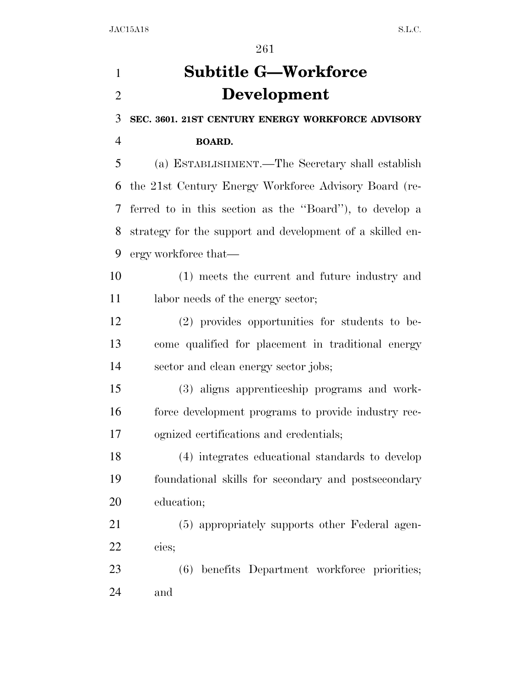# **Subtitle G—Workforce Development**

**SEC. 3601. 21ST CENTURY ENERGY WORKFORCE ADVISORY** 

**BOARD.** 

 (a) ESTABLISHMENT.—The Secretary shall establish the 21st Century Energy Workforce Advisory Board (re- ferred to in this section as the ''Board''), to develop a strategy for the support and development of a skilled en-ergy workforce that—

 (1) meets the current and future industry and 11 labor needs of the energy sector;

 (2) provides opportunities for students to be- come qualified for placement in traditional energy sector and clean energy sector jobs;

 (3) aligns apprenticeship programs and work- force development programs to provide industry rec-ognized certifications and credentials;

 (4) integrates educational standards to develop foundational skills for secondary and postsecondary education;

 (5) appropriately supports other Federal agen-cies;

 (6) benefits Department workforce priorities; and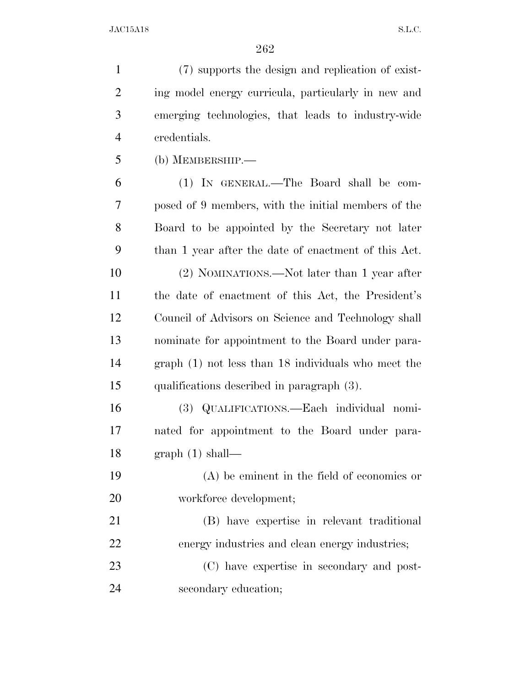(7) supports the design and replication of exist- ing model energy curricula, particularly in new and emerging technologies, that leads to industry-wide credentials. (b) MEMBERSHIP.— (1) IN GENERAL.—The Board shall be com- posed of 9 members, with the initial members of the Board to be appointed by the Secretary not later than 1 year after the date of enactment of this Act. (2) NOMINATIONS.—Not later than 1 year after the date of enactment of this Act, the President's Council of Advisors on Science and Technology shall nominate for appointment to the Board under para- graph (1) not less than 18 individuals who meet the qualifications described in paragraph (3). (3) QUALIFICATIONS.—Each individual nomi- nated for appointment to the Board under para- graph (1) shall— (A) be eminent in the field of economics or 20 workforce development; (B) have expertise in relevant traditional energy industries and clean energy industries; (C) have expertise in secondary and post-secondary education;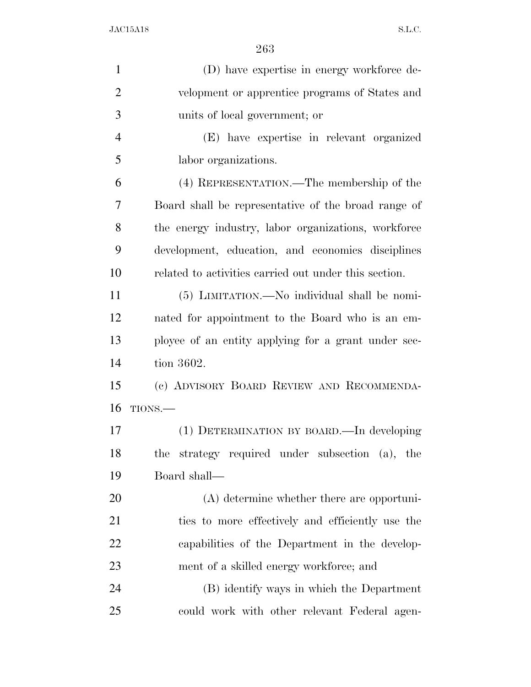| $\mathbf{1}$   | (D) have expertise in energy workforce de-            |
|----------------|-------------------------------------------------------|
| $\overline{2}$ | velopment or apprentice programs of States and        |
| 3              | units of local government; or                         |
| $\overline{4}$ | (E) have expertise in relevant organized              |
| 5              | labor organizations.                                  |
| 6              | (4) REPRESENTATION.—The membership of the             |
| 7              | Board shall be representative of the broad range of   |
| 8              | the energy industry, labor organizations, workforce   |
| 9              | development, education, and economics disciplines     |
| 10             | related to activities carried out under this section. |
| 11             | (5) LIMITATION.—No individual shall be nomi-          |
| 12             | nated for appointment to the Board who is an em-      |
| 13             | ployee of an entity applying for a grant under sec-   |
| 14             | tion 3602.                                            |
| 15             | (c) ADVISORY BOARD REVIEW AND RECOMMENDA-             |
| 16             | TIONS.                                                |
| 17             | (1) DETERMINATION BY BOARD.—In developing             |
| 18             | the strategy required under subsection (a), the       |
| 19             | Board shall-                                          |
| 20             | (A) determine whether there are opportuni-            |
| 21             | ties to more effectively and efficiently use the      |
| 22             | capabilities of the Department in the develop-        |
| 23             | ment of a skilled energy workforce; and               |
| 24             | (B) identify ways in which the Department             |
| 25             | could work with other relevant Federal agen-          |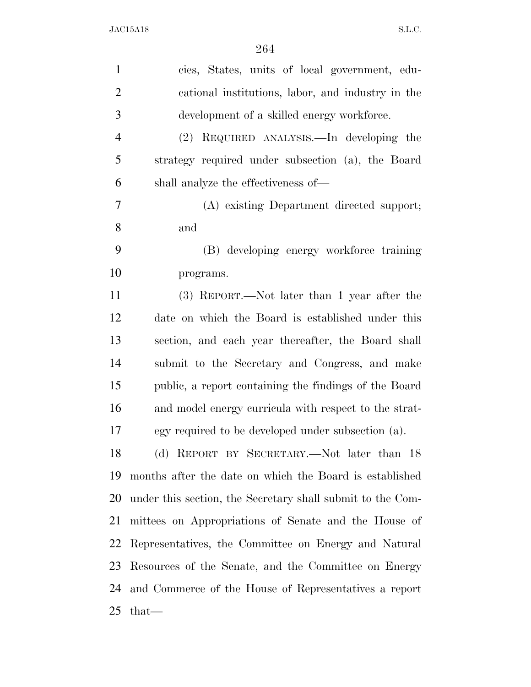| $\mathbf{1}$   | cies, States, units of local government, edu-              |
|----------------|------------------------------------------------------------|
| $\overline{2}$ | cational institutions, labor, and industry in the          |
| 3              | development of a skilled energy workforce.                 |
| $\overline{4}$ | REQUIRED ANALYSIS.—In developing the<br>(2)                |
| 5              | strategy required under subsection (a), the Board          |
| 6              | shall analyze the effectiveness of—                        |
| 7              | (A) existing Department directed support;                  |
| 8              | and                                                        |
| 9              | (B) developing energy workforce training                   |
| 10             | programs.                                                  |
| 11             | (3) REPORT.—Not later than 1 year after the                |
| 12             | date on which the Board is established under this          |
| 13             | section, and each year thereafter, the Board shall         |
| 14             | submit to the Secretary and Congress, and make             |
| 15             | public, a report containing the findings of the Board      |
| 16             | and model energy curricula with respect to the strat-      |
| 17             | egy required to be developed under subsection (a).         |
| 18             | (d) REPORT BY SECRETARY.—Not later than 18                 |
| 19             | months after the date on which the Board is established    |
| 20             | under this section, the Secretary shall submit to the Com- |
| 21             | mittees on Appropriations of Senate and the House of       |
| 22             | Representatives, the Committee on Energy and Natural       |
| 23             | Resources of the Senate, and the Committee on Energy       |
| 24             | and Commerce of the House of Representatives a report      |
| 25             | that—                                                      |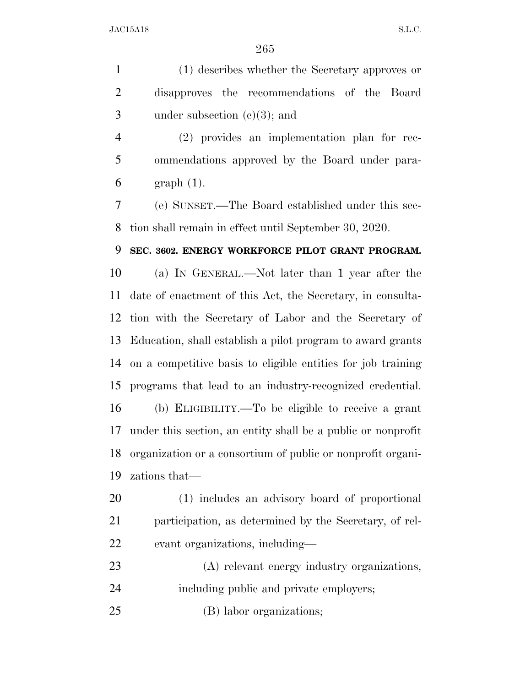(1) describes whether the Secretary approves or disapproves the recommendations of the Board 3 under subsection  $(e)(3)$ ; and

 (2) provides an implementation plan for rec- ommendations approved by the Board under para-graph (1).

 (e) SUNSET.—The Board established under this sec-tion shall remain in effect until September 30, 2020.

## **SEC. 3602. ENERGY WORKFORCE PILOT GRANT PROGRAM.**

 (a) IN GENERAL.—Not later than 1 year after the date of enactment of this Act, the Secretary, in consulta- tion with the Secretary of Labor and the Secretary of Education, shall establish a pilot program to award grants on a competitive basis to eligible entities for job training programs that lead to an industry-recognized credential. (b) ELIGIBILITY.—To be eligible to receive a grant under this section, an entity shall be a public or nonprofit organization or a consortium of public or nonprofit organi-zations that—

 (1) includes an advisory board of proportional participation, as determined by the Secretary, of rel-evant organizations, including—

 (A) relevant energy industry organizations, including public and private employers; (B) labor organizations;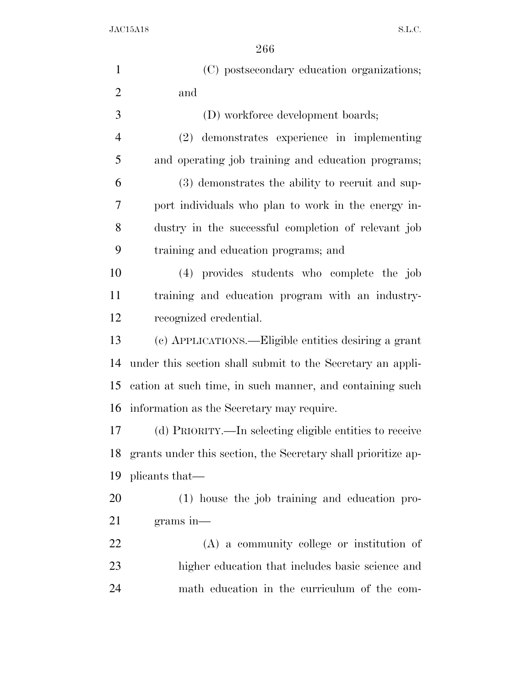| $\mathbf{1}$   | (C) postsecondary education organizations;                    |
|----------------|---------------------------------------------------------------|
| $\overline{2}$ | and                                                           |
| 3              | (D) workforce development boards;                             |
| $\overline{4}$ | (2) demonstrates experience in implementing                   |
| 5              | and operating job training and education programs;            |
| 6              | (3) demonstrates the ability to recruit and sup-              |
| 7              | port individuals who plan to work in the energy in-           |
| 8              | dustry in the successful completion of relevant job           |
| 9              | training and education programs; and                          |
| 10             | (4) provides students who complete the job                    |
| 11             | training and education program with an industry-              |
| 12             | recognized credential.                                        |
| 13             | (c) APPLICATIONS.—Eligible entities desiring a grant          |
| 14             | under this section shall submit to the Secretary an appli-    |
| 15             | cation at such time, in such manner, and containing such      |
| 16             | information as the Secretary may require.                     |
| 17             | (d) PRIORITY.—In selecting eligible entities to receive       |
| 18             | grants under this section, the Secretary shall prioritize ap- |
| 19             | plicants that—                                                |
| 20             | (1) house the job training and education pro-                 |
| 21             | $grams in-$                                                   |
| 22             | $(A)$ a community college or institution of                   |
| 23             | higher education that includes basic science and              |
| 24             | math education in the curriculum of the com-                  |
|                |                                                               |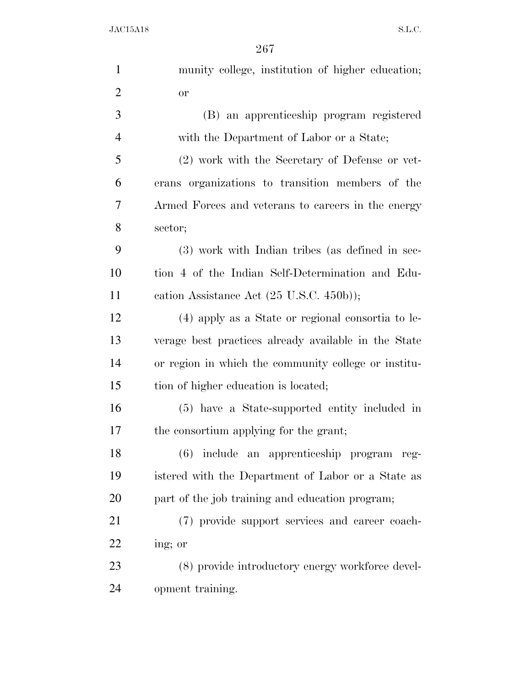| $\mathbf{1}$   | munity college, institution of higher education;             |
|----------------|--------------------------------------------------------------|
| $\overline{2}$ | <b>or</b>                                                    |
| 3              | (B) an apprenticeship program registered                     |
| $\overline{4}$ | with the Department of Labor or a State;                     |
| 5              | (2) work with the Secretary of Defense or vet-               |
| 6              | erans organizations to transition members of the             |
| 7              | Armed Forces and veterans to careers in the energy           |
| 8              | sector;                                                      |
| 9              | (3) work with Indian tribes (as defined in sec-              |
| 10             | tion 4 of the Indian Self-Determination and Edu-             |
| 11             | cation Assistance Act $(25 \text{ U.S.C. } 450 \text{b}))$ ; |
| 12             | (4) apply as a State or regional consortia to le-            |
| 13             | verage best practices already available in the State         |
| 14             | or region in which the community college or institu-         |
| 15             | tion of higher education is located;                         |
| 16             | (5) have a State-supported entity included in                |
| 17             | the consortium applying for the grant;                       |
| 18             | (6) include an apprenticeship program reg-                   |
| 19             | istered with the Department of Labor or a State as           |
| 20             | part of the job training and education program;              |
| 21             | (7) provide support services and career coach-               |
| 22             | ing; or                                                      |
| 23             | (8) provide introductory energy workforce devel-             |
| 24             | opment training.                                             |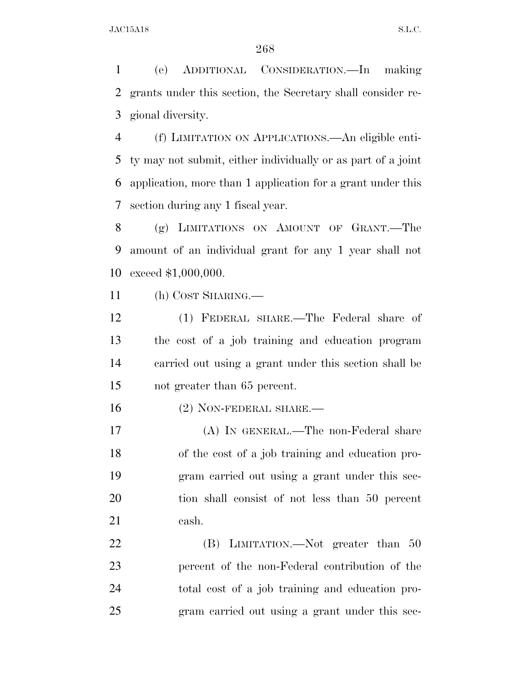(e) ADDITIONAL CONSIDERATION.—In making grants under this section, the Secretary shall consider re-gional diversity.

 (f) LIMITATION ON APPLICATIONS.—An eligible enti- ty may not submit, either individually or as part of a joint application, more than 1 application for a grant under this section during any 1 fiscal year.

 (g) LIMITATIONS ON AMOUNT OF GRANT.—The amount of an individual grant for any 1 year shall not exceed \$1,000,000.

(h) COST SHARING.—

 (1) FEDERAL SHARE.—The Federal share of the cost of a job training and education program carried out using a grant under this section shall be not greater than 65 percent.

16 (2) NON-FEDERAL SHARE.—

 (A) IN GENERAL.—The non-Federal share of the cost of a job training and education pro- gram carried out using a grant under this sec- tion shall consist of not less than 50 percent cash.

22 (B) LIMITATION.—Not greater than 50 percent of the non-Federal contribution of the total cost of a job training and education pro-gram carried out using a grant under this sec-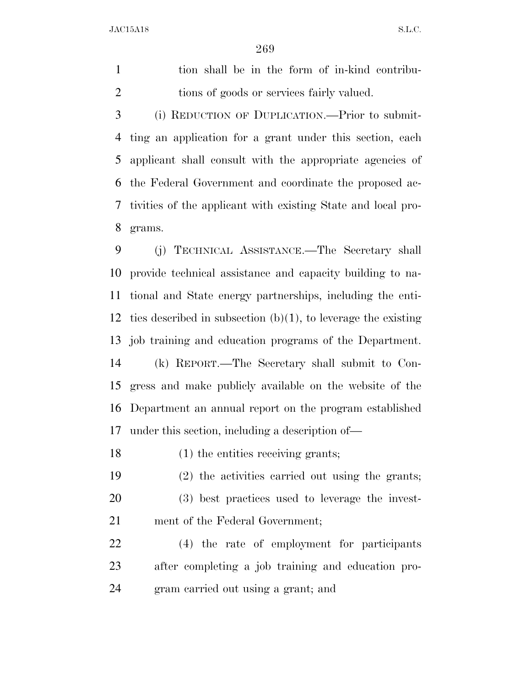tion shall be in the form of in-kind contribu-2 tions of goods or services fairly valued.

 (i) REDUCTION OF DUPLICATION.—Prior to submit- ting an application for a grant under this section, each applicant shall consult with the appropriate agencies of the Federal Government and coordinate the proposed ac- tivities of the applicant with existing State and local pro-grams.

 (j) TECHNICAL ASSISTANCE.—The Secretary shall provide technical assistance and capacity building to na- tional and State energy partnerships, including the enti-12 ties described in subsection  $(b)(1)$ , to leverage the existing job training and education programs of the Department. (k) REPORT.—The Secretary shall submit to Con-gress and make publicly available on the website of the

Department an annual report on the program established

under this section, including a description of—

18 (1) the entities receiving grants;

 (2) the activities carried out using the grants; (3) best practices used to leverage the invest-ment of the Federal Government;

 (4) the rate of employment for participants after completing a job training and education pro-gram carried out using a grant; and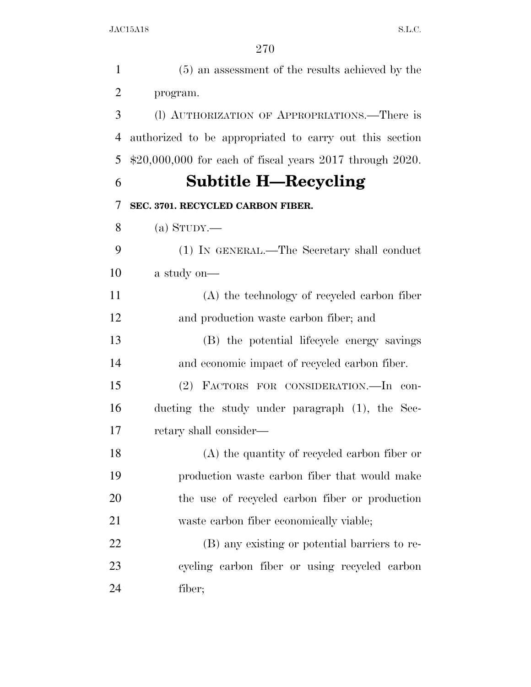(5) an assessment of the results achieved by the program. (l) AUTHORIZATION OF APPROPRIATIONS.—There is authorized to be appropriated to carry out this section \$20,000,000 for each of fiscal years 2017 through 2020. **Subtitle H—Recycling SEC. 3701. RECYCLED CARBON FIBER.**  8 (a)  $STUDY$ . (1) IN GENERAL.—The Secretary shall conduct a study on— (A) the technology of recycled carbon fiber and production waste carbon fiber; and (B) the potential lifecycle energy savings and economic impact of recycled carbon fiber. (2) FACTORS FOR CONSIDERATION.—In con- ducting the study under paragraph (1), the Sec- retary shall consider— (A) the quantity of recycled carbon fiber or production waste carbon fiber that would make the use of recycled carbon fiber or production waste carbon fiber economically viable; (B) any existing or potential barriers to re- cycling carbon fiber or using recycled carbon fiber;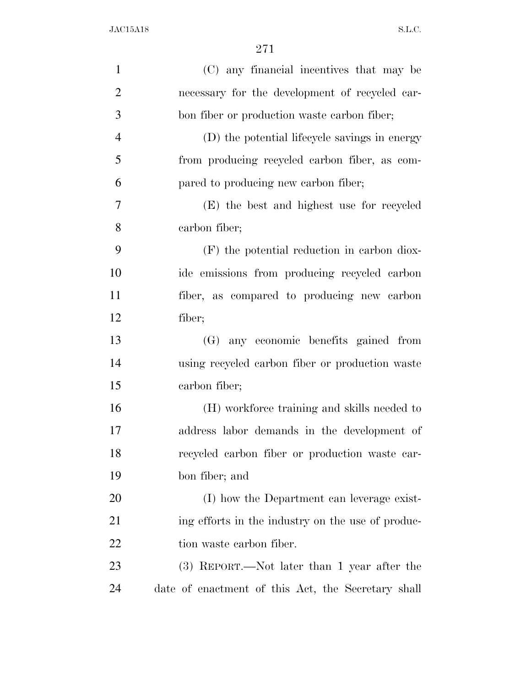| $\mathbf{1}$   | (C) any financial incentives that may be           |
|----------------|----------------------------------------------------|
| $\overline{2}$ | necessary for the development of recycled car-     |
| 3              | bon fiber or production waste carbon fiber;        |
| $\overline{4}$ | (D) the potential lifecycle savings in energy      |
| 5              | from producing recycled carbon fiber, as com-      |
| 6              | pared to producing new carbon fiber;               |
| 7              | (E) the best and highest use for recycled          |
| 8              | carbon fiber;                                      |
| 9              | $(F)$ the potential reduction in carbon diox-      |
| 10             | ide emissions from producing recycled carbon       |
| 11             | fiber, as compared to producing new carbon         |
| 12             | fiber;                                             |
| 13             | (G) any economic benefits gained from              |
| 14             | using recycled carbon fiber or production waste    |
| 15             | carbon fiber;                                      |
| 16             | (H) workforce training and skills needed to        |
| 17             | address labor demands in the development of        |
| 18             | recycled carbon fiber or production waste car-     |
| 19             | bon fiber; and                                     |
| 20             | (I) how the Department can leverage exist-         |
| 21             | ing efforts in the industry on the use of produc-  |
| 22             | tion waste carbon fiber.                           |
| 23             | (3) REPORT.—Not later than 1 year after the        |
| 24             | date of enactment of this Act, the Secretary shall |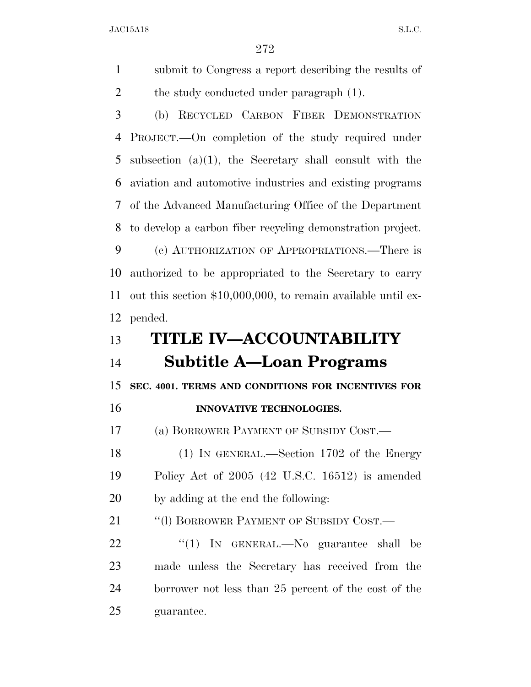submit to Congress a report describing the results of 2 the study conducted under paragraph (1).

 (b) RECYCLED CARBON FIBER DEMONSTRATION PROJECT.—On completion of the study required under subsection (a)(1), the Secretary shall consult with the aviation and automotive industries and existing programs of the Advanced Manufacturing Office of the Department to develop a carbon fiber recycling demonstration project. (c) AUTHORIZATION OF APPROPRIATIONS.—There is

 authorized to be appropriated to the Secretary to carry out this section \$10,000,000, to remain available until ex-pended.

# **TITLE IV—ACCOUNTABILITY Subtitle A—Loan Programs**

**SEC. 4001. TERMS AND CONDITIONS FOR INCENTIVES FOR** 

# **INNOVATIVE TECHNOLOGIES.**

(a) BORROWER PAYMENT OF SUBSIDY COST.—

 (1) IN GENERAL.—Section 1702 of the Energy Policy Act of 2005 (42 U.S.C. 16512) is amended by adding at the end the following:

21 "(1) BORROWER PAYMENT OF SUBSIDY COST.—

22 "(1) In GENERAL.—No guarantee shall be made unless the Secretary has received from the borrower not less than 25 percent of the cost of the guarantee.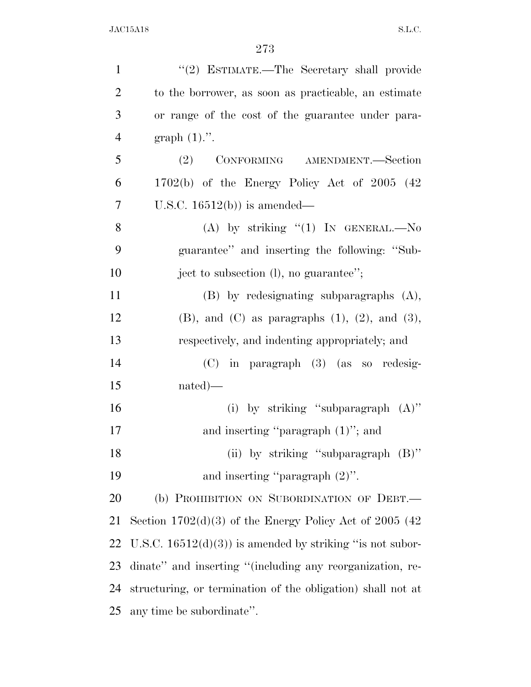| $\mathbf{1}$   | "(2) ESTIMATE.—The Secretary shall provide                  |
|----------------|-------------------------------------------------------------|
| $\overline{2}$ | to the borrower, as soon as practicable, an estimate        |
| 3              | or range of the cost of the guarantee under para-           |
| $\overline{4}$ | graph $(1)$ .".                                             |
| 5              | (2) CONFORMING AMENDMENT.—Section                           |
| 6              | $1702(b)$ of the Energy Policy Act of 2005 (42)             |
| 7              | U.S.C. $16512(b)$ is amended—                               |
| 8              | (A) by striking " $(1)$ In GENERAL.—No                      |
| 9              | guarantee" and inserting the following: "Sub-               |
| 10             | ject to subsection (l), no guarantee";                      |
| 11             | $(B)$ by redesignating subparagraphs $(A)$ ,                |
| 12             | $(B)$ , and $(C)$ as paragraphs $(1)$ , $(2)$ , and $(3)$ , |
| 13             | respectively, and indenting appropriately; and              |
| 14             | $(C)$ in paragraph $(3)$ (as so redesig-                    |
| 15             | $nated)$ —                                                  |
| 16             | (i) by striking "subparagraph $(A)$ "                       |
| 17             | and inserting "paragraph $(1)$ "; and                       |
| 18             | (ii) by striking "subparagraph $(B)$ "                      |
| 19             | and inserting "paragraph $(2)$ ".                           |
| 20             | (b) PROHIBITION ON SUBORDINATION OF DEBT.                   |
| 21             | Section $1702(d)(3)$ of the Energy Policy Act of 2005 (42)  |
| 22             | U.S.C. $16512(d)(3)$ is amended by striking "is not subor-  |
| 23             | dinate" and inserting "(including any reorganization, re-   |
| 24             | structuring, or termination of the obligation) shall not at |
| 25             | any time be subordinate".                                   |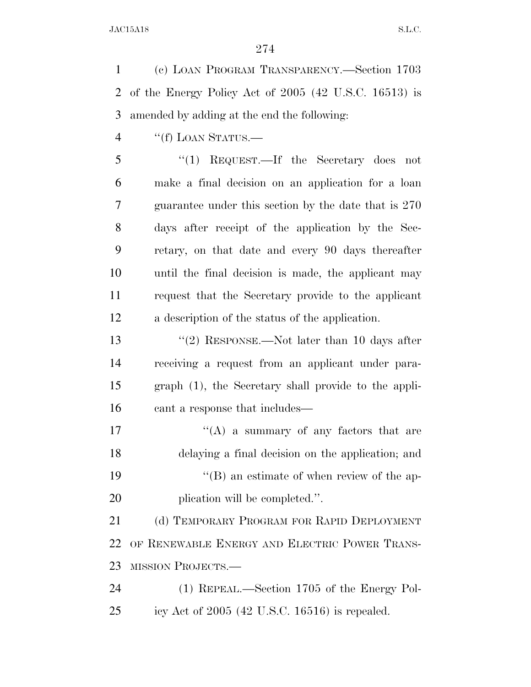(c) LOAN PROGRAM TRANSPARENCY.—Section 1703 of the Energy Policy Act of 2005 (42 U.S.C. 16513) is amended by adding at the end the following:

''(f) LOAN STATUS.—

 ''(1) REQUEST.—If the Secretary does not make a final decision on an application for a loan guarantee under this section by the date that is 270 days after receipt of the application by the Sec- retary, on that date and every 90 days thereafter until the final decision is made, the applicant may request that the Secretary provide to the applicant a description of the status of the application.

13 ''(2) RESPONSE.—Not later than 10 days after receiving a request from an applicant under para- graph (1), the Secretary shall provide to the appli-cant a response that includes—

17  $"({\rm A})$  a summary of any factors that are delaying a final decision on the application; and 19 ''(B) an estimate of when review of the ap-20 plication will be completed.".

21 (d) TEMPORARY PROGRAM FOR RAPID DEPLOYMENT OF RENEWABLE ENERGY AND ELECTRIC POWER TRANS-MISSION PROJECTS.—

 (1) REPEAL.—Section 1705 of the Energy Pol-icy Act of 2005 (42 U.S.C. 16516) is repealed.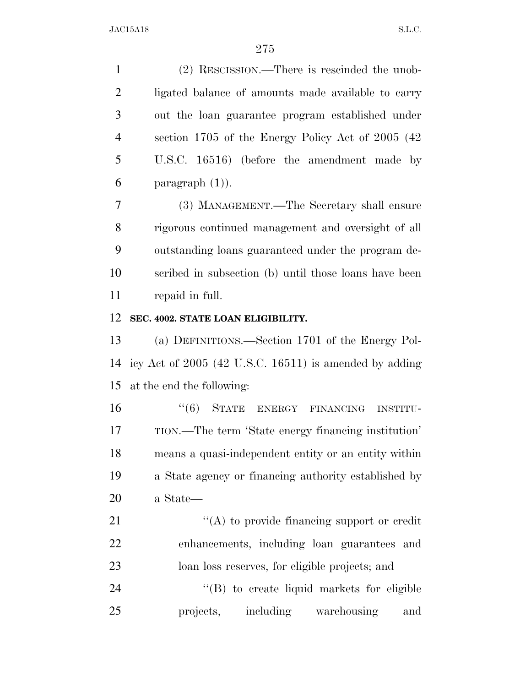(2) RESCISSION.—There is rescinded the unob- ligated balance of amounts made available to carry out the loan guarantee program established under section 1705 of the Energy Policy Act of 2005 (42 U.S.C. 16516) (before the amendment made by 6 paragraph  $(1)$ ).

 (3) MANAGEMENT.—The Secretary shall ensure rigorous continued management and oversight of all outstanding loans guaranteed under the program de- scribed in subsection (b) until those loans have been repaid in full.

## **SEC. 4002. STATE LOAN ELIGIBILITY.**

 (a) DEFINITIONS.—Section 1701 of the Energy Pol- icy Act of 2005 (42 U.S.C. 16511) is amended by adding at the end the following:

 ''(6) STATE ENERGY FINANCING INSTITU- TION.—The term 'State energy financing institution' means a quasi-independent entity or an entity within a State agency or financing authority established by a State—

21  $\langle (A) \rangle$  to provide financing support or credit enhancements, including loan guarantees and loan loss reserves, for eligible projects; and

24 "(B) to create liquid markets for eligible projects, including warehousing and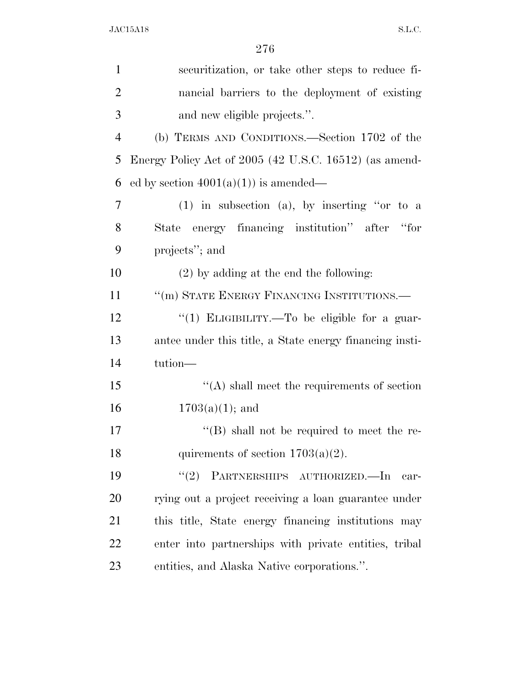| $\mathbf{1}$   | securitization, or take other steps to reduce fi-       |
|----------------|---------------------------------------------------------|
| $\overline{2}$ | nancial barriers to the deployment of existing          |
| 3              | and new eligible projects.".                            |
| $\overline{4}$ | (b) TERMS AND CONDITIONS.—Section 1702 of the           |
| 5              | Energy Policy Act of 2005 (42 U.S.C. 16512) (as amend-  |
| 6              | ed by section $4001(a)(1)$ is amended—                  |
| 7              | $(1)$ in subsection $(a)$ , by inserting "or to a       |
| 8              | State energy financing institution" after<br>et or      |
| 9              | projects"; and                                          |
| 10             | $(2)$ by adding at the end the following:               |
| 11             | "(m) STATE ENERGY FINANCING INSTITUTIONS.-              |
| 12             | "(1) ELIGIBILITY.—To be eligible for a guar-            |
| 13             | antee under this title, a State energy financing insti- |
| 14             | tution-                                                 |
| 15             | $\lq\lq$ shall meet the requirements of section         |
| 16             | $1703(a)(1)$ ; and                                      |
| 17             | "(B) shall not be required to meet the re-              |
| 18             | quirements of section $1703(a)(2)$ .                    |
| 19             | PARTNERSHIPS AUTHORIZED.-In<br>(2)<br>car-              |
| <b>20</b>      | rying out a project receiving a loan guarantee under    |
| 21             | this title, State energy financing institutions may     |
| 22             | enter into partnerships with private entities, tribal   |
| 23             | entities, and Alaska Native corporations.".             |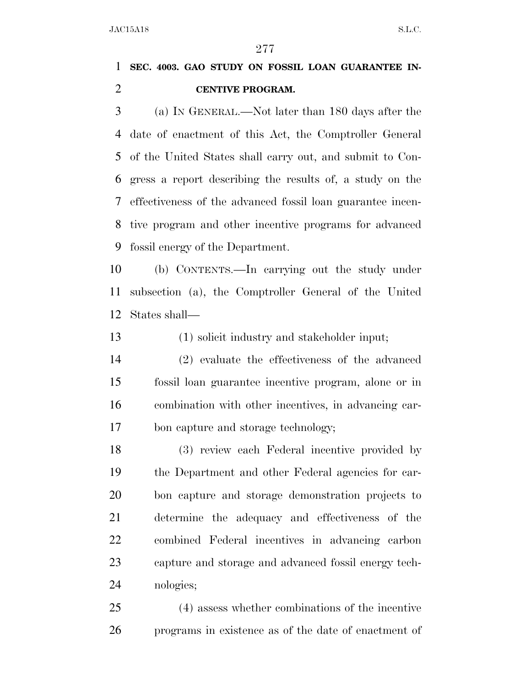# **SEC. 4003. GAO STUDY ON FOSSIL LOAN GUARANTEE IN-CENTIVE PROGRAM.**

 (a) IN GENERAL.—Not later than 180 days after the date of enactment of this Act, the Comptroller General of the United States shall carry out, and submit to Con- gress a report describing the results of, a study on the effectiveness of the advanced fossil loan guarantee incen- tive program and other incentive programs for advanced fossil energy of the Department.

 (b) CONTENTS.—In carrying out the study under subsection (a), the Comptroller General of the United States shall—

(1) solicit industry and stakeholder input;

 (2) evaluate the effectiveness of the advanced fossil loan guarantee incentive program, alone or in combination with other incentives, in advancing car-bon capture and storage technology;

 (3) review each Federal incentive provided by the Department and other Federal agencies for car- bon capture and storage demonstration projects to determine the adequacy and effectiveness of the combined Federal incentives in advancing carbon capture and storage and advanced fossil energy tech-nologies;

 (4) assess whether combinations of the incentive programs in existence as of the date of enactment of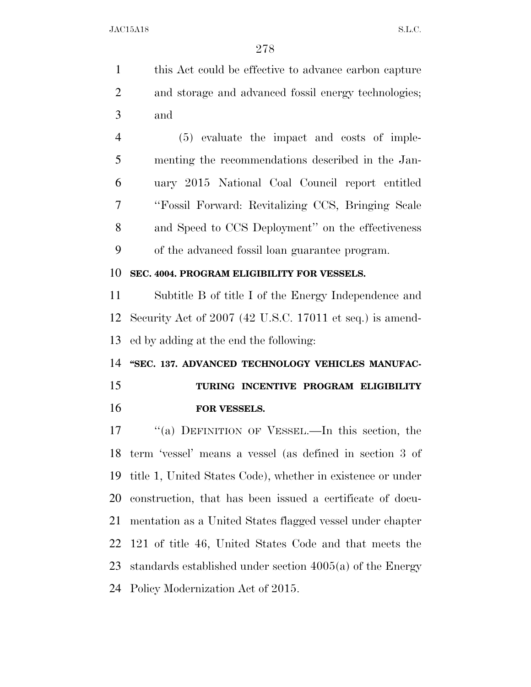this Act could be effective to advance carbon capture and storage and advanced fossil energy technologies; and

 (5) evaluate the impact and costs of imple- menting the recommendations described in the Jan- uary 2015 National Coal Council report entitled ''Fossil Forward: Revitalizing CCS, Bringing Scale and Speed to CCS Deployment'' on the effectiveness of the advanced fossil loan guarantee program.

### **SEC. 4004. PROGRAM ELIGIBILITY FOR VESSELS.**

 Subtitle B of title I of the Energy Independence and Security Act of 2007 (42 U.S.C. 17011 et seq.) is amend-ed by adding at the end the following:

 **''SEC. 137. ADVANCED TECHNOLOGY VEHICLES MANUFAC- TURING INCENTIVE PROGRAM ELIGIBILITY FOR VESSELS.** 

 ''(a) DEFINITION OF VESSEL.—In this section, the term 'vessel' means a vessel (as defined in section 3 of title 1, United States Code), whether in existence or under construction, that has been issued a certificate of docu- mentation as a United States flagged vessel under chapter 121 of title 46, United States Code and that meets the standards established under section 4005(a) of the Energy Policy Modernization Act of 2015.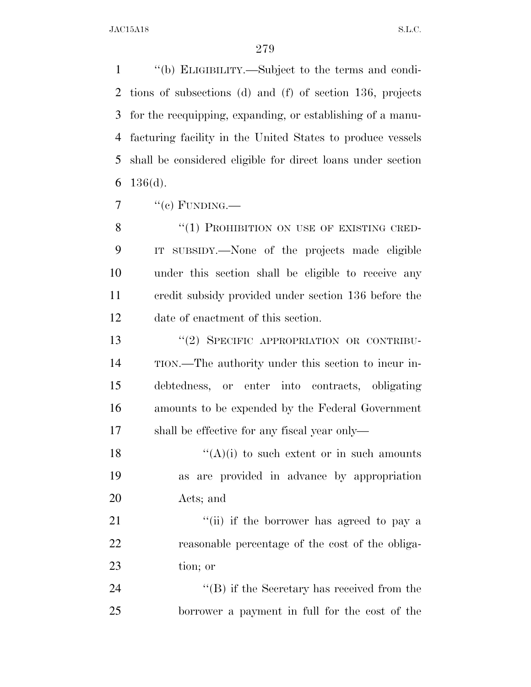''(b) ELIGIBILITY.—Subject to the terms and condi- tions of subsections (d) and (f) of section 136, projects for the reequipping, expanding, or establishing of a manu- facturing facility in the United States to produce vessels shall be considered eligible for direct loans under section 6  $136(d)$ .

 $7 \qquad \text{``(c) FUNDING.}$ 

8 "(1) PROHIBITION ON USE OF EXISTING CRED- IT SUBSIDY.—None of the projects made eligible under this section shall be eligible to receive any credit subsidy provided under section 136 before the date of enactment of this section.

13 "(2) SPECIFIC APPROPRIATION OR CONTRIBU- TION.—The authority under this section to incur in- debtedness, or enter into contracts, obligating amounts to be expended by the Federal Government shall be effective for any fiscal year only—

18  $((A)(i)$  to such extent or in such amounts as are provided in advance by appropriation Acts; and

21 ''(ii) if the borrower has agreed to pay a reasonable percentage of the cost of the obliga-tion; or

24 ''(B) if the Secretary has received from the borrower a payment in full for the cost of the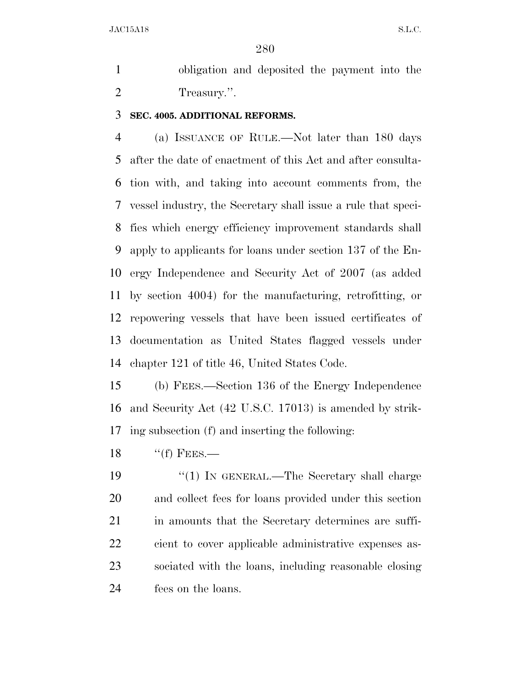obligation and deposited the payment into the Treasury.''.

#### **SEC. 4005. ADDITIONAL REFORMS.**

 (a) ISSUANCE OF RULE.—Not later than 180 days after the date of enactment of this Act and after consulta- tion with, and taking into account comments from, the vessel industry, the Secretary shall issue a rule that speci- fies which energy efficiency improvement standards shall apply to applicants for loans under section 137 of the En- ergy Independence and Security Act of 2007 (as added by section 4004) for the manufacturing, retrofitting, or repowering vessels that have been issued certificates of documentation as United States flagged vessels under chapter 121 of title 46, United States Code.

 (b) FEES.—Section 136 of the Energy Independence and Security Act (42 U.S.C. 17013) is amended by strik-ing subsection (f) and inserting the following:

18  $"({\rm f})$  FEES.—

19 "(1) IN GENERAL.—The Secretary shall charge and collect fees for loans provided under this section 21 in amounts that the Secretary determines are suffi- cient to cover applicable administrative expenses as- sociated with the loans, including reasonable closing fees on the loans.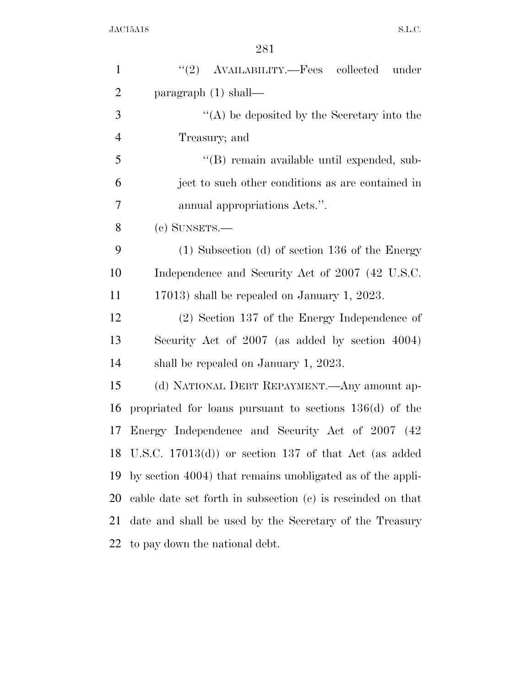| $\mathbf{1}$   | "(2) AVAILABILITY.—Fees collected under                     |
|----------------|-------------------------------------------------------------|
| $\overline{2}$ | paragraph $(1)$ shall—                                      |
| 3              | $\lq\lq$ be deposited by the Secretary into the             |
| 4              | Treasury; and                                               |
| 5              | "(B) remain available until expended, sub-                  |
| 6              | ject to such other conditions as are contained in           |
| 7              | annual appropriations Acts.".                               |
| 8              | $(e)$ SUNSETS.—                                             |
| 9              | $(1)$ Subsection $(d)$ of section 136 of the Energy         |
| 10             | Independence and Security Act of 2007 (42 U.S.C.            |
| 11             | $(17013)$ shall be repealed on January 1, 2023.             |
| 12             | $(2)$ Section 137 of the Energy Independence of             |
| 13             | Security Act of 2007 (as added by section 4004)             |
| 14             | shall be repealed on January 1, 2023.                       |
| 15             | (d) NATIONAL DEBT REPAYMENT.—Any amount ap-                 |
| 16             | propriated for loans pursuant to sections $136(d)$ of the   |
| 17             | Energy Independence and Security Act of 2007 (42)           |
|                | 18 U.S.C. 17013(d)) or section 137 of that Act (as added    |
| 19             | by section 4004) that remains unobligated as of the appli-  |
| 20             | cable date set forth in subsection (c) is rescinded on that |
| 21             | date and shall be used by the Secretary of the Treasury     |
| 22             | to pay down the national debt.                              |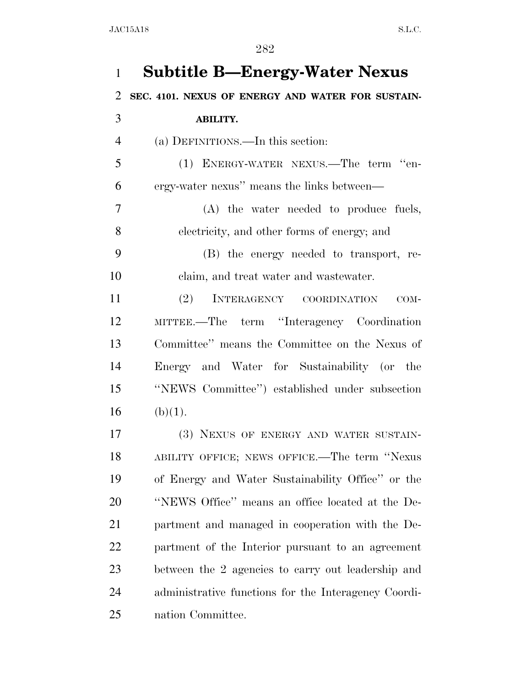| $\mathbf{1}$   | <b>Subtitle B—Energy-Water Nexus</b>                 |
|----------------|------------------------------------------------------|
| $\overline{2}$ | SEC. 4101. NEXUS OF ENERGY AND WATER FOR SUSTAIN-    |
| 3              | <b>ABILITY.</b>                                      |
| $\overline{4}$ | (a) DEFINITIONS.—In this section:                    |
| 5              | (1) ENERGY-WATER NEXUS.—The term "en-                |
| 6              | ergy-water nexus" means the links between—           |
| 7              | (A) the water needed to produce fuels,               |
| 8              | electricity, and other forms of energy; and          |
| 9              | (B) the energy needed to transport, re-              |
| 10             | claim, and treat water and wastewater.               |
| 11             | INTERAGENCY COORDINATION<br>(2)<br>COM-              |
| 12             | MITTEE.—The term "Interagency Coordination"          |
| 13             | Committee" means the Committee on the Nexus of       |
| 14             | Energy and Water for Sustainability (or the          |
| 15             | "NEWS Committee") established under subsection       |
| 16             | (b)(1).                                              |
| 17             | (3) NEXUS OF ENERGY AND WATER SUSTAIN-               |
| 18             | ABILITY OFFICE; NEWS OFFICE.—The term "Nexus         |
| 19             | of Energy and Water Sustainability Office" or the    |
| 20             | "NEWS Office" means an office located at the De-     |
| 21             | partment and managed in cooperation with the De-     |
| 22             | partment of the Interior pursuant to an agreement    |
| 23             | between the 2 agencies to carry out leadership and   |
| 24             | administrative functions for the Interagency Coordi- |
| 25             | nation Committee.                                    |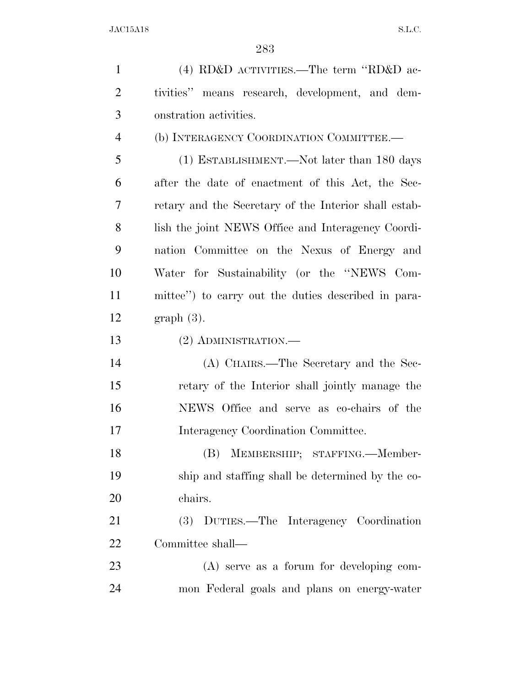| $\mathbf{1}$   | (4) RD&D ACTIVITIES.—The term "RD&D ac-               |
|----------------|-------------------------------------------------------|
| $\overline{2}$ | tivities" means research, development, and dem-       |
| 3              | onstration activities.                                |
| $\overline{4}$ | (b) INTERAGENCY COORDINATION COMMITTEE.—              |
| 5              | (1) ESTABLISHMENT.—Not later than 180 days            |
| 6              | after the date of enactment of this Act, the Sec-     |
| 7              | retary and the Secretary of the Interior shall estab- |
| 8              | lish the joint NEWS Office and Interagency Coordi-    |
| 9              | nation Committee on the Nexus of Energy and           |
| 10             | Water for Sustainability (or the "NEWS Com-           |
| 11             | mittee") to carry out the duties described in para-   |
| 12             | $graph(3)$ .                                          |
| 13             | (2) ADMINISTRATION.—                                  |
| 14             | (A) CHAIRS.—The Secretary and the Sec-                |
| 15             | retary of the Interior shall jointly manage the       |
| 16             | NEWS Office and serve as co-chairs of the             |
| 17             | Interagency Coordination Committee.                   |
| 18             | (B) MEMBERSHIP; STAFFING.—Member-                     |
| 19             | ship and staffing shall be determined by the co-      |
| 20             | chairs.                                               |
| 21             | (3) DUTIES.—The Interagency Coordination              |
| 22             | Committee shall—                                      |
| 23             | $(A)$ serve as a forum for developing com-            |
| 24             | mon Federal goals and plans on energy-water           |
|                |                                                       |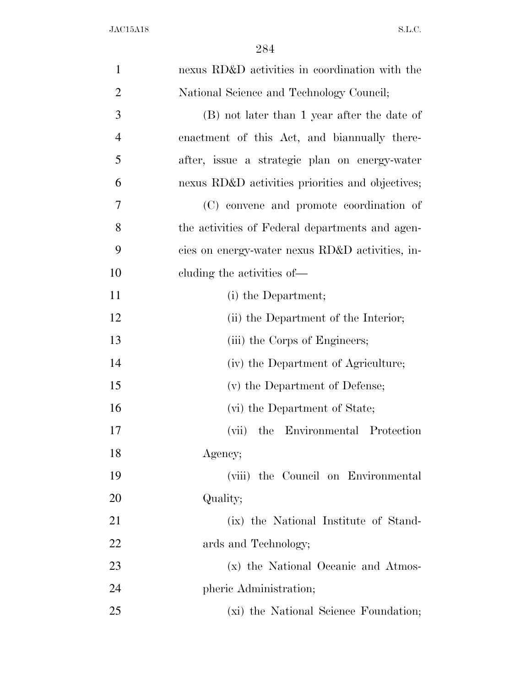| $\mathbf{1}$   | nexus RD&D activities in coordination with the   |
|----------------|--------------------------------------------------|
| $\mathbf{2}$   | National Science and Technology Council;         |
| 3              | (B) not later than 1 year after the date of      |
| $\overline{4}$ | enactment of this Act, and biannually there-     |
| 5              | after, issue a strategic plan on energy-water    |
| 6              | nexus RD&D activities priorities and objectives; |
| $\tau$         | (C) convene and promote coordination of          |
| 8              | the activities of Federal departments and agen-  |
| 9              | cies on energy-water nexus RD&D activities, in-  |
| 10             | cluding the activities of—                       |
| 11             | (i) the Department;                              |
| 12             | (ii) the Department of the Interior;             |
| 13             | (iii) the Corps of Engineers;                    |
| 14             | (iv) the Department of Agriculture;              |
| 15             | (v) the Department of Defense;                   |
| 16             | (vi) the Department of State;                    |
| 17             | the Environmental Protection<br>(vii)            |
| 18             | Agency;                                          |
| 19             | (viii) the Council on Environmental              |
| 20             | Quality;                                         |
| 21             | (ix) the National Institute of Stand-            |
| 22             | ards and Technology;                             |
| 23             | (x) the National Oceanic and Atmos-              |
| 24             | pheric Administration;                           |
| 25             | (xi) the National Science Foundation;            |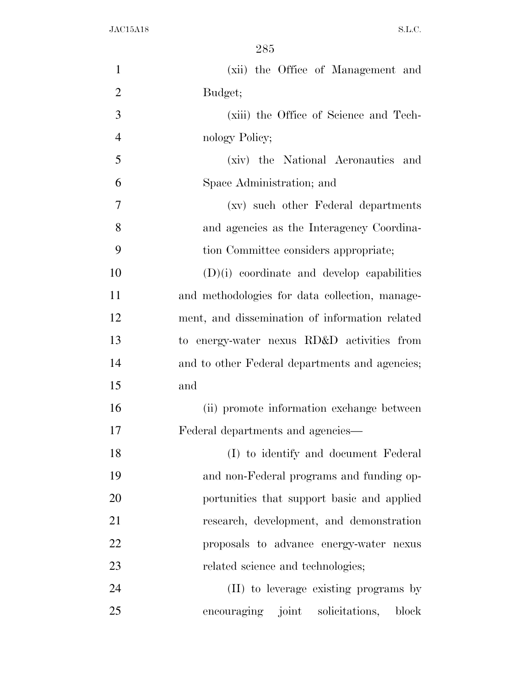| $\mathbf{1}$   | (xii) the Office of Management and             |
|----------------|------------------------------------------------|
| $\overline{2}$ | Budget;                                        |
| 3              | (xiii) the Office of Science and Tech-         |
| $\overline{4}$ | nology Policy;                                 |
| 5              | (xiv) the National Aeronautics and             |
| 6              | Space Administration; and                      |
| 7              | (xv) such other Federal departments            |
| 8              | and agencies as the Interagency Coordina-      |
| 9              | tion Committee considers appropriate;          |
| 10             | $(D)(i)$ coordinate and develop capabilities   |
| 11             | and methodologies for data collection, manage- |
| 12             | ment, and dissemination of information related |
| 13             | to energy-water nexus RD&D activities from     |
| 14             | and to other Federal departments and agencies; |
| 15             | and                                            |
| 16             | (ii) promote information exchange between      |
| 17             | Federal departments and agencies—              |
| 18             | (I) to identify and document Federal           |
| 19             | and non-Federal programs and funding op-       |
| 20             | portunities that support basic and applied     |
| 21             | research, development, and demonstration       |
| 22             | proposals to advance energy-water nexus        |
| 23             | related science and technologies;              |
| 24             | (II) to leverage existing programs by          |
| 25             | encouraging joint solicitations,<br>block      |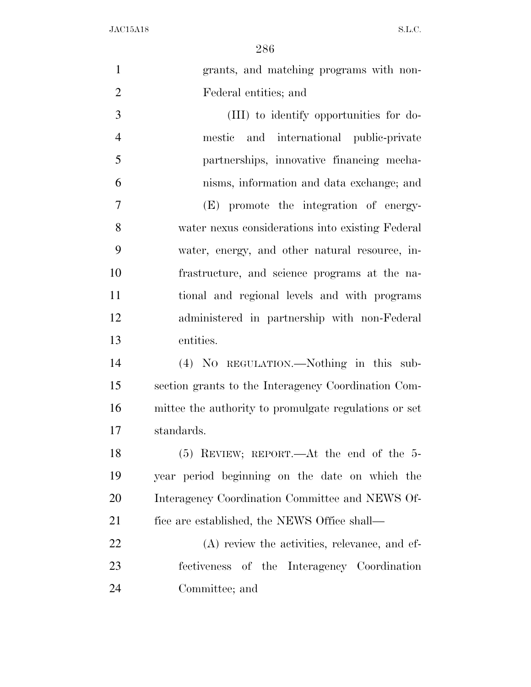| $\mathbf{1}$   | grants, and matching programs with non-               |
|----------------|-------------------------------------------------------|
| $\overline{2}$ | Federal entities; and                                 |
| 3              | (III) to identify opportunities for do-               |
| $\overline{4}$ | mestic and international public-private               |
| 5              | partnerships, innovative financing mecha-             |
| 6              | nisms, information and data exchange; and             |
| 7              | (E) promote the integration of energy-                |
| 8              | water nexus considerations into existing Federal      |
| 9              | water, energy, and other natural resource, in-        |
| 10             | frastructure, and science programs at the na-         |
| 11             | tional and regional levels and with programs          |
| 12             | administered in partnership with non-Federal          |
| 13             | entities.                                             |
| 14             | (4) NO REGULATION.—Nothing in this sub-               |
| 15             | section grants to the Interagency Coordination Com-   |
| 16             | mittee the authority to promulgate regulations or set |
| 17             | standards.                                            |
| 18             | (5) REVIEW; REPORT.—At the end of the 5-              |
| 19             | year period beginning on the date on which the        |
| 20             | Interagency Coordination Committee and NEWS Of-       |
| 21             | fice are established, the NEWS Office shall—          |
| 22             | $(A)$ review the activities, relevance, and ef-       |
| 23             | fectiveness of the Interagency Coordination           |
| 24             | Committee; and                                        |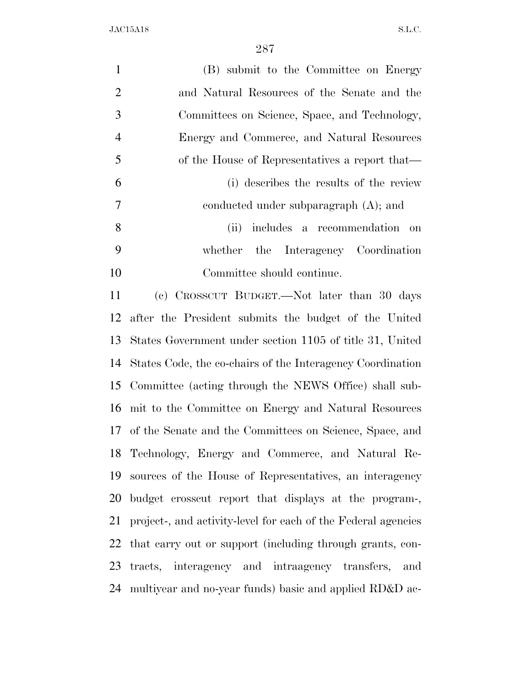| $\mathbf{1}$   | (B) submit to the Committee on Energy                         |
|----------------|---------------------------------------------------------------|
| $\overline{2}$ | and Natural Resources of the Senate and the                   |
| 3              | Committees on Science, Space, and Technology,                 |
| $\overline{4}$ | Energy and Commerce, and Natural Resources                    |
| 5              | of the House of Representatives a report that—                |
| 6              | (i) describes the results of the review                       |
| 7              | conducted under subparagraph $(A)$ ; and                      |
| 8              | (ii)<br>includes a recommendation on                          |
| 9              | the Interagency Coordination<br>whether                       |
| 10             | Committee should continue.                                    |
| 11             | (c) CROSSCUT BUDGET.—Not later than 30 days                   |
| 12             | after the President submits the budget of the United          |
| 13             | States Government under section 1105 of title 31, United      |
| 14             | States Code, the co-chairs of the Interagency Coordination    |
| 15             | Committee (acting through the NEWS Office) shall sub-         |
| 16             | mit to the Committee on Energy and Natural Resources          |
|                | 17 of the Senate and the Committees on Science, Space, and    |
| 18             | Technology, Energy and Commerce, and Natural Re-              |
| 19             | sources of the House of Representatives, an interagency       |
| 20             | budget crosscut report that displays at the program-,         |
| 21             | project-, and activity-level for each of the Federal agencies |
| 22             | that carry out or support (including through grants, con-     |
| 23             | tracts, interagency and intraagency transfers,<br>and         |
| 24             | multiyear and no-year funds) basic and applied RD&D ac-       |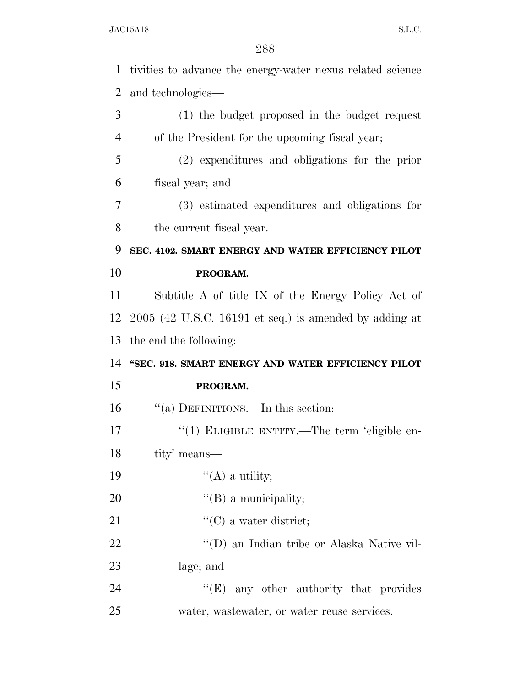| $\mathbf{1}$ | tivities to advance the energy-water nexus related science |
|--------------|------------------------------------------------------------|
| 2            | and technologies—                                          |
| 3            | (1) the budget proposed in the budget request              |
| 4            | of the President for the upcoming fiscal year;             |
| 5            | (2) expenditures and obligations for the prior             |
| 6            | fiscal year; and                                           |
| 7            | (3) estimated expenditures and obligations for             |
| 8            | the current fiscal year.                                   |
| 9            | SEC. 4102. SMART ENERGY AND WATER EFFICIENCY PILOT         |
| 10           | PROGRAM.                                                   |
| 11           | Subtitle A of title IX of the Energy Policy Act of         |
| 12           | $2005$ (42 U.S.C. 16191 et seq.) is amended by adding at   |
|              |                                                            |
| 13           | the end the following:                                     |
| 14           | "SEC. 918. SMART ENERGY AND WATER EFFICIENCY PILOT         |
| 15           | PROGRAM.                                                   |
| 16           | "(a) DEFINITIONS.—In this section:                         |
| 17           | "(1) ELIGIBLE ENTITY.—The term 'eligible en-               |
| 18           | tity' means-                                               |
| 19           | $\lq\lq$ (A) a utility;                                    |
| 20           | $\lq\lq (B)$ a municipality;                               |
| 21           | $\lq\lq$ (C) a water district;                             |
| 22           | "(D) an Indian tribe or Alaska Native vil-                 |
| 23           | lage; and                                                  |
| 24           | $\lq\lq(E)$ any other authority that provides              |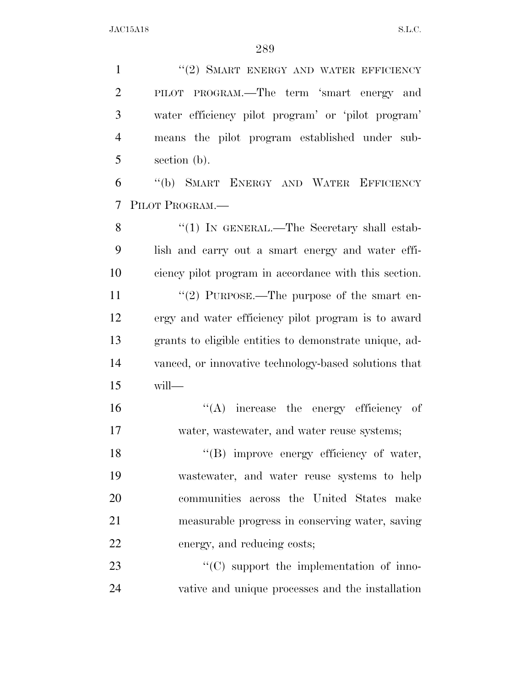1 ''(2) SMART ENERGY AND WATER EFFICIENCY PILOT PROGRAM.—The term 'smart energy and water efficiency pilot program' or 'pilot program' means the pilot program established under sub- section (b). ''(b) SMART ENERGY AND WATER EFFICIENCY PILOT PROGRAM.—

8 "(1) In GENERAL.—The Secretary shall estab- lish and carry out a smart energy and water effi- ciency pilot program in accordance with this section.  $\frac{1}{2}$  PURPOSE.—The purpose of the smart en- ergy and water efficiency pilot program is to award grants to eligible entities to demonstrate unique, ad- vanced, or innovative technology-based solutions that will—

 ''(A) increase the energy efficiency of water, wastewater, and water reuse systems;

18 "(B) improve energy efficiency of water, wastewater, and water reuse systems to help communities across the United States make measurable progress in conserving water, saving energy, and reducing costs;

23  $\cdot$  (C) support the implementation of inno-vative and unique processes and the installation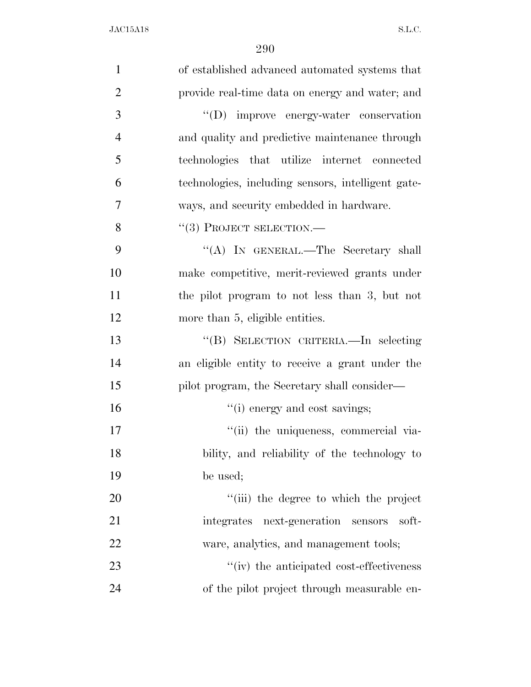| $\mathbf{1}$   | of established advanced automated systems that     |
|----------------|----------------------------------------------------|
| $\overline{2}$ | provide real-time data on energy and water; and    |
| 3              | "(D) improve energy-water conservation             |
| $\overline{4}$ | and quality and predictive maintenance through     |
| 5              | technologies that utilize internet connected       |
| 6              | technologies, including sensors, intelligent gate- |
| 7              | ways, and security embedded in hardware.           |
| 8              | $``(3)$ PROJECT SELECTION.—                        |
| 9              | "(A) IN GENERAL.—The Secretary shall               |
| 10             | make competitive, merit-reviewed grants under      |
| 11             | the pilot program to not less than 3, but not      |
| 12             | more than 5, eligible entities.                    |
| 13             | "(B) SELECTION CRITERIA.—In selecting              |
| 14             | an eligible entity to receive a grant under the    |
| 15             | pilot program, the Secretary shall consider—       |
| 16             | "(i) energy and cost savings;                      |
| 17             | "(ii) the uniqueness, commercial via-              |
| 18             | bility, and reliability of the technology to       |
| 19             | be used;                                           |
| 20             | "(iii) the degree to which the project             |
| 21             | integrates next-generation sensors<br>soft-        |
| 22             | ware, analytics, and management tools;             |
| 23             | "(iv) the anticipated cost-effectiveness           |
| 24             | of the pilot project through measurable en-        |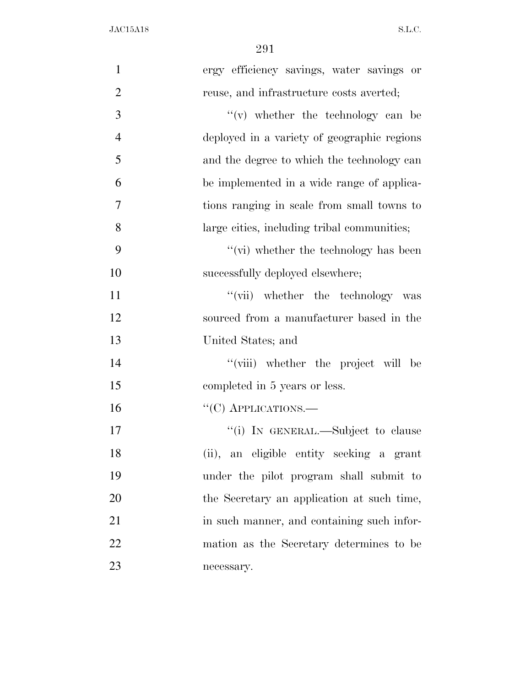| $\mathbf{1}$   | ergy efficiency savings, water savings or   |
|----------------|---------------------------------------------|
| $\overline{2}$ | reuse, and infrastructure costs averted;    |
| 3              | " $(v)$ whether the technology can be       |
| $\overline{4}$ | deployed in a variety of geographic regions |
| 5              | and the degree to which the technology can  |
| 6              | be implemented in a wide range of applica-  |
| $\overline{7}$ | tions ranging in scale from small towns to  |
| 8              | large cities, including tribal communities; |
| 9              | "(vi) whether the technology has been       |
| 10             | successfully deployed elsewhere;            |
| 11             | "(vii) whether the technology was           |
| 12             | sourced from a manufacturer based in the    |
| 13             | United States; and                          |
| 14             | "(viii) whether the project will be         |
| 15             | completed in 5 years or less.               |
| 16             | $``(C)$ APPLICATIONS.—                      |
| 17             | "(i) IN GENERAL.—Subject to clause          |
| 18             | (ii), an eligible entity seeking a grant    |
| 19             | under the pilot program shall submit to     |
| 20             | the Secretary an application at such time,  |
| 21             | in such manner, and containing such infor-  |
| 22             | mation as the Secretary determines to be    |
| 23             | necessary.                                  |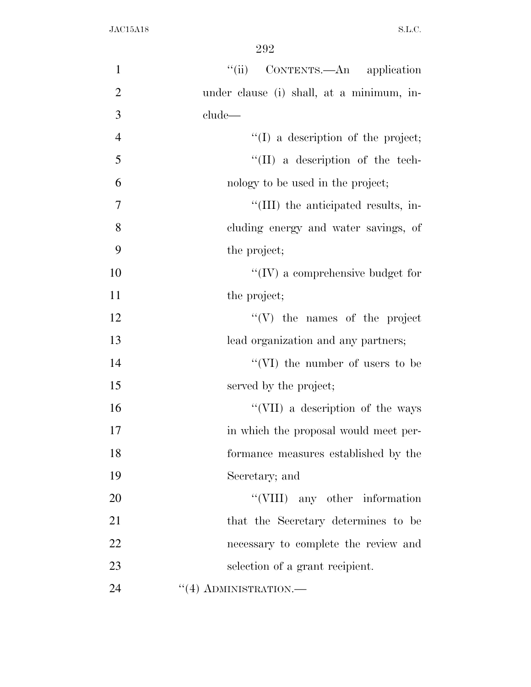| $\mathbf{1}$   | "(ii) CONTENTS.—An application                 |
|----------------|------------------------------------------------|
| $\overline{2}$ | under clause (i) shall, at a minimum, in-      |
| 3              | clude—                                         |
| $\overline{4}$ | $\lq\lq$ a description of the project;         |
| 5              | $\lq\lq$ (II) a description of the tech-       |
| 6              | nology to be used in the project;              |
| $\tau$         | "(III) the anticipated results, in-            |
| 8              | cluding energy and water savings, of           |
| 9              | the project;                                   |
| 10             | $\lq\lq$ (IV) a comprehensive budget for       |
| 11             | the project;                                   |
| 12             | $f'(V)$ the names of the project               |
| 13             | lead organization and any partners;            |
| 14             | "(VI) the number of users to be                |
| 15             | served by the project;                         |
| 16             | $\lq\lq ({\rm VII})$ a description of the ways |
| 17             | in which the proposal would meet per-          |
| 18             | formance measures established by the           |
| 19             | Secretary; and                                 |
| 20             | "(VIII) any other information                  |
| 21             | that the Secretary determines to be            |
| 22             | necessary to complete the review and           |
| 23             | selection of a grant recipient.                |
| 24             | $``(4)$ ADMINISTRATION.—                       |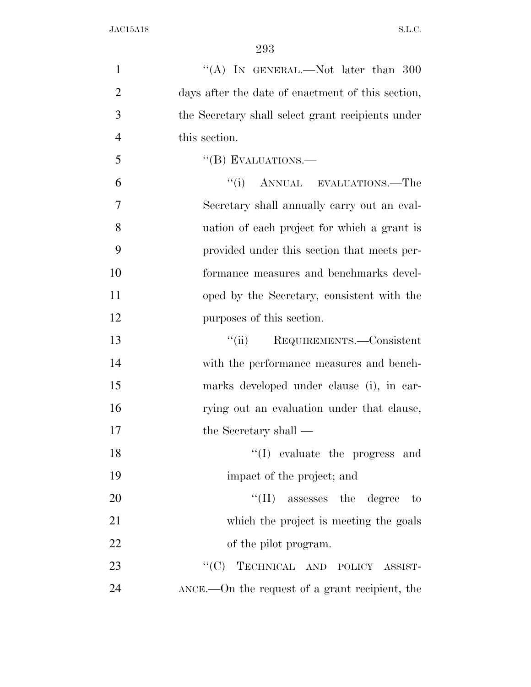| $\mathbf{1}$   | "(A) IN GENERAL.—Not later than $300$                   |
|----------------|---------------------------------------------------------|
| $\overline{2}$ | days after the date of enactment of this section,       |
| 3              | the Secretary shall select grant recipients under       |
| $\overline{4}$ | this section.                                           |
| 5              | "(B) EVALUATIONS.—                                      |
| 6              | ANNUAL EVALUATIONS.—The<br>``(i)                        |
| 7              | Secretary shall annually carry out an eval-             |
| 8              | uation of each project for which a grant is             |
| 9              | provided under this section that meets per-             |
| 10             | formance measures and benchmarks devel-                 |
| 11             | oped by the Secretary, consistent with the              |
| 12             | purposes of this section.                               |
| 13             | REQUIREMENTS.—Consistent<br>``(ii)                      |
| 14             | with the performance measures and bench-                |
| 15             | marks developed under clause (i), in car-               |
| 16             | rying out an evaluation under that clause,              |
| 17             | the Secretary shall —                                   |
| 18             | $\lq\lq$ evaluate the progress and                      |
| 19             | impact of the project; and                              |
| 20             | $\lq\lq$ (II) assesses the degree to                    |
| 21             | which the project is meeting the goals                  |
| 22             | of the pilot program.                                   |
| 23             | "(C) TECHNICAL AND POLICY ASSIST-                       |
| 24             | $\Delta NCE$ . On the request of a grant recipient, the |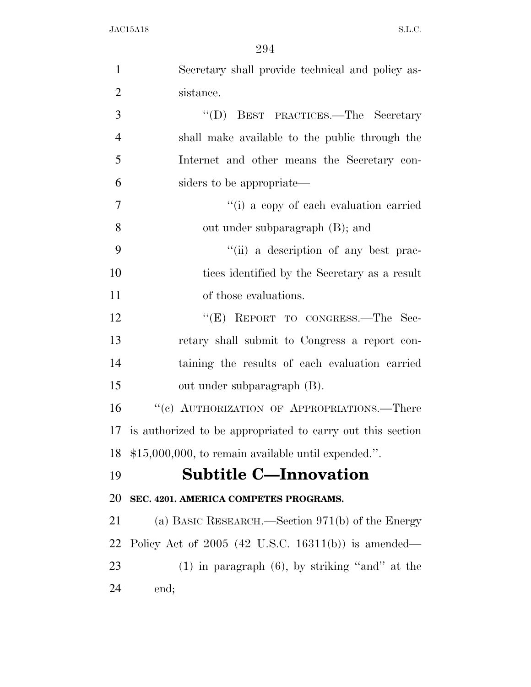| $\mathbf{1}$   | Secretary shall provide technical and policy as-           |
|----------------|------------------------------------------------------------|
| $\overline{2}$ | sistance.                                                  |
| 3              | "(D) BEST PRACTICES.—The Secretary                         |
| $\overline{4}$ | shall make available to the public through the             |
| 5              | Internet and other means the Secretary con-                |
| 6              | siders to be appropriate—                                  |
| $\overline{7}$ | "(i) a copy of each evaluation carried                     |
| 8              | out under subparagraph (B); and                            |
| 9              | "(ii) a description of any best prac-                      |
| 10             | tices identified by the Secretary as a result              |
| 11             | of those evaluations.                                      |
| 12             | "(E) REPORT TO CONGRESS.—The Sec-                          |
| 13             | retary shall submit to Congress a report con-              |
| 14             | taining the results of each evaluation carried             |
| 15             | out under subparagraph (B).                                |
| 16             | "(c) AUTHORIZATION OF APPROPRIATIONS.—There                |
| 17             | is authorized to be appropriated to carry out this section |
|                | 18 \$15,000,000, to remain available until expended.".     |
| 19             | <b>Subtitle C-Innovation</b>                               |
| 20             | SEC. 4201. AMERICA COMPETES PROGRAMS.                      |
| 21             | (a) BASIC RESEARCH.—Section 971(b) of the Energy           |
| 22             | Policy Act of $2005$ (42 U.S.C. 16311(b)) is amended—      |
| 23             | $(1)$ in paragraph $(6)$ , by striking "and" at the        |
| 24             | end;                                                       |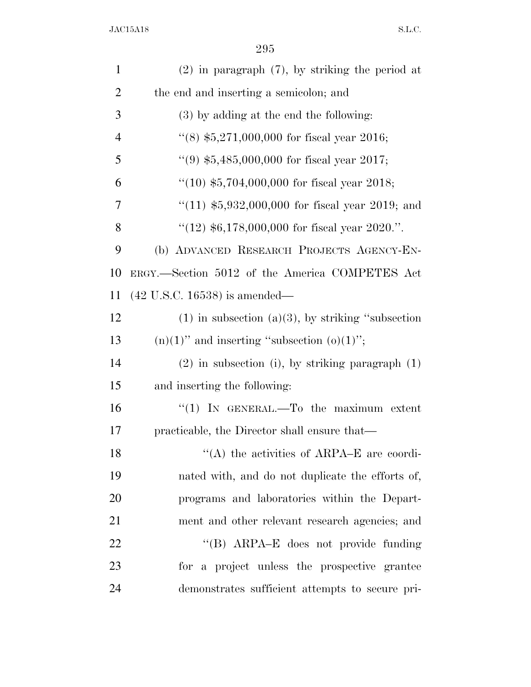| $\mathbf{1}$   | $(2)$ in paragraph $(7)$ , by striking the period at   |
|----------------|--------------------------------------------------------|
| $\overline{2}$ | the end and inserting a semicolon; and                 |
| 3              | (3) by adding at the end the following:                |
| $\overline{4}$ | $(8)$ \$5,271,000,000 for fiscal year 2016;            |
| 5              | "(9) $$5,485,000,000$ for fiscal year 2017;            |
| 6              | $(10)$ \$5,704,000,000 for fiscal year 2018;           |
| 7              | "(11) $$5,932,000,000$ for fiscal year 2019; and       |
| 8              | " $(12)$ \$6,178,000,000 for fiscal year 2020.".       |
| 9              | (b) ADVANCED RESEARCH PROJECTS AGENCY-EN-              |
| 10             | ERGY.—Section 5012 of the America COMPETES Act         |
| 11             | $(42 \text{ U.S.C. } 16538)$ is amended—               |
| 12             | $(1)$ in subsection $(a)(3)$ , by striking "subsection |
| 13             | $(n)(1)$ " and inserting "subsection $(o)(1)$ ";       |
| 14             | $(2)$ in subsection (i), by striking paragraph $(1)$   |
| 15             | and inserting the following:                           |
| 16             | "(1) IN GENERAL.—To the maximum extent                 |
| 17             | practicable, the Director shall ensure that—           |
| 18             | "(A) the activities of ARPA-E are coordi-              |
| 19             | nated with, and do not duplicate the efforts of,       |
| 20             | programs and laboratories within the Depart-           |
| 21             | ment and other relevant research agencies; and         |
| 22             | "(B) ARPA-E does not provide funding                   |
| 23             | for a project unless the prospective grantee           |
| 24             | demonstrates sufficient attempts to secure pri-        |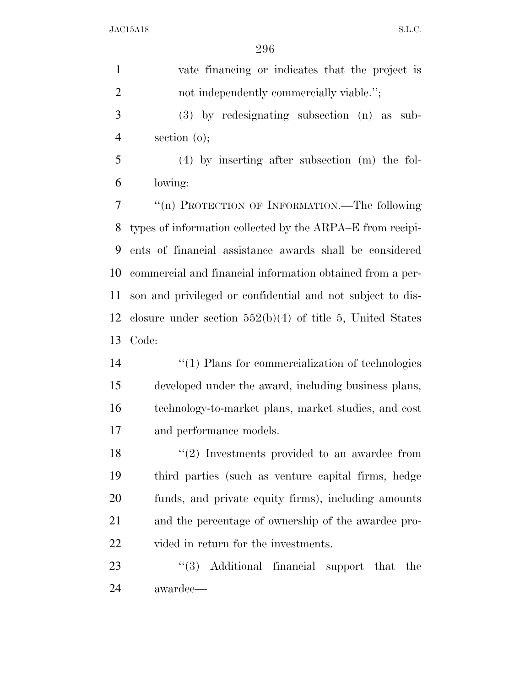| $\mathbf{1}$   | vate financing or indicates that the project is              |
|----------------|--------------------------------------------------------------|
| $\overline{2}$ | not independently commercially viable.";                     |
| 3              | $(3)$ by redesignating subsection $(n)$ as sub-              |
| $\overline{4}$ | section $(o)$ ;                                              |
| 5              | $(4)$ by inserting after subsection $(m)$ the fol-           |
| 6              | lowing:                                                      |
| 7              | "(n) PROTECTION OF INFORMATION.—The following                |
| 8              | types of information collected by the ARPA–E from recipi-    |
| 9              | ents of financial assistance awards shall be considered      |
| 10             | commercial and financial information obtained from a per-    |
| 11             | son and privileged or confidential and not subject to dis-   |
| 12             | closure under section $552(b)(4)$ of title 5, United States  |
| 13             | Code:                                                        |
| 14             | $\lq(1)$ Plans for commercialization of technologies         |
| 15             | developed under the award, including business plans,         |
| 16             | technology-to-market plans, market studies, and cost         |
| 17             | and performance models.                                      |
| 18             | $\cdot\cdot\cdot(2)$ Investments provided to an awardee from |
| 19             | third parties (such as venture capital firms, hedge          |
| <b>20</b>      | funds, and private equity firms), including amounts          |
| 21             | and the percentage of ownership of the awardee pro-          |
| 22             | vided in return for the investments.                         |
| 23             | "(3) Additional financial support that the                   |
| 24             | awardee—                                                     |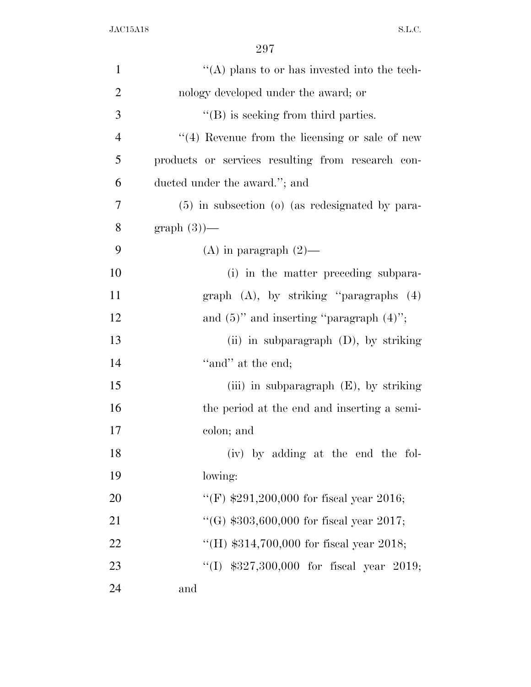| $\mathbf{1}$   | "(A) plans to or has invested into the tech-        |
|----------------|-----------------------------------------------------|
| $\overline{2}$ | nology developed under the award; or                |
| 3              | $\lq\lq$ is seeking from third parties.             |
| $\overline{4}$ | $\lq(4)$ Revenue from the licensing or sale of new  |
| 5              | products or services resulting from research con-   |
| 6              | ducted under the award."; and                       |
| 7              | $(5)$ in subsection $(0)$ (as redesignated by para- |
| 8              | $graph(3)$ —                                        |
| 9              | (A) in paragraph $(2)$ —                            |
| 10             | (i) in the matter preceding subpara-                |
| 11             | graph $(A)$ , by striking "paragraphs $(4)$         |
| 12             | and $(5)$ " and inserting "paragraph $(4)$ ";       |
| 13             | (ii) in subparagraph $(D)$ , by striking            |
| 14             | "and" at the end;                                   |
| 15             | (iii) in subparagraph $(E)$ , by striking           |
| 16             | the period at the end and inserting a semi-         |
| 17             | colon; and                                          |
| 18             | (iv) by adding at the end the fol-                  |
| 19             | lowing:                                             |
| 20             | "(F) $$291,200,000$ for fiscal year 2016;           |
| 21             | "(G) $$303,600,000$ for fiscal year 2017;           |
| 22             | "(H) $$314,700,000$ for fiscal year 2018;           |
| 23             | "(I) $$327,300,000$ for fiscal year 2019;           |
| 24             | and                                                 |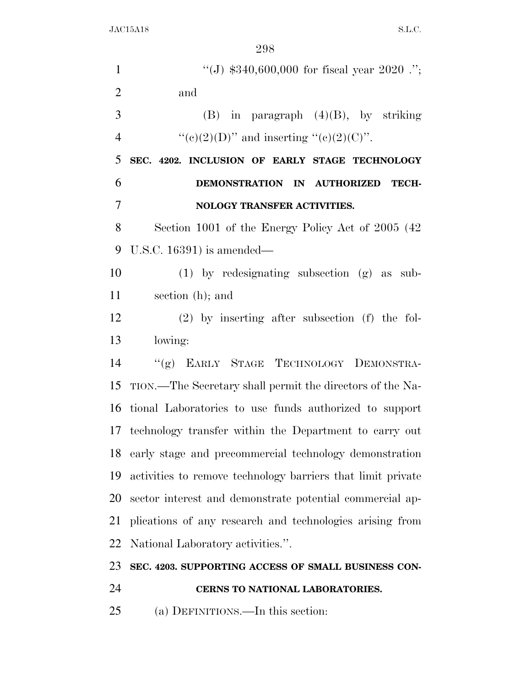| $\mathbf{1}$   | "(J) $$340,600,000$ for fiscal year 2020.";                 |
|----------------|-------------------------------------------------------------|
| $\overline{2}$ | and                                                         |
| 3              | $(B)$ in paragraph $(4)(B)$ , by striking                   |
| $\overline{4}$ | "(e)(2)(D)" and inserting "(e)(2)(C)".                      |
| 5              | SEC. 4202. INCLUSION OF EARLY STAGE TECHNOLOGY              |
| 6              | DEMONSTRATION IN<br><b>AUTHORIZED</b><br>TECH-              |
| 7              | <b>NOLOGY TRANSFER ACTIVITIES.</b>                          |
| 8              | Section 1001 of the Energy Policy Act of 2005 (42)          |
| 9              | U.S.C. $16391$ ) is amended—                                |
| 10             | $(1)$ by redesignating subsection $(g)$ as sub-             |
| 11             | section (h); and                                            |
| 12             | $(2)$ by inserting after subsection (f) the fol-            |
| 13             | lowing:                                                     |
| 14             | "(g) EARLY STAGE TECHNOLOGY DEMONSTRA-                      |
| 15             | TION.—The Secretary shall permit the directors of the Na-   |
| 16             | tional Laboratories to use funds authorized to support      |
|                | 17 technology transfer within the Department to carry out   |
| 18             | early stage and precommercial technology demonstration      |
| 19             | activities to remove technology barriers that limit private |
| 20             | sector interest and demonstrate potential commercial ap-    |
| 21             | plications of any research and technologies arising from    |
| 22             | National Laboratory activities.".                           |
| 23             | SEC. 4203. SUPPORTING ACCESS OF SMALL BUSINESS CON-         |
| 24             | CERNS TO NATIONAL LABORATORIES.                             |
| 25             | (a) DEFINITIONS.—In this section:                           |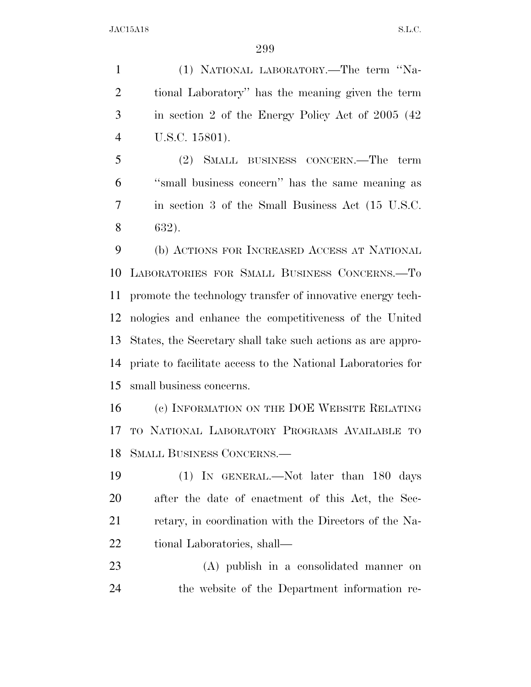(1) NATIONAL LABORATORY.—The term ''Na- tional Laboratory'' has the meaning given the term in section 2 of the Energy Policy Act of 2005 (42 U.S.C. 15801).

 (2) SMALL BUSINESS CONCERN.—The term ''small business concern'' has the same meaning as in section 3 of the Small Business Act (15 U.S.C. 632).

 (b) ACTIONS FOR INCREASED ACCESS AT NATIONAL LABORATORIES FOR SMALL BUSINESS CONCERNS.—To promote the technology transfer of innovative energy tech- nologies and enhance the competitiveness of the United States, the Secretary shall take such actions as are appro- priate to facilitate access to the National Laboratories for small business concerns.

 (c) INFORMATION ON THE DOE WEBSITE RELATING TO NATIONAL LABORATORY PROGRAMS AVAILABLE TO SMALL BUSINESS CONCERNS.—

 (1) IN GENERAL.—Not later than 180 days after the date of enactment of this Act, the Sec-21 retary, in coordination with the Directors of the Na-tional Laboratories, shall—

 (A) publish in a consolidated manner on the website of the Department information re-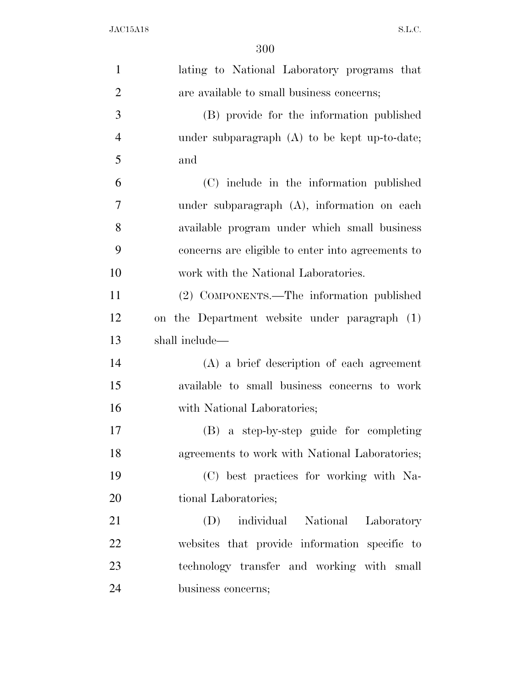| $\mathbf{1}$   | lating to National Laboratory programs that       |
|----------------|---------------------------------------------------|
| $\overline{2}$ | are available to small business concerns;         |
| 3              | (B) provide for the information published         |
| $\overline{4}$ | under subparagraph $(A)$ to be kept up-to-date;   |
| 5              | and                                               |
| 6              | (C) include in the information published          |
| $\overline{7}$ | under subparagraph (A), information on each       |
| 8              | available program under which small business      |
| 9              | concerns are eligible to enter into agreements to |
| 10             | work with the National Laboratories.              |
| 11             | (2) COMPONENTS.—The information published         |
| 12             | on the Department website under paragraph (1)     |
| 13             | shall include-                                    |
| 14             | $(A)$ a brief description of each agreement       |
| 15             | available to small business concerns to work      |
| 16             | with National Laboratories;                       |
| 17             | (B) a step-by-step guide for completing           |
| 18             | agreements to work with National Laboratories;    |
| 19             | (C) best practices for working with Na-           |
| 20             | tional Laboratories;                              |
| 21             | individual National<br>(D)<br>Laboratory          |
| 22             | websites that provide information specific to     |
| 23             | technology transfer and working with small        |
| 24             | business concerns;                                |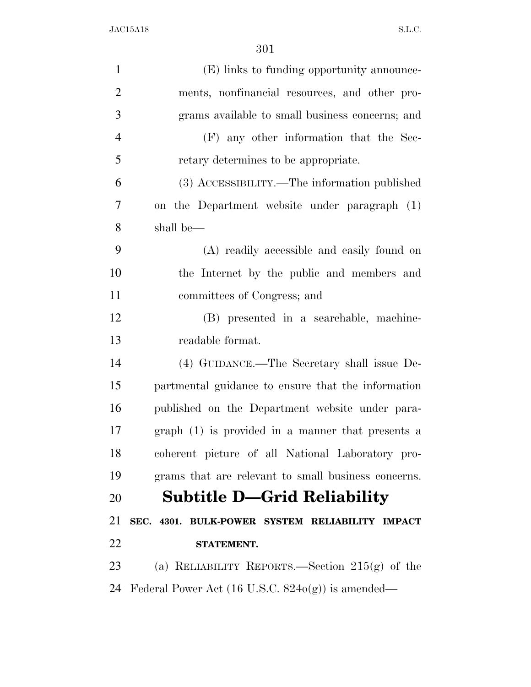| $\mathbf{1}$   | (E) links to funding opportunity announce-                   |
|----------------|--------------------------------------------------------------|
| $\overline{2}$ | ments, nonfinancial resources, and other pro-                |
| 3              | grams available to small business concerns; and              |
| $\overline{4}$ | (F) any other information that the Sec-                      |
| 5              | retary determines to be appropriate.                         |
| 6              | (3) ACCESSIBILITY.—The information published                 |
| 7              | on the Department website under paragraph (1)                |
| 8              | shall be—                                                    |
| 9              | (A) readily accessible and easily found on                   |
| 10             | the Internet by the public and members and                   |
| 11             | committees of Congress; and                                  |
| 12             | (B) presented in a searchable, machine-                      |
| 13             | readable format.                                             |
| 14             | (4) GUIDANCE.—The Secretary shall issue De-                  |
| 15             | partmental guidance to ensure that the information           |
| 16             | published on the Department website under para-              |
| 17             | graph (1) is provided in a manner that presents a            |
| 18             | coherent picture of all National Laboratory pro-             |
| 19             | grams that are relevant to small business concerns.          |
| 20             | <b>Subtitle D-Grid Reliability</b>                           |
| 21             | SEC. 4301. BULK-POWER SYSTEM RELIABILITY IMPACT              |
| 22             | STATEMENT.                                                   |
| 23             | (a) RELIABILITY REPORTS.—Section $215(g)$ of the             |
| 24             | Federal Power Act $(16 \text{ U.S.C. } 824o(g))$ is amended— |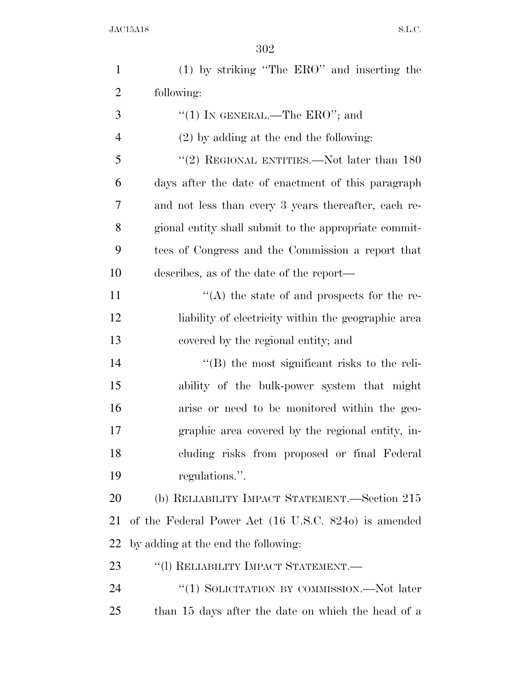| $\mathbf{1}$   | $(1)$ by striking "The ERO" and inserting the         |
|----------------|-------------------------------------------------------|
| $\overline{2}$ | following:                                            |
| 3              | "(1) IN GENERAL.—The ERO"; and                        |
| $\overline{4}$ | $(2)$ by adding at the end the following:             |
| 5              | "(2) REGIONAL ENTITIES.—Not later than $180\,$        |
| 6              | days after the date of enactment of this paragraph    |
| 7              | and not less than every 3 years thereafter, each re-  |
| 8              | gional entity shall submit to the appropriate commit- |
| 9              | tees of Congress and the Commission a report that     |
| 10             | describes, as of the date of the report—              |
| 11             | $\lq\lq$ the state of and prospects for the re-       |
| 12             | liability of electricity within the geographic area   |
| 13             | covered by the regional entity; and                   |
| 14             | $\lq$ (B) the most significant risks to the reli-     |
| 15             | ability of the bulk-power system that might           |
| 16             | arise or need to be monitored within the geo-         |
| 17             | graphic area covered by the regional entity, in-      |
| 18             | cluding risks from proposed or final Federal          |
| 19             | regulations.".                                        |
| 20             | (b) RELIABILITY IMPACT STATEMENT.—Section 215         |
| 21             | of the Federal Power Act (16 U.S.C. 824o) is amended  |
| 22             | by adding at the end the following:                   |
| 23             | "(1) RELIABILITY IMPACT STATEMENT.-                   |
| 24             | "(1) SOLICITATION BY COMMISSION.—Not later            |
| 25             | than 15 days after the date on which the head of a    |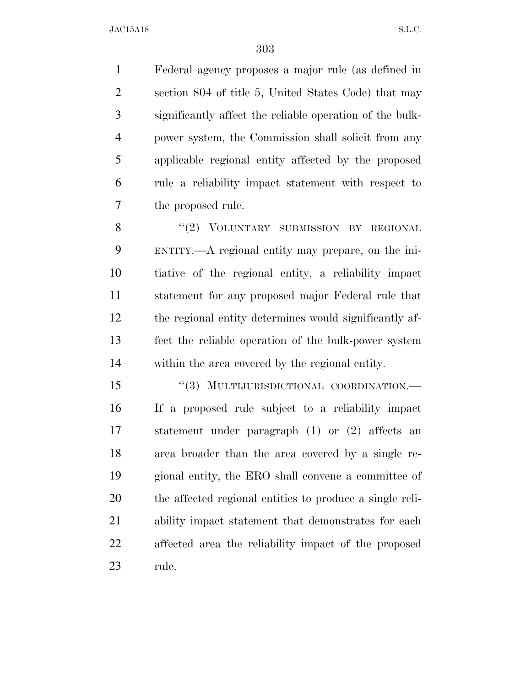Federal agency proposes a major rule (as defined in section 804 of title 5, United States Code) that may significantly affect the reliable operation of the bulk- power system, the Commission shall solicit from any applicable regional entity affected by the proposed rule a reliability impact statement with respect to the proposed rule.

8 "(2) VOLUNTARY SUBMISSION BY REGIONAL ENTITY.—A regional entity may prepare, on the ini- tiative of the regional entity, a reliability impact statement for any proposed major Federal rule that the regional entity determines would significantly af- fect the reliable operation of the bulk-power system within the area covered by the regional entity.

 ''(3) MULTIJURISDICTIONAL COORDINATION.— If a proposed rule subject to a reliability impact statement under paragraph (1) or (2) affects an area broader than the area covered by a single re- gional entity, the ERO shall convene a committee of the affected regional entities to produce a single reli- ability impact statement that demonstrates for each affected area the reliability impact of the proposed rule.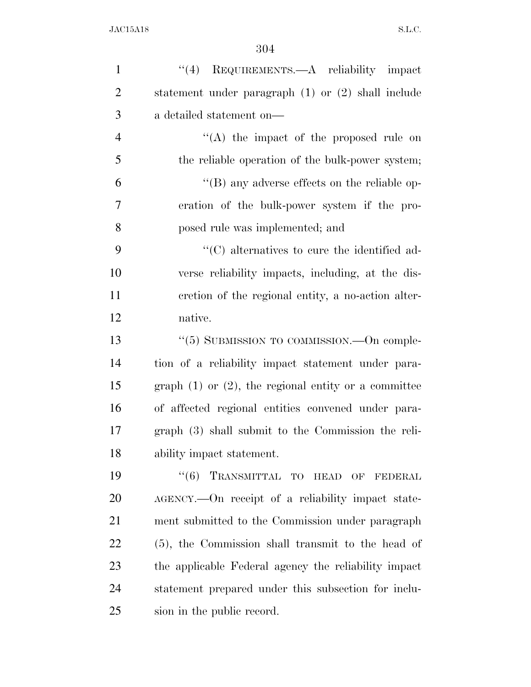| $\mathbf{1}$   | $\lq(4)$ REQUIREMENTS.—A reliability impact               |
|----------------|-----------------------------------------------------------|
| $\overline{2}$ | statement under paragraph $(1)$ or $(2)$ shall include    |
| 3              | a detailed statement on—                                  |
| $\overline{4}$ | $\lq\lq$ the impact of the proposed rule on               |
| 5              | the reliable operation of the bulk-power system;          |
| 6              | $\lq\lq$ (B) any adverse effects on the reliable op-      |
| $\tau$         | eration of the bulk-power system if the pro-              |
| 8              | posed rule was implemented; and                           |
| 9              | "(C) alternatives to cure the identified ad-              |
| 10             | verse reliability impacts, including, at the dis-         |
| 11             | cretion of the regional entity, a no-action alter-        |
| 12             | native.                                                   |
| 13             | "(5) SUBMISSION TO COMMISSION.—On comple-                 |
| 14             | tion of a reliability impact statement under para-        |
| 15             | graph $(1)$ or $(2)$ , the regional entity or a committee |
| 16             | of affected regional entities convened under para-        |
| 17             | graph (3) shall submit to the Commission the reli-        |
| 18             | ability impact statement.                                 |
| 19             | (6)<br>TRANSMITTAL TO HEAD OF<br>FEDERAL                  |
| 20             | AGENCY.—On receipt of a reliability impact state-         |
| 21             | ment submitted to the Commission under paragraph          |
| 22             | (5), the Commission shall transmit to the head of         |
| 23             | the applicable Federal agency the reliability impact      |
| 24             | statement prepared under this subsection for inclu-       |
| 25             | sion in the public record.                                |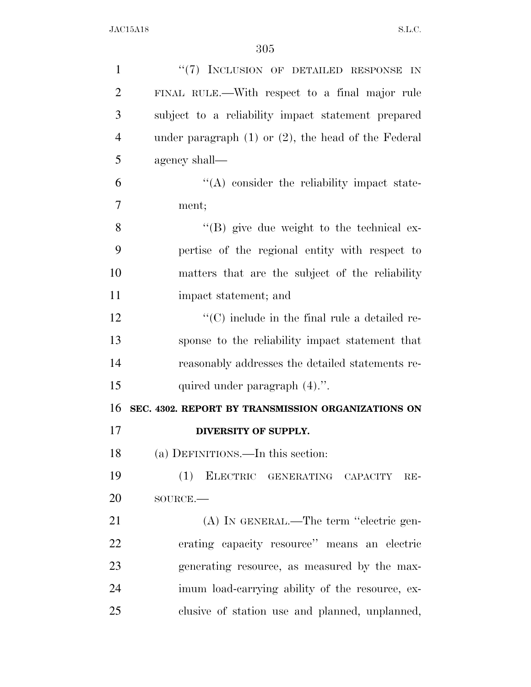| $\mathbf{1}$   | "(7) INCLUSION OF DETAILED RESPONSE IN                   |
|----------------|----------------------------------------------------------|
| $\overline{2}$ | FINAL RULE.—With respect to a final major rule           |
| 3              | subject to a reliability impact statement prepared       |
| $\overline{4}$ | under paragraph $(1)$ or $(2)$ , the head of the Federal |
| 5              | agency shall—                                            |
| 6              | $\lq\lq$ consider the reliability impact state-          |
| 7              | ment;                                                    |
| 8              | $\lq\lq (B)$ give due weight to the technical ex-        |
| 9              | pertise of the regional entity with respect to           |
| 10             | matters that are the subject of the reliability          |
| 11             | impact statement; and                                    |
| 12             | $\lq\lq$ (C) include in the final rule a detailed re-    |
| 13             | sponse to the reliability impact statement that          |
| 14             | reasonably addresses the detailed statements re-         |
| 15             | quired under paragraph $(4)$ .".                         |
| 16             | SEC. 4302. REPORT BY TRANSMISSION ORGANIZATIONS ON       |
| 17             | <b>DIVERSITY OF SUPPLY.</b>                              |
| 18             | (a) DEFINITIONS.—In this section:                        |
| 19             | (1) ELECTRIC GENERATING CAPACITY RE-                     |
| 20             | SOURCE.                                                  |
| 21             | (A) IN GENERAL.—The term "electric gen-                  |
| 22             | erating capacity resource" means an electric             |
| 23             | generating resource, as measured by the max-             |
| 24             | imum load-carrying ability of the resource, ex-          |
| 25             | clusive of station use and planned, unplanned,           |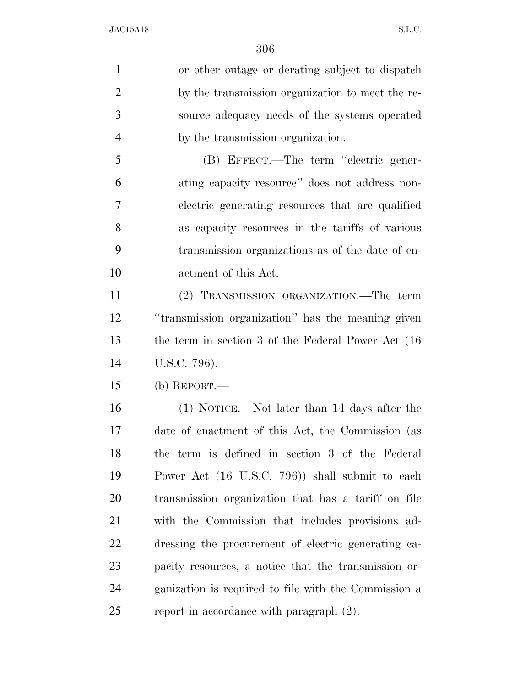or other outage or derating subject to dispatch by the transmission organization to meet the re- source adequacy needs of the systems operated by the transmission organization.

 (B) EFFECT.—The term ''electric gener- ating capacity resource'' does not address non- electric generating resources that are qualified as capacity resources in the tariffs of various transmission organizations as of the date of en-actment of this Act.

 (2) TRANSMISSION ORGANIZATION.—The term ''transmission organization'' has the meaning given the term in section 3 of the Federal Power Act (16 U.S.C. 796).

(b) REPORT.—

 (1) NOTICE.—Not later than 14 days after the date of enactment of this Act, the Commission (as the term is defined in section 3 of the Federal Power Act (16 U.S.C. 796)) shall submit to each transmission organization that has a tariff on file with the Commission that includes provisions ad- dressing the procurement of electric generating ca- pacity resources, a notice that the transmission or- ganization is required to file with the Commission a report in accordance with paragraph (2).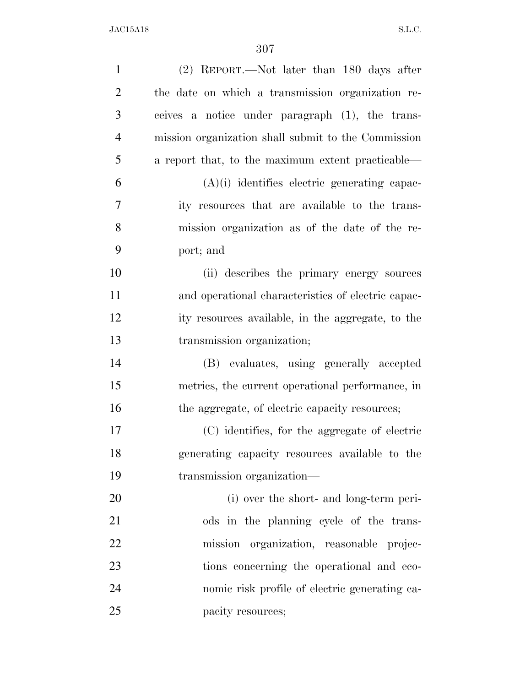| $\mathbf{1}$   | (2) REPORT.—Not later than 180 days after           |
|----------------|-----------------------------------------------------|
| $\overline{2}$ | the date on which a transmission organization re-   |
| 3              | ceives a notice under paragraph (1), the trans-     |
| $\overline{4}$ | mission organization shall submit to the Commission |
| 5              | a report that, to the maximum extent practicable—   |
| 6              | $(A)(i)$ identifies electric generating capac-      |
| 7              | ity resources that are available to the trans-      |
| 8              | mission organization as of the date of the re-      |
| 9              | port; and                                           |
| 10             | (ii) describes the primary energy sources           |
| 11             | and operational characteristics of electric capac-  |
| 12             | ity resources available, in the aggregate, to the   |
| 13             | transmission organization;                          |
| 14             | (B) evaluates, using generally accepted             |
| 15             | metrics, the current operational performance, in    |
| 16             | the aggregate, of electric capacity resources;      |
| 17             | (C) identifies, for the aggregate of electric       |
| 18             | generating capacity resources available to the      |
| 19             | transmission organization—                          |
| 20             | (i) over the short- and long-term peri-             |
| 21             | ods in the planning cycle of the trans-             |
| 22             | mission organization, reasonable projec-            |
| 23             | tions concerning the operational and eco-           |
| 24             | nomic risk profile of electric generating ca-       |
| 25             | pacity resources;                                   |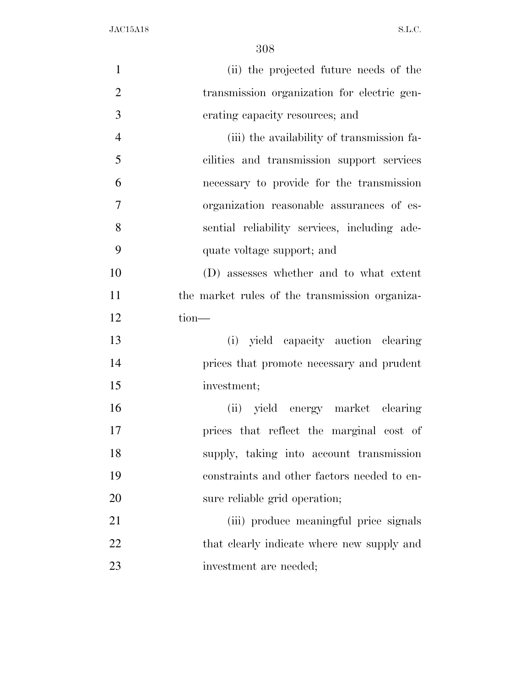| $\mathbf{1}$   | (ii) the projected future needs of the         |
|----------------|------------------------------------------------|
| $\overline{2}$ | transmission organization for electric gen-    |
| 3              | erating capacity resources; and                |
| $\overline{4}$ | (iii) the availability of transmission fa-     |
| 5              | cilities and transmission support services     |
| 6              | necessary to provide for the transmission      |
| 7              | organization reasonable assurances of es-      |
| 8              | sential reliability services, including ade-   |
| 9              | quate voltage support; and                     |
| 10             | (D) assesses whether and to what extent        |
| 11             | the market rules of the transmission organiza- |
| 12             | $tion$ —                                       |
| 13             | yield capacity auction clearing<br>(i)         |
| 14             | prices that promote necessary and prudent      |
| 15             | investment;                                    |
| 16             | (ii) yield energy market clearing              |
| 17             | prices that reflect the marginal cost of       |
| 18             | supply, taking into account transmission       |
| 19             | constraints and other factors needed to en-    |
| 20             | sure reliable grid operation;                  |
| 21             | (iii) produce meaningful price signals         |
| 22             | that clearly indicate where new supply and     |
| 23             | investment are needed;                         |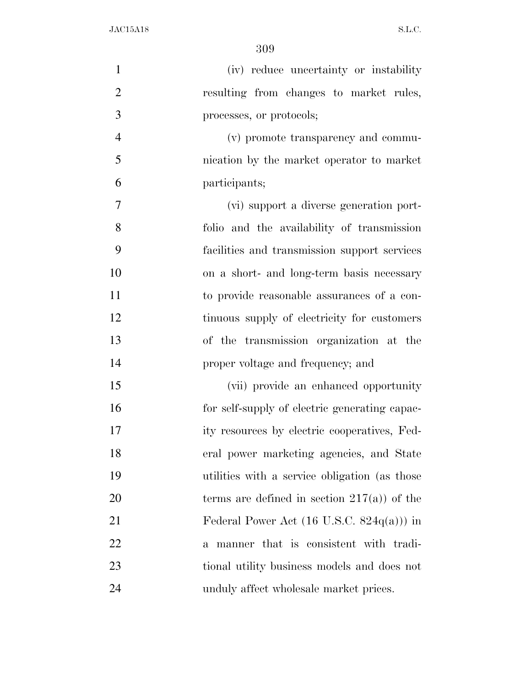| $\mathbf{1}$   | (iv) reduce uncertainty or instability              |
|----------------|-----------------------------------------------------|
| $\overline{2}$ | resulting from changes to market rules,             |
| 3              | processes, or protocols;                            |
| $\overline{4}$ | (v) promote transparency and commu-                 |
| 5              | nication by the market operator to market           |
| 6              | participants;                                       |
| 7              | (vi) support a diverse generation port-             |
| 8              | folio and the availability of transmission          |
| 9              | facilities and transmission support services        |
| 10             | on a short- and long-term basis necessary           |
| 11             | to provide reasonable assurances of a con-          |
| 12             | tinuous supply of electricity for customers         |
| 13             | of the transmission organization at the             |
| 14             | proper voltage and frequency; and                   |
| 15             | (vii) provide an enhanced opportunity               |
| 16             | for self-supply of electric generating capac-       |
| 17             | ity resources by electric cooperatives, Fed-        |
| 18             | eral power marketing agencies, and State            |
| 19             | utilities with a service obligation (as those       |
| 20             | terms are defined in section $217(a)$ of the        |
| 21             | Federal Power Act $(16 \text{ U.S.C. } 824q(a))$ in |
| 22             | a manner that is consistent with tradi-             |
| 23             | tional utility business models and does not         |
| 24             | unduly affect wholesale market prices.              |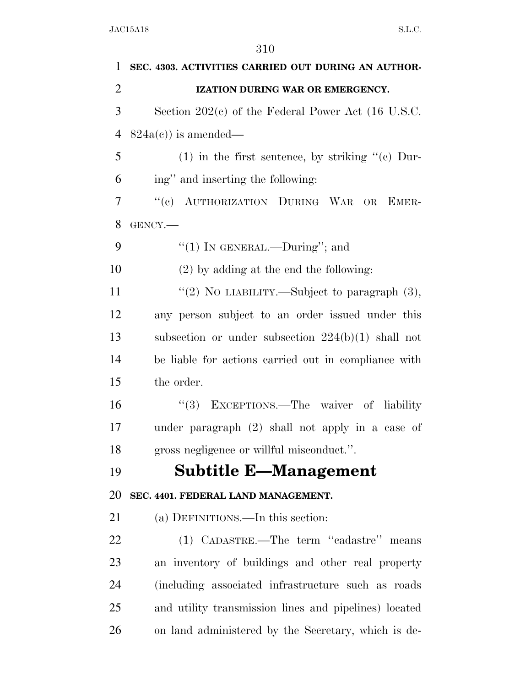| 1              | SEC. 4303. ACTIVITIES CARRIED OUT DURING AN AUTHOR-   |
|----------------|-------------------------------------------------------|
| $\overline{2}$ | IZATION DURING WAR OR EMERGENCY.                      |
| 3              | Section $202(c)$ of the Federal Power Act (16 U.S.C.  |
| $\overline{4}$ | $824a(c)$ is amended—                                 |
| 5              | $(1)$ in the first sentence, by striking " $(e)$ Dur- |
| 6              | ing" and inserting the following:                     |
| $\overline{7}$ | "(c) AUTHORIZATION DURING WAR OR EMER-                |
| 8              | GENCY.-                                               |
| 9              | "(1) IN GENERAL.—During"; and                         |
| 10             | $(2)$ by adding at the end the following:             |
| 11             | "(2) NO LIABILITY.—Subject to paragraph $(3)$ ,       |
| 12             | any person subject to an order issued under this      |
| 13             | subsection or under subsection $224(b)(1)$ shall not  |
| 14             | be liable for actions carried out in compliance with  |
| 15             | the order.                                            |
| 16             | "(3) EXCEPTIONS.—The waiver of liability              |
| 17             | under paragraph (2) shall not apply in a case of      |
| 18             | gross negligence or willful misconduct.".             |
| 19             | <b>Subtitle E-Management</b>                          |
| 20             | SEC. 4401. FEDERAL LAND MANAGEMENT.                   |
| 21             | (a) DEFINITIONS.—In this section:                     |
| 22             | (1) CADASTRE.—The term "cadastre" means               |
| 23             | an inventory of buildings and other real property     |
| 24             | (including associated infrastructure such as roads)   |
| 25             | and utility transmission lines and pipelines) located |
| 26             | on land administered by the Secretary, which is de-   |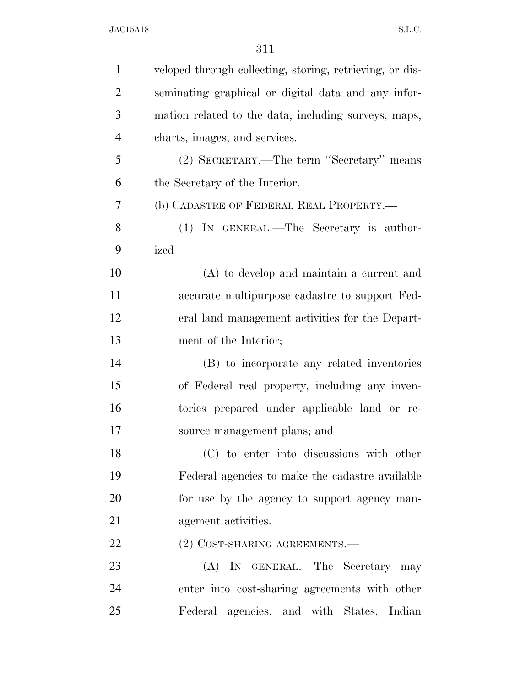| $\mathbf{1}$   | veloped through collecting, storing, retrieving, or dis- |
|----------------|----------------------------------------------------------|
| $\overline{2}$ | seminating graphical or digital data and any infor-      |
| 3              | mation related to the data, including surveys, maps,     |
| $\overline{4}$ | charts, images, and services.                            |
| 5              | (2) SECRETARY.—The term "Secretary" means                |
| 6              | the Secretary of the Interior.                           |
| 7              | (b) CADASTRE OF FEDERAL REAL PROPERTY.—                  |
| 8              | (1) IN GENERAL.—The Secretary is author-                 |
| 9              | ized—                                                    |
| 10             | $(A)$ to develop and maintain a current and              |
| 11             | accurate multipurpose cadastre to support Fed-           |
| 12             | eral land management activities for the Depart-          |
| 13             | ment of the Interior;                                    |
| 14             | (B) to incorporate any related inventories               |
| 15             | of Federal real property, including any inven-           |
| 16             | tories prepared under applicable land or re-             |
| 17             | source management plans; and                             |
| 18             | (C) to enter into discussions with other                 |
| 19             | Federal agencies to make the cadastre available          |
| 20             | for use by the agency to support agency man-             |
| 21             | agement activities.                                      |
| 22             | (2) COST-SHARING AGREEMENTS.-                            |
| 23             | (A) IN GENERAL.—The Secretary may                        |
| 24             | enter into cost-sharing agreements with other            |
| 25             | Federal agencies, and with States, Indian                |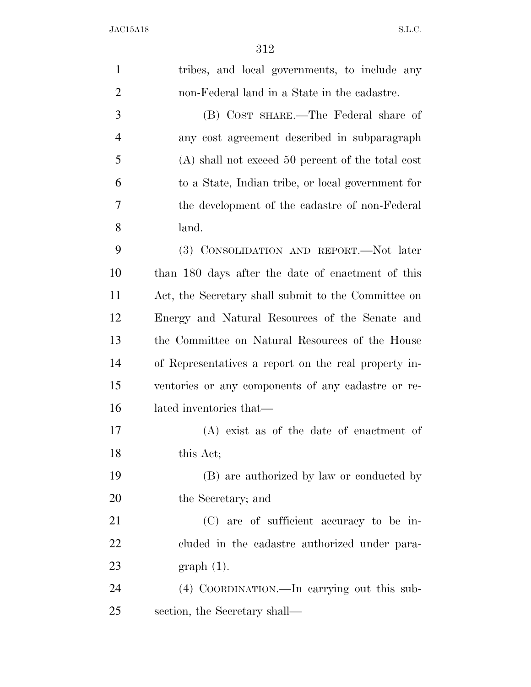| $\mathbf{1}$   | tribes, and local governments, to include any        |
|----------------|------------------------------------------------------|
| $\overline{2}$ | non-Federal land in a State in the cadastre.         |
| 3              | (B) COST SHARE.—The Federal share of                 |
| $\overline{4}$ | any cost agreement described in subparagraph         |
| 5              | $(A)$ shall not exceed 50 percent of the total cost  |
| 6              | to a State, Indian tribe, or local government for    |
| $\overline{7}$ | the development of the cadastre of non-Federal       |
| 8              | land.                                                |
| 9              | (3) CONSOLIDATION AND REPORT.—Not later              |
| 10             | than 180 days after the date of enactment of this    |
| 11             | Act, the Secretary shall submit to the Committee on  |
| 12             | Energy and Natural Resources of the Senate and       |
| 13             | the Committee on Natural Resources of the House      |
| 14             | of Representatives a report on the real property in- |
| 15             | ventories or any components of any cadastre or re-   |
| 16             | lated inventories that—                              |
| 17             | (A) exist as of the date of enactment of             |
| 18             | this Act;                                            |
| 19             | (B) are authorized by law or conducted by            |
| 20             | the Secretary; and                                   |
| 21             | (C) are of sufficient accuracy to be in-             |
| 22             | cluded in the cadastre authorized under para-        |
| 23             | $graph(1)$ .                                         |
| 24             | (4) COORDINATION.—In carrying out this sub-          |
| 25             | section, the Secretary shall—                        |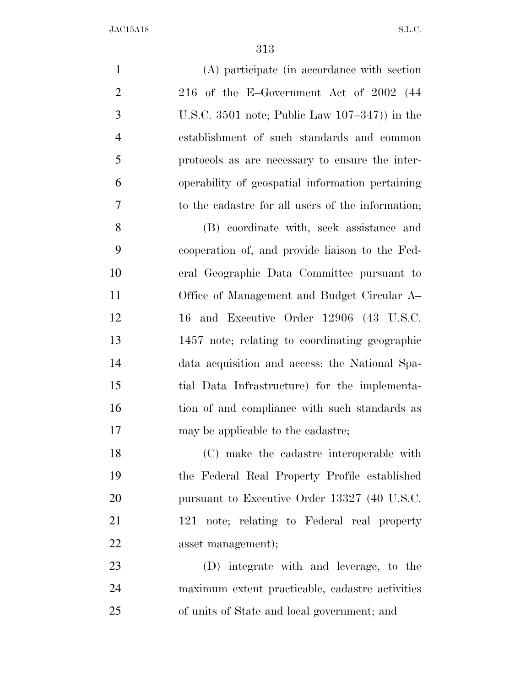(A) participate (in accordance with section 216 of the E–Government Act of 2002 (44 U.S.C. 3501 note; Public Law 107–347)) in the establishment of such standards and common protocols as are necessary to ensure the inter- operability of geospatial information pertaining to the cadastre for all users of the information; (B) coordinate with, seek assistance and cooperation of, and provide liaison to the Fed- eral Geographic Data Committee pursuant to Office of Management and Budget Circular A– 16 and Executive Order 12906 (43 U.S.C. 1457 note; relating to coordinating geographic data acquisition and access: the National Spa- tial Data Infrastructure) for the implementa-16 tion of and compliance with such standards as may be applicable to the cadastre; (C) make the cadastre interoperable with the Federal Real Property Profile established 20 pursuant to Executive Order 13327 (40 U.S.C. 121 note; relating to Federal real property 22 asset management); (D) integrate with and leverage, to the maximum extent practicable, cadastre activities

of units of State and local government; and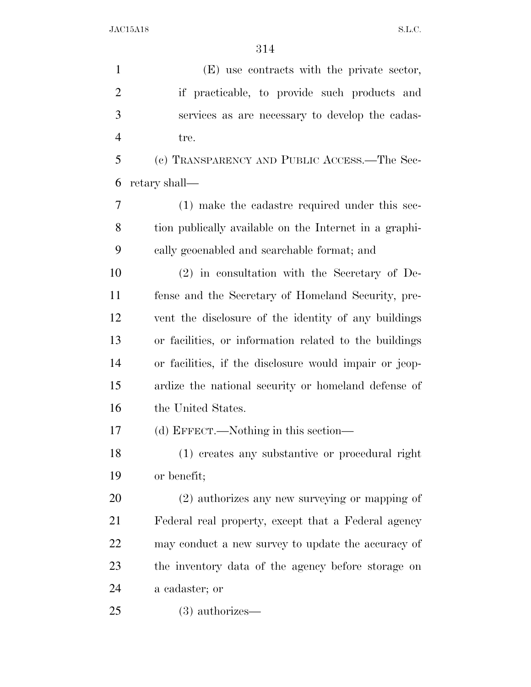| $\mathbf{1}$   | (E) use contracts with the private sector,             |
|----------------|--------------------------------------------------------|
| $\overline{2}$ | if practicable, to provide such products and           |
| 3              | services as are necessary to develop the cadas-        |
| $\overline{4}$ | tre.                                                   |
| 5              | (c) TRANSPARENCY AND PUBLIC ACCESS.—The Sec-           |
| 6              | retary shall—                                          |
| 7              | (1) make the cadastre required under this sec-         |
| 8              | tion publically available on the Internet in a graphi- |
| 9              | cally geoenabled and searchable format; and            |
| 10             | $(2)$ in consultation with the Secretary of De-        |
| 11             | fense and the Secretary of Homeland Security, pre-     |
| 12             | vent the disclosure of the identity of any buildings   |
| 13             | or facilities, or information related to the buildings |
| 14             | or facilities, if the disclosure would impair or jeop- |
| 15             | ardize the national security or homeland defense of    |
| 16             | the United States.                                     |
| 17             | (d) EFFECT.—Nothing in this section—                   |
| 18             | (1) creates any substantive or procedural right        |
| 19             | or benefit;                                            |
| 20             | $(2)$ authorizes any new surveying or mapping of       |
| 21             | Federal real property, except that a Federal agency    |
| 22             | may conduct a new survey to update the accuracy of     |
| 23             | the inventory data of the agency before storage on     |
| 24             | a cadaster; or                                         |
| 25             | $(3)$ authorizes—                                      |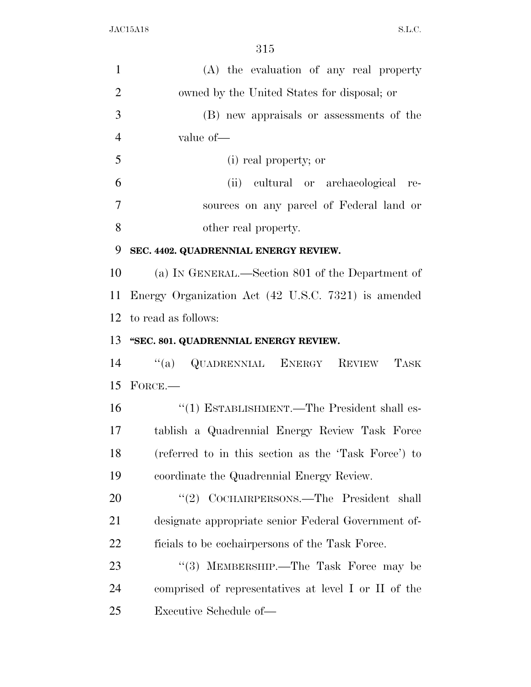| $\mathbf{1}$   | (A) the evaluation of any real property              |
|----------------|------------------------------------------------------|
| $\overline{2}$ | owned by the United States for disposal; or          |
| 3              | (B) new appraisals or assessments of the             |
| $\overline{4}$ | value of-                                            |
| 5              | (i) real property; or                                |
| 6              | (ii) cultural or archaeological re-                  |
| 7              | sources on any parcel of Federal land or             |
| 8              | other real property.                                 |
| 9              | SEC. 4402. QUADRENNIAL ENERGY REVIEW.                |
| 10             | (a) IN GENERAL.—Section 801 of the Department of     |
| 11             | Energy Organization Act (42 U.S.C. 7321) is amended  |
|                | 12 to read as follows:                               |
| 13             | "SEC. 801. QUADRENNIAL ENERGY REVIEW.                |
| 14             | "(a) QUADRENNIAL ENERGY REVIEW TASK                  |
| 15             | $FORCE$ .                                            |
| 16             | "(1) ESTABLISHMENT.—The President shall es-          |
| 17             | tablish a Quadrennial Energy Review Task Force       |
| 18             | (referred to in this section as the 'Task Force') to |
| 19             | coordinate the Quadrennial Energy Review.            |
| 20             | COCHAIRPERSONS.—The President shall<br>(2)           |
| 21             | designate appropriate senior Federal Government of-  |
| 22             | ficials to be cochairpersons of the Task Force.      |
| 23             | "(3) MEMBERSHIP.—The Task Force may be               |
| 24             | comprised of representatives at level I or II of the |
| 25             | Executive Schedule of-                               |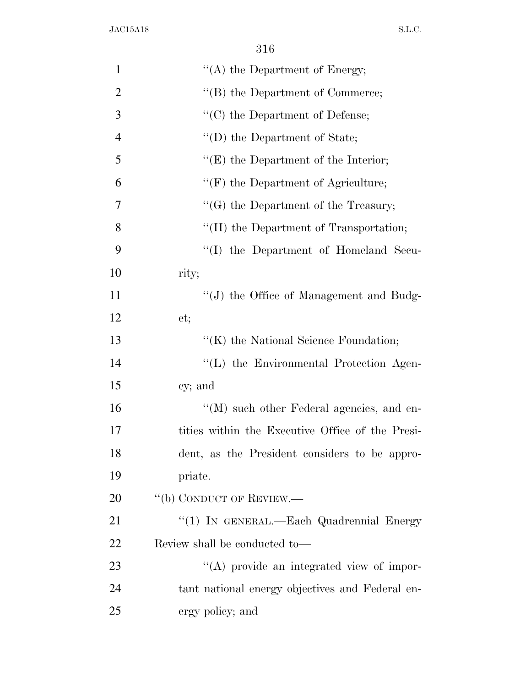| $\mathbf{1}$   | $\lq\lq$ the Department of Energy;                |
|----------------|---------------------------------------------------|
| $\overline{2}$ | "(B) the Department of Commerce;                  |
| 3              | $\lq\lq$ (C) the Department of Defense;           |
| $\overline{4}$ | "(D) the Department of State;                     |
| 5              | $\lq\lq(E)$ the Department of the Interior;       |
| 6              | $\lq\lq(F)$ the Department of Agriculture;        |
| 7              | $\lq\lq(G)$ the Department of the Treasury;       |
| 8              | "(H) the Department of Transportation;            |
| 9              | "(I) the Department of Homeland Secu-             |
| 10             | rity;                                             |
| 11             | $\lq\lq(J)$ the Office of Management and Budg-    |
| 12             | et;                                               |
| 13             | $\lq\lq$ (K) the National Science Foundation;     |
| 14             | "(L) the Environmental Protection Agen-           |
| 15             | cy; and                                           |
| 16             | $\lq\lq (M)$ such other Federal agencies, and en- |
| 17             | tities within the Executive Office of the Presi-  |
| 18             | dent, as the President considers to be appro-     |
| 19             | priate.                                           |
| 20             | "(b) CONDUCT OF REVIEW.—                          |
| 21             | "(1) IN GENERAL.—Each Quadrennial Energy          |
| 22             | Review shall be conducted to—                     |
| 23             | "(A) provide an integrated view of impor-         |
| 24             | tant national energy objectives and Federal en-   |
| 25             | ergy policy; and                                  |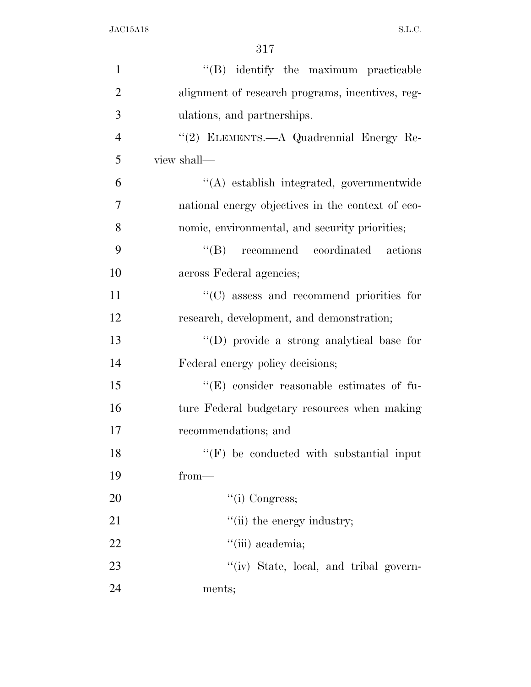| $\mathbf{1}$   | "(B) identify the maximum practicable             |
|----------------|---------------------------------------------------|
| $\overline{2}$ | alignment of research programs, incentives, reg-  |
| 3              | ulations, and partnerships.                       |
| $\overline{4}$ | "(2) ELEMENTS.-A Quadrennial Energy Re-           |
| 5              | view shall—                                       |
| 6              | "(A) establish integrated, governmentwide         |
| 7              | national energy objectives in the context of eco- |
| 8              | nomic, environmental, and security priorities;    |
| 9              | "(B) recommend coordinated actions                |
| 10             | across Federal agencies;                          |
| 11             | "(C) assess and recommend priorities for          |
| 12             | research, development, and demonstration;         |
| 13             | "(D) provide a strong analytical base for         |
| 14             | Federal energy policy decisions;                  |
| 15             | $\lq\lq$ consider reasonable estimates of fu-     |
| 16             | ture Federal budgetary resources when making      |
| 17             | recommendations; and                              |
| 18             | "(F) be conducted with substantial input          |
| 19             | $from-$                                           |
| 20             | $``(i)$ Congress;                                 |
| 21             | "(ii) the energy industry;                        |
| 22             | "(iii) academia;                                  |
| 23             | "(iv) State, local, and tribal govern-            |
| 24             | ments;                                            |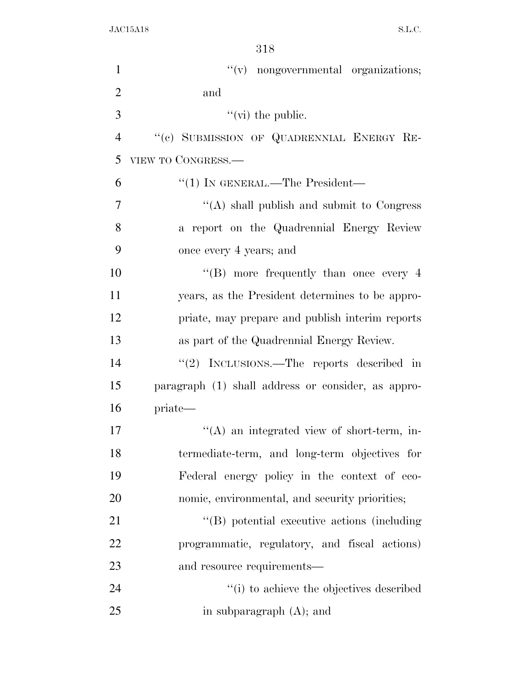| $\mathbf{1}$   | "(v) nongovernmental organizations;                |
|----------------|----------------------------------------------------|
| $\overline{2}$ | and                                                |
| 3              | $\lq\lq$ (vi) the public.                          |
| $\overline{4}$ | "(c) SUBMISSION OF QUADRENNIAL ENERGY RE-          |
| 5              | VIEW TO CONGRESS.—                                 |
| 6              | "(1) IN GENERAL.—The President—                    |
| 7              | "(A) shall publish and submit to Congress          |
| 8              | a report on the Quadrennial Energy Review          |
| 9              | once every 4 years; and                            |
| 10             | $\lq\lq (B)$ more frequently than once every 4     |
| 11             | years, as the President determines to be appro-    |
| 12             | priate, may prepare and publish interim reports    |
| 13             | as part of the Quadrennial Energy Review.          |
| 14             | "(2) INCLUSIONS.—The reports described in          |
| 15             | paragraph (1) shall address or consider, as appro- |
| 16             | priate—                                            |
| 17             | "(A) an integrated view of short-term, in-         |
| 18             | termediate-term, and long-term objectives for      |
| 19             | Federal energy policy in the context of eco-       |
| 20             | nomic, environmental, and security priorities;     |
| 21             | "(B) potential executive actions (including        |
| 22             | programmatic, regulatory, and fiscal actions)      |
| 23             | and resource requirements—                         |
| 24             | "(i) to achieve the objectives described           |
| 25             | in subparagraph $(A)$ ; and                        |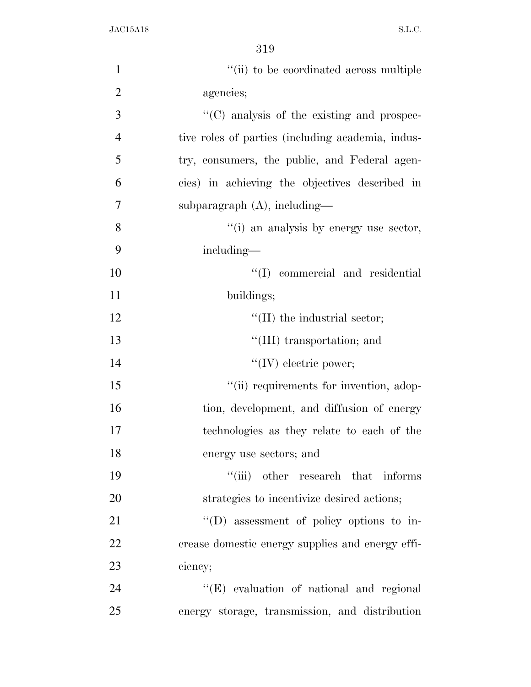| $\mathbf{1}$   | "(ii) to be coordinated across multiple           |
|----------------|---------------------------------------------------|
| $\overline{2}$ | agencies;                                         |
| 3              | $\cdot$ (C) analysis of the existing and prospec- |
| $\overline{4}$ | tive roles of parties (including academia, indus- |
| 5              | try, consumers, the public, and Federal agen-     |
| 6              | cies) in achieving the objectives described in    |
| $\overline{7}$ | subparagraph $(A)$ , including—                   |
| 8              | "(i) an analysis by energy use sector,            |
| 9              | including—                                        |
| 10             | "(I) commercial and residential                   |
| 11             | buildings;                                        |
| 12             | $\lq\lq$ (II) the industrial sector;              |
| 13             | "(III) transportation; and                        |
| 14             | "(IV) electric power;                             |
| 15             | "(ii) requirements for invention, adop-           |
| 16             | tion, development, and diffusion of energy        |
| 17             | technologies as they relate to each of the        |
| 18             | energy use sectors; and                           |
| 19             | "(iii) other research that informs                |
| 20             | strategies to incentivize desired actions;        |
| 21             | $\lq\lq$ assessment of policy options to in-      |
| 22             | crease domestic energy supplies and energy effi-  |
| 23             | ciency;                                           |
| 24             | "(E) evaluation of national and regional          |
| 25             | energy storage, transmission, and distribution    |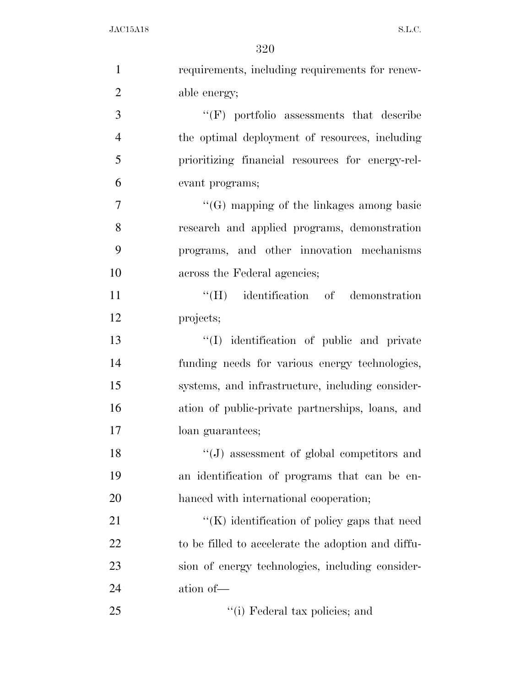| $\mathbf{1}$   | requirements, including requirements for renew-    |
|----------------|----------------------------------------------------|
| $\overline{2}$ | able energy;                                       |
| 3              | $``(F)$ portfolio assessments that describe        |
| $\overline{4}$ | the optimal deployment of resources, including     |
| 5              | prioritizing financial resources for energy-rel-   |
| 6              | evant programs;                                    |
| 7              | $\lq\lq(G)$ mapping of the linkages among basic    |
| 8              | research and applied programs, demonstration       |
| 9              | programs, and other innovation mechanisms          |
| 10             | across the Federal agencies;                       |
| 11             | "(H) identification of demonstration               |
| 12             | projects;                                          |
| 13             | "(I) identification of public and private          |
| 14             | funding needs for various energy technologies,     |
| 15             | systems, and infrastructure, including consider-   |
| 16             | ation of public-private partnerships, loans, and   |
| 17             | loan guarantees;                                   |
| 18             | "(J) assessment of global competitors and          |
| 19             | an identification of programs that can be en-      |
| 20             | hanced with international cooperation;             |
| 21             | $\lq\lq$ identification of policy gaps that need   |
| 22             | to be filled to accelerate the adoption and diffu- |
| 23             | sion of energy technologies, including consider-   |
| 24             | ation of-                                          |
| 25             | "(i) Federal tax policies; and                     |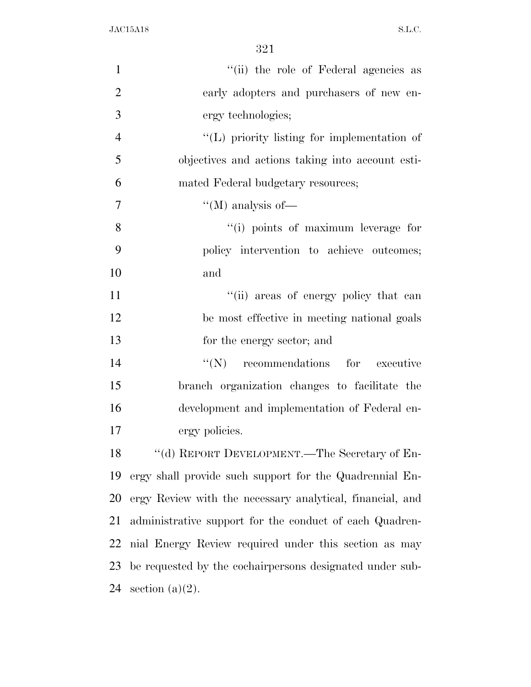| $\mathbf{1}$   | "(ii) the role of Federal agencies as                     |
|----------------|-----------------------------------------------------------|
| $\overline{2}$ | early adopters and purchasers of new en-                  |
| 3              | ergy technologies;                                        |
| $\overline{4}$ | $\lq\lq$ . (L) priority listing for implementation of     |
| 5              | objectives and actions taking into account esti-          |
| 6              | mated Federal budgetary resources;                        |
| $\overline{7}$ | "(M) analysis of—                                         |
| 8              | "(i) points of maximum leverage for                       |
| 9              | policy intervention to achieve outcomes;                  |
| 10             | and                                                       |
| 11             | "(ii) areas of energy policy that can                     |
| 12             | be most effective in meeting national goals               |
| 13             | for the energy sector; and                                |
| 14             | $f'(N)$ recommendations for<br>executive                  |
| 15             | branch organization changes to facilitate the             |
| 16             | development and implementation of Federal en-             |
| 17             | ergy policies.                                            |
| 18             | "(d) REPORT DEVELOPMENT.—The Secretary of En-             |
| 19             | ergy shall provide such support for the Quadrennial En-   |
| 20             | ergy Review with the necessary analytical, financial, and |
| 21             | administrative support for the conduct of each Quadren-   |
| 22             | mial Energy Review required under this section as may     |
| 23             | be requested by the cochairpersons designated under sub-  |
| 24             | section $(a)(2)$ .                                        |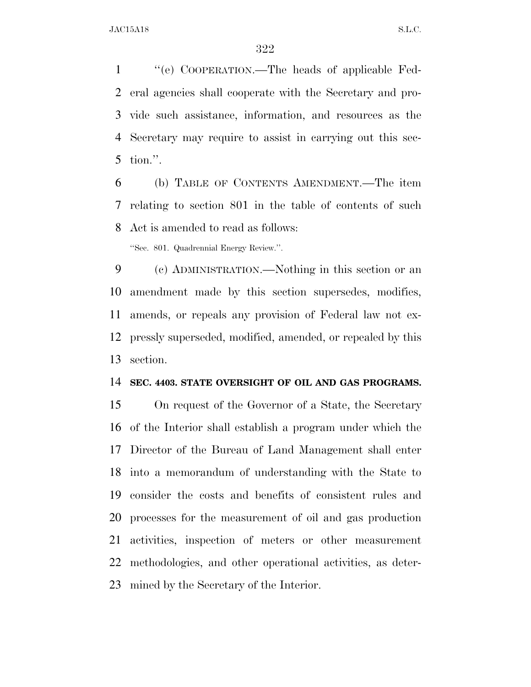''(e) COOPERATION.—The heads of applicable Fed- eral agencies shall cooperate with the Secretary and pro- vide such assistance, information, and resources as the Secretary may require to assist in carrying out this sec-tion.''.

 (b) TABLE OF CONTENTS AMENDMENT.—The item relating to section 801 in the table of contents of such Act is amended to read as follows:

''Sec. 801. Quadrennial Energy Review.''.

 (c) ADMINISTRATION.—Nothing in this section or an amendment made by this section supersedes, modifies, amends, or repeals any provision of Federal law not ex- pressly superseded, modified, amended, or repealed by this section.

## **SEC. 4403. STATE OVERSIGHT OF OIL AND GAS PROGRAMS.**

 On request of the Governor of a State, the Secretary of the Interior shall establish a program under which the Director of the Bureau of Land Management shall enter into a memorandum of understanding with the State to consider the costs and benefits of consistent rules and processes for the measurement of oil and gas production activities, inspection of meters or other measurement methodologies, and other operational activities, as deter-mined by the Secretary of the Interior.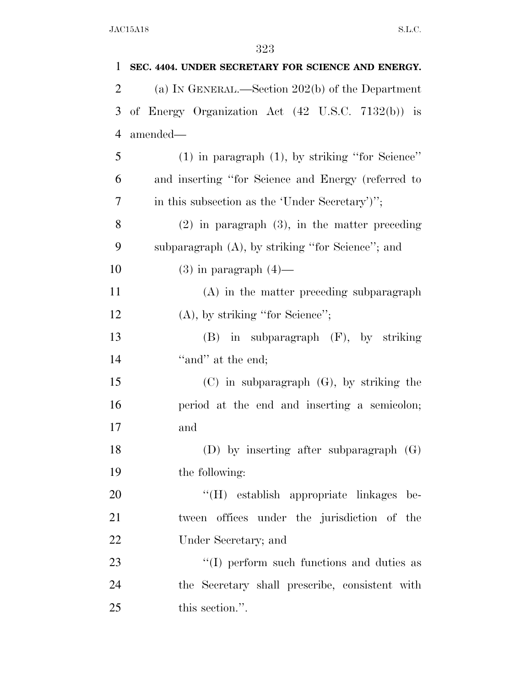| 1              | SEC. 4404. UNDER SECRETARY FOR SCIENCE AND ENERGY.   |
|----------------|------------------------------------------------------|
| $\overline{2}$ | (a) IN GENERAL.—Section $202(b)$ of the Department   |
| 3              | of Energy Organization Act (42 U.S.C. 7132(b)) is    |
| $\overline{4}$ | amended—                                             |
| 5              | $(1)$ in paragraph $(1)$ , by striking "for Science" |
| 6              | and inserting "for Science and Energy (referred to   |
| 7              | in this subsection as the 'Under Secretary')";       |
| 8              | $(2)$ in paragraph $(3)$ , in the matter preceding   |
| 9              | subparagraph $(A)$ , by striking "for Science"; and  |
| 10             | $(3)$ in paragraph $(4)$ —                           |
| 11             | (A) in the matter preceding subparagraph             |
| 12             | $(A)$ , by striking "for Science";                   |
| 13             | $(B)$ in subparagraph $(F)$ , by striking            |
| 14             | "and" at the end;                                    |
| 15             | $(C)$ in subparagraph $(G)$ , by striking the        |
| 16             | period at the end and inserting a semicolon;         |
| 17             | and                                                  |
| 18             | (D) by inserting after subparagraph $(G)$            |
| 19             | the following:                                       |
| 20             | "(H) establish appropriate linkages be-              |
| 21             | tween offices under the jurisdiction of the          |
| 22             | Under Secretary; and                                 |
| 23             | "(I) perform such functions and duties as            |
| 24             | the Secretary shall prescribe, consistent with       |
| 25             | this section.".                                      |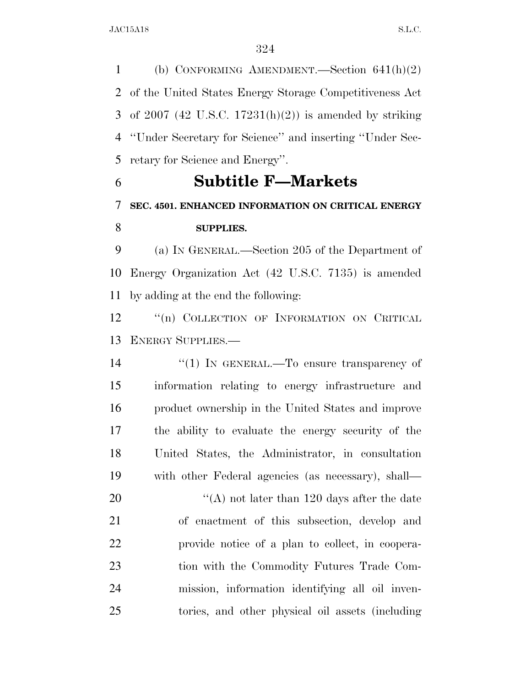(b) CONFORMING AMENDMENT.—Section 641(h)(2) of the United States Energy Storage Competitiveness Act of 2007 (42 U.S.C. 17231(h)(2)) is amended by striking ''Under Secretary for Science'' and inserting ''Under Sec-retary for Science and Energy''.

## **Subtitle F—Markets**

## **SEC. 4501. ENHANCED INFORMATION ON CRITICAL ENERGY SUPPLIES.**

 (a) IN GENERAL.—Section 205 of the Department of Energy Organization Act (42 U.S.C. 7135) is amended by adding at the end the following:

12 "(n) COLLECTION OF INFORMATION ON CRITICAL ENERGY SUPPLIES.—

 $(1)$  IN GENERAL.—To ensure transparency of information relating to energy infrastructure and product ownership in the United States and improve the ability to evaluate the energy security of the United States, the Administrator, in consultation with other Federal agencies (as necessary), shall—

20 ''(A) not later than 120 days after the date of enactment of this subsection, develop and provide notice of a plan to collect, in coopera- tion with the Commodity Futures Trade Com- mission, information identifying all oil inven-tories, and other physical oil assets (including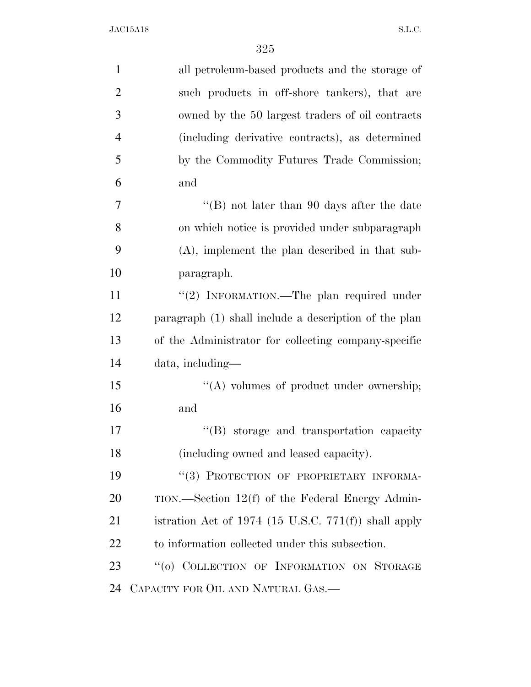| $\mathbf{1}$   | all petroleum-based products and the storage of        |
|----------------|--------------------------------------------------------|
| $\overline{2}$ | such products in off-shore tankers), that are          |
| 3              | owned by the 50 largest traders of oil contracts       |
| $\overline{4}$ | (including derivative contracts), as determined        |
| 5              | by the Commodity Futures Trade Commission;             |
| 6              | and                                                    |
| 7              | "(B) not later than $90$ days after the date           |
| 8              | on which notice is provided under subparagraph         |
| 9              | $(A)$ , implement the plan described in that sub-      |
| 10             | paragraph.                                             |
| 11             | "(2) INFORMATION.—The plan required under              |
| 12             | paragraph (1) shall include a description of the plan  |
| 13             | of the Administrator for collecting company-specific   |
| 14             | data, including—                                       |
| 15             | "(A) volumes of product under ownership;               |
| 16             | and                                                    |
| 17             | "(B) storage and transportation capacity               |
| 18             | (including owned and leased capacity).                 |
| 19             | "(3) PROTECTION OF PROPRIETARY INFORMA-                |
| 20             | $TION.$ Section 12(f) of the Federal Energy Admin-     |
| 21             | istration Act of $1974$ (15 U.S.C. 771(f)) shall apply |
| 22             | to information collected under this subsection.        |
| 23             | "(0) COLLECTION OF INFORMATION ON STORAGE              |
| 24             | CAPACITY FOR OIL AND NATURAL GAS.-                     |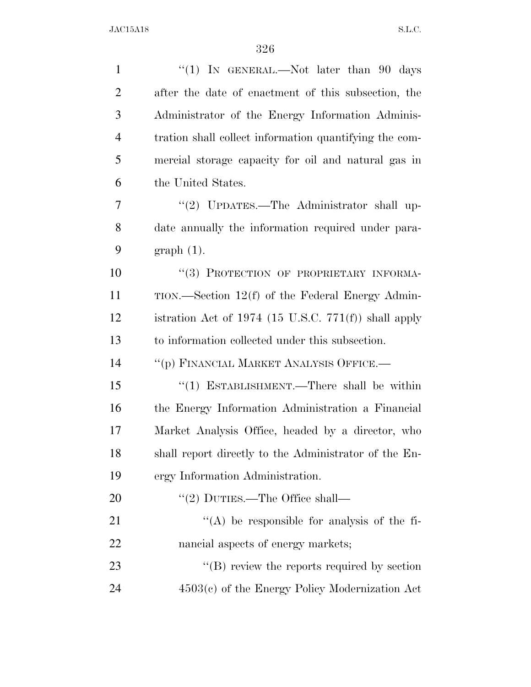| $\mathbf{1}$   | "(1) IN GENERAL.—Not later than 90 days                 |
|----------------|---------------------------------------------------------|
| $\overline{2}$ | after the date of enactment of this subsection, the     |
| 3              | Administrator of the Energy Information Adminis-        |
| $\overline{4}$ | tration shall collect information quantifying the com-  |
| 5              | mercial storage capacity for oil and natural gas in     |
| 6              | the United States.                                      |
| 7              | "(2) UPDATES.—The Administrator shall up-               |
| 8              | date annually the information required under para-      |
| 9              | $graph(1)$ .                                            |
| 10             | "(3) PROTECTION OF PROPRIETARY INFORMA-                 |
| 11             | $TION.$ Section 12(f) of the Federal Energy Admin-      |
| 12             | istration Act of 1974 (15 U.S.C. $771(f)$ ) shall apply |
| 13             | to information collected under this subsection.         |
| 14             | "(p) FINANCIAL MARKET ANALYSIS OFFICE.—                 |
| 15             | "(1) ESTABLISHMENT.—There shall be within               |
| 16             | the Energy Information Administration a Financial       |
| 17             | Market Analysis Office, headed by a director, who       |
| 18             | shall report directly to the Administrator of the En-   |
| 19             | ergy Information Administration.                        |
| 20             | "(2) DUTIES.—The Office shall—                          |
| 21             | "(A) be responsible for analysis of the fi-             |
| 22             | nancial aspects of energy markets;                      |
| 23             | $\lq\lq (B)$ review the reports required by section     |
| 24             | $4503(c)$ of the Energy Policy Modernization Act        |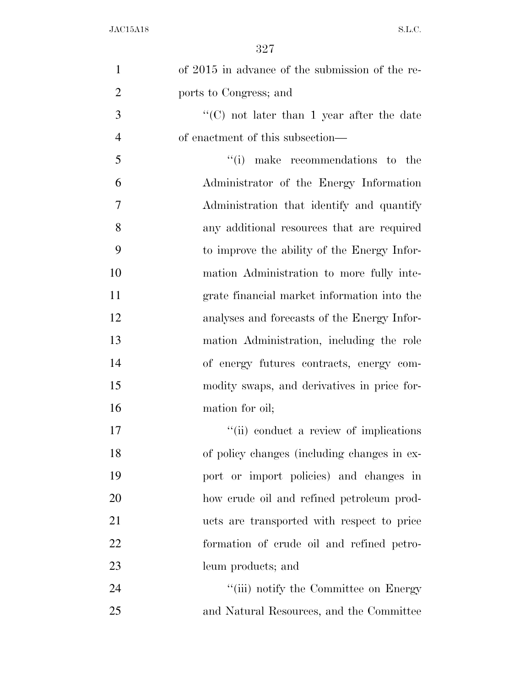| $\mathbf{1}$   | of 2015 in advance of the submission of the re- |
|----------------|-------------------------------------------------|
| $\overline{2}$ | ports to Congress; and                          |
| 3              | "(C) not later than 1 year after the date       |
| $\overline{4}$ | of enactment of this subsection—                |
| 5              | make recommendations to the<br>``(i)            |
| 6              | Administrator of the Energy Information         |
| 7              | Administration that identify and quantify       |
| 8              | any additional resources that are required      |
| 9              | to improve the ability of the Energy Infor-     |
| 10             | mation Administration to more fully inte-       |
| 11             | grate financial market information into the     |
| 12             | analyses and forecasts of the Energy Infor-     |
| 13             | mation Administration, including the role       |
| 14             | of energy futures contracts, energy com-        |
| 15             | modity swaps, and derivatives in price for-     |
| 16             | mation for oil;                                 |
| 17             | "(ii) conduct a review of implications          |
| 18             | of policy changes (including changes in ex-     |
| 19             | port or import policies) and changes in         |
| 20             | how crude oil and refined petroleum prod-       |
| 21             | ucts are transported with respect to price      |
| 22             | formation of crude oil and refined petro-       |
| 23             | leum products; and                              |
| 24             | "(iii) notify the Committee on Energy           |
| 25             | and Natural Resources, and the Committee        |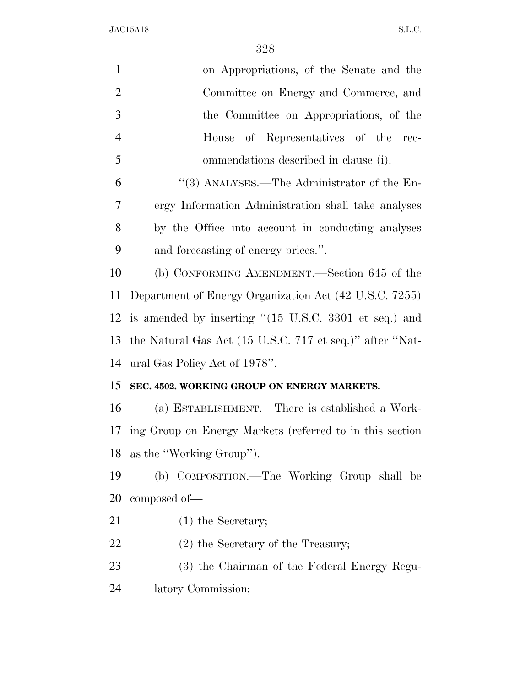JAC15A18 S.L.C.

| $\mathbf{1}$   | on Appropriations, of the Senate and the                 |
|----------------|----------------------------------------------------------|
| $\overline{2}$ | Committee on Energy and Commerce, and                    |
| 3              | the Committee on Appropriations, of the                  |
| $\overline{4}$ | House of Representatives of the rec-                     |
| 5              | ommendations described in clause (i).                    |
| 6              | $\cdot\cdot$ (3) ANALYSES.—The Administrator of the En-  |
| 7              | ergy Information Administration shall take analyses      |
| 8              | by the Office into account in conducting analyses        |
| 9              | and forecasting of energy prices.".                      |
| 10             | (b) CONFORMING AMENDMENT.—Section 645 of the             |
| 11             | Department of Energy Organization Act (42 U.S.C. 7255)   |
| 12             | is amended by inserting "(15 U.S.C. 3301 et seq.) and    |
| 13             | the Natural Gas Act (15 U.S.C. 717 et seq.)" after "Nat- |
| 14             | ural Gas Policy Act of 1978".                            |
| 15             | SEC. 4502. WORKING GROUP ON ENERGY MARKETS.              |
| 16             | (a) ESTABLISHMENT.—There is established a Work-          |
| 17             | ing Group on Energy Markets (referred to in this section |
|                | 18 as the "Working Group").                              |
| 19             | (b) COMPOSITION.—The Working Group shall be              |
| 20             | composed of—                                             |
| 21             | $(1)$ the Secretary;                                     |
| 22             | $(2)$ the Secretary of the Treasury;                     |
| 23             | (3) the Chairman of the Federal Energy Regu-             |
| 24             | latory Commission;                                       |
|                |                                                          |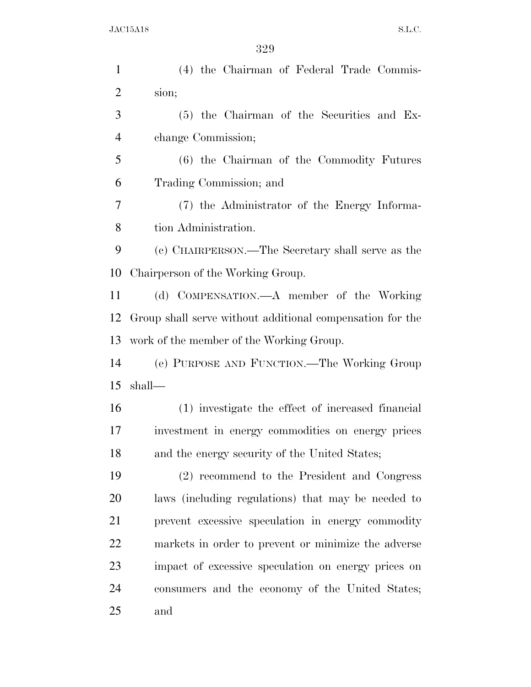| $\mathbf{1}$   | (4) the Chairman of Federal Trade Commis-                 |
|----------------|-----------------------------------------------------------|
| $\overline{2}$ | sion;                                                     |
| 3              | $(5)$ the Chairman of the Securities and Ex-              |
| $\overline{4}$ | change Commission;                                        |
| 5              | (6) the Chairman of the Commodity Futures                 |
| 6              | Trading Commission; and                                   |
| 7              | (7) the Administrator of the Energy Informa-              |
| 8              | tion Administration.                                      |
| 9              | (c) CHAIRPERSON.—The Secretary shall serve as the         |
| 10             | Chairperson of the Working Group.                         |
| 11             | (d) COMPENSATION.—A member of the Working                 |
| 12             | Group shall serve without additional compensation for the |
| 13             | work of the member of the Working Group.                  |
| 14             | (e) PURPOSE AND FUNCTION.—The Working Group               |
| 15             | shall—                                                    |
| 16             | (1) investigate the effect of increased financial         |
| 17             | investment in energy commodities on energy prices         |
| 18             | and the energy security of the United States;             |
| 19             | (2) recommend to the President and Congress               |
| 20             | laws (including regulations) that may be needed to        |
| 21             | prevent excessive speculation in energy commodity         |
| 22             | markets in order to prevent or minimize the adverse       |
| 23             | impact of excessive speculation on energy prices on       |
| 24             | consumers and the economy of the United States;           |
| 25             | and                                                       |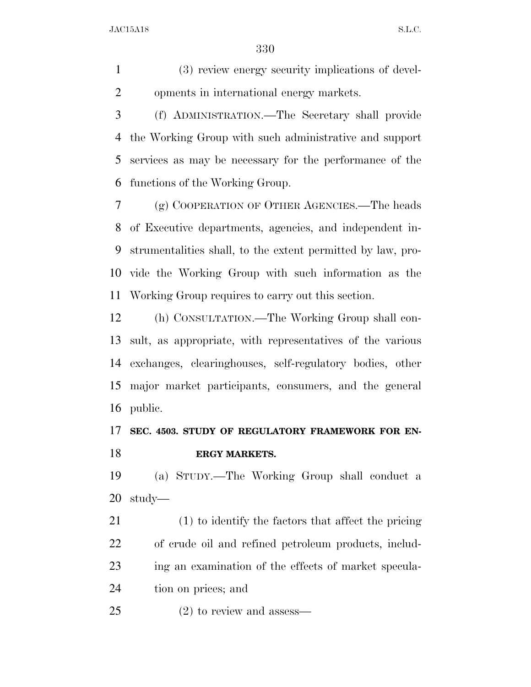(3) review energy security implications of devel-opments in international energy markets.

 (f) ADMINISTRATION.—The Secretary shall provide the Working Group with such administrative and support services as may be necessary for the performance of the functions of the Working Group.

 (g) COOPERATION OF OTHER AGENCIES.—The heads of Executive departments, agencies, and independent in- strumentalities shall, to the extent permitted by law, pro- vide the Working Group with such information as the Working Group requires to carry out this section.

 (h) CONSULTATION.—The Working Group shall con- sult, as appropriate, with representatives of the various exchanges, clearinghouses, self-regulatory bodies, other major market participants, consumers, and the general public.

## **SEC. 4503. STUDY OF REGULATORY FRAMEWORK FOR EN-ERGY MARKETS.**

 (a) STUDY.—The Working Group shall conduct a study—

 (1) to identify the factors that affect the pricing of crude oil and refined petroleum products, includ- ing an examination of the effects of market specula-tion on prices; and

(2) to review and assess—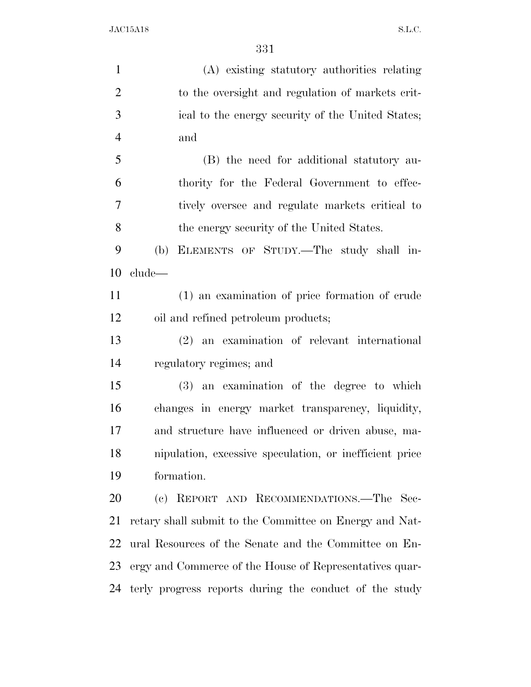JAC15A18 S.L.C.

 (A) existing statutory authorities relating to the oversight and regulation of markets crit- ical to the energy security of the United States; and (B) the need for additional statutory au- thority for the Federal Government to effec- tively oversee and regulate markets critical to the energy security of the United States. (b) ELEMENTS OF STUDY.—The study shall in- clude— (1) an examination of price formation of crude oil and refined petroleum products; (2) an examination of relevant international regulatory regimes; and (3) an examination of the degree to which changes in energy market transparency, liquidity, and structure have influenced or driven abuse, ma- nipulation, excessive speculation, or inefficient price formation. (c) REPORT AND RECOMMENDATIONS.—The Sec- retary shall submit to the Committee on Energy and Nat- ural Resources of the Senate and the Committee on En- ergy and Commerce of the House of Representatives quar-terly progress reports during the conduct of the study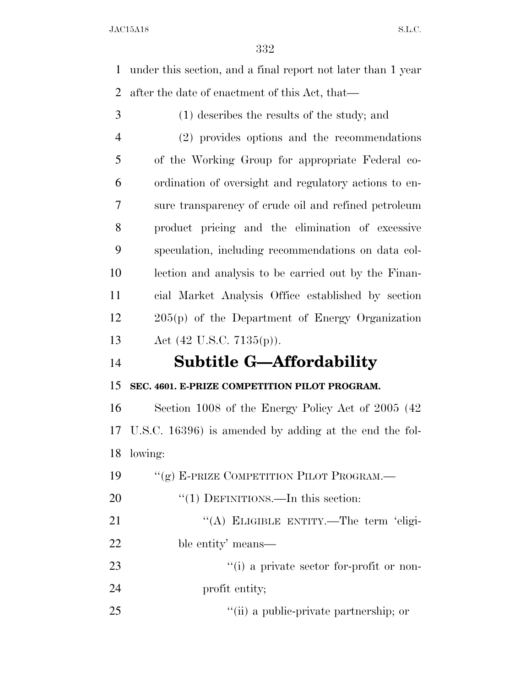under this section, and a final report not later than 1 year after the date of enactment of this Act, that—

- (1) describes the results of the study; and
- (2) provides options and the recommendations of the Working Group for appropriate Federal co- ordination of oversight and regulatory actions to en- sure transparency of crude oil and refined petroleum product pricing and the elimination of excessive speculation, including recommendations on data col- lection and analysis to be carried out by the Finan- cial Market Analysis Office established by section 205(p) of the Department of Energy Organization Act (42 U.S.C. 7135(p)).

# **Subtitle G—Affordability**

### **SEC. 4601. E-PRIZE COMPETITION PILOT PROGRAM.**

 Section 1008 of the Energy Policy Act of 2005 (42 U.S.C. 16396) is amended by adding at the end the fol-lowing:

| 19 | "(g) E-PRIZE COMPETITION PILOT PROGRAM.— |
|----|------------------------------------------|
| 20 | $\lq(1)$ DEFINITIONS.—In this section:   |
| 21 | "(A) ELIGIBLE ENTITY.—The term 'eligi-   |
| 22 | ble entity' means—                       |
| 23 | "(i) a private sector for-profit or non- |
| 24 | profit entity;                           |
| 25 | "(ii) a public-private partnership; or   |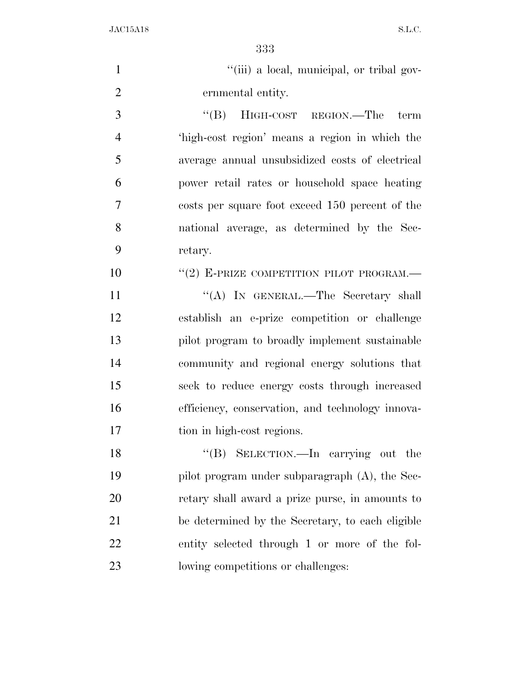JAC15A18 S.L.C.

1  $"$ (iii) a local, municipal, or tribal gov-ernmental entity.

3 "(B) HIGH-COST REGION.—The term 'high-cost region' means a region in which the average annual unsubsidized costs of electrical power retail rates or household space heating costs per square foot exceed 150 percent of the national average, as determined by the Sec-retary.

10  $(2)$  E-PRIZE COMPETITION PILOT PROGRAM.

11 ''(A) IN GENERAL.—The Secretary shall establish an e-prize competition or challenge pilot program to broadly implement sustainable community and regional energy solutions that seek to reduce energy costs through increased efficiency, conservation, and technology innova-tion in high-cost regions.

 ''(B) SELECTION.—In carrying out the 19 pilot program under subparagraph (A), the Sec- retary shall award a prize purse, in amounts to be determined by the Secretary, to each eligible entity selected through 1 or more of the fol-lowing competitions or challenges: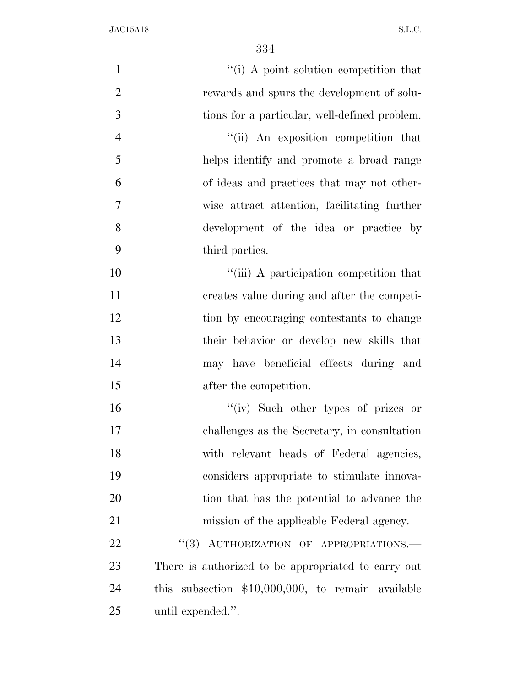JAC15A18 S.L.C.

| $\mathbf{1}$   | "(i) A point solution competition that              |
|----------------|-----------------------------------------------------|
| $\overline{2}$ | rewards and spurs the development of solu-          |
| 3              | tions for a particular, well-defined problem.       |
| $\overline{4}$ | "(ii) An exposition competition that                |
| 5              | helps identify and promote a broad range            |
| 6              | of ideas and practices that may not other-          |
| 7              | wise attract attention, facilitating further        |
| 8              | development of the idea or practice by              |
| 9              | third parties.                                      |
| 10             | "(iii) A participation competition that             |
| 11             | creates value during and after the competi-         |
| 12             | tion by encouraging contestants to change           |
| 13             | their behavior or develop new skills that           |
| 14             | may have beneficial effects during and              |
| 15             | after the competition.                              |
| 16             | "(iv) Such other types of prizes or                 |
| 17             | challenges as the Secretary, in consultation        |
| 18             | with relevant heads of Federal agencies,            |
| 19             | considers appropriate to stimulate innova-          |
| 20             | tion that has the potential to advance the          |
| 21             | mission of the applicable Federal agency.           |
| 22             | "(3) AUTHORIZATION OF APPROPRIATIONS.               |
| 23             | There is authorized to be appropriated to carry out |
| 24             | this subsection $$10,000,000$ , to remain available |
| 25             | until expended.".                                   |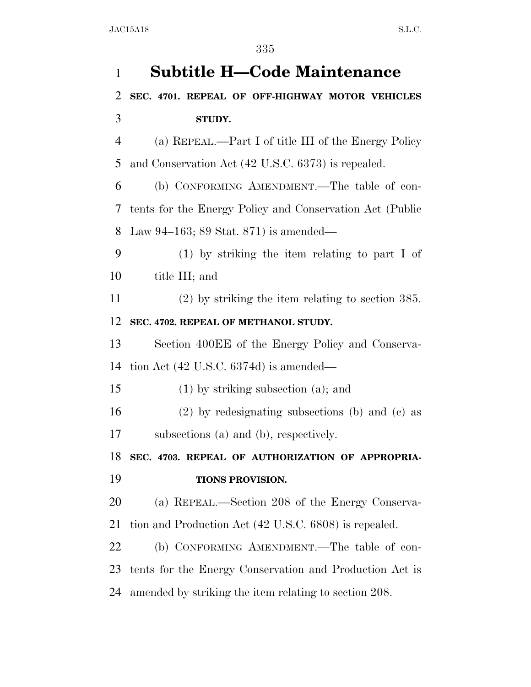| $\mathbf{1}$ | <b>Subtitle H-Code Maintenance</b>                       |
|--------------|----------------------------------------------------------|
| 2            | SEC. 4701. REPEAL OF OFF-HIGHWAY MOTOR VEHICLES          |
| 3            | <b>STUDY.</b>                                            |
| 4            | (a) REPEAL.—Part I of title III of the Energy Policy     |
| 5            | and Conservation Act (42 U.S.C. 6373) is repealed.       |
| 6            | (b) CONFORMING AMENDMENT.—The table of con-              |
| 7            | tents for the Energy Policy and Conservation Act (Public |
| 8            | Law 94–163; 89 Stat. 871) is amended—                    |
| 9            | $(1)$ by striking the item relating to part I of         |
| 10           | title III; and                                           |
| 11           | $(2)$ by striking the item relating to section 385.      |
| 12           | SEC. 4702. REPEAL OF METHANOL STUDY.                     |
| 13           | Section 400EE of the Energy Policy and Conserva-         |
| 14           | tion Act $(42 \text{ U.S.C. } 6374d)$ is amended—        |
| 15           | $(1)$ by striking subsection $(a)$ ; and                 |
| 16           | $(2)$ by redesignating subsections (b) and (c) as        |
| 17           | subsections (a) and (b), respectively.                   |
| 18           | SEC. 4703. REPEAL OF AUTHORIZATION OF APPROPRIA-         |
| 19           | TIONS PROVISION.                                         |
| 20           | (a) REPEAL.—Section 208 of the Energy Conserva-          |
| 21           | tion and Production Act (42 U.S.C. 6808) is repealed.    |
| 22           | (b) CONFORMING AMENDMENT.—The table of con-              |
| 23           | tents for the Energy Conservation and Production Act is  |
| 24           | amended by striking the item relating to section 208.    |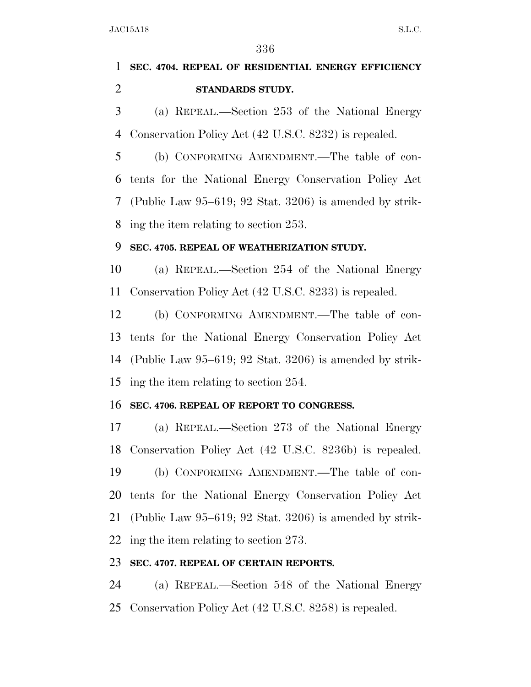# **SEC. 4704. REPEAL OF RESIDENTIAL ENERGY EFFICIENCY STANDARDS STUDY.**

 (a) REPEAL.—Section 253 of the National Energy Conservation Policy Act (42 U.S.C. 8232) is repealed.

 (b) CONFORMING AMENDMENT.—The table of con- tents for the National Energy Conservation Policy Act (Public Law 95–619; 92 Stat. 3206) is amended by strik-ing the item relating to section 253.

#### **SEC. 4705. REPEAL OF WEATHERIZATION STUDY.**

 (a) REPEAL.—Section 254 of the National Energy Conservation Policy Act (42 U.S.C. 8233) is repealed.

 (b) CONFORMING AMENDMENT.—The table of con- tents for the National Energy Conservation Policy Act (Public Law 95–619; 92 Stat. 3206) is amended by strik-ing the item relating to section 254.

#### **SEC. 4706. REPEAL OF REPORT TO CONGRESS.**

 (a) REPEAL.—Section 273 of the National Energy Conservation Policy Act (42 U.S.C. 8236b) is repealed. (b) CONFORMING AMENDMENT.—The table of con- tents for the National Energy Conservation Policy Act (Public Law 95–619; 92 Stat. 3206) is amended by strik-ing the item relating to section 273.

### **SEC. 4707. REPEAL OF CERTAIN REPORTS.**

 (a) REPEAL.—Section 548 of the National Energy Conservation Policy Act (42 U.S.C. 8258) is repealed.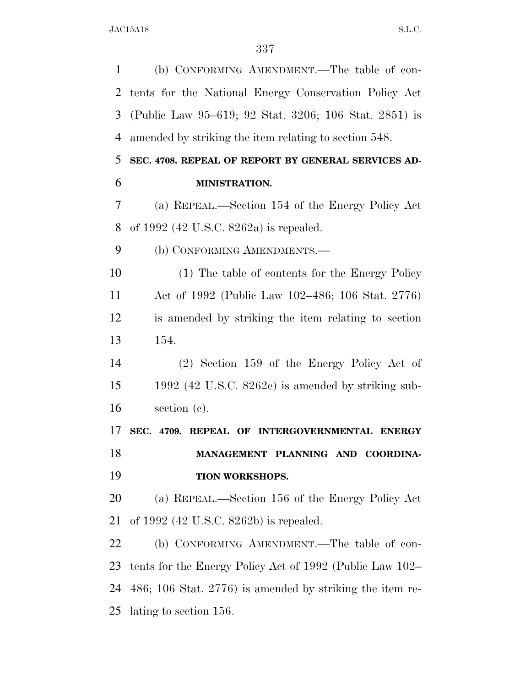(b) CONFORMING AMENDMENT.—The table of con- tents for the National Energy Conservation Policy Act (Public Law 95–619; 92 Stat. 3206; 106 Stat. 2851) is amended by striking the item relating to section 548. **SEC. 4708. REPEAL OF REPORT BY GENERAL SERVICES AD- MINISTRATION.**  (a) REPEAL.—Section 154 of the Energy Policy Act of 1992 (42 U.S.C. 8262a) is repealed. 9 (b) CONFORMING AMENDMENTS.— (1) The table of contents for the Energy Policy Act of 1992 (Public Law 102–486; 106 Stat. 2776) is amended by striking the item relating to section 154. (2) Section 159 of the Energy Policy Act of 1992 (42 U.S.C. 8262e) is amended by striking sub- section (c). **SEC. 4709. REPEAL OF INTERGOVERNMENTAL ENERGY MANAGEMENT PLANNING AND COORDINA- TION WORKSHOPS.**  (a) REPEAL.—Section 156 of the Energy Policy Act of 1992 (42 U.S.C. 8262b) is repealed. (b) CONFORMING AMENDMENT.—The table of con- tents for the Energy Policy Act of 1992 (Public Law 102– 486; 106 Stat. 2776) is amended by striking the item re-lating to section 156.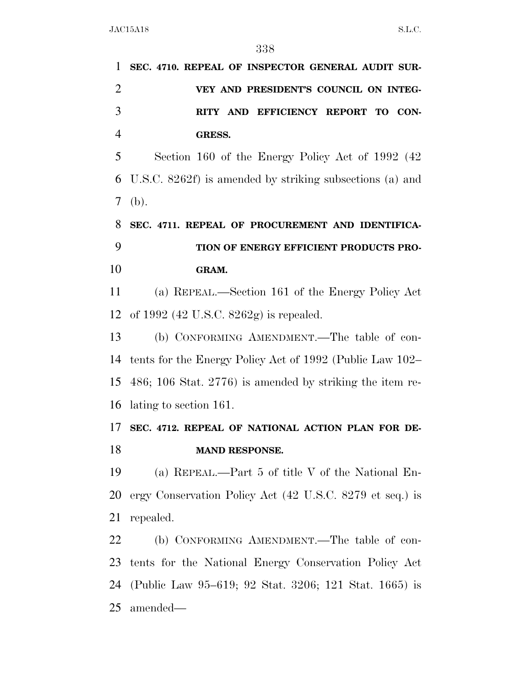| $\mathbf{1}$   | SEC. 4710. REPEAL OF INSPECTOR GENERAL AUDIT SUR-           |
|----------------|-------------------------------------------------------------|
| $\overline{2}$ | VEY AND PRESIDENT'S COUNCIL ON INTEG-                       |
| 3              | RITY AND EFFICIENCY REPORT TO CON-                          |
| $\overline{4}$ | <b>GRESS.</b>                                               |
| 5              | Section 160 of the Energy Policy Act of 1992 (42)           |
| 6              | U.S.C. 8262f) is amended by striking subsections (a) and    |
| $\tau$         | (b).                                                        |
| 8              | SEC. 4711. REPEAL OF PROCUREMENT AND IDENTIFICA-            |
| 9              | TION OF ENERGY EFFICIENT PRODUCTS PRO-                      |
| 10             | GRAM.                                                       |
| 11             | (a) REPEAL.—Section 161 of the Energy Policy Act            |
| 12             | of $1992$ (42 U.S.C. $8262g$ ) is repealed.                 |
| 13             | (b) CONFORMING AMENDMENT.—The table of con-                 |
| 14             | tents for the Energy Policy Act of 1992 (Public Law 102–    |
| 15             | $486$ ; 106 Stat. 2776) is amended by striking the item re- |
| 16             | lating to section 161.                                      |
| 17             | SEC. 4712. REPEAL OF NATIONAL ACTION PLAN FOR DE-           |
| 18             | <b>MAND RESPONSE.</b>                                       |
| 19             | (a) REPEAL.—Part 5 of title V of the National En-           |
| 20             | ergy Conservation Policy Act (42 U.S.C. 8279 et seq.) is    |
| 21             | repealed.                                                   |
| 22             | (b) CONFORMING AMENDMENT.—The table of con-                 |
| 23             | tents for the National Energy Conservation Policy Act       |
| 24             | (Public Law 95–619; 92 Stat. 3206; 121 Stat. 1665) is       |
| 25             | amended—                                                    |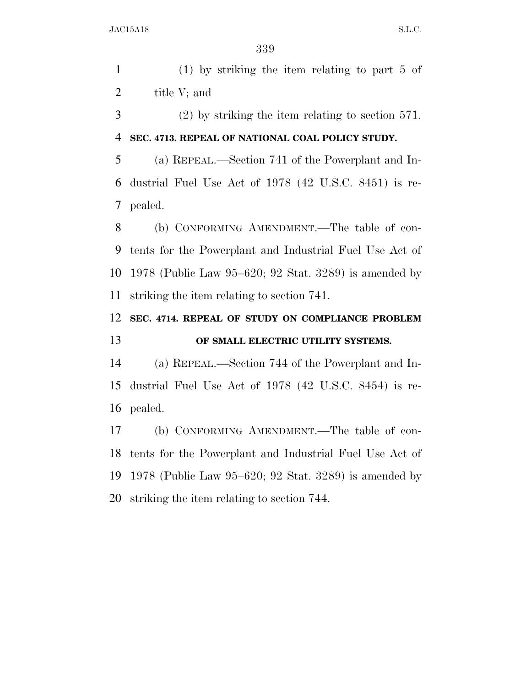(1) by striking the item relating to part 5 of 2 title V; and

 (2) by striking the item relating to section 571. **SEC. 4713. REPEAL OF NATIONAL COAL POLICY STUDY.** 

 (a) REPEAL.—Section 741 of the Powerplant and In- dustrial Fuel Use Act of 1978 (42 U.S.C. 8451) is re-pealed.

 (b) CONFORMING AMENDMENT.—The table of con- tents for the Powerplant and Industrial Fuel Use Act of 1978 (Public Law 95–620; 92 Stat. 3289) is amended by striking the item relating to section 741.

## **SEC. 4714. REPEAL OF STUDY ON COMPLIANCE PROBLEM OF SMALL ELECTRIC UTILITY SYSTEMS.**

 (a) REPEAL.—Section 744 of the Powerplant and In- dustrial Fuel Use Act of 1978 (42 U.S.C. 8454) is re-pealed.

 (b) CONFORMING AMENDMENT.—The table of con- tents for the Powerplant and Industrial Fuel Use Act of 1978 (Public Law 95–620; 92 Stat. 3289) is amended by striking the item relating to section 744.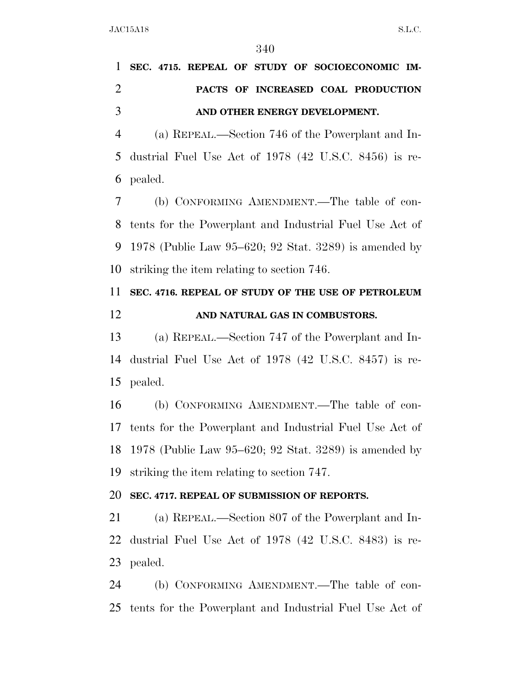# **SEC. 4715. REPEAL OF STUDY OF SOCIOECONOMIC IM- PACTS OF INCREASED COAL PRODUCTION AND OTHER ENERGY DEVELOPMENT.**

 (a) REPEAL.—Section 746 of the Powerplant and In- dustrial Fuel Use Act of 1978 (42 U.S.C. 8456) is re-pealed.

 (b) CONFORMING AMENDMENT.—The table of con- tents for the Powerplant and Industrial Fuel Use Act of 1978 (Public Law 95–620; 92 Stat. 3289) is amended by striking the item relating to section 746.

## **SEC. 4716. REPEAL OF STUDY OF THE USE OF PETROLEUM AND NATURAL GAS IN COMBUSTORS.**

 (a) REPEAL.—Section 747 of the Powerplant and In- dustrial Fuel Use Act of 1978 (42 U.S.C. 8457) is re-pealed.

 (b) CONFORMING AMENDMENT.—The table of con- tents for the Powerplant and Industrial Fuel Use Act of 1978 (Public Law 95–620; 92 Stat. 3289) is amended by striking the item relating to section 747.

### **SEC. 4717. REPEAL OF SUBMISSION OF REPORTS.**

 (a) REPEAL.—Section 807 of the Powerplant and In- dustrial Fuel Use Act of 1978 (42 U.S.C. 8483) is re-pealed.

 (b) CONFORMING AMENDMENT.—The table of con-tents for the Powerplant and Industrial Fuel Use Act of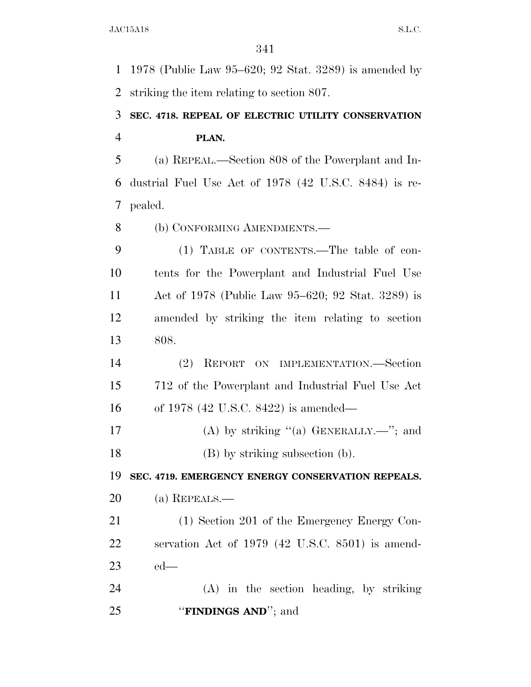1978 (Public Law 95–620; 92 Stat. 3289) is amended by striking the item relating to section 807.

 **SEC. 4718. REPEAL OF ELECTRIC UTILITY CONSERVATION PLAN.** 

 (a) REPEAL.—Section 808 of the Powerplant and In- dustrial Fuel Use Act of 1978 (42 U.S.C. 8484) is re-pealed.

8 (b) CONFORMING AMENDMENTS.—

 (1) TABLE OF CONTENTS.—The table of con- tents for the Powerplant and Industrial Fuel Use Act of 1978 (Public Law 95–620; 92 Stat. 3289) is amended by striking the item relating to section 808.

 (2) REPORT ON IMPLEMENTATION.—Section 712 of the Powerplant and Industrial Fuel Use Act of 1978 (42 U.S.C. 8422) is amended—

17 (A) by striking "(a) GENERALLY.—"; and (B) by striking subsection (b).

**SEC. 4719. EMERGENCY ENERGY CONSERVATION REPEALS.** 

(a) REPEALS.—

 (1) Section 201 of the Emergency Energy Con- servation Act of 1979 (42 U.S.C. 8501) is amend-ed—

 (A) in the section heading, by striking ''**FINDINGS AND**''; and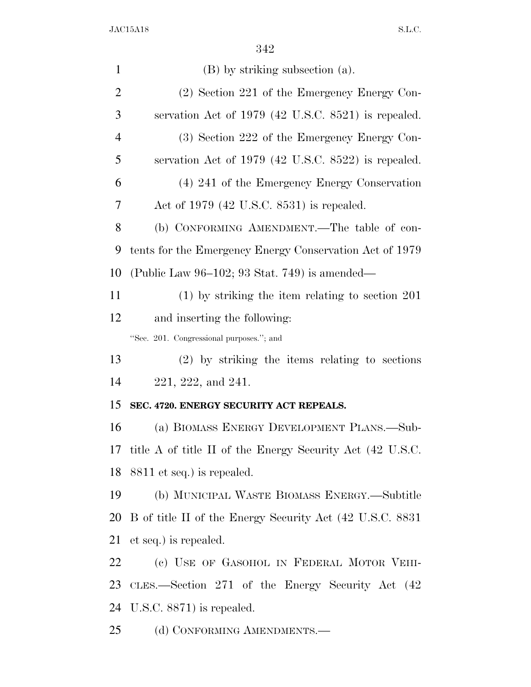| $\mathbf{1}$   | (B) by striking subsection (a).                              |
|----------------|--------------------------------------------------------------|
| $\overline{2}$ | (2) Section 221 of the Emergency Energy Con-                 |
| 3              | servation Act of 1979 (42 U.S.C. 8521) is repealed.          |
| $\overline{4}$ | (3) Section 222 of the Emergency Energy Con-                 |
| 5              | servation Act of 1979 (42 U.S.C. 8522) is repealed.          |
| 6              | (4) 241 of the Emergency Energy Conservation                 |
| 7              | Act of $1979$ (42 U.S.C. 8531) is repealed.                  |
| 8              | (b) CONFORMING AMENDMENT.—The table of con-                  |
| 9              | tents for the Emergency Energy Conservation Act of 1979      |
| 10             | (Public Law $96-102$ ; 93 Stat. 749) is amended—             |
| 11             | $(1)$ by striking the item relating to section 201           |
| 12             | and inserting the following:                                 |
|                | "Sec. 201. Congressional purposes."; and                     |
| 13             | $(2)$ by striking the items relating to sections             |
| 14             | $221, 222,$ and $241.$                                       |
| 15             | SEC. 4720. ENERGY SECURITY ACT REPEALS.                      |
| 16             | (a) BIOMASS ENERGY DEVELOPMENT PLANS.—Sub-                   |
|                | 17 title A of title II of the Energy Security Act (42 U.S.C. |
| 18             | 8811 et seq.) is repealed.                                   |
| 19             | (b) MUNICIPAL WASTE BIOMASS ENERGY.—Subtitle                 |
| 20             | B of title II of the Energy Security Act (42 U.S.C. 8831)    |
| 21             | et seq.) is repealed.                                        |
| 22             | (c) USE OF GASOHOL IN FEDERAL MOTOR VEHI-                    |
| 23             | CLES.—Section 271 of the Energy Security Act (42)            |
|                | 24 U.S.C. 8871) is repealed.                                 |

(d) CONFORMING AMENDMENTS.—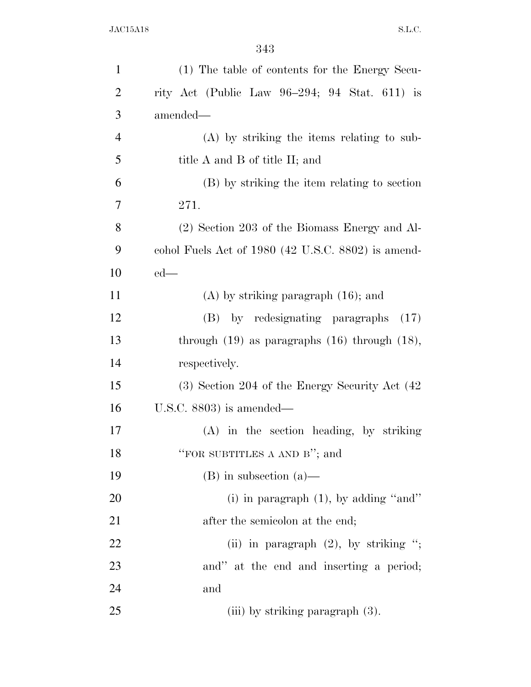| $\mathbf{1}$   | (1) The table of contents for the Energy Secu-       |
|----------------|------------------------------------------------------|
| $\overline{2}$ | rity Act (Public Law $96-294$ ; 94 Stat. 611) is     |
| 3              | amended—                                             |
| $\overline{4}$ | $(A)$ by striking the items relating to sub-         |
| 5              | title A and B of title II; and                       |
| 6              | (B) by striking the item relating to section         |
| 7              | 271.                                                 |
| 8              | (2) Section 203 of the Biomass Energy and Al-        |
| 9              | cohol Fuels Act of 1980 (42 U.S.C. 8802) is amend-   |
| 10             | $ed$ —                                               |
| 11             | $(A)$ by striking paragraph $(16)$ ; and             |
| 12             | (B) by redesignating paragraphs<br>(17)              |
| 13             | through $(19)$ as paragraphs $(16)$ through $(18)$ , |
| 14             | respectively.                                        |
| 15             | $(3)$ Section 204 of the Energy Security Act $(42)$  |
| 16             | U.S.C. $8803$ ) is amended—                          |
| 17             | (A) in the section heading, by striking              |
| 18             | "FOR SUBTITLES A AND B"; and                         |
| 19             | $(B)$ in subsection $(a)$ —                          |
| 20             | (i) in paragraph $(1)$ , by adding "and"             |
| 21             | after the semicolon at the end;                      |
| 22             | (ii) in paragraph $(2)$ , by striking ";             |
| 23             | and" at the end and inserting a period;              |
| 24             | and                                                  |
| 25             | (iii) by striking paragraph $(3)$ .                  |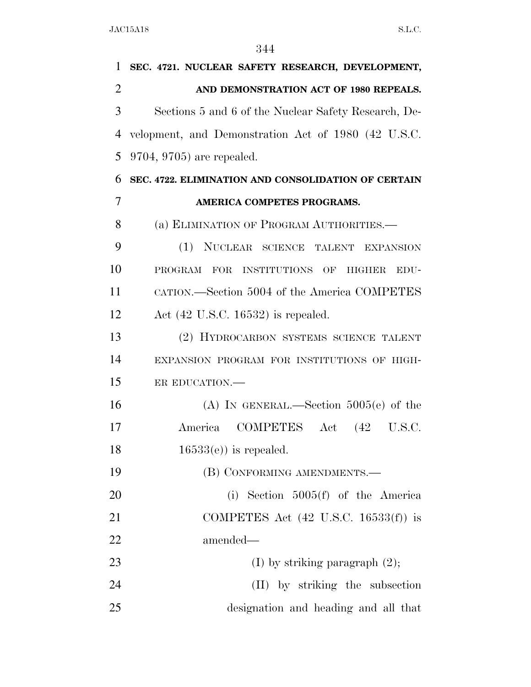| 1              | SEC. 4721. NUCLEAR SAFETY RESEARCH, DEVELOPMENT,     |
|----------------|------------------------------------------------------|
| $\overline{2}$ | AND DEMONSTRATION ACT OF 1980 REPEALS.               |
| 3              | Sections 5 and 6 of the Nuclear Safety Research, De- |
| 4              | velopment, and Demonstration Act of 1980 (42 U.S.C.  |
| 5              | $9704, 9705$ are repealed.                           |
| 6              | SEC. 4722. ELIMINATION AND CONSOLIDATION OF CERTAIN  |
| 7              | AMERICA COMPETES PROGRAMS.                           |
| 8              | (a) ELIMINATION OF PROGRAM AUTHORITIES.—             |
| 9              | (1) NUCLEAR SCIENCE TALENT<br><b>EXPANSION</b>       |
| 10             | PROGRAM FOR INSTITUTIONS OF HIGHER<br>EDU-           |
| 11             | CATION.—Section 5004 of the America COMPETES         |
| 12             | Act $(42 \text{ U.S.C. } 16532)$ is repealed.        |
| 13             | (2) HYDROCARBON SYSTEMS SCIENCE TALENT               |
| 14             | EXPANSION PROGRAM FOR INSTITUTIONS OF HIGH-          |
| 15             | ER EDUCATION.                                        |
| 16             | (A) IN GENERAL.—Section $5005(e)$ of the             |
| 17             | America COMPETES Act                                 |
| 18             | $16533(e)$ is repealed.                              |
| 19             | (B) CONFORMING AMENDMENTS.—                          |
| 20             | (i) Section $5005(f)$ of the America                 |
| 21             | COMPETES Act $(42 \text{ U.S.C. } 16533(f))$ is      |
| 22             | amended—                                             |
| 23             | (I) by striking paragraph $(2)$ ;                    |
| 24             | (II) by striking the subsection                      |
| 25             | designation and heading and all that                 |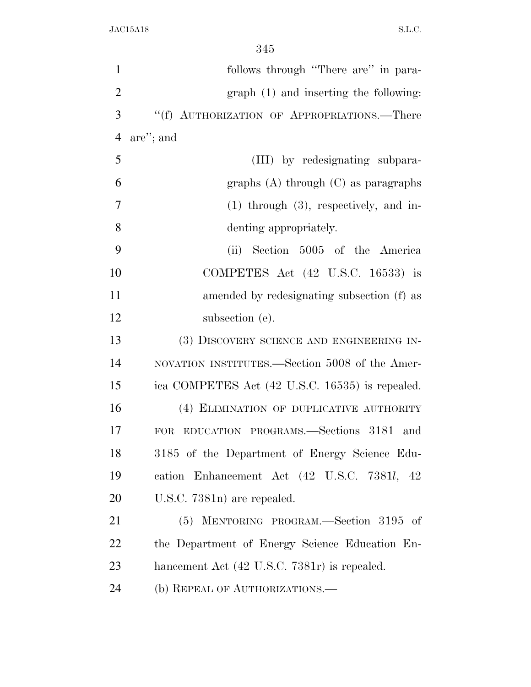| $\mathbf{1}$   | follows through "There are" in para-                |
|----------------|-----------------------------------------------------|
| $\overline{2}$ | $graph(1)$ and inserting the following:             |
| 3              | "(f) AUTHORIZATION OF APPROPRIATIONS.—There         |
| $\overline{4}$ | are"; and                                           |
| 5              | (III) by redesignating subpara-                     |
| 6              | graphs $(A)$ through $(C)$ as paragraphs            |
| $\overline{7}$ | $(1)$ through $(3)$ , respectively, and in-         |
| 8              | denting appropriately.                              |
| 9              | (ii) Section 5005 of the America                    |
| 10             | COMPETES Act (42 U.S.C. 16533) is                   |
| 11             | amended by redesignating subsection (f) as          |
| 12             | subsection (e).                                     |
| 13             | (3) DISCOVERY SCIENCE AND ENGINEERING IN-           |
| 14             | NOVATION INSTITUTES.—Section 5008 of the Amer-      |
| 15             | ica COMPETES Act (42 U.S.C. 16535) is repealed.     |
| 16             | (4) ELIMINATION OF DUPLICATIVE AUTHORITY            |
| 17             | EDUCATION PROGRAMS.—Sections 3181 and<br><b>FOR</b> |
| 18             | 3185 of the Department of Energy Science Edu-       |
| 19             | cation Enhancement Act (42 U.S.C. 7381l, 42         |
| 20             | U.S.C. $7381n$ are repealed.                        |
| 21             | (5) MENTORING PROGRAM.—Section 3195 of              |
| 22             | the Department of Energy Science Education En-      |
| 23             | hancement Act (42 U.S.C. 7381r) is repealed.        |
| 24             | (b) REPEAL OF AUTHORIZATIONS.—                      |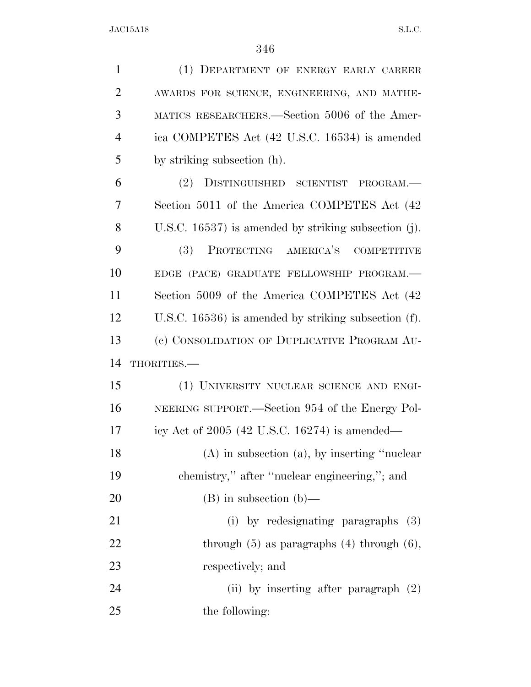| $\mathbf{1}$   | (1) DEPARTMENT OF ENERGY EARLY CAREER                |
|----------------|------------------------------------------------------|
| $\overline{2}$ | AWARDS FOR SCIENCE, ENGINEERING, AND MATHE-          |
| 3              | MATICS RESEARCHERS.—Section 5006 of the Amer-        |
| $\overline{4}$ | ica COMPETES Act (42 U.S.C. 16534) is amended        |
| 5              | by striking subsection (h).                          |
| 6              | (2) DISTINGUISHED SCIENTIST PROGRAM.—                |
| 7              | Section 5011 of the America COMPETES Act (42)        |
| 8              | U.S.C. 16537) is amended by striking subsection (j). |
| 9              | PROTECTING AMERICA'S COMPETITIVE<br>(3)              |
| 10             | EDGE (PACE) GRADUATE FELLOWSHIP PROGRAM.-            |
| 11             | Section 5009 of the America COMPETES Act (42)        |
| 12             | U.S.C. 16536) is amended by striking subsection (f). |
| 13             | (c) CONSOLIDATION OF DUPLICATIVE PROGRAM AU-         |
| 14             | THORITIES.-                                          |
| 15             | (1) UNIVERSITY NUCLEAR SCIENCE AND ENGI-             |
| 16             | NEERING SUPPORT.—Section 954 of the Energy Pol-      |
| 17             | icy Act of $2005$ (42 U.S.C. 16274) is amended—      |
| 18             | $(A)$ in subsection $(a)$ , by inserting "nuclear"   |
| 19             | chemistry," after "nuclear engineering,"; and        |
| 20             | $(B)$ in subsection $(b)$ —                          |
| 21             | (i) by redesignating paragraphs (3)                  |
| 22             | through $(5)$ as paragraphs $(4)$ through $(6)$ ,    |
| 23             | respectively; and                                    |
|                |                                                      |
| 24             | (ii) by inserting after paragraph $(2)$              |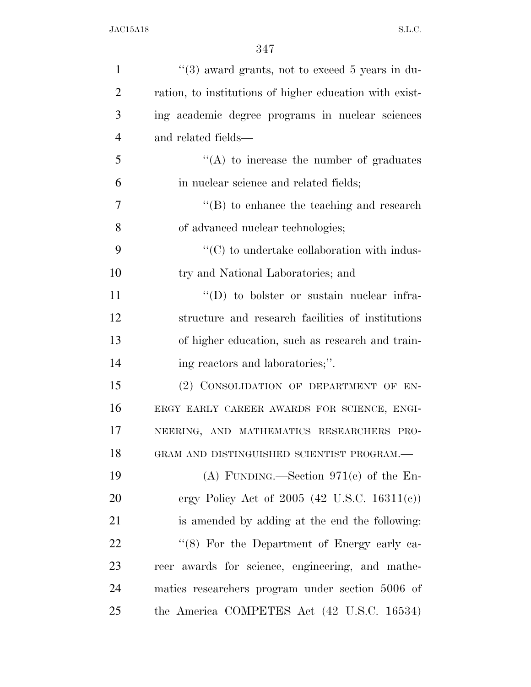| $\mathbf{1}$   | $\cdot\cdot$ (3) award grants, not to exceed 5 years in du- |
|----------------|-------------------------------------------------------------|
| $\overline{2}$ | ration, to institutions of higher education with exist-     |
| 3              | ing academic degree programs in nuclear sciences            |
| $\overline{4}$ | and related fields—                                         |
| 5              | $\lq\lq$ to increase the number of graduates                |
| 6              | in nuclear science and related fields;                      |
| 7              | $\lq\lq (B)$ to enhance the teaching and research           |
| 8              | of advanced nuclear technologies;                           |
| 9              | $\cdot\cdot$ (C) to undertake collaboration with indus-     |
| 10             | try and National Laboratories; and                          |
| 11             | $\lq\lq$ to bolster or sustain nuclear infra-               |
| 12             | structure and research facilities of institutions           |
| 13             | of higher education, such as research and train-            |
| 14             | ing reactors and laboratories;".                            |
| 15             | (2) CONSOLIDATION OF DEPARTMENT OF EN-                      |
| 16             | ERGY EARLY CAREER AWARDS FOR SCIENCE, ENGI-                 |
| 17             | NEERING, AND MATHEMATICS RESEARCHERS PRO-                   |
| 18             | GRAM AND DISTINGUISHED SCIENTIST PROGRAM.-                  |
| 19             | (A) FUNDING.—Section $971(e)$ of the En-                    |
| 20             | ergy Policy Act of $2005$ (42 U.S.C. 16311(c))              |
| 21             | is amended by adding at the end the following:              |
| 22             | "(8) For the Department of Energy early ca-                 |
| 23             | reer awards for science, engineering, and mathe-            |
| 24             | matics researchers program under section 5006 of            |
| 25             | the America COMPETES Act (42 U.S.C. 16534)                  |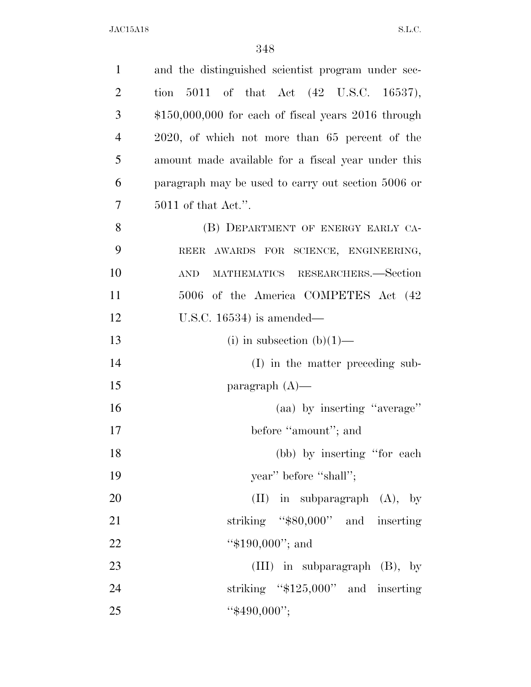| $\mathbf{1}$   | and the distinguished scientist program under sec-   |
|----------------|------------------------------------------------------|
| $\overline{2}$ | tion 5011 of that Act $(42 \text{ U.S.C. } 16537)$ , |
| 3              | $$150,000,000$ for each of fiscal years 2016 through |
| $\overline{4}$ | 2020, of which not more than 65 percent of the       |
| 5              | amount made available for a fiscal year under this   |
| 6              | paragraph may be used to carry out section 5006 or   |
| 7              | $5011$ of that Act.".                                |
| 8              | (B) DEPARTMENT OF ENERGY EARLY CA-                   |
| 9              | REER AWARDS FOR SCIENCE, ENGINEERING,                |
| 10             | MATHEMATICS RESEARCHERS.-Section<br><b>AND</b>       |
| 11             | 5006 of the America COMPETES Act (42                 |
| 12             | U.S.C. $16534$ ) is amended—                         |
| 13             | (i) in subsection $(b)(1)$ —                         |
| 14             | (I) in the matter preceding sub-                     |
| 15             | paragraph $(A)$ —                                    |
| 16             | (aa) by inserting "average"                          |
| 17             | before "amount"; and                                 |
| 18             | (bb) by inserting "for each                          |
| 19             | year" before "shall";                                |
| 20             | $(II)$ in subparagraph $(A)$ , by                    |
| 21             | striking "\$80,000" and inserting                    |
| 22             | "\$190,000"; and                                     |
| 23             | (III) in subparagraph $(B)$ , by                     |
| 24             | striking "\$125,000" and inserting                   |
| 25             | " $$490,000"$ ;                                      |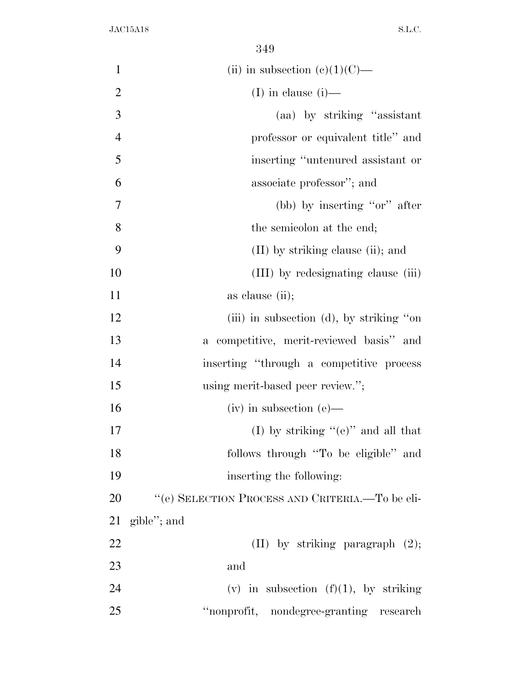| $\mathbf{1}$   | (ii) in subsection $(e)(1)(C)$ —                |
|----------------|-------------------------------------------------|
| $\overline{2}$ | (I) in clause $(i)$ —                           |
| 3              | (aa) by striking "assistant"                    |
| $\overline{4}$ | professor or equivalent title" and              |
| 5              | inserting "untenured assistant or               |
| 6              | associate professor"; and                       |
| 7              | (bb) by inserting "or" after                    |
| 8              | the semicolon at the end;                       |
| 9              | $(II)$ by striking clause (ii); and             |
| 10             | (III) by redesignating clause (iii)             |
| 11             | as clause (ii);                                 |
| 12             | (iii) in subsection (d), by striking "on        |
| 13             | a competitive, merit-reviewed basis" and        |
| 14             | inserting "through a competitive process"       |
| 15             | using merit-based peer review.";                |
| 16             | $(iv)$ in subsection $(e)$ —                    |
| 17             | (I) by striking " $(e)$ " and all that          |
| 18             | follows through "To be eligible" and            |
| 19             | inserting the following:                        |
| 20             | "(e) SELECTION PROCESS AND CRITERIA.—To be eli- |
| 21             | gible"; and                                     |
| 22             | $(II)$ by striking paragraph $(2)$ ;            |
| 23             | and                                             |
| 24             | (v) in subsection $(f)(1)$ , by striking        |
| 25             | "nonprofit, nondegree-granting research         |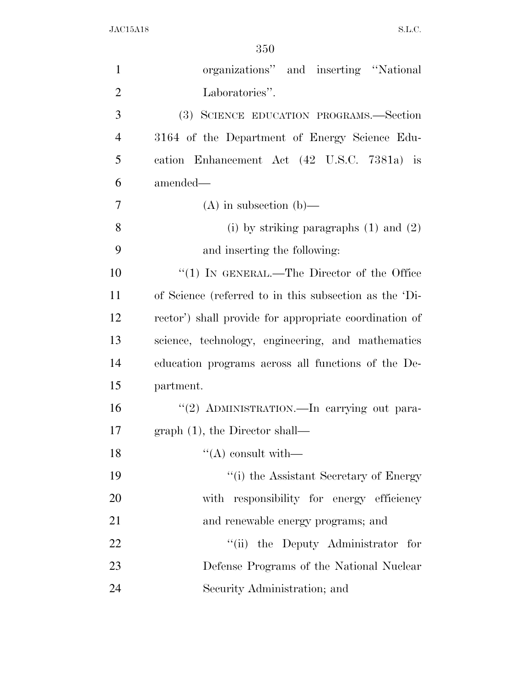| $\mathbf{1}$   | organizations" and inserting "National"                |
|----------------|--------------------------------------------------------|
| $\mathfrak{2}$ | Laboratories".                                         |
| 3              | (3) SCIENCE EDUCATION PROGRAMS.—Section                |
| $\overline{4}$ | 3164 of the Department of Energy Science Edu-          |
| 5              | cation Enhancement Act (42 U.S.C. 7381a) is            |
| 6              | amended—                                               |
| 7              | $(A)$ in subsection $(b)$ —                            |
| 8              | (i) by striking paragraphs $(1)$ and $(2)$             |
| 9              | and inserting the following:                           |
| 10             | "(1) IN GENERAL.—The Director of the Office            |
| 11             | of Science (referred to in this subsection as the 'Di- |
| 12             | rector') shall provide for appropriate coordination of |
| 13             | science, technology, engineering, and mathematics      |
| 14             | education programs across all functions of the De-     |
| 15             | partment.                                              |
| 16             | "(2) ADMINISTRATION.—In carrying out para-             |
| 17             | graph $(1)$ , the Director shall—                      |
| 18             | $\lq($ A) consult with —                               |
| 19             | "(i) the Assistant Secretary of Energy                 |
| 20             | with responsibility for energy efficiency              |
| 21             | and renewable energy programs; and                     |
| 22             | "(ii) the Deputy Administrator for                     |
| 23             | Defense Programs of the National Nuclear               |
| 24             | Security Administration; and                           |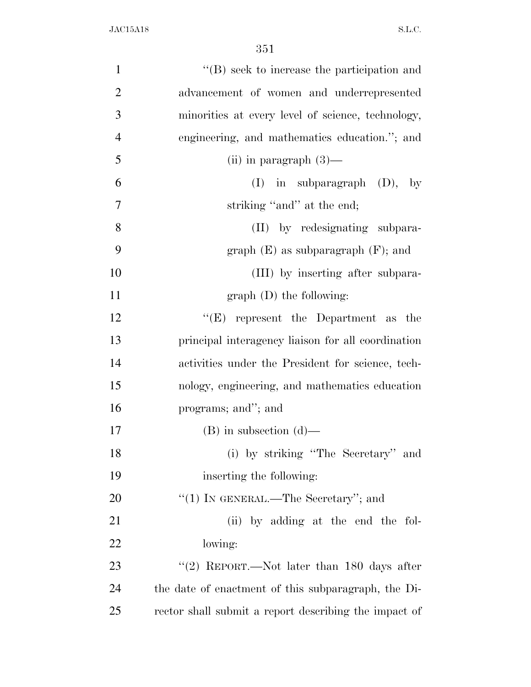| $\mathbf{1}$   | $\lq\lq$ seek to increase the participation and       |
|----------------|-------------------------------------------------------|
| $\overline{2}$ | advancement of women and underrepresented             |
| 3              | minorities at every level of science, technology,     |
| $\overline{4}$ | engineering, and mathematics education."; and         |
| 5              | (ii) in paragraph $(3)$ —                             |
| 6              | $(I)$ in subparagraph $(D)$ , by                      |
| 7              | striking "and" at the end;                            |
| 8              | (II) by redesignating subpara-                        |
| 9              | graph $(E)$ as subparagraph $(F)$ ; and               |
| 10             | (III) by inserting after subpara-                     |
| 11             | $graph$ (D) the following:                            |
| 12             | $\lq\lq(E)$ represent the Department as the           |
| 13             | principal interagency liaison for all coordination    |
| 14             | activities under the President for science, tech-     |
| 15             | nology, engineering, and mathematics education        |
| 16             | programs; and"; and                                   |
| 17             | $(B)$ in subsection $(d)$ —                           |
| 18             | (i) by striking "The Secretary" and                   |
| 19             | inserting the following:                              |
| 20             | "(1) IN GENERAL.—The Secretary"; and                  |
| 21             | (ii) by adding at the end the fol-                    |
| 22             | lowing:                                               |
| 23             | "(2) REPORT.—Not later than $180$ days after          |
| 24             | the date of enactment of this subparagraph, the Di-   |
| 25             | rector shall submit a report describing the impact of |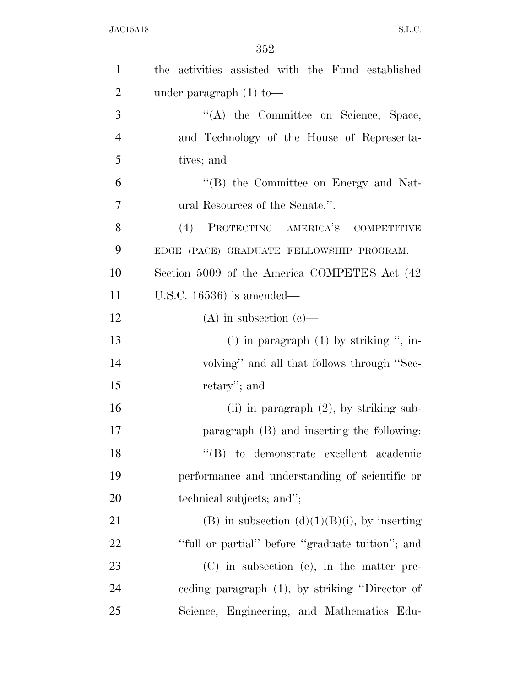| $\mathbf{1}$   | the activities assisted with the Fund established |
|----------------|---------------------------------------------------|
| $\overline{2}$ | under paragraph $(1)$ to —                        |
| 3              | "(A) the Committee on Science, Space,             |
| $\overline{4}$ | and Technology of the House of Representa-        |
| 5              | tives; and                                        |
| 6              | "(B) the Committee on Energy and Nat-             |
| 7              | ural Resources of the Senate.".                   |
| 8              | (4) PROTECTING AMERICA'S COMPETITIVE              |
| 9              | EDGE (PACE) GRADUATE FELLOWSHIP PROGRAM.-         |
| 10             | Section 5009 of the America COMPETES Act (42      |
| 11             | U.S.C. $16536$ ) is amended—                      |
| 12             | (A) in subsection (c)—                            |
| 13             | (i) in paragraph $(1)$ by striking ", in-         |
| 14             | volving" and all that follows through "Sec-       |
| 15             | retary"; and                                      |
| 16             | (ii) in paragraph $(2)$ , by striking sub-        |
| 17             | paragraph (B) and inserting the following:        |
| 18             | "(B) to demonstrate excellent academic            |
| 19             | performance and understanding of scientific or    |
| 20             | technical subjects; and";                         |
| 21             | (B) in subsection $(d)(1)(B)(i)$ , by inserting   |
| 22             | "full or partial" before "graduate tuition"; and  |
| 23             | $(C)$ in subsection (e), in the matter pre-       |
| 24             | eeding paragraph $(1)$ , by striking "Director of |
| 25             | Science, Engineering, and Mathematics Edu-        |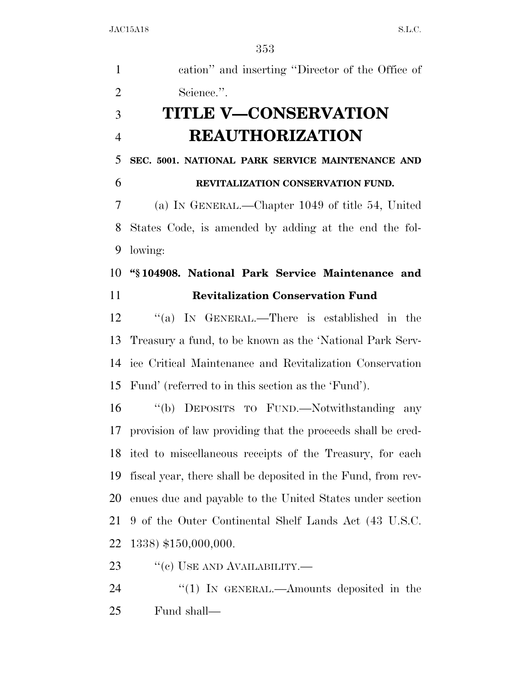cation'' and inserting ''Director of the Office of 2 Science.". **TITLE V—CONSERVATION REAUTHORIZATION SEC. 5001. NATIONAL PARK SERVICE MAINTENANCE AND REVITALIZATION CONSERVATION FUND.**  (a) IN GENERAL.—Chapter 1049 of title 54, United States Code, is amended by adding at the end the fol- lowing: **''§ 104908. National Park Service Maintenance and Revitalization Conservation Fund**  ''(a) IN GENERAL.—There is established in the Treasury a fund, to be known as the 'National Park Serv- ice Critical Maintenance and Revitalization Conservation Fund' (referred to in this section as the 'Fund'). ''(b) DEPOSITS TO FUND.—Notwithstanding any provision of law providing that the proceeds shall be cred- ited to miscellaneous receipts of the Treasury, for each fiscal year, there shall be deposited in the Fund, from rev- enues due and payable to the United States under section 9 of the Outer Continental Shelf Lands Act (43 U.S.C. 1338) \$150,000,000. 23 "(c) USE AND AVAILABILITY.— 24 "(1) In GENERAL.—Amounts deposited in the

Fund shall—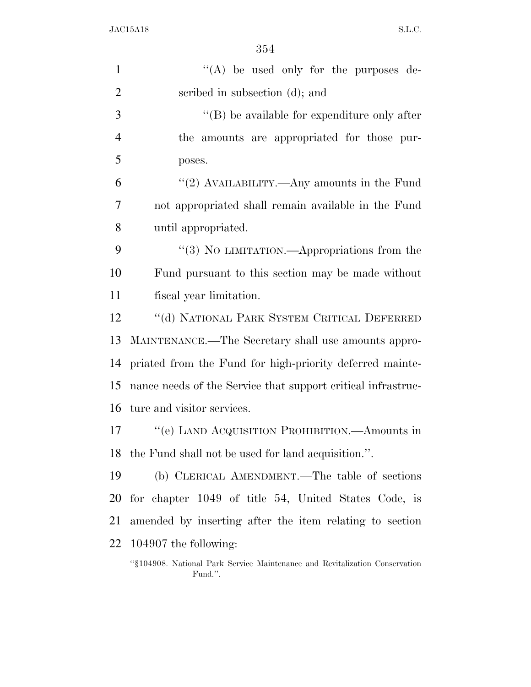| $\mathbf{1}$   | "(A) be used only for the purposes de-                       |
|----------------|--------------------------------------------------------------|
| $\overline{2}$ | scribed in subsection (d); and                               |
| 3              | $\lq\lq$ be available for expenditure only after             |
| $\overline{4}$ | the amounts are appropriated for those pur-                  |
| 5              | poses.                                                       |
| 6              | "(2) AVAILABILITY.—Any amounts in the Fund                   |
| 7              | not appropriated shall remain available in the Fund          |
| 8              | until appropriated.                                          |
| 9              | "(3) NO LIMITATION.—Appropriations from the                  |
| 10             | Fund pursuant to this section may be made without            |
| 11             | fiscal year limitation.                                      |
| 12             | "(d) NATIONAL PARK SYSTEM CRITICAL DEFERRED                  |
| 13             | MAINTENANCE.—The Secretary shall use amounts appro-          |
| 14             | priated from the Fund for high-priority deferred mainte-     |
| 15             | nance needs of the Service that support critical infrastruc- |
| 16             | ture and visitor services.                                   |
| 17             | "(e) LAND ACQUISITION PROHIBITION.—Amounts in                |
|                | 18 the Fund shall not be used for land acquisition.".        |
| 19             | (b) CLERICAL AMENDMENT.—The table of sections                |
| 20             | for chapter 1049 of title 54, United States Code, is         |
| 21             | amended by inserting after the item relating to section      |
|                | $22$ 104907 the following:                                   |
|                |                                                              |

<sup>&#</sup>x27;'§104908. National Park Service Maintenance and Revitalization Conservation Fund.''.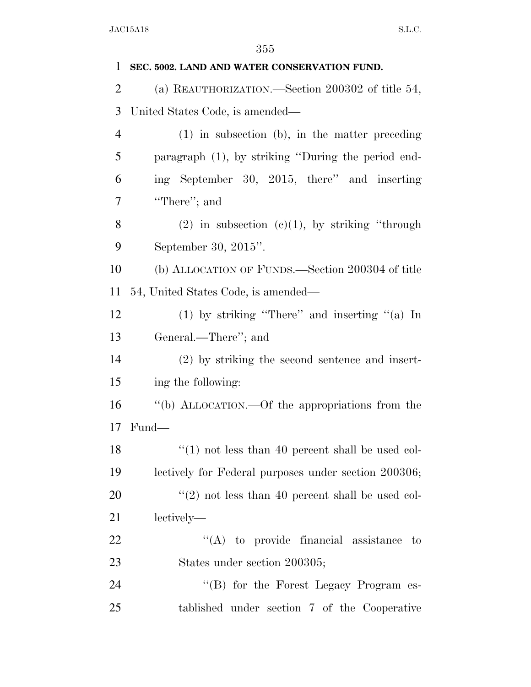| $\mathbf{1}$   | SEC. 5002. LAND AND WATER CONSERVATION FUND.            |
|----------------|---------------------------------------------------------|
| $\overline{2}$ | (a) REAUTHORIZATION.—Section 200302 of title 54,        |
| 3              | United States Code, is amended—                         |
| $\overline{4}$ | $(1)$ in subsection (b), in the matter preceding        |
| 5              | paragraph (1), by striking "During the period end-      |
| 6              | ing September 30, 2015, there" and inserting            |
| 7              | "There"; and                                            |
| 8              | $(2)$ in subsection $(c)(1)$ , by striking "through     |
| 9              | September 30, 2015".                                    |
| 10             | (b) ALLOCATION OF FUNDS.—Section 200304 of title        |
| 11             | 54, United States Code, is amended—                     |
| 12             | (1) by striking "There" and inserting "(a) In           |
| 13             | General.—There"; and                                    |
| 14             | (2) by striking the second sentence and insert-         |
| 15             | ing the following:                                      |
| 16             | "(b) ALLOCATION.—Of the appropriations from the         |
| 17             | Fund—                                                   |
| 18             | $\cdot$ (1) not less than 40 percent shall be used col- |
| 19             | lectively for Federal purposes under section 200306;    |
| 20             | $\lq(2)$ not less than 40 percent shall be used col-    |
| 21             | lectively-                                              |
| 22             | $\lq\lq$ to provide financial assistance to             |
| 23             | States under section 200305;                            |
| 24             | "(B) for the Forest Legacy Program es-                  |
| 25             | tablished under section 7 of the Cooperative            |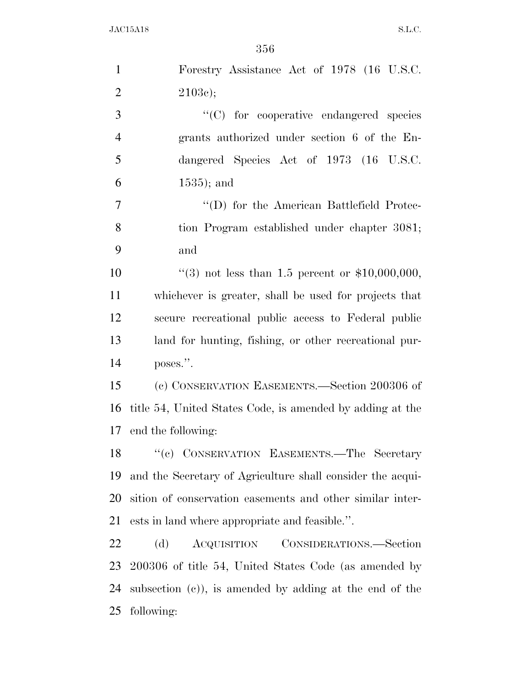| $\mathbf{1}$   | Forestry Assistance Act of 1978 (16 U.S.C.                 |
|----------------|------------------------------------------------------------|
| $\overline{2}$ | 2103c);                                                    |
| 3              | "(C) for cooperative endangered species                    |
| $\overline{4}$ | grants authorized under section 6 of the En-               |
| 5              | dangered Species Act of 1973 (16 U.S.C.                    |
| 6              | $1535$ ; and                                               |
| $\tau$         | $\lq\lq$ (D) for the American Battlefield Protec-          |
| 8              | tion Program established under chapter 3081;               |
| 9              | and                                                        |
| 10             | "(3) not less than 1.5 percent or $$10,000,000$ ,          |
| 11             | whichever is greater, shall be used for projects that      |
| 12             | secure recreational public access to Federal public        |
| 13             | land for hunting, fishing, or other recreational pur-      |
| 14             | poses.".                                                   |
| 15             | (c) CONSERVATION EASEMENTS.—Section 200306 of              |
| 16             | title 54, United States Code, is amended by adding at the  |
| 17             | end the following:                                         |
| 18             | "(c) CONSERVATION EASEMENTS.—The Secretary                 |
| 19             | and the Secretary of Agriculture shall consider the acqui- |
| 20             | sition of conservation easements and other similar inter-  |
| 21             | ests in land where appropriate and feasible.".             |
| 22             | ACQUISITION CONSIDERATIONS.—Section<br>(d)                 |
| 23             | 200306 of title 54, United States Code (as amended by      |
| 24             | subsection $(c)$ , is amended by adding at the end of the  |
| 25             | following:                                                 |